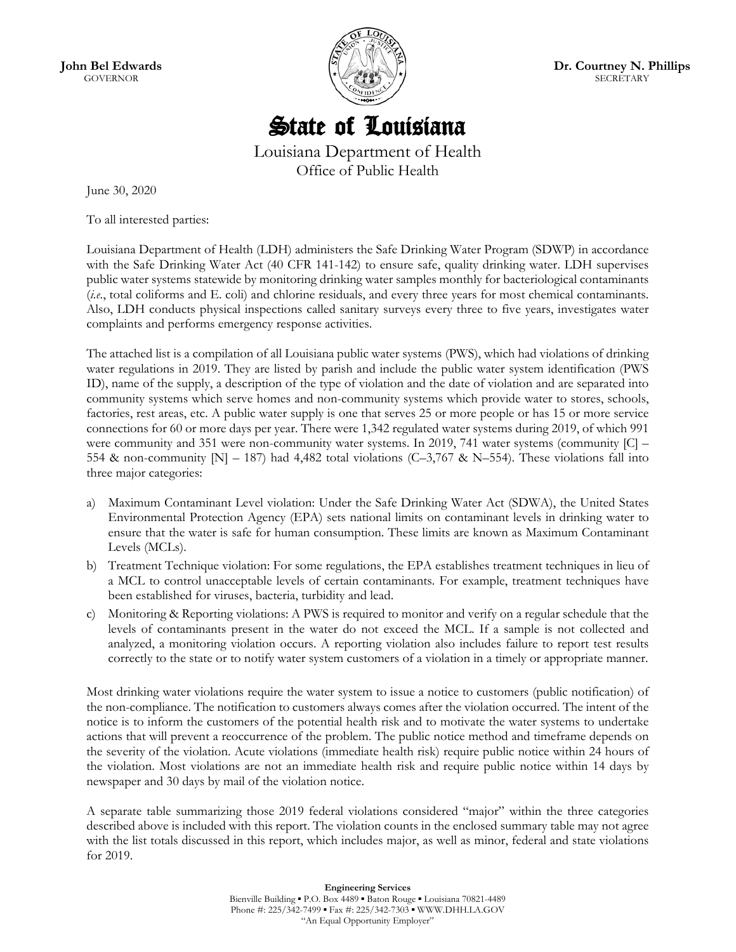**John Bel Edwards** GOVERNOR



**Dr. Courtney N. Phillips SECRETARY** 

## State of Louisiana

Louisiana Department of Health Office of Public Health

June 30, 2020

To all interested parties:

Louisiana Department of Health (LDH) administers the Safe Drinking Water Program (SDWP) in accordance with the Safe Drinking Water Act (40 CFR 141-142) to ensure safe, quality drinking water. LDH supervises public water systems statewide by monitoring drinking water samples monthly for bacteriological contaminants (*i.e*., total coliforms and E. coli) and chlorine residuals, and every three years for most chemical contaminants. Also, LDH conducts physical inspections called sanitary surveys every three to five years, investigates water complaints and performs emergency response activities.

The attached list is a compilation of all Louisiana public water systems (PWS), which had violations of drinking water regulations in 2019. They are listed by parish and include the public water system identification (PWS ID), name of the supply, a description of the type of violation and the date of violation and are separated into community systems which serve homes and non-community systems which provide water to stores, schools, factories, rest areas, etc. A public water supply is one that serves 25 or more people or has 15 or more service connections for 60 or more days per year. There were 1,342 regulated water systems during 2019, of which 991 were community and 351 were non-community water systems. In 2019, 741 water systems (community  $|C|$  – 554 & non-community  $[N] - 187$  had 4,482 total violations (C-3,767 & N-554). These violations fall into three major categories:

- a) Maximum Contaminant Level violation: Under the Safe Drinking Water Act (SDWA), the United States Environmental Protection Agency (EPA) sets national limits on contaminant levels in drinking water to ensure that the water is safe for human consumption. These limits are known as Maximum Contaminant Levels (MCLs).
- b) Treatment Technique violation: For some regulations, the EPA establishes treatment techniques in lieu of a MCL to control unacceptable levels of certain contaminants. For example, treatment techniques have been established for viruses, bacteria, turbidity and lead.
- c) Monitoring & Reporting violations: A PWS is required to monitor and verify on a regular schedule that the levels of contaminants present in the water do not exceed the MCL. If a sample is not collected and analyzed, a monitoring violation occurs. A reporting violation also includes failure to report test results correctly to the state or to notify water system customers of a violation in a timely or appropriate manner.

Most drinking water violations require the water system to issue a notice to customers (public notification) of the non-compliance. The notification to customers always comes after the violation occurred. The intent of the notice is to inform the customers of the potential health risk and to motivate the water systems to undertake actions that will prevent a reoccurrence of the problem. The public notice method and timeframe depends on the severity of the violation. Acute violations (immediate health risk) require public notice within 24 hours of the violation. Most violations are not an immediate health risk and require public notice within 14 days by newspaper and 30 days by mail of the violation notice.

A separate table summarizing those 2019 federal violations considered "major" within the three categories described above is included with this report. The violation counts in the enclosed summary table may not agree with the list totals discussed in this report, which includes major, as well as minor, federal and state violations for 2019.

> **Engineering Services** Bienville Building ▪ P.O. Box 4489 ▪ Baton Rouge ▪ Louisiana 70821-4489 Phone #: 225/342-7499 · Fax #: 225/342-7303 · WWW.DHH.LA.GOV "An Equal Opportunity Employer"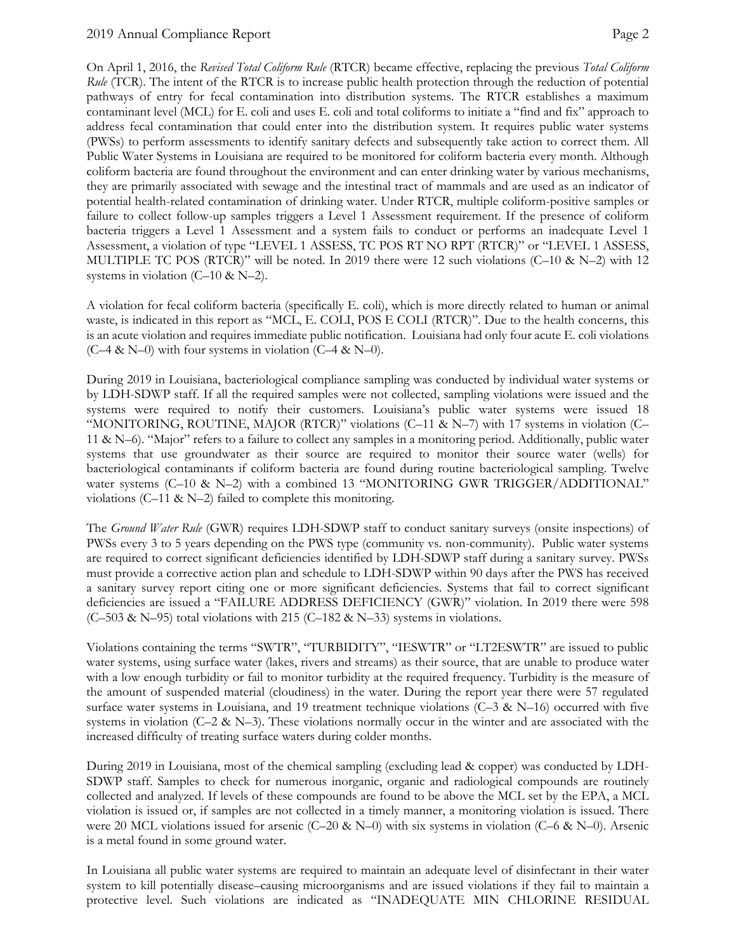#### 2019 Annual Compliance Report Page 2

On April 1, 2016, the *Revised Total Coliform Rule* (RTCR) became effective, replacing the previous *Total Coliform Rule* (TCR). The intent of the RTCR is to increase public health protection through the reduction of potential pathways of entry for fecal contamination into distribution systems. The RTCR establishes a maximum contaminant level (MCL) for E. coli and uses E. coli and total coliforms to initiate a "find and fix" approach to address fecal contamination that could enter into the distribution system. It requires public water systems (PWSs) to perform assessments to identify sanitary defects and subsequently take action to correct them. All Public Water Systems in Louisiana are required to be monitored for coliform bacteria every month. Although coliform bacteria are found throughout the environment and can enter drinking water by various mechanisms, they are primarily associated with sewage and the intestinal tract of mammals and are used as an indicator of potential health-related contamination of drinking water. Under RTCR, multiple coliform-positive samples or failure to collect follow-up samples triggers a Level 1 Assessment requirement. If the presence of coliform bacteria triggers a Level 1 Assessment and a system fails to conduct or performs an inadequate Level 1 Assessment, a violation of type "LEVEL 1 ASSESS, TC POS RT NO RPT (RTCR)" or "LEVEL 1 ASSESS, MULTIPLE TC POS (RTCR)" will be noted. In 2019 there were 12 such violations (C-10 & N-2) with 12 systems in violation  $(C-10 \& N-2)$ .

A violation for fecal coliform bacteria (specifically E. coli), which is more directly related to human or animal waste, is indicated in this report as "MCL, E. COLI, POS E COLI (RTCR)". Due to the health concerns, this is an acute violation and requires immediate public notification. Louisiana had only four acute E. coli violations  $(C-4 & N-0)$  with four systems in violation  $(C-4 & N-0)$ .

During 2019 in Louisiana, bacteriological compliance sampling was conducted by individual water systems or by LDH-SDWP staff. If all the required samples were not collected, sampling violations were issued and the systems were required to notify their customers. Louisiana's public water systems were issued 18 "MONITORING, ROUTINE, MAJOR (RTCR)" violations (C–11 & N–7) with 17 systems in violation (C– 11 & N–6). "Major" refers to a failure to collect any samples in a monitoring period. Additionally, public water systems that use groundwater as their source are required to monitor their source water (wells) for bacteriological contaminants if coliform bacteria are found during routine bacteriological sampling. Twelve water systems (C–10 & N–2) with a combined 13 "MONITORING GWR TRIGGER/ADDITIONAL" violations (C–11 & N–2) failed to complete this monitoring.

The *Ground Water Rule* (GWR) requires LDH-SDWP staff to conduct sanitary surveys (onsite inspections) of PWSs every 3 to 5 years depending on the PWS type (community vs. non-community). Public water systems are required to correct significant deficiencies identified by LDH-SDWP staff during a sanitary survey. PWSs must provide a corrective action plan and schedule to LDH-SDWP within 90 days after the PWS has received a sanitary survey report citing one or more significant deficiencies. Systems that fail to correct significant deficiencies are issued a "FAILURE ADDRESS DEFICIENCY (GWR)" violation. In 2019 there were 598 (C–503 & N–95) total violations with 215 (C–182 & N–33) systems in violations.

Violations containing the terms "SWTR", "TURBIDITY", "IESWTR" or "LT2ESWTR" are issued to public water systems, using surface water (lakes, rivers and streams) as their source, that are unable to produce water with a low enough turbidity or fail to monitor turbidity at the required frequency. Turbidity is the measure of the amount of suspended material (cloudiness) in the water. During the report year there were 57 regulated surface water systems in Louisiana, and 19 treatment technique violations  $(C-3 \& N-16)$  occurred with five systems in violation ( $C-2$  & N–3). These violations normally occur in the winter and are associated with the increased difficulty of treating surface waters during colder months.

During 2019 in Louisiana, most of the chemical sampling (excluding lead & copper) was conducted by LDH-SDWP staff. Samples to check for numerous inorganic, organic and radiological compounds are routinely collected and analyzed. If levels of these compounds are found to be above the MCL set by the EPA, a MCL violation is issued or, if samples are not collected in a timely manner, a monitoring violation is issued. There were 20 MCL violations issued for arsenic (C–20 & N–0) with six systems in violation (C–6 & N–0). Arsenic is a metal found in some ground water.

In Louisiana all public water systems are required to maintain an adequate level of disinfectant in their water system to kill potentially disease–causing microorganisms and are issued violations if they fail to maintain a protective level. Such violations are indicated as "INADEQUATE MIN CHLORINE RESIDUAL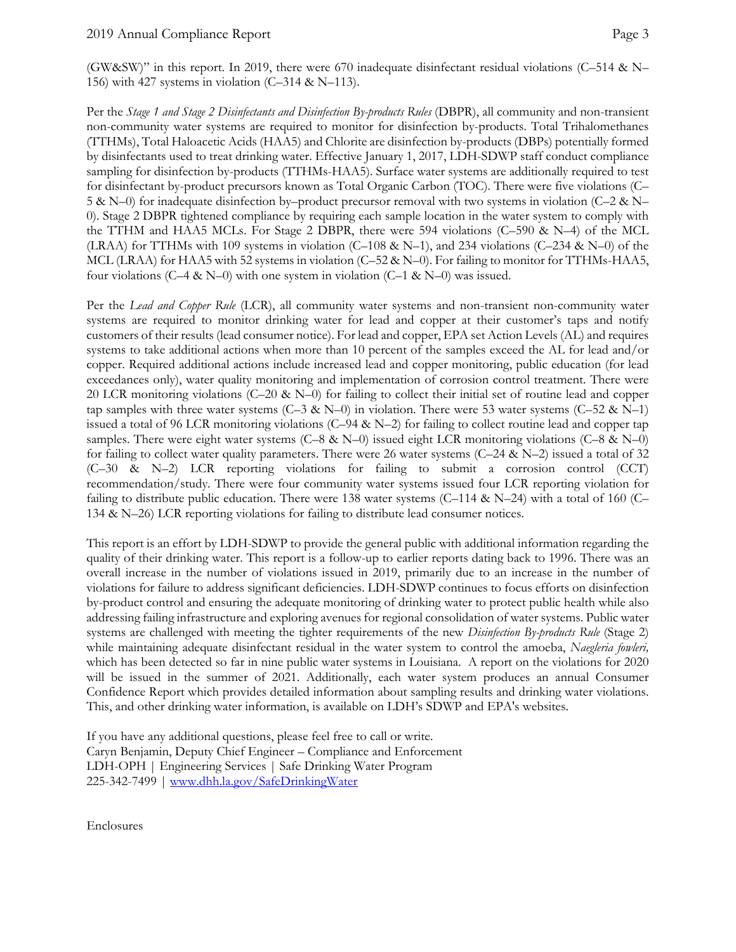(GW&SW)" in this report. In 2019, there were 670 inadequate disinfectant residual violations (C–514 & N– 156) with 427 systems in violation (C–314 & N–113).

Per the *Stage 1 and Stage 2 Disinfectants and Disinfection By-products Rules* (DBPR), all community and non-transient non-community water systems are required to monitor for disinfection by-products. Total Trihalomethanes (TTHMs), Total Haloacetic Acids (HAA5) and Chlorite are disinfection by-products (DBPs) potentially formed by disinfectants used to treat drinking water. Effective January 1, 2017, LDH-SDWP staff conduct compliance sampling for disinfection by-products (TTHMs-HAA5). Surface water systems are additionally required to test for disinfectant by-product precursors known as Total Organic Carbon (TOC). There were five violations (C– 5 & N–0) for inadequate disinfection by–product precursor removal with two systems in violation (C–2 & N– 0). Stage 2 DBPR tightened compliance by requiring each sample location in the water system to comply with the TTHM and HAA5 MCLs. For Stage 2 DBPR, there were 594 violations (C–590 & N–4) of the MCL (LRAA) for TTHMs with 109 systems in violation (C–108 & N–1), and 234 violations (C–234 & N–0) of the MCL (LRAA) for HAA5 with 52 systems in violation (C–52 & N–0). For failing to monitor for TTHMs-HAA5, four violations (C–4 & N–0) with one system in violation (C–1 & N–0) was issued.

Per the *Lead and Copper Rule* (LCR), all community water systems and non-transient non-community water systems are required to monitor drinking water for lead and copper at their customer's taps and notify customers of their results (lead consumer notice). For lead and copper, EPA set Action Levels (AL) and requires systems to take additional actions when more than 10 percent of the samples exceed the AL for lead and/or copper. Required additional actions include increased lead and copper monitoring, public education (for lead exceedances only), water quality monitoring and implementation of corrosion control treatment. There were 20 LCR monitoring violations (C–20 & N–0) for failing to collect their initial set of routine lead and copper tap samples with three water systems (C–3 & N–0) in violation. There were 53 water systems (C–52 & N–1) issued a total of 96 LCR monitoring violations (C–94 & N–2) for failing to collect routine lead and copper tap samples. There were eight water systems (C–8 & N–0) issued eight LCR monitoring violations (C–8 & N–0) for failing to collect water quality parameters. There were 26 water systems  $(C-24 \& N-2)$  issued a total of 32 (C–30 & N–2) LCR reporting violations for failing to submit a corrosion control (CCT) recommendation/study. There were four community water systems issued four LCR reporting violation for failing to distribute public education. There were 138 water systems (C–114 & N–24) with a total of 160 (C– 134 & N–26) LCR reporting violations for failing to distribute lead consumer notices.

This report is an effort by LDH-SDWP to provide the general public with additional information regarding the quality of their drinking water. This report is a follow-up to earlier reports dating back to 1996. There was an overall increase in the number of violations issued in 2019, primarily due to an increase in the number of violations for failure to address significant deficiencies. LDH-SDWP continues to focus efforts on disinfection by-product control and ensuring the adequate monitoring of drinking water to protect public health while also addressing failing infrastructure and exploring avenues for regional consolidation of water systems. Public water systems are challenged with meeting the tighter requirements of the new *Disinfection By-products Rule* (Stage 2) while maintaining adequate disinfectant residual in the water system to control the amoeba, *Naegleria fowleri,* which has been detected so far in nine public water systems in Louisiana. A report on the violations for 2020 will be issued in the summer of 2021. Additionally, each water system produces an annual Consumer Confidence Report which provides detailed information about sampling results and drinking water violations. This, and other drinking water information, is available on LDH's SDWP and EPA's websites.

If you have any additional questions, please feel free to call or write. Caryn Benjamin, Deputy Chief Engineer – Compliance and Enforcement LDH-OPH | Engineering Services | Safe Drinking Water Program 225-342-7499 | [www.dhh.la.gov/SafeDrinkingWater](http://www.dhh.la.gov/SafeDrinkingWater)

Enclosures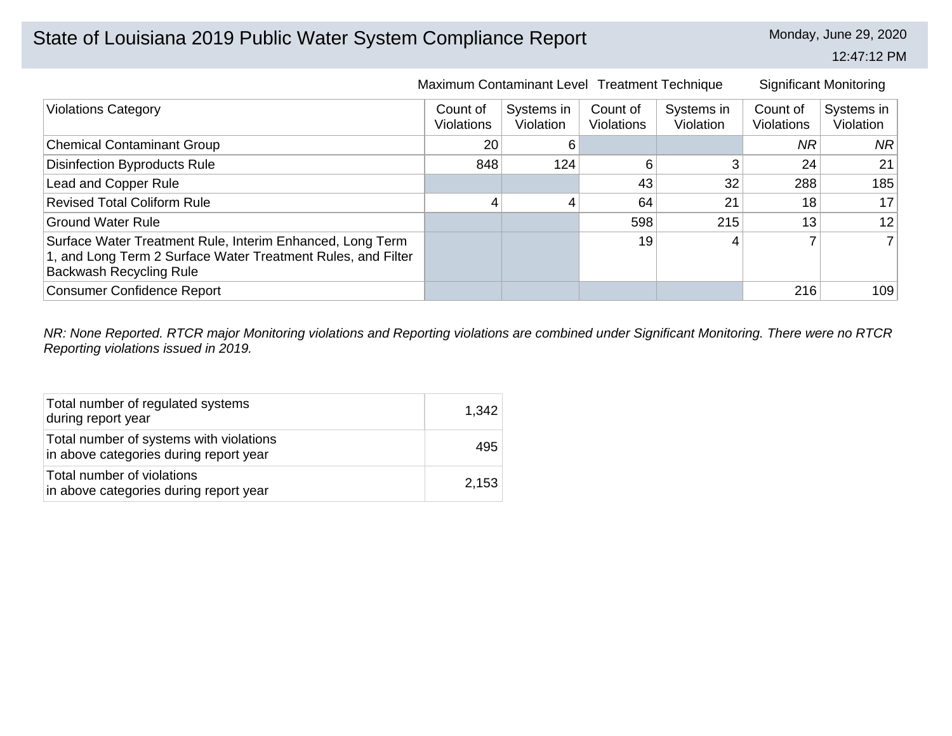# State of Louisiana 2019 Public Water System Compliance Report Monday, June 29, 2020

12:47:12 PM

|                                                                                                                                                             | Maximum Contaminant Level Treatment Technique |                         |                        |                         |                               | <b>Significant Monitoring</b> |
|-------------------------------------------------------------------------------------------------------------------------------------------------------------|-----------------------------------------------|-------------------------|------------------------|-------------------------|-------------------------------|-------------------------------|
| <b>Violations Category</b>                                                                                                                                  | Count of<br><b>Violations</b>                 | Systems in<br>Violation | Count of<br>Violations | Systems in<br>Violation | Count of<br><b>Violations</b> | Systems in<br>Violation       |
| <b>Chemical Contaminant Group</b>                                                                                                                           | 20                                            | 6                       |                        |                         | <b>NR</b>                     | NR.                           |
| <b>Disinfection Byproducts Rule</b>                                                                                                                         | 848                                           | 124                     | 6                      | 3                       | 24                            | 21                            |
| Lead and Copper Rule                                                                                                                                        |                                               |                         | 43                     | 32                      | 288                           | 185                           |
| <b>Revised Total Coliform Rule</b>                                                                                                                          | 4                                             |                         | 64                     | 21                      | 18                            | 17                            |
| <b>Ground Water Rule</b>                                                                                                                                    |                                               |                         | 598                    | 215                     | 13                            | 12                            |
| Surface Water Treatment Rule, Interim Enhanced, Long Term<br>1, and Long Term 2 Surface Water Treatment Rules, and Filter<br><b>Backwash Recycling Rule</b> |                                               |                         | 19                     | 4                       |                               |                               |
| <b>Consumer Confidence Report</b>                                                                                                                           |                                               |                         |                        |                         | 216                           | 109                           |

*NR: None Reported. RTCR major Monitoring violations and Reporting violations are combined under Significant Monitoring. There were no RTCR Reporting violations issued in 2019.*

| Total number of regulated systems<br>during report year                           | 1,342 |
|-----------------------------------------------------------------------------------|-------|
| Total number of systems with violations<br>in above categories during report year | 495   |
| Total number of violations<br>in above categories during report year              | 2,153 |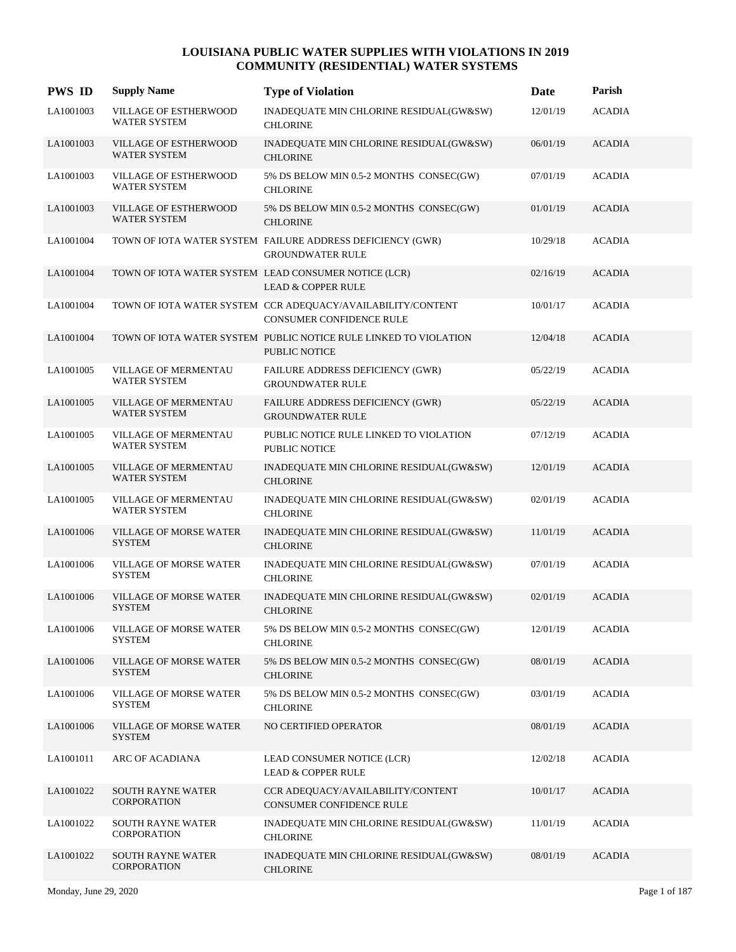| <b>PWS ID</b> | <b>Supply Name</b>                             | <b>Type of Violation</b>                                                                | Date     | Parish        |
|---------------|------------------------------------------------|-----------------------------------------------------------------------------------------|----------|---------------|
| LA1001003     | VILLAGE OF ESTHERWOOD<br><b>WATER SYSTEM</b>   | INADEQUATE MIN CHLORINE RESIDUAL(GW&SW)<br><b>CHLORINE</b>                              | 12/01/19 | <b>ACADIA</b> |
| LA1001003     | VILLAGE OF ESTHERWOOD<br>WATER SYSTEM          | INADEQUATE MIN CHLORINE RESIDUAL(GW&SW)<br><b>CHLORINE</b>                              | 06/01/19 | <b>ACADIA</b> |
| LA1001003     | VILLAGE OF ESTHERWOOD<br>WATER SYSTEM          | 5% DS BELOW MIN 0.5-2 MONTHS CONSEC(GW)<br><b>CHLORINE</b>                              | 07/01/19 | <b>ACADIA</b> |
| LA1001003     | VILLAGE OF ESTHERWOOD<br>WATER SYSTEM          | 5% DS BELOW MIN 0.5-2 MONTHS CONSEC(GW)<br><b>CHLORINE</b>                              | 01/01/19 | <b>ACADIA</b> |
| LA1001004     |                                                | TOWN OF IOTA WATER SYSTEM FAILURE ADDRESS DEFICIENCY (GWR)<br><b>GROUNDWATER RULE</b>   | 10/29/18 | <b>ACADIA</b> |
| LA1001004     |                                                | TOWN OF IOTA WATER SYSTEM LEAD CONSUMER NOTICE (LCR)<br><b>LEAD &amp; COPPER RULE</b>   | 02/16/19 | <b>ACADIA</b> |
| LA1001004     |                                                | TOWN OF IOTA WATER SYSTEM CCR ADEQUACY/AVAILABILITY/CONTENT<br>CONSUMER CONFIDENCE RULE | 10/01/17 | <b>ACADIA</b> |
| LA1001004     |                                                | TOWN OF IOTA WATER SYSTEM PUBLIC NOTICE RULE LINKED TO VIOLATION<br>PUBLIC NOTICE       | 12/04/18 | <b>ACADIA</b> |
| LA1001005     | VILLAGE OF MERMENTAU<br><b>WATER SYSTEM</b>    | FAILURE ADDRESS DEFICIENCY (GWR)<br><b>GROUNDWATER RULE</b>                             | 05/22/19 | <b>ACADIA</b> |
| LA1001005     | VILLAGE OF MERMENTAU<br><b>WATER SYSTEM</b>    | FAILURE ADDRESS DEFICIENCY (GWR)<br><b>GROUNDWATER RULE</b>                             | 05/22/19 | <b>ACADIA</b> |
| LA1001005     | VILLAGE OF MERMENTAU<br><b>WATER SYSTEM</b>    | PUBLIC NOTICE RULE LINKED TO VIOLATION<br><b>PUBLIC NOTICE</b>                          | 07/12/19 | <b>ACADIA</b> |
| LA1001005     | <b>VILLAGE OF MERMENTAU</b><br>WATER SYSTEM    | INADEQUATE MIN CHLORINE RESIDUAL(GW&SW)<br><b>CHLORINE</b>                              | 12/01/19 | <b>ACADIA</b> |
| LA1001005     | VILLAGE OF MERMENTAU<br><b>WATER SYSTEM</b>    | INADEQUATE MIN CHLORINE RESIDUAL(GW&SW)<br><b>CHLORINE</b>                              | 02/01/19 | <b>ACADIA</b> |
| LA1001006     | <b>VILLAGE OF MORSE WATER</b><br><b>SYSTEM</b> | INADEQUATE MIN CHLORINE RESIDUAL(GW&SW)<br><b>CHLORINE</b>                              | 11/01/19 | <b>ACADIA</b> |
| LA1001006     | VILLAGE OF MORSE WATER<br><b>SYSTEM</b>        | INADEQUATE MIN CHLORINE RESIDUAL(GW&SW)<br><b>CHLORINE</b>                              | 07/01/19 | <b>ACADIA</b> |
| LA1001006     | <b>VILLAGE OF MORSE WATER</b><br><b>SYSTEM</b> | INADEQUATE MIN CHLORINE RESIDUAL(GW&SW)<br><b>CHLORINE</b>                              | 02/01/19 | <b>ACADIA</b> |
| LA1001006     | <b>VILLAGE OF MORSE WATER</b><br>SYSTEM        | 5% DS BELOW MIN 0.5-2 MONTHS CONSEC(GW)<br><b>CHLORINE</b>                              | 12/01/19 | <b>ACADIA</b> |
| LA1001006     | <b>VILLAGE OF MORSE WATER</b><br><b>SYSTEM</b> | 5% DS BELOW MIN 0.5-2 MONTHS CONSEC(GW)<br><b>CHLORINE</b>                              | 08/01/19 | ACADIA        |
| LA1001006     | <b>VILLAGE OF MORSE WATER</b><br><b>SYSTEM</b> | 5% DS BELOW MIN 0.5-2 MONTHS CONSEC(GW)<br><b>CHLORINE</b>                              | 03/01/19 | <b>ACADIA</b> |
| LA1001006     | <b>VILLAGE OF MORSE WATER</b><br><b>SYSTEM</b> | NO CERTIFIED OPERATOR                                                                   | 08/01/19 | <b>ACADIA</b> |
| LA1001011     | ARC OF ACADIANA                                | LEAD CONSUMER NOTICE (LCR)<br><b>LEAD &amp; COPPER RULE</b>                             | 12/02/18 | <b>ACADIA</b> |
| LA1001022     | <b>SOUTH RAYNE WATER</b><br><b>CORPORATION</b> | CCR ADEQUACY/AVAILABILITY/CONTENT<br>CONSUMER CONFIDENCE RULE                           | 10/01/17 | <b>ACADIA</b> |
| LA1001022     | <b>SOUTH RAYNE WATER</b><br>CORPORATION        | INADEQUATE MIN CHLORINE RESIDUAL(GW&SW)<br><b>CHLORINE</b>                              | 11/01/19 | ACADIA        |
| LA1001022     | <b>SOUTH RAYNE WATER</b><br><b>CORPORATION</b> | INADEQUATE MIN CHLORINE RESIDUAL(GW&SW)<br><b>CHLORINE</b>                              | 08/01/19 | <b>ACADIA</b> |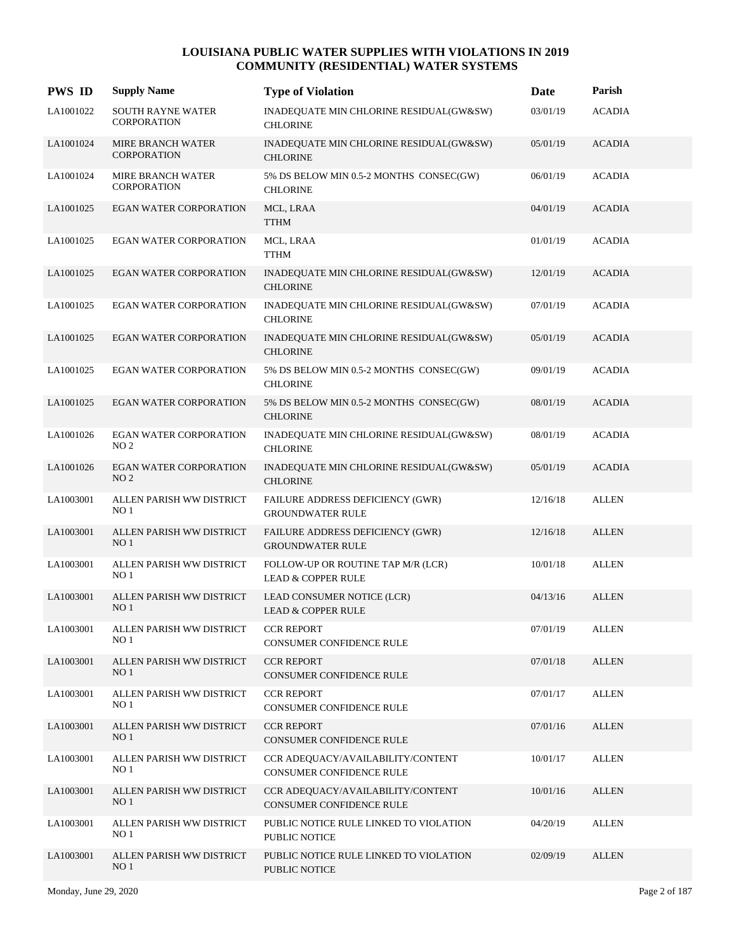| <b>PWS ID</b> | <b>Supply Name</b>                               | <b>Type of Violation</b>                                            | Date     | Parish        |
|---------------|--------------------------------------------------|---------------------------------------------------------------------|----------|---------------|
| LA1001022     | <b>SOUTH RAYNE WATER</b><br><b>CORPORATION</b>   | INADEQUATE MIN CHLORINE RESIDUAL(GW&SW)<br><b>CHLORINE</b>          | 03/01/19 | <b>ACADIA</b> |
| LA1001024     | <b>MIRE BRANCH WATER</b><br><b>CORPORATION</b>   | INADEQUATE MIN CHLORINE RESIDUAL(GW&SW)<br><b>CHLORINE</b>          | 05/01/19 | <b>ACADIA</b> |
| LA1001024     | MIRE BRANCH WATER<br><b>CORPORATION</b>          | 5% DS BELOW MIN 0.5-2 MONTHS CONSEC(GW)<br><b>CHLORINE</b>          | 06/01/19 | <b>ACADIA</b> |
| LA1001025     | <b>EGAN WATER CORPORATION</b>                    | MCL, LRAA<br><b>TTHM</b>                                            | 04/01/19 | <b>ACADIA</b> |
| LA1001025     | EGAN WATER CORPORATION                           | MCL, LRAA<br><b>TTHM</b>                                            | 01/01/19 | <b>ACADIA</b> |
| LA1001025     | <b>EGAN WATER CORPORATION</b>                    | INADEQUATE MIN CHLORINE RESIDUAL(GW&SW)<br><b>CHLORINE</b>          | 12/01/19 | <b>ACADIA</b> |
| LA1001025     | EGAN WATER CORPORATION                           | INADEQUATE MIN CHLORINE RESIDUAL(GW&SW)<br><b>CHLORINE</b>          | 07/01/19 | <b>ACADIA</b> |
| LA1001025     | EGAN WATER CORPORATION                           | INADEQUATE MIN CHLORINE RESIDUAL(GW&SW)<br><b>CHLORINE</b>          | 05/01/19 | <b>ACADIA</b> |
| LA1001025     | <b>EGAN WATER CORPORATION</b>                    | 5% DS BELOW MIN 0.5-2 MONTHS CONSEC(GW)<br><b>CHLORINE</b>          | 09/01/19 | <b>ACADIA</b> |
| LA1001025     | <b>EGAN WATER CORPORATION</b>                    | 5% DS BELOW MIN 0.5-2 MONTHS CONSEC(GW)<br><b>CHLORINE</b>          | 08/01/19 | <b>ACADIA</b> |
| LA1001026     | EGAN WATER CORPORATION<br>NO <sub>2</sub>        | INADEQUATE MIN CHLORINE RESIDUAL(GW&SW)<br><b>CHLORINE</b>          | 08/01/19 | <b>ACADIA</b> |
| LA1001026     | <b>EGAN WATER CORPORATION</b><br>NO <sub>2</sub> | INADEQUATE MIN CHLORINE RESIDUAL(GW&SW)<br><b>CHLORINE</b>          | 05/01/19 | <b>ACADIA</b> |
| LA1003001     | ALLEN PARISH WW DISTRICT<br>NO <sub>1</sub>      | FAILURE ADDRESS DEFICIENCY (GWR)<br><b>GROUNDWATER RULE</b>         | 12/16/18 | <b>ALLEN</b>  |
| LA1003001     | ALLEN PARISH WW DISTRICT<br>NO <sub>1</sub>      | FAILURE ADDRESS DEFICIENCY (GWR)<br><b>GROUNDWATER RULE</b>         | 12/16/18 | <b>ALLEN</b>  |
| LA1003001     | ALLEN PARISH WW DISTRICT<br>NO <sub>1</sub>      | FOLLOW-UP OR ROUTINE TAP M/R (LCR)<br><b>LEAD &amp; COPPER RULE</b> | 10/01/18 | <b>ALLEN</b>  |
| LA1003001     | ALLEN PARISH WW DISTRICT<br>NO <sub>1</sub>      | LEAD CONSUMER NOTICE (LCR)<br><b>LEAD &amp; COPPER RULE</b>         | 04/13/16 | <b>ALLEN</b>  |
| LA1003001     | ALLEN PARISH WW DISTRICT<br>NO <sub>1</sub>      | <b>CCR REPORT</b><br>CONSUMER CONFIDENCE RULE                       | 07/01/19 | <b>ALLEN</b>  |
| LA1003001     | ALLEN PARISH WW DISTRICT<br>NO <sub>1</sub>      | <b>CCR REPORT</b><br>CONSUMER CONFIDENCE RULE                       | 07/01/18 | <b>ALLEN</b>  |
| LA1003001     | ALLEN PARISH WW DISTRICT<br>NO <sub>1</sub>      | <b>CCR REPORT</b><br>CONSUMER CONFIDENCE RULE                       | 07/01/17 | <b>ALLEN</b>  |
| LA1003001     | ALLEN PARISH WW DISTRICT<br>NO <sub>1</sub>      | <b>CCR REPORT</b><br>CONSUMER CONFIDENCE RULE                       | 07/01/16 | <b>ALLEN</b>  |
| LA1003001     | ALLEN PARISH WW DISTRICT<br>NO <sub>1</sub>      | CCR ADEQUACY/AVAILABILITY/CONTENT<br>CONSUMER CONFIDENCE RULE       | 10/01/17 | <b>ALLEN</b>  |
| LA1003001     | ALLEN PARISH WW DISTRICT<br>NO <sub>1</sub>      | CCR ADEQUACY/AVAILABILITY/CONTENT<br>CONSUMER CONFIDENCE RULE       | 10/01/16 | <b>ALLEN</b>  |
| LA1003001     | ALLEN PARISH WW DISTRICT<br>NO <sub>1</sub>      | PUBLIC NOTICE RULE LINKED TO VIOLATION<br><b>PUBLIC NOTICE</b>      | 04/20/19 | <b>ALLEN</b>  |
| LA1003001     | ALLEN PARISH WW DISTRICT<br>NO <sub>1</sub>      | PUBLIC NOTICE RULE LINKED TO VIOLATION<br>PUBLIC NOTICE             | 02/09/19 | <b>ALLEN</b>  |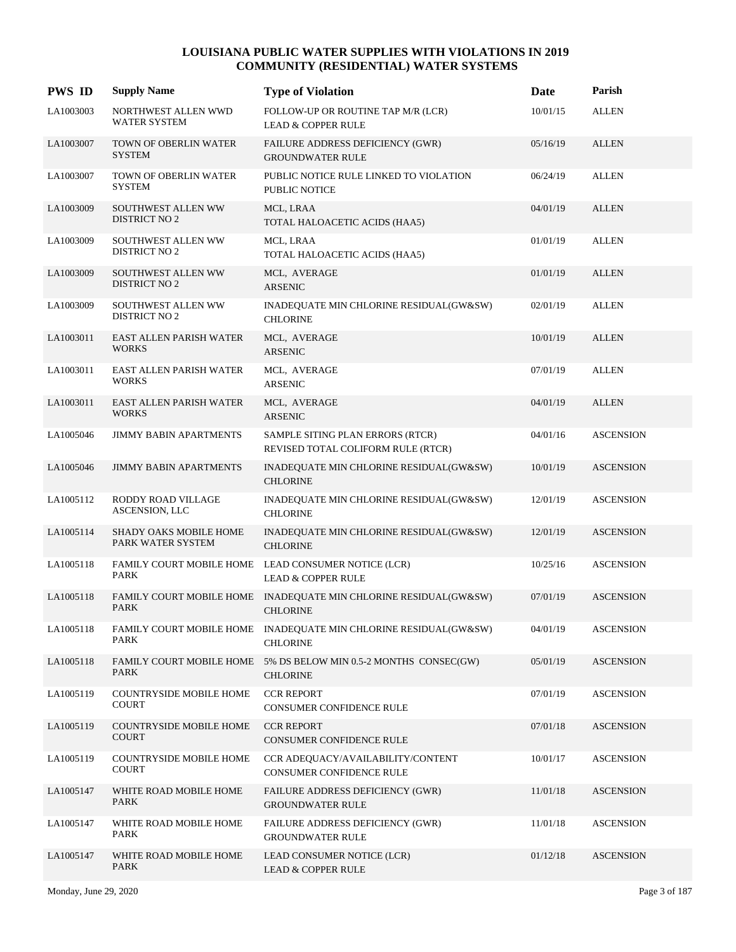| <b>PWS ID</b> | <b>Supply Name</b>                             | <b>Type of Violation</b>                                                             | Date     | Parish           |
|---------------|------------------------------------------------|--------------------------------------------------------------------------------------|----------|------------------|
| LA1003003     | NORTHWEST ALLEN WWD<br>WATER SYSTEM            | FOLLOW-UP OR ROUTINE TAP M/R (LCR)<br><b>LEAD &amp; COPPER RULE</b>                  | 10/01/15 | ALLEN            |
| LA1003007     | <b>TOWN OF OBERLIN WATER</b><br><b>SYSTEM</b>  | FAILURE ADDRESS DEFICIENCY (GWR)<br><b>GROUNDWATER RULE</b>                          | 05/16/19 | <b>ALLEN</b>     |
| LA1003007     | TOWN OF OBERLIN WATER<br><b>SYSTEM</b>         | PUBLIC NOTICE RULE LINKED TO VIOLATION<br><b>PUBLIC NOTICE</b>                       | 06/24/19 | <b>ALLEN</b>     |
| LA1003009     | SOUTHWEST ALLEN WW<br><b>DISTRICT NO 2</b>     | MCL, LRAA<br>TOTAL HALOACETIC ACIDS (HAA5)                                           | 04/01/19 | <b>ALLEN</b>     |
| LA1003009     | SOUTHWEST ALLEN WW<br><b>DISTRICT NO 2</b>     | MCL, LRAA<br>TOTAL HALOACETIC ACIDS (HAA5)                                           | 01/01/19 | <b>ALLEN</b>     |
| LA1003009     | SOUTHWEST ALLEN WW<br><b>DISTRICT NO 2</b>     | MCL, AVERAGE<br><b>ARSENIC</b>                                                       | 01/01/19 | <b>ALLEN</b>     |
| LA1003009     | SOUTHWEST ALLEN WW<br><b>DISTRICT NO 2</b>     | INADEQUATE MIN CHLORINE RESIDUAL(GW&SW)<br><b>CHLORINE</b>                           | 02/01/19 | <b>ALLEN</b>     |
| LA1003011     | EAST ALLEN PARISH WATER<br><b>WORKS</b>        | MCL, AVERAGE<br><b>ARSENIC</b>                                                       | 10/01/19 | <b>ALLEN</b>     |
| LA1003011     | EAST ALLEN PARISH WATER<br><b>WORKS</b>        | MCL, AVERAGE<br>ARSENIC                                                              | 07/01/19 | <b>ALLEN</b>     |
| LA1003011     | EAST ALLEN PARISH WATER<br><b>WORKS</b>        | MCL, AVERAGE<br><b>ARSENIC</b>                                                       | 04/01/19 | <b>ALLEN</b>     |
| LA1005046     | <b>JIMMY BABIN APARTMENTS</b>                  | SAMPLE SITING PLAN ERRORS (RTCR)<br>REVISED TOTAL COLIFORM RULE (RTCR)               | 04/01/16 | <b>ASCENSION</b> |
| LA1005046     | <b>JIMMY BABIN APARTMENTS</b>                  | INADEQUATE MIN CHLORINE RESIDUAL(GW&SW)<br><b>CHLORINE</b>                           | 10/01/19 | <b>ASCENSION</b> |
| LA1005112     | RODDY ROAD VILLAGE<br>ASCENSION, LLC           | INADEQUATE MIN CHLORINE RESIDUAL(GW&SW)<br><b>CHLORINE</b>                           | 12/01/19 | <b>ASCENSION</b> |
| LA1005114     | SHADY OAKS MOBILE HOME<br>PARK WATER SYSTEM    | INADEQUATE MIN CHLORINE RESIDUAL(GW&SW)<br><b>CHLORINE</b>                           | 12/01/19 | <b>ASCENSION</b> |
| LA1005118     | PARK                                           | FAMILY COURT MOBILE HOME LEAD CONSUMER NOTICE (LCR)<br><b>LEAD &amp; COPPER RULE</b> | 10/25/16 | <b>ASCENSION</b> |
| LA1005118     | PARK                                           | FAMILY COURT MOBILE HOME INADEQUATE MIN CHLORINE RESIDUAL(GW&SW)<br><b>CHLORINE</b>  | 07/01/19 | <b>ASCENSION</b> |
| LA1005118     | PARK                                           | FAMILY COURT MOBILE HOME INADEQUATE MIN CHLORINE RESIDUAL(GW&SW)<br><b>CHLORINE</b>  | 04/01/19 | <b>ASCENSION</b> |
| LA1005118     | <b>PARK</b>                                    | FAMILY COURT MOBILE HOME 5% DS BELOW MIN 0.5-2 MONTHS CONSEC(GW)<br><b>CHLORINE</b>  | 05/01/19 | <b>ASCENSION</b> |
| LA1005119     | <b>COUNTRYSIDE MOBILE HOME</b><br><b>COURT</b> | <b>CCR REPORT</b><br>CONSUMER CONFIDENCE RULE                                        | 07/01/19 | <b>ASCENSION</b> |
| LA1005119     | <b>COUNTRYSIDE MOBILE HOME</b><br><b>COURT</b> | <b>CCR REPORT</b><br>CONSUMER CONFIDENCE RULE                                        | 07/01/18 | <b>ASCENSION</b> |
| LA1005119     | <b>COUNTRYSIDE MOBILE HOME</b><br><b>COURT</b> | CCR ADEQUACY/AVAILABILITY/CONTENT<br>CONSUMER CONFIDENCE RULE                        | 10/01/17 | <b>ASCENSION</b> |
| LA1005147     | WHITE ROAD MOBILE HOME<br><b>PARK</b>          | <b>FAILURE ADDRESS DEFICIENCY (GWR)</b><br><b>GROUNDWATER RULE</b>                   | 11/01/18 | <b>ASCENSION</b> |
| LA1005147     | WHITE ROAD MOBILE HOME<br>PARK                 | FAILURE ADDRESS DEFICIENCY (GWR)<br><b>GROUNDWATER RULE</b>                          | 11/01/18 | <b>ASCENSION</b> |
| LA1005147     | WHITE ROAD MOBILE HOME<br><b>PARK</b>          | LEAD CONSUMER NOTICE (LCR)<br><b>LEAD &amp; COPPER RULE</b>                          | 01/12/18 | <b>ASCENSION</b> |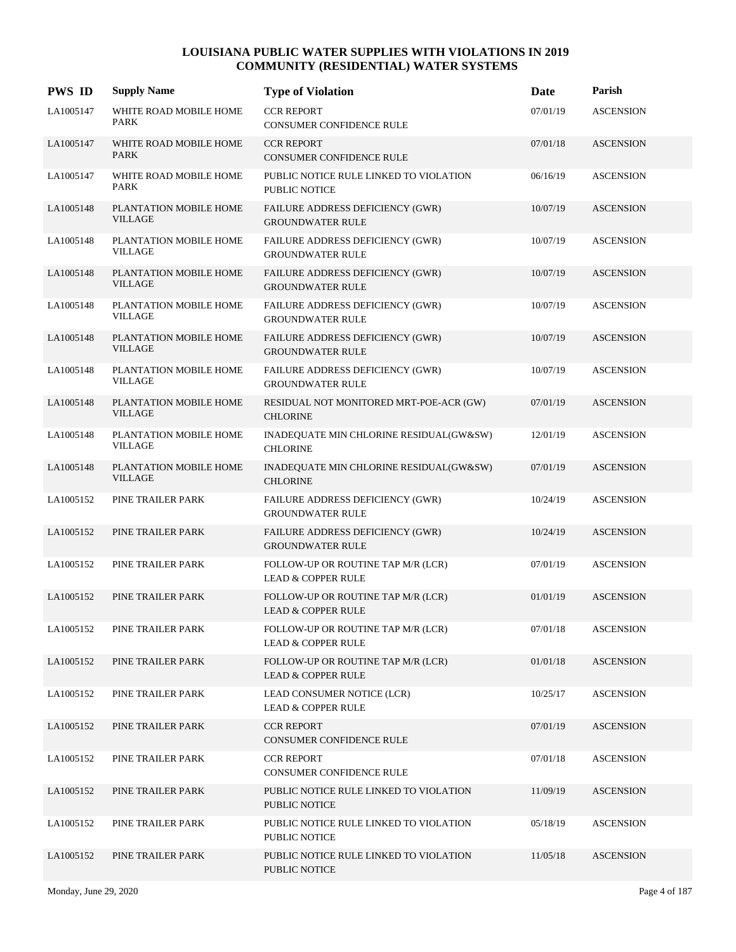| <b>PWS ID</b> | <b>Supply Name</b>                       | <b>Type of Violation</b>                                            | Date     | Parish           |
|---------------|------------------------------------------|---------------------------------------------------------------------|----------|------------------|
| LA1005147     | WHITE ROAD MOBILE HOME<br>PARK           | <b>CCR REPORT</b><br><b>CONSUMER CONFIDENCE RULE</b>                | 07/01/19 | <b>ASCENSION</b> |
| LA1005147     | WHITE ROAD MOBILE HOME<br><b>PARK</b>    | <b>CCR REPORT</b><br><b>CONSUMER CONFIDENCE RULE</b>                | 07/01/18 | <b>ASCENSION</b> |
| LA1005147     | WHITE ROAD MOBILE HOME<br><b>PARK</b>    | PUBLIC NOTICE RULE LINKED TO VIOLATION<br>PUBLIC NOTICE             | 06/16/19 | <b>ASCENSION</b> |
| LA1005148     | PLANTATION MOBILE HOME<br>VILLAGE        | FAILURE ADDRESS DEFICIENCY (GWR)<br><b>GROUNDWATER RULE</b>         | 10/07/19 | <b>ASCENSION</b> |
| LA1005148     | PLANTATION MOBILE HOME<br><b>VILLAGE</b> | FAILURE ADDRESS DEFICIENCY (GWR)<br><b>GROUNDWATER RULE</b>         | 10/07/19 | <b>ASCENSION</b> |
| LA1005148     | PLANTATION MOBILE HOME<br><b>VILLAGE</b> | FAILURE ADDRESS DEFICIENCY (GWR)<br><b>GROUNDWATER RULE</b>         | 10/07/19 | <b>ASCENSION</b> |
| LA1005148     | PLANTATION MOBILE HOME<br><b>VILLAGE</b> | <b>FAILURE ADDRESS DEFICIENCY (GWR)</b><br><b>GROUNDWATER RULE</b>  | 10/07/19 | <b>ASCENSION</b> |
| LA1005148     | PLANTATION MOBILE HOME<br>VILLAGE        | FAILURE ADDRESS DEFICIENCY (GWR)<br><b>GROUNDWATER RULE</b>         | 10/07/19 | <b>ASCENSION</b> |
| LA1005148     | PLANTATION MOBILE HOME<br><b>VILLAGE</b> | FAILURE ADDRESS DEFICIENCY (GWR)<br><b>GROUNDWATER RULE</b>         | 10/07/19 | <b>ASCENSION</b> |
| LA1005148     | PLANTATION MOBILE HOME<br><b>VILLAGE</b> | RESIDUAL NOT MONITORED MRT-POE-ACR (GW)<br><b>CHLORINE</b>          | 07/01/19 | <b>ASCENSION</b> |
| LA1005148     | PLANTATION MOBILE HOME<br><b>VILLAGE</b> | INADEQUATE MIN CHLORINE RESIDUAL(GW&SW)<br><b>CHLORINE</b>          | 12/01/19 | <b>ASCENSION</b> |
| LA1005148     | PLANTATION MOBILE HOME<br><b>VILLAGE</b> | INADEQUATE MIN CHLORINE RESIDUAL(GW&SW)<br><b>CHLORINE</b>          | 07/01/19 | <b>ASCENSION</b> |
| LA1005152     | PINE TRAILER PARK                        | FAILURE ADDRESS DEFICIENCY (GWR)<br><b>GROUNDWATER RULE</b>         | 10/24/19 | <b>ASCENSION</b> |
| LA1005152     | PINE TRAILER PARK                        | FAILURE ADDRESS DEFICIENCY (GWR)<br><b>GROUNDWATER RULE</b>         | 10/24/19 | <b>ASCENSION</b> |
| LA1005152     | PINE TRAILER PARK                        | FOLLOW-UP OR ROUTINE TAP M/R (LCR)<br><b>LEAD &amp; COPPER RULE</b> | 07/01/19 | <b>ASCENSION</b> |
| LA1005152     | PINE TRAILER PARK                        | FOLLOW-UP OR ROUTINE TAP M/R (LCR)<br><b>LEAD &amp; COPPER RULE</b> | 01/01/19 | <b>ASCENSION</b> |
| LA1005152     | PINE TRAILER PARK                        | FOLLOW-UP OR ROUTINE TAP M/R (LCR)<br><b>LEAD &amp; COPPER RULE</b> | 07/01/18 | <b>ASCENSION</b> |
| LA1005152     | PINE TRAILER PARK                        | FOLLOW-UP OR ROUTINE TAP M/R (LCR)<br><b>LEAD &amp; COPPER RULE</b> | 01/01/18 | <b>ASCENSION</b> |
| LA1005152     | PINE TRAILER PARK                        | LEAD CONSUMER NOTICE (LCR)<br><b>LEAD &amp; COPPER RULE</b>         | 10/25/17 | <b>ASCENSION</b> |
| LA1005152     | PINE TRAILER PARK                        | <b>CCR REPORT</b><br><b>CONSUMER CONFIDENCE RULE</b>                | 07/01/19 | <b>ASCENSION</b> |
| LA1005152     | PINE TRAILER PARK                        | <b>CCR REPORT</b><br>CONSUMER CONFIDENCE RULE                       | 07/01/18 | <b>ASCENSION</b> |
| LA1005152     | PINE TRAILER PARK                        | PUBLIC NOTICE RULE LINKED TO VIOLATION<br>PUBLIC NOTICE             | 11/09/19 | <b>ASCENSION</b> |
| LA1005152     | PINE TRAILER PARK                        | PUBLIC NOTICE RULE LINKED TO VIOLATION<br>PUBLIC NOTICE             | 05/18/19 | <b>ASCENSION</b> |
| LA1005152     | PINE TRAILER PARK                        | PUBLIC NOTICE RULE LINKED TO VIOLATION<br>PUBLIC NOTICE             | 11/05/18 | <b>ASCENSION</b> |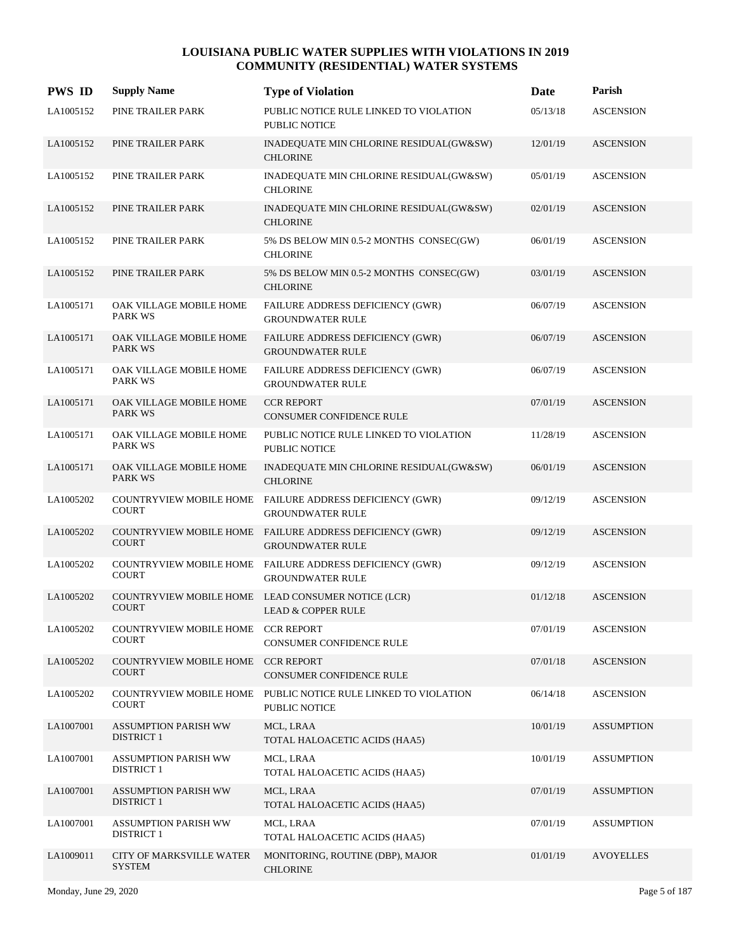| <b>PWS ID</b> | <b>Supply Name</b>                                 | <b>Type of Violation</b>                                                            | Date     | Parish            |
|---------------|----------------------------------------------------|-------------------------------------------------------------------------------------|----------|-------------------|
| LA1005152     | PINE TRAILER PARK                                  | PUBLIC NOTICE RULE LINKED TO VIOLATION<br><b>PUBLIC NOTICE</b>                      | 05/13/18 | <b>ASCENSION</b>  |
| LA1005152     | PINE TRAILER PARK                                  | INADEQUATE MIN CHLORINE RESIDUAL(GW&SW)<br><b>CHLORINE</b>                          | 12/01/19 | <b>ASCENSION</b>  |
| LA1005152     | PINE TRAILER PARK                                  | INADEQUATE MIN CHLORINE RESIDUAL(GW&SW)<br><b>CHLORINE</b>                          | 05/01/19 | <b>ASCENSION</b>  |
| LA1005152     | PINE TRAILER PARK                                  | INADEQUATE MIN CHLORINE RESIDUAL(GW&SW)<br><b>CHLORINE</b>                          | 02/01/19 | <b>ASCENSION</b>  |
| LA1005152     | PINE TRAILER PARK                                  | 5% DS BELOW MIN 0.5-2 MONTHS CONSEC(GW)<br><b>CHLORINE</b>                          | 06/01/19 | <b>ASCENSION</b>  |
| LA1005152     | PINE TRAILER PARK                                  | 5% DS BELOW MIN 0.5-2 MONTHS CONSEC(GW)<br><b>CHLORINE</b>                          | 03/01/19 | <b>ASCENSION</b>  |
| LA1005171     | OAK VILLAGE MOBILE HOME<br><b>PARK WS</b>          | FAILURE ADDRESS DEFICIENCY (GWR)<br><b>GROUNDWATER RULE</b>                         | 06/07/19 | <b>ASCENSION</b>  |
| LA1005171     | OAK VILLAGE MOBILE HOME<br><b>PARK WS</b>          | FAILURE ADDRESS DEFICIENCY (GWR)<br><b>GROUNDWATER RULE</b>                         | 06/07/19 | <b>ASCENSION</b>  |
| LA1005171     | OAK VILLAGE MOBILE HOME<br>PARK WS                 | FAILURE ADDRESS DEFICIENCY (GWR)<br><b>GROUNDWATER RULE</b>                         | 06/07/19 | <b>ASCENSION</b>  |
| LA1005171     | OAK VILLAGE MOBILE HOME<br><b>PARK WS</b>          | <b>CCR REPORT</b><br><b>CONSUMER CONFIDENCE RULE</b>                                | 07/01/19 | <b>ASCENSION</b>  |
| LA1005171     | OAK VILLAGE MOBILE HOME<br><b>PARK WS</b>          | PUBLIC NOTICE RULE LINKED TO VIOLATION<br><b>PUBLIC NOTICE</b>                      | 11/28/19 | <b>ASCENSION</b>  |
| LA1005171     | OAK VILLAGE MOBILE HOME<br><b>PARK WS</b>          | INADEQUATE MIN CHLORINE RESIDUAL(GW&SW)<br><b>CHLORINE</b>                          | 06/01/19 | <b>ASCENSION</b>  |
| LA1005202     | <b>COUNTRYVIEW MOBILE HOME</b><br><b>COURT</b>     | FAILURE ADDRESS DEFICIENCY (GWR)<br><b>GROUNDWATER RULE</b>                         | 09/12/19 | <b>ASCENSION</b>  |
| LA1005202     | <b>COURT</b>                                       | COUNTRYVIEW MOBILE HOME FAILURE ADDRESS DEFICIENCY (GWR)<br><b>GROUNDWATER RULE</b> | 09/12/19 | <b>ASCENSION</b>  |
| LA1005202     | <b>COURT</b>                                       | COUNTRYVIEW MOBILE HOME FAILURE ADDRESS DEFICIENCY (GWR)<br><b>GROUNDWATER RULE</b> | 09/12/19 | <b>ASCENSION</b>  |
| LA1005202     | <b>COUNTRYVIEW MOBILE HOME</b><br><b>COURT</b>     | LEAD CONSUMER NOTICE (LCR)<br><b>LEAD &amp; COPPER RULE</b>                         | 01/12/18 | <b>ASCENSION</b>  |
| LA1005202     | COUNTRYVIEW MOBILE HOME CCR REPORT<br><b>COURT</b> | CONSUMER CONFIDENCE RULE                                                            | 07/01/19 | <b>ASCENSION</b>  |
| LA1005202     | <b>COUNTRYVIEW MOBILE HOME</b><br><b>COURT</b>     | <b>CCR REPORT</b><br>CONSUMER CONFIDENCE RULE                                       | 07/01/18 | <b>ASCENSION</b>  |
| LA1005202     | <b>COUNTRYVIEW MOBILE HOME</b><br><b>COURT</b>     | PUBLIC NOTICE RULE LINKED TO VIOLATION<br><b>PUBLIC NOTICE</b>                      | 06/14/18 | <b>ASCENSION</b>  |
| LA1007001     | <b>ASSUMPTION PARISH WW</b><br><b>DISTRICT 1</b>   | MCL, LRAA<br>TOTAL HALOACETIC ACIDS (HAA5)                                          | 10/01/19 | <b>ASSUMPTION</b> |
| LA1007001     | <b>ASSUMPTION PARISH WW</b><br><b>DISTRICT 1</b>   | MCL, LRAA<br>TOTAL HALOACETIC ACIDS (HAA5)                                          | 10/01/19 | <b>ASSUMPTION</b> |
| LA1007001     | <b>ASSUMPTION PARISH WW</b><br><b>DISTRICT 1</b>   | MCL, LRAA<br>TOTAL HALOACETIC ACIDS (HAA5)                                          | 07/01/19 | <b>ASSUMPTION</b> |
| LA1007001     | <b>ASSUMPTION PARISH WW</b><br><b>DISTRICT 1</b>   | MCL, LRAA<br>TOTAL HALOACETIC ACIDS (HAA5)                                          | 07/01/19 | <b>ASSUMPTION</b> |
| LA1009011     | <b>CITY OF MARKSVILLE WATER</b><br><b>SYSTEM</b>   | MONITORING, ROUTINE (DBP), MAJOR<br><b>CHLORINE</b>                                 | 01/01/19 | <b>AVOYELLES</b>  |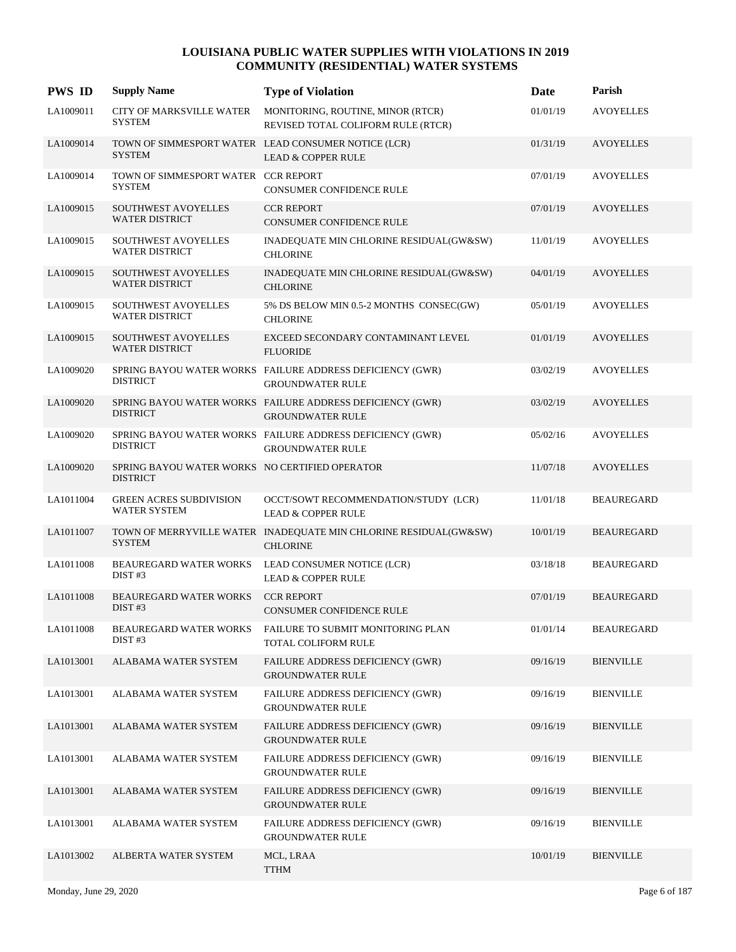| <b>PWS ID</b> | <b>Supply Name</b>                                                | <b>Type of Violation</b>                                                             | Date     | Parish            |
|---------------|-------------------------------------------------------------------|--------------------------------------------------------------------------------------|----------|-------------------|
| LA1009011     | <b>CITY OF MARKSVILLE WATER</b><br><b>SYSTEM</b>                  | MONITORING, ROUTINE, MINOR (RTCR)<br>REVISED TOTAL COLIFORM RULE (RTCR)              | 01/01/19 | <b>AVOYELLES</b>  |
| LA1009014     | <b>SYSTEM</b>                                                     | TOWN OF SIMMESPORT WATER LEAD CONSUMER NOTICE (LCR)<br><b>LEAD &amp; COPPER RULE</b> | 01/31/19 | <b>AVOYELLES</b>  |
| LA1009014     | TOWN OF SIMMESPORT WATER CCR REPORT<br><b>SYSTEM</b>              | CONSUMER CONFIDENCE RULE                                                             | 07/01/19 | <b>AVOYELLES</b>  |
| LA1009015     | SOUTHWEST AVOYELLES<br><b>WATER DISTRICT</b>                      | <b>CCR REPORT</b><br><b>CONSUMER CONFIDENCE RULE</b>                                 | 07/01/19 | <b>AVOYELLES</b>  |
| LA1009015     | SOUTHWEST AVOYELLES<br><b>WATER DISTRICT</b>                      | INADEQUATE MIN CHLORINE RESIDUAL(GW&SW)<br><b>CHLORINE</b>                           | 11/01/19 | <b>AVOYELLES</b>  |
| LA1009015     | <b>SOUTHWEST AVOYELLES</b><br><b>WATER DISTRICT</b>               | INADEQUATE MIN CHLORINE RESIDUAL(GW&SW)<br><b>CHLORINE</b>                           | 04/01/19 | <b>AVOYELLES</b>  |
| LA1009015     | SOUTHWEST AVOYELLES<br><b>WATER DISTRICT</b>                      | 5% DS BELOW MIN 0.5-2 MONTHS CONSEC(GW)<br><b>CHLORINE</b>                           | 05/01/19 | <b>AVOYELLES</b>  |
| LA1009015     | SOUTHWEST AVOYELLES<br><b>WATER DISTRICT</b>                      | EXCEED SECONDARY CONTAMINANT LEVEL<br><b>FLUORIDE</b>                                | 01/01/19 | <b>AVOYELLES</b>  |
| LA1009020     | <b>DISTRICT</b>                                                   | SPRING BAYOU WATER WORKS FAILURE ADDRESS DEFICIENCY (GWR)<br><b>GROUNDWATER RULE</b> | 03/02/19 | <b>AVOYELLES</b>  |
| LA1009020     | <b>DISTRICT</b>                                                   | SPRING BAYOU WATER WORKS FAILURE ADDRESS DEFICIENCY (GWR)<br><b>GROUNDWATER RULE</b> | 03/02/19 | <b>AVOYELLES</b>  |
| LA1009020     | <b>DISTRICT</b>                                                   | SPRING BAYOU WATER WORKS FAILURE ADDRESS DEFICIENCY (GWR)<br><b>GROUNDWATER RULE</b> | 05/02/16 | <b>AVOYELLES</b>  |
| LA1009020     | SPRING BAYOU WATER WORKS NO CERTIFIED OPERATOR<br><b>DISTRICT</b> |                                                                                      | 11/07/18 | <b>AVOYELLES</b>  |
| LA1011004     | GREEN ACRES SUBDIVISION<br>WATER SYSTEM                           | OCCT/SOWT RECOMMENDATION/STUDY (LCR)<br><b>LEAD &amp; COPPER RULE</b>                | 11/01/18 | <b>BEAUREGARD</b> |
| LA1011007     | <b>SYSTEM</b>                                                     | TOWN OF MERRYVILLE WATER INADEQUATE MIN CHLORINE RESIDUAL(GW&SW)<br><b>CHLORINE</b>  | 10/01/19 | <b>BEAUREGARD</b> |
| LA1011008     | <b>BEAUREGARD WATER WORKS</b><br>DIST#3                           | LEAD CONSUMER NOTICE (LCR)<br><b>LEAD &amp; COPPER RULE</b>                          | 03/18/18 | <b>BEAUREGARD</b> |
| LA1011008     | <b>BEAUREGARD WATER WORKS</b><br>DIST#3                           | <b>CCR REPORT</b><br><b>CONSUMER CONFIDENCE RULE</b>                                 | 07/01/19 | <b>BEAUREGARD</b> |
| LA1011008     | <b>BEAUREGARD WATER WORKS</b><br>DIST#3                           | FAILURE TO SUBMIT MONITORING PLAN<br>TOTAL COLIFORM RULE                             | 01/01/14 | <b>BEAUREGARD</b> |
| LA1013001     | ALABAMA WATER SYSTEM                                              | FAILURE ADDRESS DEFICIENCY (GWR)<br><b>GROUNDWATER RULE</b>                          | 09/16/19 | <b>BIENVILLE</b>  |
| LA1013001     | ALABAMA WATER SYSTEM                                              | FAILURE ADDRESS DEFICIENCY (GWR)<br><b>GROUNDWATER RULE</b>                          | 09/16/19 | <b>BIENVILLE</b>  |
| LA1013001     | ALABAMA WATER SYSTEM                                              | FAILURE ADDRESS DEFICIENCY (GWR)<br><b>GROUNDWATER RULE</b>                          | 09/16/19 | <b>BIENVILLE</b>  |
| LA1013001     | ALABAMA WATER SYSTEM                                              | FAILURE ADDRESS DEFICIENCY (GWR)<br><b>GROUNDWATER RULE</b>                          | 09/16/19 | <b>BIENVILLE</b>  |
| LA1013001     | ALABAMA WATER SYSTEM                                              | FAILURE ADDRESS DEFICIENCY (GWR)<br><b>GROUNDWATER RULE</b>                          | 09/16/19 | <b>BIENVILLE</b>  |
| LA1013001     | ALABAMA WATER SYSTEM                                              | FAILURE ADDRESS DEFICIENCY (GWR)<br><b>GROUNDWATER RULE</b>                          | 09/16/19 | <b>BIENVILLE</b>  |
| LA1013002     | ALBERTA WATER SYSTEM                                              | MCL, LRAA<br><b>TTHM</b>                                                             | 10/01/19 | <b>BIENVILLE</b>  |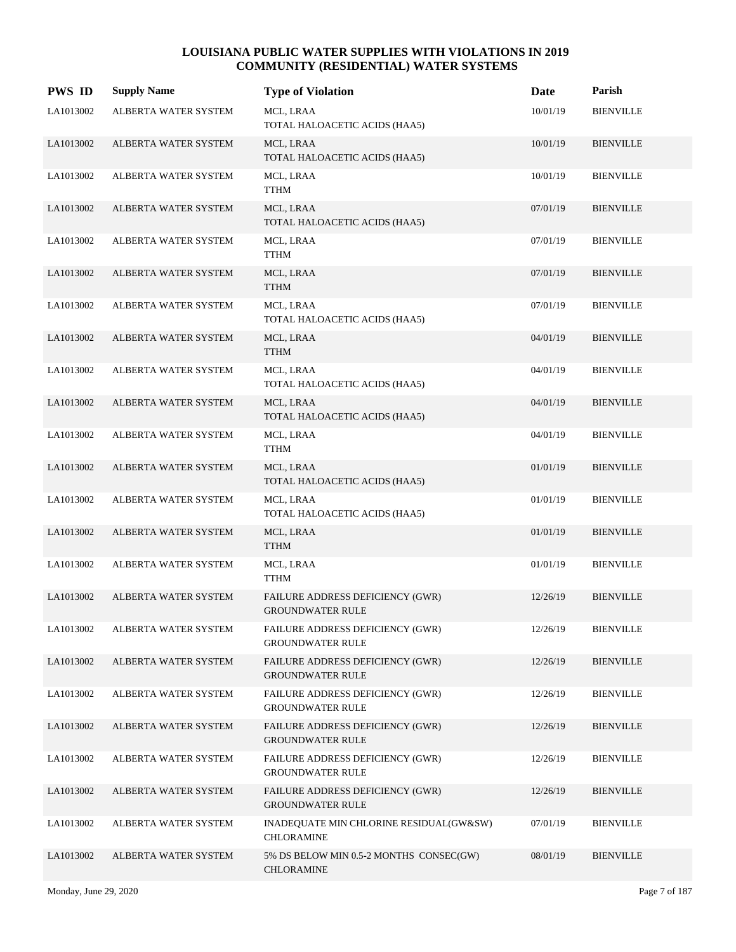| <b>PWS ID</b> | <b>Supply Name</b>          | <b>Type of Violation</b>                                           | Date     | Parish           |
|---------------|-----------------------------|--------------------------------------------------------------------|----------|------------------|
| LA1013002     | ALBERTA WATER SYSTEM        | MCL, LRAA<br>TOTAL HALOACETIC ACIDS (HAA5)                         | 10/01/19 | <b>BIENVILLE</b> |
| LA1013002     | ALBERTA WATER SYSTEM        | MCL, LRAA<br>TOTAL HALOACETIC ACIDS (HAA5)                         | 10/01/19 | <b>BIENVILLE</b> |
| LA1013002     | ALBERTA WATER SYSTEM        | MCL, LRAA<br><b>TTHM</b>                                           | 10/01/19 | <b>BIENVILLE</b> |
| LA1013002     | <b>ALBERTA WATER SYSTEM</b> | MCL, LRAA<br>TOTAL HALOACETIC ACIDS (HAA5)                         | 07/01/19 | <b>BIENVILLE</b> |
| LA1013002     | ALBERTA WATER SYSTEM        | MCL, LRAA<br><b>TTHM</b>                                           | 07/01/19 | <b>BIENVILLE</b> |
| LA1013002     | ALBERTA WATER SYSTEM        | MCL, LRAA<br><b>TTHM</b>                                           | 07/01/19 | <b>BIENVILLE</b> |
| LA1013002     | ALBERTA WATER SYSTEM        | MCL, LRAA<br>TOTAL HALOACETIC ACIDS (HAA5)                         | 07/01/19 | <b>BIENVILLE</b> |
| LA1013002     | <b>ALBERTA WATER SYSTEM</b> | MCL, LRAA<br><b>TTHM</b>                                           | 04/01/19 | <b>BIENVILLE</b> |
| LA1013002     | ALBERTA WATER SYSTEM        | MCL, LRAA<br>TOTAL HALOACETIC ACIDS (HAA5)                         | 04/01/19 | <b>BIENVILLE</b> |
| LA1013002     | ALBERTA WATER SYSTEM        | MCL, LRAA<br>TOTAL HALOACETIC ACIDS (HAA5)                         | 04/01/19 | <b>BIENVILLE</b> |
| LA1013002     | ALBERTA WATER SYSTEM        | MCL, LRAA<br><b>TTHM</b>                                           | 04/01/19 | <b>BIENVILLE</b> |
| LA1013002     | ALBERTA WATER SYSTEM        | MCL, LRAA<br>TOTAL HALOACETIC ACIDS (HAA5)                         | 01/01/19 | <b>BIENVILLE</b> |
| LA1013002     | ALBERTA WATER SYSTEM        | MCL, LRAA<br>TOTAL HALOACETIC ACIDS (HAA5)                         | 01/01/19 | <b>BIENVILLE</b> |
| LA1013002     | ALBERTA WATER SYSTEM        | MCL, LRAA<br><b>TTHM</b>                                           | 01/01/19 | <b>BIENVILLE</b> |
| LA1013002     | ALBERTA WATER SYSTEM        | MCL, LRAA<br><b>TTHM</b>                                           | 01/01/19 | <b>BIENVILLE</b> |
| LA1013002     | ALBERTA WATER SYSTEM        | FAILURE ADDRESS DEFICIENCY (GWR)<br><b>GROUNDWATER RULE</b>        | 12/26/19 | <b>BIENVILLE</b> |
| LA1013002     | ALBERTA WATER SYSTEM        | FAILURE ADDRESS DEFICIENCY (GWR)<br><b>GROUNDWATER RULE</b>        | 12/26/19 | <b>BIENVILLE</b> |
| LA1013002     | ALBERTA WATER SYSTEM        | FAILURE ADDRESS DEFICIENCY (GWR)<br><b>GROUNDWATER RULE</b>        | 12/26/19 | <b>BIENVILLE</b> |
| LA1013002     | ALBERTA WATER SYSTEM        | <b>FAILURE ADDRESS DEFICIENCY (GWR)</b><br><b>GROUNDWATER RULE</b> | 12/26/19 | <b>BIENVILLE</b> |
| LA1013002     | ALBERTA WATER SYSTEM        | FAILURE ADDRESS DEFICIENCY (GWR)<br><b>GROUNDWATER RULE</b>        | 12/26/19 | <b>BIENVILLE</b> |
| LA1013002     | ALBERTA WATER SYSTEM        | <b>FAILURE ADDRESS DEFICIENCY (GWR)</b><br><b>GROUNDWATER RULE</b> | 12/26/19 | <b>BIENVILLE</b> |
| LA1013002     | ALBERTA WATER SYSTEM        | FAILURE ADDRESS DEFICIENCY (GWR)<br><b>GROUNDWATER RULE</b>        | 12/26/19 | <b>BIENVILLE</b> |
| LA1013002     | ALBERTA WATER SYSTEM        | INADEQUATE MIN CHLORINE RESIDUAL(GW&SW)<br><b>CHLORAMINE</b>       | 07/01/19 | BIENVILLE        |
| LA1013002     | ALBERTA WATER SYSTEM        | 5% DS BELOW MIN 0.5-2 MONTHS CONSEC(GW)<br><b>CHLORAMINE</b>       | 08/01/19 | <b>BIENVILLE</b> |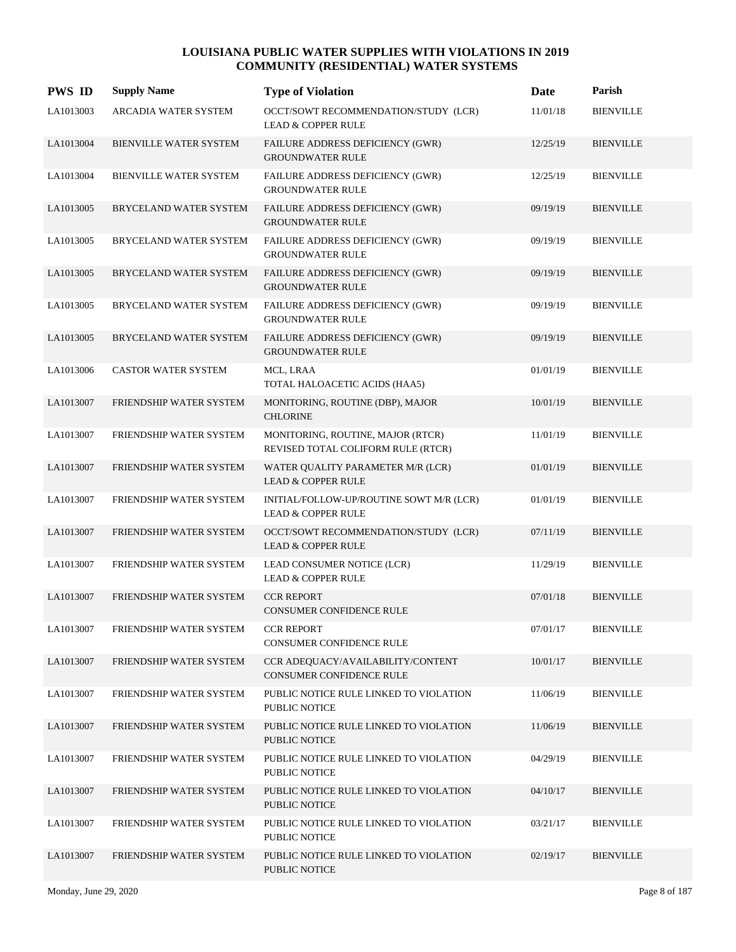| <b>PWS ID</b> | <b>Supply Name</b>            | <b>Type of Violation</b>                                                  | Date     | Parish           |
|---------------|-------------------------------|---------------------------------------------------------------------------|----------|------------------|
| LA1013003     | ARCADIA WATER SYSTEM          | OCCT/SOWT RECOMMENDATION/STUDY (LCR)<br><b>LEAD &amp; COPPER RULE</b>     | 11/01/18 | <b>BIENVILLE</b> |
| LA1013004     | <b>BIENVILLE WATER SYSTEM</b> | FAILURE ADDRESS DEFICIENCY (GWR)<br><b>GROUNDWATER RULE</b>               | 12/25/19 | <b>BIENVILLE</b> |
| LA1013004     | BIENVILLE WATER SYSTEM        | <b>FAILURE ADDRESS DEFICIENCY (GWR)</b><br><b>GROUNDWATER RULE</b>        | 12/25/19 | <b>BIENVILLE</b> |
| LA1013005     | BRYCELAND WATER SYSTEM        | FAILURE ADDRESS DEFICIENCY (GWR)<br><b>GROUNDWATER RULE</b>               | 09/19/19 | <b>BIENVILLE</b> |
| LA1013005     | BRYCELAND WATER SYSTEM        | FAILURE ADDRESS DEFICIENCY (GWR)<br><b>GROUNDWATER RULE</b>               | 09/19/19 | <b>BIENVILLE</b> |
| LA1013005     | BRYCELAND WATER SYSTEM        | FAILURE ADDRESS DEFICIENCY (GWR)<br><b>GROUNDWATER RULE</b>               | 09/19/19 | <b>BIENVILLE</b> |
| LA1013005     | BRYCELAND WATER SYSTEM        | FAILURE ADDRESS DEFICIENCY (GWR)<br><b>GROUNDWATER RULE</b>               | 09/19/19 | <b>BIENVILLE</b> |
| LA1013005     | BRYCELAND WATER SYSTEM        | FAILURE ADDRESS DEFICIENCY (GWR)<br><b>GROUNDWATER RULE</b>               | 09/19/19 | <b>BIENVILLE</b> |
| LA1013006     | <b>CASTOR WATER SYSTEM</b>    | MCL, LRAA<br>TOTAL HALOACETIC ACIDS (HAA5)                                | 01/01/19 | <b>BIENVILLE</b> |
| LA1013007     | FRIENDSHIP WATER SYSTEM       | MONITORING, ROUTINE (DBP), MAJOR<br><b>CHLORINE</b>                       | 10/01/19 | <b>BIENVILLE</b> |
| LA1013007     | FRIENDSHIP WATER SYSTEM       | MONITORING, ROUTINE, MAJOR (RTCR)<br>REVISED TOTAL COLIFORM RULE (RTCR)   | 11/01/19 | <b>BIENVILLE</b> |
| LA1013007     | FRIENDSHIP WATER SYSTEM       | WATER QUALITY PARAMETER M/R (LCR)<br><b>LEAD &amp; COPPER RULE</b>        | 01/01/19 | <b>BIENVILLE</b> |
| LA1013007     | FRIENDSHIP WATER SYSTEM       | INITIAL/FOLLOW-UP/ROUTINE SOWT M/R (LCR)<br><b>LEAD &amp; COPPER RULE</b> | 01/01/19 | <b>BIENVILLE</b> |
| LA1013007     | FRIENDSHIP WATER SYSTEM       | OCCT/SOWT RECOMMENDATION/STUDY (LCR)<br><b>LEAD &amp; COPPER RULE</b>     | 07/11/19 | <b>BIENVILLE</b> |
| LA1013007     | FRIENDSHIP WATER SYSTEM       | LEAD CONSUMER NOTICE (LCR)<br><b>LEAD &amp; COPPER RULE</b>               | 11/29/19 | <b>BIENVILLE</b> |
| LA1013007     | FRIENDSHIP WATER SYSTEM       | <b>CCR REPORT</b><br><b>CONSUMER CONFIDENCE RULE</b>                      | 07/01/18 | <b>BIENVILLE</b> |
| LA1013007     | FRIENDSHIP WATER SYSTEM       | <b>CCR REPORT</b><br>CONSUMER CONFIDENCE RULE                             | 07/01/17 | <b>BIENVILLE</b> |
| LA1013007     | FRIENDSHIP WATER SYSTEM       | CCR ADEQUACY/AVAILABILITY/CONTENT<br>CONSUMER CONFIDENCE RULE             | 10/01/17 | <b>BIENVILLE</b> |
| LA1013007     | FRIENDSHIP WATER SYSTEM       | PUBLIC NOTICE RULE LINKED TO VIOLATION<br>PUBLIC NOTICE                   | 11/06/19 | <b>BIENVILLE</b> |
| LA1013007     | FRIENDSHIP WATER SYSTEM       | PUBLIC NOTICE RULE LINKED TO VIOLATION<br>PUBLIC NOTICE                   | 11/06/19 | <b>BIENVILLE</b> |
| LA1013007     | FRIENDSHIP WATER SYSTEM       | PUBLIC NOTICE RULE LINKED TO VIOLATION<br>PUBLIC NOTICE                   | 04/29/19 | <b>BIENVILLE</b> |
| LA1013007     | FRIENDSHIP WATER SYSTEM       | PUBLIC NOTICE RULE LINKED TO VIOLATION<br><b>PUBLIC NOTICE</b>            | 04/10/17 | <b>BIENVILLE</b> |
| LA1013007     | FRIENDSHIP WATER SYSTEM       | PUBLIC NOTICE RULE LINKED TO VIOLATION<br>PUBLIC NOTICE                   | 03/21/17 | <b>BIENVILLE</b> |
| LA1013007     | FRIENDSHIP WATER SYSTEM       | PUBLIC NOTICE RULE LINKED TO VIOLATION<br>PUBLIC NOTICE                   | 02/19/17 | <b>BIENVILLE</b> |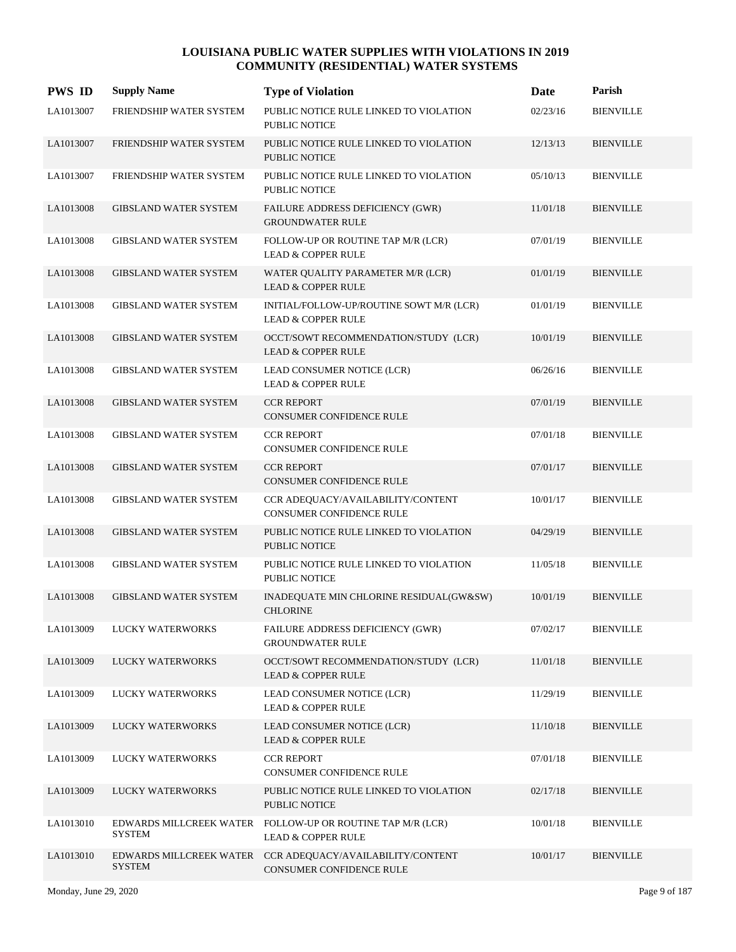| <b>PWS ID</b> | <b>Supply Name</b>                       | <b>Type of Violation</b>                                                  | Date     | Parish           |
|---------------|------------------------------------------|---------------------------------------------------------------------------|----------|------------------|
| LA1013007     | FRIENDSHIP WATER SYSTEM                  | PUBLIC NOTICE RULE LINKED TO VIOLATION<br>PUBLIC NOTICE                   | 02/23/16 | <b>BIENVILLE</b> |
| LA1013007     | FRIENDSHIP WATER SYSTEM                  | PUBLIC NOTICE RULE LINKED TO VIOLATION<br><b>PUBLIC NOTICE</b>            | 12/13/13 | <b>BIENVILLE</b> |
| LA1013007     | FRIENDSHIP WATER SYSTEM                  | PUBLIC NOTICE RULE LINKED TO VIOLATION<br>PUBLIC NOTICE                   | 05/10/13 | <b>BIENVILLE</b> |
| LA1013008     | <b>GIBSLAND WATER SYSTEM</b>             | FAILURE ADDRESS DEFICIENCY (GWR)<br><b>GROUNDWATER RULE</b>               | 11/01/18 | <b>BIENVILLE</b> |
| LA1013008     | <b>GIBSLAND WATER SYSTEM</b>             | FOLLOW-UP OR ROUTINE TAP M/R (LCR)<br><b>LEAD &amp; COPPER RULE</b>       | 07/01/19 | <b>BIENVILLE</b> |
| LA1013008     | <b>GIBSLAND WATER SYSTEM</b>             | WATER QUALITY PARAMETER M/R (LCR)<br><b>LEAD &amp; COPPER RULE</b>        | 01/01/19 | <b>BIENVILLE</b> |
| LA1013008     | <b>GIBSLAND WATER SYSTEM</b>             | INITIAL/FOLLOW-UP/ROUTINE SOWT M/R (LCR)<br><b>LEAD &amp; COPPER RULE</b> | 01/01/19 | <b>BIENVILLE</b> |
| LA1013008     | <b>GIBSLAND WATER SYSTEM</b>             | OCCT/SOWT RECOMMENDATION/STUDY (LCR)<br><b>LEAD &amp; COPPER RULE</b>     | 10/01/19 | <b>BIENVILLE</b> |
| LA1013008     | <b>GIBSLAND WATER SYSTEM</b>             | LEAD CONSUMER NOTICE (LCR)<br><b>LEAD &amp; COPPER RULE</b>               | 06/26/16 | <b>BIENVILLE</b> |
| LA1013008     | <b>GIBSLAND WATER SYSTEM</b>             | <b>CCR REPORT</b><br><b>CONSUMER CONFIDENCE RULE</b>                      | 07/01/19 | <b>BIENVILLE</b> |
| LA1013008     | <b>GIBSLAND WATER SYSTEM</b>             | <b>CCR REPORT</b><br>CONSUMER CONFIDENCE RULE                             | 07/01/18 | <b>BIENVILLE</b> |
| LA1013008     | <b>GIBSLAND WATER SYSTEM</b>             | <b>CCR REPORT</b><br><b>CONSUMER CONFIDENCE RULE</b>                      | 07/01/17 | <b>BIENVILLE</b> |
| LA1013008     | <b>GIBSLAND WATER SYSTEM</b>             | CCR ADEQUACY/AVAILABILITY/CONTENT<br><b>CONSUMER CONFIDENCE RULE</b>      | 10/01/17 | <b>BIENVILLE</b> |
| LA1013008     | <b>GIBSLAND WATER SYSTEM</b>             | PUBLIC NOTICE RULE LINKED TO VIOLATION<br><b>PUBLIC NOTICE</b>            | 04/29/19 | <b>BIENVILLE</b> |
| LA1013008     | <b>GIBSLAND WATER SYSTEM</b>             | PUBLIC NOTICE RULE LINKED TO VIOLATION<br><b>PUBLIC NOTICE</b>            | 11/05/18 | <b>BIENVILLE</b> |
| LA1013008     | <b>GIBSLAND WATER SYSTEM</b>             | INADEQUATE MIN CHLORINE RESIDUAL(GW&SW)<br><b>CHLORINE</b>                | 10/01/19 | <b>BIENVILLE</b> |
| LA1013009     | <b>LUCKY WATERWORKS</b>                  | FAILURE ADDRESS DEFICIENCY (GWR)<br><b>GROUNDWATER RULE</b>               | 07/02/17 | <b>BIENVILLE</b> |
| LA1013009     | <b>LUCKY WATERWORKS</b>                  | OCCT/SOWT RECOMMENDATION/STUDY (LCR)<br><b>LEAD &amp; COPPER RULE</b>     | 11/01/18 | <b>BIENVILLE</b> |
| LA1013009     | LUCKY WATERWORKS                         | LEAD CONSUMER NOTICE (LCR)<br><b>LEAD &amp; COPPER RULE</b>               | 11/29/19 | <b>BIENVILLE</b> |
| LA1013009     | LUCKY WATERWORKS                         | LEAD CONSUMER NOTICE (LCR)<br><b>LEAD &amp; COPPER RULE</b>               | 11/10/18 | <b>BIENVILLE</b> |
| LA1013009     | LUCKY WATERWORKS                         | <b>CCR REPORT</b><br>CONSUMER CONFIDENCE RULE                             | 07/01/18 | <b>BIENVILLE</b> |
| LA1013009     | LUCKY WATERWORKS                         | PUBLIC NOTICE RULE LINKED TO VIOLATION<br>PUBLIC NOTICE                   | 02/17/18 | <b>BIENVILLE</b> |
| LA1013010     | EDWARDS MILLCREEK WATER<br><b>SYSTEM</b> | FOLLOW-UP OR ROUTINE TAP M/R (LCR)<br><b>LEAD &amp; COPPER RULE</b>       | 10/01/18 | <b>BIENVILLE</b> |
| LA1013010     | EDWARDS MILLCREEK WATER<br><b>SYSTEM</b> | CCR ADEQUACY/AVAILABILITY/CONTENT<br>CONSUMER CONFIDENCE RULE             | 10/01/17 | <b>BIENVILLE</b> |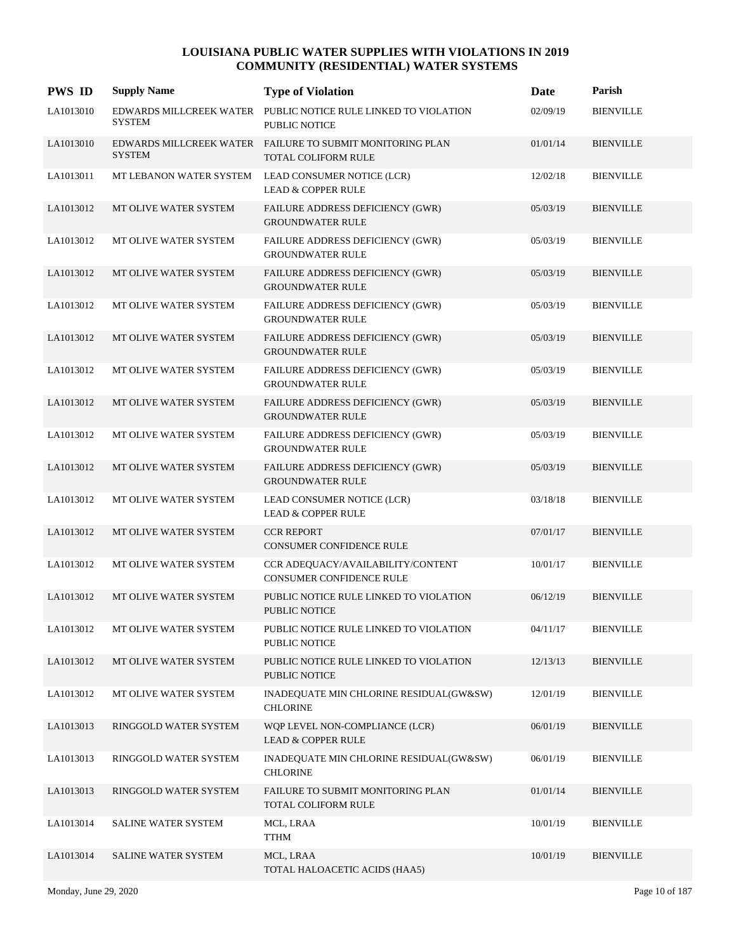| <b>PWS ID</b> | <b>Supply Name</b>                       | <b>Type of Violation</b>                                                         | Date     | Parish           |
|---------------|------------------------------------------|----------------------------------------------------------------------------------|----------|------------------|
| LA1013010     | EDWARDS MILLCREEK WATER<br><b>SYSTEM</b> | PUBLIC NOTICE RULE LINKED TO VIOLATION<br>PUBLIC NOTICE                          | 02/09/19 | <b>BIENVILLE</b> |
| LA1013010     | <b>SYSTEM</b>                            | EDWARDS MILLCREEK WATER FAILURE TO SUBMIT MONITORING PLAN<br>TOTAL COLIFORM RULE | 01/01/14 | <b>BIENVILLE</b> |
| LA1013011     | MT LEBANON WATER SYSTEM                  | LEAD CONSUMER NOTICE (LCR)<br><b>LEAD &amp; COPPER RULE</b>                      | 12/02/18 | <b>BIENVILLE</b> |
| LA1013012     | MT OLIVE WATER SYSTEM                    | FAILURE ADDRESS DEFICIENCY (GWR)<br><b>GROUNDWATER RULE</b>                      | 05/03/19 | <b>BIENVILLE</b> |
| LA1013012     | MT OLIVE WATER SYSTEM                    | FAILURE ADDRESS DEFICIENCY (GWR)<br><b>GROUNDWATER RULE</b>                      | 05/03/19 | <b>BIENVILLE</b> |
| LA1013012     | MT OLIVE WATER SYSTEM                    | FAILURE ADDRESS DEFICIENCY (GWR)<br><b>GROUNDWATER RULE</b>                      | 05/03/19 | <b>BIENVILLE</b> |
| LA1013012     | MT OLIVE WATER SYSTEM                    | <b>FAILURE ADDRESS DEFICIENCY (GWR)</b><br><b>GROUNDWATER RULE</b>               | 05/03/19 | <b>BIENVILLE</b> |
| LA1013012     | MT OLIVE WATER SYSTEM                    | FAILURE ADDRESS DEFICIENCY (GWR)<br><b>GROUNDWATER RULE</b>                      | 05/03/19 | <b>BIENVILLE</b> |
| LA1013012     | MT OLIVE WATER SYSTEM                    | FAILURE ADDRESS DEFICIENCY (GWR)<br><b>GROUNDWATER RULE</b>                      | 05/03/19 | <b>BIENVILLE</b> |
| LA1013012     | MT OLIVE WATER SYSTEM                    | FAILURE ADDRESS DEFICIENCY (GWR)<br><b>GROUNDWATER RULE</b>                      | 05/03/19 | <b>BIENVILLE</b> |
| LA1013012     | MT OLIVE WATER SYSTEM                    | <b>FAILURE ADDRESS DEFICIENCY (GWR)</b><br><b>GROUNDWATER RULE</b>               | 05/03/19 | <b>BIENVILLE</b> |
| LA1013012     | MT OLIVE WATER SYSTEM                    | FAILURE ADDRESS DEFICIENCY (GWR)<br><b>GROUNDWATER RULE</b>                      | 05/03/19 | <b>BIENVILLE</b> |
| LA1013012     | MT OLIVE WATER SYSTEM                    | LEAD CONSUMER NOTICE (LCR)<br><b>LEAD &amp; COPPER RULE</b>                      | 03/18/18 | <b>BIENVILLE</b> |
| LA1013012     | MT OLIVE WATER SYSTEM                    | <b>CCR REPORT</b><br><b>CONSUMER CONFIDENCE RULE</b>                             | 07/01/17 | <b>BIENVILLE</b> |
| LA1013012     | MT OLIVE WATER SYSTEM                    | CCR ADEQUACY/AVAILABILITY/CONTENT<br>CONSUMER CONFIDENCE RULE                    | 10/01/17 | <b>BIENVILLE</b> |
| LA1013012     | MT OLIVE WATER SYSTEM                    | PUBLIC NOTICE RULE LINKED TO VIOLATION<br>PUBLIC NOTICE                          | 06/12/19 | <b>BIENVILLE</b> |
| LA1013012     | MT OLIVE WATER SYSTEM                    | PUBLIC NOTICE RULE LINKED TO VIOLATION<br>PUBLIC NOTICE                          | 04/11/17 | <b>BIENVILLE</b> |
| LA1013012     | MT OLIVE WATER SYSTEM                    | PUBLIC NOTICE RULE LINKED TO VIOLATION<br>PUBLIC NOTICE                          | 12/13/13 | <b>BIENVILLE</b> |
| LA1013012     | MT OLIVE WATER SYSTEM                    | INADEQUATE MIN CHLORINE RESIDUAL(GW&SW)<br><b>CHLORINE</b>                       | 12/01/19 | <b>BIENVILLE</b> |
| LA1013013     | RINGGOLD WATER SYSTEM                    | WQP LEVEL NON-COMPLIANCE (LCR)<br><b>LEAD &amp; COPPER RULE</b>                  | 06/01/19 | <b>BIENVILLE</b> |
| LA1013013     | RINGGOLD WATER SYSTEM                    | INADEQUATE MIN CHLORINE RESIDUAL(GW&SW)<br><b>CHLORINE</b>                       | 06/01/19 | <b>BIENVILLE</b> |
| LA1013013     | RINGGOLD WATER SYSTEM                    | FAILURE TO SUBMIT MONITORING PLAN<br>TOTAL COLIFORM RULE                         | 01/01/14 | <b>BIENVILLE</b> |
| LA1013014     | SALINE WATER SYSTEM                      | MCL, LRAA<br><b>TTHM</b>                                                         | 10/01/19 | <b>BIENVILLE</b> |
| LA1013014     | SALINE WATER SYSTEM                      | MCL, LRAA<br>TOTAL HALOACETIC ACIDS (HAA5)                                       | 10/01/19 | <b>BIENVILLE</b> |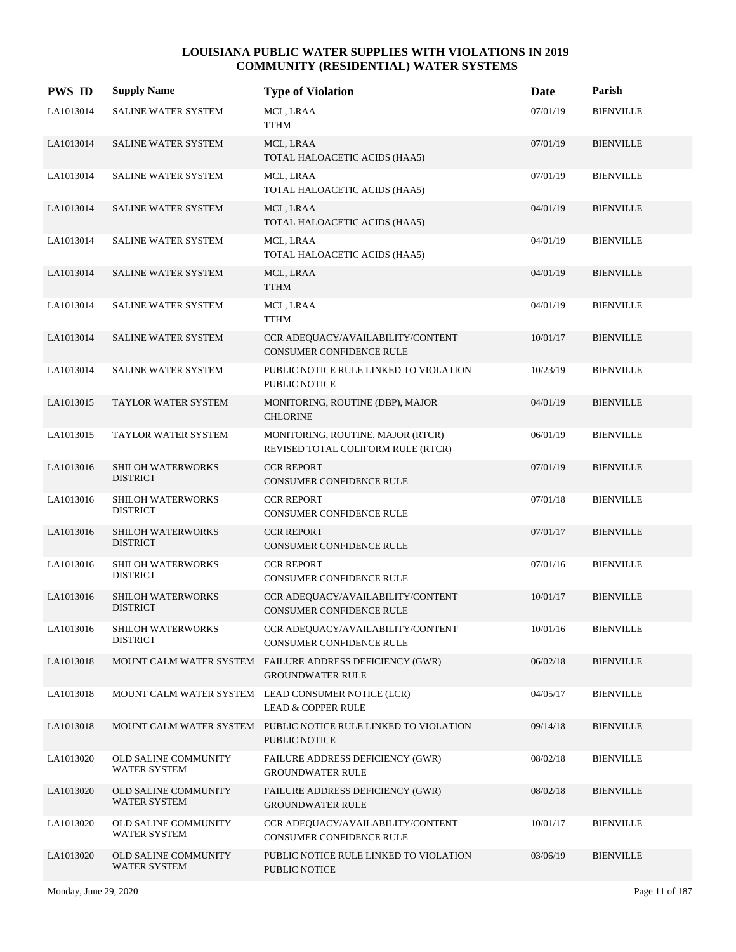| <b>PWS ID</b> | <b>Supply Name</b>                          | <b>Type of Violation</b>                                                            | Date     | Parish           |
|---------------|---------------------------------------------|-------------------------------------------------------------------------------------|----------|------------------|
| LA1013014     | SALINE WATER SYSTEM                         | MCL, LRAA<br><b>TTHM</b>                                                            | 07/01/19 | <b>BIENVILLE</b> |
| LA1013014     | SALINE WATER SYSTEM                         | MCL, LRAA<br>TOTAL HALOACETIC ACIDS (HAA5)                                          | 07/01/19 | <b>BIENVILLE</b> |
| LA1013014     | SALINE WATER SYSTEM                         | MCL, LRAA<br>TOTAL HALOACETIC ACIDS (HAA5)                                          | 07/01/19 | <b>BIENVILLE</b> |
| LA1013014     | SALINE WATER SYSTEM                         | MCL, LRAA<br>TOTAL HALOACETIC ACIDS (HAA5)                                          | 04/01/19 | <b>BIENVILLE</b> |
| LA1013014     | SALINE WATER SYSTEM                         | MCL, LRAA<br>TOTAL HALOACETIC ACIDS (HAA5)                                          | 04/01/19 | <b>BIENVILLE</b> |
| LA1013014     | SALINE WATER SYSTEM                         | MCL, LRAA<br><b>TTHM</b>                                                            | 04/01/19 | <b>BIENVILLE</b> |
| LA1013014     | SALINE WATER SYSTEM                         | MCL, LRAA<br><b>TTHM</b>                                                            | 04/01/19 | <b>BIENVILLE</b> |
| LA1013014     | <b>SALINE WATER SYSTEM</b>                  | CCR ADEQUACY/AVAILABILITY/CONTENT<br>CONSUMER CONFIDENCE RULE                       | 10/01/17 | <b>BIENVILLE</b> |
| LA1013014     | SALINE WATER SYSTEM                         | PUBLIC NOTICE RULE LINKED TO VIOLATION<br>PUBLIC NOTICE                             | 10/23/19 | <b>BIENVILLE</b> |
| LA1013015     | TAYLOR WATER SYSTEM                         | MONITORING, ROUTINE (DBP), MAJOR<br><b>CHLORINE</b>                                 | 04/01/19 | <b>BIENVILLE</b> |
| LA1013015     | TAYLOR WATER SYSTEM                         | MONITORING, ROUTINE, MAJOR (RTCR)<br>REVISED TOTAL COLIFORM RULE (RTCR)             | 06/01/19 | <b>BIENVILLE</b> |
| LA1013016     | SHILOH WATERWORKS<br><b>DISTRICT</b>        | <b>CCR REPORT</b><br>CONSUMER CONFIDENCE RULE                                       | 07/01/19 | <b>BIENVILLE</b> |
| LA1013016     | <b>SHILOH WATERWORKS</b><br><b>DISTRICT</b> | <b>CCR REPORT</b><br>CONSUMER CONFIDENCE RULE                                       | 07/01/18 | <b>BIENVILLE</b> |
| LA1013016     | SHILOH WATERWORKS<br><b>DISTRICT</b>        | <b>CCR REPORT</b><br>CONSUMER CONFIDENCE RULE                                       | 07/01/17 | <b>BIENVILLE</b> |
| LA1013016     | SHILOH WATERWORKS<br><b>DISTRICT</b>        | <b>CCR REPORT</b><br>CONSUMER CONFIDENCE RULE                                       | 07/01/16 | <b>BIENVILLE</b> |
| LA1013016     | <b>SHILOH WATERWORKS</b><br><b>DISTRICT</b> | CCR ADEQUACY/AVAILABILITY/CONTENT<br><b>CONSUMER CONFIDENCE RULE</b>                | 10/01/17 | <b>BIENVILLE</b> |
| LA1013016     | SHILOH WATERWORKS<br><b>DISTRICT</b>        | CCR ADEQUACY/AVAILABILITY/CONTENT<br>CONSUMER CONFIDENCE RULE                       | 10/01/16 | <b>BIENVILLE</b> |
| LA1013018     |                                             | MOUNT CALM WATER SYSTEM FAILURE ADDRESS DEFICIENCY (GWR)<br><b>GROUNDWATER RULE</b> | 06/02/18 | <b>BIENVILLE</b> |
| LA1013018     |                                             | MOUNT CALM WATER SYSTEM LEAD CONSUMER NOTICE (LCR)<br><b>LEAD &amp; COPPER RULE</b> | 04/05/17 | <b>BIENVILLE</b> |
| LA1013018     |                                             | MOUNT CALM WATER SYSTEM PUBLIC NOTICE RULE LINKED TO VIOLATION<br>PUBLIC NOTICE     | 09/14/18 | <b>BIENVILLE</b> |
| LA1013020     | <b>OLD SALINE COMMUNITY</b><br>WATER SYSTEM | FAILURE ADDRESS DEFICIENCY (GWR)<br><b>GROUNDWATER RULE</b>                         | 08/02/18 | <b>BIENVILLE</b> |
| LA1013020     | <b>OLD SALINE COMMUNITY</b><br>WATER SYSTEM | <b>FAILURE ADDRESS DEFICIENCY (GWR)</b><br><b>GROUNDWATER RULE</b>                  | 08/02/18 | <b>BIENVILLE</b> |
| LA1013020     | OLD SALINE COMMUNITY<br>WATER SYSTEM        | CCR ADEQUACY/AVAILABILITY/CONTENT<br>CONSUMER CONFIDENCE RULE                       | 10/01/17 | <b>BIENVILLE</b> |
| LA1013020     | <b>OLD SALINE COMMUNITY</b><br>WATER SYSTEM | PUBLIC NOTICE RULE LINKED TO VIOLATION<br>PUBLIC NOTICE                             | 03/06/19 | <b>BIENVILLE</b> |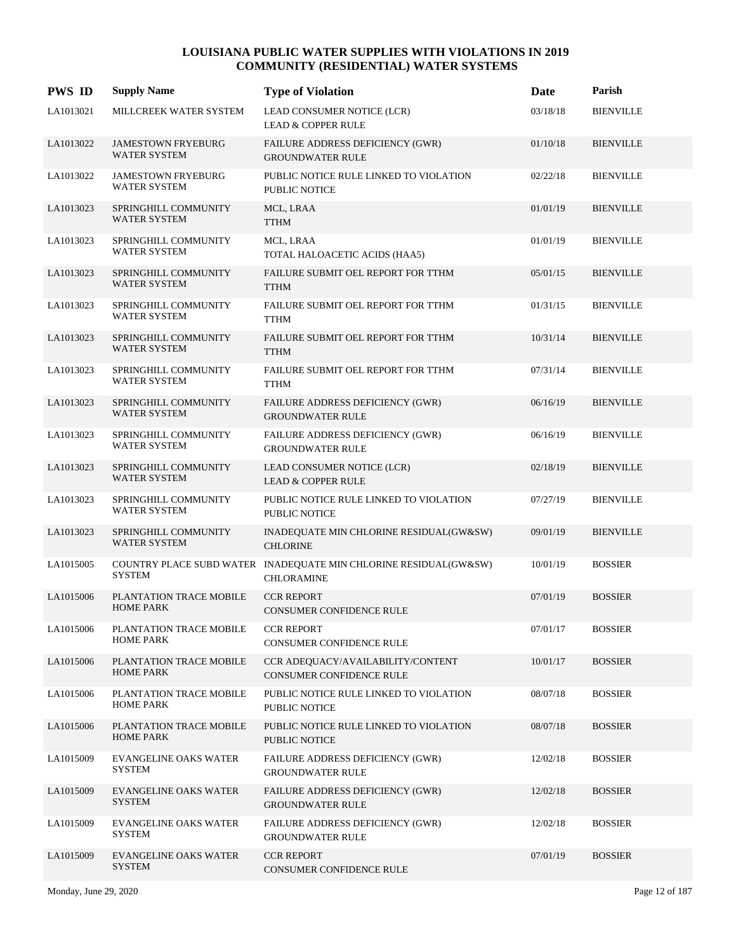| <b>PWS ID</b> | <b>Supply Name</b>                               | <b>Type of Violation</b>                                                              | Date     | Parish           |
|---------------|--------------------------------------------------|---------------------------------------------------------------------------------------|----------|------------------|
| LA1013021     | MILLCREEK WATER SYSTEM                           | LEAD CONSUMER NOTICE (LCR)<br><b>LEAD &amp; COPPER RULE</b>                           | 03/18/18 | <b>BIENVILLE</b> |
| LA1013022     | <b>JAMESTOWN FRYEBURG</b><br><b>WATER SYSTEM</b> | FAILURE ADDRESS DEFICIENCY (GWR)<br><b>GROUNDWATER RULE</b>                           | 01/10/18 | <b>BIENVILLE</b> |
| LA1013022     | <b>JAMESTOWN FRYEBURG</b><br><b>WATER SYSTEM</b> | PUBLIC NOTICE RULE LINKED TO VIOLATION<br><b>PUBLIC NOTICE</b>                        | 02/22/18 | <b>BIENVILLE</b> |
| LA1013023     | SPRINGHILL COMMUNITY<br>WATER SYSTEM             | MCL, LRAA<br><b>TTHM</b>                                                              | 01/01/19 | <b>BIENVILLE</b> |
| LA1013023     | SPRINGHILL COMMUNITY<br>WATER SYSTEM             | MCL, LRAA<br>TOTAL HALOACETIC ACIDS (HAA5)                                            | 01/01/19 | <b>BIENVILLE</b> |
| LA1013023     | SPRINGHILL COMMUNITY<br>WATER SYSTEM             | FAILURE SUBMIT OEL REPORT FOR TTHM<br><b>TTHM</b>                                     | 05/01/15 | <b>BIENVILLE</b> |
| LA1013023     | SPRINGHILL COMMUNITY<br>WATER SYSTEM             | FAILURE SUBMIT OEL REPORT FOR TTHM<br><b>TTHM</b>                                     | 01/31/15 | <b>BIENVILLE</b> |
| LA1013023     | SPRINGHILL COMMUNITY<br>WATER SYSTEM             | FAILURE SUBMIT OEL REPORT FOR TTHM<br><b>TTHM</b>                                     | 10/31/14 | <b>BIENVILLE</b> |
| LA1013023     | SPRINGHILL COMMUNITY<br>WATER SYSTEM             | FAILURE SUBMIT OEL REPORT FOR TTHM<br><b>TTHM</b>                                     | 07/31/14 | <b>BIENVILLE</b> |
| LA1013023     | SPRINGHILL COMMUNITY<br><b>WATER SYSTEM</b>      | FAILURE ADDRESS DEFICIENCY (GWR)<br><b>GROUNDWATER RULE</b>                           | 06/16/19 | <b>BIENVILLE</b> |
| LA1013023     | SPRINGHILL COMMUNITY<br>WATER SYSTEM             | FAILURE ADDRESS DEFICIENCY (GWR)<br><b>GROUNDWATER RULE</b>                           | 06/16/19 | <b>BIENVILLE</b> |
| LA1013023     | SPRINGHILL COMMUNITY<br>WATER SYSTEM             | LEAD CONSUMER NOTICE (LCR)<br><b>LEAD &amp; COPPER RULE</b>                           | 02/18/19 | <b>BIENVILLE</b> |
| LA1013023     | SPRINGHILL COMMUNITY<br>WATER SYSTEM             | PUBLIC NOTICE RULE LINKED TO VIOLATION<br>PUBLIC NOTICE                               | 07/27/19 | <b>BIENVILLE</b> |
| LA1013023     | SPRINGHILL COMMUNITY<br><b>WATER SYSTEM</b>      | INADEQUATE MIN CHLORINE RESIDUAL(GW&SW)<br><b>CHLORINE</b>                            | 09/01/19 | <b>BIENVILLE</b> |
| LA1015005     | <b>SYSTEM</b>                                    | COUNTRY PLACE SUBD WATER INADEQUATE MIN CHLORINE RESIDUAL(GW&SW)<br><b>CHLORAMINE</b> | 10/01/19 | <b>BOSSIER</b>   |
| LA1015006     | PLANTATION TRACE MOBILE<br><b>HOME PARK</b>      | <b>CCR REPORT</b><br><b>CONSUMER CONFIDENCE RULE</b>                                  | 07/01/19 | <b>BOSSIER</b>   |
| LA1015006     | PLANTATION TRACE MOBILE<br><b>HOME PARK</b>      | <b>CCR REPORT</b><br>CONSUMER CONFIDENCE RULE                                         | 07/01/17 | <b>BOSSIER</b>   |
| LA1015006     | PLANTATION TRACE MOBILE<br><b>HOME PARK</b>      | CCR ADEQUACY/AVAILABILITY/CONTENT<br><b>CONSUMER CONFIDENCE RULE</b>                  | 10/01/17 | <b>BOSSIER</b>   |
| LA1015006     | PLANTATION TRACE MOBILE<br><b>HOME PARK</b>      | PUBLIC NOTICE RULE LINKED TO VIOLATION<br>PUBLIC NOTICE                               | 08/07/18 | <b>BOSSIER</b>   |
| LA1015006     | PLANTATION TRACE MOBILE<br><b>HOME PARK</b>      | PUBLIC NOTICE RULE LINKED TO VIOLATION<br>PUBLIC NOTICE                               | 08/07/18 | <b>BOSSIER</b>   |
| LA1015009     | <b>EVANGELINE OAKS WATER</b><br><b>SYSTEM</b>    | FAILURE ADDRESS DEFICIENCY (GWR)<br><b>GROUNDWATER RULE</b>                           | 12/02/18 | <b>BOSSIER</b>   |
| LA1015009     | <b>EVANGELINE OAKS WATER</b><br>SYSTEM           | FAILURE ADDRESS DEFICIENCY (GWR)<br><b>GROUNDWATER RULE</b>                           | 12/02/18 | <b>BOSSIER</b>   |
| LA1015009     | EVANGELINE OAKS WATER<br>SYSTEM                  | FAILURE ADDRESS DEFICIENCY (GWR)<br><b>GROUNDWATER RULE</b>                           | 12/02/18 | <b>BOSSIER</b>   |
| LA1015009     | <b>EVANGELINE OAKS WATER</b><br>SYSTEM           | <b>CCR REPORT</b><br><b>CONSUMER CONFIDENCE RULE</b>                                  | 07/01/19 | <b>BOSSIER</b>   |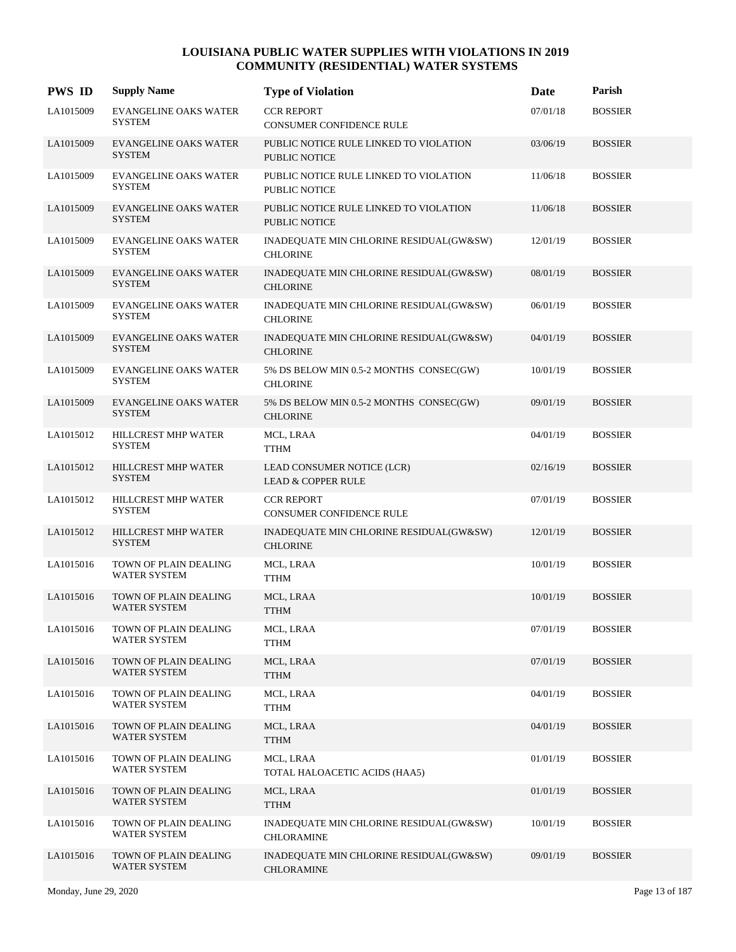| <b>PWS ID</b> | <b>Supply Name</b>                            | <b>Type of Violation</b>                                       | Date     | Parish         |
|---------------|-----------------------------------------------|----------------------------------------------------------------|----------|----------------|
| LA1015009     | <b>EVANGELINE OAKS WATER</b><br><b>SYSTEM</b> | <b>CCR REPORT</b><br>CONSUMER CONFIDENCE RULE                  | 07/01/18 | <b>BOSSIER</b> |
| LA1015009     | <b>EVANGELINE OAKS WATER</b><br><b>SYSTEM</b> | PUBLIC NOTICE RULE LINKED TO VIOLATION<br><b>PUBLIC NOTICE</b> | 03/06/19 | <b>BOSSIER</b> |
| LA1015009     | <b>EVANGELINE OAKS WATER</b><br><b>SYSTEM</b> | PUBLIC NOTICE RULE LINKED TO VIOLATION<br><b>PUBLIC NOTICE</b> | 11/06/18 | <b>BOSSIER</b> |
| LA1015009     | <b>EVANGELINE OAKS WATER</b><br><b>SYSTEM</b> | PUBLIC NOTICE RULE LINKED TO VIOLATION<br><b>PUBLIC NOTICE</b> | 11/06/18 | <b>BOSSIER</b> |
| LA1015009     | <b>EVANGELINE OAKS WATER</b><br><b>SYSTEM</b> | INADEQUATE MIN CHLORINE RESIDUAL(GW&SW)<br><b>CHLORINE</b>     | 12/01/19 | <b>BOSSIER</b> |
| LA1015009     | <b>EVANGELINE OAKS WATER</b><br><b>SYSTEM</b> | INADEQUATE MIN CHLORINE RESIDUAL(GW&SW)<br><b>CHLORINE</b>     | 08/01/19 | <b>BOSSIER</b> |
| LA1015009     | <b>EVANGELINE OAKS WATER</b><br><b>SYSTEM</b> | INADEQUATE MIN CHLORINE RESIDUAL(GW&SW)<br><b>CHLORINE</b>     | 06/01/19 | <b>BOSSIER</b> |
| LA1015009     | <b>EVANGELINE OAKS WATER</b><br><b>SYSTEM</b> | INADEQUATE MIN CHLORINE RESIDUAL(GW&SW)<br><b>CHLORINE</b>     | 04/01/19 | <b>BOSSIER</b> |
| LA1015009     | <b>EVANGELINE OAKS WATER</b><br><b>SYSTEM</b> | 5% DS BELOW MIN 0.5-2 MONTHS CONSEC(GW)<br><b>CHLORINE</b>     | 10/01/19 | <b>BOSSIER</b> |
| LA1015009     | <b>EVANGELINE OAKS WATER</b><br><b>SYSTEM</b> | 5% DS BELOW MIN 0.5-2 MONTHS CONSEC(GW)<br><b>CHLORINE</b>     | 09/01/19 | <b>BOSSIER</b> |
| LA1015012     | HILLCREST MHP WATER<br><b>SYSTEM</b>          | MCL, LRAA<br><b>TTHM</b>                                       | 04/01/19 | <b>BOSSIER</b> |
| LA1015012     | HILLCREST MHP WATER<br><b>SYSTEM</b>          | LEAD CONSUMER NOTICE (LCR)<br><b>LEAD &amp; COPPER RULE</b>    | 02/16/19 | <b>BOSSIER</b> |
| LA1015012     | HILLCREST MHP WATER<br><b>SYSTEM</b>          | <b>CCR REPORT</b><br>CONSUMER CONFIDENCE RULE                  | 07/01/19 | <b>BOSSIER</b> |
| LA1015012     | HILLCREST MHP WATER<br><b>SYSTEM</b>          | INADEQUATE MIN CHLORINE RESIDUAL(GW&SW)<br><b>CHLORINE</b>     | 12/01/19 | <b>BOSSIER</b> |
| LA1015016     | TOWN OF PLAIN DEALING<br>WATER SYSTEM         | MCL, LRAA<br><b>TTHM</b>                                       | 10/01/19 | <b>BOSSIER</b> |
| LA1015016     | TOWN OF PLAIN DEALING<br><b>WATER SYSTEM</b>  | MCL, LRAA<br><b>TTHM</b>                                       | 10/01/19 | <b>BOSSIER</b> |
| LA1015016     | TOWN OF PLAIN DEALING<br>WATER SYSTEM         | MCL, LRAA<br><b>TTHM</b>                                       | 07/01/19 | <b>BOSSIER</b> |
| LA1015016     | TOWN OF PLAIN DEALING<br><b>WATER SYSTEM</b>  | MCL, LRAA<br><b>TTHM</b>                                       | 07/01/19 | <b>BOSSIER</b> |
| LA1015016     | TOWN OF PLAIN DEALING<br>WATER SYSTEM         | MCL, LRAA<br><b>TTHM</b>                                       | 04/01/19 | <b>BOSSIER</b> |
| LA1015016     | TOWN OF PLAIN DEALING<br>WATER SYSTEM         | MCL, LRAA<br><b>TTHM</b>                                       | 04/01/19 | <b>BOSSIER</b> |
| LA1015016     | TOWN OF PLAIN DEALING<br><b>WATER SYSTEM</b>  | MCL, LRAA<br>TOTAL HALOACETIC ACIDS (HAA5)                     | 01/01/19 | <b>BOSSIER</b> |
| LA1015016     | TOWN OF PLAIN DEALING<br><b>WATER SYSTEM</b>  | MCL, LRAA<br><b>TTHM</b>                                       | 01/01/19 | <b>BOSSIER</b> |
| LA1015016     | TOWN OF PLAIN DEALING<br>WATER SYSTEM         | INADEQUATE MIN CHLORINE RESIDUAL(GW&SW)<br><b>CHLORAMINE</b>   | 10/01/19 | <b>BOSSIER</b> |
| LA1015016     | TOWN OF PLAIN DEALING<br>WATER SYSTEM         | INADEQUATE MIN CHLORINE RESIDUAL(GW&SW)<br><b>CHLORAMINE</b>   | 09/01/19 | <b>BOSSIER</b> |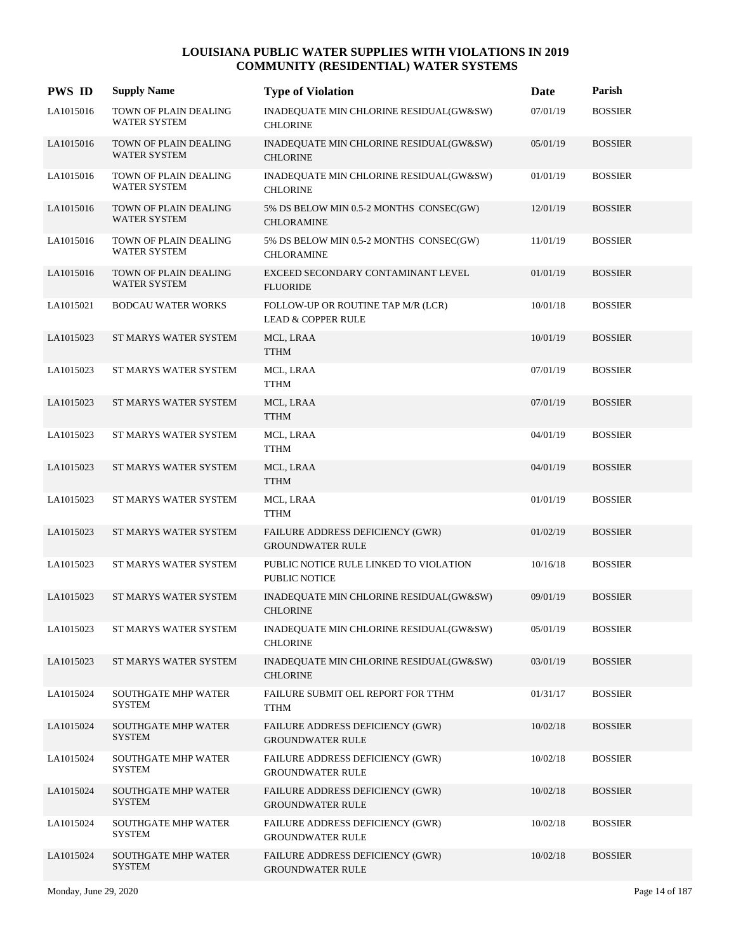| <b>PWS ID</b> | <b>Supply Name</b>                           | <b>Type of Violation</b>                                            | Date     | Parish         |
|---------------|----------------------------------------------|---------------------------------------------------------------------|----------|----------------|
| LA1015016     | TOWN OF PLAIN DEALING<br><b>WATER SYSTEM</b> | INADEQUATE MIN CHLORINE RESIDUAL(GW&SW)<br><b>CHLORINE</b>          | 07/01/19 | <b>BOSSIER</b> |
| LA1015016     | TOWN OF PLAIN DEALING<br>WATER SYSTEM        | INADEQUATE MIN CHLORINE RESIDUAL(GW&SW)<br><b>CHLORINE</b>          | 05/01/19 | <b>BOSSIER</b> |
| LA1015016     | TOWN OF PLAIN DEALING<br><b>WATER SYSTEM</b> | INADEQUATE MIN CHLORINE RESIDUAL(GW&SW)<br><b>CHLORINE</b>          | 01/01/19 | <b>BOSSIER</b> |
| LA1015016     | TOWN OF PLAIN DEALING<br>WATER SYSTEM        | 5% DS BELOW MIN 0.5-2 MONTHS CONSEC(GW)<br><b>CHLORAMINE</b>        | 12/01/19 | <b>BOSSIER</b> |
| LA1015016     | TOWN OF PLAIN DEALING<br>WATER SYSTEM        | 5% DS BELOW MIN 0.5-2 MONTHS CONSEC(GW)<br><b>CHLORAMINE</b>        | 11/01/19 | <b>BOSSIER</b> |
| LA1015016     | TOWN OF PLAIN DEALING<br>WATER SYSTEM        | EXCEED SECONDARY CONTAMINANT LEVEL<br><b>FLUORIDE</b>               | 01/01/19 | <b>BOSSIER</b> |
| LA1015021     | <b>BODCAU WATER WORKS</b>                    | FOLLOW-UP OR ROUTINE TAP M/R (LCR)<br><b>LEAD &amp; COPPER RULE</b> | 10/01/18 | <b>BOSSIER</b> |
| LA1015023     | ST MARYS WATER SYSTEM                        | MCL, LRAA<br><b>TTHM</b>                                            | 10/01/19 | <b>BOSSIER</b> |
| LA1015023     | ST MARYS WATER SYSTEM                        | MCL, LRAA<br><b>TTHM</b>                                            | 07/01/19 | <b>BOSSIER</b> |
| LA1015023     | ST MARYS WATER SYSTEM                        | MCL, LRAA<br><b>TTHM</b>                                            | 07/01/19 | <b>BOSSIER</b> |
| LA1015023     | ST MARYS WATER SYSTEM                        | MCL, LRAA<br><b>TTHM</b>                                            | 04/01/19 | <b>BOSSIER</b> |
| LA1015023     | ST MARYS WATER SYSTEM                        | MCL, LRAA<br><b>TTHM</b>                                            | 04/01/19 | <b>BOSSIER</b> |
| LA1015023     | ST MARYS WATER SYSTEM                        | MCL, LRAA<br><b>TTHM</b>                                            | 01/01/19 | <b>BOSSIER</b> |
| LA1015023     | ST MARYS WATER SYSTEM                        | FAILURE ADDRESS DEFICIENCY (GWR)<br><b>GROUNDWATER RULE</b>         | 01/02/19 | <b>BOSSIER</b> |
| LA1015023     | ST MARYS WATER SYSTEM                        | PUBLIC NOTICE RULE LINKED TO VIOLATION<br>PUBLIC NOTICE             | 10/16/18 | <b>BOSSIER</b> |
| LA1015023     | ST MARYS WATER SYSTEM                        | INADEQUATE MIN CHLORINE RESIDUAL(GW&SW)<br><b>CHLORINE</b>          | 09/01/19 | <b>BOSSIER</b> |
| LA1015023     | ST MARYS WATER SYSTEM                        | INADEQUATE MIN CHLORINE RESIDUAL(GW&SW)<br><b>CHLORINE</b>          | 05/01/19 | <b>BOSSIER</b> |
| LA1015023     | ST MARYS WATER SYSTEM                        | INADEQUATE MIN CHLORINE RESIDUAL(GW&SW)<br><b>CHLORINE</b>          | 03/01/19 | <b>BOSSIER</b> |
| LA1015024     | <b>SOUTHGATE MHP WATER</b><br><b>SYSTEM</b>  | FAILURE SUBMIT OEL REPORT FOR TTHM<br><b>TTHM</b>                   | 01/31/17 | <b>BOSSIER</b> |
| LA1015024     | SOUTHGATE MHP WATER<br><b>SYSTEM</b>         | FAILURE ADDRESS DEFICIENCY (GWR)<br><b>GROUNDWATER RULE</b>         | 10/02/18 | <b>BOSSIER</b> |
| LA1015024     | SOUTHGATE MHP WATER<br><b>SYSTEM</b>         | FAILURE ADDRESS DEFICIENCY (GWR)<br><b>GROUNDWATER RULE</b>         | 10/02/18 | <b>BOSSIER</b> |
| LA1015024     | <b>SOUTHGATE MHP WATER</b><br><b>SYSTEM</b>  | FAILURE ADDRESS DEFICIENCY (GWR)<br><b>GROUNDWATER RULE</b>         | 10/02/18 | <b>BOSSIER</b> |
| LA1015024     | <b>SOUTHGATE MHP WATER</b><br><b>SYSTEM</b>  | FAILURE ADDRESS DEFICIENCY (GWR)<br><b>GROUNDWATER RULE</b>         | 10/02/18 | <b>BOSSIER</b> |
| LA1015024     | SOUTHGATE MHP WATER<br><b>SYSTEM</b>         | FAILURE ADDRESS DEFICIENCY (GWR)<br><b>GROUNDWATER RULE</b>         | 10/02/18 | <b>BOSSIER</b> |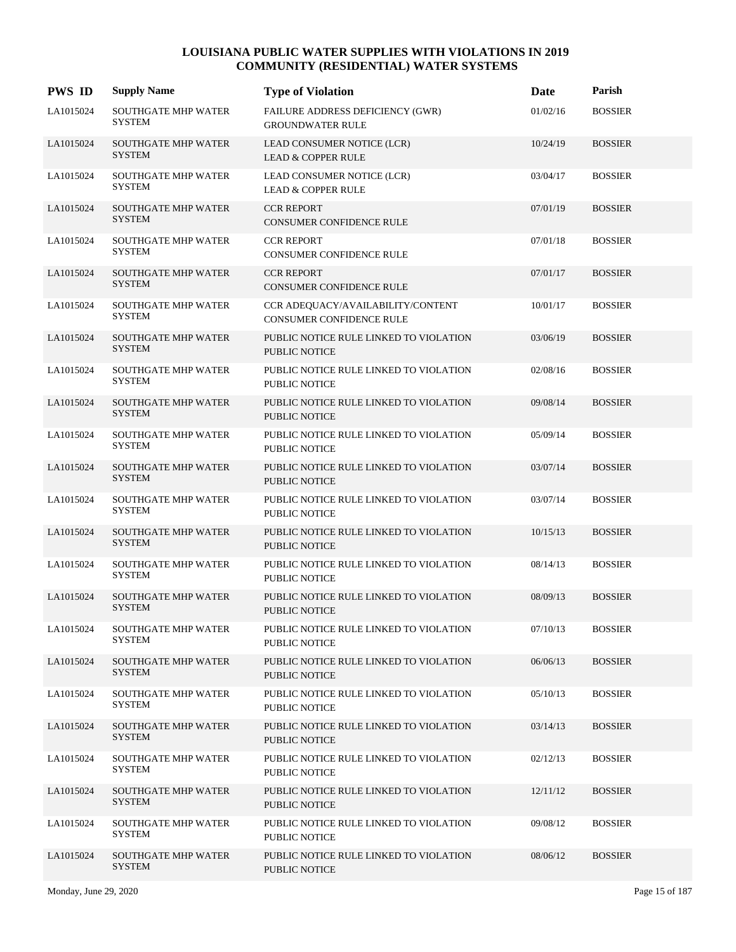| <b>PWS ID</b> | <b>Supply Name</b>                          | <b>Type of Violation</b>                                             | Date     | Parish         |
|---------------|---------------------------------------------|----------------------------------------------------------------------|----------|----------------|
| LA1015024     | SOUTHGATE MHP WATER<br><b>SYSTEM</b>        | FAILURE ADDRESS DEFICIENCY (GWR)<br><b>GROUNDWATER RULE</b>          | 01/02/16 | <b>BOSSIER</b> |
| LA1015024     | <b>SOUTHGATE MHP WATER</b><br><b>SYSTEM</b> | LEAD CONSUMER NOTICE (LCR)<br><b>LEAD &amp; COPPER RULE</b>          | 10/24/19 | <b>BOSSIER</b> |
| LA1015024     | <b>SOUTHGATE MHP WATER</b><br><b>SYSTEM</b> | LEAD CONSUMER NOTICE (LCR)<br><b>LEAD &amp; COPPER RULE</b>          | 03/04/17 | <b>BOSSIER</b> |
| LA1015024     | SOUTHGATE MHP WATER<br><b>SYSTEM</b>        | <b>CCR REPORT</b><br><b>CONSUMER CONFIDENCE RULE</b>                 | 07/01/19 | <b>BOSSIER</b> |
| LA1015024     | <b>SOUTHGATE MHP WATER</b><br><b>SYSTEM</b> | <b>CCR REPORT</b><br>CONSUMER CONFIDENCE RULE                        | 07/01/18 | <b>BOSSIER</b> |
| LA1015024     | <b>SOUTHGATE MHP WATER</b><br><b>SYSTEM</b> | <b>CCR REPORT</b><br><b>CONSUMER CONFIDENCE RULE</b>                 | 07/01/17 | <b>BOSSIER</b> |
| LA1015024     | <b>SOUTHGATE MHP WATER</b><br><b>SYSTEM</b> | CCR ADEQUACY/AVAILABILITY/CONTENT<br><b>CONSUMER CONFIDENCE RULE</b> | 10/01/17 | <b>BOSSIER</b> |
| LA1015024     | SOUTHGATE MHP WATER<br><b>SYSTEM</b>        | PUBLIC NOTICE RULE LINKED TO VIOLATION<br><b>PUBLIC NOTICE</b>       | 03/06/19 | <b>BOSSIER</b> |
| LA1015024     | <b>SOUTHGATE MHP WATER</b><br><b>SYSTEM</b> | PUBLIC NOTICE RULE LINKED TO VIOLATION<br>PUBLIC NOTICE              | 02/08/16 | <b>BOSSIER</b> |
| LA1015024     | <b>SOUTHGATE MHP WATER</b><br><b>SYSTEM</b> | PUBLIC NOTICE RULE LINKED TO VIOLATION<br><b>PUBLIC NOTICE</b>       | 09/08/14 | <b>BOSSIER</b> |
| LA1015024     | <b>SOUTHGATE MHP WATER</b><br><b>SYSTEM</b> | PUBLIC NOTICE RULE LINKED TO VIOLATION<br>PUBLIC NOTICE              | 05/09/14 | <b>BOSSIER</b> |
| LA1015024     | <b>SOUTHGATE MHP WATER</b><br><b>SYSTEM</b> | PUBLIC NOTICE RULE LINKED TO VIOLATION<br><b>PUBLIC NOTICE</b>       | 03/07/14 | <b>BOSSIER</b> |
| LA1015024     | <b>SOUTHGATE MHP WATER</b><br><b>SYSTEM</b> | PUBLIC NOTICE RULE LINKED TO VIOLATION<br><b>PUBLIC NOTICE</b>       | 03/07/14 | <b>BOSSIER</b> |
| LA1015024     | <b>SOUTHGATE MHP WATER</b><br><b>SYSTEM</b> | PUBLIC NOTICE RULE LINKED TO VIOLATION<br><b>PUBLIC NOTICE</b>       | 10/15/13 | <b>BOSSIER</b> |
| LA1015024     | <b>SOUTHGATE MHP WATER</b><br><b>SYSTEM</b> | PUBLIC NOTICE RULE LINKED TO VIOLATION<br><b>PUBLIC NOTICE</b>       | 08/14/13 | <b>BOSSIER</b> |
| LA1015024     | <b>SOUTHGATE MHP WATER</b><br><b>SYSTEM</b> | PUBLIC NOTICE RULE LINKED TO VIOLATION<br><b>PUBLIC NOTICE</b>       | 08/09/13 | <b>BOSSIER</b> |
| LA1015024     | <b>SOUTHGATE MHP WATER</b><br><b>SYSTEM</b> | PUBLIC NOTICE RULE LINKED TO VIOLATION<br>PUBLIC NOTICE              | 07/10/13 | <b>BOSSIER</b> |
| LA1015024     | <b>SOUTHGATE MHP WATER</b><br><b>SYSTEM</b> | PUBLIC NOTICE RULE LINKED TO VIOLATION<br>PUBLIC NOTICE              | 06/06/13 | <b>BOSSIER</b> |
| LA1015024     | <b>SOUTHGATE MHP WATER</b><br><b>SYSTEM</b> | PUBLIC NOTICE RULE LINKED TO VIOLATION<br>PUBLIC NOTICE              | 05/10/13 | <b>BOSSIER</b> |
| LA1015024     | <b>SOUTHGATE MHP WATER</b><br><b>SYSTEM</b> | PUBLIC NOTICE RULE LINKED TO VIOLATION<br>PUBLIC NOTICE              | 03/14/13 | <b>BOSSIER</b> |
| LA1015024     | <b>SOUTHGATE MHP WATER</b><br><b>SYSTEM</b> | PUBLIC NOTICE RULE LINKED TO VIOLATION<br>PUBLIC NOTICE              | 02/12/13 | <b>BOSSIER</b> |
| LA1015024     | <b>SOUTHGATE MHP WATER</b><br><b>SYSTEM</b> | PUBLIC NOTICE RULE LINKED TO VIOLATION<br>PUBLIC NOTICE              | 12/11/12 | <b>BOSSIER</b> |
| LA1015024     | <b>SOUTHGATE MHP WATER</b><br><b>SYSTEM</b> | PUBLIC NOTICE RULE LINKED TO VIOLATION<br>PUBLIC NOTICE              | 09/08/12 | <b>BOSSIER</b> |
| LA1015024     | <b>SOUTHGATE MHP WATER</b><br><b>SYSTEM</b> | PUBLIC NOTICE RULE LINKED TO VIOLATION<br>PUBLIC NOTICE              | 08/06/12 | <b>BOSSIER</b> |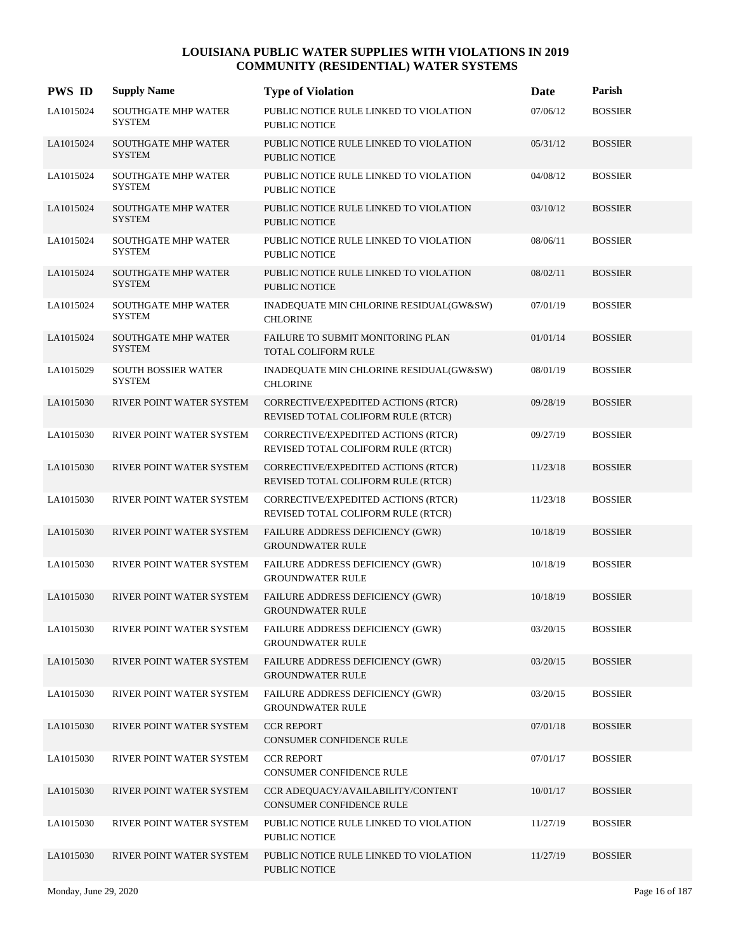| <b>PWS ID</b> | <b>Supply Name</b>                          | <b>Type of Violation</b>                                                  | Date     | Parish         |
|---------------|---------------------------------------------|---------------------------------------------------------------------------|----------|----------------|
| LA1015024     | <b>SOUTHGATE MHP WATER</b><br><b>SYSTEM</b> | PUBLIC NOTICE RULE LINKED TO VIOLATION<br>PUBLIC NOTICE                   | 07/06/12 | <b>BOSSIER</b> |
| LA1015024     | <b>SOUTHGATE MHP WATER</b><br><b>SYSTEM</b> | PUBLIC NOTICE RULE LINKED TO VIOLATION<br>PUBLIC NOTICE                   | 05/31/12 | <b>BOSSIER</b> |
| LA1015024     | <b>SOUTHGATE MHP WATER</b><br><b>SYSTEM</b> | PUBLIC NOTICE RULE LINKED TO VIOLATION<br>PUBLIC NOTICE                   | 04/08/12 | <b>BOSSIER</b> |
| LA1015024     | <b>SOUTHGATE MHP WATER</b><br><b>SYSTEM</b> | PUBLIC NOTICE RULE LINKED TO VIOLATION<br><b>PUBLIC NOTICE</b>            | 03/10/12 | <b>BOSSIER</b> |
| LA1015024     | <b>SOUTHGATE MHP WATER</b><br><b>SYSTEM</b> | PUBLIC NOTICE RULE LINKED TO VIOLATION<br>PUBLIC NOTICE                   | 08/06/11 | <b>BOSSIER</b> |
| LA1015024     | <b>SOUTHGATE MHP WATER</b><br><b>SYSTEM</b> | PUBLIC NOTICE RULE LINKED TO VIOLATION<br>PUBLIC NOTICE                   | 08/02/11 | <b>BOSSIER</b> |
| LA1015024     | SOUTHGATE MHP WATER<br><b>SYSTEM</b>        | INADEQUATE MIN CHLORINE RESIDUAL(GW&SW)<br><b>CHLORINE</b>                | 07/01/19 | <b>BOSSIER</b> |
| LA1015024     | <b>SOUTHGATE MHP WATER</b><br><b>SYSTEM</b> | FAILURE TO SUBMIT MONITORING PLAN<br><b>TOTAL COLIFORM RULE</b>           | 01/01/14 | <b>BOSSIER</b> |
| LA1015029     | SOUTH BOSSIER WATER<br><b>SYSTEM</b>        | INADEQUATE MIN CHLORINE RESIDUAL(GW&SW)<br><b>CHLORINE</b>                | 08/01/19 | <b>BOSSIER</b> |
| LA1015030     | RIVER POINT WATER SYSTEM                    | CORRECTIVE/EXPEDITED ACTIONS (RTCR)<br>REVISED TOTAL COLIFORM RULE (RTCR) | 09/28/19 | <b>BOSSIER</b> |
| LA1015030     | RIVER POINT WATER SYSTEM                    | CORRECTIVE/EXPEDITED ACTIONS (RTCR)<br>REVISED TOTAL COLIFORM RULE (RTCR) | 09/27/19 | <b>BOSSIER</b> |
| LA1015030     | RIVER POINT WATER SYSTEM                    | CORRECTIVE/EXPEDITED ACTIONS (RTCR)<br>REVISED TOTAL COLIFORM RULE (RTCR) | 11/23/18 | <b>BOSSIER</b> |
| LA1015030     | RIVER POINT WATER SYSTEM                    | CORRECTIVE/EXPEDITED ACTIONS (RTCR)<br>REVISED TOTAL COLIFORM RULE (RTCR) | 11/23/18 | <b>BOSSIER</b> |
| LA1015030     | RIVER POINT WATER SYSTEM                    | FAILURE ADDRESS DEFICIENCY (GWR)<br><b>GROUNDWATER RULE</b>               | 10/18/19 | <b>BOSSIER</b> |
| LA1015030     | RIVER POINT WATER SYSTEM                    | FAILURE ADDRESS DEFICIENCY (GWR)<br><b>GROUNDWATER RULE</b>               | 10/18/19 | <b>BOSSIER</b> |
| LA1015030     | RIVER POINT WATER SYSTEM                    | FAILURE ADDRESS DEFICIENCY (GWR)<br><b>GROUNDWATER RULE</b>               | 10/18/19 | <b>BOSSIER</b> |
| LA1015030     | RIVER POINT WATER SYSTEM                    | FAILURE ADDRESS DEFICIENCY (GWR)<br><b>GROUNDWATER RULE</b>               | 03/20/15 | <b>BOSSIER</b> |
| LA1015030     | RIVER POINT WATER SYSTEM                    | FAILURE ADDRESS DEFICIENCY (GWR)<br><b>GROUNDWATER RULE</b>               | 03/20/15 | <b>BOSSIER</b> |
| LA1015030     | RIVER POINT WATER SYSTEM                    | FAILURE ADDRESS DEFICIENCY (GWR)<br><b>GROUNDWATER RULE</b>               | 03/20/15 | <b>BOSSIER</b> |
| LA1015030     | RIVER POINT WATER SYSTEM                    | <b>CCR REPORT</b><br>CONSUMER CONFIDENCE RULE                             | 07/01/18 | <b>BOSSIER</b> |
| LA1015030     | RIVER POINT WATER SYSTEM                    | <b>CCR REPORT</b><br>CONSUMER CONFIDENCE RULE                             | 07/01/17 | <b>BOSSIER</b> |
| LA1015030     | RIVER POINT WATER SYSTEM                    | CCR ADEQUACY/AVAILABILITY/CONTENT<br>CONSUMER CONFIDENCE RULE             | 10/01/17 | <b>BOSSIER</b> |
| LA1015030     | RIVER POINT WATER SYSTEM                    | PUBLIC NOTICE RULE LINKED TO VIOLATION<br>PUBLIC NOTICE                   | 11/27/19 | <b>BOSSIER</b> |
| LA1015030     | RIVER POINT WATER SYSTEM                    | PUBLIC NOTICE RULE LINKED TO VIOLATION<br>PUBLIC NOTICE                   | 11/27/19 | <b>BOSSIER</b> |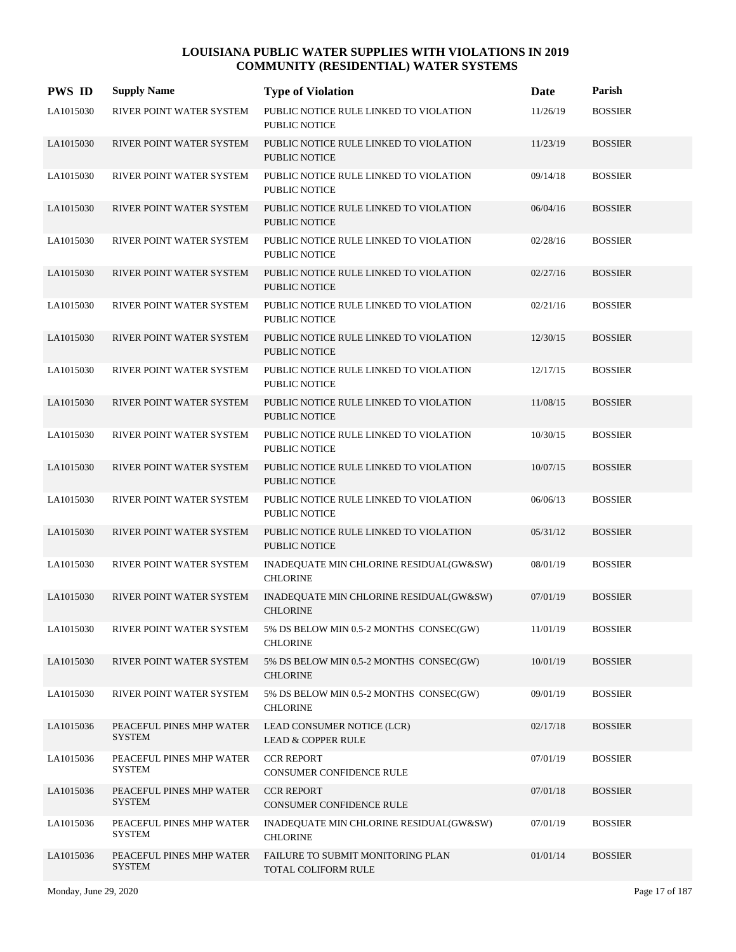| <b>PWS ID</b> | <b>Supply Name</b>                        | <b>Type of Violation</b>                                       | Date     | Parish         |
|---------------|-------------------------------------------|----------------------------------------------------------------|----------|----------------|
| LA1015030     | RIVER POINT WATER SYSTEM                  | PUBLIC NOTICE RULE LINKED TO VIOLATION<br>PUBLIC NOTICE        | 11/26/19 | <b>BOSSIER</b> |
| LA1015030     | RIVER POINT WATER SYSTEM                  | PUBLIC NOTICE RULE LINKED TO VIOLATION<br>PUBLIC NOTICE        | 11/23/19 | <b>BOSSIER</b> |
| LA1015030     | RIVER POINT WATER SYSTEM                  | PUBLIC NOTICE RULE LINKED TO VIOLATION<br>PUBLIC NOTICE        | 09/14/18 | <b>BOSSIER</b> |
| LA1015030     | RIVER POINT WATER SYSTEM                  | PUBLIC NOTICE RULE LINKED TO VIOLATION<br><b>PUBLIC NOTICE</b> | 06/04/16 | <b>BOSSIER</b> |
| LA1015030     | RIVER POINT WATER SYSTEM                  | PUBLIC NOTICE RULE LINKED TO VIOLATION<br>PUBLIC NOTICE        | 02/28/16 | <b>BOSSIER</b> |
| LA1015030     | RIVER POINT WATER SYSTEM                  | PUBLIC NOTICE RULE LINKED TO VIOLATION<br><b>PUBLIC NOTICE</b> | 02/27/16 | <b>BOSSIER</b> |
| LA1015030     | RIVER POINT WATER SYSTEM                  | PUBLIC NOTICE RULE LINKED TO VIOLATION<br>PUBLIC NOTICE        | 02/21/16 | <b>BOSSIER</b> |
| LA1015030     | RIVER POINT WATER SYSTEM                  | PUBLIC NOTICE RULE LINKED TO VIOLATION<br><b>PUBLIC NOTICE</b> | 12/30/15 | <b>BOSSIER</b> |
| LA1015030     | RIVER POINT WATER SYSTEM                  | PUBLIC NOTICE RULE LINKED TO VIOLATION<br>PUBLIC NOTICE        | 12/17/15 | <b>BOSSIER</b> |
| LA1015030     | RIVER POINT WATER SYSTEM                  | PUBLIC NOTICE RULE LINKED TO VIOLATION<br><b>PUBLIC NOTICE</b> | 11/08/15 | <b>BOSSIER</b> |
| LA1015030     | RIVER POINT WATER SYSTEM                  | PUBLIC NOTICE RULE LINKED TO VIOLATION<br>PUBLIC NOTICE        | 10/30/15 | <b>BOSSIER</b> |
| LA1015030     | RIVER POINT WATER SYSTEM                  | PUBLIC NOTICE RULE LINKED TO VIOLATION<br><b>PUBLIC NOTICE</b> | 10/07/15 | <b>BOSSIER</b> |
| LA1015030     | RIVER POINT WATER SYSTEM                  | PUBLIC NOTICE RULE LINKED TO VIOLATION<br>PUBLIC NOTICE        | 06/06/13 | <b>BOSSIER</b> |
| LA1015030     | RIVER POINT WATER SYSTEM                  | PUBLIC NOTICE RULE LINKED TO VIOLATION<br><b>PUBLIC NOTICE</b> | 05/31/12 | <b>BOSSIER</b> |
| LA1015030     | RIVER POINT WATER SYSTEM                  | INADEQUATE MIN CHLORINE RESIDUAL(GW&SW)<br><b>CHLORINE</b>     | 08/01/19 | <b>BOSSIER</b> |
| LA1015030     | RIVER POINT WATER SYSTEM                  | INADEQUATE MIN CHLORINE RESIDUAL(GW&SW)<br><b>CHLORINE</b>     | 07/01/19 | <b>BOSSIER</b> |
| LA1015030     | RIVER POINT WATER SYSTEM                  | 5% DS BELOW MIN 0.5-2 MONTHS CONSEC(GW)<br><b>CHLORINE</b>     | 11/01/19 | <b>BOSSIER</b> |
| LA1015030     | RIVER POINT WATER SYSTEM                  | 5% DS BELOW MIN 0.5-2 MONTHS CONSEC(GW)<br><b>CHLORINE</b>     | 10/01/19 | <b>BOSSIER</b> |
| LA1015030     | RIVER POINT WATER SYSTEM                  | 5% DS BELOW MIN 0.5-2 MONTHS CONSEC(GW)<br><b>CHLORINE</b>     | 09/01/19 | <b>BOSSIER</b> |
| LA1015036     | PEACEFUL PINES MHP WATER<br><b>SYSTEM</b> | LEAD CONSUMER NOTICE (LCR)<br><b>LEAD &amp; COPPER RULE</b>    | 02/17/18 | <b>BOSSIER</b> |
| LA1015036     | PEACEFUL PINES MHP WATER<br><b>SYSTEM</b> | <b>CCR REPORT</b><br>CONSUMER CONFIDENCE RULE                  | 07/01/19 | <b>BOSSIER</b> |
| LA1015036     | PEACEFUL PINES MHP WATER<br><b>SYSTEM</b> | <b>CCR REPORT</b><br>CONSUMER CONFIDENCE RULE                  | 07/01/18 | <b>BOSSIER</b> |
| LA1015036     | PEACEFUL PINES MHP WATER<br><b>SYSTEM</b> | INADEQUATE MIN CHLORINE RESIDUAL(GW&SW)<br><b>CHLORINE</b>     | 07/01/19 | <b>BOSSIER</b> |
| LA1015036     | PEACEFUL PINES MHP WATER<br><b>SYSTEM</b> | FAILURE TO SUBMIT MONITORING PLAN<br>TOTAL COLIFORM RULE       | 01/01/14 | <b>BOSSIER</b> |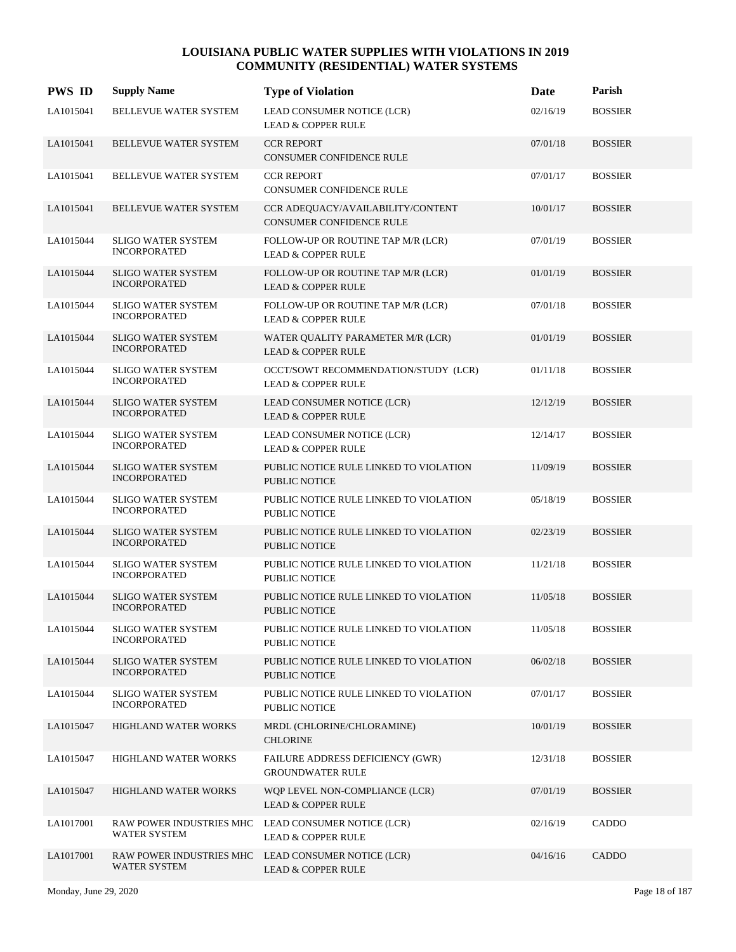| <b>PWS ID</b> | <b>Supply Name</b>                               | <b>Type of Violation</b>                                                             | Date     | Parish         |
|---------------|--------------------------------------------------|--------------------------------------------------------------------------------------|----------|----------------|
| LA1015041     | BELLEVUE WATER SYSTEM                            | LEAD CONSUMER NOTICE (LCR)<br><b>LEAD &amp; COPPER RULE</b>                          | 02/16/19 | <b>BOSSIER</b> |
| LA1015041     | BELLEVUE WATER SYSTEM                            | <b>CCR REPORT</b><br><b>CONSUMER CONFIDENCE RULE</b>                                 | 07/01/18 | <b>BOSSIER</b> |
| LA1015041     | BELLEVUE WATER SYSTEM                            | <b>CCR REPORT</b><br>CONSUMER CONFIDENCE RULE                                        | 07/01/17 | <b>BOSSIER</b> |
| LA1015041     | BELLEVUE WATER SYSTEM                            | CCR ADEOUACY/AVAILABILITY/CONTENT<br><b>CONSUMER CONFIDENCE RULE</b>                 | 10/01/17 | <b>BOSSIER</b> |
| LA1015044     | <b>SLIGO WATER SYSTEM</b><br><b>INCORPORATED</b> | FOLLOW-UP OR ROUTINE TAP M/R (LCR)<br><b>LEAD &amp; COPPER RULE</b>                  | 07/01/19 | <b>BOSSIER</b> |
| LA1015044     | <b>SLIGO WATER SYSTEM</b><br><b>INCORPORATED</b> | FOLLOW-UP OR ROUTINE TAP M/R (LCR)<br><b>LEAD &amp; COPPER RULE</b>                  | 01/01/19 | <b>BOSSIER</b> |
| LA1015044     | <b>SLIGO WATER SYSTEM</b><br><b>INCORPORATED</b> | FOLLOW-UP OR ROUTINE TAP M/R (LCR)<br><b>LEAD &amp; COPPER RULE</b>                  | 07/01/18 | <b>BOSSIER</b> |
| LA1015044     | <b>SLIGO WATER SYSTEM</b><br><b>INCORPORATED</b> | WATER QUALITY PARAMETER M/R (LCR)<br><b>LEAD &amp; COPPER RULE</b>                   | 01/01/19 | <b>BOSSIER</b> |
| LA1015044     | <b>SLIGO WATER SYSTEM</b><br><b>INCORPORATED</b> | OCCT/SOWT RECOMMENDATION/STUDY (LCR)<br><b>LEAD &amp; COPPER RULE</b>                | 01/11/18 | <b>BOSSIER</b> |
| LA1015044     | <b>SLIGO WATER SYSTEM</b><br><b>INCORPORATED</b> | LEAD CONSUMER NOTICE (LCR)<br><b>LEAD &amp; COPPER RULE</b>                          | 12/12/19 | <b>BOSSIER</b> |
| LA1015044     | <b>SLIGO WATER SYSTEM</b><br><b>INCORPORATED</b> | LEAD CONSUMER NOTICE (LCR)<br><b>LEAD &amp; COPPER RULE</b>                          | 12/14/17 | <b>BOSSIER</b> |
| LA1015044     | <b>SLIGO WATER SYSTEM</b><br><b>INCORPORATED</b> | PUBLIC NOTICE RULE LINKED TO VIOLATION<br><b>PUBLIC NOTICE</b>                       | 11/09/19 | <b>BOSSIER</b> |
| LA1015044     | SLIGO WATER SYSTEM<br><b>INCORPORATED</b>        | PUBLIC NOTICE RULE LINKED TO VIOLATION<br>PUBLIC NOTICE                              | 05/18/19 | <b>BOSSIER</b> |
| LA1015044     | SLIGO WATER SYSTEM<br><b>INCORPORATED</b>        | PUBLIC NOTICE RULE LINKED TO VIOLATION<br><b>PUBLIC NOTICE</b>                       | 02/23/19 | <b>BOSSIER</b> |
| LA1015044     | <b>SLIGO WATER SYSTEM</b><br><b>INCORPORATED</b> | PUBLIC NOTICE RULE LINKED TO VIOLATION<br>PUBLIC NOTICE                              | 11/21/18 | <b>BOSSIER</b> |
| LA1015044     | <b>SLIGO WATER SYSTEM</b><br><b>INCORPORATED</b> | PUBLIC NOTICE RULE LINKED TO VIOLATION<br>PUBLIC NOTICE                              | 11/05/18 | <b>BOSSIER</b> |
| LA1015044     | <b>SLIGO WATER SYSTEM</b><br><b>INCORPORATED</b> | PUBLIC NOTICE RULE LINKED TO VIOLATION<br>PUBLIC NOTICE                              | 11/05/18 | <b>BOSSIER</b> |
| LA1015044     | <b>SLIGO WATER SYSTEM</b><br><b>INCORPORATED</b> | PUBLIC NOTICE RULE LINKED TO VIOLATION<br>PUBLIC NOTICE                              | 06/02/18 | <b>BOSSIER</b> |
| LA1015044     | <b>SLIGO WATER SYSTEM</b><br><b>INCORPORATED</b> | PUBLIC NOTICE RULE LINKED TO VIOLATION<br>PUBLIC NOTICE                              | 07/01/17 | <b>BOSSIER</b> |
| LA1015047     | HIGHLAND WATER WORKS                             | MRDL (CHLORINE/CHLORAMINE)<br><b>CHLORINE</b>                                        | 10/01/19 | <b>BOSSIER</b> |
| LA1015047     | HIGHLAND WATER WORKS                             | FAILURE ADDRESS DEFICIENCY (GWR)<br><b>GROUNDWATER RULE</b>                          | 12/31/18 | <b>BOSSIER</b> |
| LA1015047     | HIGHLAND WATER WORKS                             | WQP LEVEL NON-COMPLIANCE (LCR)<br><b>LEAD &amp; COPPER RULE</b>                      | 07/01/19 | <b>BOSSIER</b> |
| LA1017001     | WATER SYSTEM                                     | RAW POWER INDUSTRIES MHC LEAD CONSUMER NOTICE (LCR)<br><b>LEAD &amp; COPPER RULE</b> | 02/16/19 | CADDO          |
| LA1017001     | WATER SYSTEM                                     | RAW POWER INDUSTRIES MHC LEAD CONSUMER NOTICE (LCR)<br><b>LEAD &amp; COPPER RULE</b> | 04/16/16 | CADDO          |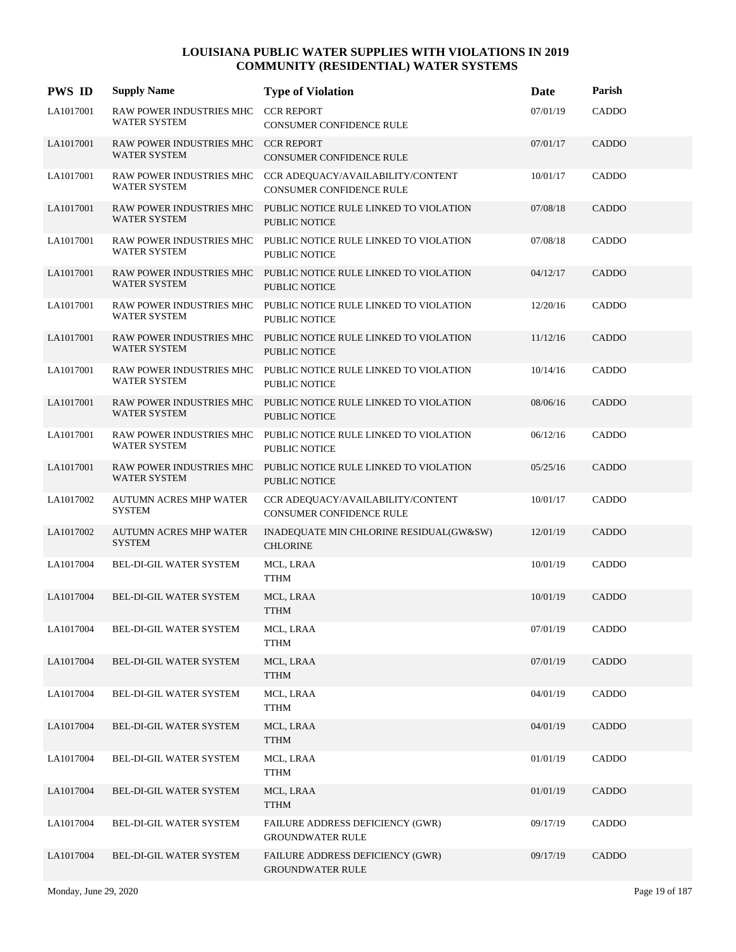| <b>PWS ID</b> | <b>Supply Name</b>                                  | <b>Type of Violation</b>                                                                | Date     | Parish       |
|---------------|-----------------------------------------------------|-----------------------------------------------------------------------------------------|----------|--------------|
| LA1017001     | RAW POWER INDUSTRIES MHC<br><b>WATER SYSTEM</b>     | <b>CCR REPORT</b><br>CONSUMER CONFIDENCE RULE                                           | 07/01/19 | CADDO        |
| LA1017001     | RAW POWER INDUSTRIES MHC CCR REPORT<br>WATER SYSTEM | <b>CONSUMER CONFIDENCE RULE</b>                                                         | 07/01/17 | CADDO        |
| LA1017001     | RAW POWER INDUSTRIES MHC<br><b>WATER SYSTEM</b>     | CCR ADEQUACY/AVAILABILITY/CONTENT<br>CONSUMER CONFIDENCE RULE                           | 10/01/17 | CADDO        |
| LA1017001     | RAW POWER INDUSTRIES MHC<br>WATER SYSTEM            | PUBLIC NOTICE RULE LINKED TO VIOLATION<br><b>PUBLIC NOTICE</b>                          | 07/08/18 | CADDO        |
| LA1017001     | <b>WATER SYSTEM</b>                                 | RAW POWER INDUSTRIES MHC PUBLIC NOTICE RULE LINKED TO VIOLATION<br><b>PUBLIC NOTICE</b> | 07/08/18 | CADDO        |
| LA1017001     | WATER SYSTEM                                        | RAW POWER INDUSTRIES MHC PUBLIC NOTICE RULE LINKED TO VIOLATION<br><b>PUBLIC NOTICE</b> | 04/12/17 | CADDO        |
| LA1017001     | WATER SYSTEM                                        | RAW POWER INDUSTRIES MHC PUBLIC NOTICE RULE LINKED TO VIOLATION<br>PUBLIC NOTICE        | 12/20/16 | CADDO        |
| LA1017001     | WATER SYSTEM                                        | RAW POWER INDUSTRIES MHC PUBLIC NOTICE RULE LINKED TO VIOLATION<br><b>PUBLIC NOTICE</b> | 11/12/16 | CADDO        |
| LA1017001     | WATER SYSTEM                                        | RAW POWER INDUSTRIES MHC PUBLIC NOTICE RULE LINKED TO VIOLATION<br>PUBLIC NOTICE        | 10/14/16 | CADDO        |
| LA1017001     | <b>WATER SYSTEM</b>                                 | RAW POWER INDUSTRIES MHC PUBLIC NOTICE RULE LINKED TO VIOLATION<br>PUBLIC NOTICE        | 08/06/16 | CADDO        |
| LA1017001     | WATER SYSTEM                                        | RAW POWER INDUSTRIES MHC PUBLIC NOTICE RULE LINKED TO VIOLATION<br>PUBLIC NOTICE        | 06/12/16 | CADDO        |
| LA1017001     | <b>RAW POWER INDUSTRIES MHC</b><br>WATER SYSTEM     | PUBLIC NOTICE RULE LINKED TO VIOLATION<br>PUBLIC NOTICE                                 | 05/25/16 | <b>CADDO</b> |
| LA1017002     | <b>AUTUMN ACRES MHP WATER</b><br><b>SYSTEM</b>      | CCR ADEQUACY/AVAILABILITY/CONTENT<br>CONSUMER CONFIDENCE RULE                           | 10/01/17 | CADDO        |
| LA1017002     | <b>AUTUMN ACRES MHP WATER</b><br><b>SYSTEM</b>      | INADEQUATE MIN CHLORINE RESIDUAL(GW&SW)<br><b>CHLORINE</b>                              | 12/01/19 | CADDO        |
| LA1017004     | BEL-DI-GIL WATER SYSTEM                             | MCL, LRAA<br><b>TTHM</b>                                                                | 10/01/19 | CADDO        |
| LA1017004     | <b>BEL-DI-GIL WATER SYSTEM</b>                      | MCL, LRAA<br><b>TTHM</b>                                                                | 10/01/19 | CADDO        |
| LA1017004     | BEL-DI-GIL WATER SYSTEM                             | MCL, LRAA<br><b>TTHM</b>                                                                | 07/01/19 | CADDO        |
| LA1017004     | BEL-DI-GIL WATER SYSTEM                             | MCL, LRAA<br><b>TTHM</b>                                                                | 07/01/19 | CADDO        |
| LA1017004     | <b>BEL-DI-GIL WATER SYSTEM</b>                      | MCL, LRAA<br><b>TTHM</b>                                                                | 04/01/19 | CADDO        |
| LA1017004     | BEL-DI-GIL WATER SYSTEM                             | MCL, LRAA<br><b>TTHM</b>                                                                | 04/01/19 | CADDO        |
| LA1017004     | BEL-DI-GIL WATER SYSTEM                             | MCL, LRAA<br><b>TTHM</b>                                                                | 01/01/19 | CADDO        |
| LA1017004     | BEL-DI-GIL WATER SYSTEM                             | MCL, LRAA<br><b>TTHM</b>                                                                | 01/01/19 | CADDO        |
| LA1017004     | BEL-DI-GIL WATER SYSTEM                             | FAILURE ADDRESS DEFICIENCY (GWR)<br><b>GROUNDWATER RULE</b>                             | 09/17/19 | CADDO        |
| LA1017004     | BEL-DI-GIL WATER SYSTEM                             | FAILURE ADDRESS DEFICIENCY (GWR)<br><b>GROUNDWATER RULE</b>                             | 09/17/19 | CADDO        |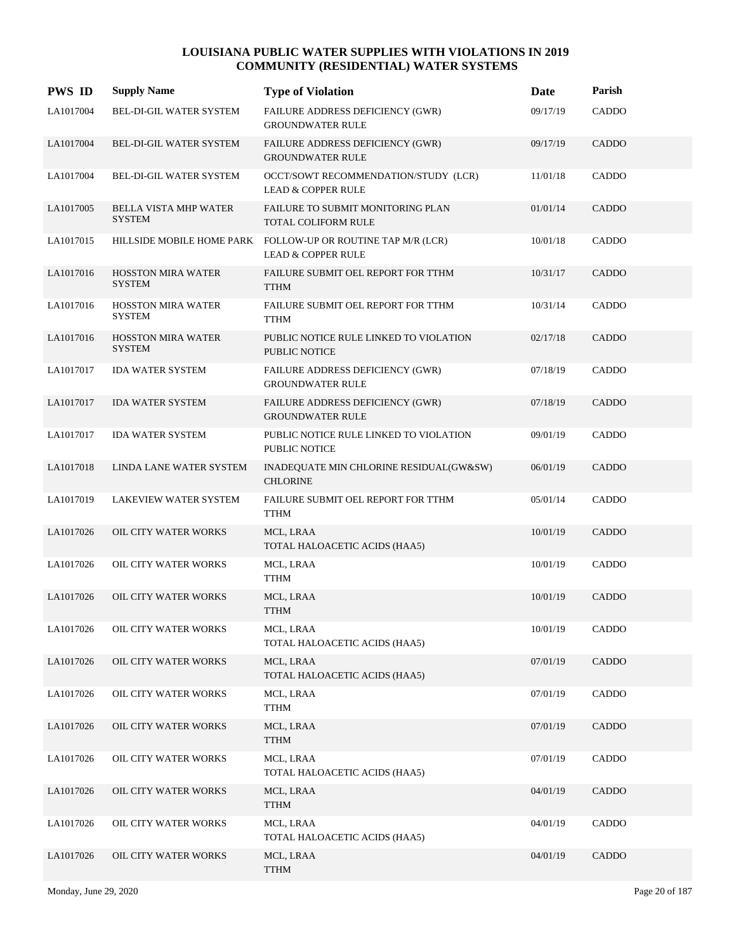| <b>PWS ID</b> | <b>Supply Name</b>                            | <b>Type of Violation</b>                                               | Date     | Parish       |
|---------------|-----------------------------------------------|------------------------------------------------------------------------|----------|--------------|
| LA1017004     | BEL-DI-GIL WATER SYSTEM                       | FAILURE ADDRESS DEFICIENCY (GWR)<br><b>GROUNDWATER RULE</b>            | 09/17/19 | CADDO        |
| LA1017004     | <b>BEL-DI-GIL WATER SYSTEM</b>                | FAILURE ADDRESS DEFICIENCY (GWR)<br><b>GROUNDWATER RULE</b>            | 09/17/19 | CADDO        |
| LA1017004     | BEL-DI-GIL WATER SYSTEM                       | OCCT/SOWT RECOMMENDATION/STUDY (LCR)<br><b>LEAD &amp; COPPER RULE</b>  | 11/01/18 | CADDO        |
| LA1017005     | <b>BELLA VISTA MHP WATER</b><br><b>SYSTEM</b> | <b>FAILURE TO SUBMIT MONITORING PLAN</b><br><b>TOTAL COLIFORM RULE</b> | 01/01/14 | <b>CADDO</b> |
| LA1017015     | HILLSIDE MOBILE HOME PARK                     | FOLLOW-UP OR ROUTINE TAP M/R (LCR)<br><b>LEAD &amp; COPPER RULE</b>    | 10/01/18 | CADDO        |
| LA1017016     | <b>HOSSTON MIRA WATER</b><br><b>SYSTEM</b>    | FAILURE SUBMIT OEL REPORT FOR TTHM<br><b>TTHM</b>                      | 10/31/17 | CADDO        |
| LA1017016     | <b>HOSSTON MIRA WATER</b><br><b>SYSTEM</b>    | FAILURE SUBMIT OEL REPORT FOR TTHM<br><b>TTHM</b>                      | 10/31/14 | CADDO        |
| LA1017016     | <b>HOSSTON MIRA WATER</b><br><b>SYSTEM</b>    | PUBLIC NOTICE RULE LINKED TO VIOLATION<br><b>PUBLIC NOTICE</b>         | 02/17/18 | CADDO        |
| LA1017017     | <b>IDA WATER SYSTEM</b>                       | FAILURE ADDRESS DEFICIENCY (GWR)<br><b>GROUNDWATER RULE</b>            | 07/18/19 | CADDO        |
| LA1017017     | <b>IDA WATER SYSTEM</b>                       | FAILURE ADDRESS DEFICIENCY (GWR)<br><b>GROUNDWATER RULE</b>            | 07/18/19 | CADDO        |
| LA1017017     | <b>IDA WATER SYSTEM</b>                       | PUBLIC NOTICE RULE LINKED TO VIOLATION<br><b>PUBLIC NOTICE</b>         | 09/01/19 | CADDO        |
| LA1017018     | LINDA LANE WATER SYSTEM                       | INADEQUATE MIN CHLORINE RESIDUAL(GW&SW)<br><b>CHLORINE</b>             | 06/01/19 | <b>CADDO</b> |
| LA1017019     | LAKEVIEW WATER SYSTEM                         | FAILURE SUBMIT OEL REPORT FOR TTHM<br><b>TTHM</b>                      | 05/01/14 | CADDO        |
| LA1017026     | OIL CITY WATER WORKS                          | MCL, LRAA<br>TOTAL HALOACETIC ACIDS (HAA5)                             | 10/01/19 | CADDO        |
| LA1017026     | OIL CITY WATER WORKS                          | MCL, LRAA<br><b>TTHM</b>                                               | 10/01/19 | CADDO        |
| LA1017026     | <b>OIL CITY WATER WORKS</b>                   | MCL, LRAA<br><b>TTHM</b>                                               | 10/01/19 | CADDO        |
| LA1017026     | OIL CITY WATER WORKS                          | MCL, LRAA<br>TOTAL HALOACETIC ACIDS (HAA5)                             | 10/01/19 | CADDO        |
| LA1017026     | OIL CITY WATER WORKS                          | MCL, LRAA<br>TOTAL HALOACETIC ACIDS (HAA5)                             | 07/01/19 | CADDO        |
| LA1017026     | OIL CITY WATER WORKS                          | MCL, LRAA<br><b>TTHM</b>                                               | 07/01/19 | CADDO        |
| LA1017026     | OIL CITY WATER WORKS                          | MCL, LRAA<br><b>TTHM</b>                                               | 07/01/19 | CADDO        |
| LA1017026     | OIL CITY WATER WORKS                          | MCL, LRAA<br>TOTAL HALOACETIC ACIDS (HAA5)                             | 07/01/19 | CADDO        |
| LA1017026     | OIL CITY WATER WORKS                          | MCL, LRAA<br><b>TTHM</b>                                               | 04/01/19 | CADDO        |
| LA1017026     | OIL CITY WATER WORKS                          | MCL, LRAA<br>TOTAL HALOACETIC ACIDS (HAA5)                             | 04/01/19 | CADDO        |
| LA1017026     | OIL CITY WATER WORKS                          | MCL, LRAA<br><b>TTHM</b>                                               | 04/01/19 | CADDO        |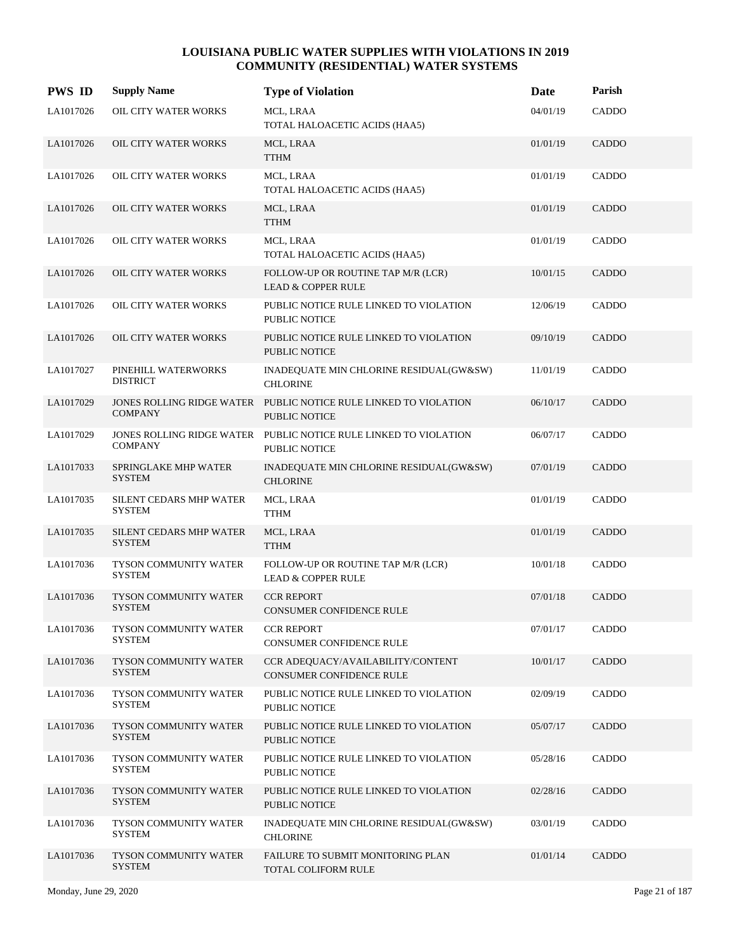| <b>PWS ID</b> | <b>Supply Name</b>                       | <b>Type of Violation</b>                                                          | Date     | Parish |
|---------------|------------------------------------------|-----------------------------------------------------------------------------------|----------|--------|
| LA1017026     | OIL CITY WATER WORKS                     | MCL, LRAA<br>TOTAL HALOACETIC ACIDS (HAA5)                                        | 04/01/19 | CADDO  |
| LA1017026     | OIL CITY WATER WORKS                     | MCL, LRAA<br><b>TTHM</b>                                                          | 01/01/19 | CADDO  |
| LA1017026     | OIL CITY WATER WORKS                     | MCL, LRAA<br>TOTAL HALOACETIC ACIDS (HAA5)                                        | 01/01/19 | CADDO  |
| LA1017026     | OIL CITY WATER WORKS                     | MCL, LRAA<br><b>TTHM</b>                                                          | 01/01/19 | CADDO  |
| LA1017026     | OIL CITY WATER WORKS                     | MCL, LRAA<br>TOTAL HALOACETIC ACIDS (HAA5)                                        | 01/01/19 | CADDO  |
| LA1017026     | OIL CITY WATER WORKS                     | FOLLOW-UP OR ROUTINE TAP M/R (LCR)<br><b>LEAD &amp; COPPER RULE</b>               | 10/01/15 | CADDO  |
| LA1017026     | OIL CITY WATER WORKS                     | PUBLIC NOTICE RULE LINKED TO VIOLATION<br><b>PUBLIC NOTICE</b>                    | 12/06/19 | CADDO  |
| LA1017026     | OIL CITY WATER WORKS                     | PUBLIC NOTICE RULE LINKED TO VIOLATION<br><b>PUBLIC NOTICE</b>                    | 09/10/19 | CADDO  |
| LA1017027     | PINEHILL WATERWORKS<br><b>DISTRICT</b>   | INADEQUATE MIN CHLORINE RESIDUAL(GW&SW)<br><b>CHLORINE</b>                        | 11/01/19 | CADDO  |
| LA1017029     | <b>COMPANY</b>                           | JONES ROLLING RIDGE WATER PUBLIC NOTICE RULE LINKED TO VIOLATION<br>PUBLIC NOTICE | 06/10/17 | CADDO  |
| LA1017029     | <b>COMPANY</b>                           | JONES ROLLING RIDGE WATER PUBLIC NOTICE RULE LINKED TO VIOLATION<br>PUBLIC NOTICE | 06/07/17 | CADDO  |
| LA1017033     | SPRINGLAKE MHP WATER<br><b>SYSTEM</b>    | INADEQUATE MIN CHLORINE RESIDUAL(GW&SW)<br><b>CHLORINE</b>                        | 07/01/19 | CADDO  |
| LA1017035     | SILENT CEDARS MHP WATER<br>SYSTEM        | MCL, LRAA<br>TTHM                                                                 | 01/01/19 | CADDO  |
| LA1017035     | SILENT CEDARS MHP WATER<br><b>SYSTEM</b> | MCL, LRAA<br><b>TTHM</b>                                                          | 01/01/19 | CADDO  |
| LA1017036     | TYSON COMMUNITY WATER<br><b>SYSTEM</b>   | FOLLOW-UP OR ROUTINE TAP M/R (LCR)<br><b>LEAD &amp; COPPER RULE</b>               | 10/01/18 | CADDO  |
| LA1017036     | TYSON COMMUNITY WATER<br><b>SYSTEM</b>   | <b>CCR REPORT</b><br><b>CONSUMER CONFIDENCE RULE</b>                              | 07/01/18 | CADDO  |
| LA1017036     | TYSON COMMUNITY WATER<br>SYSTEM          | <b>CCR REPORT</b><br><b>CONSUMER CONFIDENCE RULE</b>                              | 07/01/17 | CADDO  |
| LA1017036     | TYSON COMMUNITY WATER<br><b>SYSTEM</b>   | CCR ADEOUACY/AVAILABILITY/CONTENT<br>CONSUMER CONFIDENCE RULE                     | 10/01/17 | CADDO  |
| LA1017036     | TYSON COMMUNITY WATER<br>SYSTEM          | PUBLIC NOTICE RULE LINKED TO VIOLATION<br>PUBLIC NOTICE                           | 02/09/19 | CADDO  |
| LA1017036     | TYSON COMMUNITY WATER<br><b>SYSTEM</b>   | PUBLIC NOTICE RULE LINKED TO VIOLATION<br>PUBLIC NOTICE                           | 05/07/17 | CADDO  |
| LA1017036     | TYSON COMMUNITY WATER<br><b>SYSTEM</b>   | PUBLIC NOTICE RULE LINKED TO VIOLATION<br>PUBLIC NOTICE                           | 05/28/16 | CADDO  |
| LA1017036     | TYSON COMMUNITY WATER<br><b>SYSTEM</b>   | PUBLIC NOTICE RULE LINKED TO VIOLATION<br><b>PUBLIC NOTICE</b>                    | 02/28/16 | CADDO  |
| LA1017036     | TYSON COMMUNITY WATER<br>SYSTEM          | INADEQUATE MIN CHLORINE RESIDUAL(GW&SW)<br><b>CHLORINE</b>                        | 03/01/19 | CADDO  |
| LA1017036     | TYSON COMMUNITY WATER<br><b>SYSTEM</b>   | FAILURE TO SUBMIT MONITORING PLAN<br>TOTAL COLIFORM RULE                          | 01/01/14 | CADDO  |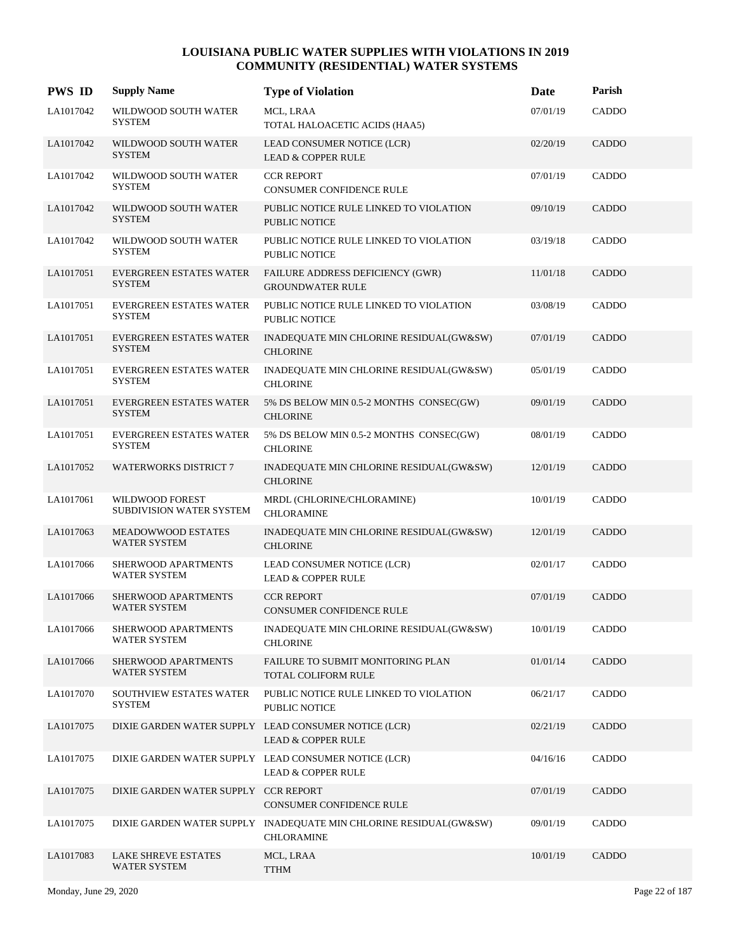| <b>PWS ID</b> | <b>Supply Name</b>                                | <b>Type of Violation</b>                                                               | Date     | Parish       |
|---------------|---------------------------------------------------|----------------------------------------------------------------------------------------|----------|--------------|
| LA1017042     | WILDWOOD SOUTH WATER<br><b>SYSTEM</b>             | MCL, LRAA<br>TOTAL HALOACETIC ACIDS (HAA5)                                             | 07/01/19 | CADDO        |
| LA1017042     | WILDWOOD SOUTH WATER<br><b>SYSTEM</b>             | LEAD CONSUMER NOTICE (LCR)<br><b>LEAD &amp; COPPER RULE</b>                            | 02/20/19 | <b>CADDO</b> |
| LA1017042     | WILDWOOD SOUTH WATER<br><b>SYSTEM</b>             | <b>CCR REPORT</b><br>CONSUMER CONFIDENCE RULE                                          | 07/01/19 | CADDO        |
| LA1017042     | WILDWOOD SOUTH WATER<br><b>SYSTEM</b>             | PUBLIC NOTICE RULE LINKED TO VIOLATION<br><b>PUBLIC NOTICE</b>                         | 09/10/19 | CADDO        |
| LA1017042     | WILDWOOD SOUTH WATER<br><b>SYSTEM</b>             | PUBLIC NOTICE RULE LINKED TO VIOLATION<br>PUBLIC NOTICE                                | 03/19/18 | CADDO        |
| LA1017051     | <b>EVERGREEN ESTATES WATER</b><br><b>SYSTEM</b>   | FAILURE ADDRESS DEFICIENCY (GWR)<br><b>GROUNDWATER RULE</b>                            | 11/01/18 | CADDO        |
| LA1017051     | <b>EVERGREEN ESTATES WATER</b><br><b>SYSTEM</b>   | PUBLIC NOTICE RULE LINKED TO VIOLATION<br>PUBLIC NOTICE                                | 03/08/19 | CADDO        |
| LA1017051     | <b>EVERGREEN ESTATES WATER</b><br><b>SYSTEM</b>   | INADEQUATE MIN CHLORINE RESIDUAL(GW&SW)<br><b>CHLORINE</b>                             | 07/01/19 | <b>CADDO</b> |
| LA1017051     | <b>EVERGREEN ESTATES WATER</b><br><b>SYSTEM</b>   | INADEQUATE MIN CHLORINE RESIDUAL(GW&SW)<br><b>CHLORINE</b>                             | 05/01/19 | CADDO        |
| LA1017051     | EVERGREEN ESTATES WATER<br><b>SYSTEM</b>          | 5% DS BELOW MIN 0.5-2 MONTHS CONSEC(GW)<br><b>CHLORINE</b>                             | 09/01/19 | CADDO        |
| LA1017051     | EVERGREEN ESTATES WATER<br><b>SYSTEM</b>          | 5% DS BELOW MIN 0.5-2 MONTHS CONSEC(GW)<br><b>CHLORINE</b>                             | 08/01/19 | CADDO        |
| LA1017052     | <b>WATERWORKS DISTRICT 7</b>                      | INADEQUATE MIN CHLORINE RESIDUAL(GW&SW)<br><b>CHLORINE</b>                             | 12/01/19 | CADDO        |
| LA1017061     | WILDWOOD FOREST<br>SUBDIVISION WATER SYSTEM       | MRDL (CHLORINE/CHLORAMINE)<br><b>CHLORAMINE</b>                                        | 10/01/19 | CADDO        |
| LA1017063     | <b>MEADOWWOOD ESTATES</b><br><b>WATER SYSTEM</b>  | INADEQUATE MIN CHLORINE RESIDUAL(GW&SW)<br><b>CHLORINE</b>                             | 12/01/19 | CADDO        |
| LA1017066     | SHERWOOD APARTMENTS<br>WATER SYSTEM               | LEAD CONSUMER NOTICE (LCR)<br><b>LEAD &amp; COPPER RULE</b>                            | 02/01/17 | CADDO        |
| LA1017066     | SHERWOOD APARTMENTS<br><b>WATER SYSTEM</b>        | <b>CCR REPORT</b><br><b>CONSUMER CONFIDENCE RULE</b>                                   | 07/01/19 | CADDO        |
| LA1017066     | SHERWOOD APARTMENTS<br>WATER SYSTEM               | INADEQUATE MIN CHLORINE RESIDUAL(GW&SW)<br><b>CHLORINE</b>                             | 10/01/19 | CADDO        |
| LA1017066     | SHERWOOD APARTMENTS<br><b>WATER SYSTEM</b>        | FAILURE TO SUBMIT MONITORING PLAN<br>TOTAL COLIFORM RULE                               | 01/01/14 | CADDO        |
| LA1017070     | SOUTHVIEW ESTATES WATER<br>SYSTEM                 | PUBLIC NOTICE RULE LINKED TO VIOLATION<br>PUBLIC NOTICE                                | 06/21/17 | CADDO        |
| LA1017075     |                                                   | DIXIE GARDEN WATER SUPPLY LEAD CONSUMER NOTICE (LCR)<br><b>LEAD &amp; COPPER RULE</b>  | 02/21/19 | CADDO        |
| LA1017075     |                                                   | DIXIE GARDEN WATER SUPPLY LEAD CONSUMER NOTICE (LCR)<br><b>LEAD &amp; COPPER RULE</b>  | 04/16/16 | CADDO        |
| LA1017075     | DIXIE GARDEN WATER SUPPLY CCR REPORT              | CONSUMER CONFIDENCE RULE                                                               | 07/01/19 | CADDO        |
| LA1017075     |                                                   | DIXIE GARDEN WATER SUPPLY INADEQUATE MIN CHLORINE RESIDUAL(GW&SW)<br><b>CHLORAMINE</b> | 09/01/19 | CADDO        |
| LA1017083     | <b>LAKE SHREVE ESTATES</b><br><b>WATER SYSTEM</b> | MCL, LRAA<br><b>TTHM</b>                                                               | 10/01/19 | CADDO        |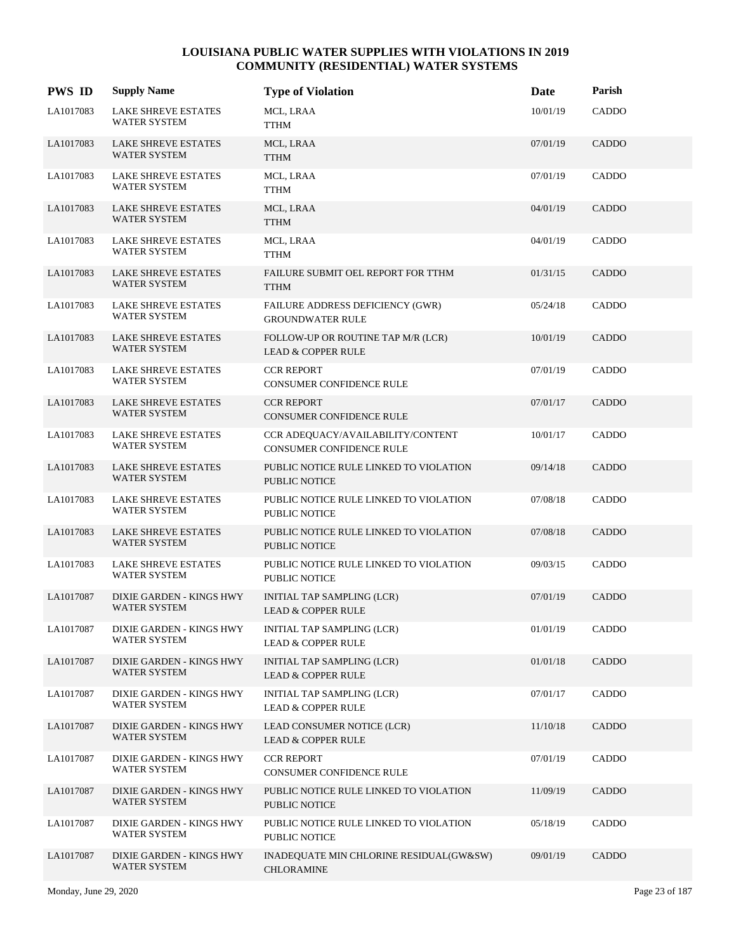| <b>PWS ID</b> | <b>Supply Name</b>                                | <b>Type of Violation</b>                                            | Date     | Parish       |
|---------------|---------------------------------------------------|---------------------------------------------------------------------|----------|--------------|
| LA1017083     | LAKE SHREVE ESTATES<br>WATER SYSTEM               | MCL, LRAA<br><b>TTHM</b>                                            | 10/01/19 | CADDO        |
| LA1017083     | <b>LAKE SHREVE ESTATES</b><br>WATER SYSTEM        | MCL, LRAA<br><b>TTHM</b>                                            | 07/01/19 | CADDO        |
| LA1017083     | <b>LAKE SHREVE ESTATES</b><br><b>WATER SYSTEM</b> | MCL, LRAA<br><b>TTHM</b>                                            | 07/01/19 | CADDO        |
| LA1017083     | <b>LAKE SHREVE ESTATES</b><br>WATER SYSTEM        | MCL, LRAA<br><b>TTHM</b>                                            | 04/01/19 | CADDO        |
| LA1017083     | <b>LAKE SHREVE ESTATES</b><br>WATER SYSTEM        | MCL, LRAA<br><b>TTHM</b>                                            | 04/01/19 | CADDO        |
| LA1017083     | <b>LAKE SHREVE ESTATES</b><br>WATER SYSTEM        | FAILURE SUBMIT OEL REPORT FOR TTHM<br><b>TTHM</b>                   | 01/31/15 | CADDO        |
| LA1017083     | <b>LAKE SHREVE ESTATES</b><br>WATER SYSTEM        | FAILURE ADDRESS DEFICIENCY (GWR)<br><b>GROUNDWATER RULE</b>         | 05/24/18 | CADDO        |
| LA1017083     | <b>LAKE SHREVE ESTATES</b><br>WATER SYSTEM        | FOLLOW-UP OR ROUTINE TAP M/R (LCR)<br><b>LEAD &amp; COPPER RULE</b> | 10/01/19 | CADDO        |
| LA1017083     | LAKE SHREVE ESTATES<br>WATER SYSTEM               | <b>CCR REPORT</b><br>CONSUMER CONFIDENCE RULE                       | 07/01/19 | CADDO        |
| LA1017083     | <b>LAKE SHREVE ESTATES</b><br><b>WATER SYSTEM</b> | <b>CCR REPORT</b><br>CONSUMER CONFIDENCE RULE                       | 07/01/17 | CADDO        |
| LA1017083     | <b>LAKE SHREVE ESTATES</b><br><b>WATER SYSTEM</b> | CCR ADEQUACY/AVAILABILITY/CONTENT<br>CONSUMER CONFIDENCE RULE       | 10/01/17 | CADDO        |
| LA1017083     | <b>LAKE SHREVE ESTATES</b><br><b>WATER SYSTEM</b> | PUBLIC NOTICE RULE LINKED TO VIOLATION<br>PUBLIC NOTICE             | 09/14/18 | <b>CADDO</b> |
| LA1017083     | <b>LAKE SHREVE ESTATES</b><br>WATER SYSTEM        | PUBLIC NOTICE RULE LINKED TO VIOLATION<br>PUBLIC NOTICE             | 07/08/18 | CADDO        |
| LA1017083     | <b>LAKE SHREVE ESTATES</b><br><b>WATER SYSTEM</b> | PUBLIC NOTICE RULE LINKED TO VIOLATION<br><b>PUBLIC NOTICE</b>      | 07/08/18 | CADDO        |
| LA1017083     | <b>LAKE SHREVE ESTATES</b><br><b>WATER SYSTEM</b> | PUBLIC NOTICE RULE LINKED TO VIOLATION<br><b>PUBLIC NOTICE</b>      | 09/03/15 | CADDO        |
| LA1017087     | DIXIE GARDEN - KINGS HWY<br><b>WATER SYSTEM</b>   | INITIAL TAP SAMPLING (LCR)<br><b>LEAD &amp; COPPER RULE</b>         | 07/01/19 | <b>CADDO</b> |
| LA1017087     | DIXIE GARDEN - KINGS HWY<br>WATER SYSTEM          | INITIAL TAP SAMPLING (LCR)<br><b>LEAD &amp; COPPER RULE</b>         | 01/01/19 | CADDO        |
| LA1017087     | DIXIE GARDEN - KINGS HWY<br>WATER SYSTEM          | INITIAL TAP SAMPLING (LCR)<br><b>LEAD &amp; COPPER RULE</b>         | 01/01/18 | CADDO        |
| LA1017087     | DIXIE GARDEN - KINGS HWY<br>WATER SYSTEM          | INITIAL TAP SAMPLING (LCR)<br><b>LEAD &amp; COPPER RULE</b>         | 07/01/17 | CADDO        |
| LA1017087     | DIXIE GARDEN - KINGS HWY<br>WATER SYSTEM          | LEAD CONSUMER NOTICE (LCR)<br><b>LEAD &amp; COPPER RULE</b>         | 11/10/18 | CADDO        |
| LA1017087     | DIXIE GARDEN - KINGS HWY<br>WATER SYSTEM          | <b>CCR REPORT</b><br>CONSUMER CONFIDENCE RULE                       | 07/01/19 | CADDO        |
| LA1017087     | DIXIE GARDEN - KINGS HWY<br>WATER SYSTEM          | PUBLIC NOTICE RULE LINKED TO VIOLATION<br>PUBLIC NOTICE             | 11/09/19 | CADDO        |
| LA1017087     | DIXIE GARDEN - KINGS HWY<br>WATER SYSTEM          | PUBLIC NOTICE RULE LINKED TO VIOLATION<br><b>PUBLIC NOTICE</b>      | 05/18/19 | CADDO        |
| LA1017087     | DIXIE GARDEN - KINGS HWY<br>WATER SYSTEM          | INADEQUATE MIN CHLORINE RESIDUAL(GW&SW)<br><b>CHLORAMINE</b>        | 09/01/19 | CADDO        |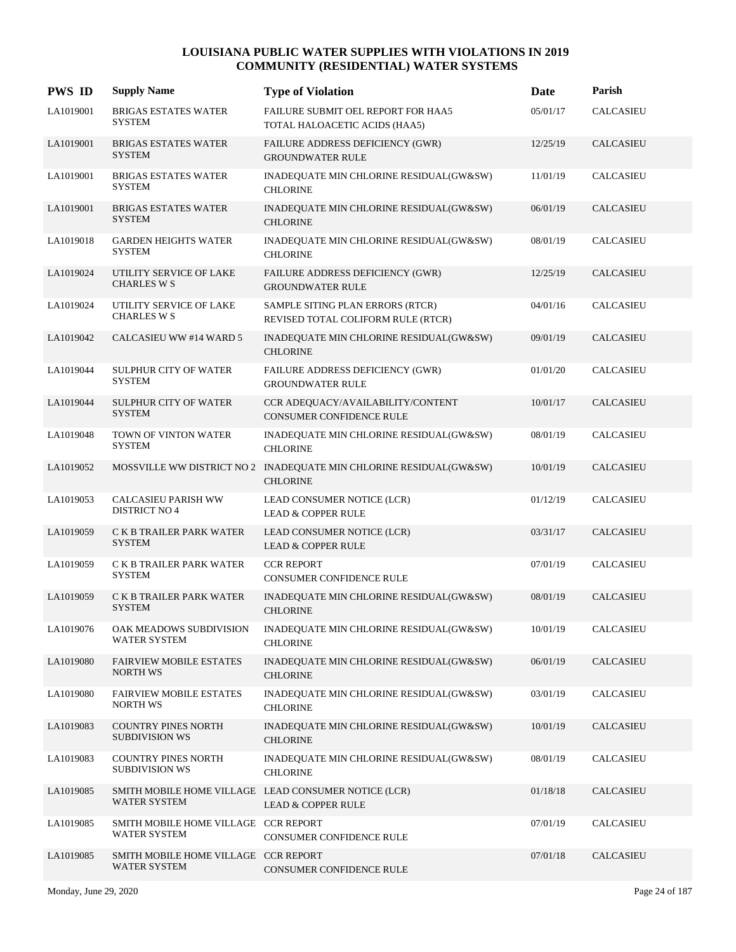| <b>PWS ID</b> | <b>Supply Name</b>                                   | <b>Type of Violation</b>                                                              | Date     | Parish           |
|---------------|------------------------------------------------------|---------------------------------------------------------------------------------------|----------|------------------|
| LA1019001     | <b>BRIGAS ESTATES WATER</b><br><b>SYSTEM</b>         | FAILURE SUBMIT OEL REPORT FOR HAA5<br>TOTAL HALOACETIC ACIDS (HAA5)                   | 05/01/17 | <b>CALCASIEU</b> |
| LA1019001     | <b>BRIGAS ESTATES WATER</b><br><b>SYSTEM</b>         | FAILURE ADDRESS DEFICIENCY (GWR)<br><b>GROUNDWATER RULE</b>                           | 12/25/19 | CALCASIEU        |
| LA1019001     | <b>BRIGAS ESTATES WATER</b><br><b>SYSTEM</b>         | INADEQUATE MIN CHLORINE RESIDUAL(GW&SW)<br><b>CHLORINE</b>                            | 11/01/19 | <b>CALCASIEU</b> |
| LA1019001     | <b>BRIGAS ESTATES WATER</b><br><b>SYSTEM</b>         | INADEQUATE MIN CHLORINE RESIDUAL(GW&SW)<br><b>CHLORINE</b>                            | 06/01/19 | <b>CALCASIEU</b> |
| LA1019018     | <b>GARDEN HEIGHTS WATER</b><br><b>SYSTEM</b>         | INADEQUATE MIN CHLORINE RESIDUAL(GW&SW)<br><b>CHLORINE</b>                            | 08/01/19 | CALCASIEU        |
| LA1019024     | UTILITY SERVICE OF LAKE<br><b>CHARLES W S</b>        | FAILURE ADDRESS DEFICIENCY (GWR)<br><b>GROUNDWATER RULE</b>                           | 12/25/19 | CALCASIEU        |
| LA1019024     | UTILITY SERVICE OF LAKE<br><b>CHARLES W S</b>        | SAMPLE SITING PLAN ERRORS (RTCR)<br>REVISED TOTAL COLIFORM RULE (RTCR)                | 04/01/16 | CALCASIEU        |
| LA1019042     | CALCASIEU WW #14 WARD 5                              | INADEQUATE MIN CHLORINE RESIDUAL(GW&SW)<br><b>CHLORINE</b>                            | 09/01/19 | <b>CALCASIEU</b> |
| LA1019044     | SULPHUR CITY OF WATER<br><b>SYSTEM</b>               | FAILURE ADDRESS DEFICIENCY (GWR)<br><b>GROUNDWATER RULE</b>                           | 01/01/20 | CALCASIEU        |
| LA1019044     | <b>SULPHUR CITY OF WATER</b><br><b>SYSTEM</b>        | CCR ADEQUACY/AVAILABILITY/CONTENT<br><b>CONSUMER CONFIDENCE RULE</b>                  | 10/01/17 | <b>CALCASIEU</b> |
| LA1019048     | TOWN OF VINTON WATER<br><b>SYSTEM</b>                | INADEQUATE MIN CHLORINE RESIDUAL(GW&SW)<br><b>CHLORINE</b>                            | 08/01/19 | CALCASIEU        |
| LA1019052     |                                                      | MOSSVILLE WW DISTRICT NO 2 INADEQUATE MIN CHLORINE RESIDUAL(GW&SW)<br><b>CHLORINE</b> | 10/01/19 | <b>CALCASIEU</b> |
| LA1019053     | <b>CALCASIEU PARISH WW</b><br><b>DISTRICT NO 4</b>   | LEAD CONSUMER NOTICE (LCR)<br><b>LEAD &amp; COPPER RULE</b>                           | 01/12/19 | <b>CALCASIEU</b> |
| LA1019059     | C K B TRAILER PARK WATER<br><b>SYSTEM</b>            | LEAD CONSUMER NOTICE (LCR)<br><b>LEAD &amp; COPPER RULE</b>                           | 03/31/17 | CALCASIEU        |
| LA1019059     | C K B TRAILER PARK WATER<br><b>SYSTEM</b>            | <b>CCR REPORT</b><br>CONSUMER CONFIDENCE RULE                                         | 07/01/19 | <b>CALCASIEU</b> |
| LA1019059     | C K B TRAILER PARK WATER<br><b>SYSTEM</b>            | INADEQUATE MIN CHLORINE RESIDUAL(GW&SW)<br><b>CHLORINE</b>                            | 08/01/19 | <b>CALCASIEU</b> |
| LA1019076     | OAK MEADOWS SUBDIVISION<br>WATER SYSTEM              | INADEQUATE MIN CHLORINE RESIDUAL(GW&SW)<br><b>CHLORINE</b>                            | 10/01/19 | CALCASIEU        |
| LA1019080     | <b>FAIRVIEW MOBILE ESTATES</b><br>NORTH WS           | INADEQUATE MIN CHLORINE RESIDUAL(GW&SW)<br><b>CHLORINE</b>                            | 06/01/19 | CALCASIEU        |
| LA1019080     | <b>FAIRVIEW MOBILE ESTATES</b><br><b>NORTH WS</b>    | INADEQUATE MIN CHLORINE RESIDUAL(GW&SW)<br><b>CHLORINE</b>                            | 03/01/19 | CALCASIEU        |
| LA1019083     | <b>COUNTRY PINES NORTH</b><br><b>SUBDIVISION WS</b>  | INADEQUATE MIN CHLORINE RESIDUAL(GW&SW)<br><b>CHLORINE</b>                            | 10/01/19 | CALCASIEU        |
| LA1019083     | <b>COUNTRY PINES NORTH</b><br><b>SUBDIVISION WS</b>  | INADEQUATE MIN CHLORINE RESIDUAL(GW&SW)<br><b>CHLORINE</b>                            | 08/01/19 | CALCASIEU        |
| LA1019085     | <b>WATER SYSTEM</b>                                  | SMITH MOBILE HOME VILLAGE LEAD CONSUMER NOTICE (LCR)<br><b>LEAD &amp; COPPER RULE</b> | 01/18/18 | CALCASIEU        |
| LA1019085     | SMITH MOBILE HOME VILLAGE CCR REPORT<br>WATER SYSTEM | CONSUMER CONFIDENCE RULE                                                              | 07/01/19 | CALCASIEU        |
| LA1019085     | SMITH MOBILE HOME VILLAGE CCR REPORT<br>WATER SYSTEM | CONSUMER CONFIDENCE RULE                                                              | 07/01/18 | CALCASIEU        |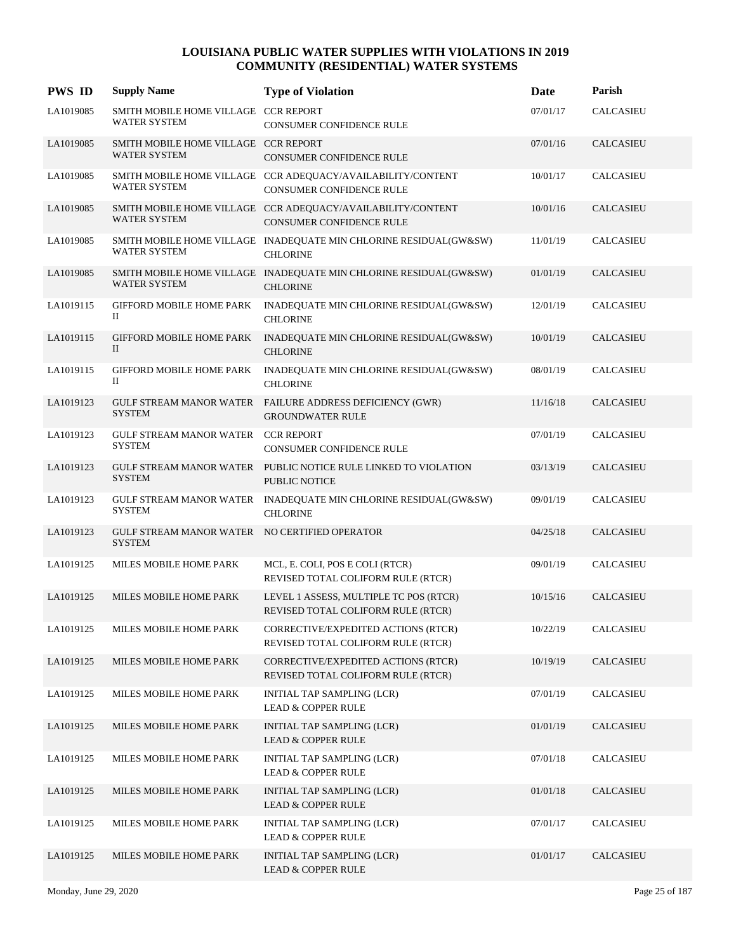| <b>PWS ID</b> | <b>Supply Name</b>                                             | <b>Type of Violation</b>                                                                       | Date     | Parish           |
|---------------|----------------------------------------------------------------|------------------------------------------------------------------------------------------------|----------|------------------|
| LA1019085     | SMITH MOBILE HOME VILLAGE CCR REPORT<br><b>WATER SYSTEM</b>    | CONSUMER CONFIDENCE RULE                                                                       | 07/01/17 | CALCASIEU        |
| LA1019085     | SMITH MOBILE HOME VILLAGE CCR REPORT<br><b>WATER SYSTEM</b>    | <b>CONSUMER CONFIDENCE RULE</b>                                                                | 07/01/16 | CALCASIEU        |
| LA1019085     | <b>WATER SYSTEM</b>                                            | SMITH MOBILE HOME VILLAGE CCR ADEQUACY/AVAILABILITY/CONTENT<br><b>CONSUMER CONFIDENCE RULE</b> | 10/01/17 | CALCASIEU        |
| LA1019085     | <b>WATER SYSTEM</b>                                            | SMITH MOBILE HOME VILLAGE CCR ADEQUACY/AVAILABILITY/CONTENT<br><b>CONSUMER CONFIDENCE RULE</b> | 10/01/16 | CALCASIEU        |
| LA1019085     | <b>WATER SYSTEM</b>                                            | SMITH MOBILE HOME VILLAGE INADEQUATE MIN CHLORINE RESIDUAL(GW&SW)<br><b>CHLORINE</b>           | 11/01/19 | CALCASIEU        |
| LA1019085     | <b>WATER SYSTEM</b>                                            | SMITH MOBILE HOME VILLAGE INADEQUATE MIN CHLORINE RESIDUAL(GW&SW)<br><b>CHLORINE</b>           | 01/01/19 | CALCASIEU        |
| LA1019115     | GIFFORD MOBILE HOME PARK<br>П                                  | INADEQUATE MIN CHLORINE RESIDUAL(GW&SW)<br><b>CHLORINE</b>                                     | 12/01/19 | CALCASIEU        |
| LA1019115     | <b>GIFFORD MOBILE HOME PARK</b><br>П                           | INADEQUATE MIN CHLORINE RESIDUAL(GW&SW)<br><b>CHLORINE</b>                                     | 10/01/19 | CALCASIEU        |
| LA1019115     | GIFFORD MOBILE HOME PARK<br>П                                  | INADEQUATE MIN CHLORINE RESIDUAL(GW&SW)<br><b>CHLORINE</b>                                     | 08/01/19 | CALCASIEU        |
| LA1019123     | <b>SYSTEM</b>                                                  | GULF STREAM MANOR WATER FAILURE ADDRESS DEFICIENCY (GWR)<br><b>GROUNDWATER RULE</b>            | 11/16/18 | <b>CALCASIEU</b> |
| LA1019123     | GULF STREAM MANOR WATER CCR REPORT<br><b>SYSTEM</b>            | CONSUMER CONFIDENCE RULE                                                                       | 07/01/19 | CALCASIEU        |
| LA1019123     | <b>GULF STREAM MANOR WATER</b><br><b>SYSTEM</b>                | PUBLIC NOTICE RULE LINKED TO VIOLATION<br><b>PUBLIC NOTICE</b>                                 | 03/13/19 | <b>CALCASIEU</b> |
| LA1019123     | <b>GULF STREAM MANOR WATER</b><br><b>SYSTEM</b>                | INADEQUATE MIN CHLORINE RESIDUAL(GW&SW)<br><b>CHLORINE</b>                                     | 09/01/19 | CALCASIEU        |
| LA1019123     | GULF STREAM MANOR WATER NO CERTIFIED OPERATOR<br><b>SYSTEM</b> |                                                                                                | 04/25/18 | CALCASIEU        |
| LA1019125     | MILES MOBILE HOME PARK                                         | MCL, E. COLI, POS E COLI (RTCR)<br>REVISED TOTAL COLIFORM RULE (RTCR)                          | 09/01/19 | CALCASIEU        |
| LA1019125     | MILES MOBILE HOME PARK                                         | LEVEL 1 ASSESS, MULTIPLE TC POS (RTCR)<br>REVISED TOTAL COLIFORM RULE (RTCR)                   | 10/15/16 | <b>CALCASIEU</b> |
| LA1019125     | MILES MOBILE HOME PARK                                         | CORRECTIVE/EXPEDITED ACTIONS (RTCR)<br>REVISED TOTAL COLIFORM RULE (RTCR)                      | 10/22/19 | CALCASIEU        |
| LA1019125     | MILES MOBILE HOME PARK                                         | CORRECTIVE/EXPEDITED ACTIONS (RTCR)<br>REVISED TOTAL COLIFORM RULE (RTCR)                      | 10/19/19 | <b>CALCASIEU</b> |
| LA1019125     | MILES MOBILE HOME PARK                                         | <b>INITIAL TAP SAMPLING (LCR)</b><br><b>LEAD &amp; COPPER RULE</b>                             | 07/01/19 | CALCASIEU        |
| LA1019125     | MILES MOBILE HOME PARK                                         | INITIAL TAP SAMPLING (LCR)<br><b>LEAD &amp; COPPER RULE</b>                                    | 01/01/19 | CALCASIEU        |
| LA1019125     | MILES MOBILE HOME PARK                                         | INITIAL TAP SAMPLING (LCR)<br><b>LEAD &amp; COPPER RULE</b>                                    | 07/01/18 | CALCASIEU        |
| LA1019125     | MILES MOBILE HOME PARK                                         | INITIAL TAP SAMPLING (LCR)<br><b>LEAD &amp; COPPER RULE</b>                                    | 01/01/18 | <b>CALCASIEU</b> |
| LA1019125     | MILES MOBILE HOME PARK                                         | INITIAL TAP SAMPLING (LCR)<br><b>LEAD &amp; COPPER RULE</b>                                    | 07/01/17 | CALCASIEU        |
| LA1019125     | MILES MOBILE HOME PARK                                         | INITIAL TAP SAMPLING (LCR)<br><b>LEAD &amp; COPPER RULE</b>                                    | 01/01/17 | CALCASIEU        |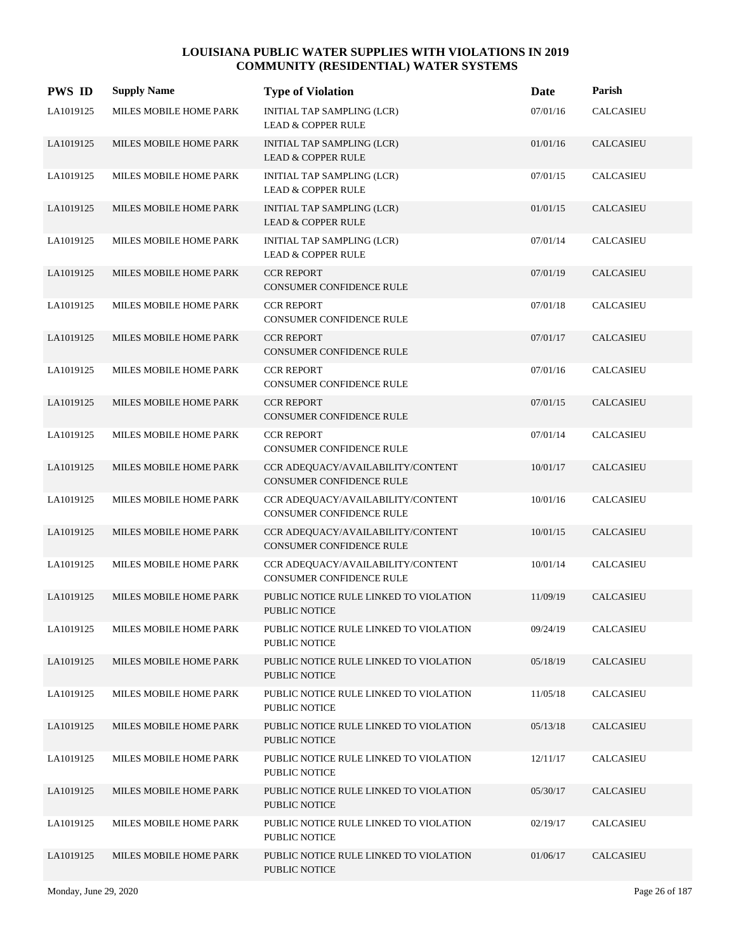| <b>PWS ID</b> | <b>Supply Name</b>     | <b>Type of Violation</b>                                       | Date     | Parish           |
|---------------|------------------------|----------------------------------------------------------------|----------|------------------|
| LA1019125     | MILES MOBILE HOME PARK | INITIAL TAP SAMPLING (LCR)<br><b>LEAD &amp; COPPER RULE</b>    | 07/01/16 | <b>CALCASIEU</b> |
| LA1019125     | MILES MOBILE HOME PARK | INITIAL TAP SAMPLING (LCR)<br><b>LEAD &amp; COPPER RULE</b>    | 01/01/16 | <b>CALCASIEU</b> |
| LA1019125     | MILES MOBILE HOME PARK | INITIAL TAP SAMPLING (LCR)<br><b>LEAD &amp; COPPER RULE</b>    | 07/01/15 | <b>CALCASIEU</b> |
| LA1019125     | MILES MOBILE HOME PARK | INITIAL TAP SAMPLING (LCR)<br><b>LEAD &amp; COPPER RULE</b>    | 01/01/15 | <b>CALCASIEU</b> |
| LA1019125     | MILES MOBILE HOME PARK | INITIAL TAP SAMPLING (LCR)<br><b>LEAD &amp; COPPER RULE</b>    | 07/01/14 | <b>CALCASIEU</b> |
| LA1019125     | MILES MOBILE HOME PARK | <b>CCR REPORT</b><br>CONSUMER CONFIDENCE RULE                  | 07/01/19 | <b>CALCASIEU</b> |
| LA1019125     | MILES MOBILE HOME PARK | <b>CCR REPORT</b><br>CONSUMER CONFIDENCE RULE                  | 07/01/18 | CALCASIEU        |
| LA1019125     | MILES MOBILE HOME PARK | <b>CCR REPORT</b><br><b>CONSUMER CONFIDENCE RULE</b>           | 07/01/17 | <b>CALCASIEU</b> |
| LA1019125     | MILES MOBILE HOME PARK | <b>CCR REPORT</b><br>CONSUMER CONFIDENCE RULE                  | 07/01/16 | <b>CALCASIEU</b> |
| LA1019125     | MILES MOBILE HOME PARK | <b>CCR REPORT</b><br>CONSUMER CONFIDENCE RULE                  | 07/01/15 | <b>CALCASIEU</b> |
| LA1019125     | MILES MOBILE HOME PARK | <b>CCR REPORT</b><br>CONSUMER CONFIDENCE RULE                  | 07/01/14 | <b>CALCASIEU</b> |
| LA1019125     | MILES MOBILE HOME PARK | CCR ADEQUACY/AVAILABILITY/CONTENT<br>CONSUMER CONFIDENCE RULE  | 10/01/17 | <b>CALCASIEU</b> |
| LA1019125     | MILES MOBILE HOME PARK | CCR ADEQUACY/AVAILABILITY/CONTENT<br>CONSUMER CONFIDENCE RULE  | 10/01/16 | <b>CALCASIEU</b> |
| LA1019125     | MILES MOBILE HOME PARK | CCR ADEQUACY/AVAILABILITY/CONTENT<br>CONSUMER CONFIDENCE RULE  | 10/01/15 | <b>CALCASIEU</b> |
| LA1019125     | MILES MOBILE HOME PARK | CCR ADEQUACY/AVAILABILITY/CONTENT<br>CONSUMER CONFIDENCE RULE  | 10/01/14 | <b>CALCASIEU</b> |
| LA1019125     | MILES MOBILE HOME PARK | PUBLIC NOTICE RULE LINKED TO VIOLATION<br><b>PUBLIC NOTICE</b> | 11/09/19 | CALCASIEU        |
| LA1019125     | MILES MOBILE HOME PARK | PUBLIC NOTICE RULE LINKED TO VIOLATION<br>PUBLIC NOTICE        | 09/24/19 | CALCASIEU        |
| LA1019125     | MILES MOBILE HOME PARK | PUBLIC NOTICE RULE LINKED TO VIOLATION<br>PUBLIC NOTICE        | 05/18/19 | <b>CALCASIEU</b> |
| LA1019125     | MILES MOBILE HOME PARK | PUBLIC NOTICE RULE LINKED TO VIOLATION<br>PUBLIC NOTICE        | 11/05/18 | <b>CALCASIEU</b> |
| LA1019125     | MILES MOBILE HOME PARK | PUBLIC NOTICE RULE LINKED TO VIOLATION<br>PUBLIC NOTICE        | 05/13/18 | <b>CALCASIEU</b> |
| LA1019125     | MILES MOBILE HOME PARK | PUBLIC NOTICE RULE LINKED TO VIOLATION<br><b>PUBLIC NOTICE</b> | 12/11/17 | CALCASIEU        |
| LA1019125     | MILES MOBILE HOME PARK | PUBLIC NOTICE RULE LINKED TO VIOLATION<br>PUBLIC NOTICE        | 05/30/17 | <b>CALCASIEU</b> |
| LA1019125     | MILES MOBILE HOME PARK | PUBLIC NOTICE RULE LINKED TO VIOLATION<br>PUBLIC NOTICE        | 02/19/17 | CALCASIEU        |
| LA1019125     | MILES MOBILE HOME PARK | PUBLIC NOTICE RULE LINKED TO VIOLATION<br>PUBLIC NOTICE        | 01/06/17 | <b>CALCASIEU</b> |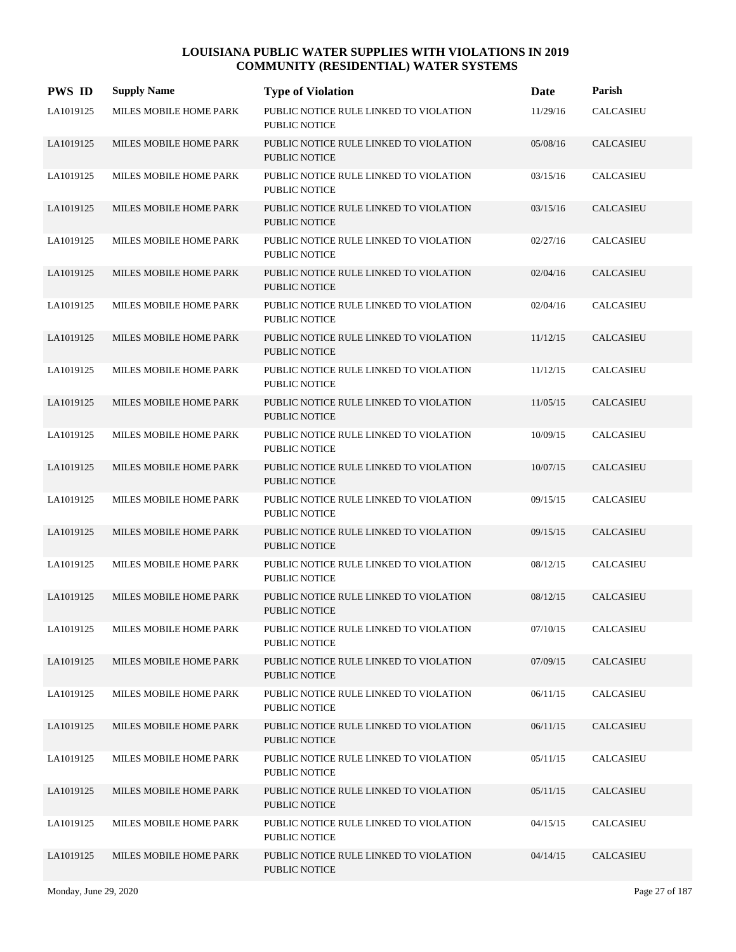| <b>PWS ID</b> | <b>Supply Name</b>     | <b>Type of Violation</b>                                       | Date     | Parish           |
|---------------|------------------------|----------------------------------------------------------------|----------|------------------|
| LA1019125     | MILES MOBILE HOME PARK | PUBLIC NOTICE RULE LINKED TO VIOLATION<br><b>PUBLIC NOTICE</b> | 11/29/16 | <b>CALCASIEU</b> |
| LA1019125     | MILES MOBILE HOME PARK | PUBLIC NOTICE RULE LINKED TO VIOLATION<br><b>PUBLIC NOTICE</b> | 05/08/16 | <b>CALCASIEU</b> |
| LA1019125     | MILES MOBILE HOME PARK | PUBLIC NOTICE RULE LINKED TO VIOLATION<br><b>PUBLIC NOTICE</b> | 03/15/16 | CALCASIEU        |
| LA1019125     | MILES MOBILE HOME PARK | PUBLIC NOTICE RULE LINKED TO VIOLATION<br><b>PUBLIC NOTICE</b> | 03/15/16 | <b>CALCASIEU</b> |
| LA1019125     | MILES MOBILE HOME PARK | PUBLIC NOTICE RULE LINKED TO VIOLATION<br><b>PUBLIC NOTICE</b> | 02/27/16 | <b>CALCASIEU</b> |
| LA1019125     | MILES MOBILE HOME PARK | PUBLIC NOTICE RULE LINKED TO VIOLATION<br><b>PUBLIC NOTICE</b> | 02/04/16 | <b>CALCASIEU</b> |
| LA1019125     | MILES MOBILE HOME PARK | PUBLIC NOTICE RULE LINKED TO VIOLATION<br><b>PUBLIC NOTICE</b> | 02/04/16 | <b>CALCASIEU</b> |
| LA1019125     | MILES MOBILE HOME PARK | PUBLIC NOTICE RULE LINKED TO VIOLATION<br><b>PUBLIC NOTICE</b> | 11/12/15 | <b>CALCASIEU</b> |
| LA1019125     | MILES MOBILE HOME PARK | PUBLIC NOTICE RULE LINKED TO VIOLATION<br><b>PUBLIC NOTICE</b> | 11/12/15 | <b>CALCASIEU</b> |
| LA1019125     | MILES MOBILE HOME PARK | PUBLIC NOTICE RULE LINKED TO VIOLATION<br><b>PUBLIC NOTICE</b> | 11/05/15 | <b>CALCASIEU</b> |
| LA1019125     | MILES MOBILE HOME PARK | PUBLIC NOTICE RULE LINKED TO VIOLATION<br><b>PUBLIC NOTICE</b> | 10/09/15 | <b>CALCASIEU</b> |
| LA1019125     | MILES MOBILE HOME PARK | PUBLIC NOTICE RULE LINKED TO VIOLATION<br>PUBLIC NOTICE        | 10/07/15 | <b>CALCASIEU</b> |
| LA1019125     | MILES MOBILE HOME PARK | PUBLIC NOTICE RULE LINKED TO VIOLATION<br><b>PUBLIC NOTICE</b> | 09/15/15 | CALCASIEU        |
| LA1019125     | MILES MOBILE HOME PARK | PUBLIC NOTICE RULE LINKED TO VIOLATION<br><b>PUBLIC NOTICE</b> | 09/15/15 | <b>CALCASIEU</b> |
| LA1019125     | MILES MOBILE HOME PARK | PUBLIC NOTICE RULE LINKED TO VIOLATION<br><b>PUBLIC NOTICE</b> | 08/12/15 | CALCASIEU        |
| LA1019125     | MILES MOBILE HOME PARK | PUBLIC NOTICE RULE LINKED TO VIOLATION<br><b>PUBLIC NOTICE</b> | 08/12/15 | <b>CALCASIEU</b> |
| LA1019125     | MILES MOBILE HOME PARK | PUBLIC NOTICE RULE LINKED TO VIOLATION<br>PUBLIC NOTICE        | 07/10/15 | CALCASIEU        |
| LA1019125     | MILES MOBILE HOME PARK | PUBLIC NOTICE RULE LINKED TO VIOLATION<br>PUBLIC NOTICE        | 07/09/15 | <b>CALCASIEU</b> |
| LA1019125     | MILES MOBILE HOME PARK | PUBLIC NOTICE RULE LINKED TO VIOLATION<br>PUBLIC NOTICE        | 06/11/15 | <b>CALCASIEU</b> |
| LA1019125     | MILES MOBILE HOME PARK | PUBLIC NOTICE RULE LINKED TO VIOLATION<br><b>PUBLIC NOTICE</b> | 06/11/15 | <b>CALCASIEU</b> |
| LA1019125     | MILES MOBILE HOME PARK | PUBLIC NOTICE RULE LINKED TO VIOLATION<br>PUBLIC NOTICE        | 05/11/15 | CALCASIEU        |
| LA1019125     | MILES MOBILE HOME PARK | PUBLIC NOTICE RULE LINKED TO VIOLATION<br><b>PUBLIC NOTICE</b> | 05/11/15 | CALCASIEU        |
| LA1019125     | MILES MOBILE HOME PARK | PUBLIC NOTICE RULE LINKED TO VIOLATION<br>PUBLIC NOTICE        | 04/15/15 | CALCASIEU        |
| LA1019125     | MILES MOBILE HOME PARK | PUBLIC NOTICE RULE LINKED TO VIOLATION<br>PUBLIC NOTICE        | 04/14/15 | <b>CALCASIEU</b> |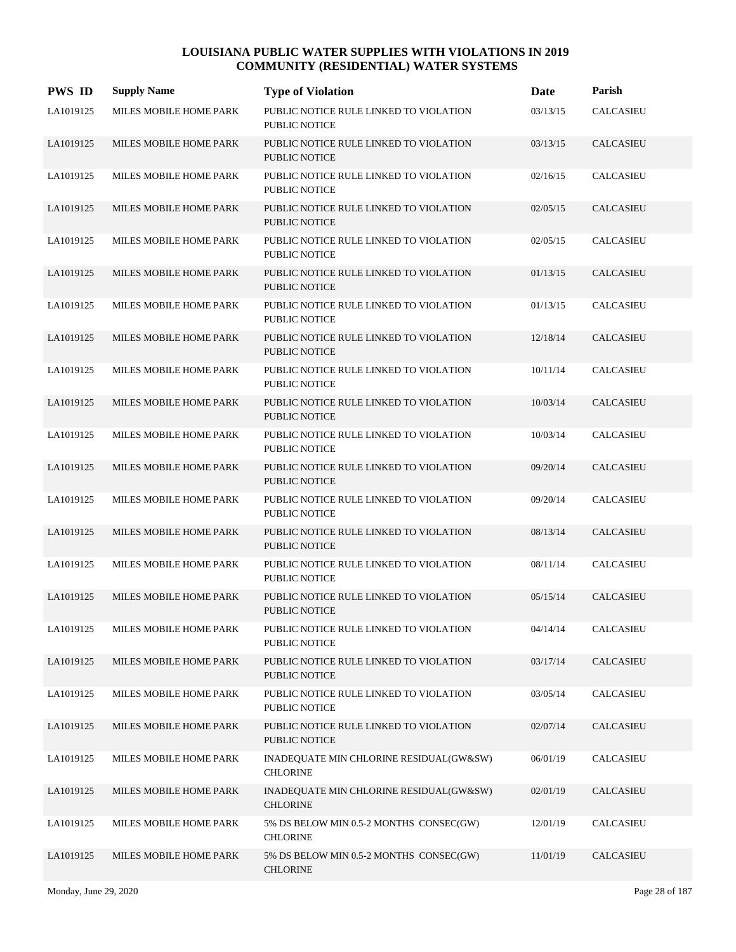| <b>PWS ID</b> | <b>Supply Name</b>     | <b>Type of Violation</b>                                       | Date     | Parish           |
|---------------|------------------------|----------------------------------------------------------------|----------|------------------|
| LA1019125     | MILES MOBILE HOME PARK | PUBLIC NOTICE RULE LINKED TO VIOLATION<br><b>PUBLIC NOTICE</b> | 03/13/15 | <b>CALCASIEU</b> |
| LA1019125     | MILES MOBILE HOME PARK | PUBLIC NOTICE RULE LINKED TO VIOLATION<br><b>PUBLIC NOTICE</b> | 03/13/15 | <b>CALCASIEU</b> |
| LA1019125     | MILES MOBILE HOME PARK | PUBLIC NOTICE RULE LINKED TO VIOLATION<br>PUBLIC NOTICE        | 02/16/15 | CALCASIEU        |
| LA1019125     | MILES MOBILE HOME PARK | PUBLIC NOTICE RULE LINKED TO VIOLATION<br><b>PUBLIC NOTICE</b> | 02/05/15 | <b>CALCASIEU</b> |
| LA1019125     | MILES MOBILE HOME PARK | PUBLIC NOTICE RULE LINKED TO VIOLATION<br><b>PUBLIC NOTICE</b> | 02/05/15 | CALCASIEU        |
| LA1019125     | MILES MOBILE HOME PARK | PUBLIC NOTICE RULE LINKED TO VIOLATION<br><b>PUBLIC NOTICE</b> | 01/13/15 | <b>CALCASIEU</b> |
| LA1019125     | MILES MOBILE HOME PARK | PUBLIC NOTICE RULE LINKED TO VIOLATION<br><b>PUBLIC NOTICE</b> | 01/13/15 | CALCASIEU        |
| LA1019125     | MILES MOBILE HOME PARK | PUBLIC NOTICE RULE LINKED TO VIOLATION<br><b>PUBLIC NOTICE</b> | 12/18/14 | <b>CALCASIEU</b> |
| LA1019125     | MILES MOBILE HOME PARK | PUBLIC NOTICE RULE LINKED TO VIOLATION<br><b>PUBLIC NOTICE</b> | 10/11/14 | CALCASIEU        |
| LA1019125     | MILES MOBILE HOME PARK | PUBLIC NOTICE RULE LINKED TO VIOLATION<br><b>PUBLIC NOTICE</b> | 10/03/14 | <b>CALCASIEU</b> |
| LA1019125     | MILES MOBILE HOME PARK | PUBLIC NOTICE RULE LINKED TO VIOLATION<br><b>PUBLIC NOTICE</b> | 10/03/14 | <b>CALCASIEU</b> |
| LA1019125     | MILES MOBILE HOME PARK | PUBLIC NOTICE RULE LINKED TO VIOLATION<br><b>PUBLIC NOTICE</b> | 09/20/14 | <b>CALCASIEU</b> |
| LA1019125     | MILES MOBILE HOME PARK | PUBLIC NOTICE RULE LINKED TO VIOLATION<br><b>PUBLIC NOTICE</b> | 09/20/14 | CALCASIEU        |
| LA1019125     | MILES MOBILE HOME PARK | PUBLIC NOTICE RULE LINKED TO VIOLATION<br><b>PUBLIC NOTICE</b> | 08/13/14 | <b>CALCASIEU</b> |
| LA1019125     | MILES MOBILE HOME PARK | PUBLIC NOTICE RULE LINKED TO VIOLATION<br><b>PUBLIC NOTICE</b> | 08/11/14 | <b>CALCASIEU</b> |
| LA1019125     | MILES MOBILE HOME PARK | PUBLIC NOTICE RULE LINKED TO VIOLATION<br><b>PUBLIC NOTICE</b> | 05/15/14 | <b>CALCASIEU</b> |
| LA1019125     | MILES MOBILE HOME PARK | PUBLIC NOTICE RULE LINKED TO VIOLATION<br>PUBLIC NOTICE        | 04/14/14 | CALCASIEU        |
| LA1019125     | MILES MOBILE HOME PARK | PUBLIC NOTICE RULE LINKED TO VIOLATION<br><b>PUBLIC NOTICE</b> | 03/17/14 | <b>CALCASIEU</b> |
| LA1019125     | MILES MOBILE HOME PARK | PUBLIC NOTICE RULE LINKED TO VIOLATION<br>PUBLIC NOTICE        | 03/05/14 | CALCASIEU        |
| LA1019125     | MILES MOBILE HOME PARK | PUBLIC NOTICE RULE LINKED TO VIOLATION<br>PUBLIC NOTICE        | 02/07/14 | <b>CALCASIEU</b> |
| LA1019125     | MILES MOBILE HOME PARK | INADEQUATE MIN CHLORINE RESIDUAL(GW&SW)<br><b>CHLORINE</b>     | 06/01/19 | CALCASIEU        |
| LA1019125     | MILES MOBILE HOME PARK | INADEQUATE MIN CHLORINE RESIDUAL(GW&SW)<br><b>CHLORINE</b>     | 02/01/19 | CALCASIEU        |
| LA1019125     | MILES MOBILE HOME PARK | 5% DS BELOW MIN 0.5-2 MONTHS CONSEC(GW)<br><b>CHLORINE</b>     | 12/01/19 | CALCASIEU        |
| LA1019125     | MILES MOBILE HOME PARK | 5% DS BELOW MIN 0.5-2 MONTHS CONSEC(GW)<br><b>CHLORINE</b>     | 11/01/19 | <b>CALCASIEU</b> |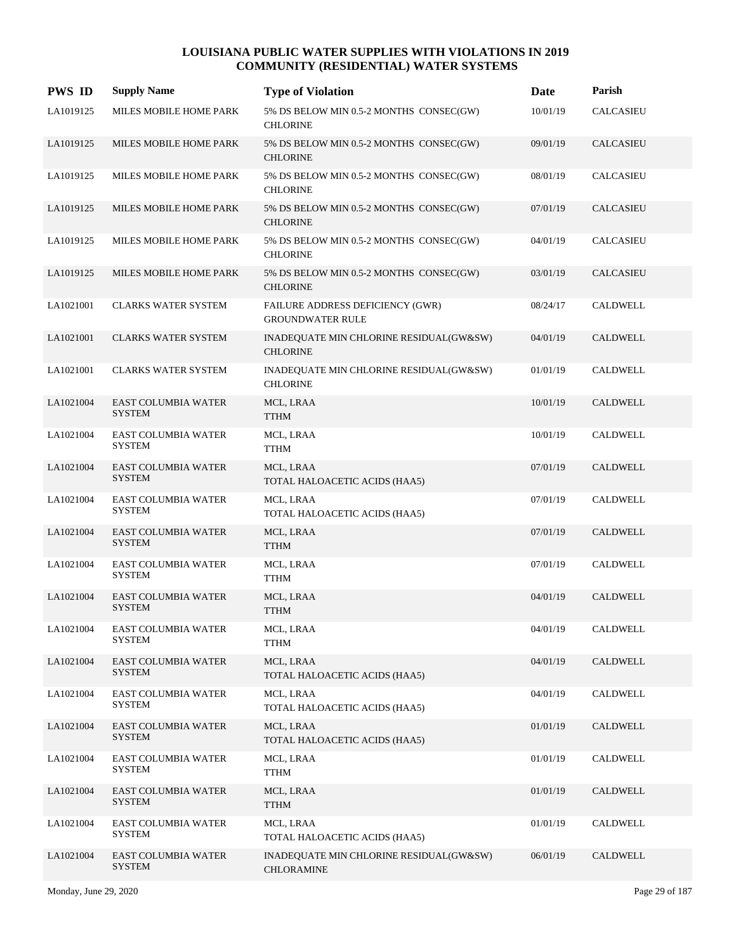| <b>PWS ID</b> | <b>Supply Name</b>                          | <b>Type of Violation</b>                                     | Date     | Parish           |
|---------------|---------------------------------------------|--------------------------------------------------------------|----------|------------------|
| LA1019125     | MILES MOBILE HOME PARK                      | 5% DS BELOW MIN 0.5-2 MONTHS CONSEC(GW)<br><b>CHLORINE</b>   | 10/01/19 | CALCASIEU        |
| LA1019125     | MILES MOBILE HOME PARK                      | 5% DS BELOW MIN 0.5-2 MONTHS CONSEC(GW)<br><b>CHLORINE</b>   | 09/01/19 | <b>CALCASIEU</b> |
| LA1019125     | MILES MOBILE HOME PARK                      | 5% DS BELOW MIN 0.5-2 MONTHS CONSEC(GW)<br><b>CHLORINE</b>   | 08/01/19 | CALCASIEU        |
| LA1019125     | MILES MOBILE HOME PARK                      | 5% DS BELOW MIN 0.5-2 MONTHS CONSEC(GW)<br><b>CHLORINE</b>   | 07/01/19 | <b>CALCASIEU</b> |
| LA1019125     | MILES MOBILE HOME PARK                      | 5% DS BELOW MIN 0.5-2 MONTHS CONSEC(GW)<br><b>CHLORINE</b>   | 04/01/19 | <b>CALCASIEU</b> |
| LA1019125     | MILES MOBILE HOME PARK                      | 5% DS BELOW MIN 0.5-2 MONTHS CONSEC(GW)<br><b>CHLORINE</b>   | 03/01/19 | <b>CALCASIEU</b> |
| LA1021001     | <b>CLARKS WATER SYSTEM</b>                  | FAILURE ADDRESS DEFICIENCY (GWR)<br><b>GROUNDWATER RULE</b>  | 08/24/17 | <b>CALDWELL</b>  |
| LA1021001     | <b>CLARKS WATER SYSTEM</b>                  | INADEQUATE MIN CHLORINE RESIDUAL(GW&SW)<br><b>CHLORINE</b>   | 04/01/19 | <b>CALDWELL</b>  |
| LA1021001     | <b>CLARKS WATER SYSTEM</b>                  | INADEQUATE MIN CHLORINE RESIDUAL(GW&SW)<br><b>CHLORINE</b>   | 01/01/19 | <b>CALDWELL</b>  |
| LA1021004     | EAST COLUMBIA WATER<br><b>SYSTEM</b>        | MCL, LRAA<br><b>TTHM</b>                                     | 10/01/19 | <b>CALDWELL</b>  |
| LA1021004     | <b>EAST COLUMBIA WATER</b><br><b>SYSTEM</b> | MCL, LRAA<br>TTHM                                            | 10/01/19 | <b>CALDWELL</b>  |
| LA1021004     | <b>EAST COLUMBIA WATER</b><br><b>SYSTEM</b> | MCL, LRAA<br>TOTAL HALOACETIC ACIDS (HAA5)                   | 07/01/19 | <b>CALDWELL</b>  |
| LA1021004     | EAST COLUMBIA WATER<br><b>SYSTEM</b>        | MCL, LRAA<br>TOTAL HALOACETIC ACIDS (HAA5)                   | 07/01/19 | <b>CALDWELL</b>  |
| LA1021004     | <b>EAST COLUMBIA WATER</b><br><b>SYSTEM</b> | MCL, LRAA<br><b>TTHM</b>                                     | 07/01/19 | <b>CALDWELL</b>  |
| LA1021004     | <b>EAST COLUMBIA WATER</b><br><b>SYSTEM</b> | MCL, LRAA<br><b>TTHM</b>                                     | 07/01/19 | <b>CALDWELL</b>  |
| LA1021004     | EAST COLUMBIA WATER<br><b>SYSTEM</b>        | MCL, LRAA<br><b>TTHM</b>                                     | 04/01/19 | <b>CALDWELL</b>  |
| LA1021004     | EAST COLUMBIA WATER<br><b>SYSTEM</b>        | MCL, LRAA<br><b>TTHM</b>                                     | 04/01/19 | CALDWELL         |
| LA1021004     | <b>EAST COLUMBIA WATER</b><br><b>SYSTEM</b> | MCL, LRAA<br>TOTAL HALOACETIC ACIDS (HAA5)                   | 04/01/19 | CALDWELL         |
| LA1021004     | <b>EAST COLUMBIA WATER</b><br><b>SYSTEM</b> | MCL, LRAA<br>TOTAL HALOACETIC ACIDS (HAA5)                   | 04/01/19 | CALDWELL         |
| LA1021004     | EAST COLUMBIA WATER<br><b>SYSTEM</b>        | MCL, LRAA<br>TOTAL HALOACETIC ACIDS (HAA5)                   | 01/01/19 | CALDWELL         |
| LA1021004     | EAST COLUMBIA WATER<br><b>SYSTEM</b>        | MCL, LRAA<br><b>TTHM</b>                                     | 01/01/19 | CALDWELL         |
| LA1021004     | EAST COLUMBIA WATER<br><b>SYSTEM</b>        | MCL, LRAA<br><b>TTHM</b>                                     | 01/01/19 | CALDWELL         |
| LA1021004     | EAST COLUMBIA WATER<br><b>SYSTEM</b>        | MCL, LRAA<br>TOTAL HALOACETIC ACIDS (HAA5)                   | 01/01/19 | CALDWELL         |
| LA1021004     | EAST COLUMBIA WATER<br><b>SYSTEM</b>        | INADEQUATE MIN CHLORINE RESIDUAL(GW&SW)<br><b>CHLORAMINE</b> | 06/01/19 | <b>CALDWELL</b>  |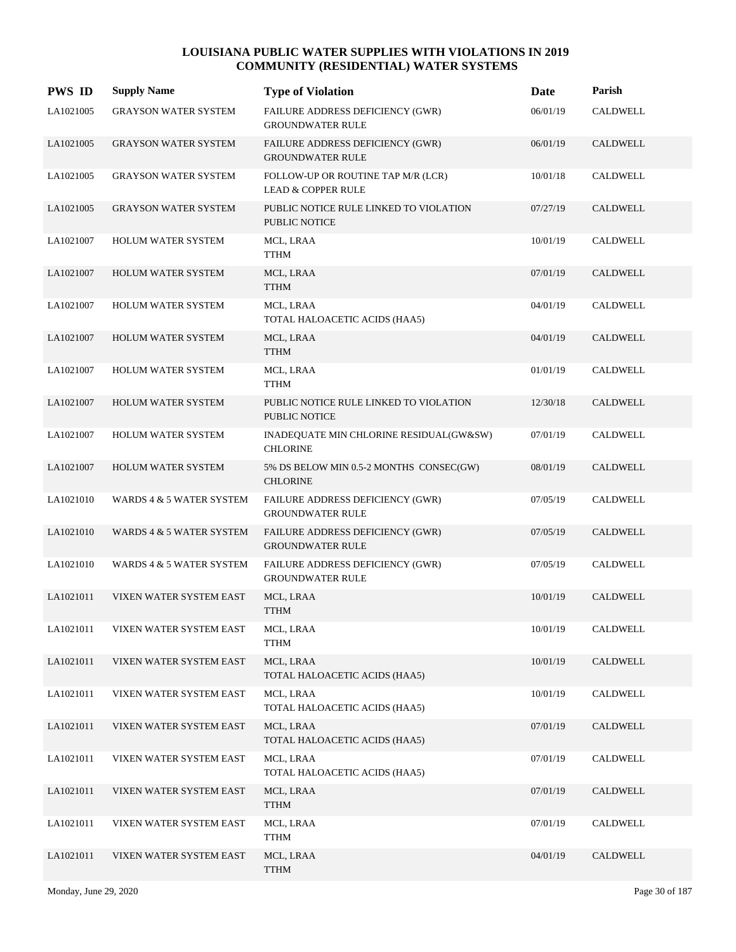| <b>PWS ID</b> | <b>Supply Name</b>          | <b>Type of Violation</b>                                            | Date     | Parish          |
|---------------|-----------------------------|---------------------------------------------------------------------|----------|-----------------|
| LA1021005     | <b>GRAYSON WATER SYSTEM</b> | FAILURE ADDRESS DEFICIENCY (GWR)<br><b>GROUNDWATER RULE</b>         | 06/01/19 | <b>CALDWELL</b> |
| LA1021005     | <b>GRAYSON WATER SYSTEM</b> | FAILURE ADDRESS DEFICIENCY (GWR)<br><b>GROUNDWATER RULE</b>         | 06/01/19 | CALDWELL        |
| LA1021005     | <b>GRAYSON WATER SYSTEM</b> | FOLLOW-UP OR ROUTINE TAP M/R (LCR)<br><b>LEAD &amp; COPPER RULE</b> | 10/01/18 | <b>CALDWELL</b> |
| LA1021005     | <b>GRAYSON WATER SYSTEM</b> | PUBLIC NOTICE RULE LINKED TO VIOLATION<br><b>PUBLIC NOTICE</b>      | 07/27/19 | <b>CALDWELL</b> |
| LA1021007     | HOLUM WATER SYSTEM          | MCL, LRAA<br>TTHM                                                   | 10/01/19 | <b>CALDWELL</b> |
| LA1021007     | HOLUM WATER SYSTEM          | MCL, LRAA<br><b>TTHM</b>                                            | 07/01/19 | CALDWELL        |
| LA1021007     | HOLUM WATER SYSTEM          | MCL, LRAA<br>TOTAL HALOACETIC ACIDS (HAA5)                          | 04/01/19 | CALDWELL        |
| LA1021007     | <b>HOLUM WATER SYSTEM</b>   | MCL, LRAA<br><b>TTHM</b>                                            | 04/01/19 | <b>CALDWELL</b> |
| LA1021007     | HOLUM WATER SYSTEM          | MCL, LRAA<br>TTHM                                                   | 01/01/19 | <b>CALDWELL</b> |
| LA1021007     | HOLUM WATER SYSTEM          | PUBLIC NOTICE RULE LINKED TO VIOLATION<br>PUBLIC NOTICE             | 12/30/18 | CALDWELL        |
| LA1021007     | <b>HOLUM WATER SYSTEM</b>   | INADEQUATE MIN CHLORINE RESIDUAL(GW&SW)<br><b>CHLORINE</b>          | 07/01/19 | CALDWELL        |
| LA1021007     | <b>HOLUM WATER SYSTEM</b>   | 5% DS BELOW MIN 0.5-2 MONTHS CONSEC(GW)<br><b>CHLORINE</b>          | 08/01/19 | <b>CALDWELL</b> |
| LA1021010     | WARDS 4 & 5 WATER SYSTEM    | <b>FAILURE ADDRESS DEFICIENCY (GWR)</b><br><b>GROUNDWATER RULE</b>  | 07/05/19 | <b>CALDWELL</b> |
| LA1021010     | WARDS 4 & 5 WATER SYSTEM    | FAILURE ADDRESS DEFICIENCY (GWR)<br><b>GROUNDWATER RULE</b>         | 07/05/19 | <b>CALDWELL</b> |
| LA1021010     | WARDS 4 & 5 WATER SYSTEM    | FAILURE ADDRESS DEFICIENCY (GWR)<br><b>GROUNDWATER RULE</b>         | 07/05/19 | CALDWELL        |
| LA1021011     | VIXEN WATER SYSTEM EAST     | MCL, LRAA<br><b>TTHM</b>                                            | 10/01/19 | <b>CALDWELL</b> |
| LA1021011     | VIXEN WATER SYSTEM EAST     | MCL, LRAA<br><b>TTHM</b>                                            | 10/01/19 | CALDWELL        |
| LA1021011     | VIXEN WATER SYSTEM EAST     | MCL, LRAA<br>TOTAL HALOACETIC ACIDS (HAA5)                          | 10/01/19 | CALDWELL        |
| LA1021011     | VIXEN WATER SYSTEM EAST     | MCL, LRAA<br>TOTAL HALOACETIC ACIDS (HAA5)                          | 10/01/19 | CALDWELL        |
| LA1021011     | VIXEN WATER SYSTEM EAST     | MCL, LRAA<br>TOTAL HALOACETIC ACIDS (HAA5)                          | 07/01/19 | CALDWELL        |
| LA1021011     | VIXEN WATER SYSTEM EAST     | MCL, LRAA<br>TOTAL HALOACETIC ACIDS (HAA5)                          | 07/01/19 | CALDWELL        |
| LA1021011     | VIXEN WATER SYSTEM EAST     | MCL, LRAA<br><b>TTHM</b>                                            | 07/01/19 | CALDWELL        |
| LA1021011     | VIXEN WATER SYSTEM EAST     | MCL, LRAA<br><b>TTHM</b>                                            | 07/01/19 | CALDWELL        |
| LA1021011     | VIXEN WATER SYSTEM EAST     | MCL, LRAA<br><b>TTHM</b>                                            | 04/01/19 | CALDWELL        |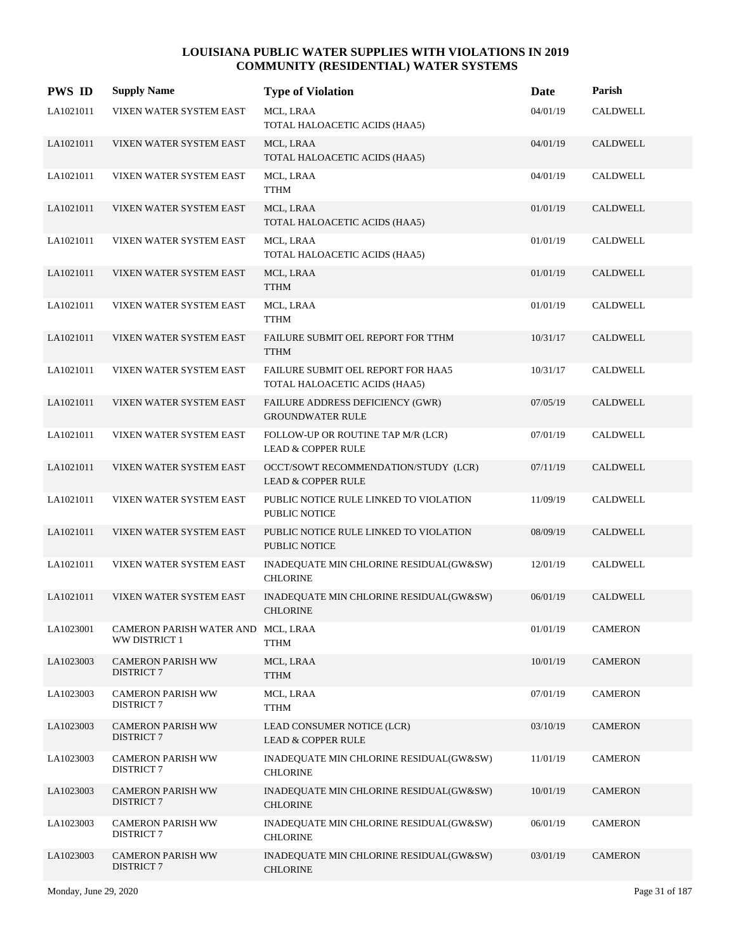| <b>PWS ID</b> | <b>Supply Name</b>                                  | <b>Type of Violation</b>                                              | Date     | Parish          |
|---------------|-----------------------------------------------------|-----------------------------------------------------------------------|----------|-----------------|
| LA1021011     | VIXEN WATER SYSTEM EAST                             | MCL, LRAA<br>TOTAL HALOACETIC ACIDS (HAA5)                            | 04/01/19 | <b>CALDWELL</b> |
| LA1021011     | VIXEN WATER SYSTEM EAST                             | MCL, LRAA<br>TOTAL HALOACETIC ACIDS (HAA5)                            | 04/01/19 | CALDWELL        |
| LA1021011     | VIXEN WATER SYSTEM EAST                             | MCL, LRAA<br><b>TTHM</b>                                              | 04/01/19 | CALDWELL        |
| LA1021011     | VIXEN WATER SYSTEM EAST                             | MCL, LRAA<br>TOTAL HALOACETIC ACIDS (HAA5)                            | 01/01/19 | CALDWELL        |
| LA1021011     | VIXEN WATER SYSTEM EAST                             | MCL, LRAA<br>TOTAL HALOACETIC ACIDS (HAA5)                            | 01/01/19 | <b>CALDWELL</b> |
| LA1021011     | VIXEN WATER SYSTEM EAST                             | MCL, LRAA<br><b>TTHM</b>                                              | 01/01/19 | <b>CALDWELL</b> |
| LA1021011     | VIXEN WATER SYSTEM EAST                             | MCL, LRAA<br><b>TTHM</b>                                              | 01/01/19 | <b>CALDWELL</b> |
| LA1021011     | VIXEN WATER SYSTEM EAST                             | FAILURE SUBMIT OEL REPORT FOR TTHM<br><b>TTHM</b>                     | 10/31/17 | CALDWELL        |
| LA1021011     | VIXEN WATER SYSTEM EAST                             | FAILURE SUBMIT OEL REPORT FOR HAA5<br>TOTAL HALOACETIC ACIDS (HAA5)   | 10/31/17 | <b>CALDWELL</b> |
| LA1021011     | VIXEN WATER SYSTEM EAST                             | FAILURE ADDRESS DEFICIENCY (GWR)<br><b>GROUNDWATER RULE</b>           | 07/05/19 | <b>CALDWELL</b> |
| LA1021011     | VIXEN WATER SYSTEM EAST                             | FOLLOW-UP OR ROUTINE TAP M/R (LCR)<br><b>LEAD &amp; COPPER RULE</b>   | 07/01/19 | CALDWELL        |
| LA1021011     | VIXEN WATER SYSTEM EAST                             | OCCT/SOWT RECOMMENDATION/STUDY (LCR)<br><b>LEAD &amp; COPPER RULE</b> | 07/11/19 | <b>CALDWELL</b> |
| LA1021011     | VIXEN WATER SYSTEM EAST                             | PUBLIC NOTICE RULE LINKED TO VIOLATION<br>PUBLIC NOTICE               | 11/09/19 | CALDWELL        |
| LA1021011     | VIXEN WATER SYSTEM EAST                             | PUBLIC NOTICE RULE LINKED TO VIOLATION<br><b>PUBLIC NOTICE</b>        | 08/09/19 | <b>CALDWELL</b> |
| LA1021011     | VIXEN WATER SYSTEM EAST                             | INADEQUATE MIN CHLORINE RESIDUAL(GW&SW)<br><b>CHLORINE</b>            | 12/01/19 | CALDWELL        |
| LA1021011     | VIXEN WATER SYSTEM EAST                             | INADEQUATE MIN CHLORINE RESIDUAL(GW&SW)<br><b>CHLORINE</b>            | 06/01/19 | <b>CALDWELL</b> |
| LA1023001     | CAMERON PARISH WATER AND MCL, LRAA<br>WW DISTRICT 1 | <b>TTHM</b>                                                           | 01/01/19 | <b>CAMERON</b>  |
| LA1023003     | <b>CAMERON PARISH WW</b><br><b>DISTRICT 7</b>       | MCL, LRAA<br><b>TTHM</b>                                              | 10/01/19 | <b>CAMERON</b>  |
| LA1023003     | <b>CAMERON PARISH WW</b><br><b>DISTRICT 7</b>       | MCL, LRAA<br>TTHM                                                     | 07/01/19 | <b>CAMERON</b>  |
| LA1023003     | <b>CAMERON PARISH WW</b><br><b>DISTRICT 7</b>       | LEAD CONSUMER NOTICE (LCR)<br><b>LEAD &amp; COPPER RULE</b>           | 03/10/19 | <b>CAMERON</b>  |
| LA1023003     | <b>CAMERON PARISH WW</b><br><b>DISTRICT 7</b>       | INADEQUATE MIN CHLORINE RESIDUAL(GW&SW)<br><b>CHLORINE</b>            | 11/01/19 | <b>CAMERON</b>  |
| LA1023003     | <b>CAMERON PARISH WW</b><br><b>DISTRICT 7</b>       | INADEQUATE MIN CHLORINE RESIDUAL(GW&SW)<br><b>CHLORINE</b>            | 10/01/19 | <b>CAMERON</b>  |
| LA1023003     | <b>CAMERON PARISH WW</b><br><b>DISTRICT 7</b>       | INADEQUATE MIN CHLORINE RESIDUAL(GW&SW)<br><b>CHLORINE</b>            | 06/01/19 | <b>CAMERON</b>  |
| LA1023003     | <b>CAMERON PARISH WW</b><br><b>DISTRICT 7</b>       | INADEQUATE MIN CHLORINE RESIDUAL(GW&SW)<br><b>CHLORINE</b>            | 03/01/19 | <b>CAMERON</b>  |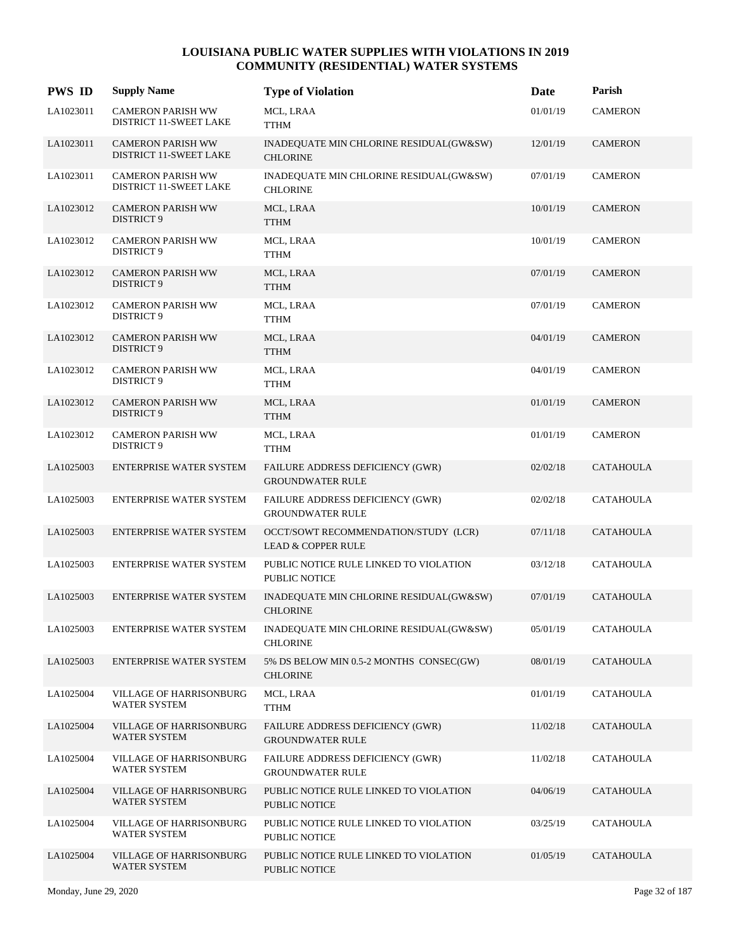| <b>PWS ID</b> | <b>Supply Name</b>                                        | <b>Type of Violation</b>                                              | Date     | Parish           |
|---------------|-----------------------------------------------------------|-----------------------------------------------------------------------|----------|------------------|
| LA1023011     | <b>CAMERON PARISH WW</b><br>DISTRICT 11-SWEET LAKE        | MCL, LRAA<br><b>TTHM</b>                                              | 01/01/19 | <b>CAMERON</b>   |
| LA1023011     | <b>CAMERON PARISH WW</b><br><b>DISTRICT 11-SWEET LAKE</b> | INADEQUATE MIN CHLORINE RESIDUAL(GW&SW)<br><b>CHLORINE</b>            | 12/01/19 | <b>CAMERON</b>   |
| LA1023011     | <b>CAMERON PARISH WW</b><br>DISTRICT 11-SWEET LAKE        | INADEQUATE MIN CHLORINE RESIDUAL(GW&SW)<br><b>CHLORINE</b>            | 07/01/19 | <b>CAMERON</b>   |
| LA1023012     | <b>CAMERON PARISH WW</b><br>DISTRICT 9                    | MCL, LRAA<br><b>TTHM</b>                                              | 10/01/19 | <b>CAMERON</b>   |
| LA1023012     | <b>CAMERON PARISH WW</b><br>DISTRICT 9                    | MCL, LRAA<br><b>TTHM</b>                                              | 10/01/19 | <b>CAMERON</b>   |
| LA1023012     | <b>CAMERON PARISH WW</b><br><b>DISTRICT 9</b>             | MCL, LRAA<br><b>TTHM</b>                                              | 07/01/19 | <b>CAMERON</b>   |
| LA1023012     | <b>CAMERON PARISH WW</b><br>DISTRICT 9                    | MCL, LRAA<br><b>TTHM</b>                                              | 07/01/19 | <b>CAMERON</b>   |
| LA1023012     | <b>CAMERON PARISH WW</b><br>DISTRICT 9                    | MCL, LRAA<br><b>TTHM</b>                                              | 04/01/19 | <b>CAMERON</b>   |
| LA1023012     | <b>CAMERON PARISH WW</b><br>DISTRICT 9                    | MCL, LRAA<br><b>TTHM</b>                                              | 04/01/19 | <b>CAMERON</b>   |
| LA1023012     | <b>CAMERON PARISH WW</b><br>DISTRICT 9                    | MCL, LRAA<br><b>TTHM</b>                                              | 01/01/19 | <b>CAMERON</b>   |
| LA1023012     | <b>CAMERON PARISH WW</b><br>DISTRICT 9                    | MCL, LRAA<br><b>TTHM</b>                                              | 01/01/19 | <b>CAMERON</b>   |
| LA1025003     | <b>ENTERPRISE WATER SYSTEM</b>                            | FAILURE ADDRESS DEFICIENCY (GWR)<br><b>GROUNDWATER RULE</b>           | 02/02/18 | <b>CATAHOULA</b> |
| LA1025003     | ENTERPRISE WATER SYSTEM                                   | FAILURE ADDRESS DEFICIENCY (GWR)<br><b>GROUNDWATER RULE</b>           | 02/02/18 | <b>CATAHOULA</b> |
| LA1025003     | ENTERPRISE WATER SYSTEM                                   | OCCT/SOWT RECOMMENDATION/STUDY (LCR)<br><b>LEAD &amp; COPPER RULE</b> | 07/11/18 | <b>CATAHOULA</b> |
| LA1025003     | ENTERPRISE WATER SYSTEM                                   | PUBLIC NOTICE RULE LINKED TO VIOLATION<br>PUBLIC NOTICE               | 03/12/18 | <b>CATAHOULA</b> |
| LA1025003     | <b>ENTERPRISE WATER SYSTEM</b>                            | INADEQUATE MIN CHLORINE RESIDUAL(GW&SW)<br><b>CHLORINE</b>            | 07/01/19 | <b>CATAHOULA</b> |
| LA1025003     | ENTERPRISE WATER SYSTEM                                   | INADEQUATE MIN CHLORINE RESIDUAL(GW&SW)<br><b>CHLORINE</b>            | 05/01/19 | <b>CATAHOULA</b> |
| LA1025003     | <b>ENTERPRISE WATER SYSTEM</b>                            | 5% DS BELOW MIN 0.5-2 MONTHS CONSEC(GW)<br><b>CHLORINE</b>            | 08/01/19 | <b>CATAHOULA</b> |
| LA1025004     | VILLAGE OF HARRISONBURG<br><b>WATER SYSTEM</b>            | MCL, LRAA<br><b>TTHM</b>                                              | 01/01/19 | <b>CATAHOULA</b> |
| LA1025004     | VILLAGE OF HARRISONBURG<br><b>WATER SYSTEM</b>            | FAILURE ADDRESS DEFICIENCY (GWR)<br><b>GROUNDWATER RULE</b>           | 11/02/18 | <b>CATAHOULA</b> |
| LA1025004     | VILLAGE OF HARRISONBURG<br><b>WATER SYSTEM</b>            | FAILURE ADDRESS DEFICIENCY (GWR)<br><b>GROUNDWATER RULE</b>           | 11/02/18 | <b>CATAHOULA</b> |
| LA1025004     | VILLAGE OF HARRISONBURG<br><b>WATER SYSTEM</b>            | PUBLIC NOTICE RULE LINKED TO VIOLATION<br>PUBLIC NOTICE               | 04/06/19 | <b>CATAHOULA</b> |
| LA1025004     | VILLAGE OF HARRISONBURG<br>WATER SYSTEM                   | PUBLIC NOTICE RULE LINKED TO VIOLATION<br>PUBLIC NOTICE               | 03/25/19 | CATAHOULA        |
| LA1025004     | VILLAGE OF HARRISONBURG<br><b>WATER SYSTEM</b>            | PUBLIC NOTICE RULE LINKED TO VIOLATION<br>PUBLIC NOTICE               | 01/05/19 | <b>CATAHOULA</b> |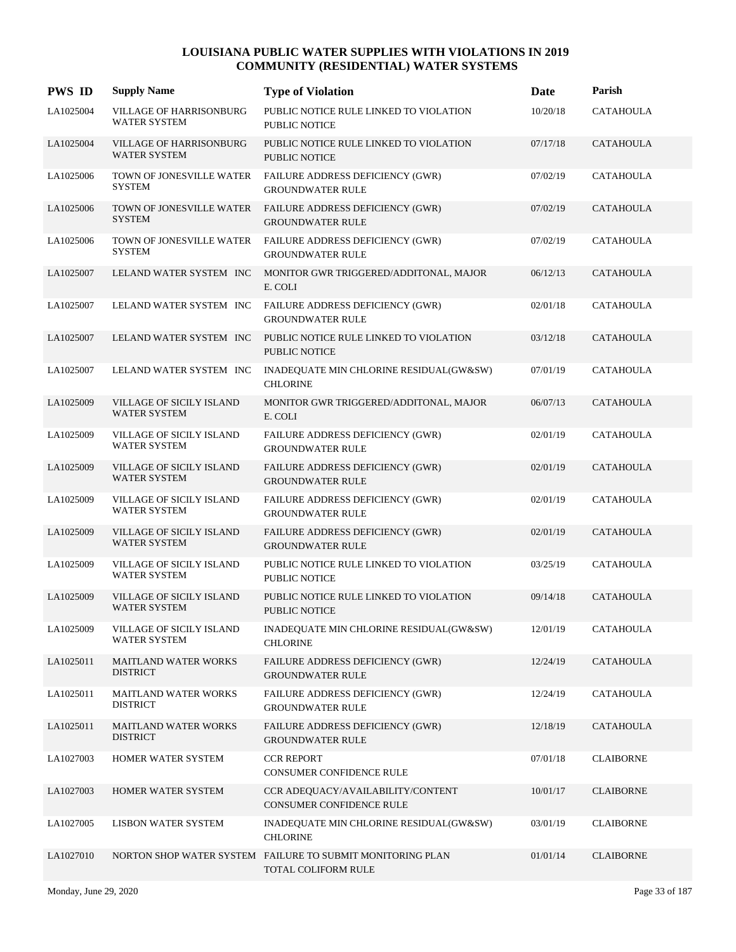| <b>PWS ID</b> | <b>Supply Name</b>                              | <b>Type of Violation</b>                                                          | Date     | Parish           |
|---------------|-------------------------------------------------|-----------------------------------------------------------------------------------|----------|------------------|
| LA1025004     | VILLAGE OF HARRISONBURG<br><b>WATER SYSTEM</b>  | PUBLIC NOTICE RULE LINKED TO VIOLATION<br><b>PUBLIC NOTICE</b>                    | 10/20/18 | <b>CATAHOULA</b> |
| LA1025004     | VILLAGE OF HARRISONBURG<br>WATER SYSTEM         | PUBLIC NOTICE RULE LINKED TO VIOLATION<br><b>PUBLIC NOTICE</b>                    | 07/17/18 | <b>CATAHOULA</b> |
| LA1025006     | TOWN OF JONESVILLE WATER<br><b>SYSTEM</b>       | FAILURE ADDRESS DEFICIENCY (GWR)<br><b>GROUNDWATER RULE</b>                       | 07/02/19 | CATAHOULA        |
| LA1025006     | TOWN OF JONESVILLE WATER<br><b>SYSTEM</b>       | FAILURE ADDRESS DEFICIENCY (GWR)<br><b>GROUNDWATER RULE</b>                       | 07/02/19 | <b>CATAHOULA</b> |
| LA1025006     | TOWN OF JONESVILLE WATER<br><b>SYSTEM</b>       | FAILURE ADDRESS DEFICIENCY (GWR)<br><b>GROUNDWATER RULE</b>                       | 07/02/19 | <b>CATAHOULA</b> |
| LA1025007     | LELAND WATER SYSTEM INC                         | MONITOR GWR TRIGGERED/ADDITONAL, MAJOR<br>E. COLI                                 | 06/12/13 | <b>CATAHOULA</b> |
| LA1025007     | LELAND WATER SYSTEM INC                         | FAILURE ADDRESS DEFICIENCY (GWR)<br><b>GROUNDWATER RULE</b>                       | 02/01/18 | <b>CATAHOULA</b> |
| LA1025007     | LELAND WATER SYSTEM INC                         | PUBLIC NOTICE RULE LINKED TO VIOLATION<br><b>PUBLIC NOTICE</b>                    | 03/12/18 | <b>CATAHOULA</b> |
| LA1025007     | LELAND WATER SYSTEM INC                         | INADEQUATE MIN CHLORINE RESIDUAL(GW&SW)<br><b>CHLORINE</b>                        | 07/01/19 | <b>CATAHOULA</b> |
| LA1025009     | VILLAGE OF SICILY ISLAND<br><b>WATER SYSTEM</b> | MONITOR GWR TRIGGERED/ADDITONAL, MAJOR<br>E. COLI                                 | 06/07/13 | <b>CATAHOULA</b> |
| LA1025009     | VILLAGE OF SICILY ISLAND<br><b>WATER SYSTEM</b> | FAILURE ADDRESS DEFICIENCY (GWR)<br><b>GROUNDWATER RULE</b>                       | 02/01/19 | <b>CATAHOULA</b> |
| LA1025009     | VILLAGE OF SICILY ISLAND<br><b>WATER SYSTEM</b> | FAILURE ADDRESS DEFICIENCY (GWR)<br><b>GROUNDWATER RULE</b>                       | 02/01/19 | <b>CATAHOULA</b> |
| LA1025009     | VILLAGE OF SICILY ISLAND<br><b>WATER SYSTEM</b> | FAILURE ADDRESS DEFICIENCY (GWR)<br><b>GROUNDWATER RULE</b>                       | 02/01/19 | <b>CATAHOULA</b> |
| LA1025009     | VILLAGE OF SICILY ISLAND<br><b>WATER SYSTEM</b> | FAILURE ADDRESS DEFICIENCY (GWR)<br><b>GROUNDWATER RULE</b>                       | 02/01/19 | <b>CATAHOULA</b> |
| LA1025009     | VILLAGE OF SICILY ISLAND<br><b>WATER SYSTEM</b> | PUBLIC NOTICE RULE LINKED TO VIOLATION<br>PUBLIC NOTICE                           | 03/25/19 | <b>CATAHOULA</b> |
| LA1025009     | VILLAGE OF SICILY ISLAND<br><b>WATER SYSTEM</b> | PUBLIC NOTICE RULE LINKED TO VIOLATION<br>PUBLIC NOTICE                           | 09/14/18 | <b>CATAHOULA</b> |
| LA1025009     | VILLAGE OF SICILY ISLAND<br>WATER SYSTEM        | INADEQUATE MIN CHLORINE RESIDUAL(GW&SW)<br><b>CHLORINE</b>                        | 12/01/19 | <b>CATAHOULA</b> |
| LA1025011     | <b>MAITLAND WATER WORKS</b><br><b>DISTRICT</b>  | FAILURE ADDRESS DEFICIENCY (GWR)<br><b>GROUNDWATER RULE</b>                       | 12/24/19 | <b>CATAHOULA</b> |
| LA1025011     | <b>MAITLAND WATER WORKS</b><br><b>DISTRICT</b>  | FAILURE ADDRESS DEFICIENCY (GWR)<br><b>GROUNDWATER RULE</b>                       | 12/24/19 | <b>CATAHOULA</b> |
| LA1025011     | <b>MAITLAND WATER WORKS</b><br><b>DISTRICT</b>  | FAILURE ADDRESS DEFICIENCY (GWR)<br><b>GROUNDWATER RULE</b>                       | 12/18/19 | <b>CATAHOULA</b> |
| LA1027003     | HOMER WATER SYSTEM                              | <b>CCR REPORT</b><br>CONSUMER CONFIDENCE RULE                                     | 07/01/18 | <b>CLAIBORNE</b> |
| LA1027003     | HOMER WATER SYSTEM                              | CCR ADEQUACY/AVAILABILITY/CONTENT<br>CONSUMER CONFIDENCE RULE                     | 10/01/17 | <b>CLAIBORNE</b> |
| LA1027005     | <b>LISBON WATER SYSTEM</b>                      | INADEQUATE MIN CHLORINE RESIDUAL(GW&SW)<br><b>CHLORINE</b>                        | 03/01/19 | <b>CLAIBORNE</b> |
| LA1027010     |                                                 | NORTON SHOP WATER SYSTEM FAILURE TO SUBMIT MONITORING PLAN<br>TOTAL COLIFORM RULE | 01/01/14 | <b>CLAIBORNE</b> |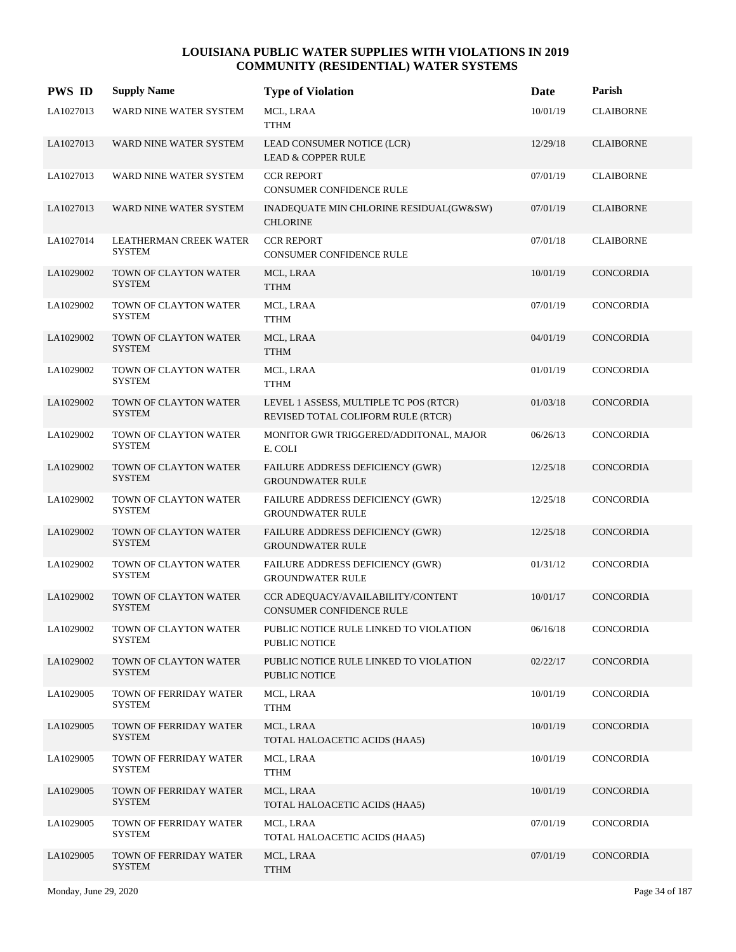| <b>PWS ID</b> | <b>Supply Name</b>                      | <b>Type of Violation</b>                                                     | Date     | Parish           |
|---------------|-----------------------------------------|------------------------------------------------------------------------------|----------|------------------|
| LA1027013     | WARD NINE WATER SYSTEM                  | MCL, LRAA<br><b>TTHM</b>                                                     | 10/01/19 | <b>CLAIBORNE</b> |
| LA1027013     | WARD NINE WATER SYSTEM                  | LEAD CONSUMER NOTICE (LCR)<br><b>LEAD &amp; COPPER RULE</b>                  | 12/29/18 | <b>CLAIBORNE</b> |
| LA1027013     | WARD NINE WATER SYSTEM                  | <b>CCR REPORT</b><br>CONSUMER CONFIDENCE RULE                                | 07/01/19 | <b>CLAIBORNE</b> |
| LA1027013     | WARD NINE WATER SYSTEM                  | INADEQUATE MIN CHLORINE RESIDUAL(GW&SW)<br><b>CHLORINE</b>                   | 07/01/19 | <b>CLAIBORNE</b> |
| LA1027014     | LEATHERMAN CREEK WATER<br><b>SYSTEM</b> | <b>CCR REPORT</b><br><b>CONSUMER CONFIDENCE RULE</b>                         | 07/01/18 | <b>CLAIBORNE</b> |
| LA1029002     | TOWN OF CLAYTON WATER<br><b>SYSTEM</b>  | MCL, LRAA<br><b>TTHM</b>                                                     | 10/01/19 | CONCORDIA        |
| LA1029002     | TOWN OF CLAYTON WATER<br><b>SYSTEM</b>  | MCL, LRAA<br><b>TTHM</b>                                                     | 07/01/19 | CONCORDIA        |
| LA1029002     | TOWN OF CLAYTON WATER<br><b>SYSTEM</b>  | MCL, LRAA<br><b>TTHM</b>                                                     | 04/01/19 | CONCORDIA        |
| LA1029002     | TOWN OF CLAYTON WATER<br><b>SYSTEM</b>  | MCL, LRAA<br><b>TTHM</b>                                                     | 01/01/19 | CONCORDIA        |
| LA1029002     | TOWN OF CLAYTON WATER<br><b>SYSTEM</b>  | LEVEL 1 ASSESS, MULTIPLE TC POS (RTCR)<br>REVISED TOTAL COLIFORM RULE (RTCR) | 01/03/18 | <b>CONCORDIA</b> |
| LA1029002     | TOWN OF CLAYTON WATER<br><b>SYSTEM</b>  | MONITOR GWR TRIGGERED/ADDITONAL, MAJOR<br>E. COLI                            | 06/26/13 | CONCORDIA        |
| LA1029002     | TOWN OF CLAYTON WATER<br><b>SYSTEM</b>  | FAILURE ADDRESS DEFICIENCY (GWR)<br><b>GROUNDWATER RULE</b>                  | 12/25/18 | CONCORDIA        |
| LA1029002     | TOWN OF CLAYTON WATER<br><b>SYSTEM</b>  | <b>FAILURE ADDRESS DEFICIENCY (GWR)</b><br><b>GROUNDWATER RULE</b>           | 12/25/18 | CONCORDIA        |
| LA1029002     | TOWN OF CLAYTON WATER<br><b>SYSTEM</b>  | FAILURE ADDRESS DEFICIENCY (GWR)<br><b>GROUNDWATER RULE</b>                  | 12/25/18 | <b>CONCORDIA</b> |
| LA1029002     | TOWN OF CLAYTON WATER<br><b>SYSTEM</b>  | FAILURE ADDRESS DEFICIENCY (GWR)<br><b>GROUNDWATER RULE</b>                  | 01/31/12 | CONCORDIA        |
| LA1029002     | TOWN OF CLAYTON WATER<br><b>SYSTEM</b>  | CCR ADEQUACY/AVAILABILITY/CONTENT<br><b>CONSUMER CONFIDENCE RULE</b>         | 10/01/17 | <b>CONCORDIA</b> |
| LA1029002     | TOWN OF CLAYTON WATER<br><b>SYSTEM</b>  | PUBLIC NOTICE RULE LINKED TO VIOLATION<br>PUBLIC NOTICE                      | 06/16/18 | CONCORDIA        |
| LA1029002     | TOWN OF CLAYTON WATER<br><b>SYSTEM</b>  | PUBLIC NOTICE RULE LINKED TO VIOLATION<br>PUBLIC NOTICE                      | 02/22/17 | <b>CONCORDIA</b> |
| LA1029005     | TOWN OF FERRIDAY WATER<br><b>SYSTEM</b> | MCL, LRAA<br><b>TTHM</b>                                                     | 10/01/19 | CONCORDIA        |
| LA1029005     | TOWN OF FERRIDAY WATER<br><b>SYSTEM</b> | MCL, LRAA<br>TOTAL HALOACETIC ACIDS (HAA5)                                   | 10/01/19 | CONCORDIA        |
| LA1029005     | TOWN OF FERRIDAY WATER<br><b>SYSTEM</b> | MCL, LRAA<br><b>TTHM</b>                                                     | 10/01/19 | <b>CONCORDIA</b> |
| LA1029005     | TOWN OF FERRIDAY WATER<br><b>SYSTEM</b> | MCL, LRAA<br>TOTAL HALOACETIC ACIDS (HAA5)                                   | 10/01/19 | CONCORDIA        |
| LA1029005     | TOWN OF FERRIDAY WATER<br><b>SYSTEM</b> | MCL, LRAA<br>TOTAL HALOACETIC ACIDS (HAA5)                                   | 07/01/19 | CONCORDIA        |
| LA1029005     | TOWN OF FERRIDAY WATER<br><b>SYSTEM</b> | MCL, LRAA<br><b>TTHM</b>                                                     | 07/01/19 | CONCORDIA        |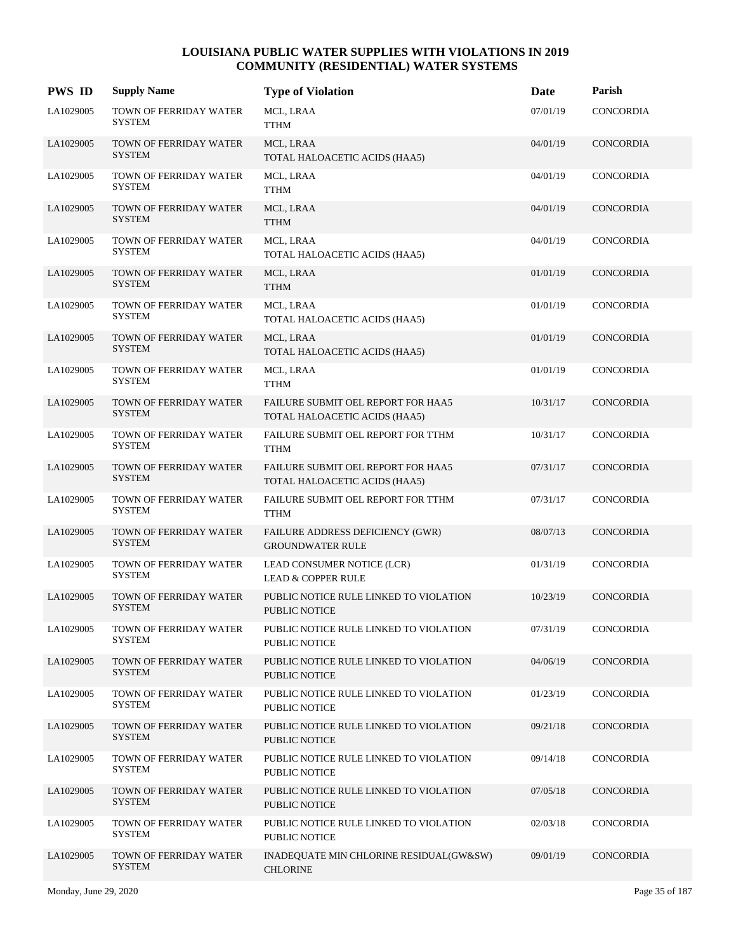| <b>PWS ID</b> | <b>Supply Name</b>                      | <b>Type of Violation</b>                                            | Date     | Parish           |
|---------------|-----------------------------------------|---------------------------------------------------------------------|----------|------------------|
| LA1029005     | TOWN OF FERRIDAY WATER<br><b>SYSTEM</b> | MCL, LRAA<br><b>TTHM</b>                                            | 07/01/19 | <b>CONCORDIA</b> |
| LA1029005     | TOWN OF FERRIDAY WATER<br><b>SYSTEM</b> | MCL, LRAA<br>TOTAL HALOACETIC ACIDS (HAA5)                          | 04/01/19 | <b>CONCORDIA</b> |
| LA1029005     | TOWN OF FERRIDAY WATER<br><b>SYSTEM</b> | MCL, LRAA<br><b>TTHM</b>                                            | 04/01/19 | CONCORDIA        |
| LA1029005     | TOWN OF FERRIDAY WATER<br><b>SYSTEM</b> | MCL, LRAA<br><b>TTHM</b>                                            | 04/01/19 | CONCORDIA        |
| LA1029005     | TOWN OF FERRIDAY WATER<br><b>SYSTEM</b> | MCL, LRAA<br>TOTAL HALOACETIC ACIDS (HAA5)                          | 04/01/19 | CONCORDIA        |
| LA1029005     | TOWN OF FERRIDAY WATER<br><b>SYSTEM</b> | MCL, LRAA<br><b>TTHM</b>                                            | 01/01/19 | CONCORDIA        |
| LA1029005     | TOWN OF FERRIDAY WATER<br><b>SYSTEM</b> | MCL, LRAA<br>TOTAL HALOACETIC ACIDS (HAA5)                          | 01/01/19 | CONCORDIA        |
| LA1029005     | TOWN OF FERRIDAY WATER<br><b>SYSTEM</b> | MCL, LRAA<br>TOTAL HALOACETIC ACIDS (HAA5)                          | 01/01/19 | CONCORDIA        |
| LA1029005     | TOWN OF FERRIDAY WATER<br><b>SYSTEM</b> | MCL, LRAA<br><b>TTHM</b>                                            | 01/01/19 | CONCORDIA        |
| LA1029005     | TOWN OF FERRIDAY WATER<br><b>SYSTEM</b> | FAILURE SUBMIT OEL REPORT FOR HAA5<br>TOTAL HALOACETIC ACIDS (HAA5) | 10/31/17 | <b>CONCORDIA</b> |
| LA1029005     | TOWN OF FERRIDAY WATER<br><b>SYSTEM</b> | FAILURE SUBMIT OEL REPORT FOR TTHM<br><b>TTHM</b>                   | 10/31/17 | CONCORDIA        |
| LA1029005     | TOWN OF FERRIDAY WATER<br><b>SYSTEM</b> | FAILURE SUBMIT OEL REPORT FOR HAA5<br>TOTAL HALOACETIC ACIDS (HAA5) | 07/31/17 | CONCORDIA        |
| LA1029005     | TOWN OF FERRIDAY WATER<br><b>SYSTEM</b> | FAILURE SUBMIT OEL REPORT FOR TTHM<br><b>TTHM</b>                   | 07/31/17 | CONCORDIA        |
| LA1029005     | TOWN OF FERRIDAY WATER<br><b>SYSTEM</b> | FAILURE ADDRESS DEFICIENCY (GWR)<br><b>GROUNDWATER RULE</b>         | 08/07/13 | <b>CONCORDIA</b> |
| LA1029005     | TOWN OF FERRIDAY WATER<br><b>SYSTEM</b> | LEAD CONSUMER NOTICE (LCR)<br><b>LEAD &amp; COPPER RULE</b>         | 01/31/19 | CONCORDIA        |
| LA1029005     | TOWN OF FERRIDAY WATER<br><b>SYSTEM</b> | PUBLIC NOTICE RULE LINKED TO VIOLATION<br><b>PUBLIC NOTICE</b>      | 10/23/19 | <b>CONCORDIA</b> |
| LA1029005     | TOWN OF FERRIDAY WATER<br><b>SYSTEM</b> | PUBLIC NOTICE RULE LINKED TO VIOLATION<br><b>PUBLIC NOTICE</b>      | 07/31/19 | CONCORDIA        |
| LA1029005     | TOWN OF FERRIDAY WATER<br><b>SYSTEM</b> | PUBLIC NOTICE RULE LINKED TO VIOLATION<br><b>PUBLIC NOTICE</b>      | 04/06/19 | <b>CONCORDIA</b> |
| LA1029005     | TOWN OF FERRIDAY WATER<br><b>SYSTEM</b> | PUBLIC NOTICE RULE LINKED TO VIOLATION<br><b>PUBLIC NOTICE</b>      | 01/23/19 | CONCORDIA        |
| LA1029005     | TOWN OF FERRIDAY WATER<br><b>SYSTEM</b> | PUBLIC NOTICE RULE LINKED TO VIOLATION<br><b>PUBLIC NOTICE</b>      | 09/21/18 | CONCORDIA        |
| LA1029005     | TOWN OF FERRIDAY WATER<br><b>SYSTEM</b> | PUBLIC NOTICE RULE LINKED TO VIOLATION<br><b>PUBLIC NOTICE</b>      | 09/14/18 | CONCORDIA        |
| LA1029005     | TOWN OF FERRIDAY WATER<br><b>SYSTEM</b> | PUBLIC NOTICE RULE LINKED TO VIOLATION<br>PUBLIC NOTICE             | 07/05/18 | CONCORDIA        |
| LA1029005     | TOWN OF FERRIDAY WATER<br><b>SYSTEM</b> | PUBLIC NOTICE RULE LINKED TO VIOLATION<br><b>PUBLIC NOTICE</b>      | 02/03/18 | CONCORDIA        |
| LA1029005     | TOWN OF FERRIDAY WATER<br><b>SYSTEM</b> | INADEQUATE MIN CHLORINE RESIDUAL(GW&SW)<br><b>CHLORINE</b>          | 09/01/19 | CONCORDIA        |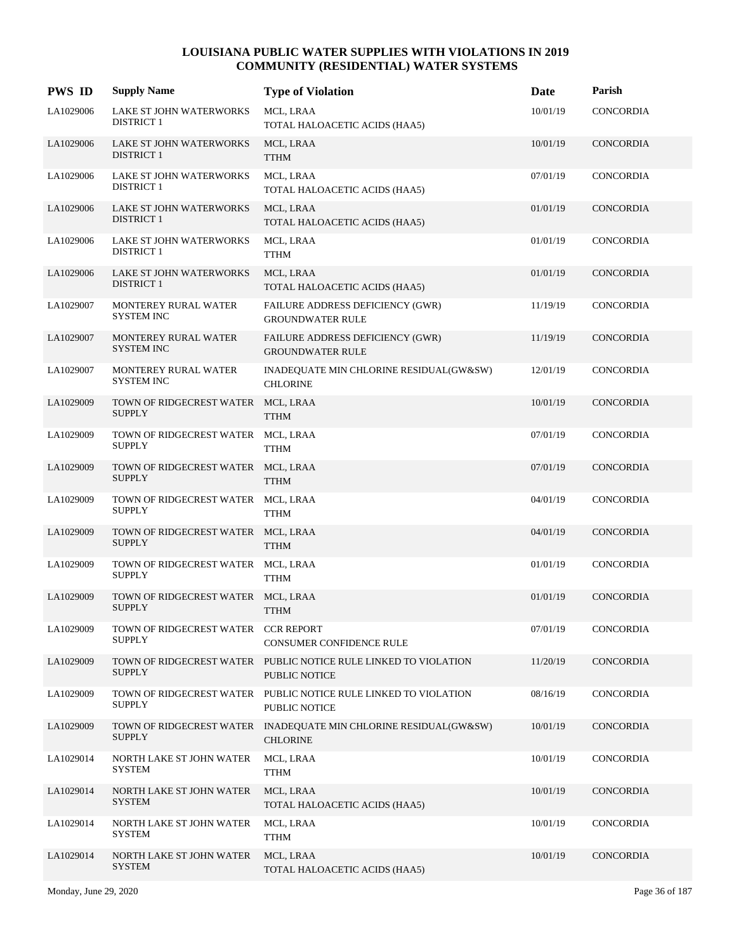| <b>PWS ID</b> | <b>Supply Name</b>                                   | <b>Type of Violation</b>                                                            | Date     | Parish           |
|---------------|------------------------------------------------------|-------------------------------------------------------------------------------------|----------|------------------|
| LA1029006     | LAKE ST JOHN WATERWORKS<br><b>DISTRICT 1</b>         | MCL, LRAA<br>TOTAL HALOACETIC ACIDS (HAA5)                                          | 10/01/19 | <b>CONCORDIA</b> |
| LA1029006     | LAKE ST JOHN WATERWORKS<br><b>DISTRICT 1</b>         | MCL, LRAA<br><b>TTHM</b>                                                            | 10/01/19 | CONCORDIA        |
| LA1029006     | LAKE ST JOHN WATERWORKS<br><b>DISTRICT 1</b>         | MCL, LRAA<br>TOTAL HALOACETIC ACIDS (HAA5)                                          | 07/01/19 | CONCORDIA        |
| LA1029006     | LAKE ST JOHN WATERWORKS<br><b>DISTRICT 1</b>         | MCL, LRAA<br>TOTAL HALOACETIC ACIDS (HAA5)                                          | 01/01/19 | <b>CONCORDIA</b> |
| LA1029006     | LAKE ST JOHN WATERWORKS<br><b>DISTRICT 1</b>         | MCL, LRAA<br><b>TTHM</b>                                                            | 01/01/19 | CONCORDIA        |
| LA1029006     | LAKE ST JOHN WATERWORKS<br><b>DISTRICT 1</b>         | MCL, LRAA<br>TOTAL HALOACETIC ACIDS (HAA5)                                          | 01/01/19 | CONCORDIA        |
| LA1029007     | MONTEREY RURAL WATER<br><b>SYSTEM INC</b>            | FAILURE ADDRESS DEFICIENCY (GWR)<br><b>GROUNDWATER RULE</b>                         | 11/19/19 | CONCORDIA        |
| LA1029007     | MONTEREY RURAL WATER<br><b>SYSTEM INC</b>            | FAILURE ADDRESS DEFICIENCY (GWR)<br><b>GROUNDWATER RULE</b>                         | 11/19/19 | CONCORDIA        |
| LA1029007     | MONTEREY RURAL WATER<br><b>SYSTEM INC</b>            | INADEQUATE MIN CHLORINE RESIDUAL(GW&SW)<br><b>CHLORINE</b>                          | 12/01/19 | CONCORDIA        |
| LA1029009     | TOWN OF RIDGECREST WATER MCL, LRAA<br><b>SUPPLY</b>  | <b>TTHM</b>                                                                         | 10/01/19 | CONCORDIA        |
| LA1029009     | TOWN OF RIDGECREST WATER MCL, LRAA<br><b>SUPPLY</b>  | <b>TTHM</b>                                                                         | 07/01/19 | CONCORDIA        |
| LA1029009     | TOWN OF RIDGECREST WATER MCL, LRAA<br><b>SUPPLY</b>  | <b>TTHM</b>                                                                         | 07/01/19 | CONCORDIA        |
| LA1029009     | TOWN OF RIDGECREST WATER<br><b>SUPPLY</b>            | MCL, LRAA<br><b>TTHM</b>                                                            | 04/01/19 | CONCORDIA        |
| LA1029009     | TOWN OF RIDGECREST WATER MCL, LRAA<br><b>SUPPLY</b>  | <b>TTHM</b>                                                                         | 04/01/19 | CONCORDIA        |
| LA1029009     | TOWN OF RIDGECREST WATER MCL, LRAA<br><b>SUPPLY</b>  | <b>TTHM</b>                                                                         | 01/01/19 | <b>CONCORDIA</b> |
| LA1029009     | TOWN OF RIDGECREST WATER MCL, LRAA<br><b>SUPPLY</b>  | <b>TTHM</b>                                                                         | 01/01/19 | <b>CONCORDIA</b> |
| LA1029009     | TOWN OF RIDGECREST WATER CCR REPORT<br><b>SUPPLY</b> | CONSUMER CONFIDENCE RULE                                                            | 07/01/19 | CONCORDIA        |
| LA1029009     | <b>SUPPLY</b>                                        | TOWN OF RIDGECREST WATER PUBLIC NOTICE RULE LINKED TO VIOLATION<br>PUBLIC NOTICE    | 11/20/19 | CONCORDIA        |
| LA1029009     | <b>SUPPLY</b>                                        | TOWN OF RIDGECREST WATER PUBLIC NOTICE RULE LINKED TO VIOLATION<br>PUBLIC NOTICE    | 08/16/19 | <b>CONCORDIA</b> |
| LA1029009     | <b>SUPPLY</b>                                        | TOWN OF RIDGECREST WATER INADEQUATE MIN CHLORINE RESIDUAL(GW&SW)<br><b>CHLORINE</b> | 10/01/19 | CONCORDIA        |
| LA1029014     | NORTH LAKE ST JOHN WATER<br><b>SYSTEM</b>            | MCL, LRAA<br><b>TTHM</b>                                                            | 10/01/19 | CONCORDIA        |
| LA1029014     | NORTH LAKE ST JOHN WATER<br><b>SYSTEM</b>            | MCL, LRAA<br>TOTAL HALOACETIC ACIDS (HAA5)                                          | 10/01/19 | CONCORDIA        |
| LA1029014     | NORTH LAKE ST JOHN WATER<br><b>SYSTEM</b>            | MCL, LRAA<br><b>TTHM</b>                                                            | 10/01/19 | CONCORDIA        |
| LA1029014     | NORTH LAKE ST JOHN WATER<br><b>SYSTEM</b>            | MCL, LRAA<br>TOTAL HALOACETIC ACIDS (HAA5)                                          | 10/01/19 | CONCORDIA        |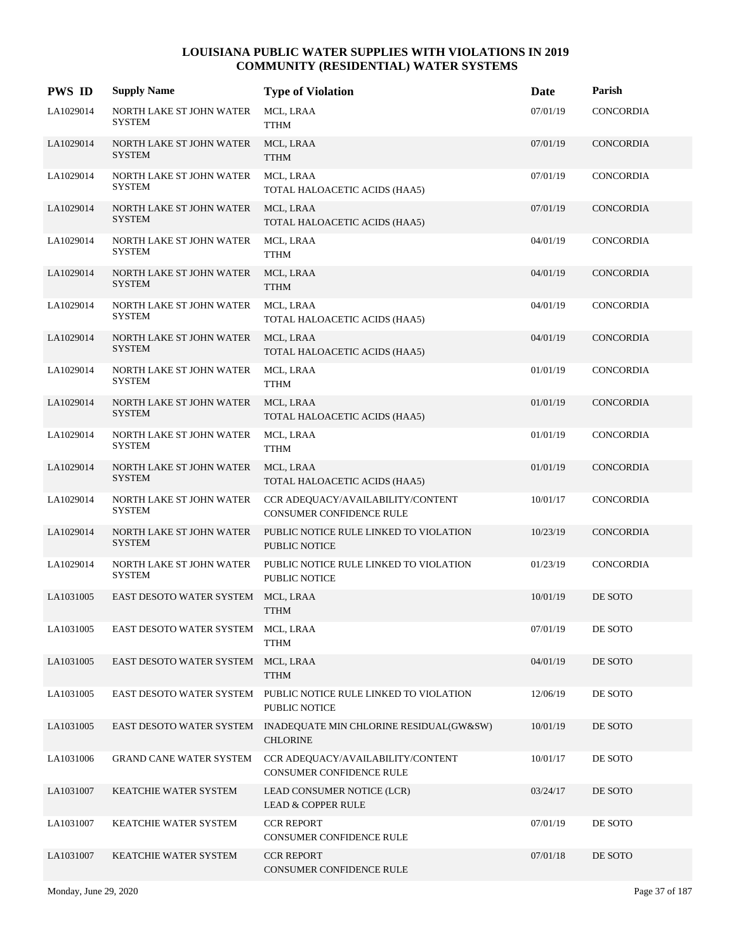| <b>PWS ID</b> | <b>Supply Name</b>                        | <b>Type of Violation</b>                                                            | Date     | Parish           |
|---------------|-------------------------------------------|-------------------------------------------------------------------------------------|----------|------------------|
| LA1029014     | NORTH LAKE ST JOHN WATER<br><b>SYSTEM</b> | MCL, LRAA<br><b>TTHM</b>                                                            | 07/01/19 | CONCORDIA        |
| LA1029014     | NORTH LAKE ST JOHN WATER<br><b>SYSTEM</b> | MCL, LRAA<br><b>TTHM</b>                                                            | 07/01/19 | CONCORDIA        |
| LA1029014     | NORTH LAKE ST JOHN WATER<br><b>SYSTEM</b> | MCL, LRAA<br>TOTAL HALOACETIC ACIDS (HAA5)                                          | 07/01/19 | CONCORDIA        |
| LA1029014     | NORTH LAKE ST JOHN WATER<br><b>SYSTEM</b> | MCL, LRAA<br>TOTAL HALOACETIC ACIDS (HAA5)                                          | 07/01/19 | CONCORDIA        |
| LA1029014     | NORTH LAKE ST JOHN WATER<br><b>SYSTEM</b> | MCL, LRAA<br><b>TTHM</b>                                                            | 04/01/19 | CONCORDIA        |
| LA1029014     | NORTH LAKE ST JOHN WATER<br><b>SYSTEM</b> | MCL, LRAA<br><b>TTHM</b>                                                            | 04/01/19 | CONCORDIA        |
| LA1029014     | NORTH LAKE ST JOHN WATER<br><b>SYSTEM</b> | MCL, LRAA<br>TOTAL HALOACETIC ACIDS (HAA5)                                          | 04/01/19 | CONCORDIA        |
| LA1029014     | NORTH LAKE ST JOHN WATER<br><b>SYSTEM</b> | MCL, LRAA<br>TOTAL HALOACETIC ACIDS (HAA5)                                          | 04/01/19 | CONCORDIA        |
| LA1029014     | NORTH LAKE ST JOHN WATER<br>SYSTEM        | MCL, LRAA<br><b>TTHM</b>                                                            | 01/01/19 | CONCORDIA        |
| LA1029014     | NORTH LAKE ST JOHN WATER<br><b>SYSTEM</b> | MCL, LRAA<br>TOTAL HALOACETIC ACIDS (HAA5)                                          | 01/01/19 | CONCORDIA        |
| LA1029014     | NORTH LAKE ST JOHN WATER<br><b>SYSTEM</b> | MCL, LRAA<br><b>TTHM</b>                                                            | 01/01/19 | CONCORDIA        |
| LA1029014     | NORTH LAKE ST JOHN WATER<br><b>SYSTEM</b> | MCL, LRAA<br>TOTAL HALOACETIC ACIDS (HAA5)                                          | 01/01/19 | <b>CONCORDIA</b> |
| LA1029014     | NORTH LAKE ST JOHN WATER<br><b>SYSTEM</b> | CCR ADEQUACY/AVAILABILITY/CONTENT<br>CONSUMER CONFIDENCE RULE                       | 10/01/17 | CONCORDIA        |
| LA1029014     | NORTH LAKE ST JOHN WATER<br><b>SYSTEM</b> | PUBLIC NOTICE RULE LINKED TO VIOLATION<br><b>PUBLIC NOTICE</b>                      | 10/23/19 | CONCORDIA        |
| LA1029014     | NORTH LAKE ST JOHN WATER<br><b>SYSTEM</b> | PUBLIC NOTICE RULE LINKED TO VIOLATION<br><b>PUBLIC NOTICE</b>                      | 01/23/19 | CONCORDIA        |
| LA1031005     | EAST DESOTO WATER SYSTEM                  | MCL, LRAA<br><b>TTHM</b>                                                            | 10/01/19 | DE SOTO          |
| LA1031005     | EAST DESOTO WATER SYSTEM MCL, LRAA        | <b>TTHM</b>                                                                         | 07/01/19 | DE SOTO          |
| LA1031005     | EAST DESOTO WATER SYSTEM                  | MCL, LRAA<br><b>TTHM</b>                                                            | 04/01/19 | DE SOTO          |
| LA1031005     |                                           | EAST DESOTO WATER SYSTEM PUBLIC NOTICE RULE LINKED TO VIOLATION<br>PUBLIC NOTICE    | 12/06/19 | DE SOTO          |
| LA1031005     |                                           | EAST DESOTO WATER SYSTEM INADEQUATE MIN CHLORINE RESIDUAL(GW&SW)<br><b>CHLORINE</b> | 10/01/19 | DE SOTO          |
| LA1031006     | <b>GRAND CANE WATER SYSTEM</b>            | CCR ADEQUACY/AVAILABILITY/CONTENT<br><b>CONSUMER CONFIDENCE RULE</b>                | 10/01/17 | DE SOTO          |
| LA1031007     | KEATCHIE WATER SYSTEM                     | LEAD CONSUMER NOTICE (LCR)<br><b>LEAD &amp; COPPER RULE</b>                         | 03/24/17 | DE SOTO          |
| LA1031007     | KEATCHIE WATER SYSTEM                     | <b>CCR REPORT</b><br>CONSUMER CONFIDENCE RULE                                       | 07/01/19 | DE SOTO          |
| LA1031007     | KEATCHIE WATER SYSTEM                     | <b>CCR REPORT</b><br>CONSUMER CONFIDENCE RULE                                       | 07/01/18 | DE SOTO          |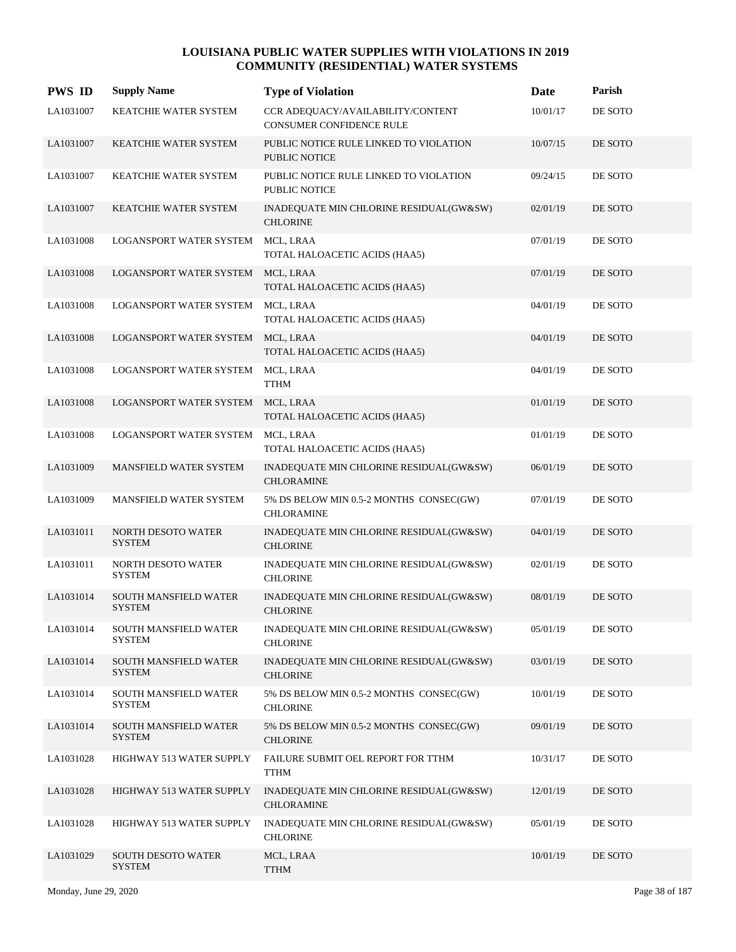| <b>PWS ID</b> | <b>Supply Name</b>                     | <b>Type of Violation</b>                                       | Date     | Parish  |
|---------------|----------------------------------------|----------------------------------------------------------------|----------|---------|
| LA1031007     | KEATCHIE WATER SYSTEM                  | CCR ADEQUACY/AVAILABILITY/CONTENT<br>CONSUMER CONFIDENCE RULE  | 10/01/17 | DE SOTO |
| LA1031007     | KEATCHIE WATER SYSTEM                  | PUBLIC NOTICE RULE LINKED TO VIOLATION<br>PUBLIC NOTICE        | 10/07/15 | DE SOTO |
| LA1031007     | KEATCHIE WATER SYSTEM                  | PUBLIC NOTICE RULE LINKED TO VIOLATION<br><b>PUBLIC NOTICE</b> | 09/24/15 | DE SOTO |
| LA1031007     | <b>KEATCHIE WATER SYSTEM</b>           | INADEQUATE MIN CHLORINE RESIDUAL(GW&SW)<br><b>CHLORINE</b>     | 02/01/19 | DE SOTO |
| LA1031008     | LOGANSPORT WATER SYSTEM                | MCL, LRAA<br>TOTAL HALOACETIC ACIDS (HAA5)                     | 07/01/19 | DE SOTO |
| LA1031008     | LOGANSPORT WATER SYSTEM MCL, LRAA      | TOTAL HALOACETIC ACIDS (HAA5)                                  | 07/01/19 | DE SOTO |
| LA1031008     | LOGANSPORT WATER SYSTEM                | MCL, LRAA<br>TOTAL HALOACETIC ACIDS (HAA5)                     | 04/01/19 | DE SOTO |
| LA1031008     | <b>LOGANSPORT WATER SYSTEM</b>         | MCL, LRAA<br>TOTAL HALOACETIC ACIDS (HAA5)                     | 04/01/19 | DE SOTO |
| LA1031008     | LOGANSPORT WATER SYSTEM                | MCL, LRAA<br><b>TTHM</b>                                       | 04/01/19 | DE SOTO |
| LA1031008     | LOGANSPORT WATER SYSTEM                | MCL, LRAA<br>TOTAL HALOACETIC ACIDS (HAA5)                     | 01/01/19 | DE SOTO |
| LA1031008     | LOGANSPORT WATER SYSTEM                | MCL, LRAA<br>TOTAL HALOACETIC ACIDS (HAA5)                     | 01/01/19 | DE SOTO |
| LA1031009     | MANSFIELD WATER SYSTEM                 | INADEQUATE MIN CHLORINE RESIDUAL(GW&SW)<br><b>CHLORAMINE</b>   | 06/01/19 | DE SOTO |
| LA1031009     | MANSFIELD WATER SYSTEM                 | 5% DS BELOW MIN 0.5-2 MONTHS CONSEC(GW)<br><b>CHLORAMINE</b>   | 07/01/19 | DE SOTO |
| LA1031011     | NORTH DESOTO WATER<br><b>SYSTEM</b>    | INADEQUATE MIN CHLORINE RESIDUAL(GW&SW)<br><b>CHLORINE</b>     | 04/01/19 | DE SOTO |
| LA1031011     | NORTH DESOTO WATER<br><b>SYSTEM</b>    | INADEQUATE MIN CHLORINE RESIDUAL(GW&SW)<br><b>CHLORINE</b>     | 02/01/19 | DE SOTO |
| LA1031014     | SOUTH MANSFIELD WATER<br><b>SYSTEM</b> | INADEQUATE MIN CHLORINE RESIDUAL(GW&SW)<br><b>CHLORINE</b>     | 08/01/19 | DE SOTO |
| LA1031014     | SOUTH MANSFIELD WATER<br><b>SYSTEM</b> | INADEQUATE MIN CHLORINE RESIDUAL(GW&SW)<br><b>CHLORINE</b>     | 05/01/19 | DE SOTO |
| LA1031014     | SOUTH MANSFIELD WATER<br><b>SYSTEM</b> | INADEQUATE MIN CHLORINE RESIDUAL(GW&SW)<br><b>CHLORINE</b>     | 03/01/19 | DE SOTO |
| LA1031014     | SOUTH MANSFIELD WATER<br><b>SYSTEM</b> | 5% DS BELOW MIN 0.5-2 MONTHS CONSEC(GW)<br><b>CHLORINE</b>     | 10/01/19 | DE SOTO |
| LA1031014     | SOUTH MANSFIELD WATER<br><b>SYSTEM</b> | 5% DS BELOW MIN 0.5-2 MONTHS CONSEC(GW)<br><b>CHLORINE</b>     | 09/01/19 | DE SOTO |
| LA1031028     | HIGHWAY 513 WATER SUPPLY               | FAILURE SUBMIT OEL REPORT FOR TTHM<br><b>TTHM</b>              | 10/31/17 | DE SOTO |
| LA1031028     | HIGHWAY 513 WATER SUPPLY               | INADEQUATE MIN CHLORINE RESIDUAL(GW&SW)<br>CHLORAMINE          | 12/01/19 | DE SOTO |
| LA1031028     | HIGHWAY 513 WATER SUPPLY               | INADEQUATE MIN CHLORINE RESIDUAL(GW&SW)<br><b>CHLORINE</b>     | 05/01/19 | DE SOTO |
| LA1031029     | SOUTH DESOTO WATER<br><b>SYSTEM</b>    | MCL, LRAA<br><b>TTHM</b>                                       | 10/01/19 | DE SOTO |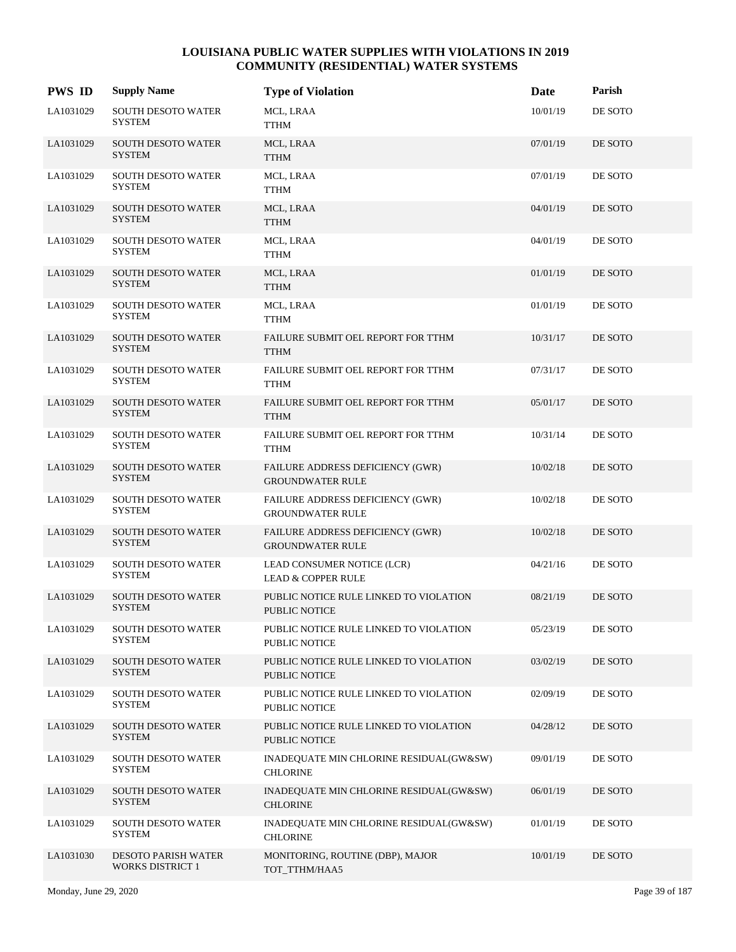| <b>PWS ID</b> | <b>Supply Name</b>                                    | <b>Type of Violation</b>                                       | Date     | Parish  |
|---------------|-------------------------------------------------------|----------------------------------------------------------------|----------|---------|
| LA1031029     | <b>SOUTH DESOTO WATER</b><br><b>SYSTEM</b>            | MCL, LRAA<br>TTHM                                              | 10/01/19 | DE SOTO |
| LA1031029     | SOUTH DESOTO WATER<br><b>SYSTEM</b>                   | MCL, LRAA<br><b>TTHM</b>                                       | 07/01/19 | DE SOTO |
| LA1031029     | <b>SOUTH DESOTO WATER</b><br><b>SYSTEM</b>            | MCL, LRAA<br><b>TTHM</b>                                       | 07/01/19 | DE SOTO |
| LA1031029     | SOUTH DESOTO WATER<br><b>SYSTEM</b>                   | MCL, LRAA<br><b>TTHM</b>                                       | 04/01/19 | DE SOTO |
| LA1031029     | <b>SOUTH DESOTO WATER</b><br><b>SYSTEM</b>            | MCL, LRAA<br><b>TTHM</b>                                       | 04/01/19 | DE SOTO |
| LA1031029     | SOUTH DESOTO WATER<br>SYSTEM                          | MCL, LRAA<br><b>TTHM</b>                                       | 01/01/19 | DE SOTO |
| LA1031029     | <b>SOUTH DESOTO WATER</b><br><b>SYSTEM</b>            | MCL, LRAA<br><b>TTHM</b>                                       | 01/01/19 | DE SOTO |
| LA1031029     | SOUTH DESOTO WATER<br><b>SYSTEM</b>                   | FAILURE SUBMIT OEL REPORT FOR TTHM<br><b>TTHM</b>              | 10/31/17 | DE SOTO |
| LA1031029     | <b>SOUTH DESOTO WATER</b><br><b>SYSTEM</b>            | FAILURE SUBMIT OEL REPORT FOR TTHM<br><b>TTHM</b>              | 07/31/17 | DE SOTO |
| LA1031029     | <b>SOUTH DESOTO WATER</b><br>SYSTEM                   | FAILURE SUBMIT OEL REPORT FOR TTHM<br><b>TTHM</b>              | 05/01/17 | DE SOTO |
| LA1031029     | <b>SOUTH DESOTO WATER</b><br><b>SYSTEM</b>            | FAILURE SUBMIT OEL REPORT FOR TTHM<br><b>TTHM</b>              | 10/31/14 | DE SOTO |
| LA1031029     | <b>SOUTH DESOTO WATER</b><br><b>SYSTEM</b>            | FAILURE ADDRESS DEFICIENCY (GWR)<br><b>GROUNDWATER RULE</b>    | 10/02/18 | DE SOTO |
| LA1031029     | <b>SOUTH DESOTO WATER</b><br><b>SYSTEM</b>            | FAILURE ADDRESS DEFICIENCY (GWR)<br><b>GROUNDWATER RULE</b>    | 10/02/18 | DE SOTO |
| LA1031029     | <b>SOUTH DESOTO WATER</b><br><b>SYSTEM</b>            | FAILURE ADDRESS DEFICIENCY (GWR)<br><b>GROUNDWATER RULE</b>    | 10/02/18 | DE SOTO |
| LA1031029     | <b>SOUTH DESOTO WATER</b><br><b>SYSTEM</b>            | LEAD CONSUMER NOTICE (LCR)<br><b>LEAD &amp; COPPER RULE</b>    | 04/21/16 | DE SOTO |
| LA1031029     | <b>SOUTH DESOTO WATER</b><br><b>SYSTEM</b>            | PUBLIC NOTICE RULE LINKED TO VIOLATION<br><b>PUBLIC NOTICE</b> | 08/21/19 | DE SOTO |
| LA1031029     | <b>SOUTH DESOTO WATER</b><br><b>SYSTEM</b>            | PUBLIC NOTICE RULE LINKED TO VIOLATION<br>PUBLIC NOTICE        | 05/23/19 | DE SOTO |
| LA1031029     | <b>SOUTH DESOTO WATER</b><br><b>SYSTEM</b>            | PUBLIC NOTICE RULE LINKED TO VIOLATION<br>PUBLIC NOTICE        | 03/02/19 | DE SOTO |
| LA1031029     | <b>SOUTH DESOTO WATER</b><br><b>SYSTEM</b>            | PUBLIC NOTICE RULE LINKED TO VIOLATION<br>PUBLIC NOTICE        | 02/09/19 | DE SOTO |
| LA1031029     | <b>SOUTH DESOTO WATER</b><br><b>SYSTEM</b>            | PUBLIC NOTICE RULE LINKED TO VIOLATION<br>PUBLIC NOTICE        | 04/28/12 | DE SOTO |
| LA1031029     | <b>SOUTH DESOTO WATER</b><br><b>SYSTEM</b>            | INADEQUATE MIN CHLORINE RESIDUAL(GW&SW)<br><b>CHLORINE</b>     | 09/01/19 | DE SOTO |
| LA1031029     | <b>SOUTH DESOTO WATER</b><br>SYSTEM                   | INADEQUATE MIN CHLORINE RESIDUAL(GW&SW)<br><b>CHLORINE</b>     | 06/01/19 | DE SOTO |
| LA1031029     | <b>SOUTH DESOTO WATER</b><br>SYSTEM                   | INADEQUATE MIN CHLORINE RESIDUAL(GW&SW)<br><b>CHLORINE</b>     | 01/01/19 | DE SOTO |
| LA1031030     | <b>DESOTO PARISH WATER</b><br><b>WORKS DISTRICT 1</b> | MONITORING, ROUTINE (DBP), MAJOR<br>TOT_TTHM/HAA5              | 10/01/19 | DE SOTO |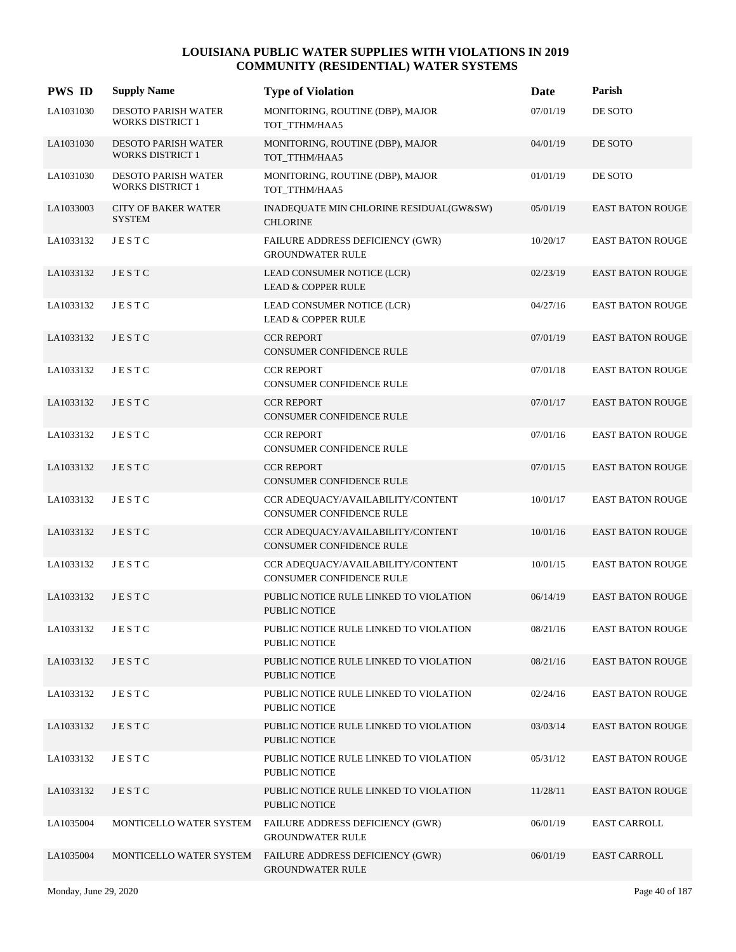| <b>PWS ID</b> | <b>Supply Name</b>                                    | <b>Type of Violation</b>                                             | Date     | Parish                  |
|---------------|-------------------------------------------------------|----------------------------------------------------------------------|----------|-------------------------|
| LA1031030     | DESOTO PARISH WATER<br><b>WORKS DISTRICT 1</b>        | MONITORING, ROUTINE (DBP), MAJOR<br>TOT TTHM/HAA5                    | 07/01/19 | DE SOTO                 |
| LA1031030     | <b>DESOTO PARISH WATER</b><br><b>WORKS DISTRICT 1</b> | MONITORING, ROUTINE (DBP), MAJOR<br>TOT_TTHM/HAA5                    | 04/01/19 | DE SOTO                 |
| LA1031030     | <b>DESOTO PARISH WATER</b><br><b>WORKS DISTRICT 1</b> | MONITORING, ROUTINE (DBP), MAJOR<br>TOT_TTHM/HAA5                    | 01/01/19 | DE SOTO                 |
| LA1033003     | <b>CITY OF BAKER WATER</b><br><b>SYSTEM</b>           | INADEQUATE MIN CHLORINE RESIDUAL(GW&SW)<br><b>CHLORINE</b>           | 05/01/19 | <b>EAST BATON ROUGE</b> |
| LA1033132     | <b>JESTC</b>                                          | FAILURE ADDRESS DEFICIENCY (GWR)<br><b>GROUNDWATER RULE</b>          | 10/20/17 | <b>EAST BATON ROUGE</b> |
| LA1033132     | JESTC                                                 | LEAD CONSUMER NOTICE (LCR)<br><b>LEAD &amp; COPPER RULE</b>          | 02/23/19 | <b>EAST BATON ROUGE</b> |
| LA1033132     | <b>JESTC</b>                                          | LEAD CONSUMER NOTICE (LCR)<br><b>LEAD &amp; COPPER RULE</b>          | 04/27/16 | EAST BATON ROUGE        |
| LA1033132     | JESTC                                                 | <b>CCR REPORT</b><br>CONSUMER CONFIDENCE RULE                        | 07/01/19 | <b>EAST BATON ROUGE</b> |
| LA1033132     | <b>JESTC</b>                                          | <b>CCR REPORT</b><br><b>CONSUMER CONFIDENCE RULE</b>                 | 07/01/18 | <b>EAST BATON ROUGE</b> |
| LA1033132     | <b>JESTC</b>                                          | <b>CCR REPORT</b><br>CONSUMER CONFIDENCE RULE                        | 07/01/17 | <b>EAST BATON ROUGE</b> |
| LA1033132     | JESTC                                                 | <b>CCR REPORT</b><br>CONSUMER CONFIDENCE RULE                        | 07/01/16 | <b>EAST BATON ROUGE</b> |
| LA1033132     | JESTC                                                 | <b>CCR REPORT</b><br><b>CONSUMER CONFIDENCE RULE</b>                 | 07/01/15 | <b>EAST BATON ROUGE</b> |
| LA1033132     | JESTC                                                 | CCR ADEQUACY/AVAILABILITY/CONTENT<br>CONSUMER CONFIDENCE RULE        | 10/01/17 | <b>EAST BATON ROUGE</b> |
| LA1033132     | JESTC                                                 | CCR ADEQUACY/AVAILABILITY/CONTENT<br>CONSUMER CONFIDENCE RULE        | 10/01/16 | <b>EAST BATON ROUGE</b> |
| LA1033132     | JESTC                                                 | CCR ADEQUACY/AVAILABILITY/CONTENT<br><b>CONSUMER CONFIDENCE RULE</b> | 10/01/15 | <b>EAST BATON ROUGE</b> |
| LA1033132     | JESTC                                                 | PUBLIC NOTICE RULE LINKED TO VIOLATION<br><b>PUBLIC NOTICE</b>       | 06/14/19 | <b>EAST BATON ROUGE</b> |
| LA1033132     | JESTC                                                 | PUBLIC NOTICE RULE LINKED TO VIOLATION<br>PUBLIC NOTICE              | 08/21/16 | <b>EAST BATON ROUGE</b> |
| LA1033132     | JESTC                                                 | PUBLIC NOTICE RULE LINKED TO VIOLATION<br>PUBLIC NOTICE              | 08/21/16 | <b>EAST BATON ROUGE</b> |
| LA1033132     | JESTC                                                 | PUBLIC NOTICE RULE LINKED TO VIOLATION<br>PUBLIC NOTICE              | 02/24/16 | <b>EAST BATON ROUGE</b> |
| LA1033132     | JESTC                                                 | PUBLIC NOTICE RULE LINKED TO VIOLATION<br>PUBLIC NOTICE              | 03/03/14 | <b>EAST BATON ROUGE</b> |
| LA1033132     | JESTC                                                 | PUBLIC NOTICE RULE LINKED TO VIOLATION<br>PUBLIC NOTICE              | 05/31/12 | <b>EAST BATON ROUGE</b> |
| LA1033132     | JESTC                                                 | PUBLIC NOTICE RULE LINKED TO VIOLATION<br>PUBLIC NOTICE              | 11/28/11 | <b>EAST BATON ROUGE</b> |
| LA1035004     | MONTICELLO WATER SYSTEM                               | FAILURE ADDRESS DEFICIENCY (GWR)<br><b>GROUNDWATER RULE</b>          | 06/01/19 | <b>EAST CARROLL</b>     |
| LA1035004     | MONTICELLO WATER SYSTEM                               | FAILURE ADDRESS DEFICIENCY (GWR)<br><b>GROUNDWATER RULE</b>          | 06/01/19 | <b>EAST CARROLL</b>     |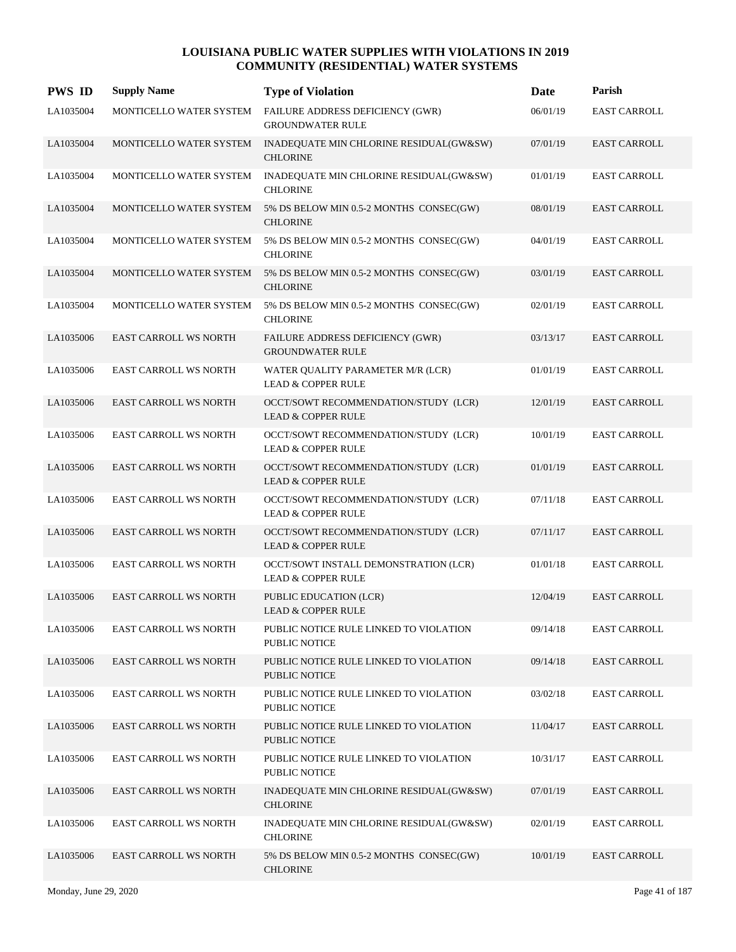| <b>PWS ID</b> | <b>Supply Name</b>           | <b>Type of Violation</b>                                               | <b>Date</b> | Parish              |
|---------------|------------------------------|------------------------------------------------------------------------|-------------|---------------------|
| LA1035004     | MONTICELLO WATER SYSTEM      | FAILURE ADDRESS DEFICIENCY (GWR)<br><b>GROUNDWATER RULE</b>            | 06/01/19    | <b>EAST CARROLL</b> |
| LA1035004     | MONTICELLO WATER SYSTEM      | INADEQUATE MIN CHLORINE RESIDUAL(GW&SW)<br><b>CHLORINE</b>             | 07/01/19    | <b>EAST CARROLL</b> |
| LA1035004     | MONTICELLO WATER SYSTEM      | INADEQUATE MIN CHLORINE RESIDUAL(GW&SW)<br><b>CHLORINE</b>             | 01/01/19    | <b>EAST CARROLL</b> |
| LA1035004     | MONTICELLO WATER SYSTEM      | 5% DS BELOW MIN 0.5-2 MONTHS CONSEC(GW)<br><b>CHLORINE</b>             | 08/01/19    | <b>EAST CARROLL</b> |
| LA1035004     | MONTICELLO WATER SYSTEM      | 5% DS BELOW MIN 0.5-2 MONTHS CONSEC(GW)<br><b>CHLORINE</b>             | 04/01/19    | <b>EAST CARROLL</b> |
| LA1035004     | MONTICELLO WATER SYSTEM      | 5% DS BELOW MIN 0.5-2 MONTHS CONSEC(GW)<br><b>CHLORINE</b>             | 03/01/19    | <b>EAST CARROLL</b> |
| LA1035004     | MONTICELLO WATER SYSTEM      | 5% DS BELOW MIN 0.5-2 MONTHS CONSEC(GW)<br><b>CHLORINE</b>             | 02/01/19    | <b>EAST CARROLL</b> |
| LA1035006     | <b>EAST CARROLL WS NORTH</b> | FAILURE ADDRESS DEFICIENCY (GWR)<br><b>GROUNDWATER RULE</b>            | 03/13/17    | <b>EAST CARROLL</b> |
| LA1035006     | EAST CARROLL WS NORTH        | WATER QUALITY PARAMETER M/R (LCR)<br><b>LEAD &amp; COPPER RULE</b>     | 01/01/19    | <b>EAST CARROLL</b> |
| LA1035006     | EAST CARROLL WS NORTH        | OCCT/SOWT RECOMMENDATION/STUDY (LCR)<br><b>LEAD &amp; COPPER RULE</b>  | 12/01/19    | <b>EAST CARROLL</b> |
| LA1035006     | EAST CARROLL WS NORTH        | OCCT/SOWT RECOMMENDATION/STUDY (LCR)<br><b>LEAD &amp; COPPER RULE</b>  | 10/01/19    | <b>EAST CARROLL</b> |
| LA1035006     | <b>EAST CARROLL WS NORTH</b> | OCCT/SOWT RECOMMENDATION/STUDY (LCR)<br><b>LEAD &amp; COPPER RULE</b>  | 01/01/19    | <b>EAST CARROLL</b> |
| LA1035006     | EAST CARROLL WS NORTH        | OCCT/SOWT RECOMMENDATION/STUDY (LCR)<br><b>LEAD &amp; COPPER RULE</b>  | 07/11/18    | <b>EAST CARROLL</b> |
| LA1035006     | <b>EAST CARROLL WS NORTH</b> | OCCT/SOWT RECOMMENDATION/STUDY (LCR)<br><b>LEAD &amp; COPPER RULE</b>  | 07/11/17    | <b>EAST CARROLL</b> |
| LA1035006     | EAST CARROLL WS NORTH        | OCCT/SOWT INSTALL DEMONSTRATION (LCR)<br><b>LEAD &amp; COPPER RULE</b> | 01/01/18    | <b>EAST CARROLL</b> |
| LA1035006     | EAST CARROLL WS NORTH        | PUBLIC EDUCATION (LCR)<br><b>LEAD &amp; COPPER RULE</b>                | 12/04/19    | <b>EAST CARROLL</b> |
| LA1035006     | <b>EAST CARROLL WS NORTH</b> | PUBLIC NOTICE RULE LINKED TO VIOLATION<br>PUBLIC NOTICE                | 09/14/18    | <b>EAST CARROLL</b> |
| LA1035006     | <b>EAST CARROLL WS NORTH</b> | PUBLIC NOTICE RULE LINKED TO VIOLATION<br><b>PUBLIC NOTICE</b>         | 09/14/18    | <b>EAST CARROLL</b> |
| LA1035006     | EAST CARROLL WS NORTH        | PUBLIC NOTICE RULE LINKED TO VIOLATION<br>PUBLIC NOTICE                | 03/02/18    | <b>EAST CARROLL</b> |
| LA1035006     | EAST CARROLL WS NORTH        | PUBLIC NOTICE RULE LINKED TO VIOLATION<br><b>PUBLIC NOTICE</b>         | 11/04/17    | <b>EAST CARROLL</b> |
| LA1035006     | EAST CARROLL WS NORTH        | PUBLIC NOTICE RULE LINKED TO VIOLATION<br>PUBLIC NOTICE                | 10/31/17    | EAST CARROLL        |
| LA1035006     | <b>EAST CARROLL WS NORTH</b> | INADEQUATE MIN CHLORINE RESIDUAL(GW&SW)<br><b>CHLORINE</b>             | 07/01/19    | <b>EAST CARROLL</b> |
| LA1035006     | <b>EAST CARROLL WS NORTH</b> | INADEQUATE MIN CHLORINE RESIDUAL(GW&SW)<br><b>CHLORINE</b>             | 02/01/19    | EAST CARROLL        |
| LA1035006     | EAST CARROLL WS NORTH        | 5% DS BELOW MIN 0.5-2 MONTHS CONSEC(GW)<br><b>CHLORINE</b>             | 10/01/19    | EAST CARROLL        |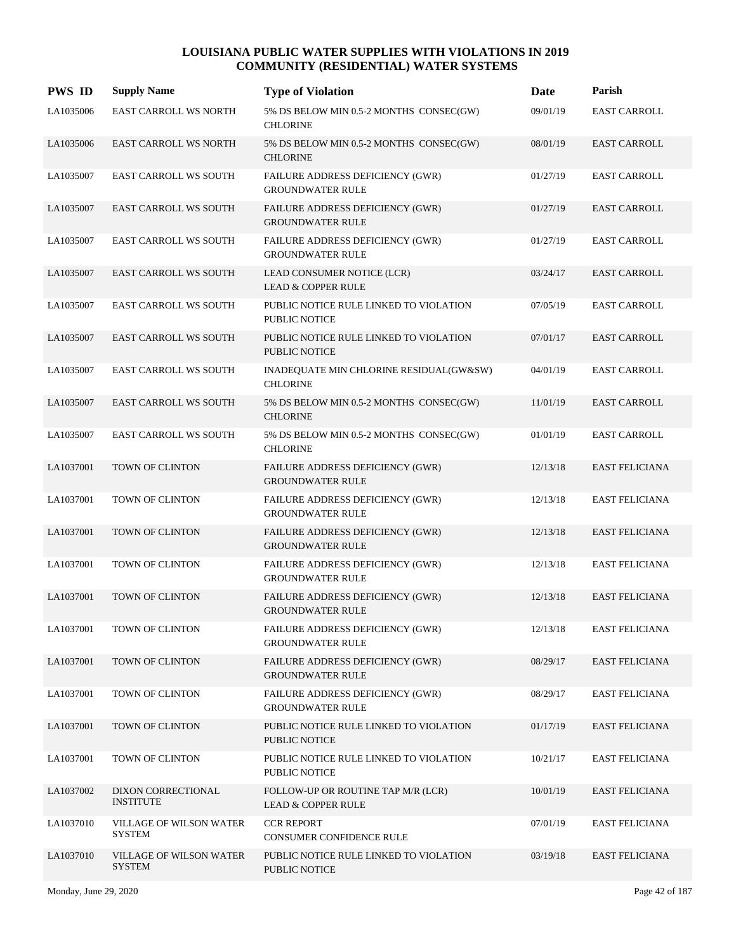| <b>PWS ID</b> | <b>Supply Name</b>                       | <b>Type of Violation</b>                                            | Date     | Parish                |
|---------------|------------------------------------------|---------------------------------------------------------------------|----------|-----------------------|
| LA1035006     | EAST CARROLL WS NORTH                    | 5% DS BELOW MIN 0.5-2 MONTHS CONSEC(GW)<br><b>CHLORINE</b>          | 09/01/19 | <b>EAST CARROLL</b>   |
| LA1035006     | EAST CARROLL WS NORTH                    | 5% DS BELOW MIN 0.5-2 MONTHS CONSEC(GW)<br><b>CHLORINE</b>          | 08/01/19 | <b>EAST CARROLL</b>   |
| LA1035007     | <b>EAST CARROLL WS SOUTH</b>             | FAILURE ADDRESS DEFICIENCY (GWR)<br><b>GROUNDWATER RULE</b>         | 01/27/19 | <b>EAST CARROLL</b>   |
| LA1035007     | <b>EAST CARROLL WS SOUTH</b>             | FAILURE ADDRESS DEFICIENCY (GWR)<br><b>GROUNDWATER RULE</b>         | 01/27/19 | <b>EAST CARROLL</b>   |
| LA1035007     | <b>EAST CARROLL WS SOUTH</b>             | FAILURE ADDRESS DEFICIENCY (GWR)<br><b>GROUNDWATER RULE</b>         | 01/27/19 | <b>EAST CARROLL</b>   |
| LA1035007     | <b>EAST CARROLL WS SOUTH</b>             | LEAD CONSUMER NOTICE (LCR)<br><b>LEAD &amp; COPPER RULE</b>         | 03/24/17 | <b>EAST CARROLL</b>   |
| LA1035007     | <b>EAST CARROLL WS SOUTH</b>             | PUBLIC NOTICE RULE LINKED TO VIOLATION<br>PUBLIC NOTICE             | 07/05/19 | <b>EAST CARROLL</b>   |
| LA1035007     | <b>EAST CARROLL WS SOUTH</b>             | PUBLIC NOTICE RULE LINKED TO VIOLATION<br><b>PUBLIC NOTICE</b>      | 07/01/17 | <b>EAST CARROLL</b>   |
| LA1035007     | <b>EAST CARROLL WS SOUTH</b>             | INADEQUATE MIN CHLORINE RESIDUAL(GW&SW)<br><b>CHLORINE</b>          | 04/01/19 | <b>EAST CARROLL</b>   |
| LA1035007     | <b>EAST CARROLL WS SOUTH</b>             | 5% DS BELOW MIN 0.5-2 MONTHS CONSEC(GW)<br><b>CHLORINE</b>          | 11/01/19 | <b>EAST CARROLL</b>   |
| LA1035007     | <b>EAST CARROLL WS SOUTH</b>             | 5% DS BELOW MIN 0.5-2 MONTHS CONSEC(GW)<br><b>CHLORINE</b>          | 01/01/19 | <b>EAST CARROLL</b>   |
| LA1037001     | TOWN OF CLINTON                          | FAILURE ADDRESS DEFICIENCY (GWR)<br><b>GROUNDWATER RULE</b>         | 12/13/18 | <b>EAST FELICIANA</b> |
| LA1037001     | TOWN OF CLINTON                          | FAILURE ADDRESS DEFICIENCY (GWR)<br><b>GROUNDWATER RULE</b>         | 12/13/18 | <b>EAST FELICIANA</b> |
| LA1037001     | TOWN OF CLINTON                          | FAILURE ADDRESS DEFICIENCY (GWR)<br><b>GROUNDWATER RULE</b>         | 12/13/18 | <b>EAST FELICIANA</b> |
| LA1037001     | TOWN OF CLINTON                          | FAILURE ADDRESS DEFICIENCY (GWR)<br><b>GROUNDWATER RULE</b>         | 12/13/18 | <b>EAST FELICIANA</b> |
| LA1037001     | TOWN OF CLINTON                          | FAILURE ADDRESS DEFICIENCY (GWR)<br><b>GROUNDWATER RULE</b>         | 12/13/18 | <b>EAST FELICIANA</b> |
| LA1037001     | TOWN OF CLINTON                          | FAILURE ADDRESS DEFICIENCY (GWR)<br><b>GROUNDWATER RULE</b>         | 12/13/18 | <b>EAST FELICIANA</b> |
| LA1037001     | TOWN OF CLINTON                          | FAILURE ADDRESS DEFICIENCY (GWR)<br><b>GROUNDWATER RULE</b>         | 08/29/17 | <b>EAST FELICIANA</b> |
| LA1037001     | TOWN OF CLINTON                          | FAILURE ADDRESS DEFICIENCY (GWR)<br><b>GROUNDWATER RULE</b>         | 08/29/17 | EAST FELICIANA        |
| LA1037001     | TOWN OF CLINTON                          | PUBLIC NOTICE RULE LINKED TO VIOLATION<br>PUBLIC NOTICE             | 01/17/19 | EAST FELICIANA        |
| LA1037001     | TOWN OF CLINTON                          | PUBLIC NOTICE RULE LINKED TO VIOLATION<br>PUBLIC NOTICE             | 10/21/17 | EAST FELICIANA        |
| LA1037002     | DIXON CORRECTIONAL<br><b>INSTITUTE</b>   | FOLLOW-UP OR ROUTINE TAP M/R (LCR)<br><b>LEAD &amp; COPPER RULE</b> | 10/01/19 | <b>EAST FELICIANA</b> |
| LA1037010     | VILLAGE OF WILSON WATER<br><b>SYSTEM</b> | <b>CCR REPORT</b><br>CONSUMER CONFIDENCE RULE                       | 07/01/19 | <b>EAST FELICIANA</b> |
| LA1037010     | VILLAGE OF WILSON WATER<br><b>SYSTEM</b> | PUBLIC NOTICE RULE LINKED TO VIOLATION<br><b>PUBLIC NOTICE</b>      | 03/19/18 | EAST FELICIANA        |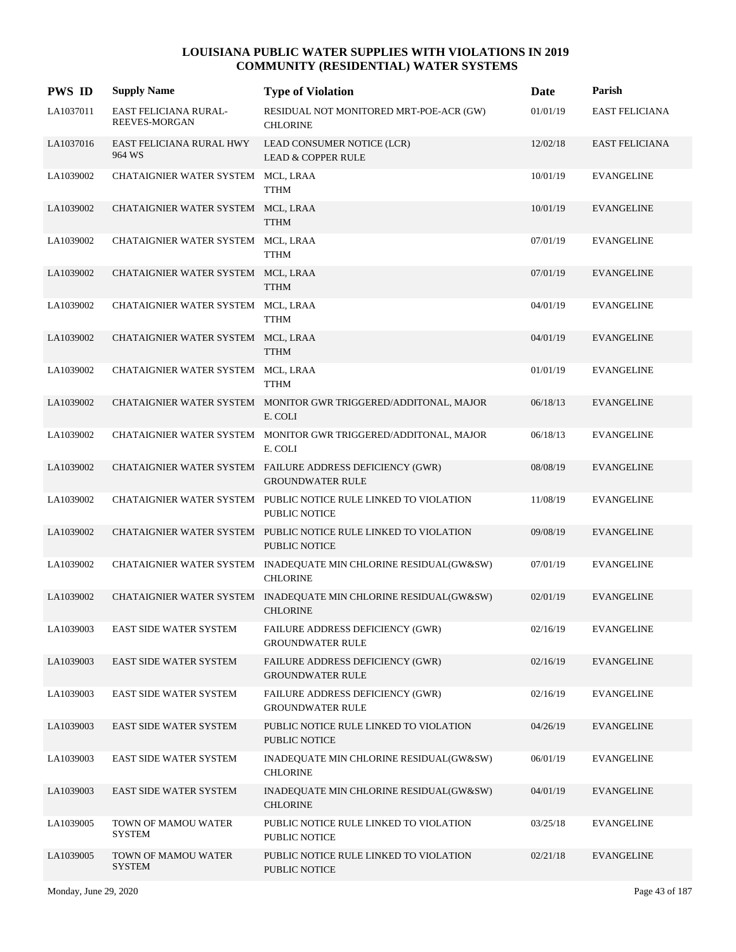| <b>PWS ID</b> | <b>Supply Name</b>                     | <b>Type of Violation</b>                                                                | Date     | Parish                |
|---------------|----------------------------------------|-----------------------------------------------------------------------------------------|----------|-----------------------|
| LA1037011     | EAST FELICIANA RURAL-<br>REEVES-MORGAN | RESIDUAL NOT MONITORED MRT-POE-ACR (GW)<br><b>CHLORINE</b>                              | 01/01/19 | EAST FELICIANA        |
| LA1037016     | EAST FELICIANA RURAL HWY<br>964 WS     | LEAD CONSUMER NOTICE (LCR)<br><b>LEAD &amp; COPPER RULE</b>                             | 12/02/18 | <b>EAST FELICIANA</b> |
| LA1039002     | CHATAIGNIER WATER SYSTEM MCL, LRAA     | <b>TTHM</b>                                                                             | 10/01/19 | <b>EVANGELINE</b>     |
| LA1039002     | CHATAIGNIER WATER SYSTEM MCL, LRAA     | <b>TTHM</b>                                                                             | 10/01/19 | <b>EVANGELINE</b>     |
| LA1039002     | CHATAIGNIER WATER SYSTEM MCL, LRAA     | <b>TTHM</b>                                                                             | 07/01/19 | <b>EVANGELINE</b>     |
| LA1039002     | CHATAIGNIER WATER SYSTEM MCL, LRAA     | <b>TTHM</b>                                                                             | 07/01/19 | <b>EVANGELINE</b>     |
| LA1039002     | CHATAIGNIER WATER SYSTEM MCL, LRAA     | <b>TTHM</b>                                                                             | 04/01/19 | <b>EVANGELINE</b>     |
| LA1039002     | CHATAIGNIER WATER SYSTEM MCL, LRAA     | <b>TTHM</b>                                                                             | 04/01/19 | <b>EVANGELINE</b>     |
| LA1039002     | CHATAIGNIER WATER SYSTEM MCL, LRAA     | <b>TTHM</b>                                                                             | 01/01/19 | <b>EVANGELINE</b>     |
| LA1039002     |                                        | CHATAIGNIER WATER SYSTEM MONITOR GWR TRIGGERED/ADDITONAL, MAJOR<br>E. COLI              | 06/18/13 | <b>EVANGELINE</b>     |
| LA1039002     | CHATAIGNIER WATER SYSTEM               | MONITOR GWR TRIGGERED/ADDITONAL, MAJOR<br>E. COLI                                       | 06/18/13 | <b>EVANGELINE</b>     |
| LA1039002     |                                        | CHATAIGNIER WATER SYSTEM FAILURE ADDRESS DEFICIENCY (GWR)<br><b>GROUNDWATER RULE</b>    | 08/08/19 | <b>EVANGELINE</b>     |
| LA1039002     |                                        | CHATAIGNIER WATER SYSTEM PUBLIC NOTICE RULE LINKED TO VIOLATION<br>PUBLIC NOTICE        | 11/08/19 | <b>EVANGELINE</b>     |
| LA1039002     |                                        | CHATAIGNIER WATER SYSTEM PUBLIC NOTICE RULE LINKED TO VIOLATION<br><b>PUBLIC NOTICE</b> | 09/08/19 | <b>EVANGELINE</b>     |
| LA1039002     |                                        | CHATAIGNIER WATER SYSTEM INADEQUATE MIN CHLORINE RESIDUAL(GW&SW)<br><b>CHLORINE</b>     | 07/01/19 | <b>EVANGELINE</b>     |
| LA1039002     |                                        | CHATAIGNIER WATER SYSTEM INADEQUATE MIN CHLORINE RESIDUAL(GW&SW)<br><b>CHLORINE</b>     | 02/01/19 | <b>EVANGELINE</b>     |
| LA1039003     | EAST SIDE WATER SYSTEM                 | FAILURE ADDRESS DEFICIENCY (GWR)<br><b>GROUNDWATER RULE</b>                             | 02/16/19 | <b>EVANGELINE</b>     |
| LA1039003     | <b>EAST SIDE WATER SYSTEM</b>          | FAILURE ADDRESS DEFICIENCY (GWR)<br><b>GROUNDWATER RULE</b>                             | 02/16/19 | <b>EVANGELINE</b>     |
| LA1039003     | EAST SIDE WATER SYSTEM                 | FAILURE ADDRESS DEFICIENCY (GWR)<br><b>GROUNDWATER RULE</b>                             | 02/16/19 | <b>EVANGELINE</b>     |
| LA1039003     | <b>EAST SIDE WATER SYSTEM</b>          | PUBLIC NOTICE RULE LINKED TO VIOLATION<br>PUBLIC NOTICE                                 | 04/26/19 | <b>EVANGELINE</b>     |
| LA1039003     | EAST SIDE WATER SYSTEM                 | INADEQUATE MIN CHLORINE RESIDUAL(GW&SW)<br><b>CHLORINE</b>                              | 06/01/19 | <b>EVANGELINE</b>     |
| LA1039003     | <b>EAST SIDE WATER SYSTEM</b>          | INADEQUATE MIN CHLORINE RESIDUAL(GW&SW)<br><b>CHLORINE</b>                              | 04/01/19 | <b>EVANGELINE</b>     |
| LA1039005     | TOWN OF MAMOU WATER<br><b>SYSTEM</b>   | PUBLIC NOTICE RULE LINKED TO VIOLATION<br>PUBLIC NOTICE                                 | 03/25/18 | <b>EVANGELINE</b>     |
| LA1039005     | TOWN OF MAMOU WATER<br><b>SYSTEM</b>   | PUBLIC NOTICE RULE LINKED TO VIOLATION<br>PUBLIC NOTICE                                 | 02/21/18 | <b>EVANGELINE</b>     |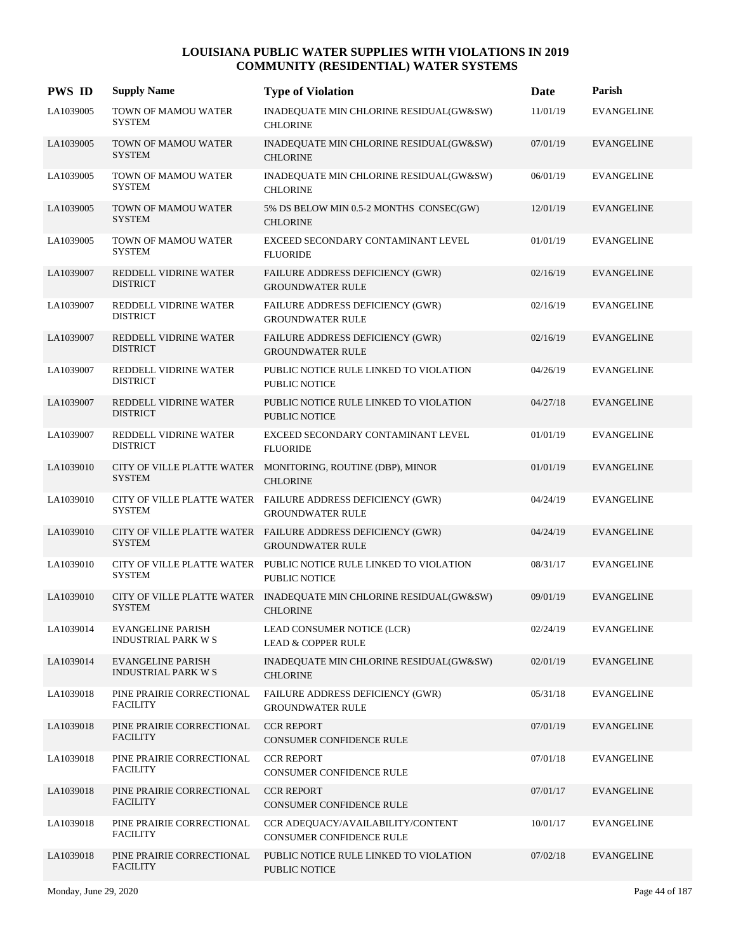| <b>PWS ID</b> | <b>Supply Name</b>                                     | <b>Type of Violation</b>                                                               | Date     | Parish            |
|---------------|--------------------------------------------------------|----------------------------------------------------------------------------------------|----------|-------------------|
| LA1039005     | TOWN OF MAMOU WATER<br><b>SYSTEM</b>                   | INADEQUATE MIN CHLORINE RESIDUAL(GW&SW)<br><b>CHLORINE</b>                             | 11/01/19 | <b>EVANGELINE</b> |
| LA1039005     | TOWN OF MAMOU WATER<br><b>SYSTEM</b>                   | INADEQUATE MIN CHLORINE RESIDUAL(GW&SW)<br><b>CHLORINE</b>                             | 07/01/19 | <b>EVANGELINE</b> |
| LA1039005     | TOWN OF MAMOU WATER<br><b>SYSTEM</b>                   | INADEQUATE MIN CHLORINE RESIDUAL(GW&SW)<br><b>CHLORINE</b>                             | 06/01/19 | <b>EVANGELINE</b> |
| LA1039005     | TOWN OF MAMOU WATER<br><b>SYSTEM</b>                   | 5% DS BELOW MIN 0.5-2 MONTHS CONSEC(GW)<br><b>CHLORINE</b>                             | 12/01/19 | <b>EVANGELINE</b> |
| LA1039005     | TOWN OF MAMOU WATER<br><b>SYSTEM</b>                   | EXCEED SECONDARY CONTAMINANT LEVEL<br><b>FLUORIDE</b>                                  | 01/01/19 | <b>EVANGELINE</b> |
| LA1039007     | REDDELL VIDRINE WATER<br><b>DISTRICT</b>               | FAILURE ADDRESS DEFICIENCY (GWR)<br><b>GROUNDWATER RULE</b>                            | 02/16/19 | <b>EVANGELINE</b> |
| LA1039007     | REDDELL VIDRINE WATER<br><b>DISTRICT</b>               | <b>FAILURE ADDRESS DEFICIENCY (GWR)</b><br><b>GROUNDWATER RULE</b>                     | 02/16/19 | <b>EVANGELINE</b> |
| LA1039007     | REDDELL VIDRINE WATER<br><b>DISTRICT</b>               | FAILURE ADDRESS DEFICIENCY (GWR)<br><b>GROUNDWATER RULE</b>                            | 02/16/19 | <b>EVANGELINE</b> |
| LA1039007     | REDDELL VIDRINE WATER<br><b>DISTRICT</b>               | PUBLIC NOTICE RULE LINKED TO VIOLATION<br>PUBLIC NOTICE                                | 04/26/19 | <b>EVANGELINE</b> |
| LA1039007     | REDDELL VIDRINE WATER<br><b>DISTRICT</b>               | PUBLIC NOTICE RULE LINKED TO VIOLATION<br>PUBLIC NOTICE                                | 04/27/18 | <b>EVANGELINE</b> |
| LA1039007     | REDDELL VIDRINE WATER<br><b>DISTRICT</b>               | EXCEED SECONDARY CONTAMINANT LEVEL<br><b>FLUORIDE</b>                                  | 01/01/19 | <b>EVANGELINE</b> |
| LA1039010     | <b>SYSTEM</b>                                          | CITY OF VILLE PLATTE WATER MONITORING, ROUTINE (DBP), MINOR<br><b>CHLORINE</b>         | 01/01/19 | <b>EVANGELINE</b> |
| LA1039010     | <b>SYSTEM</b>                                          | CITY OF VILLE PLATTE WATER FAILURE ADDRESS DEFICIENCY (GWR)<br><b>GROUNDWATER RULE</b> | 04/24/19 | <b>EVANGELINE</b> |
| LA1039010     | <b>SYSTEM</b>                                          | CITY OF VILLE PLATTE WATER FAILURE ADDRESS DEFICIENCY (GWR)<br><b>GROUNDWATER RULE</b> | 04/24/19 | <b>EVANGELINE</b> |
| LA1039010     | CITY OF VILLE PLATTE WATER<br><b>SYSTEM</b>            | PUBLIC NOTICE RULE LINKED TO VIOLATION<br><b>PUBLIC NOTICE</b>                         | 08/31/17 | <b>EVANGELINE</b> |
| LA1039010     | <b>SYSTEM</b>                                          | CITY OF VILLE PLATTE WATER INADEQUATE MIN CHLORINE RESIDUAL(GW&SW)<br><b>CHLORINE</b>  | 09/01/19 | <b>EVANGELINE</b> |
| LA1039014     | <b>EVANGELINE PARISH</b><br><b>INDUSTRIAL PARK W S</b> | LEAD CONSUMER NOTICE (LCR)<br><b>LEAD &amp; COPPER RULE</b>                            | 02/24/19 | <b>EVANGELINE</b> |
| LA1039014     | <b>EVANGELINE PARISH</b><br><b>INDUSTRIAL PARK W S</b> | INADEQUATE MIN CHLORINE RESIDUAL(GW&SW)<br><b>CHLORINE</b>                             | 02/01/19 | <b>EVANGELINE</b> |
| LA1039018     | PINE PRAIRIE CORRECTIONAL<br><b>FACILITY</b>           | FAILURE ADDRESS DEFICIENCY (GWR)<br><b>GROUNDWATER RULE</b>                            | 05/31/18 | <b>EVANGELINE</b> |
| LA1039018     | PINE PRAIRIE CORRECTIONAL<br><b>FACILITY</b>           | <b>CCR REPORT</b><br>CONSUMER CONFIDENCE RULE                                          | 07/01/19 | <b>EVANGELINE</b> |
| LA1039018     | PINE PRAIRIE CORRECTIONAL<br><b>FACILITY</b>           | <b>CCR REPORT</b><br>CONSUMER CONFIDENCE RULE                                          | 07/01/18 | <b>EVANGELINE</b> |
| LA1039018     | PINE PRAIRIE CORRECTIONAL<br><b>FACILITY</b>           | <b>CCR REPORT</b><br>CONSUMER CONFIDENCE RULE                                          | 07/01/17 | <b>EVANGELINE</b> |
| LA1039018     | PINE PRAIRIE CORRECTIONAL<br><b>FACILITY</b>           | CCR ADEQUACY/AVAILABILITY/CONTENT<br>CONSUMER CONFIDENCE RULE                          | 10/01/17 | <b>EVANGELINE</b> |
| LA1039018     | PINE PRAIRIE CORRECTIONAL<br><b>FACILITY</b>           | PUBLIC NOTICE RULE LINKED TO VIOLATION<br>PUBLIC NOTICE                                | 07/02/18 | <b>EVANGELINE</b> |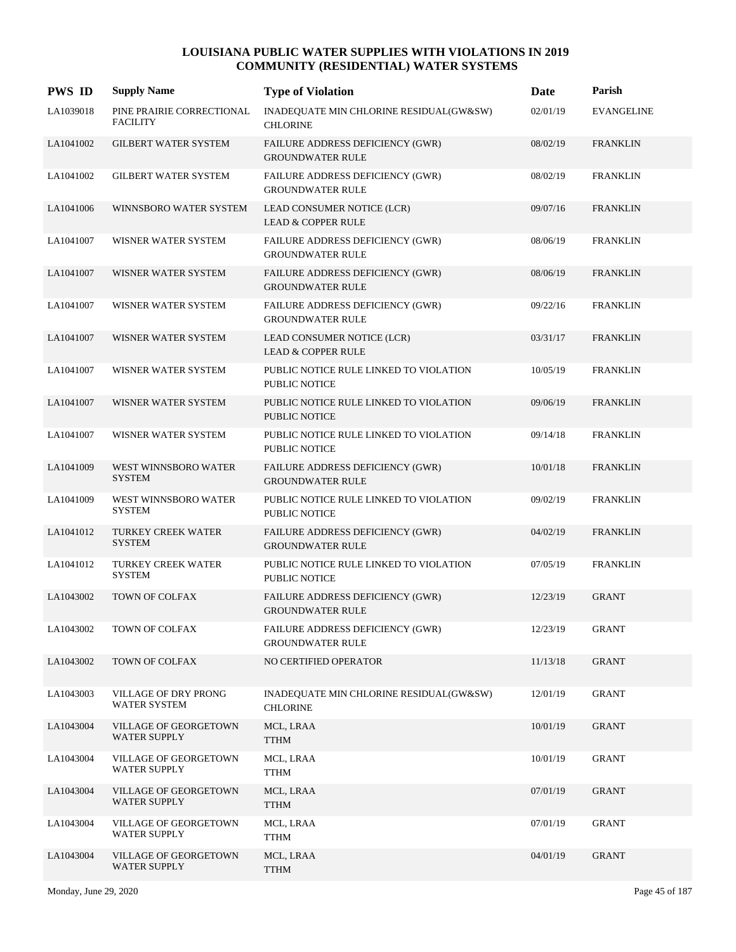| <b>PWS ID</b> | <b>Supply Name</b>                           | <b>Type of Violation</b>                                           | Date     | Parish            |
|---------------|----------------------------------------------|--------------------------------------------------------------------|----------|-------------------|
| LA1039018     | PINE PRAIRIE CORRECTIONAL<br><b>FACILITY</b> | INADEQUATE MIN CHLORINE RESIDUAL(GW&SW)<br><b>CHLORINE</b>         | 02/01/19 | <b>EVANGELINE</b> |
| LA1041002     | <b>GILBERT WATER SYSTEM</b>                  | FAILURE ADDRESS DEFICIENCY (GWR)<br><b>GROUNDWATER RULE</b>        | 08/02/19 | <b>FRANKLIN</b>   |
| LA1041002     | <b>GILBERT WATER SYSTEM</b>                  | FAILURE ADDRESS DEFICIENCY (GWR)<br><b>GROUNDWATER RULE</b>        | 08/02/19 | <b>FRANKLIN</b>   |
| LA1041006     | WINNSBORO WATER SYSTEM                       | LEAD CONSUMER NOTICE (LCR)<br><b>LEAD &amp; COPPER RULE</b>        | 09/07/16 | <b>FRANKLIN</b>   |
| LA1041007     | WISNER WATER SYSTEM                          | FAILURE ADDRESS DEFICIENCY (GWR)<br><b>GROUNDWATER RULE</b>        | 08/06/19 | <b>FRANKLIN</b>   |
| LA1041007     | WISNER WATER SYSTEM                          | <b>FAILURE ADDRESS DEFICIENCY (GWR)</b><br><b>GROUNDWATER RULE</b> | 08/06/19 | <b>FRANKLIN</b>   |
| LA1041007     | WISNER WATER SYSTEM                          | <b>FAILURE ADDRESS DEFICIENCY (GWR)</b><br><b>GROUNDWATER RULE</b> | 09/22/16 | <b>FRANKLIN</b>   |
| LA1041007     | WISNER WATER SYSTEM                          | LEAD CONSUMER NOTICE (LCR)<br><b>LEAD &amp; COPPER RULE</b>        | 03/31/17 | <b>FRANKLIN</b>   |
| LA1041007     | WISNER WATER SYSTEM                          | PUBLIC NOTICE RULE LINKED TO VIOLATION<br><b>PUBLIC NOTICE</b>     | 10/05/19 | <b>FRANKLIN</b>   |
| LA1041007     | WISNER WATER SYSTEM                          | PUBLIC NOTICE RULE LINKED TO VIOLATION<br><b>PUBLIC NOTICE</b>     | 09/06/19 | <b>FRANKLIN</b>   |
| LA1041007     | WISNER WATER SYSTEM                          | PUBLIC NOTICE RULE LINKED TO VIOLATION<br><b>PUBLIC NOTICE</b>     | 09/14/18 | <b>FRANKLIN</b>   |
| LA1041009     | WEST WINNSBORO WATER<br><b>SYSTEM</b>        | FAILURE ADDRESS DEFICIENCY (GWR)<br><b>GROUNDWATER RULE</b>        | 10/01/18 | <b>FRANKLIN</b>   |
| LA1041009     | WEST WINNSBORO WATER<br><b>SYSTEM</b>        | PUBLIC NOTICE RULE LINKED TO VIOLATION<br><b>PUBLIC NOTICE</b>     | 09/02/19 | <b>FRANKLIN</b>   |
| LA1041012     | <b>TURKEY CREEK WATER</b><br><b>SYSTEM</b>   | FAILURE ADDRESS DEFICIENCY (GWR)<br><b>GROUNDWATER RULE</b>        | 04/02/19 | <b>FRANKLIN</b>   |
| LA1041012     | <b>TURKEY CREEK WATER</b><br><b>SYSTEM</b>   | PUBLIC NOTICE RULE LINKED TO VIOLATION<br><b>PUBLIC NOTICE</b>     | 07/05/19 | <b>FRANKLIN</b>   |
| LA1043002     | <b>TOWN OF COLFAX</b>                        | FAILURE ADDRESS DEFICIENCY (GWR)<br><b>GROUNDWATER RULE</b>        | 12/23/19 | <b>GRANT</b>      |
| LA1043002     | TOWN OF COLFAX                               | FAILURE ADDRESS DEFICIENCY (GWR)<br><b>GROUNDWATER RULE</b>        | 12/23/19 | <b>GRANT</b>      |
| LA1043002     | TOWN OF COLFAX                               | NO CERTIFIED OPERATOR                                              | 11/13/18 | <b>GRANT</b>      |
| LA1043003     | VILLAGE OF DRY PRONG<br><b>WATER SYSTEM</b>  | INADEQUATE MIN CHLORINE RESIDUAL(GW&SW)<br><b>CHLORINE</b>         | 12/01/19 | GRANT             |
| LA1043004     | VILLAGE OF GEORGETOWN<br><b>WATER SUPPLY</b> | MCL, LRAA<br><b>TTHM</b>                                           | 10/01/19 | GRANT             |
| LA1043004     | VILLAGE OF GEORGETOWN<br><b>WATER SUPPLY</b> | MCL, LRAA<br><b>TTHM</b>                                           | 10/01/19 | <b>GRANT</b>      |
| LA1043004     | VILLAGE OF GEORGETOWN<br>WATER SUPPLY        | MCL, LRAA<br><b>TTHM</b>                                           | 07/01/19 | GRANT             |
| LA1043004     | VILLAGE OF GEORGETOWN<br><b>WATER SUPPLY</b> | MCL, LRAA<br>TTHM                                                  | 07/01/19 | GRANT             |
| LA1043004     | VILLAGE OF GEORGETOWN<br><b>WATER SUPPLY</b> | MCL, LRAA<br><b>TTHM</b>                                           | 04/01/19 | GRANT             |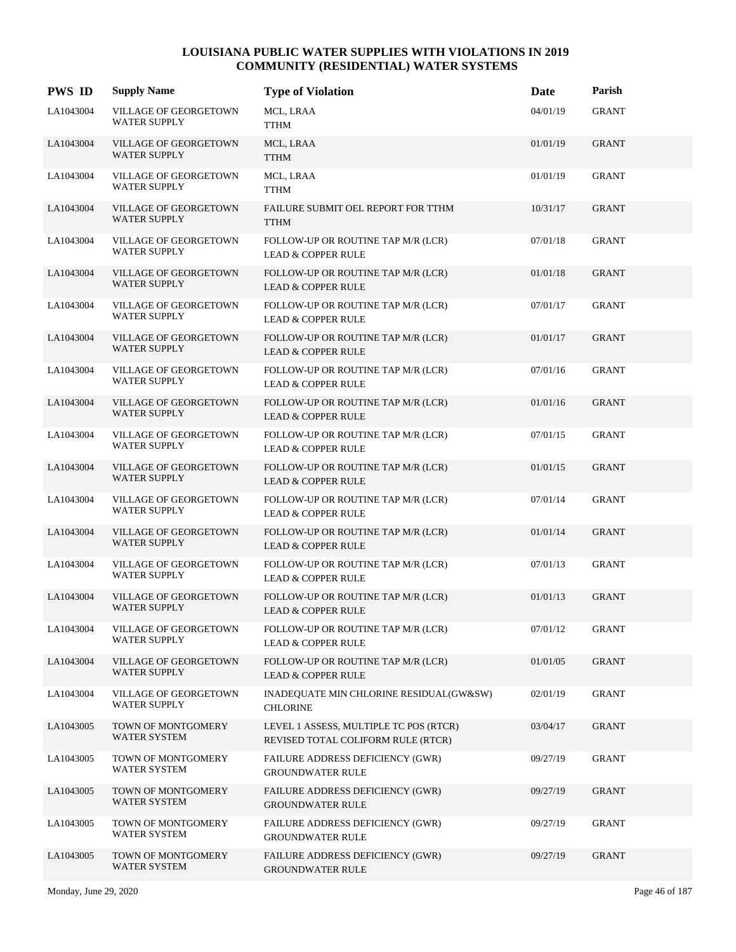| <b>PWS ID</b> | <b>Supply Name</b>                           | <b>Type of Violation</b>                                                     | Date     | Parish       |
|---------------|----------------------------------------------|------------------------------------------------------------------------------|----------|--------------|
| LA1043004     | VILLAGE OF GEORGETOWN<br><b>WATER SUPPLY</b> | MCL, LRAA<br><b>TTHM</b>                                                     | 04/01/19 | <b>GRANT</b> |
| LA1043004     | VILLAGE OF GEORGETOWN<br><b>WATER SUPPLY</b> | MCL, LRAA<br><b>TTHM</b>                                                     | 01/01/19 | <b>GRANT</b> |
| LA1043004     | VILLAGE OF GEORGETOWN<br><b>WATER SUPPLY</b> | MCL, LRAA<br><b>TTHM</b>                                                     | 01/01/19 | <b>GRANT</b> |
| LA1043004     | VILLAGE OF GEORGETOWN<br><b>WATER SUPPLY</b> | FAILURE SUBMIT OEL REPORT FOR TTHM<br><b>TTHM</b>                            | 10/31/17 | <b>GRANT</b> |
| LA1043004     | VILLAGE OF GEORGETOWN<br><b>WATER SUPPLY</b> | FOLLOW-UP OR ROUTINE TAP M/R (LCR)<br><b>LEAD &amp; COPPER RULE</b>          | 07/01/18 | <b>GRANT</b> |
| LA1043004     | VILLAGE OF GEORGETOWN<br><b>WATER SUPPLY</b> | FOLLOW-UP OR ROUTINE TAP M/R (LCR)<br><b>LEAD &amp; COPPER RULE</b>          | 01/01/18 | <b>GRANT</b> |
| LA1043004     | VILLAGE OF GEORGETOWN<br><b>WATER SUPPLY</b> | FOLLOW-UP OR ROUTINE TAP M/R (LCR)<br><b>LEAD &amp; COPPER RULE</b>          | 07/01/17 | <b>GRANT</b> |
| LA1043004     | VILLAGE OF GEORGETOWN<br><b>WATER SUPPLY</b> | FOLLOW-UP OR ROUTINE TAP M/R (LCR)<br><b>LEAD &amp; COPPER RULE</b>          | 01/01/17 | <b>GRANT</b> |
| LA1043004     | VILLAGE OF GEORGETOWN<br><b>WATER SUPPLY</b> | FOLLOW-UP OR ROUTINE TAP M/R (LCR)<br><b>LEAD &amp; COPPER RULE</b>          | 07/01/16 | <b>GRANT</b> |
| LA1043004     | VILLAGE OF GEORGETOWN<br><b>WATER SUPPLY</b> | FOLLOW-UP OR ROUTINE TAP M/R (LCR)<br><b>LEAD &amp; COPPER RULE</b>          | 01/01/16 | <b>GRANT</b> |
| LA1043004     | VILLAGE OF GEORGETOWN<br><b>WATER SUPPLY</b> | FOLLOW-UP OR ROUTINE TAP M/R (LCR)<br><b>LEAD &amp; COPPER RULE</b>          | 07/01/15 | <b>GRANT</b> |
| LA1043004     | VILLAGE OF GEORGETOWN<br><b>WATER SUPPLY</b> | FOLLOW-UP OR ROUTINE TAP M/R (LCR)<br><b>LEAD &amp; COPPER RULE</b>          | 01/01/15 | <b>GRANT</b> |
| LA1043004     | VILLAGE OF GEORGETOWN<br><b>WATER SUPPLY</b> | FOLLOW-UP OR ROUTINE TAP M/R (LCR)<br><b>LEAD &amp; COPPER RULE</b>          | 07/01/14 | <b>GRANT</b> |
| LA1043004     | VILLAGE OF GEORGETOWN<br><b>WATER SUPPLY</b> | FOLLOW-UP OR ROUTINE TAP M/R (LCR)<br><b>LEAD &amp; COPPER RULE</b>          | 01/01/14 | <b>GRANT</b> |
| LA1043004     | VILLAGE OF GEORGETOWN<br><b>WATER SUPPLY</b> | FOLLOW-UP OR ROUTINE TAP M/R (LCR)<br><b>LEAD &amp; COPPER RULE</b>          | 07/01/13 | <b>GRANT</b> |
| LA1043004     | VILLAGE OF GEORGETOWN<br><b>WATER SUPPLY</b> | FOLLOW-UP OR ROUTINE TAP M/R (LCR)<br><b>LEAD &amp; COPPER RULE</b>          | 01/01/13 | <b>GRANT</b> |
| LA1043004     | VILLAGE OF GEORGETOWN<br><b>WATER SUPPLY</b> | FOLLOW-UP OR ROUTINE TAP M/R (LCR)<br><b>LEAD &amp; COPPER RULE</b>          | 07/01/12 | <b>GRANT</b> |
| LA1043004     | VILLAGE OF GEORGETOWN<br><b>WATER SUPPLY</b> | FOLLOW-UP OR ROUTINE TAP M/R (LCR)<br><b>LEAD &amp; COPPER RULE</b>          | 01/01/05 | <b>GRANT</b> |
| LA1043004     | VILLAGE OF GEORGETOWN<br><b>WATER SUPPLY</b> | INADEQUATE MIN CHLORINE RESIDUAL(GW&SW)<br><b>CHLORINE</b>                   | 02/01/19 | <b>GRANT</b> |
| LA1043005     | TOWN OF MONTGOMERY<br><b>WATER SYSTEM</b>    | LEVEL 1 ASSESS, MULTIPLE TC POS (RTCR)<br>REVISED TOTAL COLIFORM RULE (RTCR) | 03/04/17 | GRANT        |
| LA1043005     | TOWN OF MONTGOMERY<br><b>WATER SYSTEM</b>    | FAILURE ADDRESS DEFICIENCY (GWR)<br><b>GROUNDWATER RULE</b>                  | 09/27/19 | <b>GRANT</b> |
| LA1043005     | TOWN OF MONTGOMERY<br>WATER SYSTEM           | <b>FAILURE ADDRESS DEFICIENCY (GWR)</b><br><b>GROUNDWATER RULE</b>           | 09/27/19 | <b>GRANT</b> |
| LA1043005     | TOWN OF MONTGOMERY<br><b>WATER SYSTEM</b>    | FAILURE ADDRESS DEFICIENCY (GWR)<br><b>GROUNDWATER RULE</b>                  | 09/27/19 | <b>GRANT</b> |
| LA1043005     | TOWN OF MONTGOMERY<br>WATER SYSTEM           | FAILURE ADDRESS DEFICIENCY (GWR)<br><b>GROUNDWATER RULE</b>                  | 09/27/19 | <b>GRANT</b> |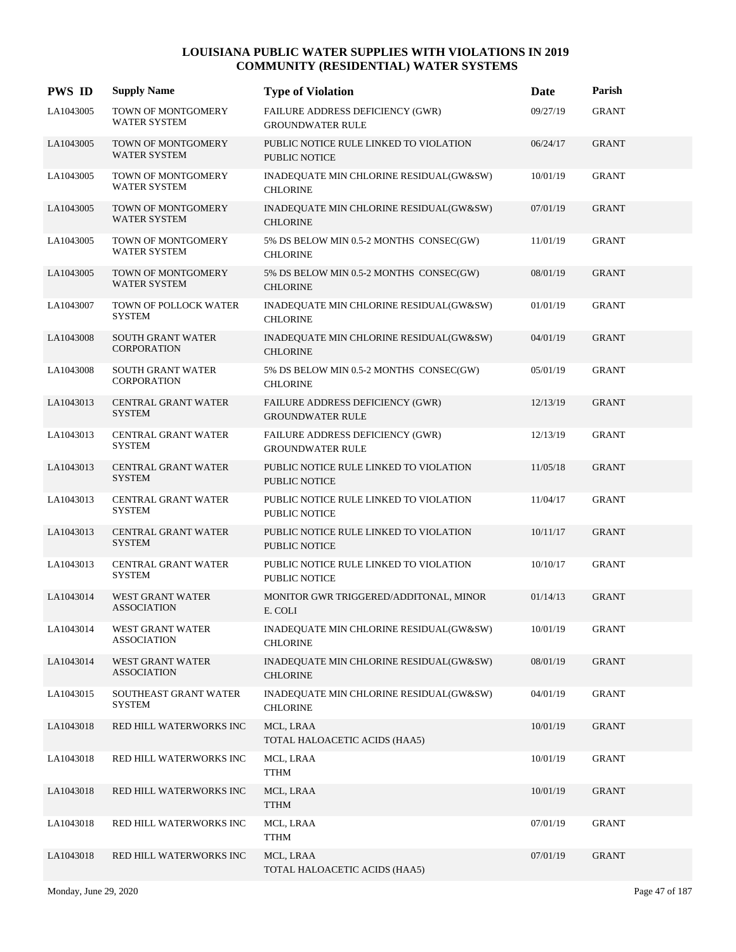| <b>PWS ID</b> | <b>Supply Name</b>                             | <b>Type of Violation</b>                                       | <b>Date</b> | Parish       |
|---------------|------------------------------------------------|----------------------------------------------------------------|-------------|--------------|
| LA1043005     | TOWN OF MONTGOMERY<br>WATER SYSTEM             | FAILURE ADDRESS DEFICIENCY (GWR)<br><b>GROUNDWATER RULE</b>    | 09/27/19    | <b>GRANT</b> |
| LA1043005     | TOWN OF MONTGOMERY<br><b>WATER SYSTEM</b>      | PUBLIC NOTICE RULE LINKED TO VIOLATION<br>PUBLIC NOTICE        | 06/24/17    | <b>GRANT</b> |
| LA1043005     | TOWN OF MONTGOMERY<br><b>WATER SYSTEM</b>      | INADEQUATE MIN CHLORINE RESIDUAL(GW&SW)<br><b>CHLORINE</b>     | 10/01/19    | <b>GRANT</b> |
| LA1043005     | TOWN OF MONTGOMERY<br>WATER SYSTEM             | INADEQUATE MIN CHLORINE RESIDUAL(GW&SW)<br><b>CHLORINE</b>     | 07/01/19    | <b>GRANT</b> |
| LA1043005     | TOWN OF MONTGOMERY<br>WATER SYSTEM             | 5% DS BELOW MIN 0.5-2 MONTHS CONSEC(GW)<br><b>CHLORINE</b>     | 11/01/19    | <b>GRANT</b> |
| LA1043005     | TOWN OF MONTGOMERY<br><b>WATER SYSTEM</b>      | 5% DS BELOW MIN 0.5-2 MONTHS CONSEC(GW)<br><b>CHLORINE</b>     | 08/01/19    | <b>GRANT</b> |
| LA1043007     | TOWN OF POLLOCK WATER<br><b>SYSTEM</b>         | INADEQUATE MIN CHLORINE RESIDUAL(GW&SW)<br><b>CHLORINE</b>     | 01/01/19    | <b>GRANT</b> |
| LA1043008     | <b>SOUTH GRANT WATER</b><br><b>CORPORATION</b> | INADEQUATE MIN CHLORINE RESIDUAL(GW&SW)<br><b>CHLORINE</b>     | 04/01/19    | <b>GRANT</b> |
| LA1043008     | SOUTH GRANT WATER<br><b>CORPORATION</b>        | 5% DS BELOW MIN 0.5-2 MONTHS CONSEC(GW)<br><b>CHLORINE</b>     | 05/01/19    | <b>GRANT</b> |
| LA1043013     | <b>CENTRAL GRANT WATER</b><br><b>SYSTEM</b>    | FAILURE ADDRESS DEFICIENCY (GWR)<br><b>GROUNDWATER RULE</b>    | 12/13/19    | <b>GRANT</b> |
| LA1043013     | <b>CENTRAL GRANT WATER</b><br><b>SYSTEM</b>    | FAILURE ADDRESS DEFICIENCY (GWR)<br><b>GROUNDWATER RULE</b>    | 12/13/19    | <b>GRANT</b> |
| LA1043013     | <b>CENTRAL GRANT WATER</b><br><b>SYSTEM</b>    | PUBLIC NOTICE RULE LINKED TO VIOLATION<br><b>PUBLIC NOTICE</b> | 11/05/18    | <b>GRANT</b> |
| LA1043013     | CENTRAL GRANT WATER<br><b>SYSTEM</b>           | PUBLIC NOTICE RULE LINKED TO VIOLATION<br><b>PUBLIC NOTICE</b> | 11/04/17    | <b>GRANT</b> |
| LA1043013     | CENTRAL GRANT WATER<br><b>SYSTEM</b>           | PUBLIC NOTICE RULE LINKED TO VIOLATION<br><b>PUBLIC NOTICE</b> | 10/11/17    | <b>GRANT</b> |
| LA1043013     | CENTRAL GRANT WATER<br><b>SYSTEM</b>           | PUBLIC NOTICE RULE LINKED TO VIOLATION<br><b>PUBLIC NOTICE</b> | 10/10/17    | <b>GRANT</b> |
| LA1043014     | WEST GRANT WATER<br><b>ASSOCIATION</b>         | MONITOR GWR TRIGGERED/ADDITONAL, MINOR<br>E. COLI              | 01/14/13    | <b>GRANT</b> |
| LA1043014     | WEST GRANT WATER<br><b>ASSOCIATION</b>         | INADEQUATE MIN CHLORINE RESIDUAL(GW&SW)<br><b>CHLORINE</b>     | 10/01/19    | <b>GRANT</b> |
| LA1043014     | WEST GRANT WATER<br><b>ASSOCIATION</b>         | INADEQUATE MIN CHLORINE RESIDUAL(GW&SW)<br><b>CHLORINE</b>     | 08/01/19    | <b>GRANT</b> |
| LA1043015     | SOUTHEAST GRANT WATER<br><b>SYSTEM</b>         | INADEQUATE MIN CHLORINE RESIDUAL(GW&SW)<br><b>CHLORINE</b>     | 04/01/19    | <b>GRANT</b> |
| LA1043018     | RED HILL WATERWORKS INC                        | MCL, LRAA<br>TOTAL HALOACETIC ACIDS (HAA5)                     | 10/01/19    | <b>GRANT</b> |
| LA1043018     | RED HILL WATERWORKS INC                        | MCL, LRAA<br><b>TTHM</b>                                       | 10/01/19    | <b>GRANT</b> |
| LA1043018     | RED HILL WATERWORKS INC                        | MCL, LRAA<br><b>TTHM</b>                                       | 10/01/19    | <b>GRANT</b> |
| LA1043018     | RED HILL WATERWORKS INC                        | MCL, LRAA<br><b>TTHM</b>                                       | 07/01/19    | <b>GRANT</b> |
| LA1043018     | RED HILL WATERWORKS INC                        | MCL, LRAA<br>TOTAL HALOACETIC ACIDS (HAA5)                     | 07/01/19    | <b>GRANT</b> |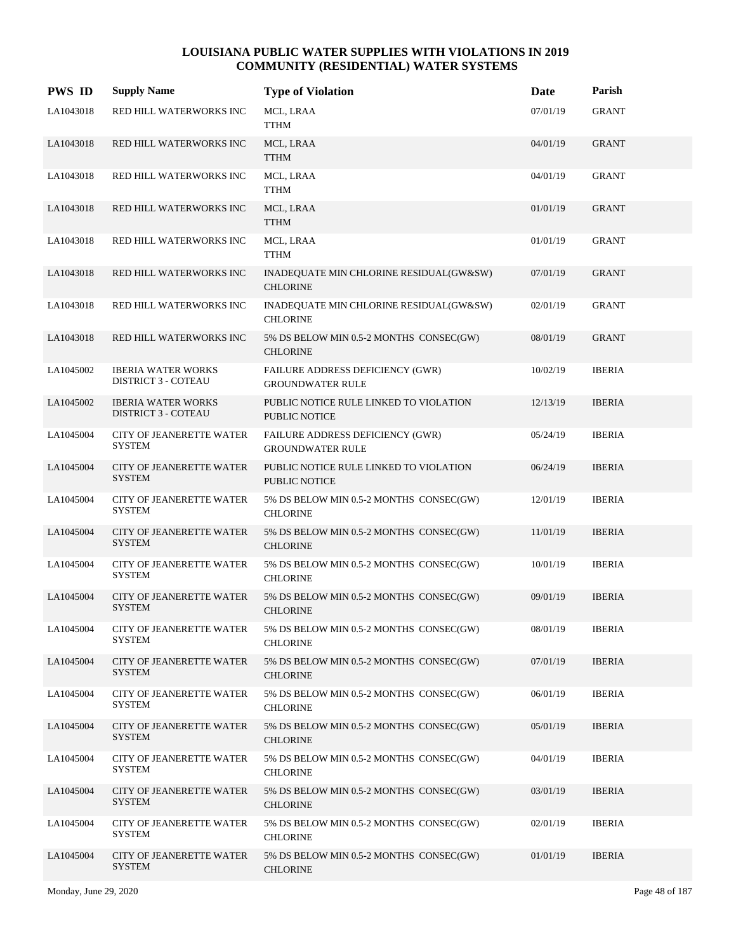| <b>PWS ID</b> | <b>Supply Name</b>                                      | <b>Type of Violation</b>                                       | Date     | Parish        |
|---------------|---------------------------------------------------------|----------------------------------------------------------------|----------|---------------|
| LA1043018     | RED HILL WATERWORKS INC                                 | MCL, LRAA<br><b>TTHM</b>                                       | 07/01/19 | <b>GRANT</b>  |
| LA1043018     | RED HILL WATERWORKS INC                                 | MCL, LRAA<br><b>TTHM</b>                                       | 04/01/19 | <b>GRANT</b>  |
| LA1043018     | RED HILL WATERWORKS INC                                 | MCL, LRAA<br><b>TTHM</b>                                       | 04/01/19 | <b>GRANT</b>  |
| LA1043018     | RED HILL WATERWORKS INC                                 | MCL, LRAA<br><b>TTHM</b>                                       | 01/01/19 | <b>GRANT</b>  |
| LA1043018     | RED HILL WATERWORKS INC                                 | MCL, LRAA<br>TTHM                                              | 01/01/19 | <b>GRANT</b>  |
| LA1043018     | RED HILL WATERWORKS INC                                 | INADEQUATE MIN CHLORINE RESIDUAL(GW&SW)<br><b>CHLORINE</b>     | 07/01/19 | <b>GRANT</b>  |
| LA1043018     | RED HILL WATERWORKS INC                                 | INADEQUATE MIN CHLORINE RESIDUAL(GW&SW)<br><b>CHLORINE</b>     | 02/01/19 | <b>GRANT</b>  |
| LA1043018     | RED HILL WATERWORKS INC                                 | 5% DS BELOW MIN 0.5-2 MONTHS CONSEC(GW)<br><b>CHLORINE</b>     | 08/01/19 | <b>GRANT</b>  |
| LA1045002     | <b>IBERIA WATER WORKS</b><br><b>DISTRICT 3 - COTEAU</b> | FAILURE ADDRESS DEFICIENCY (GWR)<br><b>GROUNDWATER RULE</b>    | 10/02/19 | <b>IBERIA</b> |
| LA1045002     | <b>IBERIA WATER WORKS</b><br><b>DISTRICT 3 - COTEAU</b> | PUBLIC NOTICE RULE LINKED TO VIOLATION<br>PUBLIC NOTICE        | 12/13/19 | <b>IBERIA</b> |
| LA1045004     | <b>CITY OF JEANERETTE WATER</b><br><b>SYSTEM</b>        | FAILURE ADDRESS DEFICIENCY (GWR)<br><b>GROUNDWATER RULE</b>    | 05/24/19 | <b>IBERIA</b> |
| LA1045004     | <b>CITY OF JEANERETTE WATER</b><br><b>SYSTEM</b>        | PUBLIC NOTICE RULE LINKED TO VIOLATION<br><b>PUBLIC NOTICE</b> | 06/24/19 | <b>IBERIA</b> |
| LA1045004     | CITY OF JEANERETTE WATER<br><b>SYSTEM</b>               | 5% DS BELOW MIN 0.5-2 MONTHS CONSEC(GW)<br><b>CHLORINE</b>     | 12/01/19 | <b>IBERIA</b> |
| LA1045004     | CITY OF JEANERETTE WATER<br><b>SYSTEM</b>               | 5% DS BELOW MIN 0.5-2 MONTHS CONSEC(GW)<br><b>CHLORINE</b>     | 11/01/19 | <b>IBERIA</b> |
| LA1045004     | CITY OF JEANERETTE WATER<br><b>SYSTEM</b>               | 5% DS BELOW MIN 0.5-2 MONTHS CONSEC(GW)<br><b>CHLORINE</b>     | 10/01/19 | <b>IBERIA</b> |
| LA1045004     | <b>CITY OF JEANERETTE WATER</b><br><b>SYSTEM</b>        | 5% DS BELOW MIN 0.5-2 MONTHS CONSEC(GW)<br><b>CHLORINE</b>     | 09/01/19 | <b>IBERIA</b> |
| LA1045004     | CITY OF JEANERETTE WATER<br><b>SYSTEM</b>               | 5% DS BELOW MIN 0.5-2 MONTHS CONSEC(GW)<br><b>CHLORINE</b>     | 08/01/19 | <b>IBERIA</b> |
| LA1045004     | <b>CITY OF JEANERETTE WATER</b><br><b>SYSTEM</b>        | 5% DS BELOW MIN 0.5-2 MONTHS CONSEC(GW)<br><b>CHLORINE</b>     | 07/01/19 | <b>IBERIA</b> |
| LA1045004     | CITY OF JEANERETTE WATER<br><b>SYSTEM</b>               | 5% DS BELOW MIN 0.5-2 MONTHS CONSEC(GW)<br><b>CHLORINE</b>     | 06/01/19 | <b>IBERIA</b> |
| LA1045004     | <b>CITY OF JEANERETTE WATER</b><br><b>SYSTEM</b>        | 5% DS BELOW MIN 0.5-2 MONTHS CONSEC(GW)<br><b>CHLORINE</b>     | 05/01/19 | <b>IBERIA</b> |
| LA1045004     | CITY OF JEANERETTE WATER<br><b>SYSTEM</b>               | 5% DS BELOW MIN 0.5-2 MONTHS CONSEC(GW)<br><b>CHLORINE</b>     | 04/01/19 | <b>IBERIA</b> |
| LA1045004     | <b>CITY OF JEANERETTE WATER</b><br><b>SYSTEM</b>        | 5% DS BELOW MIN 0.5-2 MONTHS CONSEC(GW)<br><b>CHLORINE</b>     | 03/01/19 | <b>IBERIA</b> |
| LA1045004     | <b>CITY OF JEANERETTE WATER</b><br><b>SYSTEM</b>        | 5% DS BELOW MIN 0.5-2 MONTHS CONSEC(GW)<br><b>CHLORINE</b>     | 02/01/19 | <b>IBERIA</b> |
| LA1045004     | <b>CITY OF JEANERETTE WATER</b><br><b>SYSTEM</b>        | 5% DS BELOW MIN 0.5-2 MONTHS CONSEC(GW)<br><b>CHLORINE</b>     | 01/01/19 | <b>IBERIA</b> |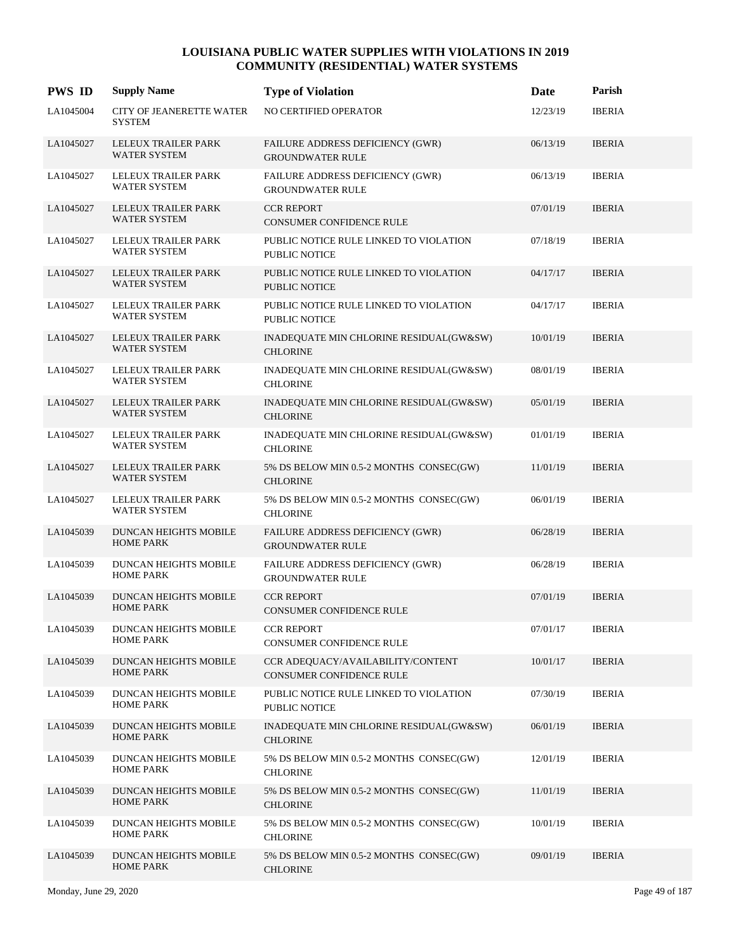| <b>PWS ID</b> | <b>Supply Name</b>                               | <b>Type of Violation</b>                                             | Date     | Parish        |
|---------------|--------------------------------------------------|----------------------------------------------------------------------|----------|---------------|
| LA1045004     | CITY OF JEANERETTE WATER<br><b>SYSTEM</b>        | NO CERTIFIED OPERATOR                                                | 12/23/19 | <b>IBERIA</b> |
| LA1045027     | LELEUX TRAILER PARK<br><b>WATER SYSTEM</b>       | FAILURE ADDRESS DEFICIENCY (GWR)<br><b>GROUNDWATER RULE</b>          | 06/13/19 | <b>IBERIA</b> |
| LA1045027     | LELEUX TRAILER PARK<br><b>WATER SYSTEM</b>       | FAILURE ADDRESS DEFICIENCY (GWR)<br><b>GROUNDWATER RULE</b>          | 06/13/19 | <b>IBERIA</b> |
| LA1045027     | LELEUX TRAILER PARK<br><b>WATER SYSTEM</b>       | <b>CCR REPORT</b><br><b>CONSUMER CONFIDENCE RULE</b>                 | 07/01/19 | <b>IBERIA</b> |
| LA1045027     | LELEUX TRAILER PARK<br>WATER SYSTEM              | PUBLIC NOTICE RULE LINKED TO VIOLATION<br><b>PUBLIC NOTICE</b>       | 07/18/19 | <b>IBERIA</b> |
| LA1045027     | LELEUX TRAILER PARK<br>WATER SYSTEM              | PUBLIC NOTICE RULE LINKED TO VIOLATION<br><b>PUBLIC NOTICE</b>       | 04/17/17 | <b>IBERIA</b> |
| LA1045027     | LELEUX TRAILER PARK<br><b>WATER SYSTEM</b>       | PUBLIC NOTICE RULE LINKED TO VIOLATION<br><b>PUBLIC NOTICE</b>       | 04/17/17 | <b>IBERIA</b> |
| LA1045027     | LELEUX TRAILER PARK<br>WATER SYSTEM              | INADEQUATE MIN CHLORINE RESIDUAL(GW&SW)<br><b>CHLORINE</b>           | 10/01/19 | <b>IBERIA</b> |
| LA1045027     | LELEUX TRAILER PARK<br>WATER SYSTEM              | INADEQUATE MIN CHLORINE RESIDUAL(GW&SW)<br><b>CHLORINE</b>           | 08/01/19 | <b>IBERIA</b> |
| LA1045027     | LELEUX TRAILER PARK<br>WATER SYSTEM              | INADEQUATE MIN CHLORINE RESIDUAL(GW&SW)<br><b>CHLORINE</b>           | 05/01/19 | <b>IBERIA</b> |
| LA1045027     | LELEUX TRAILER PARK<br><b>WATER SYSTEM</b>       | INADEQUATE MIN CHLORINE RESIDUAL(GW&SW)<br><b>CHLORINE</b>           | 01/01/19 | <b>IBERIA</b> |
| LA1045027     | LELEUX TRAILER PARK<br>WATER SYSTEM              | 5% DS BELOW MIN 0.5-2 MONTHS CONSEC(GW)<br><b>CHLORINE</b>           | 11/01/19 | <b>IBERIA</b> |
| LA1045027     | LELEUX TRAILER PARK<br>WATER SYSTEM              | $5\%$ DS BELOW MIN 0.5-2 MONTHS $\rm CONSEC (GW)$<br><b>CHLORINE</b> | 06/01/19 | <b>IBERIA</b> |
| LA1045039     | DUNCAN HEIGHTS MOBILE<br><b>HOME PARK</b>        | FAILURE ADDRESS DEFICIENCY (GWR)<br><b>GROUNDWATER RULE</b>          | 06/28/19 | <b>IBERIA</b> |
| LA1045039     | DUNCAN HEIGHTS MOBILE<br><b>HOME PARK</b>        | FAILURE ADDRESS DEFICIENCY (GWR)<br><b>GROUNDWATER RULE</b>          | 06/28/19 | <b>IBERIA</b> |
| LA1045039     | DUNCAN HEIGHTS MOBILE<br><b>HOME PARK</b>        | <b>CCR REPORT</b><br><b>CONSUMER CONFIDENCE RULE</b>                 | 07/01/19 | <b>IBERIA</b> |
| LA1045039     | DUNCAN HEIGHTS MOBILE<br><b>HOME PARK</b>        | <b>CCR REPORT</b><br>CONSUMER CONFIDENCE RULE                        | 07/01/17 | <b>IBERIA</b> |
| LA1045039     | <b>DUNCAN HEIGHTS MOBILE</b><br><b>HOME PARK</b> | CCR ADEQUACY/AVAILABILITY/CONTENT<br>CONSUMER CONFIDENCE RULE        | 10/01/17 | <b>IBERIA</b> |
| LA1045039     | DUNCAN HEIGHTS MOBILE<br><b>HOME PARK</b>        | PUBLIC NOTICE RULE LINKED TO VIOLATION<br>PUBLIC NOTICE              | 07/30/19 | <b>IBERIA</b> |
| LA1045039     | DUNCAN HEIGHTS MOBILE<br><b>HOME PARK</b>        | INADEQUATE MIN CHLORINE RESIDUAL(GW&SW)<br><b>CHLORINE</b>           | 06/01/19 | <b>IBERIA</b> |
| LA1045039     | DUNCAN HEIGHTS MOBILE<br><b>HOME PARK</b>        | 5% DS BELOW MIN 0.5-2 MONTHS CONSEC(GW)<br><b>CHLORINE</b>           | 12/01/19 | <b>IBERIA</b> |
| LA1045039     | DUNCAN HEIGHTS MOBILE<br><b>HOME PARK</b>        | 5% DS BELOW MIN 0.5-2 MONTHS CONSEC(GW)<br><b>CHLORINE</b>           | 11/01/19 | <b>IBERIA</b> |
| LA1045039     | DUNCAN HEIGHTS MOBILE<br><b>HOME PARK</b>        | 5% DS BELOW MIN 0.5-2 MONTHS CONSEC(GW)<br><b>CHLORINE</b>           | 10/01/19 | <b>IBERIA</b> |
| LA1045039     | DUNCAN HEIGHTS MOBILE<br><b>HOME PARK</b>        | 5% DS BELOW MIN 0.5-2 MONTHS CONSEC(GW)<br><b>CHLORINE</b>           | 09/01/19 | <b>IBERIA</b> |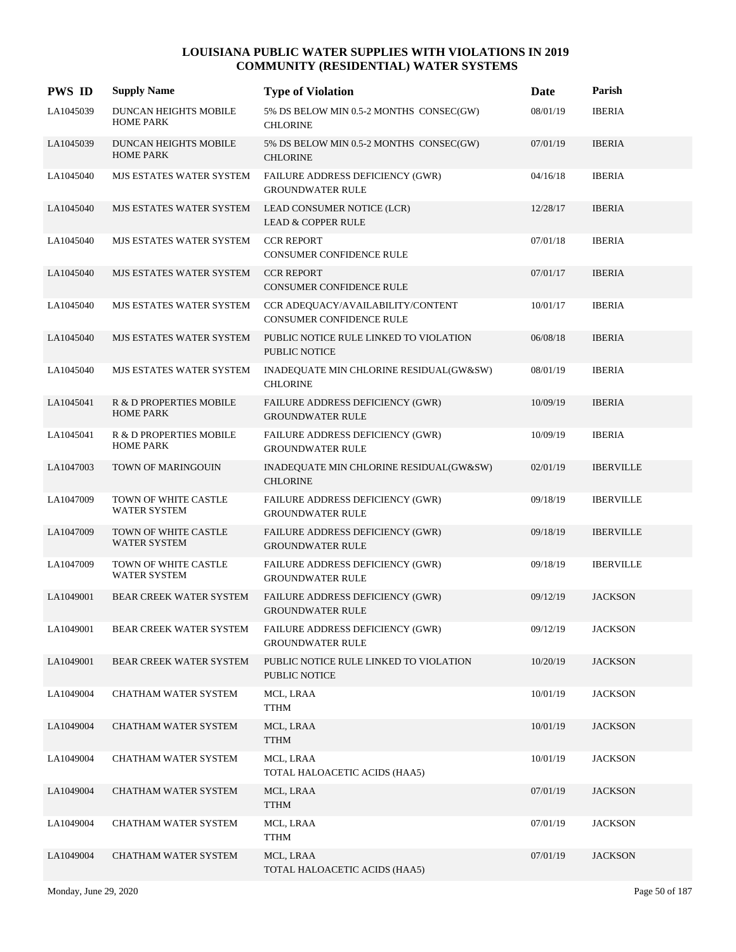| <b>PWS ID</b> | <b>Supply Name</b>                                    | <b>Type of Violation</b>                                           | Date     | Parish           |
|---------------|-------------------------------------------------------|--------------------------------------------------------------------|----------|------------------|
| LA1045039     | DUNCAN HEIGHTS MOBILE<br><b>HOME PARK</b>             | 5% DS BELOW MIN 0.5-2 MONTHS CONSEC(GW)<br><b>CHLORINE</b>         | 08/01/19 | <b>IBERIA</b>    |
| LA1045039     | DUNCAN HEIGHTS MOBILE<br><b>HOME PARK</b>             | 5% DS BELOW MIN 0.5-2 MONTHS CONSEC(GW)<br><b>CHLORINE</b>         | 07/01/19 | <b>IBERIA</b>    |
| LA1045040     | MJS ESTATES WATER SYSTEM                              | FAILURE ADDRESS DEFICIENCY (GWR)<br><b>GROUNDWATER RULE</b>        | 04/16/18 | <b>IBERIA</b>    |
| LA1045040     | MJS ESTATES WATER SYSTEM                              | LEAD CONSUMER NOTICE (LCR)<br><b>LEAD &amp; COPPER RULE</b>        | 12/28/17 | <b>IBERIA</b>    |
| LA1045040     | MJS ESTATES WATER SYSTEM                              | <b>CCR REPORT</b><br>CONSUMER CONFIDENCE RULE                      | 07/01/18 | <b>IBERIA</b>    |
| LA1045040     | MJS ESTATES WATER SYSTEM                              | <b>CCR REPORT</b><br><b>CONSUMER CONFIDENCE RULE</b>               | 07/01/17 | <b>IBERIA</b>    |
| LA1045040     | MJS ESTATES WATER SYSTEM                              | CCR ADEQUACY/AVAILABILITY/CONTENT<br>CONSUMER CONFIDENCE RULE      | 10/01/17 | <b>IBERIA</b>    |
| LA1045040     | MJS ESTATES WATER SYSTEM                              | PUBLIC NOTICE RULE LINKED TO VIOLATION<br><b>PUBLIC NOTICE</b>     | 06/08/18 | <b>IBERIA</b>    |
| LA1045040     | MJS ESTATES WATER SYSTEM                              | INADEQUATE MIN CHLORINE RESIDUAL(GW&SW)<br><b>CHLORINE</b>         | 08/01/19 | <b>IBERIA</b>    |
| LA1045041     | R & D PROPERTIES MOBILE<br><b>HOME PARK</b>           | FAILURE ADDRESS DEFICIENCY (GWR)<br><b>GROUNDWATER RULE</b>        | 10/09/19 | <b>IBERIA</b>    |
| LA1045041     | $\mathbb R$ & D PROPERTIES MOBILE<br><b>HOME PARK</b> | FAILURE ADDRESS DEFICIENCY (GWR)<br><b>GROUNDWATER RULE</b>        | 10/09/19 | <b>IBERIA</b>    |
| LA1047003     | TOWN OF MARINGOUIN                                    | INADEQUATE MIN CHLORINE RESIDUAL(GW&SW)<br><b>CHLORINE</b>         | 02/01/19 | <b>IBERVILLE</b> |
| LA1047009     | TOWN OF WHITE CASTLE<br><b>WATER SYSTEM</b>           | <b>FAILURE ADDRESS DEFICIENCY (GWR)</b><br><b>GROUNDWATER RULE</b> | 09/18/19 | <b>IBERVILLE</b> |
| LA1047009     | TOWN OF WHITE CASTLE<br><b>WATER SYSTEM</b>           | FAILURE ADDRESS DEFICIENCY (GWR)<br><b>GROUNDWATER RULE</b>        | 09/18/19 | <b>IBERVILLE</b> |
| LA1047009     | TOWN OF WHITE CASTLE<br><b>WATER SYSTEM</b>           | FAILURE ADDRESS DEFICIENCY (GWR)<br><b>GROUNDWATER RULE</b>        | 09/18/19 | <b>IBERVILLE</b> |
| LA1049001     | <b>BEAR CREEK WATER SYSTEM</b>                        | FAILURE ADDRESS DEFICIENCY (GWR)<br><b>GROUNDWATER RULE</b>        | 09/12/19 | <b>JACKSON</b>   |
| LA1049001     | BEAR CREEK WATER SYSTEM                               | FAILURE ADDRESS DEFICIENCY (GWR)<br><b>GROUNDWATER RULE</b>        | 09/12/19 | <b>JACKSON</b>   |
| LA1049001     | BEAR CREEK WATER SYSTEM                               | PUBLIC NOTICE RULE LINKED TO VIOLATION<br>PUBLIC NOTICE            | 10/20/19 | <b>JACKSON</b>   |
| LA1049004     | CHATHAM WATER SYSTEM                                  | MCL, LRAA<br><b>TTHM</b>                                           | 10/01/19 | <b>JACKSON</b>   |
| LA1049004     | CHATHAM WATER SYSTEM                                  | MCL, LRAA<br><b>TTHM</b>                                           | 10/01/19 | <b>JACKSON</b>   |
| LA1049004     | CHATHAM WATER SYSTEM                                  | MCL, LRAA<br>TOTAL HALOACETIC ACIDS (HAA5)                         | 10/01/19 | <b>JACKSON</b>   |
| LA1049004     | CHATHAM WATER SYSTEM                                  | MCL, LRAA<br><b>TTHM</b>                                           | 07/01/19 | <b>JACKSON</b>   |
| LA1049004     | CHATHAM WATER SYSTEM                                  | MCL, LRAA<br><b>TTHM</b>                                           | 07/01/19 | <b>JACKSON</b>   |
| LA1049004     | CHATHAM WATER SYSTEM                                  | MCL, LRAA<br>TOTAL HALOACETIC ACIDS (HAA5)                         | 07/01/19 | <b>JACKSON</b>   |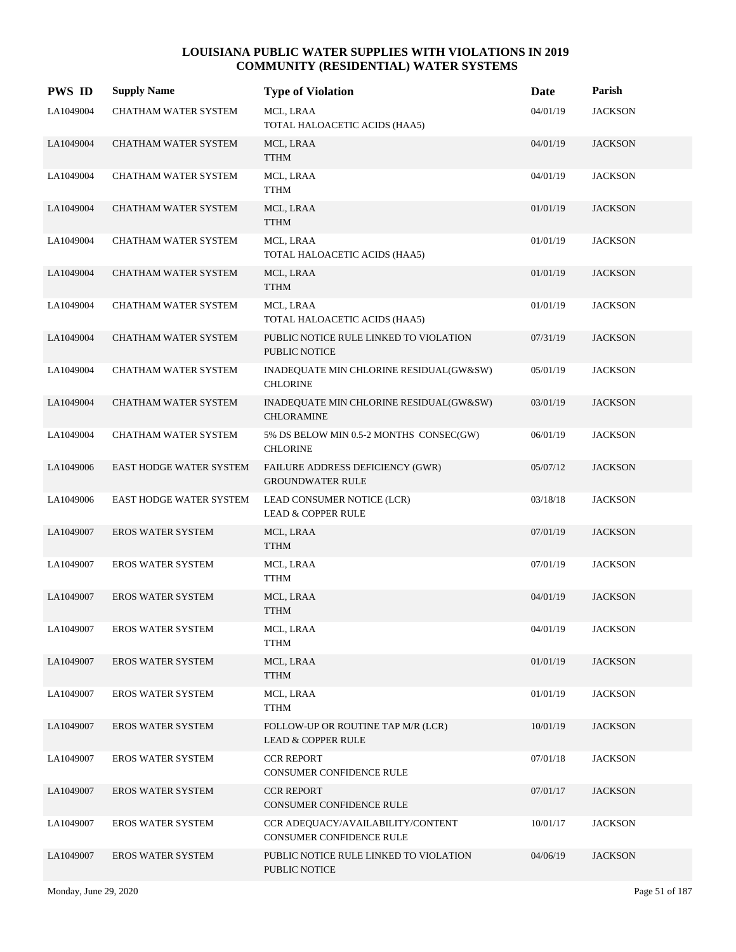| <b>PWS ID</b> | <b>Supply Name</b>          | <b>Type of Violation</b>                                            | Date     | Parish         |
|---------------|-----------------------------|---------------------------------------------------------------------|----------|----------------|
| LA1049004     | CHATHAM WATER SYSTEM        | MCL, LRAA<br>TOTAL HALOACETIC ACIDS (HAA5)                          | 04/01/19 | <b>JACKSON</b> |
| LA1049004     | CHATHAM WATER SYSTEM        | MCL, LRAA<br><b>TTHM</b>                                            | 04/01/19 | <b>JACKSON</b> |
| LA1049004     | CHATHAM WATER SYSTEM        | MCL, LRAA<br>TTHM                                                   | 04/01/19 | <b>JACKSON</b> |
| LA1049004     | CHATHAM WATER SYSTEM        | MCL, LRAA<br><b>TTHM</b>                                            | 01/01/19 | <b>JACKSON</b> |
| LA1049004     | CHATHAM WATER SYSTEM        | MCL, LRAA<br>TOTAL HALOACETIC ACIDS (HAA5)                          | 01/01/19 | <b>JACKSON</b> |
| LA1049004     | CHATHAM WATER SYSTEM        | MCL, LRAA<br><b>TTHM</b>                                            | 01/01/19 | <b>JACKSON</b> |
| LA1049004     | CHATHAM WATER SYSTEM        | MCL, LRAA<br>TOTAL HALOACETIC ACIDS (HAA5)                          | 01/01/19 | <b>JACKSON</b> |
| LA1049004     | <b>CHATHAM WATER SYSTEM</b> | PUBLIC NOTICE RULE LINKED TO VIOLATION<br>PUBLIC NOTICE             | 07/31/19 | <b>JACKSON</b> |
| LA1049004     | CHATHAM WATER SYSTEM        | INADEQUATE MIN CHLORINE RESIDUAL(GW&SW)<br><b>CHLORINE</b>          | 05/01/19 | <b>JACKSON</b> |
| LA1049004     | <b>CHATHAM WATER SYSTEM</b> | INADEQUATE MIN CHLORINE RESIDUAL(GW&SW)<br><b>CHLORAMINE</b>        | 03/01/19 | <b>JACKSON</b> |
| LA1049004     | CHATHAM WATER SYSTEM        | 5% DS BELOW MIN 0.5-2 MONTHS CONSEC(GW)<br><b>CHLORINE</b>          | 06/01/19 | <b>JACKSON</b> |
| LA1049006     | EAST HODGE WATER SYSTEM     | FAILURE ADDRESS DEFICIENCY (GWR)<br><b>GROUNDWATER RULE</b>         | 05/07/12 | <b>JACKSON</b> |
| LA1049006     | EAST HODGE WATER SYSTEM     | LEAD CONSUMER NOTICE (LCR)<br><b>LEAD &amp; COPPER RULE</b>         | 03/18/18 | <b>JACKSON</b> |
| LA1049007     | EROS WATER SYSTEM           | MCL, LRAA<br><b>TTHM</b>                                            | 07/01/19 | <b>JACKSON</b> |
| LA1049007     | <b>EROS WATER SYSTEM</b>    | MCL, LRAA<br><b>TTHM</b>                                            | 07/01/19 | <b>JACKSON</b> |
| LA1049007     | <b>EROS WATER SYSTEM</b>    | MCL, LRAA<br><b>TTHM</b>                                            | 04/01/19 | <b>JACKSON</b> |
| LA1049007     | EROS WATER SYSTEM           | MCL, LRAA<br><b>TTHM</b>                                            | 04/01/19 | <b>JACKSON</b> |
| LA1049007     | <b>EROS WATER SYSTEM</b>    | MCL, LRAA<br><b>TTHM</b>                                            | 01/01/19 | <b>JACKSON</b> |
| LA1049007     | <b>EROS WATER SYSTEM</b>    | MCL, LRAA<br><b>TTHM</b>                                            | 01/01/19 | <b>JACKSON</b> |
| LA1049007     | <b>EROS WATER SYSTEM</b>    | FOLLOW-UP OR ROUTINE TAP M/R (LCR)<br><b>LEAD &amp; COPPER RULE</b> | 10/01/19 | <b>JACKSON</b> |
| LA1049007     | EROS WATER SYSTEM           | <b>CCR REPORT</b><br>CONSUMER CONFIDENCE RULE                       | 07/01/18 | <b>JACKSON</b> |
| LA1049007     | <b>EROS WATER SYSTEM</b>    | <b>CCR REPORT</b><br>CONSUMER CONFIDENCE RULE                       | 07/01/17 | <b>JACKSON</b> |
| LA1049007     | <b>EROS WATER SYSTEM</b>    | CCR ADEQUACY/AVAILABILITY/CONTENT<br>CONSUMER CONFIDENCE RULE       | 10/01/17 | <b>JACKSON</b> |
| LA1049007     | <b>EROS WATER SYSTEM</b>    | PUBLIC NOTICE RULE LINKED TO VIOLATION<br>PUBLIC NOTICE             | 04/06/19 | <b>JACKSON</b> |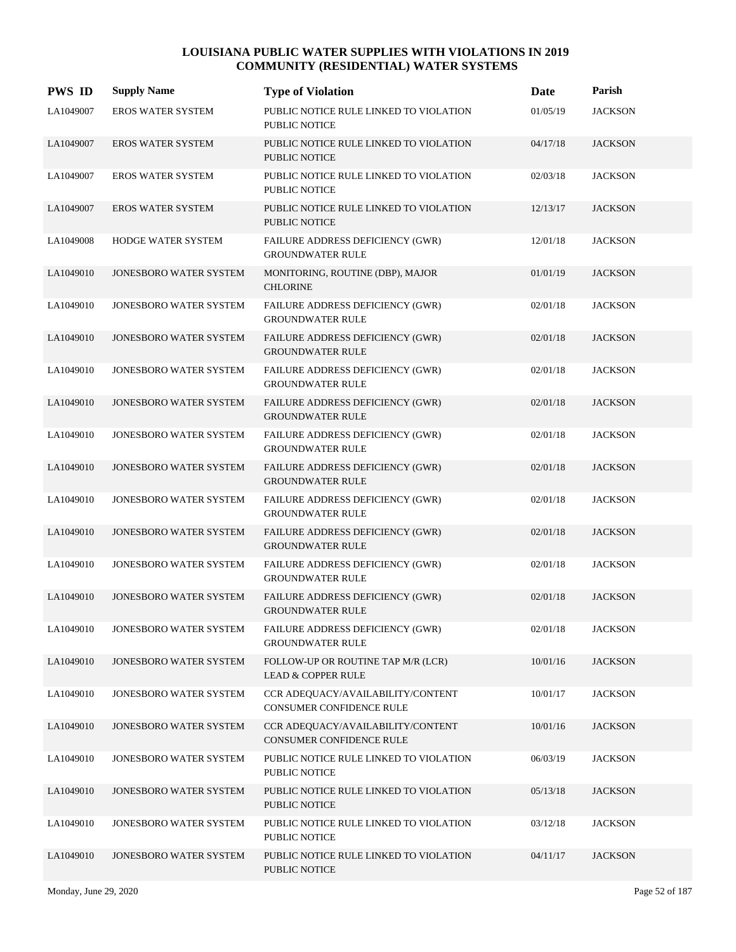| <b>PWS ID</b> | <b>Supply Name</b>            | <b>Type of Violation</b>                                            | Date     | Parish         |
|---------------|-------------------------------|---------------------------------------------------------------------|----------|----------------|
| LA1049007     | <b>EROS WATER SYSTEM</b>      | PUBLIC NOTICE RULE LINKED TO VIOLATION<br>PUBLIC NOTICE             | 01/05/19 | <b>JACKSON</b> |
| LA1049007     | <b>EROS WATER SYSTEM</b>      | PUBLIC NOTICE RULE LINKED TO VIOLATION<br>PUBLIC NOTICE             | 04/17/18 | <b>JACKSON</b> |
| LA1049007     | <b>EROS WATER SYSTEM</b>      | PUBLIC NOTICE RULE LINKED TO VIOLATION<br>PUBLIC NOTICE             | 02/03/18 | <b>JACKSON</b> |
| LA1049007     | <b>EROS WATER SYSTEM</b>      | PUBLIC NOTICE RULE LINKED TO VIOLATION<br>PUBLIC NOTICE             | 12/13/17 | <b>JACKSON</b> |
| LA1049008     | <b>HODGE WATER SYSTEM</b>     | FAILURE ADDRESS DEFICIENCY (GWR)<br><b>GROUNDWATER RULE</b>         | 12/01/18 | <b>JACKSON</b> |
| LA1049010     | JONESBORO WATER SYSTEM        | MONITORING, ROUTINE (DBP), MAJOR<br><b>CHLORINE</b>                 | 01/01/19 | <b>JACKSON</b> |
| LA1049010     | JONESBORO WATER SYSTEM        | FAILURE ADDRESS DEFICIENCY (GWR)<br><b>GROUNDWATER RULE</b>         | 02/01/18 | <b>JACKSON</b> |
| LA1049010     | JONESBORO WATER SYSTEM        | FAILURE ADDRESS DEFICIENCY (GWR)<br><b>GROUNDWATER RULE</b>         | 02/01/18 | <b>JACKSON</b> |
| LA1049010     | JONESBORO WATER SYSTEM        | FAILURE ADDRESS DEFICIENCY (GWR)<br><b>GROUNDWATER RULE</b>         | 02/01/18 | <b>JACKSON</b> |
| LA1049010     | JONESBORO WATER SYSTEM        | <b>FAILURE ADDRESS DEFICIENCY (GWR)</b><br><b>GROUNDWATER RULE</b>  | 02/01/18 | <b>JACKSON</b> |
| LA1049010     | JONESBORO WATER SYSTEM        | FAILURE ADDRESS DEFICIENCY (GWR)<br><b>GROUNDWATER RULE</b>         | 02/01/18 | <b>JACKSON</b> |
| LA1049010     | <b>JONESBORO WATER SYSTEM</b> | FAILURE ADDRESS DEFICIENCY (GWR)<br><b>GROUNDWATER RULE</b>         | 02/01/18 | <b>JACKSON</b> |
| LA1049010     | JONESBORO WATER SYSTEM        | <b>FAILURE ADDRESS DEFICIENCY (GWR)</b><br><b>GROUNDWATER RULE</b>  | 02/01/18 | <b>JACKSON</b> |
| LA1049010     | JONESBORO WATER SYSTEM        | FAILURE ADDRESS DEFICIENCY (GWR)<br><b>GROUNDWATER RULE</b>         | 02/01/18 | <b>JACKSON</b> |
| LA1049010     | JONESBORO WATER SYSTEM        | FAILURE ADDRESS DEFICIENCY (GWR)<br><b>GROUNDWATER RULE</b>         | 02/01/18 | <b>JACKSON</b> |
| LA1049010     | <b>JONESBORO WATER SYSTEM</b> | FAILURE ADDRESS DEFICIENCY (GWR)<br><b>GROUNDWATER RULE</b>         | 02/01/18 | <b>JACKSON</b> |
| LA1049010     | JONESBORO WATER SYSTEM        | FAILURE ADDRESS DEFICIENCY (GWR)<br><b>GROUNDWATER RULE</b>         | 02/01/18 | <b>JACKSON</b> |
| LA1049010     | JONESBORO WATER SYSTEM        | FOLLOW-UP OR ROUTINE TAP M/R (LCR)<br><b>LEAD &amp; COPPER RULE</b> | 10/01/16 | <b>JACKSON</b> |
| LA1049010     | JONESBORO WATER SYSTEM        | CCR ADEQUACY/AVAILABILITY/CONTENT<br>CONSUMER CONFIDENCE RULE       | 10/01/17 | <b>JACKSON</b> |
| LA1049010     | JONESBORO WATER SYSTEM        | CCR ADEQUACY/AVAILABILITY/CONTENT<br>CONSUMER CONFIDENCE RULE       | 10/01/16 | <b>JACKSON</b> |
| LA1049010     | JONESBORO WATER SYSTEM        | PUBLIC NOTICE RULE LINKED TO VIOLATION<br>PUBLIC NOTICE             | 06/03/19 | <b>JACKSON</b> |
| LA1049010     | JONESBORO WATER SYSTEM        | PUBLIC NOTICE RULE LINKED TO VIOLATION<br>PUBLIC NOTICE             | 05/13/18 | <b>JACKSON</b> |
| LA1049010     | JONESBORO WATER SYSTEM        | PUBLIC NOTICE RULE LINKED TO VIOLATION<br>PUBLIC NOTICE             | 03/12/18 | <b>JACKSON</b> |
| LA1049010     | JONESBORO WATER SYSTEM        | PUBLIC NOTICE RULE LINKED TO VIOLATION<br>PUBLIC NOTICE             | 04/11/17 | <b>JACKSON</b> |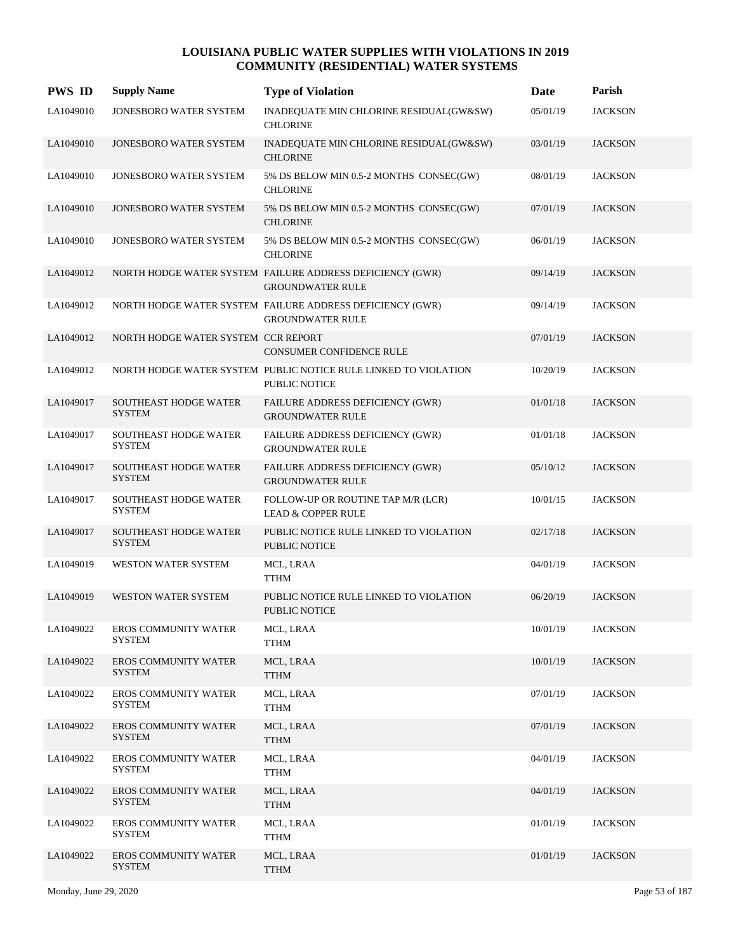| <b>PWS ID</b> | <b>Supply Name</b>                            | <b>Type of Violation</b>                                                                | Date     | Parish         |
|---------------|-----------------------------------------------|-----------------------------------------------------------------------------------------|----------|----------------|
| LA1049010     | JONESBORO WATER SYSTEM                        | INADEQUATE MIN CHLORINE RESIDUAL(GW&SW)<br><b>CHLORINE</b>                              | 05/01/19 | <b>JACKSON</b> |
| LA1049010     | JONESBORO WATER SYSTEM                        | INADEQUATE MIN CHLORINE RESIDUAL(GW&SW)<br><b>CHLORINE</b>                              | 03/01/19 | <b>JACKSON</b> |
| LA1049010     | JONESBORO WATER SYSTEM                        | 5% DS BELOW MIN 0.5-2 MONTHS CONSEC(GW)<br><b>CHLORINE</b>                              | 08/01/19 | <b>JACKSON</b> |
| LA1049010     | <b>JONESBORO WATER SYSTEM</b>                 | 5% DS BELOW MIN 0.5-2 MONTHS CONSEC(GW)<br><b>CHLORINE</b>                              | 07/01/19 | <b>JACKSON</b> |
| LA1049010     | JONESBORO WATER SYSTEM                        | 5% DS BELOW MIN 0.5-2 MONTHS CONSEC(GW)<br><b>CHLORINE</b>                              | 06/01/19 | <b>JACKSON</b> |
| LA1049012     |                                               | NORTH HODGE WATER SYSTEM FAILURE ADDRESS DEFICIENCY (GWR)<br><b>GROUNDWATER RULE</b>    | 09/14/19 | <b>JACKSON</b> |
| LA1049012     |                                               | NORTH HODGE WATER SYSTEM FAILURE ADDRESS DEFICIENCY (GWR)<br><b>GROUNDWATER RULE</b>    | 09/14/19 | <b>JACKSON</b> |
| LA1049012     | NORTH HODGE WATER SYSTEM CCR REPORT           | <b>CONSUMER CONFIDENCE RULE</b>                                                         | 07/01/19 | <b>JACKSON</b> |
| LA1049012     |                                               | NORTH HODGE WATER SYSTEM PUBLIC NOTICE RULE LINKED TO VIOLATION<br><b>PUBLIC NOTICE</b> | 10/20/19 | <b>JACKSON</b> |
| LA1049017     | SOUTHEAST HODGE WATER<br><b>SYSTEM</b>        | FAILURE ADDRESS DEFICIENCY (GWR)<br><b>GROUNDWATER RULE</b>                             | 01/01/18 | <b>JACKSON</b> |
| LA1049017     | SOUTHEAST HODGE WATER<br><b>SYSTEM</b>        | FAILURE ADDRESS DEFICIENCY (GWR)<br><b>GROUNDWATER RULE</b>                             | 01/01/18 | <b>JACKSON</b> |
| LA1049017     | <b>SOUTHEAST HODGE WATER</b><br><b>SYSTEM</b> | FAILURE ADDRESS DEFICIENCY (GWR)<br><b>GROUNDWATER RULE</b>                             | 05/10/12 | <b>JACKSON</b> |
| LA1049017     | <b>SOUTHEAST HODGE WATER</b><br><b>SYSTEM</b> | FOLLOW-UP OR ROUTINE TAP M/R (LCR)<br><b>LEAD &amp; COPPER RULE</b>                     | 10/01/15 | <b>JACKSON</b> |
| LA1049017     | <b>SOUTHEAST HODGE WATER</b><br><b>SYSTEM</b> | PUBLIC NOTICE RULE LINKED TO VIOLATION<br><b>PUBLIC NOTICE</b>                          | 02/17/18 | <b>JACKSON</b> |
| LA1049019     | WESTON WATER SYSTEM                           | MCL, LRAA<br><b>TTHM</b>                                                                | 04/01/19 | <b>JACKSON</b> |
| LA1049019     | <b>WESTON WATER SYSTEM</b>                    | PUBLIC NOTICE RULE LINKED TO VIOLATION<br><b>PUBLIC NOTICE</b>                          | 06/20/19 | <b>JACKSON</b> |
| LA1049022     | <b>EROS COMMUNITY WATER</b><br><b>SYSTEM</b>  | MCL, LRAA<br><b>TTHM</b>                                                                | 10/01/19 | <b>JACKSON</b> |
| LA1049022     | <b>EROS COMMUNITY WATER</b><br><b>SYSTEM</b>  | MCL, LRAA<br><b>TTHM</b>                                                                | 10/01/19 | <b>JACKSON</b> |
| LA1049022     | <b>EROS COMMUNITY WATER</b><br><b>SYSTEM</b>  | MCL, LRAA<br>TTHM                                                                       | 07/01/19 | <b>JACKSON</b> |
| LA1049022     | <b>EROS COMMUNITY WATER</b><br><b>SYSTEM</b>  | MCL, LRAA<br><b>TTHM</b>                                                                | 07/01/19 | <b>JACKSON</b> |
| LA1049022     | <b>EROS COMMUNITY WATER</b><br><b>SYSTEM</b>  | MCL, LRAA<br><b>TTHM</b>                                                                | 04/01/19 | <b>JACKSON</b> |
| LA1049022     | <b>EROS COMMUNITY WATER</b><br><b>SYSTEM</b>  | MCL, LRAA<br><b>TTHM</b>                                                                | 04/01/19 | <b>JACKSON</b> |
| LA1049022     | <b>EROS COMMUNITY WATER</b><br><b>SYSTEM</b>  | MCL, LRAA<br><b>TTHM</b>                                                                | 01/01/19 | <b>JACKSON</b> |
| LA1049022     | <b>EROS COMMUNITY WATER</b><br><b>SYSTEM</b>  | MCL, LRAA<br><b>TTHM</b>                                                                | 01/01/19 | <b>JACKSON</b> |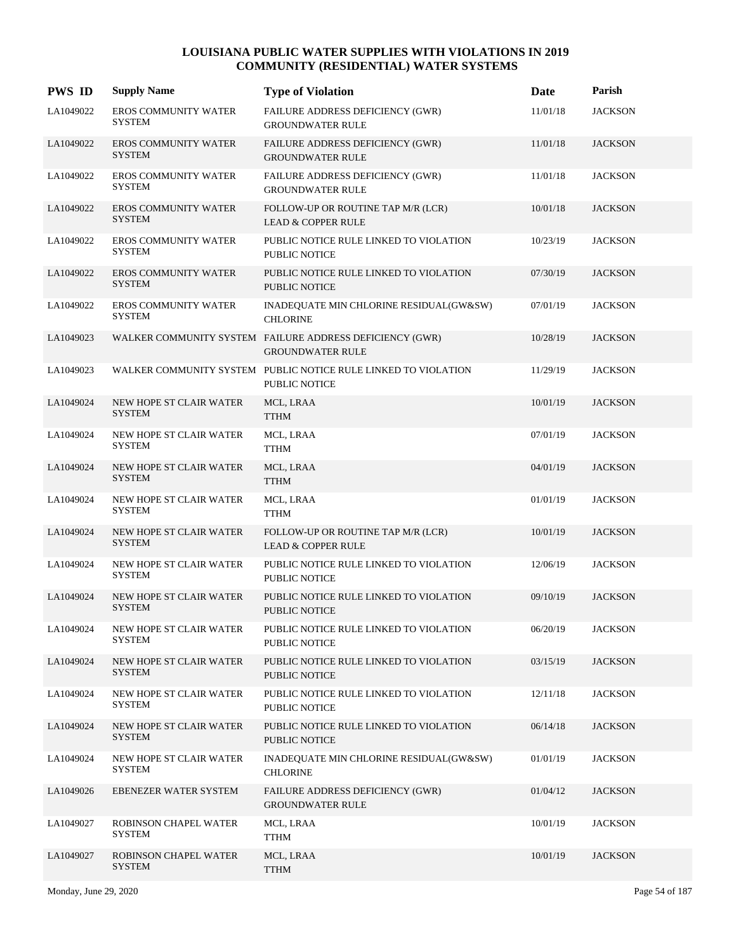| <b>PWS ID</b> | <b>Supply Name</b>                              | <b>Type of Violation</b>                                                            | Date     | Parish         |
|---------------|-------------------------------------------------|-------------------------------------------------------------------------------------|----------|----------------|
| LA1049022     | EROS COMMUNITY WATER<br>SYSTEM                  | FAILURE ADDRESS DEFICIENCY (GWR)<br><b>GROUNDWATER RULE</b>                         | 11/01/18 | <b>JACKSON</b> |
| LA1049022     | <b>EROS COMMUNITY WATER</b><br><b>SYSTEM</b>    | FAILURE ADDRESS DEFICIENCY (GWR)<br><b>GROUNDWATER RULE</b>                         | 11/01/18 | <b>JACKSON</b> |
| LA1049022     | <b>EROS COMMUNITY WATER</b><br><b>SYSTEM</b>    | <b>FAILURE ADDRESS DEFICIENCY (GWR)</b><br><b>GROUNDWATER RULE</b>                  | 11/01/18 | <b>JACKSON</b> |
| LA1049022     | <b>EROS COMMUNITY WATER</b><br><b>SYSTEM</b>    | FOLLOW-UP OR ROUTINE TAP M/R (LCR)<br><b>LEAD &amp; COPPER RULE</b>                 | 10/01/18 | <b>JACKSON</b> |
| LA1049022     | <b>EROS COMMUNITY WATER</b><br><b>SYSTEM</b>    | PUBLIC NOTICE RULE LINKED TO VIOLATION<br><b>PUBLIC NOTICE</b>                      | 10/23/19 | <b>JACKSON</b> |
| LA1049022     | <b>EROS COMMUNITY WATER</b><br><b>SYSTEM</b>    | PUBLIC NOTICE RULE LINKED TO VIOLATION<br>PUBLIC NOTICE                             | 07/30/19 | <b>JACKSON</b> |
| LA1049022     | <b>EROS COMMUNITY WATER</b><br><b>SYSTEM</b>    | INADEQUATE MIN CHLORINE RESIDUAL(GW&SW)<br><b>CHLORINE</b>                          | 07/01/19 | <b>JACKSON</b> |
| LA1049023     |                                                 | WALKER COMMUNITY SYSTEM FAILURE ADDRESS DEFICIENCY (GWR)<br><b>GROUNDWATER RULE</b> | 10/28/19 | <b>JACKSON</b> |
| LA1049023     |                                                 | WALKER COMMUNITY SYSTEM PUBLIC NOTICE RULE LINKED TO VIOLATION<br>PUBLIC NOTICE     | 11/29/19 | <b>JACKSON</b> |
| LA1049024     | NEW HOPE ST CLAIR WATER<br><b>SYSTEM</b>        | MCL, LRAA<br><b>TTHM</b>                                                            | 10/01/19 | <b>JACKSON</b> |
| LA1049024     | NEW HOPE ST CLAIR WATER<br><b>SYSTEM</b>        | MCL, LRAA<br><b>TTHM</b>                                                            | 07/01/19 | <b>JACKSON</b> |
| LA1049024     | NEW HOPE ST CLAIR WATER<br><b>SYSTEM</b>        | MCL, LRAA<br><b>TTHM</b>                                                            | 04/01/19 | <b>JACKSON</b> |
| LA1049024     | NEW HOPE ST CLAIR WATER<br><b>SYSTEM</b>        | MCL, LRAA<br><b>TTHM</b>                                                            | 01/01/19 | <b>JACKSON</b> |
| LA1049024     | NEW HOPE ST CLAIR WATER<br><b>SYSTEM</b>        | FOLLOW-UP OR ROUTINE TAP M/R (LCR)<br><b>LEAD &amp; COPPER RULE</b>                 | 10/01/19 | <b>JACKSON</b> |
| LA1049024     | NEW HOPE ST CLAIR WATER<br><b>SYSTEM</b>        | PUBLIC NOTICE RULE LINKED TO VIOLATION<br><b>PUBLIC NOTICE</b>                      | 12/06/19 | <b>JACKSON</b> |
| LA1049024     | <b>NEW HOPE ST CLAIR WATER</b><br><b>SYSTEM</b> | PUBLIC NOTICE RULE LINKED TO VIOLATION<br><b>PUBLIC NOTICE</b>                      | 09/10/19 | <b>JACKSON</b> |
| LA1049024     | NEW HOPE ST CLAIR WATER<br><b>SYSTEM</b>        | PUBLIC NOTICE RULE LINKED TO VIOLATION<br>PUBLIC NOTICE                             | 06/20/19 | <b>JACKSON</b> |
| LA1049024     | NEW HOPE ST CLAIR WATER<br><b>SYSTEM</b>        | PUBLIC NOTICE RULE LINKED TO VIOLATION<br>PUBLIC NOTICE                             | 03/15/19 | <b>JACKSON</b> |
| LA1049024     | NEW HOPE ST CLAIR WATER<br><b>SYSTEM</b>        | PUBLIC NOTICE RULE LINKED TO VIOLATION<br><b>PUBLIC NOTICE</b>                      | 12/11/18 | <b>JACKSON</b> |
| LA1049024     | <b>NEW HOPE ST CLAIR WATER</b><br><b>SYSTEM</b> | PUBLIC NOTICE RULE LINKED TO VIOLATION<br>PUBLIC NOTICE                             | 06/14/18 | <b>JACKSON</b> |
| LA1049024     | NEW HOPE ST CLAIR WATER<br><b>SYSTEM</b>        | INADEQUATE MIN CHLORINE RESIDUAL(GW&SW)<br><b>CHLORINE</b>                          | 01/01/19 | <b>JACKSON</b> |
| LA1049026     | EBENEZER WATER SYSTEM                           | <b>FAILURE ADDRESS DEFICIENCY (GWR)</b><br><b>GROUNDWATER RULE</b>                  | 01/04/12 | <b>JACKSON</b> |
| LA1049027     | ROBINSON CHAPEL WATER<br>SYSTEM                 | MCL, LRAA<br>TTHM                                                                   | 10/01/19 | <b>JACKSON</b> |
| LA1049027     | ROBINSON CHAPEL WATER<br><b>SYSTEM</b>          | MCL, LRAA<br><b>TTHM</b>                                                            | 10/01/19 | <b>JACKSON</b> |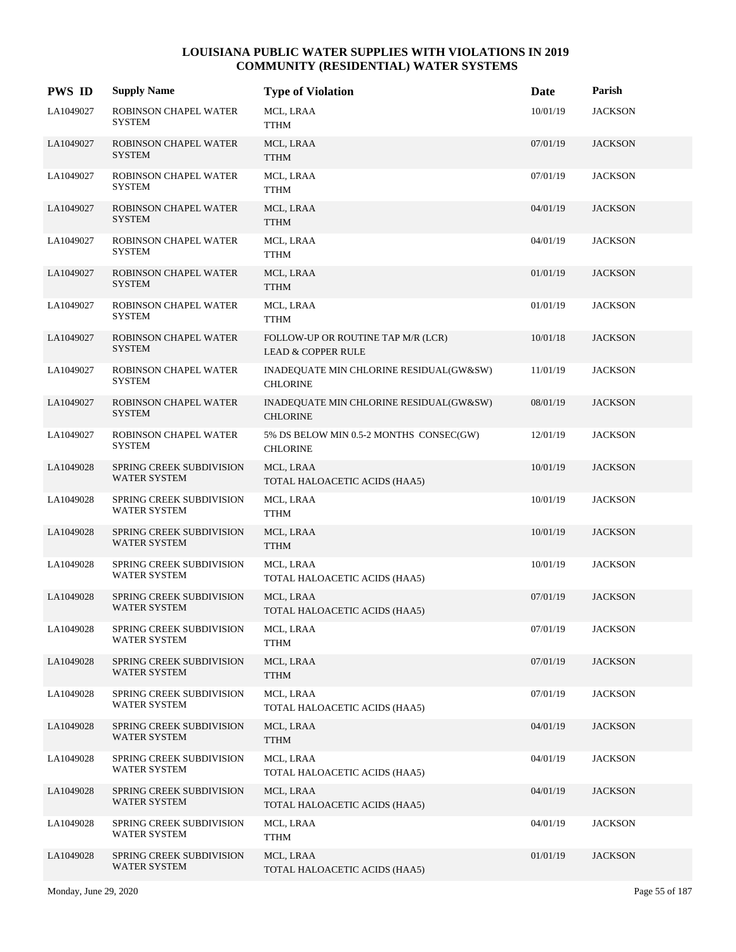| <b>PWS ID</b> | <b>Supply Name</b>                       | <b>Type of Violation</b>                                            | Date     | Parish         |
|---------------|------------------------------------------|---------------------------------------------------------------------|----------|----------------|
| LA1049027     | ROBINSON CHAPEL WATER<br><b>SYSTEM</b>   | MCL, LRAA<br><b>TTHM</b>                                            | 10/01/19 | <b>JACKSON</b> |
| LA1049027     | ROBINSON CHAPEL WATER<br><b>SYSTEM</b>   | MCL, LRAA<br><b>TTHM</b>                                            | 07/01/19 | <b>JACKSON</b> |
| LA1049027     | ROBINSON CHAPEL WATER<br><b>SYSTEM</b>   | MCL, LRAA<br><b>TTHM</b>                                            | 07/01/19 | <b>JACKSON</b> |
| LA1049027     | ROBINSON CHAPEL WATER<br><b>SYSTEM</b>   | MCL, LRAA<br><b>TTHM</b>                                            | 04/01/19 | <b>JACKSON</b> |
| LA1049027     | ROBINSON CHAPEL WATER<br><b>SYSTEM</b>   | MCL, LRAA<br><b>TTHM</b>                                            | 04/01/19 | <b>JACKSON</b> |
| LA1049027     | ROBINSON CHAPEL WATER<br><b>SYSTEM</b>   | MCL, LRAA<br><b>TTHM</b>                                            | 01/01/19 | <b>JACKSON</b> |
| LA1049027     | ROBINSON CHAPEL WATER<br><b>SYSTEM</b>   | MCL, LRAA<br><b>TTHM</b>                                            | 01/01/19 | <b>JACKSON</b> |
| LA1049027     | ROBINSON CHAPEL WATER<br><b>SYSTEM</b>   | FOLLOW-UP OR ROUTINE TAP M/R (LCR)<br><b>LEAD &amp; COPPER RULE</b> | 10/01/18 | <b>JACKSON</b> |
| LA1049027     | ROBINSON CHAPEL WATER<br><b>SYSTEM</b>   | INADEQUATE MIN CHLORINE RESIDUAL(GW&SW)<br><b>CHLORINE</b>          | 11/01/19 | <b>JACKSON</b> |
| LA1049027     | ROBINSON CHAPEL WATER<br><b>SYSTEM</b>   | INADEQUATE MIN CHLORINE RESIDUAL(GW&SW)<br><b>CHLORINE</b>          | 08/01/19 | <b>JACKSON</b> |
| LA1049027     | ROBINSON CHAPEL WATER<br><b>SYSTEM</b>   | 5% DS BELOW MIN 0.5-2 MONTHS CONSEC(GW)<br><b>CHLORINE</b>          | 12/01/19 | <b>JACKSON</b> |
| LA1049028     | SPRING CREEK SUBDIVISION<br>WATER SYSTEM | MCL, LRAA<br>TOTAL HALOACETIC ACIDS (HAA5)                          | 10/01/19 | <b>JACKSON</b> |
| LA1049028     | SPRING CREEK SUBDIVISION<br>WATER SYSTEM | MCL, LRAA<br><b>TTHM</b>                                            | 10/01/19 | <b>JACKSON</b> |
| LA1049028     | SPRING CREEK SUBDIVISION<br>WATER SYSTEM | MCL, LRAA<br><b>TTHM</b>                                            | 10/01/19 | <b>JACKSON</b> |
| LA1049028     | SPRING CREEK SUBDIVISION<br>WATER SYSTEM | MCL, LRAA<br>TOTAL HALOACETIC ACIDS (HAA5)                          | 10/01/19 | <b>JACKSON</b> |
| LA1049028     | SPRING CREEK SUBDIVISION<br>WATER SYSTEM | MCL, LRAA<br>TOTAL HALOACETIC ACIDS (HAA5)                          | 07/01/19 | <b>JACKSON</b> |
| LA1049028     | SPRING CREEK SUBDIVISION<br>WATER SYSTEM | MCL, LRAA<br><b>TTHM</b>                                            | 07/01/19 | <b>JACKSON</b> |
| LA1049028     | SPRING CREEK SUBDIVISION<br>WATER SYSTEM | MCL, LRAA<br><b>TTHM</b>                                            | 07/01/19 | <b>JACKSON</b> |
| LA1049028     | SPRING CREEK SUBDIVISION<br>WATER SYSTEM | MCL, LRAA<br>TOTAL HALOACETIC ACIDS (HAA5)                          | 07/01/19 | <b>JACKSON</b> |
| LA1049028     | SPRING CREEK SUBDIVISION<br>WATER SYSTEM | MCL, LRAA<br><b>TTHM</b>                                            | 04/01/19 | <b>JACKSON</b> |
| LA1049028     | SPRING CREEK SUBDIVISION<br>WATER SYSTEM | MCL, LRAA<br>TOTAL HALOACETIC ACIDS (HAA5)                          | 04/01/19 | <b>JACKSON</b> |
| LA1049028     | SPRING CREEK SUBDIVISION<br>WATER SYSTEM | MCL, LRAA<br>TOTAL HALOACETIC ACIDS (HAA5)                          | 04/01/19 | <b>JACKSON</b> |
| LA1049028     | SPRING CREEK SUBDIVISION<br>WATER SYSTEM | MCL, LRAA<br><b>TTHM</b>                                            | 04/01/19 | <b>JACKSON</b> |
| LA1049028     | SPRING CREEK SUBDIVISION<br>WATER SYSTEM | MCL, LRAA<br>TOTAL HALOACETIC ACIDS (HAA5)                          | 01/01/19 | <b>JACKSON</b> |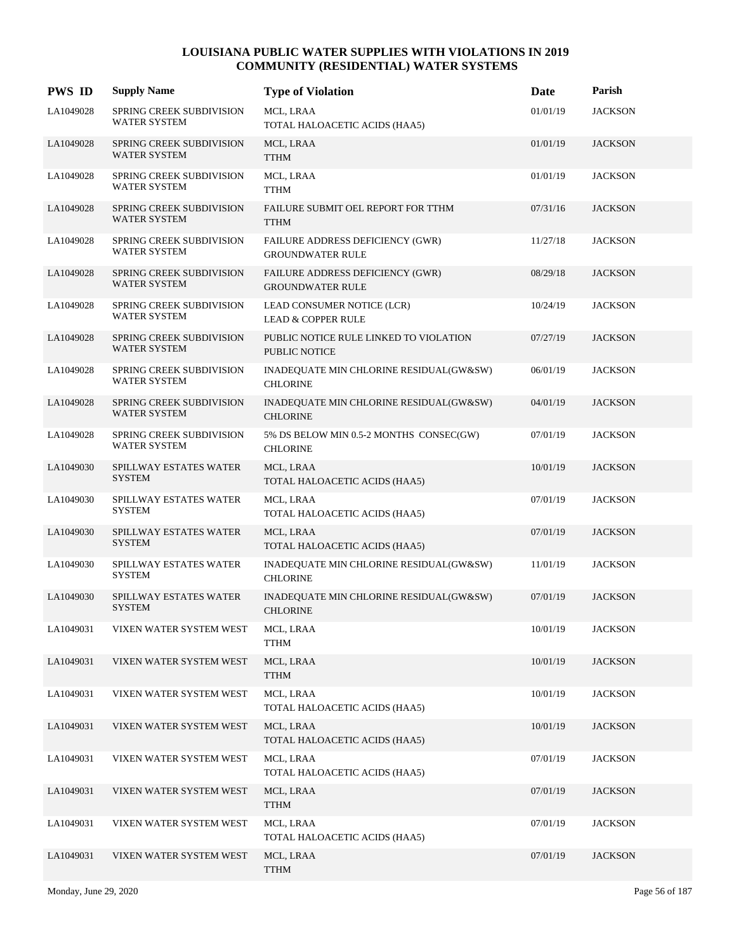| <b>PWS ID</b> | <b>Supply Name</b>                              | <b>Type of Violation</b>                                       | Date     | Parish         |
|---------------|-------------------------------------------------|----------------------------------------------------------------|----------|----------------|
| LA1049028     | SPRING CREEK SUBDIVISION<br>WATER SYSTEM        | MCL, LRAA<br>TOTAL HALOACETIC ACIDS (HAA5)                     | 01/01/19 | <b>JACKSON</b> |
| LA1049028     | SPRING CREEK SUBDIVISION<br><b>WATER SYSTEM</b> | MCL, LRAA<br><b>TTHM</b>                                       | 01/01/19 | <b>JACKSON</b> |
| LA1049028     | SPRING CREEK SUBDIVISION<br><b>WATER SYSTEM</b> | MCL, LRAA<br><b>TTHM</b>                                       | 01/01/19 | <b>JACKSON</b> |
| LA1049028     | SPRING CREEK SUBDIVISION<br>WATER SYSTEM        | FAILURE SUBMIT OEL REPORT FOR TTHM<br><b>TTHM</b>              | 07/31/16 | <b>JACKSON</b> |
| LA1049028     | SPRING CREEK SUBDIVISION<br>WATER SYSTEM        | FAILURE ADDRESS DEFICIENCY (GWR)<br><b>GROUNDWATER RULE</b>    | 11/27/18 | <b>JACKSON</b> |
| LA1049028     | <b>SPRING CREEK SUBDIVISION</b><br>WATER SYSTEM | FAILURE ADDRESS DEFICIENCY (GWR)<br><b>GROUNDWATER RULE</b>    | 08/29/18 | <b>JACKSON</b> |
| LA1049028     | SPRING CREEK SUBDIVISION<br><b>WATER SYSTEM</b> | LEAD CONSUMER NOTICE (LCR)<br><b>LEAD &amp; COPPER RULE</b>    | 10/24/19 | <b>JACKSON</b> |
| LA1049028     | SPRING CREEK SUBDIVISION<br>WATER SYSTEM        | PUBLIC NOTICE RULE LINKED TO VIOLATION<br><b>PUBLIC NOTICE</b> | 07/27/19 | <b>JACKSON</b> |
| LA1049028     | SPRING CREEK SUBDIVISION<br>WATER SYSTEM        | INADEQUATE MIN CHLORINE RESIDUAL(GW&SW)<br><b>CHLORINE</b>     | 06/01/19 | <b>JACKSON</b> |
| LA1049028     | SPRING CREEK SUBDIVISION<br><b>WATER SYSTEM</b> | INADEQUATE MIN CHLORINE RESIDUAL(GW&SW)<br><b>CHLORINE</b>     | 04/01/19 | <b>JACKSON</b> |
| LA1049028     | SPRING CREEK SUBDIVISION<br>WATER SYSTEM        | 5% DS BELOW MIN 0.5-2 MONTHS CONSEC(GW)<br><b>CHLORINE</b>     | 07/01/19 | <b>JACKSON</b> |
| LA1049030     | SPILLWAY ESTATES WATER<br><b>SYSTEM</b>         | MCL, LRAA<br>TOTAL HALOACETIC ACIDS (HAA5)                     | 10/01/19 | <b>JACKSON</b> |
| LA1049030     | SPILLWAY ESTATES WATER<br><b>SYSTEM</b>         | MCL, LRAA<br>TOTAL HALOACETIC ACIDS (HAA5)                     | 07/01/19 | <b>JACKSON</b> |
| LA1049030     | SPILLWAY ESTATES WATER<br><b>SYSTEM</b>         | MCL, LRAA<br>TOTAL HALOACETIC ACIDS (HAA5)                     | 07/01/19 | <b>JACKSON</b> |
| LA1049030     | SPILLWAY ESTATES WATER<br><b>SYSTEM</b>         | INADEQUATE MIN CHLORINE RESIDUAL(GW&SW)<br><b>CHLORINE</b>     | 11/01/19 | <b>JACKSON</b> |
| LA1049030     | SPILLWAY ESTATES WATER<br><b>SYSTEM</b>         | INADEQUATE MIN CHLORINE RESIDUAL(GW&SW)<br><b>CHLORINE</b>     | 07/01/19 | <b>JACKSON</b> |
| LA1049031     | VIXEN WATER SYSTEM WEST                         | MCL, LRAA<br><b>TTHM</b>                                       | 10/01/19 | <b>JACKSON</b> |
| LA1049031     | VIXEN WATER SYSTEM WEST                         | MCL, LRAA<br><b>TTHM</b>                                       | 10/01/19 | <b>JACKSON</b> |
| LA1049031     | VIXEN WATER SYSTEM WEST                         | MCL, LRAA<br>TOTAL HALOACETIC ACIDS (HAA5)                     | 10/01/19 | <b>JACKSON</b> |
| LA1049031     | VIXEN WATER SYSTEM WEST                         | MCL, LRAA<br>TOTAL HALOACETIC ACIDS (HAA5)                     | 10/01/19 | <b>JACKSON</b> |
| LA1049031     | VIXEN WATER SYSTEM WEST                         | MCL, LRAA<br>TOTAL HALOACETIC ACIDS (HAA5)                     | 07/01/19 | <b>JACKSON</b> |
| LA1049031     | VIXEN WATER SYSTEM WEST                         | MCL, LRAA<br><b>TTHM</b>                                       | 07/01/19 | <b>JACKSON</b> |
| LA1049031     | VIXEN WATER SYSTEM WEST                         | MCL, LRAA<br>TOTAL HALOACETIC ACIDS (HAA5)                     | 07/01/19 | <b>JACKSON</b> |
| LA1049031     | VIXEN WATER SYSTEM WEST                         | MCL, LRAA<br><b>TTHM</b>                                       | 07/01/19 | <b>JACKSON</b> |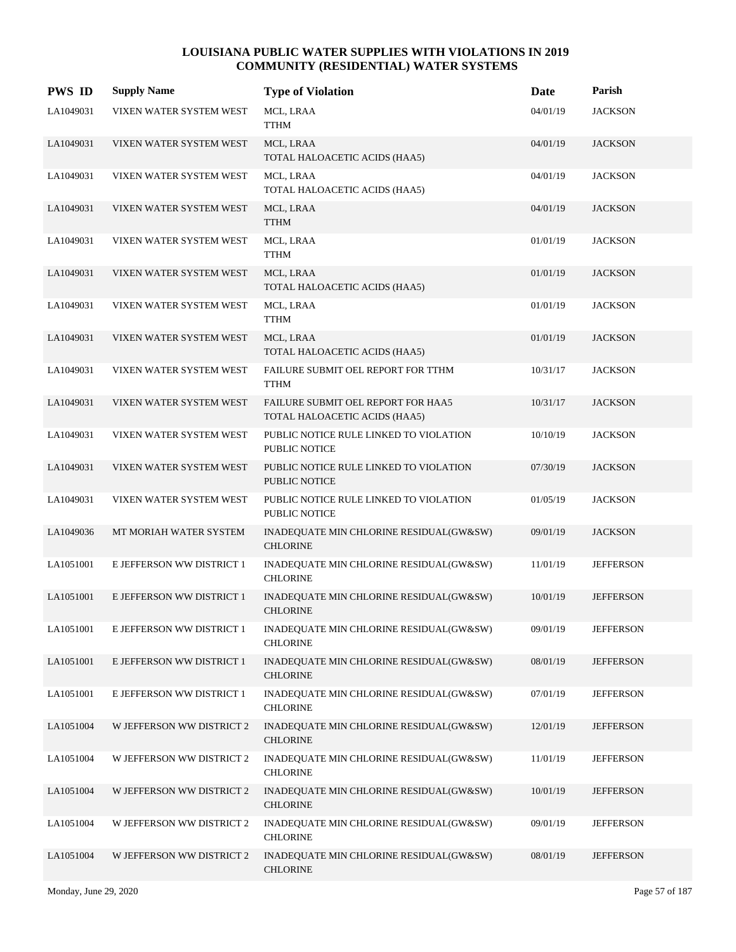| <b>PWS ID</b> | <b>Supply Name</b>        | <b>Type of Violation</b>                                            | Date     | Parish           |
|---------------|---------------------------|---------------------------------------------------------------------|----------|------------------|
| LA1049031     | VIXEN WATER SYSTEM WEST   | MCL, LRAA<br><b>TTHM</b>                                            | 04/01/19 | <b>JACKSON</b>   |
| LA1049031     | VIXEN WATER SYSTEM WEST   | MCL, LRAA<br>TOTAL HALOACETIC ACIDS (HAA5)                          | 04/01/19 | <b>JACKSON</b>   |
| LA1049031     | VIXEN WATER SYSTEM WEST   | MCL, LRAA<br>TOTAL HALOACETIC ACIDS (HAA5)                          | 04/01/19 | <b>JACKSON</b>   |
| LA1049031     | VIXEN WATER SYSTEM WEST   | MCL, LRAA<br><b>TTHM</b>                                            | 04/01/19 | <b>JACKSON</b>   |
| LA1049031     | VIXEN WATER SYSTEM WEST   | MCL, LRAA<br><b>TTHM</b>                                            | 01/01/19 | <b>JACKSON</b>   |
| LA1049031     | VIXEN WATER SYSTEM WEST   | MCL, LRAA<br>TOTAL HALOACETIC ACIDS (HAA5)                          | 01/01/19 | <b>JACKSON</b>   |
| LA1049031     | VIXEN WATER SYSTEM WEST   | MCL, LRAA<br><b>TTHM</b>                                            | 01/01/19 | <b>JACKSON</b>   |
| LA1049031     | VIXEN WATER SYSTEM WEST   | MCL, LRAA<br>TOTAL HALOACETIC ACIDS (HAA5)                          | 01/01/19 | <b>JACKSON</b>   |
| LA1049031     | VIXEN WATER SYSTEM WEST   | FAILURE SUBMIT OEL REPORT FOR TTHM<br><b>TTHM</b>                   | 10/31/17 | <b>JACKSON</b>   |
| LA1049031     | VIXEN WATER SYSTEM WEST   | FAILURE SUBMIT OEL REPORT FOR HAA5<br>TOTAL HALOACETIC ACIDS (HAA5) | 10/31/17 | <b>JACKSON</b>   |
| LA1049031     | VIXEN WATER SYSTEM WEST   | PUBLIC NOTICE RULE LINKED TO VIOLATION<br>PUBLIC NOTICE             | 10/10/19 | <b>JACKSON</b>   |
| LA1049031     | VIXEN WATER SYSTEM WEST   | PUBLIC NOTICE RULE LINKED TO VIOLATION<br>PUBLIC NOTICE             | 07/30/19 | <b>JACKSON</b>   |
| LA1049031     | VIXEN WATER SYSTEM WEST   | PUBLIC NOTICE RULE LINKED TO VIOLATION<br>PUBLIC NOTICE             | 01/05/19 | <b>JACKSON</b>   |
| LA1049036     | MT MORIAH WATER SYSTEM    | INADEQUATE MIN CHLORINE RESIDUAL(GW&SW)<br><b>CHLORINE</b>          | 09/01/19 | <b>JACKSON</b>   |
| LA1051001     | E JEFFERSON WW DISTRICT 1 | INADEQUATE MIN CHLORINE RESIDUAL(GW&SW)<br><b>CHLORINE</b>          | 11/01/19 | <b>JEFFERSON</b> |
| LA1051001     | E JEFFERSON WW DISTRICT 1 | INADEQUATE MIN CHLORINE RESIDUAL(GW&SW)<br><b>CHLORINE</b>          | 10/01/19 | <b>JEFFERSON</b> |
| LA1051001     | E JEFFERSON WW DISTRICT 1 | INADEQUATE MIN CHLORINE RESIDUAL(GW&SW)<br><b>CHLORINE</b>          | 09/01/19 | <b>JEFFERSON</b> |
| LA1051001     | E JEFFERSON WW DISTRICT 1 | INADEQUATE MIN CHLORINE RESIDUAL(GW&SW)<br><b>CHLORINE</b>          | 08/01/19 | <b>JEFFERSON</b> |
| LA1051001     | E JEFFERSON WW DISTRICT 1 | INADEQUATE MIN CHLORINE RESIDUAL(GW&SW)<br><b>CHLORINE</b>          | 07/01/19 | <b>JEFFERSON</b> |
| LA1051004     | W JEFFERSON WW DISTRICT 2 | INADEQUATE MIN CHLORINE RESIDUAL(GW&SW)<br><b>CHLORINE</b>          | 12/01/19 | <b>JEFFERSON</b> |
| LA1051004     | W JEFFERSON WW DISTRICT 2 | INADEQUATE MIN CHLORINE RESIDUAL(GW&SW)<br><b>CHLORINE</b>          | 11/01/19 | <b>JEFFERSON</b> |
| LA1051004     | W JEFFERSON WW DISTRICT 2 | INADEQUATE MIN CHLORINE RESIDUAL(GW&SW)<br><b>CHLORINE</b>          | 10/01/19 | <b>JEFFERSON</b> |
| LA1051004     | W JEFFERSON WW DISTRICT 2 | INADEQUATE MIN CHLORINE RESIDUAL(GW&SW)<br><b>CHLORINE</b>          | 09/01/19 | <b>JEFFERSON</b> |
| LA1051004     | W JEFFERSON WW DISTRICT 2 | INADEQUATE MIN CHLORINE RESIDUAL(GW&SW)<br><b>CHLORINE</b>          | 08/01/19 | <b>JEFFERSON</b> |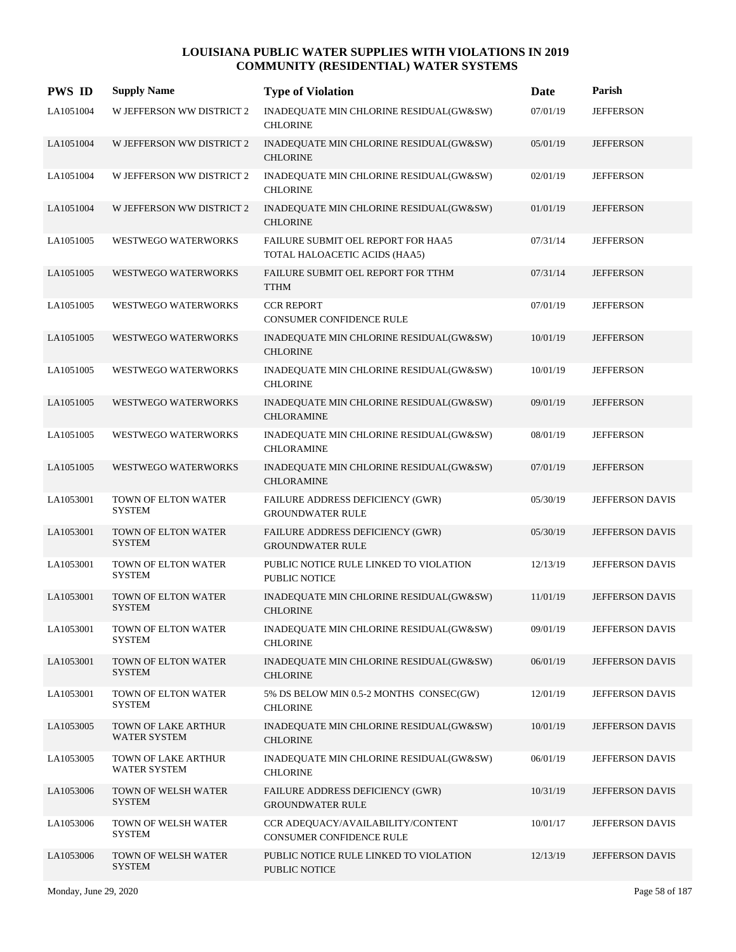| <b>PWS ID</b> | <b>Supply Name</b>                   | <b>Type of Violation</b>                                            | Date     | Parish                 |
|---------------|--------------------------------------|---------------------------------------------------------------------|----------|------------------------|
| LA1051004     | W JEFFERSON WW DISTRICT 2            | INADEQUATE MIN CHLORINE RESIDUAL(GW&SW)<br><b>CHLORINE</b>          | 07/01/19 | <b>JEFFERSON</b>       |
| LA1051004     | W JEFFERSON WW DISTRICT 2            | INADEQUATE MIN CHLORINE RESIDUAL(GW&SW)<br><b>CHLORINE</b>          | 05/01/19 | <b>JEFFERSON</b>       |
| LA1051004     | W JEFFERSON WW DISTRICT 2            | INADEQUATE MIN CHLORINE RESIDUAL(GW&SW)<br><b>CHLORINE</b>          | 02/01/19 | <b>JEFFERSON</b>       |
| LA1051004     | W JEFFERSON WW DISTRICT 2            | INADEQUATE MIN CHLORINE RESIDUAL(GW&SW)<br><b>CHLORINE</b>          | 01/01/19 | <b>JEFFERSON</b>       |
| LA1051005     | WESTWEGO WATERWORKS                  | FAILURE SUBMIT OEL REPORT FOR HAA5<br>TOTAL HALOACETIC ACIDS (HAA5) | 07/31/14 | <b>JEFFERSON</b>       |
| LA1051005     | <b>WESTWEGO WATERWORKS</b>           | FAILURE SUBMIT OEL REPORT FOR TTHM<br><b>TTHM</b>                   | 07/31/14 | <b>JEFFERSON</b>       |
| LA1051005     | WESTWEGO WATERWORKS                  | <b>CCR REPORT</b><br>CONSUMER CONFIDENCE RULE                       | 07/01/19 | <b>JEFFERSON</b>       |
| LA1051005     | <b>WESTWEGO WATERWORKS</b>           | INADEQUATE MIN CHLORINE RESIDUAL(GW&SW)<br><b>CHLORINE</b>          | 10/01/19 | <b>JEFFERSON</b>       |
| LA1051005     | WESTWEGO WATERWORKS                  | INADEQUATE MIN CHLORINE RESIDUAL(GW&SW)<br><b>CHLORINE</b>          | 10/01/19 | <b>JEFFERSON</b>       |
| LA1051005     | WESTWEGO WATERWORKS                  | INADEQUATE MIN CHLORINE RESIDUAL(GW&SW)<br><b>CHLORAMINE</b>        | 09/01/19 | <b>JEFFERSON</b>       |
| LA1051005     | WESTWEGO WATERWORKS                  | INADEQUATE MIN CHLORINE RESIDUAL(GW&SW)<br><b>CHLORAMINE</b>        | 08/01/19 | <b>JEFFERSON</b>       |
| LA1051005     | <b>WESTWEGO WATERWORKS</b>           | INADEQUATE MIN CHLORINE RESIDUAL(GW&SW)<br><b>CHLORAMINE</b>        | 07/01/19 | <b>JEFFERSON</b>       |
| LA1053001     | TOWN OF ELTON WATER<br><b>SYSTEM</b> | FAILURE ADDRESS DEFICIENCY (GWR)<br><b>GROUNDWATER RULE</b>         | 05/30/19 | JEFFERSON DAVIS        |
| LA1053001     | TOWN OF ELTON WATER<br><b>SYSTEM</b> | FAILURE ADDRESS DEFICIENCY (GWR)<br><b>GROUNDWATER RULE</b>         | 05/30/19 | <b>JEFFERSON DAVIS</b> |
| LA1053001     | TOWN OF ELTON WATER<br><b>SYSTEM</b> | PUBLIC NOTICE RULE LINKED TO VIOLATION<br><b>PUBLIC NOTICE</b>      | 12/13/19 | JEFFERSON DAVIS        |
| LA1053001     | TOWN OF ELTON WATER<br><b>SYSTEM</b> | INADEQUATE MIN CHLORINE RESIDUAL(GW&SW)<br><b>CHLORINE</b>          | 11/01/19 | <b>JEFFERSON DAVIS</b> |
| LA1053001     | TOWN OF ELTON WATER<br><b>SYSTEM</b> | INADEQUATE MIN CHLORINE RESIDUAL(GW&SW)<br><b>CHLORINE</b>          | 09/01/19 | JEFFERSON DAVIS        |
| LA1053001     | TOWN OF ELTON WATER<br><b>SYSTEM</b> | INADEQUATE MIN CHLORINE RESIDUAL(GW&SW)<br><b>CHLORINE</b>          | 06/01/19 | JEFFERSON DAVIS        |
| LA1053001     | TOWN OF ELTON WATER<br><b>SYSTEM</b> | 5% DS BELOW MIN 0.5-2 MONTHS CONSEC(GW)<br><b>CHLORINE</b>          | 12/01/19 | JEFFERSON DAVIS        |
| LA1053005     | TOWN OF LAKE ARTHUR<br>WATER SYSTEM  | INADEQUATE MIN CHLORINE RESIDUAL(GW&SW)<br><b>CHLORINE</b>          | 10/01/19 | JEFFERSON DAVIS        |
| LA1053005     | TOWN OF LAKE ARTHUR<br>WATER SYSTEM  | INADEQUATE MIN CHLORINE RESIDUAL(GW&SW)<br><b>CHLORINE</b>          | 06/01/19 | JEFFERSON DAVIS        |
| LA1053006     | TOWN OF WELSH WATER<br><b>SYSTEM</b> | FAILURE ADDRESS DEFICIENCY (GWR)<br><b>GROUNDWATER RULE</b>         | 10/31/19 | JEFFERSON DAVIS        |
| LA1053006     | TOWN OF WELSH WATER<br><b>SYSTEM</b> | CCR ADEQUACY/AVAILABILITY/CONTENT<br>CONSUMER CONFIDENCE RULE       | 10/01/17 | JEFFERSON DAVIS        |
| LA1053006     | TOWN OF WELSH WATER<br><b>SYSTEM</b> | PUBLIC NOTICE RULE LINKED TO VIOLATION<br>PUBLIC NOTICE             | 12/13/19 | JEFFERSON DAVIS        |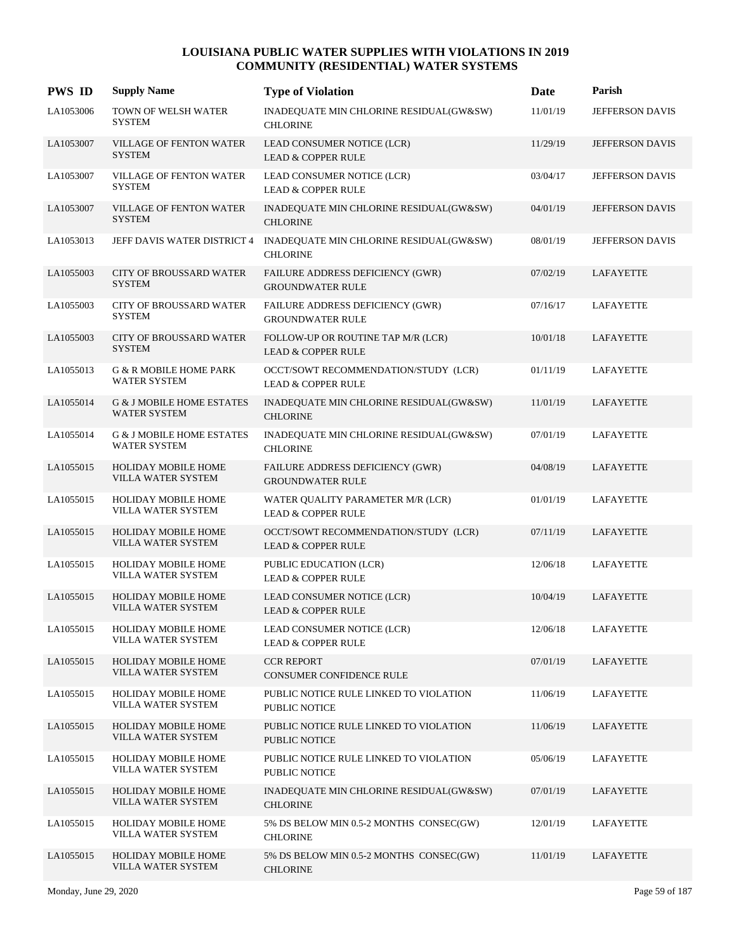| <b>PWS ID</b> | <b>Supply Name</b>                                          | <b>Type of Violation</b>                                              | Date     | Parish                 |
|---------------|-------------------------------------------------------------|-----------------------------------------------------------------------|----------|------------------------|
| LA1053006     | TOWN OF WELSH WATER<br><b>SYSTEM</b>                        | INADEQUATE MIN CHLORINE RESIDUAL(GW&SW)<br><b>CHLORINE</b>            | 11/01/19 | JEFFERSON DAVIS        |
| LA1053007     | <b>VILLAGE OF FENTON WATER</b><br><b>SYSTEM</b>             | LEAD CONSUMER NOTICE (LCR)<br><b>LEAD &amp; COPPER RULE</b>           | 11/29/19 | <b>JEFFERSON DAVIS</b> |
| LA1053007     | VILLAGE OF FENTON WATER<br><b>SYSTEM</b>                    | LEAD CONSUMER NOTICE (LCR)<br><b>LEAD &amp; COPPER RULE</b>           | 03/04/17 | JEFFERSON DAVIS        |
| LA1053007     | VILLAGE OF FENTON WATER<br><b>SYSTEM</b>                    | INADEQUATE MIN CHLORINE RESIDUAL(GW&SW)<br><b>CHLORINE</b>            | 04/01/19 | JEFFERSON DAVIS        |
| LA1053013     | JEFF DAVIS WATER DISTRICT 4                                 | INADEQUATE MIN CHLORINE RESIDUAL(GW&SW)<br><b>CHLORINE</b>            | 08/01/19 | JEFFERSON DAVIS        |
| LA1055003     | <b>CITY OF BROUSSARD WATER</b><br><b>SYSTEM</b>             | FAILURE ADDRESS DEFICIENCY (GWR)<br><b>GROUNDWATER RULE</b>           | 07/02/19 | LAFAYETTE              |
| LA1055003     | CITY OF BROUSSARD WATER<br><b>SYSTEM</b>                    | FAILURE ADDRESS DEFICIENCY (GWR)<br><b>GROUNDWATER RULE</b>           | 07/16/17 | LAFAYETTE              |
| LA1055003     | <b>CITY OF BROUSSARD WATER</b><br><b>SYSTEM</b>             | FOLLOW-UP OR ROUTINE TAP M/R (LCR)<br><b>LEAD &amp; COPPER RULE</b>   | 10/01/18 | LAFAYETTE              |
| LA1055013     | G & R MOBILE HOME PARK<br><b>WATER SYSTEM</b>               | OCCT/SOWT RECOMMENDATION/STUDY (LCR)<br><b>LEAD &amp; COPPER RULE</b> | 01/11/19 | LAFAYETTE              |
| LA1055014     | <b>G &amp; J MOBILE HOME ESTATES</b><br><b>WATER SYSTEM</b> | INADEQUATE MIN CHLORINE RESIDUAL(GW&SW)<br><b>CHLORINE</b>            | 11/01/19 | LAFAYETTE              |
| LA1055014     | <b>G &amp; J MOBILE HOME ESTATES</b><br><b>WATER SYSTEM</b> | INADEQUATE MIN CHLORINE RESIDUAL(GW&SW)<br><b>CHLORINE</b>            | 07/01/19 | LAFAYETTE              |
| LA1055015     | <b>HOLIDAY MOBILE HOME</b><br>VILLA WATER SYSTEM            | FAILURE ADDRESS DEFICIENCY (GWR)<br><b>GROUNDWATER RULE</b>           | 04/08/19 | LAFAYETTE              |
| LA1055015     | HOLIDAY MOBILE HOME<br>VILLA WATER SYSTEM                   | WATER QUALITY PARAMETER M/R (LCR)<br><b>LEAD &amp; COPPER RULE</b>    | 01/01/19 | LAFAYETTE              |
| LA1055015     | HOLIDAY MOBILE HOME<br>VILLA WATER SYSTEM                   | OCCT/SOWT RECOMMENDATION/STUDY (LCR)<br><b>LEAD &amp; COPPER RULE</b> | 07/11/19 | LAFAYETTE              |
| LA1055015     | HOLIDAY MOBILE HOME<br>VILLA WATER SYSTEM                   | PUBLIC EDUCATION (LCR)<br><b>LEAD &amp; COPPER RULE</b>               | 12/06/18 | LAFAYETTE              |
| LA1055015     | <b>HOLIDAY MOBILE HOME</b><br>VILLA WATER SYSTEM            | LEAD CONSUMER NOTICE (LCR)<br><b>LEAD &amp; COPPER RULE</b>           | 10/04/19 | LAFAYETTE              |
| LA1055015     | HOLIDAY MOBILE HOME<br>VILLA WATER SYSTEM                   | LEAD CONSUMER NOTICE (LCR)<br><b>LEAD &amp; COPPER RULE</b>           | 12/06/18 | LAFAYETTE              |
| LA1055015     | <b>HOLIDAY MOBILE HOME</b><br>VILLA WATER SYSTEM            | <b>CCR REPORT</b><br>CONSUMER CONFIDENCE RULE                         | 07/01/19 | <b>LAFAYETTE</b>       |
| LA1055015     | <b>HOLIDAY MOBILE HOME</b><br>VILLA WATER SYSTEM            | PUBLIC NOTICE RULE LINKED TO VIOLATION<br>PUBLIC NOTICE               | 11/06/19 | LAFAYETTE              |
| LA1055015     | HOLIDAY MOBILE HOME<br>VILLA WATER SYSTEM                   | PUBLIC NOTICE RULE LINKED TO VIOLATION<br>PUBLIC NOTICE               | 11/06/19 | <b>LAFAYETTE</b>       |
| LA1055015     | <b>HOLIDAY MOBILE HOME</b><br>VILLA WATER SYSTEM            | PUBLIC NOTICE RULE LINKED TO VIOLATION<br>PUBLIC NOTICE               | 05/06/19 | LAFAYETTE              |
| LA1055015     | HOLIDAY MOBILE HOME<br>VILLA WATER SYSTEM                   | INADEQUATE MIN CHLORINE RESIDUAL(GW&SW)<br><b>CHLORINE</b>            | 07/01/19 | LAFAYETTE              |
| LA1055015     | HOLIDAY MOBILE HOME<br>VILLA WATER SYSTEM                   | 5% DS BELOW MIN 0.5-2 MONTHS CONSEC(GW)<br><b>CHLORINE</b>            | 12/01/19 | LAFAYETTE              |
| LA1055015     | HOLIDAY MOBILE HOME<br>VILLA WATER SYSTEM                   | 5% DS BELOW MIN 0.5-2 MONTHS CONSEC(GW)<br><b>CHLORINE</b>            | 11/01/19 | LAFAYETTE              |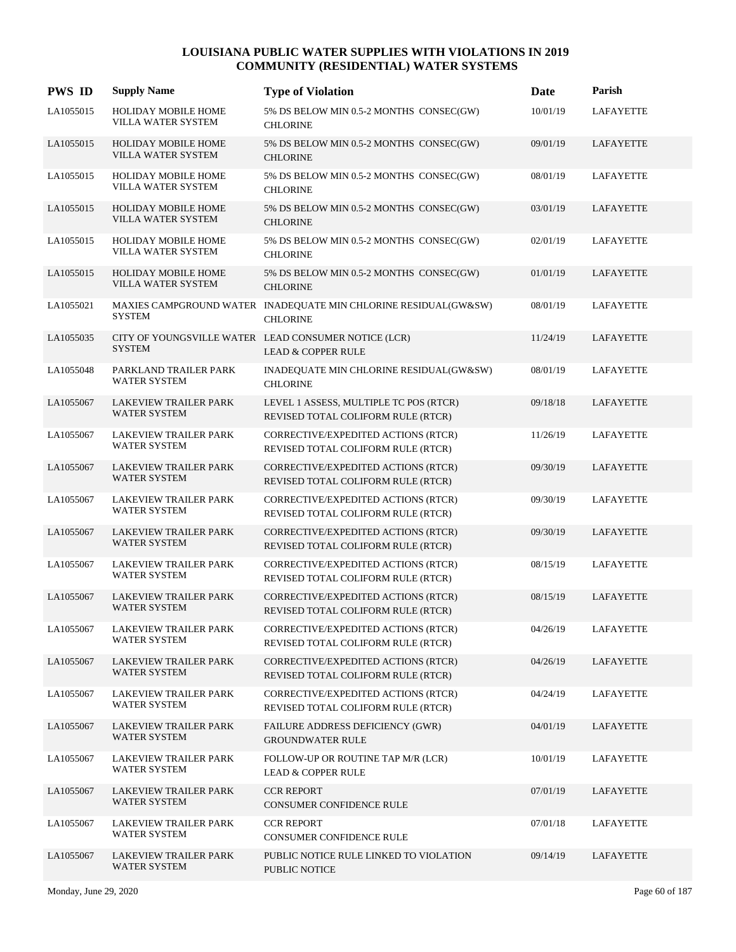| <b>PWS ID</b> | <b>Supply Name</b>                                  | <b>Type of Violation</b>                                                              | Date     | Parish           |
|---------------|-----------------------------------------------------|---------------------------------------------------------------------------------------|----------|------------------|
| LA1055015     | <b>HOLIDAY MOBILE HOME</b><br>VILLA WATER SYSTEM    | 5% DS BELOW MIN 0.5-2 MONTHS CONSEC(GW)<br><b>CHLORINE</b>                            | 10/01/19 | <b>LAFAYETTE</b> |
| LA1055015     | <b>HOLIDAY MOBILE HOME</b><br>VILLA WATER SYSTEM    | 5% DS BELOW MIN 0.5-2 MONTHS CONSEC(GW)<br><b>CHLORINE</b>                            | 09/01/19 | LAFAYETTE        |
| LA1055015     | <b>HOLIDAY MOBILE HOME</b><br>VILLA WATER SYSTEM    | 5% DS BELOW MIN 0.5-2 MONTHS CONSEC(GW)<br><b>CHLORINE</b>                            | 08/01/19 | LAFAYETTE        |
| LA1055015     | <b>HOLIDAY MOBILE HOME</b><br>VILLA WATER SYSTEM    | 5% DS BELOW MIN 0.5-2 MONTHS CONSEC(GW)<br><b>CHLORINE</b>                            | 03/01/19 | LAFAYETTE        |
| LA1055015     | HOLIDAY MOBILE HOME<br>VILLA WATER SYSTEM           | 5% DS BELOW MIN 0.5-2 MONTHS CONSEC(GW)<br><b>CHLORINE</b>                            | 02/01/19 | LAFAYETTE        |
| LA1055015     | <b>HOLIDAY MOBILE HOME</b><br>VILLA WATER SYSTEM    | 5% DS BELOW MIN 0.5-2 MONTHS CONSEC(GW)<br><b>CHLORINE</b>                            | 01/01/19 | LAFAYETTE        |
| LA1055021     | <b>SYSTEM</b>                                       | MAXIES CAMPGROUND WATER INADEQUATE MIN CHLORINE RESIDUAL(GW&SW)<br><b>CHLORINE</b>    | 08/01/19 | LAFAYETTE        |
| LA1055035     | <b>SYSTEM</b>                                       | CITY OF YOUNGSVILLE WATER LEAD CONSUMER NOTICE (LCR)<br><b>LEAD &amp; COPPER RULE</b> | 11/24/19 | LAFAYETTE        |
| LA1055048     | PARKLAND TRAILER PARK<br><b>WATER SYSTEM</b>        | INADEQUATE MIN CHLORINE RESIDUAL(GW&SW)<br><b>CHLORINE</b>                            | 08/01/19 | LAFAYETTE        |
| LA1055067     | <b>LAKEVIEW TRAILER PARK</b><br><b>WATER SYSTEM</b> | LEVEL 1 ASSESS, MULTIPLE TC POS (RTCR)<br>REVISED TOTAL COLIFORM RULE (RTCR)          | 09/18/18 | <b>LAFAYETTE</b> |
| LA1055067     | LAKEVIEW TRAILER PARK<br><b>WATER SYSTEM</b>        | CORRECTIVE/EXPEDITED ACTIONS (RTCR)<br>REVISED TOTAL COLIFORM RULE (RTCR)             | 11/26/19 | LAFAYETTE        |
| LA1055067     | <b>LAKEVIEW TRAILER PARK</b><br><b>WATER SYSTEM</b> | CORRECTIVE/EXPEDITED ACTIONS (RTCR)<br>REVISED TOTAL COLIFORM RULE (RTCR)             | 09/30/19 | LAFAYETTE        |
| LA1055067     | LAKEVIEW TRAILER PARK<br><b>WATER SYSTEM</b>        | CORRECTIVE/EXPEDITED ACTIONS (RTCR)<br>REVISED TOTAL COLIFORM RULE (RTCR)             | 09/30/19 | LAFAYETTE        |
| LA1055067     | <b>LAKEVIEW TRAILER PARK</b><br><b>WATER SYSTEM</b> | CORRECTIVE/EXPEDITED ACTIONS (RTCR)<br>REVISED TOTAL COLIFORM RULE (RTCR)             | 09/30/19 | LAFAYETTE        |
| LA1055067     | LAKEVIEW TRAILER PARK<br><b>WATER SYSTEM</b>        | CORRECTIVE/EXPEDITED ACTIONS (RTCR)<br>REVISED TOTAL COLIFORM RULE (RTCR)             | 08/15/19 | LAFAYETTE        |
| LA1055067     | LAKEVIEW TRAILER PARK<br><b>WATER SYSTEM</b>        | CORRECTIVE/EXPEDITED ACTIONS (RTCR)<br>REVISED TOTAL COLIFORM RULE (RTCR)             | 08/15/19 | LAFAYETTE        |
| LA1055067     | LAKEVIEW TRAILER PARK<br>WATER SYSTEM               | CORRECTIVE/EXPEDITED ACTIONS (RTCR)<br>REVISED TOTAL COLIFORM RULE (RTCR)             | 04/26/19 | LAFAYETTE        |
| LA1055067     | LAKEVIEW TRAILER PARK<br><b>WATER SYSTEM</b>        | CORRECTIVE/EXPEDITED ACTIONS (RTCR)<br>REVISED TOTAL COLIFORM RULE (RTCR)             | 04/26/19 | LAFAYETTE        |
| LA1055067     | <b>LAKEVIEW TRAILER PARK</b><br><b>WATER SYSTEM</b> | CORRECTIVE/EXPEDITED ACTIONS (RTCR)<br>REVISED TOTAL COLIFORM RULE (RTCR)             | 04/24/19 | LAFAYETTE        |
| LA1055067     | LAKEVIEW TRAILER PARK<br><b>WATER SYSTEM</b>        | FAILURE ADDRESS DEFICIENCY (GWR)<br><b>GROUNDWATER RULE</b>                           | 04/01/19 | <b>LAFAYETTE</b> |
| LA1055067     | <b>LAKEVIEW TRAILER PARK</b><br><b>WATER SYSTEM</b> | FOLLOW-UP OR ROUTINE TAP M/R (LCR)<br><b>LEAD &amp; COPPER RULE</b>                   | 10/01/19 | LAFAYETTE        |
| LA1055067     | <b>LAKEVIEW TRAILER PARK</b><br><b>WATER SYSTEM</b> | <b>CCR REPORT</b><br>CONSUMER CONFIDENCE RULE                                         | 07/01/19 | LAFAYETTE        |
| LA1055067     | LAKEVIEW TRAILER PARK<br>WATER SYSTEM               | <b>CCR REPORT</b><br>CONSUMER CONFIDENCE RULE                                         | 07/01/18 | LAFAYETTE        |
| LA1055067     | LAKEVIEW TRAILER PARK<br><b>WATER SYSTEM</b>        | PUBLIC NOTICE RULE LINKED TO VIOLATION<br>PUBLIC NOTICE                               | 09/14/19 | LAFAYETTE        |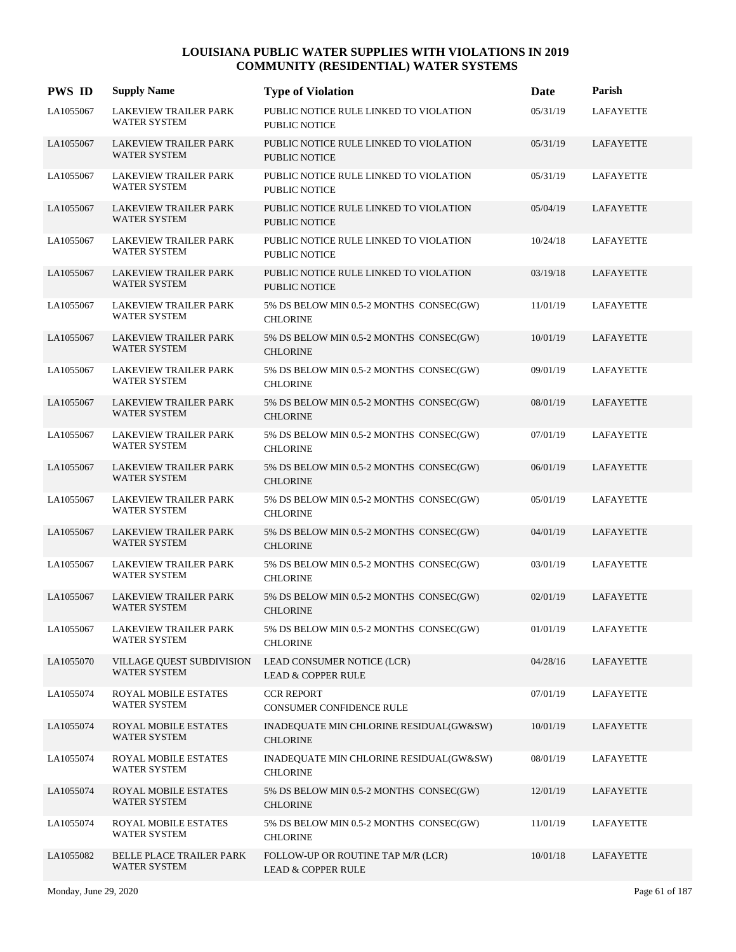| <b>PWS ID</b> | <b>Supply Name</b>                                  | <b>Type of Violation</b>                                            | Date     | Parish           |
|---------------|-----------------------------------------------------|---------------------------------------------------------------------|----------|------------------|
| LA1055067     | <b>LAKEVIEW TRAILER PARK</b><br>WATER SYSTEM        | PUBLIC NOTICE RULE LINKED TO VIOLATION<br><b>PUBLIC NOTICE</b>      | 05/31/19 | <b>LAFAYETTE</b> |
| LA1055067     | <b>LAKEVIEW TRAILER PARK</b><br>WATER SYSTEM        | PUBLIC NOTICE RULE LINKED TO VIOLATION<br><b>PUBLIC NOTICE</b>      | 05/31/19 | LAFAYETTE        |
| LA1055067     | <b>LAKEVIEW TRAILER PARK</b><br><b>WATER SYSTEM</b> | PUBLIC NOTICE RULE LINKED TO VIOLATION<br><b>PUBLIC NOTICE</b>      | 05/31/19 | <b>LAFAYETTE</b> |
| LA1055067     | <b>LAKEVIEW TRAILER PARK</b><br>WATER SYSTEM        | PUBLIC NOTICE RULE LINKED TO VIOLATION<br><b>PUBLIC NOTICE</b>      | 05/04/19 | LAFAYETTE        |
| LA1055067     | <b>LAKEVIEW TRAILER PARK</b><br><b>WATER SYSTEM</b> | PUBLIC NOTICE RULE LINKED TO VIOLATION<br><b>PUBLIC NOTICE</b>      | 10/24/18 | <b>LAFAYETTE</b> |
| LA1055067     | <b>LAKEVIEW TRAILER PARK</b><br><b>WATER SYSTEM</b> | PUBLIC NOTICE RULE LINKED TO VIOLATION<br>PUBLIC NOTICE             | 03/19/18 | LAFAYETTE        |
| LA1055067     | <b>LAKEVIEW TRAILER PARK</b><br><b>WATER SYSTEM</b> | 5% DS BELOW MIN 0.5-2 MONTHS CONSEC(GW)<br><b>CHLORINE</b>          | 11/01/19 | <b>LAFAYETTE</b> |
| LA1055067     | <b>LAKEVIEW TRAILER PARK</b><br><b>WATER SYSTEM</b> | 5% DS BELOW MIN 0.5-2 MONTHS CONSEC(GW)<br><b>CHLORINE</b>          | 10/01/19 | LAFAYETTE        |
| LA1055067     | <b>LAKEVIEW TRAILER PARK</b><br><b>WATER SYSTEM</b> | 5% DS BELOW MIN 0.5-2 MONTHS CONSEC(GW)<br><b>CHLORINE</b>          | 09/01/19 | <b>LAFAYETTE</b> |
| LA1055067     | <b>LAKEVIEW TRAILER PARK</b><br><b>WATER SYSTEM</b> | 5% DS BELOW MIN 0.5-2 MONTHS CONSEC(GW)<br><b>CHLORINE</b>          | 08/01/19 | LAFAYETTE        |
| LA1055067     | LAKEVIEW TRAILER PARK<br><b>WATER SYSTEM</b>        | 5% DS BELOW MIN 0.5-2 MONTHS CONSEC(GW)<br><b>CHLORINE</b>          | 07/01/19 | LAFAYETTE        |
| LA1055067     | LAKEVIEW TRAILER PARK<br><b>WATER SYSTEM</b>        | 5% DS BELOW MIN 0.5-2 MONTHS CONSEC(GW)<br><b>CHLORINE</b>          | 06/01/19 | LAFAYETTE        |
| LA1055067     | <b>LAKEVIEW TRAILER PARK</b><br><b>WATER SYSTEM</b> | 5% DS BELOW MIN 0.5-2 MONTHS CONSEC(GW)<br><b>CHLORINE</b>          | 05/01/19 | LAFAYETTE        |
| LA1055067     | <b>LAKEVIEW TRAILER PARK</b><br><b>WATER SYSTEM</b> | 5% DS BELOW MIN 0.5-2 MONTHS CONSEC(GW)<br><b>CHLORINE</b>          | 04/01/19 | LAFAYETTE        |
| LA1055067     | LAKEVIEW TRAILER PARK<br><b>WATER SYSTEM</b>        | 5% DS BELOW MIN 0.5-2 MONTHS CONSEC(GW)<br><b>CHLORINE</b>          | 03/01/19 | LAFAYETTE        |
| LA1055067     | <b>LAKEVIEW TRAILER PARK</b><br><b>WATER SYSTEM</b> | 5% DS BELOW MIN 0.5-2 MONTHS CONSEC(GW)<br><b>CHLORINE</b>          | 02/01/19 | LAFAYETTE        |
| LA1055067     | LAKEVIEW TRAILER PARK<br>WATER SYSTEM               | 5% DS BELOW MIN 0.5-2 MONTHS CONSEC(GW)<br><b>CHLORINE</b>          | 01/01/19 | <b>LAFAYETTE</b> |
| LA1055070     | VILLAGE QUEST SUBDIVISION<br><b>WATER SYSTEM</b>    | LEAD CONSUMER NOTICE (LCR)<br><b>LEAD &amp; COPPER RULE</b>         | 04/28/16 | LAFAYETTE        |
| LA1055074     | ROYAL MOBILE ESTATES<br><b>WATER SYSTEM</b>         | <b>CCR REPORT</b><br>CONSUMER CONFIDENCE RULE                       | 07/01/19 | <b>LAFAYETTE</b> |
| LA1055074     | ROYAL MOBILE ESTATES<br>WATER SYSTEM                | INADEQUATE MIN CHLORINE RESIDUAL(GW&SW)<br><b>CHLORINE</b>          | 10/01/19 | <b>LAFAYETTE</b> |
| LA1055074     | ROYAL MOBILE ESTATES<br>WATER SYSTEM                | INADEQUATE MIN CHLORINE RESIDUAL(GW&SW)<br><b>CHLORINE</b>          | 08/01/19 | <b>LAFAYETTE</b> |
| LA1055074     | ROYAL MOBILE ESTATES<br>WATER SYSTEM                | 5% DS BELOW MIN 0.5-2 MONTHS CONSEC(GW)<br><b>CHLORINE</b>          | 12/01/19 | LAFAYETTE        |
| LA1055074     | ROYAL MOBILE ESTATES<br>WATER SYSTEM                | 5% DS BELOW MIN 0.5-2 MONTHS CONSEC(GW)<br><b>CHLORINE</b>          | 11/01/19 | <b>LAFAYETTE</b> |
| LA1055082     | BELLE PLACE TRAILER PARK<br>WATER SYSTEM            | FOLLOW-UP OR ROUTINE TAP M/R (LCR)<br><b>LEAD &amp; COPPER RULE</b> | 10/01/18 | LAFAYETTE        |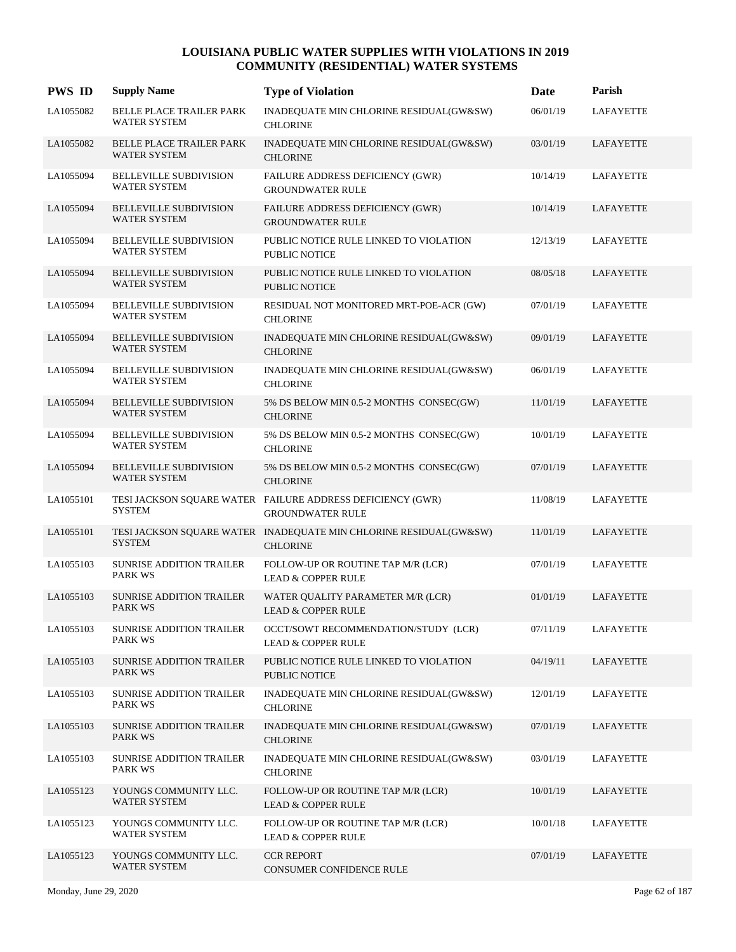| <b>PWS ID</b> | <b>Supply Name</b>                                   | <b>Type of Violation</b>                                                              | Date     | Parish           |
|---------------|------------------------------------------------------|---------------------------------------------------------------------------------------|----------|------------------|
| LA1055082     | BELLE PLACE TRAILER PARK<br><b>WATER SYSTEM</b>      | INADEQUATE MIN CHLORINE RESIDUAL(GW&SW)<br><b>CHLORINE</b>                            | 06/01/19 | <b>LAFAYETTE</b> |
| LA1055082     | BELLE PLACE TRAILER PARK<br><b>WATER SYSTEM</b>      | INADEQUATE MIN CHLORINE RESIDUAL(GW&SW)<br><b>CHLORINE</b>                            | 03/01/19 | LAFAYETTE        |
| LA1055094     | <b>BELLEVILLE SUBDIVISION</b><br><b>WATER SYSTEM</b> | FAILURE ADDRESS DEFICIENCY (GWR)<br><b>GROUNDWATER RULE</b>                           | 10/14/19 | LAFAYETTE        |
| LA1055094     | <b>BELLEVILLE SUBDIVISION</b><br><b>WATER SYSTEM</b> | FAILURE ADDRESS DEFICIENCY (GWR)<br><b>GROUNDWATER RULE</b>                           | 10/14/19 | <b>LAFAYETTE</b> |
| LA1055094     | <b>BELLEVILLE SUBDIVISION</b><br><b>WATER SYSTEM</b> | PUBLIC NOTICE RULE LINKED TO VIOLATION<br><b>PUBLIC NOTICE</b>                        | 12/13/19 | LAFAYETTE        |
| LA1055094     | <b>BELLEVILLE SUBDIVISION</b><br><b>WATER SYSTEM</b> | PUBLIC NOTICE RULE LINKED TO VIOLATION<br><b>PUBLIC NOTICE</b>                        | 08/05/18 | LAFAYETTE        |
| LA1055094     | <b>BELLEVILLE SUBDIVISION</b><br><b>WATER SYSTEM</b> | RESIDUAL NOT MONITORED MRT-POE-ACR (GW)<br><b>CHLORINE</b>                            | 07/01/19 | LAFAYETTE        |
| LA1055094     | <b>BELLEVILLE SUBDIVISION</b><br><b>WATER SYSTEM</b> | INADEQUATE MIN CHLORINE RESIDUAL(GW&SW)<br><b>CHLORINE</b>                            | 09/01/19 | LAFAYETTE        |
| LA1055094     | BELLEVILLE SUBDIVISION<br><b>WATER SYSTEM</b>        | INADEQUATE MIN CHLORINE RESIDUAL(GW&SW)<br><b>CHLORINE</b>                            | 06/01/19 | LAFAYETTE        |
| LA1055094     | <b>BELLEVILLE SUBDIVISION</b><br><b>WATER SYSTEM</b> | 5% DS BELOW MIN 0.5-2 MONTHS CONSEC(GW)<br><b>CHLORINE</b>                            | 11/01/19 | LAFAYETTE        |
| LA1055094     | <b>BELLEVILLE SUBDIVISION</b><br><b>WATER SYSTEM</b> | 5% DS BELOW MIN 0.5-2 MONTHS CONSEC(GW)<br><b>CHLORINE</b>                            | 10/01/19 | LAFAYETTE        |
| LA1055094     | <b>BELLEVILLE SUBDIVISION</b><br><b>WATER SYSTEM</b> | 5% DS BELOW MIN 0.5-2 MONTHS CONSEC(GW)<br><b>CHLORINE</b>                            | 07/01/19 | LAFAYETTE        |
| LA1055101     | <b>SYSTEM</b>                                        | TESI JACKSON SQUARE WATER FAILURE ADDRESS DEFICIENCY (GWR)<br><b>GROUNDWATER RULE</b> | 11/08/19 | LAFAYETTE        |
| LA1055101     | <b>SYSTEM</b>                                        | TESI JACKSON SQUARE WATER INADEQUATE MIN CHLORINE RESIDUAL(GW&SW)<br><b>CHLORINE</b>  | 11/01/19 | LAFAYETTE        |
| LA1055103     | SUNRISE ADDITION TRAILER<br><b>PARK WS</b>           | FOLLOW-UP OR ROUTINE TAP M/R (LCR)<br><b>LEAD &amp; COPPER RULE</b>                   | 07/01/19 | LAFAYETTE        |
| LA1055103     | <b>SUNRISE ADDITION TRAILER</b><br><b>PARK WS</b>    | WATER QUALITY PARAMETER M/R (LCR)<br><b>LEAD &amp; COPPER RULE</b>                    | 01/01/19 | LAFAYETTE        |
| LA1055103     | <b>SUNRISE ADDITION TRAILER</b><br><b>PARK WS</b>    | OCCT/SOWT RECOMMENDATION/STUDY (LCR)<br><b>LEAD &amp; COPPER RULE</b>                 | 07/11/19 | LAFAYETTE        |
| LA1055103     | SUNRISE ADDITION TRAILER<br>PARK WS                  | PUBLIC NOTICE RULE LINKED TO VIOLATION<br>PUBLIC NOTICE                               | 04/19/11 | LAFAYETTE        |
| LA1055103     | <b>SUNRISE ADDITION TRAILER</b><br>PARK WS           | INADEQUATE MIN CHLORINE RESIDUAL(GW&SW)<br><b>CHLORINE</b>                            | 12/01/19 | LAFAYETTE        |
| LA1055103     | <b>SUNRISE ADDITION TRAILER</b><br>PARK WS           | INADEQUATE MIN CHLORINE RESIDUAL(GW&SW)<br><b>CHLORINE</b>                            | 07/01/19 | LAFAYETTE        |
| LA1055103     | <b>SUNRISE ADDITION TRAILER</b><br>PARK WS           | INADEQUATE MIN CHLORINE RESIDUAL(GW&SW)<br><b>CHLORINE</b>                            | 03/01/19 | LAFAYETTE        |
| LA1055123     | YOUNGS COMMUNITY LLC.<br><b>WATER SYSTEM</b>         | FOLLOW-UP OR ROUTINE TAP M/R (LCR)<br><b>LEAD &amp; COPPER RULE</b>                   | 10/01/19 | LAFAYETTE        |
| LA1055123     | YOUNGS COMMUNITY LLC.<br><b>WATER SYSTEM</b>         | FOLLOW-UP OR ROUTINE TAP M/R (LCR)<br><b>LEAD &amp; COPPER RULE</b>                   | 10/01/18 | LAFAYETTE        |
| LA1055123     | YOUNGS COMMUNITY LLC.<br><b>WATER SYSTEM</b>         | <b>CCR REPORT</b><br>CONSUMER CONFIDENCE RULE                                         | 07/01/19 | LAFAYETTE        |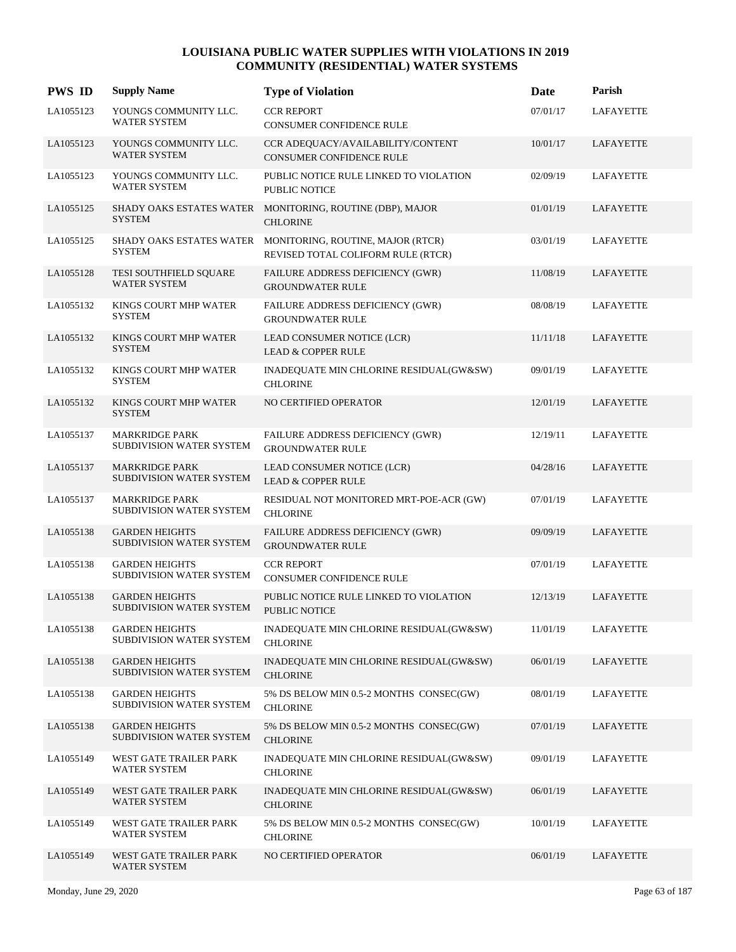| <b>PWS ID</b> | <b>Supply Name</b>                                | <b>Type of Violation</b>                                                | Date     | Parish           |
|---------------|---------------------------------------------------|-------------------------------------------------------------------------|----------|------------------|
| LA1055123     | YOUNGS COMMUNITY LLC.<br>WATER SYSTEM             | <b>CCR REPORT</b><br>CONSUMER CONFIDENCE RULE                           | 07/01/17 | <b>LAFAYETTE</b> |
| LA1055123     | YOUNGS COMMUNITY LLC.<br><b>WATER SYSTEM</b>      | CCR ADEQUACY/AVAILABILITY/CONTENT<br>CONSUMER CONFIDENCE RULE           | 10/01/17 | LAFAYETTE        |
| LA1055123     | YOUNGS COMMUNITY LLC.<br><b>WATER SYSTEM</b>      | PUBLIC NOTICE RULE LINKED TO VIOLATION<br>PUBLIC NOTICE                 | 02/09/19 | LAFAYETTE        |
| LA1055125     | SHADY OAKS ESTATES WATER<br><b>SYSTEM</b>         | MONITORING, ROUTINE (DBP), MAJOR<br><b>CHLORINE</b>                     | 01/01/19 | <b>LAFAYETTE</b> |
| LA1055125     | SHADY OAKS ESTATES WATER<br><b>SYSTEM</b>         | MONITORING, ROUTINE, MAJOR (RTCR)<br>REVISED TOTAL COLIFORM RULE (RTCR) | 03/01/19 | LAFAYETTE        |
| LA1055128     | TESI SOUTHFIELD SQUARE<br><b>WATER SYSTEM</b>     | FAILURE ADDRESS DEFICIENCY (GWR)<br><b>GROUNDWATER RULE</b>             | 11/08/19 | LAFAYETTE        |
| LA1055132     | KINGS COURT MHP WATER<br><b>SYSTEM</b>            | FAILURE ADDRESS DEFICIENCY (GWR)<br><b>GROUNDWATER RULE</b>             | 08/08/19 | LAFAYETTE        |
| LA1055132     | KINGS COURT MHP WATER<br><b>SYSTEM</b>            | LEAD CONSUMER NOTICE (LCR)<br><b>LEAD &amp; COPPER RULE</b>             | 11/11/18 | LAFAYETTE        |
| LA1055132     | KINGS COURT MHP WATER<br><b>SYSTEM</b>            | INADEQUATE MIN CHLORINE RESIDUAL(GW&SW)<br><b>CHLORINE</b>              | 09/01/19 | <b>LAFAYETTE</b> |
| LA1055132     | KINGS COURT MHP WATER<br><b>SYSTEM</b>            | NO CERTIFIED OPERATOR                                                   | 12/01/19 | LAFAYETTE        |
| LA1055137     | <b>MARKRIDGE PARK</b><br>SUBDIVISION WATER SYSTEM | FAILURE ADDRESS DEFICIENCY (GWR)<br><b>GROUNDWATER RULE</b>             | 12/19/11 | LAFAYETTE        |
| LA1055137     | <b>MARKRIDGE PARK</b><br>SUBDIVISION WATER SYSTEM | LEAD CONSUMER NOTICE (LCR)<br><b>LEAD &amp; COPPER RULE</b>             | 04/28/16 | LAFAYETTE        |
| LA1055137     | <b>MARKRIDGE PARK</b><br>SUBDIVISION WATER SYSTEM | RESIDUAL NOT MONITORED MRT-POE-ACR (GW)<br><b>CHLORINE</b>              | 07/01/19 | LAFAYETTE        |
| LA1055138     | <b>GARDEN HEIGHTS</b><br>SUBDIVISION WATER SYSTEM | FAILURE ADDRESS DEFICIENCY (GWR)<br><b>GROUNDWATER RULE</b>             | 09/09/19 | LAFAYETTE        |
| LA1055138     | <b>GARDEN HEIGHTS</b><br>SUBDIVISION WATER SYSTEM | <b>CCR REPORT</b><br>CONSUMER CONFIDENCE RULE                           | 07/01/19 | LAFAYETTE        |
| LA1055138     | <b>GARDEN HEIGHTS</b><br>SUBDIVISION WATER SYSTEM | PUBLIC NOTICE RULE LINKED TO VIOLATION<br>PUBLIC NOTICE                 | 12/13/19 | LAFAYETTE        |
| LA1055138     | <b>GARDEN HEIGHTS</b><br>SUBDIVISION WATER SYSTEM | INADEQUATE MIN CHLORINE RESIDUAL(GW&SW)<br><b>CHLORINE</b>              | 11/01/19 | <b>LAFAYETTE</b> |
| LA1055138     | <b>GARDEN HEIGHTS</b><br>SUBDIVISION WATER SYSTEM | INADEQUATE MIN CHLORINE RESIDUAL(GW&SW)<br><b>CHLORINE</b>              | 06/01/19 | <b>LAFAYETTE</b> |
| LA1055138     | <b>GARDEN HEIGHTS</b><br>SUBDIVISION WATER SYSTEM | 5% DS BELOW MIN 0.5-2 MONTHS CONSEC(GW)<br><b>CHLORINE</b>              | 08/01/19 | LAFAYETTE        |
| LA1055138     | <b>GARDEN HEIGHTS</b><br>SUBDIVISION WATER SYSTEM | 5% DS BELOW MIN 0.5-2 MONTHS CONSEC(GW)<br><b>CHLORINE</b>              | 07/01/19 | LAFAYETTE        |
| LA1055149     | WEST GATE TRAILER PARK<br><b>WATER SYSTEM</b>     | INADEQUATE MIN CHLORINE RESIDUAL(GW&SW)<br><b>CHLORINE</b>              | 09/01/19 | LAFAYETTE        |
| LA1055149     | WEST GATE TRAILER PARK<br><b>WATER SYSTEM</b>     | INADEQUATE MIN CHLORINE RESIDUAL(GW&SW)<br><b>CHLORINE</b>              | 06/01/19 | LAFAYETTE        |
| LA1055149     | WEST GATE TRAILER PARK<br>WATER SYSTEM            | 5% DS BELOW MIN 0.5-2 MONTHS CONSEC(GW)<br><b>CHLORINE</b>              | 10/01/19 | LAFAYETTE        |
| LA1055149     | WEST GATE TRAILER PARK<br><b>WATER SYSTEM</b>     | NO CERTIFIED OPERATOR                                                   | 06/01/19 | LAFAYETTE        |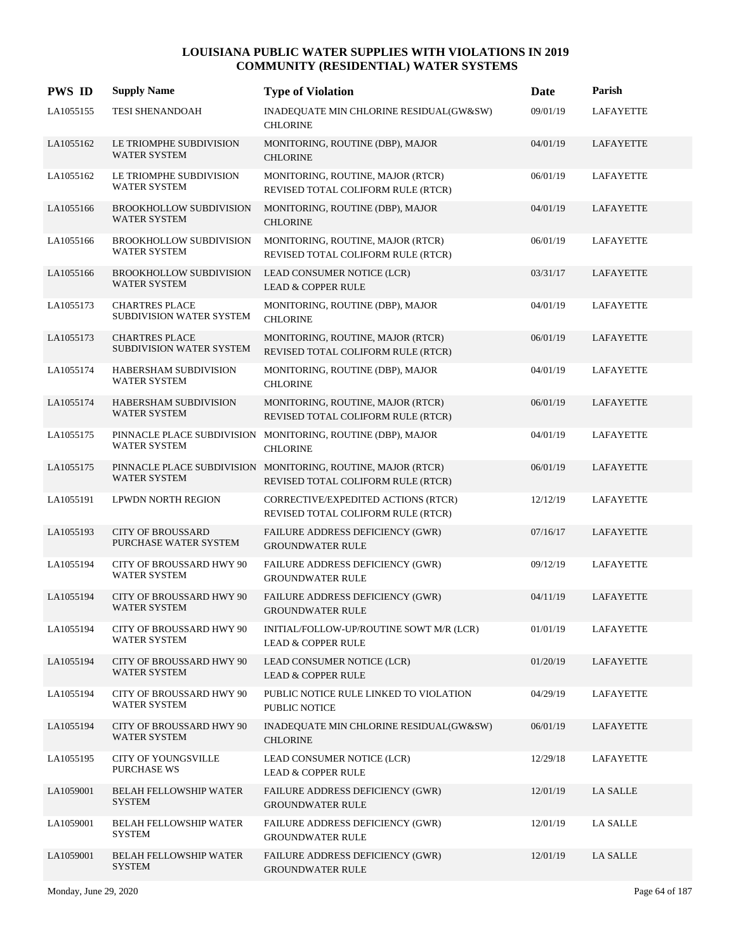| <b>PWS ID</b> | <b>Supply Name</b>                                     | <b>Type of Violation</b>                                                                           | Date     | Parish           |
|---------------|--------------------------------------------------------|----------------------------------------------------------------------------------------------------|----------|------------------|
| LA1055155     | <b>TESI SHENANDOAH</b>                                 | INADEQUATE MIN CHLORINE RESIDUAL(GW&SW)<br><b>CHLORINE</b>                                         | 09/01/19 | <b>LAFAYETTE</b> |
| LA1055162     | LE TRIOMPHE SUBDIVISION<br><b>WATER SYSTEM</b>         | MONITORING, ROUTINE (DBP), MAJOR<br><b>CHLORINE</b>                                                | 04/01/19 | LAFAYETTE        |
| LA1055162     | LE TRIOMPHE SUBDIVISION<br><b>WATER SYSTEM</b>         | MONITORING, ROUTINE, MAJOR (RTCR)<br>REVISED TOTAL COLIFORM RULE (RTCR)                            | 06/01/19 | LAFAYETTE        |
| LA1055166     | BROOKHOLLOW SUBDIVISION<br><b>WATER SYSTEM</b>         | MONITORING, ROUTINE (DBP), MAJOR<br><b>CHLORINE</b>                                                | 04/01/19 | LAFAYETTE        |
| LA1055166     | <b>BROOKHOLLOW SUBDIVISION</b><br>WATER SYSTEM         | MONITORING, ROUTINE, MAJOR (RTCR)<br>REVISED TOTAL COLIFORM RULE (RTCR)                            | 06/01/19 | <b>LAFAYETTE</b> |
| LA1055166     | <b>BROOKHOLLOW SUBDIVISION</b><br><b>WATER SYSTEM</b>  | LEAD CONSUMER NOTICE (LCR)<br><b>LEAD &amp; COPPER RULE</b>                                        | 03/31/17 | LAFAYETTE        |
| LA1055173     | <b>CHARTRES PLACE</b><br>SUBDIVISION WATER SYSTEM      | MONITORING, ROUTINE (DBP), MAJOR<br><b>CHLORINE</b>                                                | 04/01/19 | LAFAYETTE        |
| LA1055173     | <b>CHARTRES PLACE</b><br>SUBDIVISION WATER SYSTEM      | MONITORING, ROUTINE, MAJOR (RTCR)<br>REVISED TOTAL COLIFORM RULE (RTCR)                            | 06/01/19 | <b>LAFAYETTE</b> |
| LA1055174     | HABERSHAM SUBDIVISION<br><b>WATER SYSTEM</b>           | MONITORING, ROUTINE (DBP), MAJOR<br><b>CHLORINE</b>                                                | 04/01/19 | LAFAYETTE        |
| LA1055174     | HABERSHAM SUBDIVISION<br><b>WATER SYSTEM</b>           | MONITORING, ROUTINE, MAJOR (RTCR)<br>REVISED TOTAL COLIFORM RULE (RTCR)                            | 06/01/19 | LAFAYETTE        |
| LA1055175     | PINNACLE PLACE SUBDIVISION<br><b>WATER SYSTEM</b>      | MONITORING, ROUTINE (DBP), MAJOR<br><b>CHLORINE</b>                                                | 04/01/19 | LAFAYETTE        |
| LA1055175     | <b>WATER SYSTEM</b>                                    | PINNACLE PLACE SUBDIVISION MONITORING, ROUTINE, MAJOR (RTCR)<br>REVISED TOTAL COLIFORM RULE (RTCR) | 06/01/19 | LAFAYETTE        |
| LA1055191     | LPWDN NORTH REGION                                     | CORRECTIVE/EXPEDITED ACTIONS (RTCR)<br>REVISED TOTAL COLIFORM RULE (RTCR)                          | 12/12/19 | LAFAYETTE        |
| LA1055193     | <b>CITY OF BROUSSARD</b><br>PURCHASE WATER SYSTEM      | FAILURE ADDRESS DEFICIENCY (GWR)<br><b>GROUNDWATER RULE</b>                                        | 07/16/17 | LAFAYETTE        |
| LA1055194     | CITY OF BROUSSARD HWY 90<br><b>WATER SYSTEM</b>        | FAILURE ADDRESS DEFICIENCY (GWR)<br><b>GROUNDWATER RULE</b>                                        | 09/12/19 | LAFAYETTE        |
| LA1055194     | <b>CITY OF BROUSSARD HWY 90</b><br><b>WATER SYSTEM</b> | FAILURE ADDRESS DEFICIENCY (GWR)<br><b>GROUNDWATER RULE</b>                                        | 04/11/19 | LAFAYETTE        |
| LA1055194     | CITY OF BROUSSARD HWY 90<br>WATER SYSTEM               | INITIAL/FOLLOW-UP/ROUTINE SOWT M/R (LCR)<br><b>LEAD &amp; COPPER RULE</b>                          | 01/01/19 | <b>LAFAYETTE</b> |
| LA1055194     | <b>CITY OF BROUSSARD HWY 90</b><br><b>WATER SYSTEM</b> | LEAD CONSUMER NOTICE (LCR)<br><b>LEAD &amp; COPPER RULE</b>                                        | 01/20/19 | LAFAYETTE        |
| LA1055194     | <b>CITY OF BROUSSARD HWY 90</b><br><b>WATER SYSTEM</b> | PUBLIC NOTICE RULE LINKED TO VIOLATION<br>PUBLIC NOTICE                                            | 04/29/19 | LAFAYETTE        |
| LA1055194     | CITY OF BROUSSARD HWY 90<br><b>WATER SYSTEM</b>        | INADEQUATE MIN CHLORINE RESIDUAL(GW&SW)<br><b>CHLORINE</b>                                         | 06/01/19 | LAFAYETTE        |
| LA1055195     | <b>CITY OF YOUNGSVILLE</b><br>PURCHASE WS              | LEAD CONSUMER NOTICE (LCR)<br><b>LEAD &amp; COPPER RULE</b>                                        | 12/29/18 | LAFAYETTE        |
| LA1059001     | <b>BELAH FELLOWSHIP WATER</b><br><b>SYSTEM</b>         | <b>FAILURE ADDRESS DEFICIENCY (GWR)</b><br><b>GROUNDWATER RULE</b>                                 | 12/01/19 | LA SALLE         |
| LA1059001     | <b>BELAH FELLOWSHIP WATER</b><br><b>SYSTEM</b>         | FAILURE ADDRESS DEFICIENCY (GWR)<br><b>GROUNDWATER RULE</b>                                        | 12/01/19 | LA SALLE         |
| LA1059001     | <b>BELAH FELLOWSHIP WATER</b><br><b>SYSTEM</b>         | FAILURE ADDRESS DEFICIENCY (GWR)<br><b>GROUNDWATER RULE</b>                                        | 12/01/19 | LA SALLE         |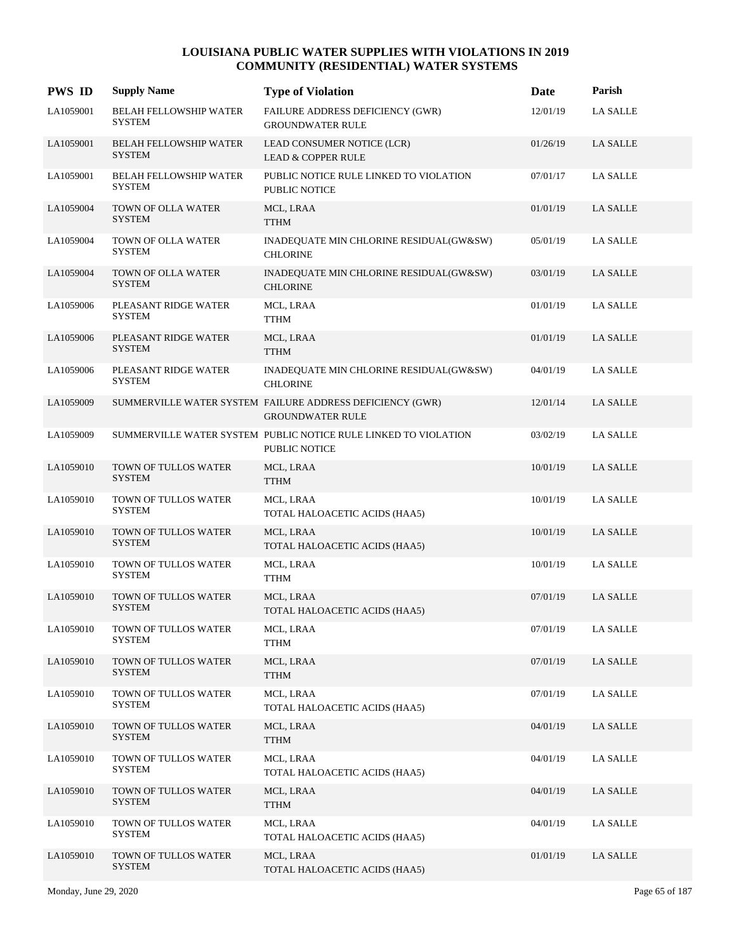| <b>PWS ID</b> | <b>Supply Name</b>                             | <b>Type of Violation</b>                                                             | Date     | Parish          |
|---------------|------------------------------------------------|--------------------------------------------------------------------------------------|----------|-----------------|
| LA1059001     | <b>BELAH FELLOWSHIP WATER</b><br><b>SYSTEM</b> | FAILURE ADDRESS DEFICIENCY (GWR)<br><b>GROUNDWATER RULE</b>                          | 12/01/19 | <b>LA SALLE</b> |
| LA1059001     | <b>BELAH FELLOWSHIP WATER</b><br><b>SYSTEM</b> | LEAD CONSUMER NOTICE (LCR)<br><b>LEAD &amp; COPPER RULE</b>                          | 01/26/19 | <b>LA SALLE</b> |
| LA1059001     | BELAH FELLOWSHIP WATER<br><b>SYSTEM</b>        | PUBLIC NOTICE RULE LINKED TO VIOLATION<br><b>PUBLIC NOTICE</b>                       | 07/01/17 | <b>LA SALLE</b> |
| LA1059004     | TOWN OF OLLA WATER<br><b>SYSTEM</b>            | MCL, LRAA<br>TTHM                                                                    | 01/01/19 | <b>LA SALLE</b> |
| LA1059004     | TOWN OF OLLA WATER<br><b>SYSTEM</b>            | INADEQUATE MIN CHLORINE RESIDUAL(GW&SW)<br><b>CHLORINE</b>                           | 05/01/19 | <b>LA SALLE</b> |
| LA1059004     | TOWN OF OLLA WATER<br><b>SYSTEM</b>            | INADEQUATE MIN CHLORINE RESIDUAL(GW&SW)<br><b>CHLORINE</b>                           | 03/01/19 | <b>LA SALLE</b> |
| LA1059006     | PLEASANT RIDGE WATER<br><b>SYSTEM</b>          | MCL, LRAA<br>TTHM                                                                    | 01/01/19 | <b>LA SALLE</b> |
| LA1059006     | PLEASANT RIDGE WATER<br><b>SYSTEM</b>          | MCL, LRAA<br><b>TTHM</b>                                                             | 01/01/19 | <b>LA SALLE</b> |
| LA1059006     | PLEASANT RIDGE WATER<br><b>SYSTEM</b>          | INADEQUATE MIN CHLORINE RESIDUAL(GW&SW)<br><b>CHLORINE</b>                           | 04/01/19 | <b>LA SALLE</b> |
| LA1059009     |                                                | SUMMERVILLE WATER SYSTEM FAILURE ADDRESS DEFICIENCY (GWR)<br><b>GROUNDWATER RULE</b> | 12/01/14 | <b>LA SALLE</b> |
| LA1059009     |                                                | SUMMERVILLE WATER SYSTEM PUBLIC NOTICE RULE LINKED TO VIOLATION<br>PUBLIC NOTICE     | 03/02/19 | <b>LA SALLE</b> |
| LA1059010     | TOWN OF TULLOS WATER<br><b>SYSTEM</b>          | MCL, LRAA<br><b>TTHM</b>                                                             | 10/01/19 | <b>LA SALLE</b> |
| LA1059010     | TOWN OF TULLOS WATER<br><b>SYSTEM</b>          | MCL, LRAA<br>TOTAL HALOACETIC ACIDS (HAA5)                                           | 10/01/19 | LA SALLE        |
| LA1059010     | TOWN OF TULLOS WATER<br><b>SYSTEM</b>          | MCL, LRAA<br>TOTAL HALOACETIC ACIDS (HAA5)                                           | 10/01/19 | <b>LA SALLE</b> |
| LA1059010     | TOWN OF TULLOS WATER<br><b>SYSTEM</b>          | MCL, LRAA<br><b>TTHM</b>                                                             | 10/01/19 | <b>LA SALLE</b> |
| LA1059010     | TOWN OF TULLOS WATER<br><b>SYSTEM</b>          | MCL, LRAA<br>TOTAL HALOACETIC ACIDS (HAA5)                                           | 07/01/19 | <b>LA SALLE</b> |
| LA1059010     | TOWN OF TULLOS WATER<br>SYSTEM                 | MCL, LRAA<br><b>TTHM</b>                                                             | 07/01/19 | <b>LA SALLE</b> |
| LA1059010     | TOWN OF TULLOS WATER<br>SYSTEM                 | MCL, LRAA<br><b>TTHM</b>                                                             | 07/01/19 | <b>LA SALLE</b> |
| LA1059010     | TOWN OF TULLOS WATER<br>SYSTEM                 | MCL, LRAA<br>TOTAL HALOACETIC ACIDS (HAA5)                                           | 07/01/19 | LA SALLE        |
| LA1059010     | TOWN OF TULLOS WATER<br>SYSTEM                 | MCL, LRAA<br><b>TTHM</b>                                                             | 04/01/19 | LA SALLE        |
| LA1059010     | TOWN OF TULLOS WATER<br><b>SYSTEM</b>          | MCL, LRAA<br>TOTAL HALOACETIC ACIDS (HAA5)                                           | 04/01/19 | <b>LA SALLE</b> |
| LA1059010     | TOWN OF TULLOS WATER<br><b>SYSTEM</b>          | MCL, LRAA<br><b>TTHM</b>                                                             | 04/01/19 | LA SALLE        |
| LA1059010     | TOWN OF TULLOS WATER<br><b>SYSTEM</b>          | MCL, LRAA<br>TOTAL HALOACETIC ACIDS (HAA5)                                           | 04/01/19 | LA SALLE        |
| LA1059010     | TOWN OF TULLOS WATER<br><b>SYSTEM</b>          | MCL, LRAA<br>TOTAL HALOACETIC ACIDS (HAA5)                                           | 01/01/19 | <b>LA SALLE</b> |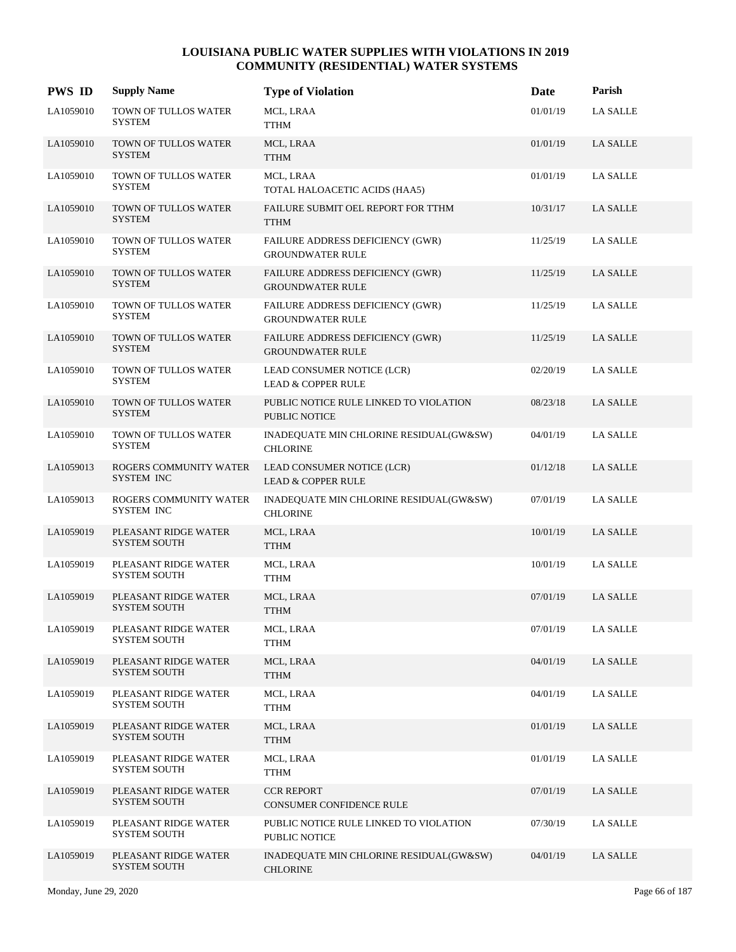| <b>PWS ID</b> | <b>Supply Name</b>                          | <b>Type of Violation</b>                                       | Date     | Parish          |
|---------------|---------------------------------------------|----------------------------------------------------------------|----------|-----------------|
| LA1059010     | TOWN OF TULLOS WATER<br>SYSTEM              | MCL, LRAA<br>TTHM                                              | 01/01/19 | <b>LA SALLE</b> |
| LA1059010     | TOWN OF TULLOS WATER<br><b>SYSTEM</b>       | MCL, LRAA<br><b>TTHM</b>                                       | 01/01/19 | LA SALLE        |
| LA1059010     | TOWN OF TULLOS WATER<br><b>SYSTEM</b>       | MCL, LRAA<br>TOTAL HALOACETIC ACIDS (HAA5)                     | 01/01/19 | LA SALLE        |
| LA1059010     | TOWN OF TULLOS WATER<br>SYSTEM              | FAILURE SUBMIT OEL REPORT FOR TTHM<br><b>TTHM</b>              | 10/31/17 | LA SALLE        |
| LA1059010     | TOWN OF TULLOS WATER<br>SYSTEM              | FAILURE ADDRESS DEFICIENCY (GWR)<br><b>GROUNDWATER RULE</b>    | 11/25/19 | LA SALLE        |
| LA1059010     | TOWN OF TULLOS WATER<br>SYSTEM              | FAILURE ADDRESS DEFICIENCY (GWR)<br><b>GROUNDWATER RULE</b>    | 11/25/19 | <b>LA SALLE</b> |
| LA1059010     | TOWN OF TULLOS WATER<br><b>SYSTEM</b>       | FAILURE ADDRESS DEFICIENCY (GWR)<br><b>GROUNDWATER RULE</b>    | 11/25/19 | <b>LA SALLE</b> |
| LA1059010     | TOWN OF TULLOS WATER<br><b>SYSTEM</b>       | FAILURE ADDRESS DEFICIENCY (GWR)<br><b>GROUNDWATER RULE</b>    | 11/25/19 | LA SALLE        |
| LA1059010     | TOWN OF TULLOS WATER<br><b>SYSTEM</b>       | LEAD CONSUMER NOTICE (LCR)<br><b>LEAD &amp; COPPER RULE</b>    | 02/20/19 | <b>LA SALLE</b> |
| LA1059010     | TOWN OF TULLOS WATER<br>SYSTEM              | PUBLIC NOTICE RULE LINKED TO VIOLATION<br><b>PUBLIC NOTICE</b> | 08/23/18 | <b>LA SALLE</b> |
| LA1059010     | TOWN OF TULLOS WATER<br><b>SYSTEM</b>       | INADEQUATE MIN CHLORINE RESIDUAL(GW&SW)<br><b>CHLORINE</b>     | 04/01/19 | <b>LA SALLE</b> |
| LA1059013     | ROGERS COMMUNITY WATER<br>SYSTEM INC        | LEAD CONSUMER NOTICE (LCR)<br><b>LEAD &amp; COPPER RULE</b>    | 01/12/18 | <b>LA SALLE</b> |
| LA1059013     | ROGERS COMMUNITY WATER<br>SYSTEM INC        | INADEQUATE MIN CHLORINE RESIDUAL(GW&SW)<br><b>CHLORINE</b>     | 07/01/19 | <b>LA SALLE</b> |
| LA1059019     | PLEASANT RIDGE WATER<br>SYSTEM SOUTH        | MCL, LRAA<br><b>TTHM</b>                                       | 10/01/19 | <b>LA SALLE</b> |
| LA1059019     | PLEASANT RIDGE WATER<br>SYSTEM SOUTH        | MCL, LRAA<br><b>TTHM</b>                                       | 10/01/19 | <b>LA SALLE</b> |
| LA1059019     | PLEASANT RIDGE WATER<br><b>SYSTEM SOUTH</b> | MCL, LRAA<br><b>TTHM</b>                                       | 07/01/19 | <b>LA SALLE</b> |
| LA1059019     | PLEASANT RIDGE WATER<br><b>SYSTEM SOUTH</b> | MCL, LRAA<br><b>TTHM</b>                                       | 07/01/19 | <b>LA SALLE</b> |
| LA1059019     | PLEASANT RIDGE WATER<br><b>SYSTEM SOUTH</b> | MCL, LRAA<br>TTHM                                              | 04/01/19 | <b>LA SALLE</b> |
| LA1059019     | PLEASANT RIDGE WATER<br><b>SYSTEM SOUTH</b> | MCL, LRAA<br>TTHM                                              | 04/01/19 | LA SALLE        |
| LA1059019     | PLEASANT RIDGE WATER<br><b>SYSTEM SOUTH</b> | MCL, LRAA<br><b>TTHM</b>                                       | 01/01/19 | <b>LA SALLE</b> |
| LA1059019     | PLEASANT RIDGE WATER<br>SYSTEM SOUTH        | MCL, LRAA<br><b>TTHM</b>                                       | 01/01/19 | LA SALLE        |
| LA1059019     | PLEASANT RIDGE WATER<br><b>SYSTEM SOUTH</b> | <b>CCR REPORT</b><br>CONSUMER CONFIDENCE RULE                  | 07/01/19 | <b>LA SALLE</b> |
| LA1059019     | PLEASANT RIDGE WATER<br><b>SYSTEM SOUTH</b> | PUBLIC NOTICE RULE LINKED TO VIOLATION<br>PUBLIC NOTICE        | 07/30/19 | LA SALLE        |
| LA1059019     | PLEASANT RIDGE WATER<br>SYSTEM SOUTH        | INADEQUATE MIN CHLORINE RESIDUAL(GW&SW)<br><b>CHLORINE</b>     | 04/01/19 | <b>LA SALLE</b> |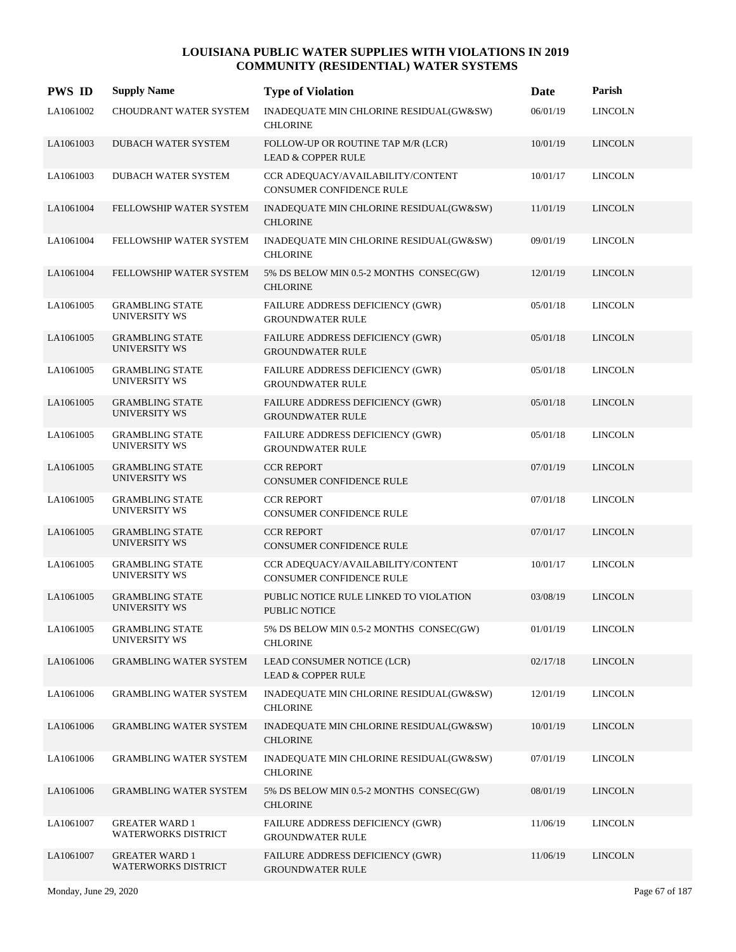| <b>PWS ID</b> | <b>Supply Name</b>                                  | <b>Type of Violation</b>                                            | Date     | Parish         |
|---------------|-----------------------------------------------------|---------------------------------------------------------------------|----------|----------------|
| LA1061002     | CHOUDRANT WATER SYSTEM                              | INADEQUATE MIN CHLORINE RESIDUAL(GW&SW)<br><b>CHLORINE</b>          | 06/01/19 | <b>LINCOLN</b> |
| LA1061003     | DUBACH WATER SYSTEM                                 | FOLLOW-UP OR ROUTINE TAP M/R (LCR)<br><b>LEAD &amp; COPPER RULE</b> | 10/01/19 | <b>LINCOLN</b> |
| LA1061003     | DUBACH WATER SYSTEM                                 | CCR ADEQUACY/AVAILABILITY/CONTENT<br>CONSUMER CONFIDENCE RULE       | 10/01/17 | <b>LINCOLN</b> |
| LA1061004     | FELLOWSHIP WATER SYSTEM                             | INADEQUATE MIN CHLORINE RESIDUAL(GW&SW)<br><b>CHLORINE</b>          | 11/01/19 | <b>LINCOLN</b> |
| LA1061004     | FELLOWSHIP WATER SYSTEM                             | INADEQUATE MIN CHLORINE RESIDUAL(GW&SW)<br><b>CHLORINE</b>          | 09/01/19 | <b>LINCOLN</b> |
| LA1061004     | FELLOWSHIP WATER SYSTEM                             | 5% DS BELOW MIN 0.5-2 MONTHS CONSEC(GW)<br><b>CHLORINE</b>          | 12/01/19 | <b>LINCOLN</b> |
| LA1061005     | <b>GRAMBLING STATE</b><br><b>UNIVERSITY WS</b>      | FAILURE ADDRESS DEFICIENCY (GWR)<br><b>GROUNDWATER RULE</b>         | 05/01/18 | <b>LINCOLN</b> |
| LA1061005     | <b>GRAMBLING STATE</b><br><b>UNIVERSITY WS</b>      | FAILURE ADDRESS DEFICIENCY (GWR)<br><b>GROUNDWATER RULE</b>         | 05/01/18 | <b>LINCOLN</b> |
| LA1061005     | <b>GRAMBLING STATE</b><br><b>UNIVERSITY WS</b>      | FAILURE ADDRESS DEFICIENCY (GWR)<br><b>GROUNDWATER RULE</b>         | 05/01/18 | <b>LINCOLN</b> |
| LA1061005     | <b>GRAMBLING STATE</b><br><b>UNIVERSITY WS</b>      | FAILURE ADDRESS DEFICIENCY (GWR)<br><b>GROUNDWATER RULE</b>         | 05/01/18 | <b>LINCOLN</b> |
| LA1061005     | <b>GRAMBLING STATE</b><br><b>UNIVERSITY WS</b>      | FAILURE ADDRESS DEFICIENCY (GWR)<br><b>GROUNDWATER RULE</b>         | 05/01/18 | <b>LINCOLN</b> |
| LA1061005     | <b>GRAMBLING STATE</b><br><b>UNIVERSITY WS</b>      | <b>CCR REPORT</b><br><b>CONSUMER CONFIDENCE RULE</b>                | 07/01/19 | <b>LINCOLN</b> |
| LA1061005     | <b>GRAMBLING STATE</b><br>UNIVERSITY WS             | <b>CCR REPORT</b><br>CONSUMER CONFIDENCE RULE                       | 07/01/18 | <b>LINCOLN</b> |
| LA1061005     | <b>GRAMBLING STATE</b><br>UNIVERSITY WS             | <b>CCR REPORT</b><br><b>CONSUMER CONFIDENCE RULE</b>                | 07/01/17 | <b>LINCOLN</b> |
| LA1061005     | <b>GRAMBLING STATE</b><br><b>UNIVERSITY WS</b>      | CCR ADEQUACY/AVAILABILITY/CONTENT<br>CONSUMER CONFIDENCE RULE       | 10/01/17 | <b>LINCOLN</b> |
| LA1061005     | <b>GRAMBLING STATE</b><br>UNIVERSITY WS             | PUBLIC NOTICE RULE LINKED TO VIOLATION<br><b>PUBLIC NOTICE</b>      | 03/08/19 | <b>LINCOLN</b> |
| LA1061005     | <b>GRAMBLING STATE</b><br><b>UNIVERSITY WS</b>      | 5% DS BELOW MIN 0.5-2 MONTHS CONSEC(GW)<br><b>CHLORINE</b>          | 01/01/19 | <b>LINCOLN</b> |
| LA1061006     | <b>GRAMBLING WATER SYSTEM</b>                       | LEAD CONSUMER NOTICE (LCR)<br><b>LEAD &amp; COPPER RULE</b>         | 02/17/18 | <b>LINCOLN</b> |
| LA1061006     | <b>GRAMBLING WATER SYSTEM</b>                       | INADEQUATE MIN CHLORINE RESIDUAL(GW&SW)<br><b>CHLORINE</b>          | 12/01/19 | <b>LINCOLN</b> |
| LA1061006     | <b>GRAMBLING WATER SYSTEM</b>                       | INADEQUATE MIN CHLORINE RESIDUAL(GW&SW)<br><b>CHLORINE</b>          | 10/01/19 | <b>LINCOLN</b> |
| LA1061006     | <b>GRAMBLING WATER SYSTEM</b>                       | INADEQUATE MIN CHLORINE RESIDUAL(GW&SW)<br><b>CHLORINE</b>          | 07/01/19 | <b>LINCOLN</b> |
| LA1061006     | <b>GRAMBLING WATER SYSTEM</b>                       | 5% DS BELOW MIN 0.5-2 MONTHS CONSEC(GW)<br><b>CHLORINE</b>          | 08/01/19 | <b>LINCOLN</b> |
| LA1061007     | <b>GREATER WARD 1</b><br><b>WATERWORKS DISTRICT</b> | FAILURE ADDRESS DEFICIENCY (GWR)<br><b>GROUNDWATER RULE</b>         | 11/06/19 | <b>LINCOLN</b> |
| LA1061007     | <b>GREATER WARD 1</b><br><b>WATERWORKS DISTRICT</b> | FAILURE ADDRESS DEFICIENCY (GWR)<br><b>GROUNDWATER RULE</b>         | 11/06/19 | <b>LINCOLN</b> |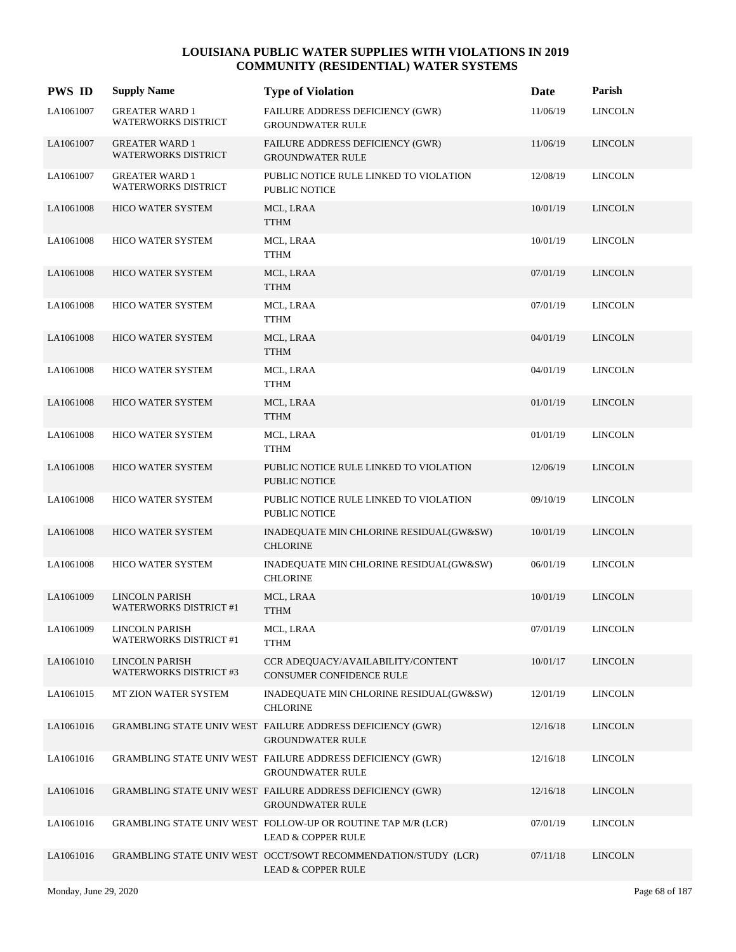| <b>PWS ID</b> | <b>Supply Name</b>                                     | <b>Type of Violation</b>                                                                        | Date     | Parish         |
|---------------|--------------------------------------------------------|-------------------------------------------------------------------------------------------------|----------|----------------|
| LA1061007     | <b>GREATER WARD 1</b><br>WATERWORKS DISTRICT           | FAILURE ADDRESS DEFICIENCY (GWR)<br><b>GROUNDWATER RULE</b>                                     | 11/06/19 | <b>LINCOLN</b> |
| LA1061007     | <b>GREATER WARD 1</b><br><b>WATERWORKS DISTRICT</b>    | FAILURE ADDRESS DEFICIENCY (GWR)<br><b>GROUNDWATER RULE</b>                                     | 11/06/19 | <b>LINCOLN</b> |
| LA1061007     | <b>GREATER WARD 1</b><br>WATERWORKS DISTRICT           | PUBLIC NOTICE RULE LINKED TO VIOLATION<br>PUBLIC NOTICE                                         | 12/08/19 | <b>LINCOLN</b> |
| LA1061008     | <b>HICO WATER SYSTEM</b>                               | MCL, LRAA<br>TTHM                                                                               | 10/01/19 | <b>LINCOLN</b> |
| LA1061008     | HICO WATER SYSTEM                                      | MCL, LRAA<br>TTHM                                                                               | 10/01/19 | <b>LINCOLN</b> |
| LA1061008     | HICO WATER SYSTEM                                      | MCL, LRAA<br><b>TTHM</b>                                                                        | 07/01/19 | <b>LINCOLN</b> |
| LA1061008     | <b>HICO WATER SYSTEM</b>                               | MCL, LRAA<br>TTHM                                                                               | 07/01/19 | <b>LINCOLN</b> |
| LA1061008     | <b>HICO WATER SYSTEM</b>                               | MCL, LRAA<br>TTHM                                                                               | 04/01/19 | <b>LINCOLN</b> |
| LA1061008     | HICO WATER SYSTEM                                      | MCL, LRAA<br><b>TTHM</b>                                                                        | 04/01/19 | <b>LINCOLN</b> |
| LA1061008     | HICO WATER SYSTEM                                      | MCL, LRAA<br><b>TTHM</b>                                                                        | 01/01/19 | <b>LINCOLN</b> |
| LA1061008     | <b>HICO WATER SYSTEM</b>                               | MCL, LRAA<br><b>TTHM</b>                                                                        | 01/01/19 | <b>LINCOLN</b> |
| LA1061008     | <b>HICO WATER SYSTEM</b>                               | PUBLIC NOTICE RULE LINKED TO VIOLATION<br><b>PUBLIC NOTICE</b>                                  | 12/06/19 | <b>LINCOLN</b> |
| LA1061008     | <b>HICO WATER SYSTEM</b>                               | PUBLIC NOTICE RULE LINKED TO VIOLATION<br>PUBLIC NOTICE                                         | 09/10/19 | <b>LINCOLN</b> |
| LA1061008     | HICO WATER SYSTEM                                      | INADEQUATE MIN CHLORINE RESIDUAL(GW&SW)<br><b>CHLORINE</b>                                      | 10/01/19 | <b>LINCOLN</b> |
| LA1061008     | <b>HICO WATER SYSTEM</b>                               | INADEQUATE MIN CHLORINE RESIDUAL(GW&SW)<br><b>CHLORINE</b>                                      | 06/01/19 | <b>LINCOLN</b> |
| LA1061009     | <b>LINCOLN PARISH</b><br><b>WATERWORKS DISTRICT #1</b> | MCL, LRAA<br><b>TTHM</b>                                                                        | 10/01/19 | <b>LINCOLN</b> |
| LA1061009     | LINCOLN PARISH<br><b>WATERWORKS DISTRICT #1</b>        | MCL, LRAA<br><b>TTHM</b>                                                                        | 07/01/19 | <b>LINCOLN</b> |
| LA1061010     | LINCOLN PARISH<br><b>WATERWORKS DISTRICT #3</b>        | CCR ADEQUACY/AVAILABILITY/CONTENT<br>CONSUMER CONFIDENCE RULE                                   | 10/01/17 | <b>LINCOLN</b> |
| LA1061015     | MT ZION WATER SYSTEM                                   | INADEQUATE MIN CHLORINE RESIDUAL(GW&SW)<br><b>CHLORINE</b>                                      | 12/01/19 | <b>LINCOLN</b> |
| LA1061016     |                                                        | GRAMBLING STATE UNIV WEST FAILURE ADDRESS DEFICIENCY (GWR)<br><b>GROUNDWATER RULE</b>           | 12/16/18 | <b>LINCOLN</b> |
| LA1061016     |                                                        | GRAMBLING STATE UNIV WEST FAILURE ADDRESS DEFICIENCY (GWR)<br><b>GROUNDWATER RULE</b>           | 12/16/18 | <b>LINCOLN</b> |
| LA1061016     |                                                        | GRAMBLING STATE UNIV WEST FAILURE ADDRESS DEFICIENCY (GWR)<br><b>GROUNDWATER RULE</b>           | 12/16/18 | <b>LINCOLN</b> |
| LA1061016     |                                                        | GRAMBLING STATE UNIV WEST FOLLOW-UP OR ROUTINE TAP M/R (LCR)<br><b>LEAD &amp; COPPER RULE</b>   | 07/01/19 | <b>LINCOLN</b> |
| LA1061016     |                                                        | GRAMBLING STATE UNIV WEST OCCT/SOWT RECOMMENDATION/STUDY (LCR)<br><b>LEAD &amp; COPPER RULE</b> | 07/11/18 | <b>LINCOLN</b> |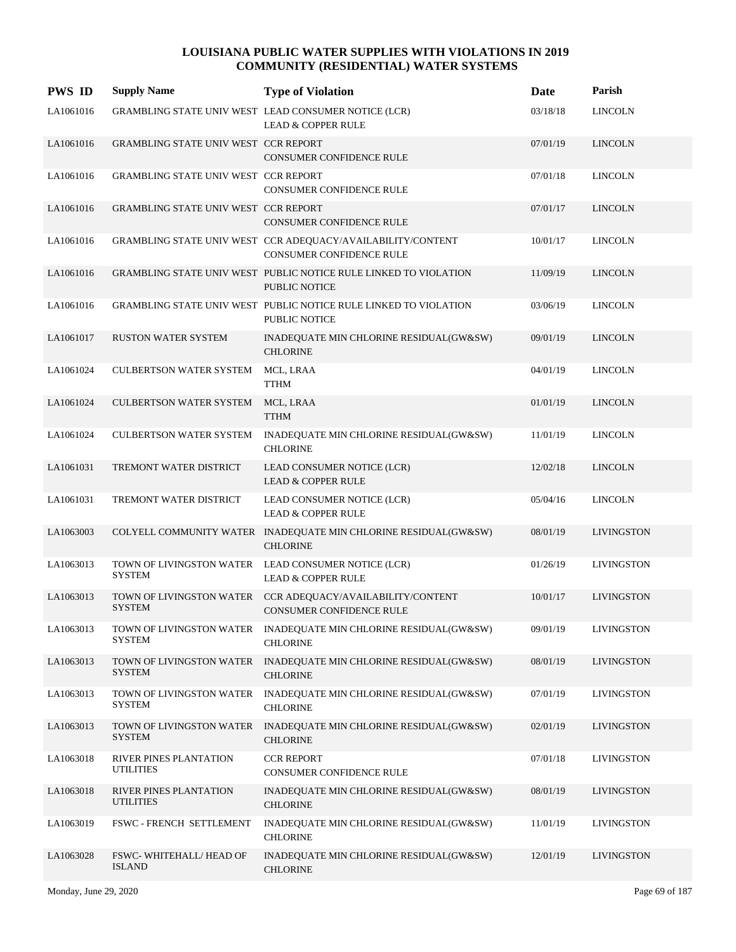| <b>PWS ID</b> | <b>Supply Name</b>                          | <b>Type of Violation</b>                                                                 | Date     | Parish            |
|---------------|---------------------------------------------|------------------------------------------------------------------------------------------|----------|-------------------|
| LA1061016     |                                             | GRAMBLING STATE UNIV WEST LEAD CONSUMER NOTICE (LCR)<br><b>LEAD &amp; COPPER RULE</b>    | 03/18/18 | <b>LINCOLN</b>    |
| LA1061016     | <b>GRAMBLING STATE UNIV WEST CCR REPORT</b> | <b>CONSUMER CONFIDENCE RULE</b>                                                          | 07/01/19 | <b>LINCOLN</b>    |
| LA1061016     | GRAMBLING STATE UNIV WEST CCR REPORT        | CONSUMER CONFIDENCE RULE                                                                 | 07/01/18 | <b>LINCOLN</b>    |
| LA1061016     | <b>GRAMBLING STATE UNIV WEST CCR REPORT</b> | CONSUMER CONFIDENCE RULE                                                                 | 07/01/17 | <b>LINCOLN</b>    |
| LA1061016     |                                             | GRAMBLING STATE UNIV WEST CCR ADEQUACY/AVAILABILITY/CONTENT<br>CONSUMER CONFIDENCE RULE  | 10/01/17 | <b>LINCOLN</b>    |
| LA1061016     |                                             | GRAMBLING STATE UNIV WEST PUBLIC NOTICE RULE LINKED TO VIOLATION<br><b>PUBLIC NOTICE</b> | 11/09/19 | <b>LINCOLN</b>    |
| LA1061016     |                                             | GRAMBLING STATE UNIV WEST PUBLIC NOTICE RULE LINKED TO VIOLATION<br><b>PUBLIC NOTICE</b> | 03/06/19 | <b>LINCOLN</b>    |
| LA1061017     | <b>RUSTON WATER SYSTEM</b>                  | INADEQUATE MIN CHLORINE RESIDUAL(GW&SW)<br><b>CHLORINE</b>                               | 09/01/19 | <b>LINCOLN</b>    |
| LA1061024     | <b>CULBERTSON WATER SYSTEM</b>              | MCL, LRAA<br><b>TTHM</b>                                                                 | 04/01/19 | <b>LINCOLN</b>    |
| LA1061024     | <b>CULBERTSON WATER SYSTEM</b>              | MCL, LRAA<br><b>TTHM</b>                                                                 | 01/01/19 | <b>LINCOLN</b>    |
| LA1061024     | <b>CULBERTSON WATER SYSTEM</b>              | INADEQUATE MIN CHLORINE RESIDUAL(GW&SW)<br><b>CHLORINE</b>                               | 11/01/19 | <b>LINCOLN</b>    |
| LA1061031     | TREMONT WATER DISTRICT                      | LEAD CONSUMER NOTICE (LCR)<br><b>LEAD &amp; COPPER RULE</b>                              | 12/02/18 | <b>LINCOLN</b>    |
| LA1061031     | TREMONT WATER DISTRICT                      | LEAD CONSUMER NOTICE (LCR)<br><b>LEAD &amp; COPPER RULE</b>                              | 05/04/16 | <b>LINCOLN</b>    |
| LA1063003     |                                             | COLYELL COMMUNITY WATER INADEQUATE MIN CHLORINE RESIDUAL(GW&SW)<br><b>CHLORINE</b>       | 08/01/19 | <b>LIVINGSTON</b> |
| LA1063013     | <b>SYSTEM</b>                               | TOWN OF LIVINGSTON WATER LEAD CONSUMER NOTICE (LCR)<br><b>LEAD &amp; COPPER RULE</b>     | 01/26/19 | <b>LIVINGSTON</b> |
| LA1063013     | TOWN OF LIVINGSTON WATER<br><b>SYSTEM</b>   | CCR ADEQUACY/AVAILABILITY/CONTENT<br><b>CONSUMER CONFIDENCE RULE</b>                     | 10/01/17 | <b>LIVINGSTON</b> |
| LA1063013     | <b>SYSTEM</b>                               | TOWN OF LIVINGSTON WATER INADEQUATE MIN CHLORINE RESIDUAL(GW&SW)<br><b>CHLORINE</b>      | 09/01/19 | <b>LIVINGSTON</b> |
| LA1063013     | TOWN OF LIVINGSTON WATER<br><b>SYSTEM</b>   | INADEQUATE MIN CHLORINE RESIDUAL(GW&SW)<br><b>CHLORINE</b>                               | 08/01/19 | <b>LIVINGSTON</b> |
| LA1063013     | TOWN OF LIVINGSTON WATER<br><b>SYSTEM</b>   | INADEQUATE MIN CHLORINE RESIDUAL(GW&SW)<br><b>CHLORINE</b>                               | 07/01/19 | <b>LIVINGSTON</b> |
| LA1063013     | TOWN OF LIVINGSTON WATER<br><b>SYSTEM</b>   | INADEQUATE MIN CHLORINE RESIDUAL(GW&SW)<br><b>CHLORINE</b>                               | 02/01/19 | <b>LIVINGSTON</b> |
| LA1063018     | RIVER PINES PLANTATION<br><b>UTILITIES</b>  | <b>CCR REPORT</b><br>CONSUMER CONFIDENCE RULE                                            | 07/01/18 | <b>LIVINGSTON</b> |
| LA1063018     | RIVER PINES PLANTATION<br><b>UTILITIES</b>  | INADEQUATE MIN CHLORINE RESIDUAL(GW&SW)<br><b>CHLORINE</b>                               | 08/01/19 | <b>LIVINGSTON</b> |
| LA1063019     | FSWC - FRENCH SETTLEMENT                    | INADEQUATE MIN CHLORINE RESIDUAL(GW&SW)<br><b>CHLORINE</b>                               | 11/01/19 | <b>LIVINGSTON</b> |
| LA1063028     | FSWC-WHITEHALL/HEAD OF<br><b>ISLAND</b>     | INADEQUATE MIN CHLORINE RESIDUAL(GW&SW)<br><b>CHLORINE</b>                               | 12/01/19 | <b>LIVINGSTON</b> |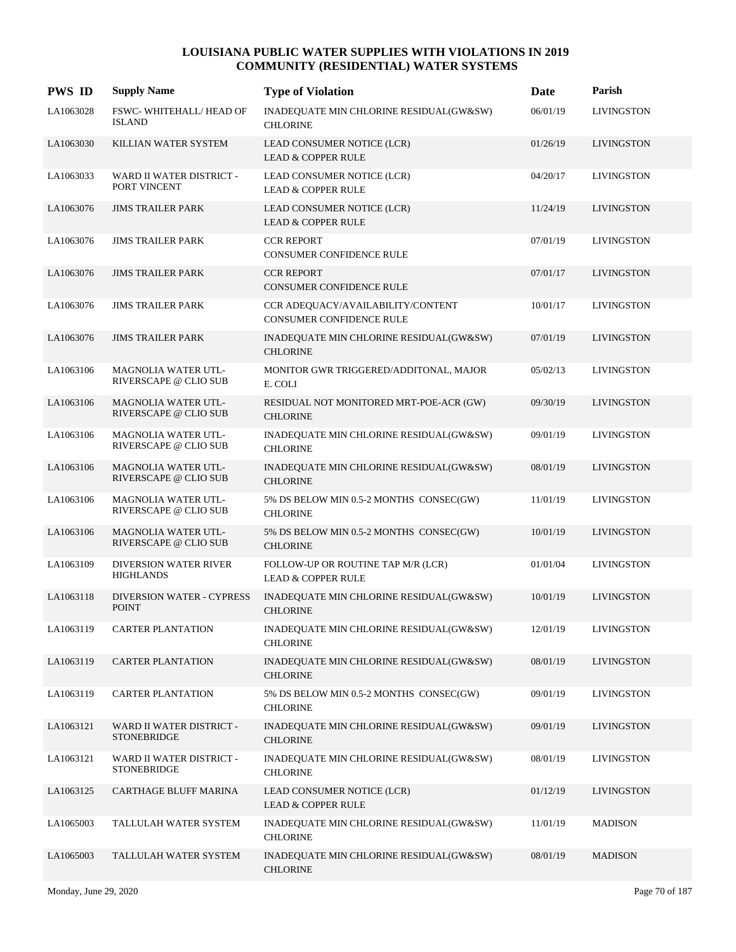| <b>PWS ID</b> | <b>Supply Name</b>                             | <b>Type of Violation</b>                                             | Date     | Parish            |
|---------------|------------------------------------------------|----------------------------------------------------------------------|----------|-------------------|
| LA1063028     | FSWC-WHITEHALL/HEAD OF<br><b>ISLAND</b>        | INADEQUATE MIN CHLORINE RESIDUAL(GW&SW)<br><b>CHLORINE</b>           | 06/01/19 | <b>LIVINGSTON</b> |
| LA1063030     | KILLIAN WATER SYSTEM                           | LEAD CONSUMER NOTICE (LCR)<br><b>LEAD &amp; COPPER RULE</b>          | 01/26/19 | <b>LIVINGSTON</b> |
| LA1063033     | WARD II WATER DISTRICT -<br>PORT VINCENT       | LEAD CONSUMER NOTICE (LCR)<br><b>LEAD &amp; COPPER RULE</b>          | 04/20/17 | <b>LIVINGSTON</b> |
| LA1063076     | <b>JIMS TRAILER PARK</b>                       | LEAD CONSUMER NOTICE (LCR)<br><b>LEAD &amp; COPPER RULE</b>          | 11/24/19 | <b>LIVINGSTON</b> |
| LA1063076     | <b>JIMS TRAILER PARK</b>                       | <b>CCR REPORT</b><br>CONSUMER CONFIDENCE RULE                        | 07/01/19 | <b>LIVINGSTON</b> |
| LA1063076     | <b>JIMS TRAILER PARK</b>                       | <b>CCR REPORT</b><br><b>CONSUMER CONFIDENCE RULE</b>                 | 07/01/17 | <b>LIVINGSTON</b> |
| LA1063076     | <b>JIMS TRAILER PARK</b>                       | CCR ADEQUACY/AVAILABILITY/CONTENT<br><b>CONSUMER CONFIDENCE RULE</b> | 10/01/17 | <b>LIVINGSTON</b> |
| LA1063076     | <b>JIMS TRAILER PARK</b>                       | INADEQUATE MIN CHLORINE RESIDUAL(GW&SW)<br><b>CHLORINE</b>           | 07/01/19 | <b>LIVINGSTON</b> |
| LA1063106     | MAGNOLIA WATER UTL-<br>RIVERSCAPE @ CLIO SUB   | MONITOR GWR TRIGGERED/ADDITONAL, MAJOR<br>E. COLI                    | 05/02/13 | <b>LIVINGSTON</b> |
| LA1063106     | MAGNOLIA WATER UTL-<br>RIVERSCAPE @ CLIO SUB   | RESIDUAL NOT MONITORED MRT-POE-ACR (GW)<br><b>CHLORINE</b>           | 09/30/19 | <b>LIVINGSTON</b> |
| LA1063106     | MAGNOLIA WATER UTL-<br>RIVERSCAPE @ CLIO SUB   | INADEQUATE MIN CHLORINE RESIDUAL(GW&SW)<br><b>CHLORINE</b>           | 09/01/19 | <b>LIVINGSTON</b> |
| LA1063106     | MAGNOLIA WATER UTL-<br>RIVERSCAPE @ CLIO SUB   | INADEQUATE MIN CHLORINE RESIDUAL(GW&SW)<br><b>CHLORINE</b>           | 08/01/19 | <b>LIVINGSTON</b> |
| LA1063106     | MAGNOLIA WATER UTL-<br>RIVERSCAPE @ CLIO SUB   | 5% DS BELOW MIN 0.5-2 MONTHS CONSEC(GW)<br><b>CHLORINE</b>           | 11/01/19 | <b>LIVINGSTON</b> |
| LA1063106     | MAGNOLIA WATER UTL-<br>RIVERSCAPE @ CLIO SUB   | 5% DS BELOW MIN 0.5-2 MONTHS CONSEC(GW)<br><b>CHLORINE</b>           | 10/01/19 | <b>LIVINGSTON</b> |
| LA1063109     | DIVERSION WATER RIVER<br><b>HIGHLANDS</b>      | FOLLOW-UP OR ROUTINE TAP M/R (LCR)<br><b>LEAD &amp; COPPER RULE</b>  | 01/01/04 | <b>LIVINGSTON</b> |
| LA1063118     | DIVERSION WATER - CYPRESS<br><b>POINT</b>      | INADEQUATE MIN CHLORINE RESIDUAL(GW&SW)<br><b>CHLORINE</b>           | 10/01/19 | <b>LIVINGSTON</b> |
| LA1063119     | <b>CARTER PLANTATION</b>                       | INADEQUATE MIN CHLORINE RESIDUAL(GW&SW)<br><b>CHLORINE</b>           | 12/01/19 | <b>LIVINGSTON</b> |
| LA1063119     | <b>CARTER PLANTATION</b>                       | INADEQUATE MIN CHLORINE RESIDUAL(GW&SW)<br><b>CHLORINE</b>           | 08/01/19 | <b>LIVINGSTON</b> |
| LA1063119     | <b>CARTER PLANTATION</b>                       | 5% DS BELOW MIN 0.5-2 MONTHS CONSEC(GW)<br><b>CHLORINE</b>           | 09/01/19 | <b>LIVINGSTON</b> |
| LA1063121     | WARD II WATER DISTRICT -<br><b>STONEBRIDGE</b> | INADEQUATE MIN CHLORINE RESIDUAL(GW&SW)<br><b>CHLORINE</b>           | 09/01/19 | <b>LIVINGSTON</b> |
| LA1063121     | WARD II WATER DISTRICT -<br><b>STONEBRIDGE</b> | INADEQUATE MIN CHLORINE RESIDUAL(GW&SW)<br><b>CHLORINE</b>           | 08/01/19 | <b>LIVINGSTON</b> |
| LA1063125     | CARTHAGE BLUFF MARINA                          | LEAD CONSUMER NOTICE (LCR)<br><b>LEAD &amp; COPPER RULE</b>          | 01/12/19 | <b>LIVINGSTON</b> |
| LA1065003     | TALLULAH WATER SYSTEM                          | INADEQUATE MIN CHLORINE RESIDUAL(GW&SW)<br><b>CHLORINE</b>           | 11/01/19 | <b>MADISON</b>    |
| LA1065003     | TALLULAH WATER SYSTEM                          | INADEQUATE MIN CHLORINE RESIDUAL(GW&SW)<br><b>CHLORINE</b>           | 08/01/19 | <b>MADISON</b>    |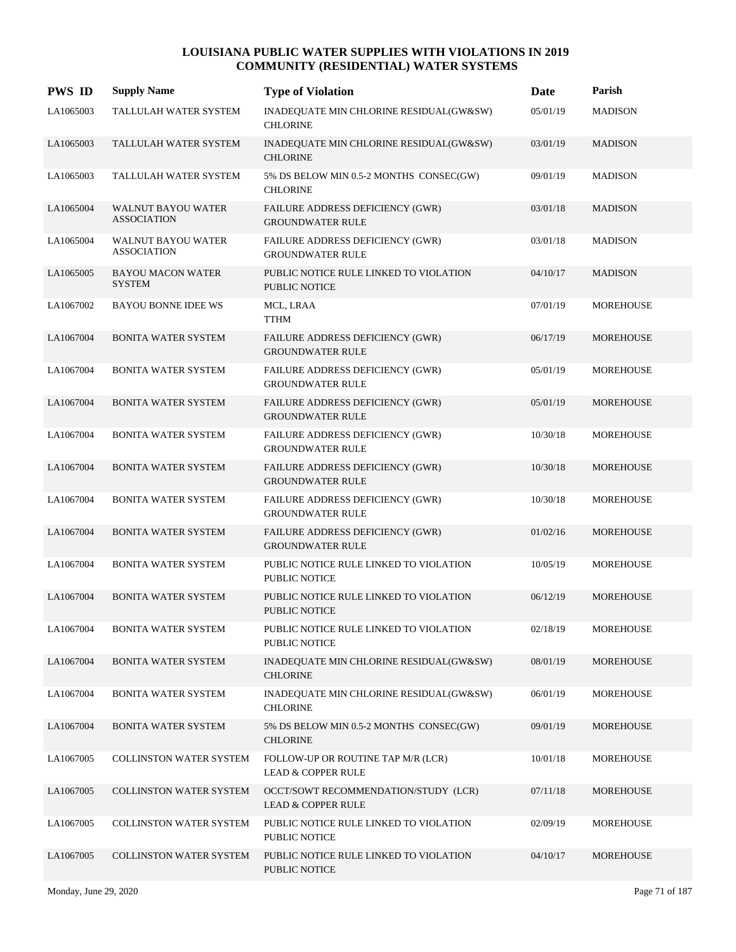| <b>PWS ID</b> | <b>Supply Name</b>                              | <b>Type of Violation</b>                                            | Date     | Parish           |
|---------------|-------------------------------------------------|---------------------------------------------------------------------|----------|------------------|
| LA1065003     | TALLULAH WATER SYSTEM                           | INADEQUATE MIN CHLORINE RESIDUAL(GW&SW)<br><b>CHLORINE</b>          | 05/01/19 | <b>MADISON</b>   |
| LA1065003     | TALLULAH WATER SYSTEM                           | INADEQUATE MIN CHLORINE RESIDUAL(GW&SW)<br><b>CHLORINE</b>          | 03/01/19 | <b>MADISON</b>   |
| LA1065003     | TALLULAH WATER SYSTEM                           | 5% DS BELOW MIN 0.5-2 MONTHS CONSEC(GW)<br><b>CHLORINE</b>          | 09/01/19 | <b>MADISON</b>   |
| LA1065004     | <b>WALNUT BAYOU WATER</b><br><b>ASSOCIATION</b> | FAILURE ADDRESS DEFICIENCY (GWR)<br><b>GROUNDWATER RULE</b>         | 03/01/18 | <b>MADISON</b>   |
| LA1065004     | <b>WALNUT BAYOU WATER</b><br><b>ASSOCIATION</b> | FAILURE ADDRESS DEFICIENCY (GWR)<br><b>GROUNDWATER RULE</b>         | 03/01/18 | <b>MADISON</b>   |
| LA1065005     | <b>BAYOU MACON WATER</b><br><b>SYSTEM</b>       | PUBLIC NOTICE RULE LINKED TO VIOLATION<br><b>PUBLIC NOTICE</b>      | 04/10/17 | <b>MADISON</b>   |
| LA1067002     | <b>BAYOU BONNE IDEE WS</b>                      | MCL, LRAA<br><b>TTHM</b>                                            | 07/01/19 | MOREHOUSE        |
| LA1067004     | <b>BONITA WATER SYSTEM</b>                      | FAILURE ADDRESS DEFICIENCY (GWR)<br><b>GROUNDWATER RULE</b>         | 06/17/19 | <b>MOREHOUSE</b> |
| LA1067004     | <b>BONITA WATER SYSTEM</b>                      | FAILURE ADDRESS DEFICIENCY (GWR)<br><b>GROUNDWATER RULE</b>         | 05/01/19 | <b>MOREHOUSE</b> |
| LA1067004     | <b>BONITA WATER SYSTEM</b>                      | <b>FAILURE ADDRESS DEFICIENCY (GWR)</b><br><b>GROUNDWATER RULE</b>  | 05/01/19 | <b>MOREHOUSE</b> |
| LA1067004     | <b>BONITA WATER SYSTEM</b>                      | <b>FAILURE ADDRESS DEFICIENCY (GWR)</b><br><b>GROUNDWATER RULE</b>  | 10/30/18 | <b>MOREHOUSE</b> |
| LA1067004     | <b>BONITA WATER SYSTEM</b>                      | FAILURE ADDRESS DEFICIENCY (GWR)<br><b>GROUNDWATER RULE</b>         | 10/30/18 | <b>MOREHOUSE</b> |
| LA1067004     | <b>BONITA WATER SYSTEM</b>                      | FAILURE ADDRESS DEFICIENCY (GWR)<br><b>GROUNDWATER RULE</b>         | 10/30/18 | <b>MOREHOUSE</b> |
| LA1067004     | <b>BONITA WATER SYSTEM</b>                      | <b>FAILURE ADDRESS DEFICIENCY (GWR)</b><br><b>GROUNDWATER RULE</b>  | 01/02/16 | <b>MOREHOUSE</b> |
| LA1067004     | <b>BONITA WATER SYSTEM</b>                      | PUBLIC NOTICE RULE LINKED TO VIOLATION<br><b>PUBLIC NOTICE</b>      | 10/05/19 | <b>MOREHOUSE</b> |
| LA1067004     | <b>BONITA WATER SYSTEM</b>                      | PUBLIC NOTICE RULE LINKED TO VIOLATION<br><b>PUBLIC NOTICE</b>      | 06/12/19 | <b>MOREHOUSE</b> |
| LA1067004     | <b>BONITA WATER SYSTEM</b>                      | PUBLIC NOTICE RULE LINKED TO VIOLATION<br>PUBLIC NOTICE             | 02/18/19 | <b>MOREHOUSE</b> |
| LA1067004     | <b>BONITA WATER SYSTEM</b>                      | INADEQUATE MIN CHLORINE RESIDUAL(GW&SW)<br><b>CHLORINE</b>          | 08/01/19 | MOREHOUSE        |
| LA1067004     | <b>BONITA WATER SYSTEM</b>                      | INADEQUATE MIN CHLORINE RESIDUAL(GW&SW)<br><b>CHLORINE</b>          | 06/01/19 | MOREHOUSE        |
| LA1067004     | <b>BONITA WATER SYSTEM</b>                      | 5% DS BELOW MIN 0.5-2 MONTHS CONSEC(GW)<br><b>CHLORINE</b>          | 09/01/19 | MOREHOUSE        |
| LA1067005     | <b>COLLINSTON WATER SYSTEM</b>                  | FOLLOW-UP OR ROUTINE TAP M/R (LCR)<br><b>LEAD &amp; COPPER RULE</b> | 10/01/18 | <b>MOREHOUSE</b> |
| LA1067005     | <b>COLLINSTON WATER SYSTEM</b>                  | OCCT/SOWT RECOMMENDATION/STUDY (LCR)<br>LEAD & COPPER RULE          | 07/11/18 | MOREHOUSE        |
| LA1067005     | <b>COLLINSTON WATER SYSTEM</b>                  | PUBLIC NOTICE RULE LINKED TO VIOLATION<br><b>PUBLIC NOTICE</b>      | 02/09/19 | MOREHOUSE        |
| LA1067005     | <b>COLLINSTON WATER SYSTEM</b>                  | PUBLIC NOTICE RULE LINKED TO VIOLATION<br>PUBLIC NOTICE             | 04/10/17 | MOREHOUSE        |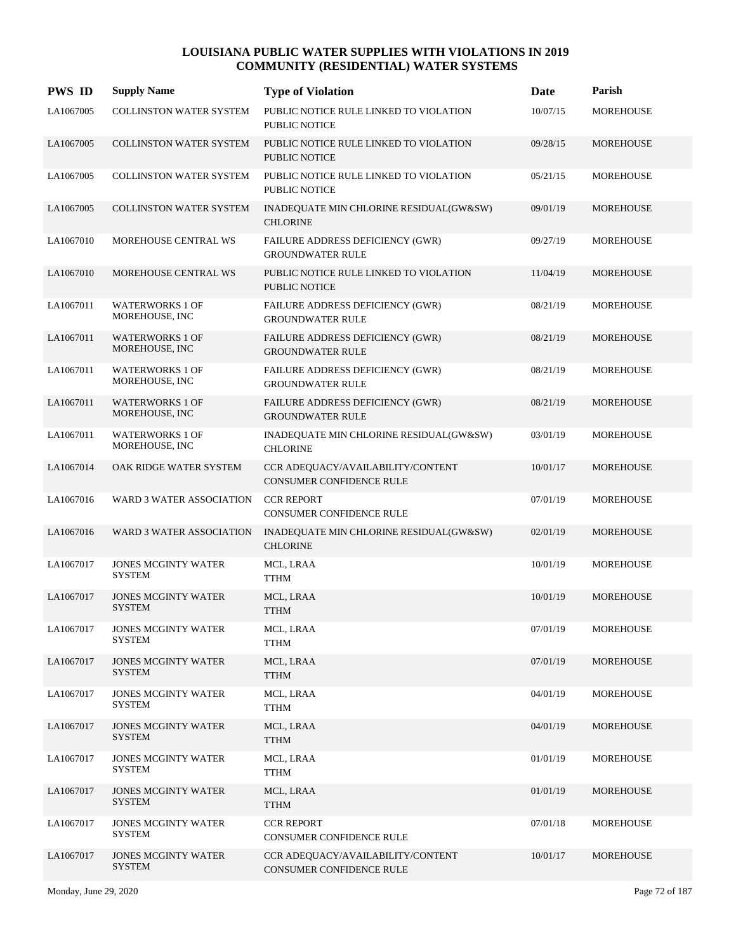| <b>PWS ID</b> | <b>Supply Name</b>                          | <b>Type of Violation</b>                                           | Date     | Parish           |
|---------------|---------------------------------------------|--------------------------------------------------------------------|----------|------------------|
| LA1067005     | COLLINSTON WATER SYSTEM                     | PUBLIC NOTICE RULE LINKED TO VIOLATION<br><b>PUBLIC NOTICE</b>     | 10/07/15 | <b>MOREHOUSE</b> |
| LA1067005     | <b>COLLINSTON WATER SYSTEM</b>              | PUBLIC NOTICE RULE LINKED TO VIOLATION<br><b>PUBLIC NOTICE</b>     | 09/28/15 | <b>MOREHOUSE</b> |
| LA1067005     | COLLINSTON WATER SYSTEM                     | PUBLIC NOTICE RULE LINKED TO VIOLATION<br><b>PUBLIC NOTICE</b>     | 05/21/15 | <b>MOREHOUSE</b> |
| LA1067005     | <b>COLLINSTON WATER SYSTEM</b>              | INADEQUATE MIN CHLORINE RESIDUAL(GW&SW)<br><b>CHLORINE</b>         | 09/01/19 | <b>MOREHOUSE</b> |
| LA1067010     | MOREHOUSE CENTRAL WS                        | FAILURE ADDRESS DEFICIENCY (GWR)<br><b>GROUNDWATER RULE</b>        | 09/27/19 | <b>MOREHOUSE</b> |
| LA1067010     | MOREHOUSE CENTRAL WS                        | PUBLIC NOTICE RULE LINKED TO VIOLATION<br><b>PUBLIC NOTICE</b>     | 11/04/19 | <b>MOREHOUSE</b> |
| LA1067011     | <b>WATERWORKS 1 OF</b><br>MOREHOUSE, INC    | FAILURE ADDRESS DEFICIENCY (GWR)<br><b>GROUNDWATER RULE</b>        | 08/21/19 | <b>MOREHOUSE</b> |
| LA1067011     | <b>WATERWORKS 1 OF</b><br>MOREHOUSE, INC    | FAILURE ADDRESS DEFICIENCY (GWR)<br><b>GROUNDWATER RULE</b>        | 08/21/19 | <b>MOREHOUSE</b> |
| LA1067011     | <b>WATERWORKS 1 OF</b><br>MOREHOUSE, INC    | FAILURE ADDRESS DEFICIENCY (GWR)<br><b>GROUNDWATER RULE</b>        | 08/21/19 | <b>MOREHOUSE</b> |
| LA1067011     | <b>WATERWORKS 1 OF</b><br>MOREHOUSE, INC    | <b>FAILURE ADDRESS DEFICIENCY (GWR)</b><br><b>GROUNDWATER RULE</b> | 08/21/19 | <b>MOREHOUSE</b> |
| LA1067011     | <b>WATERWORKS 1 OF</b><br>MOREHOUSE, INC    | INADEQUATE MIN CHLORINE RESIDUAL(GW&SW)<br><b>CHLORINE</b>         | 03/01/19 | <b>MOREHOUSE</b> |
| LA1067014     | OAK RIDGE WATER SYSTEM                      | CCR ADEQUACY/AVAILABILITY/CONTENT<br>CONSUMER CONFIDENCE RULE      | 10/01/17 | <b>MOREHOUSE</b> |
| LA1067016     | WARD 3 WATER ASSOCIATION                    | <b>CCR REPORT</b><br>CONSUMER CONFIDENCE RULE                      | 07/01/19 | <b>MOREHOUSE</b> |
| LA1067016     | WARD 3 WATER ASSOCIATION                    | INADEQUATE MIN CHLORINE RESIDUAL(GW&SW)<br><b>CHLORINE</b>         | 02/01/19 | <b>MOREHOUSE</b> |
| LA1067017     | JONES MCGINTY WATER<br><b>SYSTEM</b>        | MCL, LRAA<br><b>TTHM</b>                                           | 10/01/19 | <b>MOREHOUSE</b> |
| LA1067017     | <b>JONES MCGINTY WATER</b><br><b>SYSTEM</b> | MCL, LRAA<br><b>TTHM</b>                                           | 10/01/19 | <b>MOREHOUSE</b> |
| LA1067017     | <b>JONES MCGINTY WATER</b><br><b>SYSTEM</b> | MCL, LRAA<br><b>TTHM</b>                                           | 07/01/19 | <b>MOREHOUSE</b> |
| LA1067017     | <b>JONES MCGINTY WATER</b><br><b>SYSTEM</b> | MCL, LRAA<br><b>TTHM</b>                                           | 07/01/19 | MOREHOUSE        |
| LA1067017     | <b>JONES MCGINTY WATER</b><br><b>SYSTEM</b> | MCL, LRAA<br>TTHM                                                  | 04/01/19 | MOREHOUSE        |
| LA1067017     | <b>JONES MCGINTY WATER</b><br><b>SYSTEM</b> | MCL, LRAA<br><b>TTHM</b>                                           | 04/01/19 | <b>MOREHOUSE</b> |
| LA1067017     | <b>JONES MCGINTY WATER</b><br><b>SYSTEM</b> | MCL, LRAA<br><b>TTHM</b>                                           | 01/01/19 | MOREHOUSE        |
| LA1067017     | <b>JONES MCGINTY WATER</b><br><b>SYSTEM</b> | MCL, LRAA<br><b>TTHM</b>                                           | 01/01/19 | MOREHOUSE        |
| LA1067017     | <b>JONES MCGINTY WATER</b><br><b>SYSTEM</b> | <b>CCR REPORT</b><br>CONSUMER CONFIDENCE RULE                      | 07/01/18 | MOREHOUSE        |
| LA1067017     | <b>JONES MCGINTY WATER</b><br><b>SYSTEM</b> | CCR ADEQUACY/AVAILABILITY/CONTENT<br>CONSUMER CONFIDENCE RULE      | 10/01/17 | <b>MOREHOUSE</b> |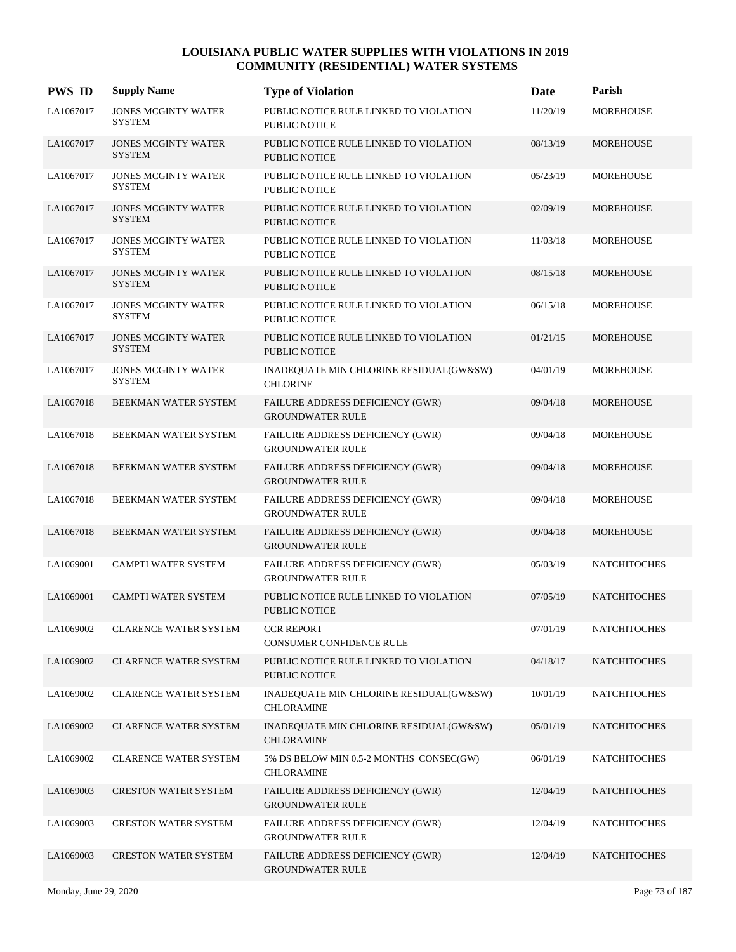| <b>PWS ID</b> | <b>Supply Name</b>                          | <b>Type of Violation</b>                                           | Date     | Parish              |
|---------------|---------------------------------------------|--------------------------------------------------------------------|----------|---------------------|
| LA1067017     | <b>JONES MCGINTY WATER</b><br><b>SYSTEM</b> | PUBLIC NOTICE RULE LINKED TO VIOLATION<br>PUBLIC NOTICE            | 11/20/19 | <b>MOREHOUSE</b>    |
| LA1067017     | <b>JONES MCGINTY WATER</b><br><b>SYSTEM</b> | PUBLIC NOTICE RULE LINKED TO VIOLATION<br>PUBLIC NOTICE            | 08/13/19 | <b>MOREHOUSE</b>    |
| LA1067017     | <b>JONES MCGINTY WATER</b><br><b>SYSTEM</b> | PUBLIC NOTICE RULE LINKED TO VIOLATION<br>PUBLIC NOTICE            | 05/23/19 | <b>MOREHOUSE</b>    |
| LA1067017     | <b>JONES MCGINTY WATER</b><br><b>SYSTEM</b> | PUBLIC NOTICE RULE LINKED TO VIOLATION<br>PUBLIC NOTICE            | 02/09/19 | <b>MOREHOUSE</b>    |
| LA1067017     | <b>JONES MCGINTY WATER</b><br><b>SYSTEM</b> | PUBLIC NOTICE RULE LINKED TO VIOLATION<br><b>PUBLIC NOTICE</b>     | 11/03/18 | <b>MOREHOUSE</b>    |
| LA1067017     | <b>JONES MCGINTY WATER</b><br><b>SYSTEM</b> | PUBLIC NOTICE RULE LINKED TO VIOLATION<br>PUBLIC NOTICE            | 08/15/18 | <b>MOREHOUSE</b>    |
| LA1067017     | <b>JONES MCGINTY WATER</b><br><b>SYSTEM</b> | PUBLIC NOTICE RULE LINKED TO VIOLATION<br><b>PUBLIC NOTICE</b>     | 06/15/18 | <b>MOREHOUSE</b>    |
| LA1067017     | <b>JONES MCGINTY WATER</b><br><b>SYSTEM</b> | PUBLIC NOTICE RULE LINKED TO VIOLATION<br><b>PUBLIC NOTICE</b>     | 01/21/15 | <b>MOREHOUSE</b>    |
| LA1067017     | <b>JONES MCGINTY WATER</b><br><b>SYSTEM</b> | INADEQUATE MIN CHLORINE RESIDUAL(GW&SW)<br><b>CHLORINE</b>         | 04/01/19 | <b>MOREHOUSE</b>    |
| LA1067018     | BEEKMAN WATER SYSTEM                        | FAILURE ADDRESS DEFICIENCY (GWR)<br><b>GROUNDWATER RULE</b>        | 09/04/18 | <b>MOREHOUSE</b>    |
| LA1067018     | BEEKMAN WATER SYSTEM                        | <b>FAILURE ADDRESS DEFICIENCY (GWR)</b><br><b>GROUNDWATER RULE</b> | 09/04/18 | <b>MOREHOUSE</b>    |
| LA1067018     | BEEKMAN WATER SYSTEM                        | FAILURE ADDRESS DEFICIENCY (GWR)<br><b>GROUNDWATER RULE</b>        | 09/04/18 | <b>MOREHOUSE</b>    |
| LA1067018     | BEEKMAN WATER SYSTEM                        | <b>FAILURE ADDRESS DEFICIENCY (GWR)</b><br><b>GROUNDWATER RULE</b> | 09/04/18 | <b>MOREHOUSE</b>    |
| LA1067018     | BEEKMAN WATER SYSTEM                        | <b>FAILURE ADDRESS DEFICIENCY (GWR)</b><br><b>GROUNDWATER RULE</b> | 09/04/18 | <b>MOREHOUSE</b>    |
| LA1069001     | CAMPTI WATER SYSTEM                         | FAILURE ADDRESS DEFICIENCY (GWR)<br><b>GROUNDWATER RULE</b>        | 05/03/19 | <b>NATCHITOCHES</b> |
| LA1069001     | <b>CAMPTI WATER SYSTEM</b>                  | PUBLIC NOTICE RULE LINKED TO VIOLATION<br><b>PUBLIC NOTICE</b>     | 07/05/19 | <b>NATCHITOCHES</b> |
| LA1069002     | <b>CLARENCE WATER SYSTEM</b>                | <b>CCR REPORT</b><br>CONSUMER CONFIDENCE RULE                      | 07/01/19 | <b>NATCHITOCHES</b> |
| LA1069002     | <b>CLARENCE WATER SYSTEM</b>                | PUBLIC NOTICE RULE LINKED TO VIOLATION<br>PUBLIC NOTICE            | 04/18/17 | <b>NATCHITOCHES</b> |
| LA1069002     | <b>CLARENCE WATER SYSTEM</b>                | INADEQUATE MIN CHLORINE RESIDUAL(GW&SW)<br><b>CHLORAMINE</b>       | 10/01/19 | <b>NATCHITOCHES</b> |
| LA1069002     | <b>CLARENCE WATER SYSTEM</b>                | INADEQUATE MIN CHLORINE RESIDUAL(GW&SW)<br><b>CHLORAMINE</b>       | 05/01/19 | <b>NATCHITOCHES</b> |
| LA1069002     | <b>CLARENCE WATER SYSTEM</b>                | 5% DS BELOW MIN 0.5-2 MONTHS CONSEC(GW)<br><b>CHLORAMINE</b>       | 06/01/19 | <b>NATCHITOCHES</b> |
| LA1069003     | <b>CRESTON WATER SYSTEM</b>                 | FAILURE ADDRESS DEFICIENCY (GWR)<br><b>GROUNDWATER RULE</b>        | 12/04/19 | <b>NATCHITOCHES</b> |
| LA1069003     | <b>CRESTON WATER SYSTEM</b>                 | <b>FAILURE ADDRESS DEFICIENCY (GWR)</b><br><b>GROUNDWATER RULE</b> | 12/04/19 | <b>NATCHITOCHES</b> |
| LA1069003     | <b>CRESTON WATER SYSTEM</b>                 | FAILURE ADDRESS DEFICIENCY (GWR)<br><b>GROUNDWATER RULE</b>        | 12/04/19 | <b>NATCHITOCHES</b> |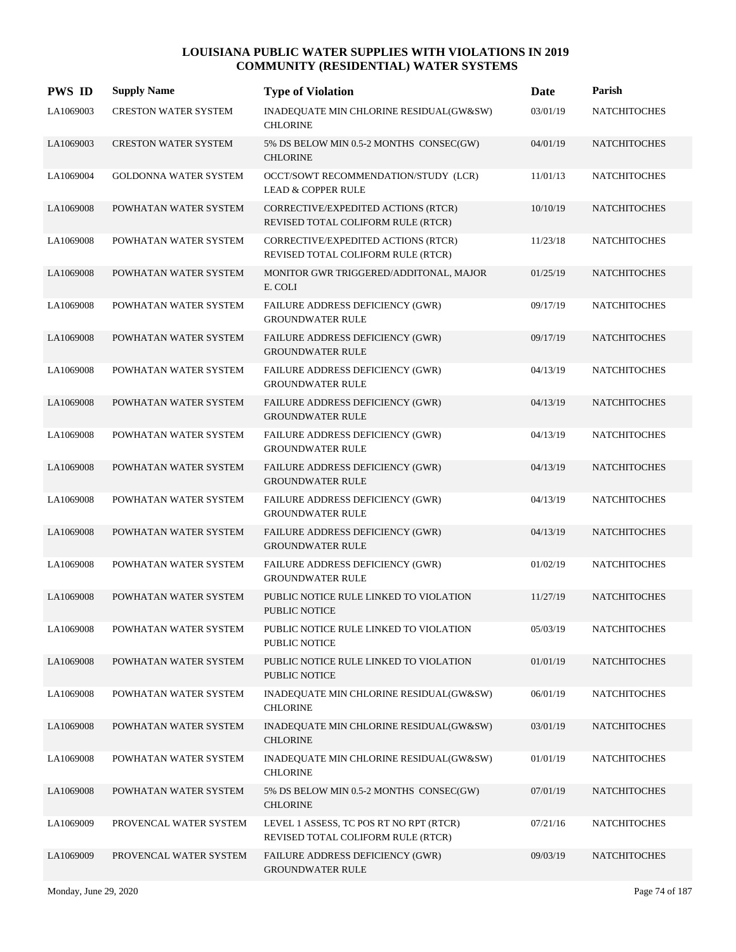| <b>PWS ID</b> | <b>Supply Name</b>           | <b>Type of Violation</b>                                                      | Date     | Parish              |
|---------------|------------------------------|-------------------------------------------------------------------------------|----------|---------------------|
| LA1069003     | CRESTON WATER SYSTEM         | INADEQUATE MIN CHLORINE RESIDUAL(GW&SW)<br><b>CHLORINE</b>                    | 03/01/19 | <b>NATCHITOCHES</b> |
| LA1069003     | <b>CRESTON WATER SYSTEM</b>  | 5% DS BELOW MIN 0.5-2 MONTHS CONSEC(GW)<br><b>CHLORINE</b>                    | 04/01/19 | <b>NATCHITOCHES</b> |
| LA1069004     | <b>GOLDONNA WATER SYSTEM</b> | OCCT/SOWT RECOMMENDATION/STUDY (LCR)<br><b>LEAD &amp; COPPER RULE</b>         | 11/01/13 | <b>NATCHITOCHES</b> |
| LA1069008     | POWHATAN WATER SYSTEM        | CORRECTIVE/EXPEDITED ACTIONS (RTCR)<br>REVISED TOTAL COLIFORM RULE (RTCR)     | 10/10/19 | <b>NATCHITOCHES</b> |
| LA1069008     | POWHATAN WATER SYSTEM        | CORRECTIVE/EXPEDITED ACTIONS (RTCR)<br>REVISED TOTAL COLIFORM RULE (RTCR)     | 11/23/18 | <b>NATCHITOCHES</b> |
| LA1069008     | POWHATAN WATER SYSTEM        | MONITOR GWR TRIGGERED/ADDITONAL, MAJOR<br>E. COLI                             | 01/25/19 | <b>NATCHITOCHES</b> |
| LA1069008     | POWHATAN WATER SYSTEM        | FAILURE ADDRESS DEFICIENCY (GWR)<br><b>GROUNDWATER RULE</b>                   | 09/17/19 | <b>NATCHITOCHES</b> |
| LA1069008     | POWHATAN WATER SYSTEM        | FAILURE ADDRESS DEFICIENCY (GWR)<br><b>GROUNDWATER RULE</b>                   | 09/17/19 | <b>NATCHITOCHES</b> |
| LA1069008     | POWHATAN WATER SYSTEM        | FAILURE ADDRESS DEFICIENCY (GWR)<br><b>GROUNDWATER RULE</b>                   | 04/13/19 | <b>NATCHITOCHES</b> |
| LA1069008     | POWHATAN WATER SYSTEM        | FAILURE ADDRESS DEFICIENCY (GWR)<br><b>GROUNDWATER RULE</b>                   | 04/13/19 | <b>NATCHITOCHES</b> |
| LA1069008     | POWHATAN WATER SYSTEM        | <b>FAILURE ADDRESS DEFICIENCY (GWR)</b><br><b>GROUNDWATER RULE</b>            | 04/13/19 | <b>NATCHITOCHES</b> |
| LA1069008     | POWHATAN WATER SYSTEM        | FAILURE ADDRESS DEFICIENCY (GWR)<br><b>GROUNDWATER RULE</b>                   | 04/13/19 | <b>NATCHITOCHES</b> |
| LA1069008     | POWHATAN WATER SYSTEM        | <b>FAILURE ADDRESS DEFICIENCY (GWR)</b><br><b>GROUNDWATER RULE</b>            | 04/13/19 | <b>NATCHITOCHES</b> |
| LA1069008     | POWHATAN WATER SYSTEM        | FAILURE ADDRESS DEFICIENCY (GWR)<br><b>GROUNDWATER RULE</b>                   | 04/13/19 | <b>NATCHITOCHES</b> |
| LA1069008     | POWHATAN WATER SYSTEM        | FAILURE ADDRESS DEFICIENCY (GWR)<br><b>GROUNDWATER RULE</b>                   | 01/02/19 | <b>NATCHITOCHES</b> |
| LA1069008     | POWHATAN WATER SYSTEM        | PUBLIC NOTICE RULE LINKED TO VIOLATION<br><b>PUBLIC NOTICE</b>                | 11/27/19 | <b>NATCHITOCHES</b> |
| LA1069008     | POWHATAN WATER SYSTEM        | PUBLIC NOTICE RULE LINKED TO VIOLATION<br>PUBLIC NOTICE                       | 05/03/19 | <b>NATCHITOCHES</b> |
| LA1069008     | POWHATAN WATER SYSTEM        | PUBLIC NOTICE RULE LINKED TO VIOLATION<br><b>PUBLIC NOTICE</b>                | 01/01/19 | <b>NATCHITOCHES</b> |
| LA1069008     | POWHATAN WATER SYSTEM        | INADEQUATE MIN CHLORINE RESIDUAL(GW&SW)<br><b>CHLORINE</b>                    | 06/01/19 | <b>NATCHITOCHES</b> |
| LA1069008     | POWHATAN WATER SYSTEM        | INADEQUATE MIN CHLORINE RESIDUAL(GW&SW)<br><b>CHLORINE</b>                    | 03/01/19 | <b>NATCHITOCHES</b> |
| LA1069008     | POWHATAN WATER SYSTEM        | INADEQUATE MIN CHLORINE RESIDUAL(GW&SW)<br><b>CHLORINE</b>                    | 01/01/19 | <b>NATCHITOCHES</b> |
| LA1069008     | POWHATAN WATER SYSTEM        | 5% DS BELOW MIN 0.5-2 MONTHS CONSEC(GW)<br><b>CHLORINE</b>                    | 07/01/19 | <b>NATCHITOCHES</b> |
| LA1069009     | PROVENCAL WATER SYSTEM       | LEVEL 1 ASSESS, TC POS RT NO RPT (RTCR)<br>REVISED TOTAL COLIFORM RULE (RTCR) | 07/21/16 | <b>NATCHITOCHES</b> |
| LA1069009     | PROVENCAL WATER SYSTEM       | FAILURE ADDRESS DEFICIENCY (GWR)<br><b>GROUNDWATER RULE</b>                   | 09/03/19 | <b>NATCHITOCHES</b> |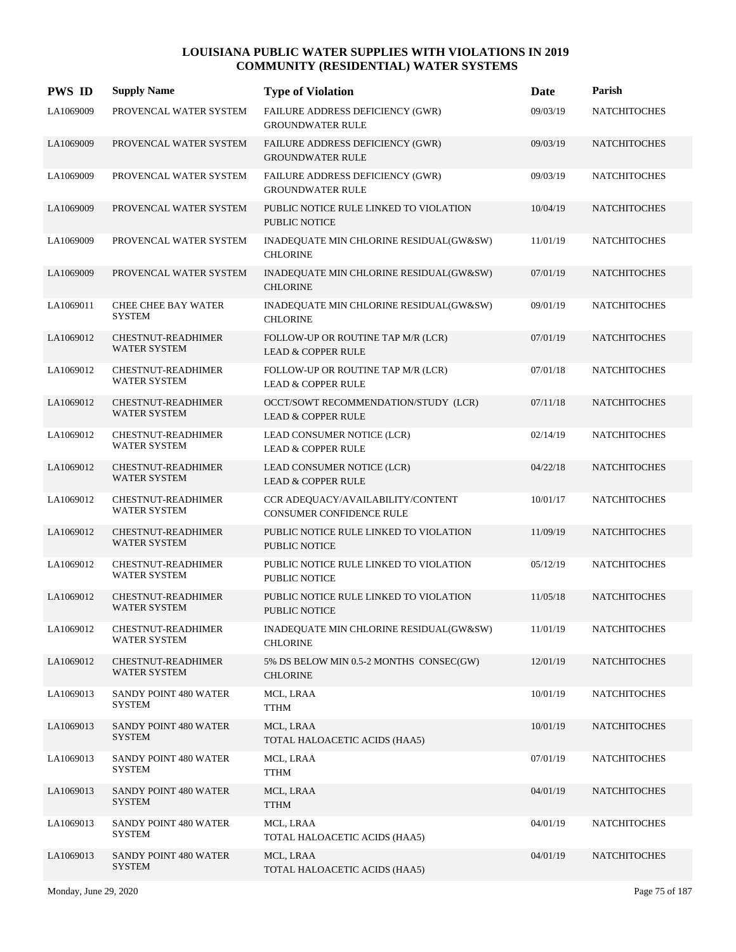| <b>PWS ID</b> | <b>Supply Name</b>                               | <b>Type of Violation</b>                                              | Date     | Parish              |
|---------------|--------------------------------------------------|-----------------------------------------------------------------------|----------|---------------------|
| LA1069009     | PROVENCAL WATER SYSTEM                           | FAILURE ADDRESS DEFICIENCY (GWR)<br><b>GROUNDWATER RULE</b>           | 09/03/19 | <b>NATCHITOCHES</b> |
| LA1069009     | PROVENCAL WATER SYSTEM                           | FAILURE ADDRESS DEFICIENCY (GWR)<br><b>GROUNDWATER RULE</b>           | 09/03/19 | <b>NATCHITOCHES</b> |
| LA1069009     | PROVENCAL WATER SYSTEM                           | FAILURE ADDRESS DEFICIENCY (GWR)<br><b>GROUNDWATER RULE</b>           | 09/03/19 | <b>NATCHITOCHES</b> |
| LA1069009     | PROVENCAL WATER SYSTEM                           | PUBLIC NOTICE RULE LINKED TO VIOLATION<br><b>PUBLIC NOTICE</b>        | 10/04/19 | <b>NATCHITOCHES</b> |
| LA1069009     | PROVENCAL WATER SYSTEM                           | INADEQUATE MIN CHLORINE RESIDUAL(GW&SW)<br><b>CHLORINE</b>            | 11/01/19 | <b>NATCHITOCHES</b> |
| LA1069009     | PROVENCAL WATER SYSTEM                           | INADEQUATE MIN CHLORINE RESIDUAL(GW&SW)<br><b>CHLORINE</b>            | 07/01/19 | <b>NATCHITOCHES</b> |
| LA1069011     | <b>CHEE CHEE BAY WATER</b><br><b>SYSTEM</b>      | INADEQUATE MIN CHLORINE RESIDUAL(GW&SW)<br><b>CHLORINE</b>            | 09/01/19 | <b>NATCHITOCHES</b> |
| LA1069012     | <b>CHESTNUT-READHIMER</b><br><b>WATER SYSTEM</b> | FOLLOW-UP OR ROUTINE TAP M/R (LCR)<br><b>LEAD &amp; COPPER RULE</b>   | 07/01/19 | <b>NATCHITOCHES</b> |
| LA1069012     | <b>CHESTNUT-READHIMER</b><br>WATER SYSTEM        | FOLLOW-UP OR ROUTINE TAP M/R (LCR)<br><b>LEAD &amp; COPPER RULE</b>   | 07/01/18 | <b>NATCHITOCHES</b> |
| LA1069012     | <b>CHESTNUT-READHIMER</b><br><b>WATER SYSTEM</b> | OCCT/SOWT RECOMMENDATION/STUDY (LCR)<br><b>LEAD &amp; COPPER RULE</b> | 07/11/18 | <b>NATCHITOCHES</b> |
| LA1069012     | <b>CHESTNUT-READHIMER</b><br><b>WATER SYSTEM</b> | LEAD CONSUMER NOTICE (LCR)<br><b>LEAD &amp; COPPER RULE</b>           | 02/14/19 | <b>NATCHITOCHES</b> |
| LA1069012     | <b>CHESTNUT-READHIMER</b><br><b>WATER SYSTEM</b> | LEAD CONSUMER NOTICE (LCR)<br><b>LEAD &amp; COPPER RULE</b>           | 04/22/18 | <b>NATCHITOCHES</b> |
| LA1069012     | <b>CHESTNUT-READHIMER</b><br><b>WATER SYSTEM</b> | CCR ADEQUACY/AVAILABILITY/CONTENT<br>CONSUMER CONFIDENCE RULE         | 10/01/17 | <b>NATCHITOCHES</b> |
| LA1069012     | <b>CHESTNUT-READHIMER</b><br><b>WATER SYSTEM</b> | PUBLIC NOTICE RULE LINKED TO VIOLATION<br><b>PUBLIC NOTICE</b>        | 11/09/19 | <b>NATCHITOCHES</b> |
| LA1069012     | CHESTNUT-READHIMER<br><b>WATER SYSTEM</b>        | PUBLIC NOTICE RULE LINKED TO VIOLATION<br><b>PUBLIC NOTICE</b>        | 05/12/19 | <b>NATCHITOCHES</b> |
| LA1069012     | <b>CHESTNUT-READHIMER</b><br><b>WATER SYSTEM</b> | PUBLIC NOTICE RULE LINKED TO VIOLATION<br><b>PUBLIC NOTICE</b>        | 11/05/18 | <b>NATCHITOCHES</b> |
| LA1069012     | CHESTNUT-READHIMER<br>WATER SYSTEM               | INADEQUATE MIN CHLORINE RESIDUAL(GW&SW)<br><b>CHLORINE</b>            | 11/01/19 | <b>NATCHITOCHES</b> |
| LA1069012     | CHESTNUT-READHIMER<br><b>WATER SYSTEM</b>        | 5% DS BELOW MIN 0.5-2 MONTHS CONSEC(GW)<br><b>CHLORINE</b>            | 12/01/19 | <b>NATCHITOCHES</b> |
| LA1069013     | SANDY POINT 480 WATER<br>SYSTEM                  | MCL, LRAA<br><b>TTHM</b>                                              | 10/01/19 | <b>NATCHITOCHES</b> |
| LA1069013     | SANDY POINT 480 WATER<br><b>SYSTEM</b>           | MCL, LRAA<br>TOTAL HALOACETIC ACIDS (HAA5)                            | 10/01/19 | <b>NATCHITOCHES</b> |
| LA1069013     | SANDY POINT 480 WATER<br><b>SYSTEM</b>           | MCL, LRAA<br><b>TTHM</b>                                              | 07/01/19 | <b>NATCHITOCHES</b> |
| LA1069013     | SANDY POINT 480 WATER<br><b>SYSTEM</b>           | MCL, LRAA<br><b>TTHM</b>                                              | 04/01/19 | <b>NATCHITOCHES</b> |
| LA1069013     | SANDY POINT 480 WATER<br>SYSTEM                  | MCL, LRAA<br>TOTAL HALOACETIC ACIDS (HAA5)                            | 04/01/19 | <b>NATCHITOCHES</b> |
| LA1069013     | SANDY POINT 480 WATER<br><b>SYSTEM</b>           | MCL, LRAA<br>TOTAL HALOACETIC ACIDS (HAA5)                            | 04/01/19 | <b>NATCHITOCHES</b> |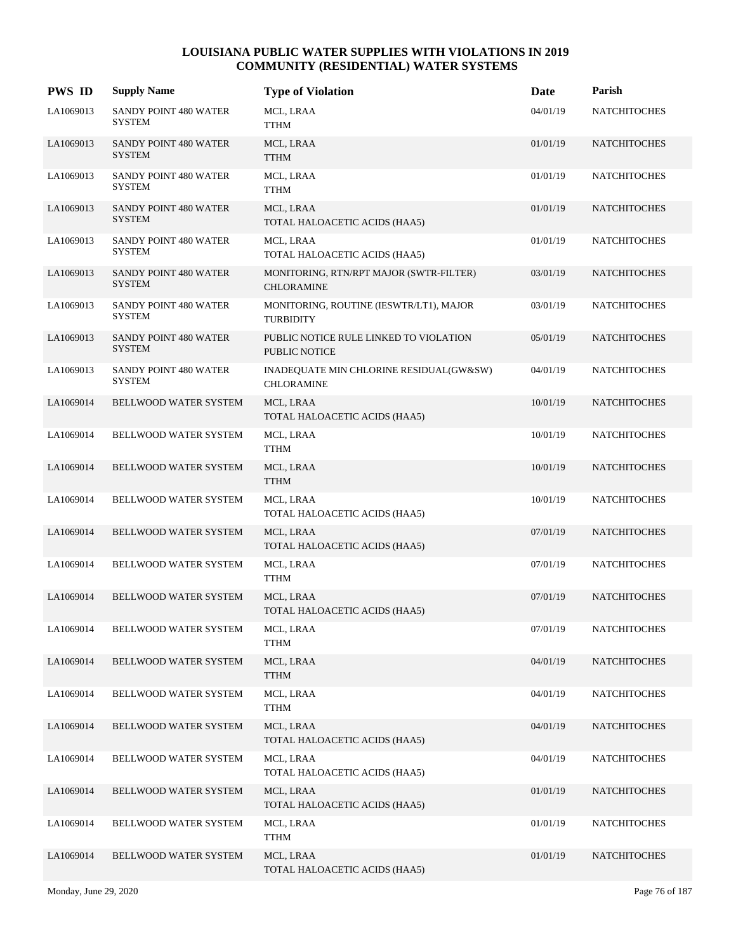| <b>PWS ID</b> | <b>Supply Name</b>                            | <b>Type of Violation</b>                                       | Date     | Parish              |
|---------------|-----------------------------------------------|----------------------------------------------------------------|----------|---------------------|
| LA1069013     | SANDY POINT 480 WATER<br><b>SYSTEM</b>        | MCL, LRAA<br><b>TTHM</b>                                       | 04/01/19 | <b>NATCHITOCHES</b> |
| LA1069013     | <b>SANDY POINT 480 WATER</b><br><b>SYSTEM</b> | MCL, LRAA<br><b>TTHM</b>                                       | 01/01/19 | <b>NATCHITOCHES</b> |
| LA1069013     | SANDY POINT 480 WATER<br><b>SYSTEM</b>        | MCL, LRAA<br><b>TTHM</b>                                       | 01/01/19 | <b>NATCHITOCHES</b> |
| LA1069013     | SANDY POINT 480 WATER<br><b>SYSTEM</b>        | MCL, LRAA<br>TOTAL HALOACETIC ACIDS (HAA5)                     | 01/01/19 | <b>NATCHITOCHES</b> |
| LA1069013     | SANDY POINT 480 WATER<br><b>SYSTEM</b>        | MCL, LRAA<br>TOTAL HALOACETIC ACIDS (HAA5)                     | 01/01/19 | <b>NATCHITOCHES</b> |
| LA1069013     | SANDY POINT 480 WATER<br><b>SYSTEM</b>        | MONITORING, RTN/RPT MAJOR (SWTR-FILTER)<br><b>CHLORAMINE</b>   | 03/01/19 | <b>NATCHITOCHES</b> |
| LA1069013     | SANDY POINT 480 WATER<br><b>SYSTEM</b>        | MONITORING, ROUTINE (IESWTR/LT1), MAJOR<br><b>TURBIDITY</b>    | 03/01/19 | <b>NATCHITOCHES</b> |
| LA1069013     | <b>SANDY POINT 480 WATER</b><br><b>SYSTEM</b> | PUBLIC NOTICE RULE LINKED TO VIOLATION<br><b>PUBLIC NOTICE</b> | 05/01/19 | <b>NATCHITOCHES</b> |
| LA1069013     | SANDY POINT 480 WATER<br><b>SYSTEM</b>        | INADEQUATE MIN CHLORINE RESIDUAL(GW&SW)<br><b>CHLORAMINE</b>   | 04/01/19 | <b>NATCHITOCHES</b> |
| LA1069014     | <b>BELLWOOD WATER SYSTEM</b>                  | MCL, LRAA<br>TOTAL HALOACETIC ACIDS (HAA5)                     | 10/01/19 | <b>NATCHITOCHES</b> |
| LA1069014     | BELLWOOD WATER SYSTEM                         | MCL, LRAA<br><b>TTHM</b>                                       | 10/01/19 | <b>NATCHITOCHES</b> |
| LA1069014     | BELLWOOD WATER SYSTEM                         | MCL, LRAA<br><b>TTHM</b>                                       | 10/01/19 | <b>NATCHITOCHES</b> |
| LA1069014     | BELLWOOD WATER SYSTEM                         | MCL, LRAA<br>TOTAL HALOACETIC ACIDS (HAA5)                     | 10/01/19 | <b>NATCHITOCHES</b> |
| LA1069014     | BELLWOOD WATER SYSTEM                         | MCL, LRAA<br>TOTAL HALOACETIC ACIDS (HAA5)                     | 07/01/19 | <b>NATCHITOCHES</b> |
| LA1069014     | BELLWOOD WATER SYSTEM                         | MCL, LRAA<br>TTHM                                              | 07/01/19 | <b>NATCHITOCHES</b> |
| LA1069014     | BELLWOOD WATER SYSTEM                         | MCL, LRAA<br>TOTAL HALOACETIC ACIDS (HAA5)                     | 07/01/19 | <b>NATCHITOCHES</b> |
| LA1069014     | BELLWOOD WATER SYSTEM                         | MCL, LRAA<br><b>TTHM</b>                                       | 07/01/19 | <b>NATCHITOCHES</b> |
| LA1069014     | BELLWOOD WATER SYSTEM                         | MCL, LRAA<br><b>TTHM</b>                                       | 04/01/19 | <b>NATCHITOCHES</b> |
| LA1069014     | BELLWOOD WATER SYSTEM                         | MCL, LRAA<br><b>TTHM</b>                                       | 04/01/19 | <b>NATCHITOCHES</b> |
| LA1069014     | BELLWOOD WATER SYSTEM                         | MCL, LRAA<br>TOTAL HALOACETIC ACIDS (HAA5)                     | 04/01/19 | <b>NATCHITOCHES</b> |
| LA1069014     | BELLWOOD WATER SYSTEM                         | MCL, LRAA<br>TOTAL HALOACETIC ACIDS (HAA5)                     | 04/01/19 | <b>NATCHITOCHES</b> |
| LA1069014     | BELLWOOD WATER SYSTEM                         | MCL, LRAA<br>TOTAL HALOACETIC ACIDS (HAA5)                     | 01/01/19 | <b>NATCHITOCHES</b> |
| LA1069014     | BELLWOOD WATER SYSTEM                         | MCL, LRAA<br><b>TTHM</b>                                       | 01/01/19 | <b>NATCHITOCHES</b> |
| LA1069014     | BELLWOOD WATER SYSTEM                         | MCL, LRAA<br>TOTAL HALOACETIC ACIDS (HAA5)                     | 01/01/19 | <b>NATCHITOCHES</b> |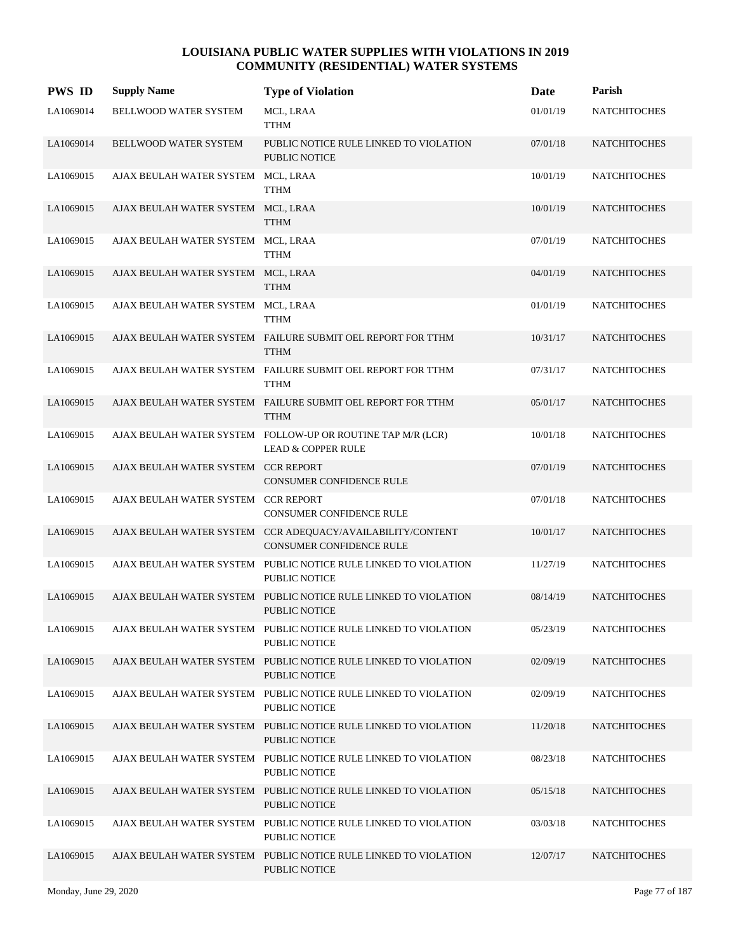| <b>PWS ID</b> | <b>Supply Name</b>                 | <b>Type of Violation</b>                                                                     | Date     | Parish              |
|---------------|------------------------------------|----------------------------------------------------------------------------------------------|----------|---------------------|
| LA1069014     | <b>BELLWOOD WATER SYSTEM</b>       | MCL, LRAA<br><b>TTHM</b>                                                                     | 01/01/19 | <b>NATCHITOCHES</b> |
| LA1069014     | BELLWOOD WATER SYSTEM              | PUBLIC NOTICE RULE LINKED TO VIOLATION<br><b>PUBLIC NOTICE</b>                               | 07/01/18 | <b>NATCHITOCHES</b> |
| LA1069015     | AJAX BEULAH WATER SYSTEM MCL, LRAA | <b>TTHM</b>                                                                                  | 10/01/19 | <b>NATCHITOCHES</b> |
| LA1069015     | AJAX BEULAH WATER SYSTEM MCL, LRAA | <b>TTHM</b>                                                                                  | 10/01/19 | <b>NATCHITOCHES</b> |
| LA1069015     | AJAX BEULAH WATER SYSTEM MCL, LRAA | <b>TTHM</b>                                                                                  | 07/01/19 | <b>NATCHITOCHES</b> |
| LA1069015     | AJAX BEULAH WATER SYSTEM MCL, LRAA | <b>TTHM</b>                                                                                  | 04/01/19 | <b>NATCHITOCHES</b> |
| LA1069015     | AJAX BEULAH WATER SYSTEM MCL, LRAA | <b>TTHM</b>                                                                                  | 01/01/19 | <b>NATCHITOCHES</b> |
| LA1069015     |                                    | AJAX BEULAH WATER SYSTEM FAILURE SUBMIT OEL REPORT FOR TTHM<br><b>TTHM</b>                   | 10/31/17 | <b>NATCHITOCHES</b> |
| LA1069015     |                                    | AJAX BEULAH WATER SYSTEM FAILURE SUBMIT OEL REPORT FOR TTHM<br><b>TTHM</b>                   | 07/31/17 | <b>NATCHITOCHES</b> |
| LA1069015     |                                    | AJAX BEULAH WATER SYSTEM FAILURE SUBMIT OEL REPORT FOR TTHM<br><b>TTHM</b>                   | 05/01/17 | <b>NATCHITOCHES</b> |
| LA1069015     |                                    | AJAX BEULAH WATER SYSTEM FOLLOW-UP OR ROUTINE TAP M/R (LCR)<br><b>LEAD &amp; COPPER RULE</b> | 10/01/18 | <b>NATCHITOCHES</b> |
| LA1069015     | AJAX BEULAH WATER SYSTEM           | <b>CCR REPORT</b><br><b>CONSUMER CONFIDENCE RULE</b>                                         | 07/01/19 | <b>NATCHITOCHES</b> |
| LA1069015     | AJAX BEULAH WATER SYSTEM           | <b>CCR REPORT</b><br>CONSUMER CONFIDENCE RULE                                                | 07/01/18 | <b>NATCHITOCHES</b> |
| LA1069015     | AJAX BEULAH WATER SYSTEM           | CCR ADEQUACY/AVAILABILITY/CONTENT<br>CONSUMER CONFIDENCE RULE                                | 10/01/17 | <b>NATCHITOCHES</b> |
| LA1069015     |                                    | AJAX BEULAH WATER SYSTEM PUBLIC NOTICE RULE LINKED TO VIOLATION<br><b>PUBLIC NOTICE</b>      | 11/27/19 | <b>NATCHITOCHES</b> |
| LA1069015     |                                    | AJAX BEULAH WATER SYSTEM PUBLIC NOTICE RULE LINKED TO VIOLATION<br><b>PUBLIC NOTICE</b>      | 08/14/19 | <b>NATCHITOCHES</b> |
| LA1069015     |                                    | AJAX BEULAH WATER SYSTEM PUBLIC NOTICE RULE LINKED TO VIOLATION<br><b>PUBLIC NOTICE</b>      | 05/23/19 | <b>NATCHITOCHES</b> |
| LA1069015     |                                    | AJAX BEULAH WATER SYSTEM PUBLIC NOTICE RULE LINKED TO VIOLATION<br>PUBLIC NOTICE             | 02/09/19 | <b>NATCHITOCHES</b> |
| LA1069015     |                                    | AJAX BEULAH WATER SYSTEM PUBLIC NOTICE RULE LINKED TO VIOLATION<br>PUBLIC NOTICE             | 02/09/19 | <b>NATCHITOCHES</b> |
| LA1069015     |                                    | AJAX BEULAH WATER SYSTEM PUBLIC NOTICE RULE LINKED TO VIOLATION<br><b>PUBLIC NOTICE</b>      | 11/20/18 | <b>NATCHITOCHES</b> |
| LA1069015     |                                    | AJAX BEULAH WATER SYSTEM PUBLIC NOTICE RULE LINKED TO VIOLATION<br><b>PUBLIC NOTICE</b>      | 08/23/18 | <b>NATCHITOCHES</b> |
| LA1069015     |                                    | AJAX BEULAH WATER SYSTEM PUBLIC NOTICE RULE LINKED TO VIOLATION<br>PUBLIC NOTICE             | 05/15/18 | <b>NATCHITOCHES</b> |
| LA1069015     |                                    | AJAX BEULAH WATER SYSTEM PUBLIC NOTICE RULE LINKED TO VIOLATION<br>PUBLIC NOTICE             | 03/03/18 | <b>NATCHITOCHES</b> |
| LA1069015     |                                    | AJAX BEULAH WATER SYSTEM PUBLIC NOTICE RULE LINKED TO VIOLATION<br><b>PUBLIC NOTICE</b>      | 12/07/17 | <b>NATCHITOCHES</b> |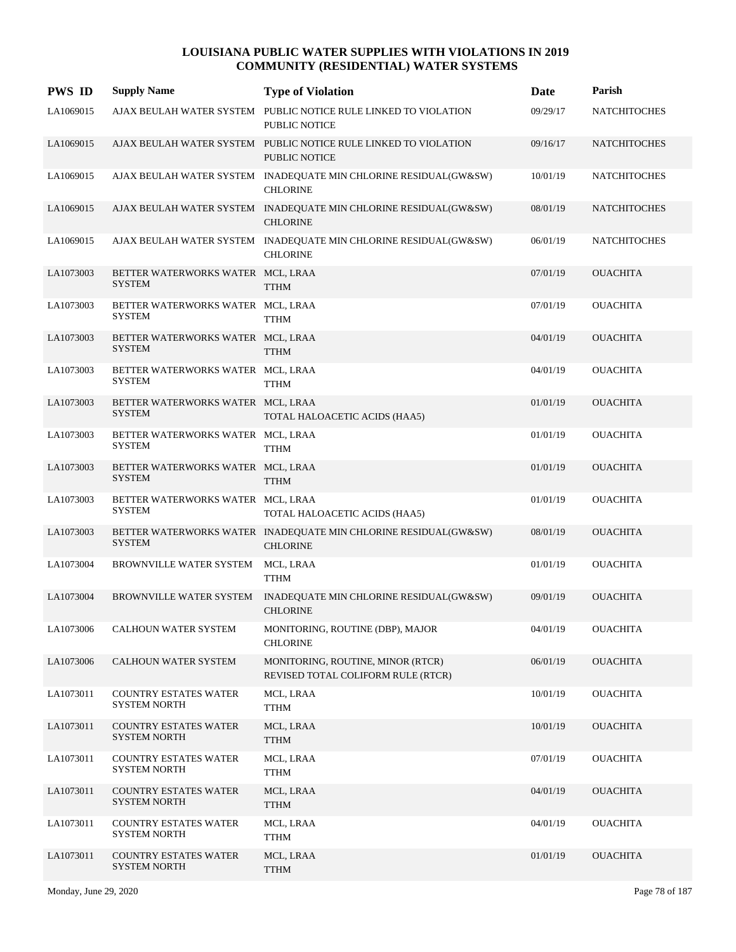| <b>PWS ID</b> | <b>Supply Name</b>                                  | <b>Type of Violation</b>                                                                | <b>Date</b> | Parish              |
|---------------|-----------------------------------------------------|-----------------------------------------------------------------------------------------|-------------|---------------------|
| LA1069015     |                                                     | AJAX BEULAH WATER SYSTEM PUBLIC NOTICE RULE LINKED TO VIOLATION<br><b>PUBLIC NOTICE</b> | 09/29/17    | <b>NATCHITOCHES</b> |
| LA1069015     |                                                     | AJAX BEULAH WATER SYSTEM PUBLIC NOTICE RULE LINKED TO VIOLATION<br><b>PUBLIC NOTICE</b> | 09/16/17    | <b>NATCHITOCHES</b> |
| LA1069015     |                                                     | AJAX BEULAH WATER SYSTEM INADEQUATE MIN CHLORINE RESIDUAL(GW&SW)<br><b>CHLORINE</b>     | 10/01/19    | <b>NATCHITOCHES</b> |
| LA1069015     |                                                     | AJAX BEULAH WATER SYSTEM INADEQUATE MIN CHLORINE RESIDUAL(GW&SW)<br><b>CHLORINE</b>     | 08/01/19    | <b>NATCHITOCHES</b> |
| LA1069015     |                                                     | AJAX BEULAH WATER SYSTEM INADEQUATE MIN CHLORINE RESIDUAL(GW&SW)<br><b>CHLORINE</b>     | 06/01/19    | <b>NATCHITOCHES</b> |
| LA1073003     | BETTER WATERWORKS WATER MCL, LRAA<br><b>SYSTEM</b>  | <b>TTHM</b>                                                                             | 07/01/19    | <b>OUACHITA</b>     |
| LA1073003     | BETTER WATERWORKS WATER MCL, LRAA<br><b>SYSTEM</b>  | <b>TTHM</b>                                                                             | 07/01/19    | <b>OUACHITA</b>     |
| LA1073003     | BETTER WATERWORKS WATER MCL, LRAA<br><b>SYSTEM</b>  | <b>TTHM</b>                                                                             | 04/01/19    | <b>OUACHITA</b>     |
| LA1073003     | BETTER WATERWORKS WATER MCL, LRAA<br><b>SYSTEM</b>  | <b>TTHM</b>                                                                             | 04/01/19    | <b>OUACHITA</b>     |
| LA1073003     | BETTER WATERWORKS WATER MCL, LRAA<br><b>SYSTEM</b>  | TOTAL HALOACETIC ACIDS (HAA5)                                                           | 01/01/19    | <b>OUACHITA</b>     |
| LA1073003     | BETTER WATERWORKS WATER MCL, LRAA<br><b>SYSTEM</b>  | <b>TTHM</b>                                                                             | 01/01/19    | <b>OUACHITA</b>     |
| LA1073003     | BETTER WATERWORKS WATER MCL, LRAA<br><b>SYSTEM</b>  | <b>TTHM</b>                                                                             | 01/01/19    | <b>OUACHITA</b>     |
| LA1073003     | BETTER WATERWORKS WATER MCL, LRAA<br><b>SYSTEM</b>  | TOTAL HALOACETIC ACIDS (HAA5)                                                           | 01/01/19    | <b>OUACHITA</b>     |
| LA1073003     | <b>SYSTEM</b>                                       | BETTER WATERWORKS WATER INADEQUATE MIN CHLORINE RESIDUAL(GW&SW)<br><b>CHLORINE</b>      | 08/01/19    | <b>OUACHITA</b>     |
| LA1073004     | BROWNVILLE WATER SYSTEM                             | MCL, LRAA<br><b>TTHM</b>                                                                | 01/01/19    | <b>OUACHITA</b>     |
| LA1073004     | BROWNVILLE WATER SYSTEM                             | INADEQUATE MIN CHLORINE RESIDUAL(GW&SW)<br><b>CHLORINE</b>                              | 09/01/19    | <b>OUACHITA</b>     |
| LA1073006     | CALHOUN WATER SYSTEM                                | MONITORING, ROUTINE (DBP), MAJOR<br><b>CHLORINE</b>                                     | 04/01/19    | <b>OUACHITA</b>     |
| LA1073006     | CALHOUN WATER SYSTEM                                | MONITORING, ROUTINE, MINOR (RTCR)<br>REVISED TOTAL COLIFORM RULE (RTCR)                 | 06/01/19    | <b>OUACHITA</b>     |
| LA1073011     | <b>COUNTRY ESTATES WATER</b><br><b>SYSTEM NORTH</b> | MCL, LRAA<br><b>TTHM</b>                                                                | 10/01/19    | <b>OUACHITA</b>     |
| LA1073011     | <b>COUNTRY ESTATES WATER</b><br><b>SYSTEM NORTH</b> | MCL, LRAA<br><b>TTHM</b>                                                                | 10/01/19    | <b>OUACHITA</b>     |
| LA1073011     | <b>COUNTRY ESTATES WATER</b><br><b>SYSTEM NORTH</b> | MCL, LRAA<br><b>TTHM</b>                                                                | 07/01/19    | <b>OUACHITA</b>     |
| LA1073011     | <b>COUNTRY ESTATES WATER</b><br><b>SYSTEM NORTH</b> | MCL, LRAA<br><b>TTHM</b>                                                                | 04/01/19    | <b>OUACHITA</b>     |
| LA1073011     | <b>COUNTRY ESTATES WATER</b><br><b>SYSTEM NORTH</b> | MCL, LRAA<br><b>TTHM</b>                                                                | 04/01/19    | <b>OUACHITA</b>     |
| LA1073011     | <b>COUNTRY ESTATES WATER</b><br><b>SYSTEM NORTH</b> | MCL, LRAA<br><b>TTHM</b>                                                                | 01/01/19    | <b>OUACHITA</b>     |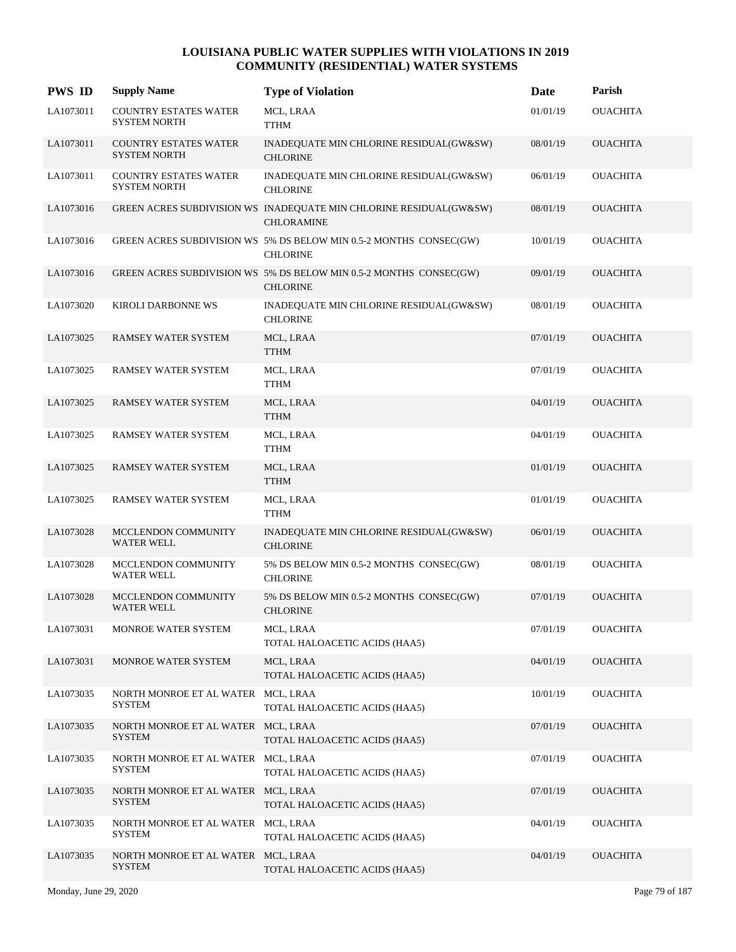| <b>PWS ID</b> | <b>Supply Name</b>                                  | <b>Type of Violation</b>                                                                | Date     | Parish          |
|---------------|-----------------------------------------------------|-----------------------------------------------------------------------------------------|----------|-----------------|
| LA1073011     | <b>COUNTRY ESTATES WATER</b><br>SYSTEM NORTH        | MCL, LRAA<br><b>TTHM</b>                                                                | 01/01/19 | <b>OUACHITA</b> |
| LA1073011     | <b>COUNTRY ESTATES WATER</b><br><b>SYSTEM NORTH</b> | INADEQUATE MIN CHLORINE RESIDUAL(GW&SW)<br><b>CHLORINE</b>                              | 08/01/19 | <b>OUACHITA</b> |
| LA1073011     | <b>COUNTRY ESTATES WATER</b><br><b>SYSTEM NORTH</b> | INADEQUATE MIN CHLORINE RESIDUAL(GW&SW)<br><b>CHLORINE</b>                              | 06/01/19 | <b>OUACHITA</b> |
| LA1073016     |                                                     | GREEN ACRES SUBDIVISION WS INADEQUATE MIN CHLORINE RESIDUAL(GW&SW)<br><b>CHLORAMINE</b> | 08/01/19 | <b>OUACHITA</b> |
| LA1073016     |                                                     | GREEN ACRES SUBDIVISION WS 5% DS BELOW MIN 0.5-2 MONTHS CONSEC(GW)<br><b>CHLORINE</b>   | 10/01/19 | <b>OUACHITA</b> |
| LA1073016     |                                                     | GREEN ACRES SUBDIVISION WS 5% DS BELOW MIN 0.5-2 MONTHS CONSEC(GW)<br><b>CHLORINE</b>   | 09/01/19 | <b>OUACHITA</b> |
| LA1073020     | KIROLI DARBONNE WS                                  | INADEQUATE MIN CHLORINE RESIDUAL(GW&SW)<br><b>CHLORINE</b>                              | 08/01/19 | <b>OUACHITA</b> |
| LA1073025     | <b>RAMSEY WATER SYSTEM</b>                          | MCL, LRAA<br><b>TTHM</b>                                                                | 07/01/19 | <b>OUACHITA</b> |
| LA1073025     | RAMSEY WATER SYSTEM                                 | MCL, LRAA<br><b>TTHM</b>                                                                | 07/01/19 | <b>OUACHITA</b> |
| LA1073025     | RAMSEY WATER SYSTEM                                 | MCL, LRAA<br><b>TTHM</b>                                                                | 04/01/19 | <b>OUACHITA</b> |
| LA1073025     | RAMSEY WATER SYSTEM                                 | MCL, LRAA<br><b>TTHM</b>                                                                | 04/01/19 | <b>OUACHITA</b> |
| LA1073025     | <b>RAMSEY WATER SYSTEM</b>                          | MCL, LRAA<br><b>TTHM</b>                                                                | 01/01/19 | <b>OUACHITA</b> |
| LA1073025     | RAMSEY WATER SYSTEM                                 | MCL, LRAA<br><b>TTHM</b>                                                                | 01/01/19 | <b>OUACHITA</b> |
| LA1073028     | MCCLENDON COMMUNITY<br><b>WATER WELL</b>            | INADEQUATE MIN CHLORINE RESIDUAL(GW&SW)<br><b>CHLORINE</b>                              | 06/01/19 | <b>OUACHITA</b> |
| LA1073028     | MCCLENDON COMMUNITY<br><b>WATER WELL</b>            | 5% DS BELOW MIN 0.5-2 MONTHS CONSEC(GW)<br><b>CHLORINE</b>                              | 08/01/19 | <b>OUACHITA</b> |
| LA1073028     | MCCLENDON COMMUNITY<br><b>WATER WELL</b>            | 5% DS BELOW MIN 0.5-2 MONTHS CONSEC(GW)<br><b>CHLORINE</b>                              | 07/01/19 | <b>OUACHITA</b> |
| LA1073031     | MONROE WATER SYSTEM                                 | MCL, LRAA<br>TOTAL HALOACETIC ACIDS (HAA5)                                              | 07/01/19 | <b>OUACHITA</b> |
| LA1073031     | MONROE WATER SYSTEM                                 | MCL, LRAA<br>TOTAL HALOACETIC ACIDS (HAA5)                                              | 04/01/19 | <b>OUACHITA</b> |
| LA1073035     | NORTH MONROE ET AL WATER MCL, LRAA<br><b>SYSTEM</b> | TOTAL HALOACETIC ACIDS (HAA5)                                                           | 10/01/19 | <b>OUACHITA</b> |
| LA1073035     | NORTH MONROE ET AL WATER MCL, LRAA<br><b>SYSTEM</b> | TOTAL HALOACETIC ACIDS (HAA5)                                                           | 07/01/19 | <b>OUACHITA</b> |
| LA1073035     | NORTH MONROE ET AL WATER MCL, LRAA<br><b>SYSTEM</b> | TOTAL HALOACETIC ACIDS (HAA5)                                                           | 07/01/19 | <b>OUACHITA</b> |
| LA1073035     | NORTH MONROE ET AL WATER MCL, LRAA<br><b>SYSTEM</b> | TOTAL HALOACETIC ACIDS (HAA5)                                                           | 07/01/19 | <b>OUACHITA</b> |
| LA1073035     | NORTH MONROE ET AL WATER MCL, LRAA<br><b>SYSTEM</b> | TOTAL HALOACETIC ACIDS (HAA5)                                                           | 04/01/19 | <b>OUACHITA</b> |
| LA1073035     | NORTH MONROE ET AL WATER MCL, LRAA<br><b>SYSTEM</b> | TOTAL HALOACETIC ACIDS (HAA5)                                                           | 04/01/19 | <b>OUACHITA</b> |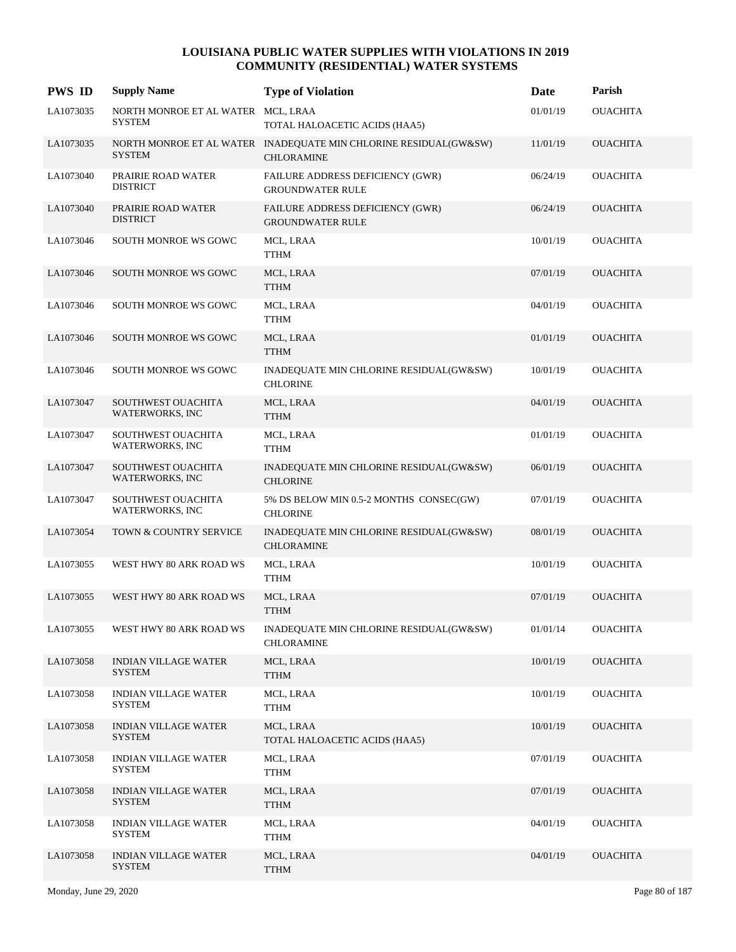| <b>PWS ID</b> | <b>Supply Name</b>                                  | <b>Type of Violation</b>                                                              | Date     | Parish          |
|---------------|-----------------------------------------------------|---------------------------------------------------------------------------------------|----------|-----------------|
| LA1073035     | NORTH MONROE ET AL WATER MCL, LRAA<br><b>SYSTEM</b> | TOTAL HALOACETIC ACIDS (HAA5)                                                         | 01/01/19 | <b>OUACHITA</b> |
| LA1073035     | <b>SYSTEM</b>                                       | NORTH MONROE ET AL WATER INADEQUATE MIN CHLORINE RESIDUAL(GW&SW)<br><b>CHLORAMINE</b> | 11/01/19 | <b>OUACHITA</b> |
| LA1073040     | PRAIRIE ROAD WATER<br><b>DISTRICT</b>               | FAILURE ADDRESS DEFICIENCY (GWR)<br><b>GROUNDWATER RULE</b>                           | 06/24/19 | <b>OUACHITA</b> |
| LA1073040     | PRAIRIE ROAD WATER<br><b>DISTRICT</b>               | FAILURE ADDRESS DEFICIENCY (GWR)<br><b>GROUNDWATER RULE</b>                           | 06/24/19 | <b>OUACHITA</b> |
| LA1073046     | SOUTH MONROE WS GOWC                                | MCL, LRAA<br>TTHM                                                                     | 10/01/19 | <b>OUACHITA</b> |
| LA1073046     | SOUTH MONROE WS GOWC                                | MCL, LRAA<br><b>TTHM</b>                                                              | 07/01/19 | <b>OUACHITA</b> |
| LA1073046     | SOUTH MONROE WS GOWC                                | MCL, LRAA<br><b>TTHM</b>                                                              | 04/01/19 | <b>OUACHITA</b> |
| LA1073046     | <b>SOUTH MONROE WS GOWC</b>                         | MCL, LRAA<br><b>TTHM</b>                                                              | 01/01/19 | <b>OUACHITA</b> |
| LA1073046     | SOUTH MONROE WS GOWC                                | INADEQUATE MIN CHLORINE RESIDUAL(GW&SW)<br><b>CHLORINE</b>                            | 10/01/19 | <b>OUACHITA</b> |
| LA1073047     | SOUTHWEST OUACHITA<br>WATERWORKS, INC               | MCL, LRAA<br><b>TTHM</b>                                                              | 04/01/19 | <b>OUACHITA</b> |
| LA1073047     | SOUTHWEST OUACHITA<br>WATERWORKS, INC               | MCL, LRAA<br>TTHM                                                                     | 01/01/19 | <b>OUACHITA</b> |
| LA1073047     | SOUTHWEST OUACHITA<br>WATERWORKS, INC               | INADEQUATE MIN CHLORINE RESIDUAL(GW&SW)<br><b>CHLORINE</b>                            | 06/01/19 | <b>OUACHITA</b> |
| LA1073047     | SOUTHWEST OUACHITA<br>WATERWORKS, INC               | 5% DS BELOW MIN 0.5-2 MONTHS CONSEC(GW)<br><b>CHLORINE</b>                            | 07/01/19 | <b>OUACHITA</b> |
| LA1073054     | TOWN & COUNTRY SERVICE                              | INADEQUATE MIN CHLORINE RESIDUAL(GW&SW)<br><b>CHLORAMINE</b>                          | 08/01/19 | <b>OUACHITA</b> |
| LA1073055     | WEST HWY 80 ARK ROAD WS                             | MCL, LRAA<br><b>TTHM</b>                                                              | 10/01/19 | <b>OUACHITA</b> |
| LA1073055     | WEST HWY 80 ARK ROAD WS                             | MCL, LRAA<br><b>TTHM</b>                                                              | 07/01/19 | <b>OUACHITA</b> |
| LA1073055     | WEST HWY 80 ARK ROAD WS                             | INADEQUATE MIN CHLORINE RESIDUAL(GW&SW)<br><b>CHLORAMINE</b>                          | 01/01/14 | <b>OUACHITA</b> |
| LA1073058     | <b>INDIAN VILLAGE WATER</b><br><b>SYSTEM</b>        | MCL, LRAA<br><b>TTHM</b>                                                              | 10/01/19 | <b>OUACHITA</b> |
| LA1073058     | <b>INDIAN VILLAGE WATER</b><br><b>SYSTEM</b>        | MCL, LRAA<br><b>TTHM</b>                                                              | 10/01/19 | <b>OUACHITA</b> |
| LA1073058     | <b>INDIAN VILLAGE WATER</b><br><b>SYSTEM</b>        | MCL, LRAA<br>TOTAL HALOACETIC ACIDS (HAA5)                                            | 10/01/19 | <b>OUACHITA</b> |
| LA1073058     | <b>INDIAN VILLAGE WATER</b><br><b>SYSTEM</b>        | MCL, LRAA<br><b>TTHM</b>                                                              | 07/01/19 | <b>OUACHITA</b> |
| LA1073058     | <b>INDIAN VILLAGE WATER</b><br>SYSTEM               | MCL, LRAA<br><b>TTHM</b>                                                              | 07/01/19 | <b>OUACHITA</b> |
| LA1073058     | <b>INDIAN VILLAGE WATER</b><br>SYSTEM               | MCL, LRAA<br><b>TTHM</b>                                                              | 04/01/19 | <b>OUACHITA</b> |
| LA1073058     | <b>INDIAN VILLAGE WATER</b><br><b>SYSTEM</b>        | MCL, LRAA<br><b>TTHM</b>                                                              | 04/01/19 | <b>OUACHITA</b> |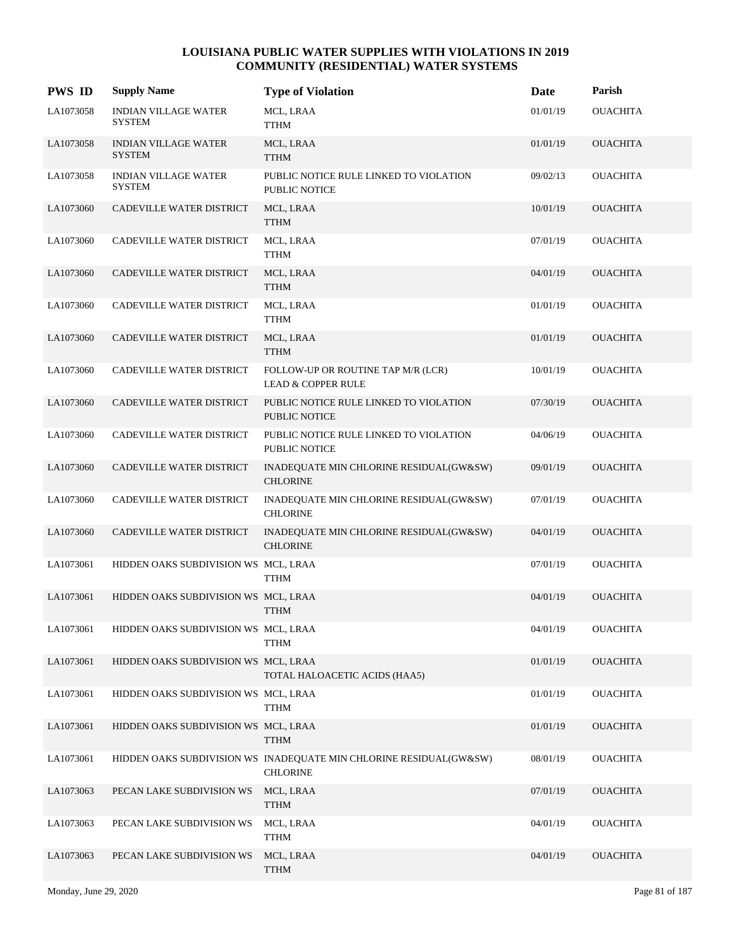| <b>PWS ID</b> | <b>Supply Name</b>                           | <b>Type of Violation</b>                                                              | Date     | Parish          |
|---------------|----------------------------------------------|---------------------------------------------------------------------------------------|----------|-----------------|
| LA1073058     | <b>INDIAN VILLAGE WATER</b><br><b>SYSTEM</b> | MCL, LRAA<br>TTHM                                                                     | 01/01/19 | <b>OUACHITA</b> |
| LA1073058     | <b>INDIAN VILLAGE WATER</b><br><b>SYSTEM</b> | MCL, LRAA<br><b>TTHM</b>                                                              | 01/01/19 | <b>OUACHITA</b> |
| LA1073058     | <b>INDIAN VILLAGE WATER</b><br><b>SYSTEM</b> | PUBLIC NOTICE RULE LINKED TO VIOLATION<br><b>PUBLIC NOTICE</b>                        | 09/02/13 | <b>OUACHITA</b> |
| LA1073060     | CADEVILLE WATER DISTRICT                     | MCL, LRAA<br><b>TTHM</b>                                                              | 10/01/19 | <b>OUACHITA</b> |
| LA1073060     | CADEVILLE WATER DISTRICT                     | MCL, LRAA<br><b>TTHM</b>                                                              | 07/01/19 | <b>OUACHITA</b> |
| LA1073060     | CADEVILLE WATER DISTRICT                     | MCL, LRAA<br><b>TTHM</b>                                                              | 04/01/19 | <b>OUACHITA</b> |
| LA1073060     | CADEVILLE WATER DISTRICT                     | MCL, LRAA<br><b>TTHM</b>                                                              | 01/01/19 | <b>OUACHITA</b> |
| LA1073060     | CADEVILLE WATER DISTRICT                     | MCL, LRAA<br><b>TTHM</b>                                                              | 01/01/19 | <b>OUACHITA</b> |
| LA1073060     | CADEVILLE WATER DISTRICT                     | FOLLOW-UP OR ROUTINE TAP M/R (LCR)<br><b>LEAD &amp; COPPER RULE</b>                   | 10/01/19 | <b>OUACHITA</b> |
| LA1073060     | CADEVILLE WATER DISTRICT                     | PUBLIC NOTICE RULE LINKED TO VIOLATION<br>PUBLIC NOTICE                               | 07/30/19 | <b>OUACHITA</b> |
| LA1073060     | CADEVILLE WATER DISTRICT                     | PUBLIC NOTICE RULE LINKED TO VIOLATION<br>PUBLIC NOTICE                               | 04/06/19 | <b>OUACHITA</b> |
| LA1073060     | CADEVILLE WATER DISTRICT                     | INADEQUATE MIN CHLORINE RESIDUAL(GW&SW)<br><b>CHLORINE</b>                            | 09/01/19 | <b>OUACHITA</b> |
| LA1073060     | CADEVILLE WATER DISTRICT                     | INADEQUATE MIN CHLORINE RESIDUAL(GW&SW)<br><b>CHLORINE</b>                            | 07/01/19 | <b>OUACHITA</b> |
| LA1073060     | CADEVILLE WATER DISTRICT                     | INADEQUATE MIN CHLORINE RESIDUAL(GW&SW)<br><b>CHLORINE</b>                            | 04/01/19 | <b>OUACHITA</b> |
| LA1073061     | HIDDEN OAKS SUBDIVISION WS MCL, LRAA         | TTHM                                                                                  | 07/01/19 | <b>OUACHITA</b> |
| LA1073061     | HIDDEN OAKS SUBDIVISION WS MCL, LRAA         | <b>TTHM</b>                                                                           | 04/01/19 | <b>OUACHITA</b> |
| LA1073061     | HIDDEN OAKS SUBDIVISION WS MCL, LRAA         | <b>TTHM</b>                                                                           | 04/01/19 | <b>OUACHITA</b> |
| LA1073061     | HIDDEN OAKS SUBDIVISION WS MCL, LRAA         | TOTAL HALOACETIC ACIDS (HAA5)                                                         | 01/01/19 | <b>OUACHITA</b> |
| LA1073061     | HIDDEN OAKS SUBDIVISION WS MCL, LRAA         | <b>TTHM</b>                                                                           | 01/01/19 | <b>OUACHITA</b> |
| LA1073061     | HIDDEN OAKS SUBDIVISION WS MCL, LRAA         | <b>TTHM</b>                                                                           | 01/01/19 | <b>OUACHITA</b> |
| LA1073061     |                                              | HIDDEN OAKS SUBDIVISION WS INADEQUATE MIN CHLORINE RESIDUAL(GW&SW)<br><b>CHLORINE</b> | 08/01/19 | <b>OUACHITA</b> |
| LA1073063     | PECAN LAKE SUBDIVISION WS                    | MCL, LRAA<br><b>TTHM</b>                                                              | 07/01/19 | <b>OUACHITA</b> |
| LA1073063     | PECAN LAKE SUBDIVISION WS                    | MCL, LRAA<br><b>TTHM</b>                                                              | 04/01/19 | <b>OUACHITA</b> |
| LA1073063     | PECAN LAKE SUBDIVISION WS                    | MCL, LRAA<br><b>TTHM</b>                                                              | 04/01/19 | <b>OUACHITA</b> |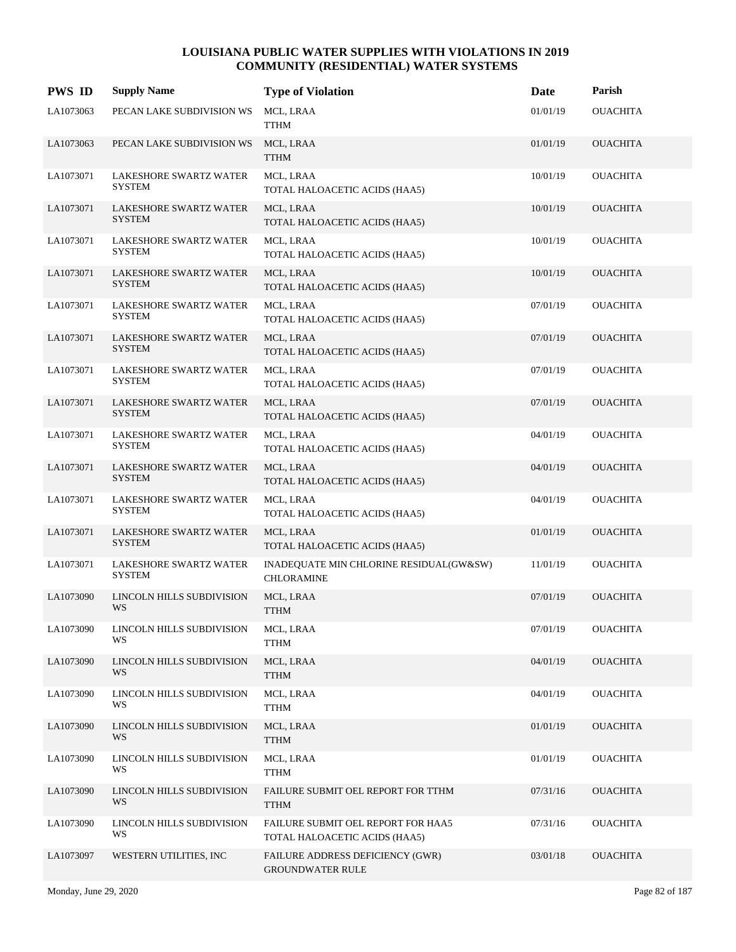| <b>PWS ID</b> | <b>Supply Name</b>                             | <b>Type of Violation</b>                                            | Date     | Parish          |
|---------------|------------------------------------------------|---------------------------------------------------------------------|----------|-----------------|
| LA1073063     | PECAN LAKE SUBDIVISION WS                      | MCL, LRAA<br><b>TTHM</b>                                            | 01/01/19 | <b>OUACHITA</b> |
| LA1073063     | PECAN LAKE SUBDIVISION WS                      | MCL, LRAA<br><b>TTHM</b>                                            | 01/01/19 | <b>OUACHITA</b> |
| LA1073071     | <b>LAKESHORE SWARTZ WATER</b><br><b>SYSTEM</b> | MCL, LRAA<br>TOTAL HALOACETIC ACIDS (HAA5)                          | 10/01/19 | <b>OUACHITA</b> |
| LA1073071     | LAKESHORE SWARTZ WATER<br><b>SYSTEM</b>        | MCL, LRAA<br>TOTAL HALOACETIC ACIDS (HAA5)                          | 10/01/19 | <b>OUACHITA</b> |
| LA1073071     | LAKESHORE SWARTZ WATER<br><b>SYSTEM</b>        | MCL, LRAA<br>TOTAL HALOACETIC ACIDS (HAA5)                          | 10/01/19 | <b>OUACHITA</b> |
| LA1073071     | <b>LAKESHORE SWARTZ WATER</b><br><b>SYSTEM</b> | MCL, LRAA<br>TOTAL HALOACETIC ACIDS (HAA5)                          | 10/01/19 | <b>OUACHITA</b> |
| LA1073071     | LAKESHORE SWARTZ WATER<br><b>SYSTEM</b>        | MCL, LRAA<br>TOTAL HALOACETIC ACIDS (HAA5)                          | 07/01/19 | <b>OUACHITA</b> |
| LA1073071     | <b>LAKESHORE SWARTZ WATER</b><br><b>SYSTEM</b> | MCL, LRAA<br>TOTAL HALOACETIC ACIDS (HAA5)                          | 07/01/19 | <b>OUACHITA</b> |
| LA1073071     | LAKESHORE SWARTZ WATER<br><b>SYSTEM</b>        | MCL, LRAA<br>TOTAL HALOACETIC ACIDS (HAA5)                          | 07/01/19 | <b>OUACHITA</b> |
| LA1073071     | <b>LAKESHORE SWARTZ WATER</b><br><b>SYSTEM</b> | MCL, LRAA<br>TOTAL HALOACETIC ACIDS (HAA5)                          | 07/01/19 | <b>OUACHITA</b> |
| LA1073071     | LAKESHORE SWARTZ WATER<br><b>SYSTEM</b>        | MCL, LRAA<br>TOTAL HALOACETIC ACIDS (HAA5)                          | 04/01/19 | <b>OUACHITA</b> |
| LA1073071     | LAKESHORE SWARTZ WATER<br><b>SYSTEM</b>        | MCL, LRAA<br>TOTAL HALOACETIC ACIDS (HAA5)                          | 04/01/19 | <b>OUACHITA</b> |
| LA1073071     | LAKESHORE SWARTZ WATER<br><b>SYSTEM</b>        | MCL, LRAA<br>TOTAL HALOACETIC ACIDS (HAA5)                          | 04/01/19 | <b>OUACHITA</b> |
| LA1073071     | LAKESHORE SWARTZ WATER<br><b>SYSTEM</b>        | MCL, LRAA<br>TOTAL HALOACETIC ACIDS (HAA5)                          | 01/01/19 | <b>OUACHITA</b> |
| LA1073071     | <b>LAKESHORE SWARTZ WATER</b><br><b>SYSTEM</b> | INADEQUATE MIN CHLORINE RESIDUAL(GW&SW)<br><b>CHLORAMINE</b>        | 11/01/19 | <b>OUACHITA</b> |
| LA1073090     | LINCOLN HILLS SUBDIVISION<br>WS                | MCL, LRAA<br><b>TTHM</b>                                            | 07/01/19 | <b>OUACHITA</b> |
| LA1073090     | LINCOLN HILLS SUBDIVISION<br>WS                | MCL, LRAA<br><b>TTHM</b>                                            | 07/01/19 | <b>OUACHITA</b> |
| LA1073090     | LINCOLN HILLS SUBDIVISION<br>WS                | MCL, LRAA<br><b>TTHM</b>                                            | 04/01/19 | <b>OUACHITA</b> |
| LA1073090     | LINCOLN HILLS SUBDIVISION<br>WS                | MCL, LRAA<br><b>TTHM</b>                                            | 04/01/19 | <b>OUACHITA</b> |
| LA1073090     | LINCOLN HILLS SUBDIVISION<br>WS                | MCL, LRAA<br><b>TTHM</b>                                            | 01/01/19 | <b>OUACHITA</b> |
| LA1073090     | LINCOLN HILLS SUBDIVISION<br>WS                | MCL, LRAA<br><b>TTHM</b>                                            | 01/01/19 | <b>OUACHITA</b> |
| LA1073090     | LINCOLN HILLS SUBDIVISION<br>WS                | FAILURE SUBMIT OEL REPORT FOR TTHM<br><b>TTHM</b>                   | 07/31/16 | <b>OUACHITA</b> |
| LA1073090     | LINCOLN HILLS SUBDIVISION<br>WS                | FAILURE SUBMIT OEL REPORT FOR HAA5<br>TOTAL HALOACETIC ACIDS (HAA5) | 07/31/16 | <b>OUACHITA</b> |
| LA1073097     | WESTERN UTILITIES, INC                         | FAILURE ADDRESS DEFICIENCY (GWR)<br><b>GROUNDWATER RULE</b>         | 03/01/18 | <b>OUACHITA</b> |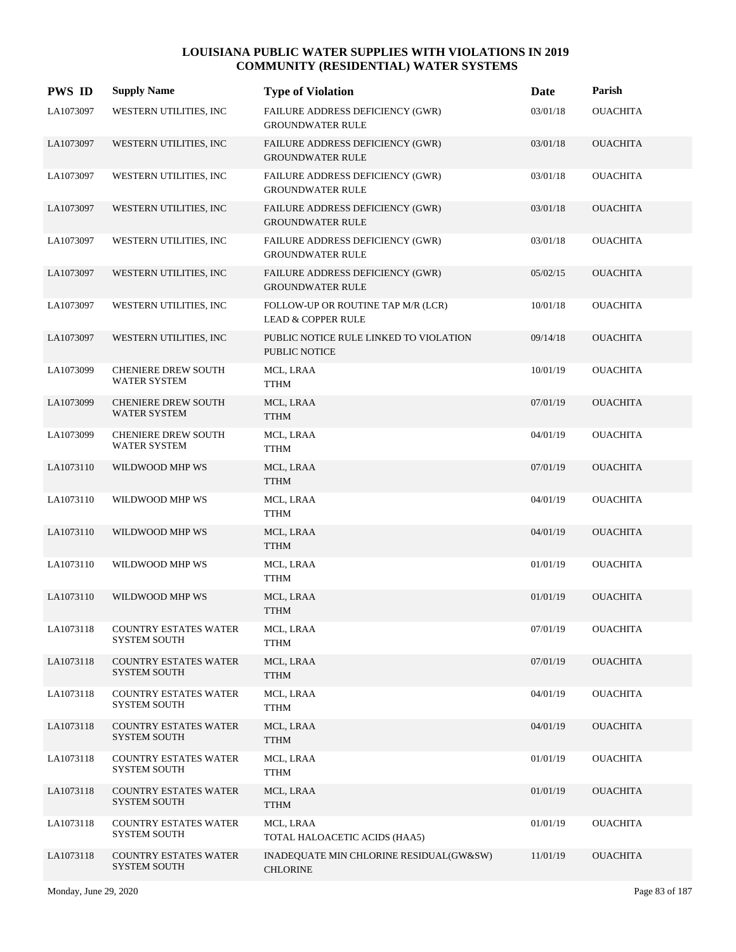| <b>PWS ID</b> | <b>Supply Name</b>                                  | <b>Type of Violation</b>                                            | Date     | Parish          |
|---------------|-----------------------------------------------------|---------------------------------------------------------------------|----------|-----------------|
| LA1073097     | WESTERN UTILITIES, INC                              | FAILURE ADDRESS DEFICIENCY (GWR)<br><b>GROUNDWATER RULE</b>         | 03/01/18 | <b>OUACHITA</b> |
| LA1073097     | WESTERN UTILITIES, INC                              | FAILURE ADDRESS DEFICIENCY (GWR)<br><b>GROUNDWATER RULE</b>         | 03/01/18 | <b>OUACHITA</b> |
| LA1073097     | WESTERN UTILITIES, INC                              | FAILURE ADDRESS DEFICIENCY (GWR)<br><b>GROUNDWATER RULE</b>         | 03/01/18 | <b>OUACHITA</b> |
| LA1073097     | WESTERN UTILITIES, INC                              | FAILURE ADDRESS DEFICIENCY (GWR)<br><b>GROUNDWATER RULE</b>         | 03/01/18 | <b>OUACHITA</b> |
| LA1073097     | WESTERN UTILITIES, INC                              | FAILURE ADDRESS DEFICIENCY (GWR)<br><b>GROUNDWATER RULE</b>         | 03/01/18 | <b>OUACHITA</b> |
| LA1073097     | WESTERN UTILITIES, INC                              | FAILURE ADDRESS DEFICIENCY (GWR)<br><b>GROUNDWATER RULE</b>         | 05/02/15 | <b>OUACHITA</b> |
| LA1073097     | WESTERN UTILITIES, INC                              | FOLLOW-UP OR ROUTINE TAP M/R (LCR)<br><b>LEAD &amp; COPPER RULE</b> | 10/01/18 | <b>OUACHITA</b> |
| LA1073097     | WESTERN UTILITIES, INC                              | PUBLIC NOTICE RULE LINKED TO VIOLATION<br>PUBLIC NOTICE             | 09/14/18 | <b>OUACHITA</b> |
| LA1073099     | <b>CHENIERE DREW SOUTH</b><br>WATER SYSTEM          | MCL, LRAA<br>TTHM                                                   | 10/01/19 | <b>OUACHITA</b> |
| LA1073099     | <b>CHENIERE DREW SOUTH</b><br><b>WATER SYSTEM</b>   | MCL, LRAA<br><b>TTHM</b>                                            | 07/01/19 | <b>OUACHITA</b> |
| LA1073099     | <b>CHENIERE DREW SOUTH</b><br><b>WATER SYSTEM</b>   | MCL, LRAA<br><b>TTHM</b>                                            | 04/01/19 | <b>OUACHITA</b> |
| LA1073110     | WILDWOOD MHP WS                                     | MCL, LRAA<br><b>TTHM</b>                                            | 07/01/19 | <b>OUACHITA</b> |
| LA1073110     | WILDWOOD MHP WS                                     | MCL, LRAA<br>TTHM                                                   | 04/01/19 | <b>OUACHITA</b> |
| LA1073110     | WILDWOOD MHP WS                                     | MCL, LRAA<br><b>TTHM</b>                                            | 04/01/19 | <b>OUACHITA</b> |
| LA1073110     | WILDWOOD MHP WS                                     | MCL, LRAA<br><b>TTHM</b>                                            | 01/01/19 | <b>OUACHITA</b> |
| LA1073110     | WILDWOOD MHP WS                                     | MCL, LRAA<br><b>TTHM</b>                                            | 01/01/19 | <b>OUACHITA</b> |
| LA1073118     | <b>COUNTRY ESTATES WATER</b><br><b>SYSTEM SOUTH</b> | MCL, LRAA<br><b>TTHM</b>                                            | 07/01/19 | <b>OUACHITA</b> |
| LA1073118     | <b>COUNTRY ESTATES WATER</b><br><b>SYSTEM SOUTH</b> | MCL, LRAA<br><b>TTHM</b>                                            | 07/01/19 | <b>OUACHITA</b> |
| LA1073118     | <b>COUNTRY ESTATES WATER</b><br><b>SYSTEM SOUTH</b> | MCL, LRAA<br><b>TTHM</b>                                            | 04/01/19 | <b>OUACHITA</b> |
| LA1073118     | <b>COUNTRY ESTATES WATER</b><br><b>SYSTEM SOUTH</b> | MCL, LRAA<br><b>TTHM</b>                                            | 04/01/19 | <b>OUACHITA</b> |
| LA1073118     | <b>COUNTRY ESTATES WATER</b><br><b>SYSTEM SOUTH</b> | MCL, LRAA<br><b>TTHM</b>                                            | 01/01/19 | <b>OUACHITA</b> |
| LA1073118     | <b>COUNTRY ESTATES WATER</b><br><b>SYSTEM SOUTH</b> | MCL, LRAA<br><b>TTHM</b>                                            | 01/01/19 | <b>OUACHITA</b> |
| LA1073118     | <b>COUNTRY ESTATES WATER</b><br><b>SYSTEM SOUTH</b> | MCL, LRAA<br>TOTAL HALOACETIC ACIDS (HAA5)                          | 01/01/19 | <b>OUACHITA</b> |
| LA1073118     | <b>COUNTRY ESTATES WATER</b><br><b>SYSTEM SOUTH</b> | INADEQUATE MIN CHLORINE RESIDUAL(GW&SW)<br><b>CHLORINE</b>          | 11/01/19 | <b>OUACHITA</b> |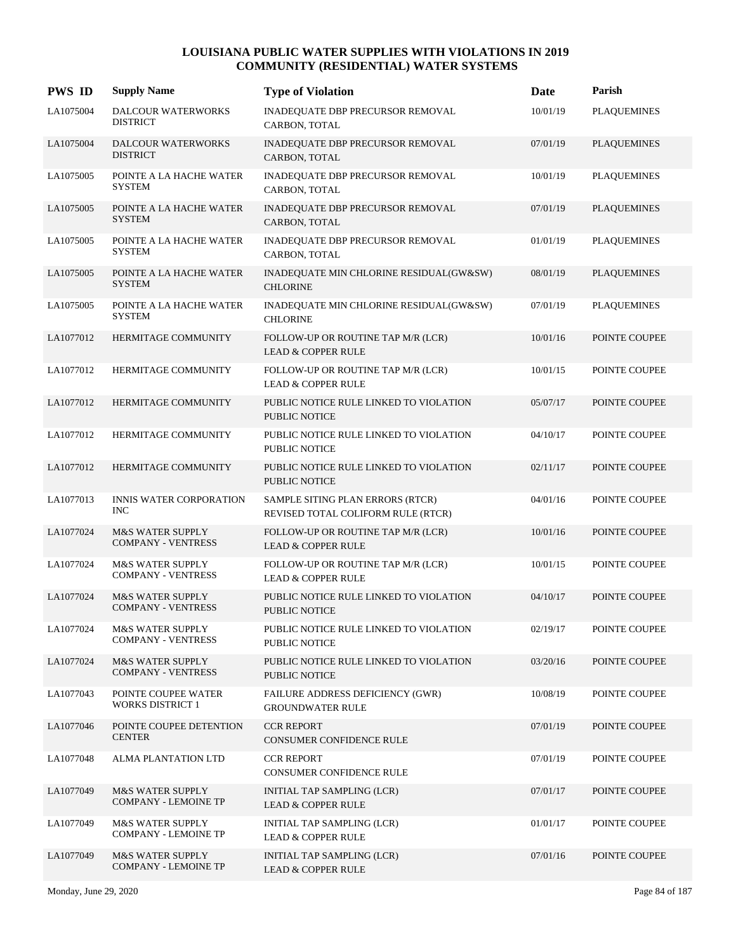| <b>PWS ID</b> | <b>Supply Name</b>                                         | <b>Type of Violation</b>                                               | Date     | Parish             |
|---------------|------------------------------------------------------------|------------------------------------------------------------------------|----------|--------------------|
| LA1075004     | DALCOUR WATERWORKS<br><b>DISTRICT</b>                      | INADEQUATE DBP PRECURSOR REMOVAL<br>CARBON, TOTAL                      | 10/01/19 | <b>PLAQUEMINES</b> |
| LA1075004     | <b>DALCOUR WATERWORKS</b><br><b>DISTRICT</b>               | INADEQUATE DBP PRECURSOR REMOVAL<br>CARBON, TOTAL                      | 07/01/19 | <b>PLAQUEMINES</b> |
| LA1075005     | POINTE A LA HACHE WATER<br><b>SYSTEM</b>                   | INADEQUATE DBP PRECURSOR REMOVAL<br>CARBON, TOTAL                      | 10/01/19 | <b>PLAQUEMINES</b> |
| LA1075005     | POINTE A LA HACHE WATER<br><b>SYSTEM</b>                   | INADEQUATE DBP PRECURSOR REMOVAL<br>CARBON, TOTAL                      | 07/01/19 | <b>PLAQUEMINES</b> |
| LA1075005     | POINTE A LA HACHE WATER<br><b>SYSTEM</b>                   | INADEQUATE DBP PRECURSOR REMOVAL<br>CARBON, TOTAL                      | 01/01/19 | <b>PLAQUEMINES</b> |
| LA1075005     | POINTE A LA HACHE WATER<br><b>SYSTEM</b>                   | INADEQUATE MIN CHLORINE RESIDUAL(GW&SW)<br><b>CHLORINE</b>             | 08/01/19 | <b>PLAQUEMINES</b> |
| LA1075005     | POINTE A LA HACHE WATER<br><b>SYSTEM</b>                   | INADEQUATE MIN CHLORINE RESIDUAL(GW&SW)<br><b>CHLORINE</b>             | 07/01/19 | <b>PLAQUEMINES</b> |
| LA1077012     | HERMITAGE COMMUNITY                                        | FOLLOW-UP OR ROUTINE TAP M/R (LCR)<br><b>LEAD &amp; COPPER RULE</b>    | 10/01/16 | POINTE COUPEE      |
| LA1077012     | HERMITAGE COMMUNITY                                        | FOLLOW-UP OR ROUTINE TAP M/R (LCR)<br><b>LEAD &amp; COPPER RULE</b>    | 10/01/15 | POINTE COUPEE      |
| LA1077012     | HERMITAGE COMMUNITY                                        | PUBLIC NOTICE RULE LINKED TO VIOLATION<br><b>PUBLIC NOTICE</b>         | 05/07/17 | POINTE COUPEE      |
| LA1077012     | HERMITAGE COMMUNITY                                        | PUBLIC NOTICE RULE LINKED TO VIOLATION<br><b>PUBLIC NOTICE</b>         | 04/10/17 | POINTE COUPEE      |
| LA1077012     | HERMITAGE COMMUNITY                                        | PUBLIC NOTICE RULE LINKED TO VIOLATION<br><b>PUBLIC NOTICE</b>         | 02/11/17 | POINTE COUPEE      |
| LA1077013     | INNIS WATER CORPORATION<br><b>INC</b>                      | SAMPLE SITING PLAN ERRORS (RTCR)<br>REVISED TOTAL COLIFORM RULE (RTCR) | 04/01/16 | POINTE COUPEE      |
| LA1077024     | <b>M&amp;S WATER SUPPLY</b><br><b>COMPANY - VENTRESS</b>   | FOLLOW-UP OR ROUTINE TAP M/R (LCR)<br><b>LEAD &amp; COPPER RULE</b>    | 10/01/16 | POINTE COUPEE      |
| LA1077024     | <b>M&amp;S WATER SUPPLY</b><br><b>COMPANY - VENTRESS</b>   | FOLLOW-UP OR ROUTINE TAP M/R (LCR)<br><b>LEAD &amp; COPPER RULE</b>    | 10/01/15 | POINTE COUPEE      |
| LA1077024     | <b>M&amp;S WATER SUPPLY</b><br><b>COMPANY - VENTRESS</b>   | PUBLIC NOTICE RULE LINKED TO VIOLATION<br>PUBLIC NOTICE                | 04/10/17 | POINTE COUPEE      |
| LA1077024     | <b>M&amp;S WATER SUPPLY</b><br><b>COMPANY - VENTRESS</b>   | PUBLIC NOTICE RULE LINKED TO VIOLATION<br><b>PUBLIC NOTICE</b>         | 02/19/17 | POINTE COUPEE      |
| LA1077024     | <b>M&amp;S WATER SUPPLY</b><br><b>COMPANY - VENTRESS</b>   | PUBLIC NOTICE RULE LINKED TO VIOLATION<br>PUBLIC NOTICE                | 03/20/16 | POINTE COUPEE      |
| LA1077043     | POINTE COUPEE WATER<br><b>WORKS DISTRICT 1</b>             | FAILURE ADDRESS DEFICIENCY (GWR)<br><b>GROUNDWATER RULE</b>            | 10/08/19 | POINTE COUPEE      |
| LA1077046     | POINTE COUPEE DETENTION<br><b>CENTER</b>                   | <b>CCR REPORT</b><br>CONSUMER CONFIDENCE RULE                          | 07/01/19 | POINTE COUPEE      |
| LA1077048     | ALMA PLANTATION LTD                                        | <b>CCR REPORT</b><br>CONSUMER CONFIDENCE RULE                          | 07/01/19 | POINTE COUPEE      |
| LA1077049     | <b>M&amp;S WATER SUPPLY</b><br><b>COMPANY - LEMOINE TP</b> | INITIAL TAP SAMPLING (LCR)<br><b>LEAD &amp; COPPER RULE</b>            | 07/01/17 | POINTE COUPEE      |
| LA1077049     | <b>M&amp;S WATER SUPPLY</b><br><b>COMPANY - LEMOINE TP</b> | <b>INITIAL TAP SAMPLING (LCR)</b><br><b>LEAD &amp; COPPER RULE</b>     | 01/01/17 | POINTE COUPEE      |
| LA1077049     | <b>M&amp;S WATER SUPPLY</b><br><b>COMPANY - LEMOINE TP</b> | <b>INITIAL TAP SAMPLING (LCR)</b><br><b>LEAD &amp; COPPER RULE</b>     | 07/01/16 | POINTE COUPEE      |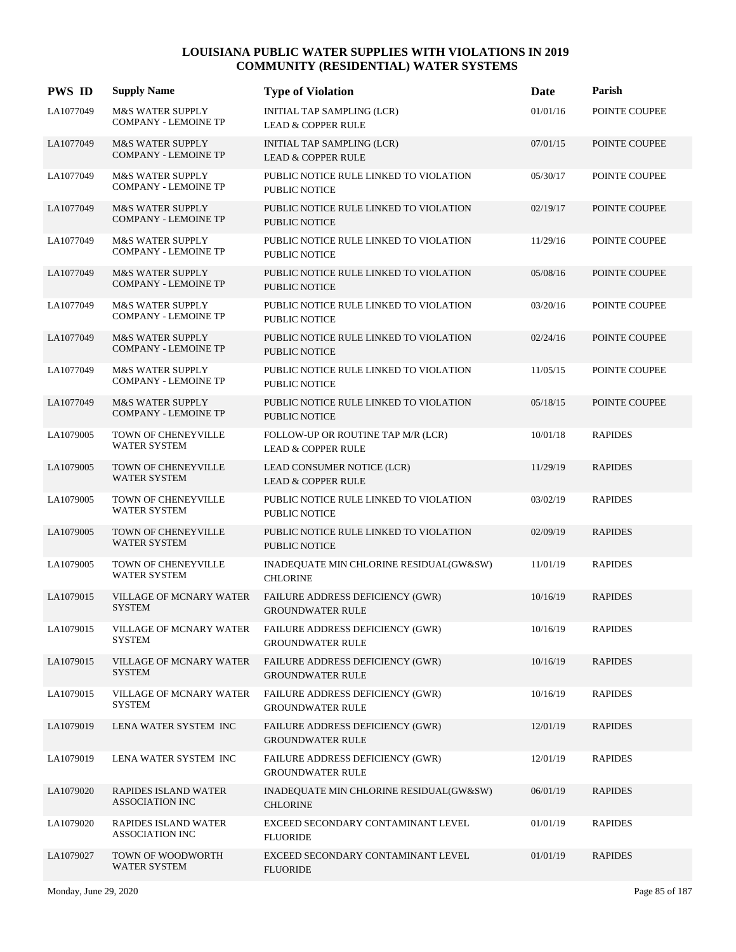| <b>PWS ID</b> | <b>Supply Name</b>                                         | <b>Type of Violation</b>                                            | Date     | Parish         |
|---------------|------------------------------------------------------------|---------------------------------------------------------------------|----------|----------------|
| LA1077049     | M&S WATER SUPPLY<br><b>COMPANY - LEMOINE TP</b>            | <b>INITIAL TAP SAMPLING (LCR)</b><br><b>LEAD &amp; COPPER RULE</b>  | 01/01/16 | POINTE COUPEE  |
| LA1077049     | <b>M&amp;S WATER SUPPLY</b><br><b>COMPANY - LEMOINE TP</b> | <b>INITIAL TAP SAMPLING (LCR)</b><br><b>LEAD &amp; COPPER RULE</b>  | 07/01/15 | POINTE COUPEE  |
| LA1077049     | <b>M&amp;S WATER SUPPLY</b><br><b>COMPANY - LEMOINE TP</b> | PUBLIC NOTICE RULE LINKED TO VIOLATION<br><b>PUBLIC NOTICE</b>      | 05/30/17 | POINTE COUPEE  |
| LA1077049     | M&S WATER SUPPLY<br><b>COMPANY - LEMOINE TP</b>            | PUBLIC NOTICE RULE LINKED TO VIOLATION<br><b>PUBLIC NOTICE</b>      | 02/19/17 | POINTE COUPEE  |
| LA1077049     | <b>M&amp;S WATER SUPPLY</b><br><b>COMPANY - LEMOINE TP</b> | PUBLIC NOTICE RULE LINKED TO VIOLATION<br>PUBLIC NOTICE             | 11/29/16 | POINTE COUPEE  |
| LA1077049     | <b>M&amp;S WATER SUPPLY</b><br><b>COMPANY - LEMOINE TP</b> | PUBLIC NOTICE RULE LINKED TO VIOLATION<br><b>PUBLIC NOTICE</b>      | 05/08/16 | POINTE COUPEE  |
| LA1077049     | <b>M&amp;S WATER SUPPLY</b><br><b>COMPANY - LEMOINE TP</b> | PUBLIC NOTICE RULE LINKED TO VIOLATION<br><b>PUBLIC NOTICE</b>      | 03/20/16 | POINTE COUPEE  |
| LA1077049     | <b>M&amp;S WATER SUPPLY</b><br><b>COMPANY - LEMOINE TP</b> | PUBLIC NOTICE RULE LINKED TO VIOLATION<br>PUBLIC NOTICE             | 02/24/16 | POINTE COUPEE  |
| LA1077049     | <b>M&amp;S WATER SUPPLY</b><br><b>COMPANY - LEMOINE TP</b> | PUBLIC NOTICE RULE LINKED TO VIOLATION<br><b>PUBLIC NOTICE</b>      | 11/05/15 | POINTE COUPEE  |
| LA1077049     | <b>M&amp;S WATER SUPPLY</b><br><b>COMPANY - LEMOINE TP</b> | PUBLIC NOTICE RULE LINKED TO VIOLATION<br><b>PUBLIC NOTICE</b>      | 05/18/15 | POINTE COUPEE  |
| LA1079005     | TOWN OF CHENEYVILLE<br><b>WATER SYSTEM</b>                 | FOLLOW-UP OR ROUTINE TAP M/R (LCR)<br><b>LEAD &amp; COPPER RULE</b> | 10/01/18 | <b>RAPIDES</b> |
| LA1079005     | TOWN OF CHENEYVILLE<br>WATER SYSTEM                        | LEAD CONSUMER NOTICE (LCR)<br><b>LEAD &amp; COPPER RULE</b>         | 11/29/19 | <b>RAPIDES</b> |
| LA1079005     | <b>TOWN OF CHENEYVILLE</b><br>WATER SYSTEM                 | PUBLIC NOTICE RULE LINKED TO VIOLATION<br><b>PUBLIC NOTICE</b>      | 03/02/19 | <b>RAPIDES</b> |
| LA1079005     | TOWN OF CHENEYVILLE<br><b>WATER SYSTEM</b>                 | PUBLIC NOTICE RULE LINKED TO VIOLATION<br><b>PUBLIC NOTICE</b>      | 02/09/19 | <b>RAPIDES</b> |
| LA1079005     | <b>TOWN OF CHENEYVILLE</b><br><b>WATER SYSTEM</b>          | INADEQUATE MIN CHLORINE RESIDUAL(GW&SW)<br><b>CHLORINE</b>          | 11/01/19 | <b>RAPIDES</b> |
| LA1079015     | <b>VILLAGE OF MCNARY WATER</b><br><b>SYSTEM</b>            | FAILURE ADDRESS DEFICIENCY (GWR)<br><b>GROUNDWATER RULE</b>         | 10/16/19 | <b>RAPIDES</b> |
| LA1079015     | VILLAGE OF MCNARY WATER<br><b>SYSTEM</b>                   | FAILURE ADDRESS DEFICIENCY (GWR)<br><b>GROUNDWATER RULE</b>         | 10/16/19 | <b>RAPIDES</b> |
| LA1079015     | VILLAGE OF MCNARY WATER<br><b>SYSTEM</b>                   | <b>FAILURE ADDRESS DEFICIENCY (GWR)</b><br><b>GROUNDWATER RULE</b>  | 10/16/19 | <b>RAPIDES</b> |
| LA1079015     | VILLAGE OF MCNARY WATER<br>SYSTEM                          | FAILURE ADDRESS DEFICIENCY (GWR)<br><b>GROUNDWATER RULE</b>         | 10/16/19 | <b>RAPIDES</b> |
| LA1079019     | LENA WATER SYSTEM INC                                      | <b>FAILURE ADDRESS DEFICIENCY (GWR)</b><br><b>GROUNDWATER RULE</b>  | 12/01/19 | <b>RAPIDES</b> |
| LA1079019     | LENA WATER SYSTEM INC                                      | FAILURE ADDRESS DEFICIENCY (GWR)<br><b>GROUNDWATER RULE</b>         | 12/01/19 | <b>RAPIDES</b> |
| LA1079020     | RAPIDES ISLAND WATER<br><b>ASSOCIATION INC</b>             | INADEQUATE MIN CHLORINE RESIDUAL(GW&SW)<br><b>CHLORINE</b>          | 06/01/19 | <b>RAPIDES</b> |
| LA1079020     | RAPIDES ISLAND WATER<br><b>ASSOCIATION INC</b>             | EXCEED SECONDARY CONTAMINANT LEVEL<br><b>FLUORIDE</b>               | 01/01/19 | <b>RAPIDES</b> |
| LA1079027     | TOWN OF WOODWORTH<br>WATER SYSTEM                          | EXCEED SECONDARY CONTAMINANT LEVEL<br><b>FLUORIDE</b>               | 01/01/19 | <b>RAPIDES</b> |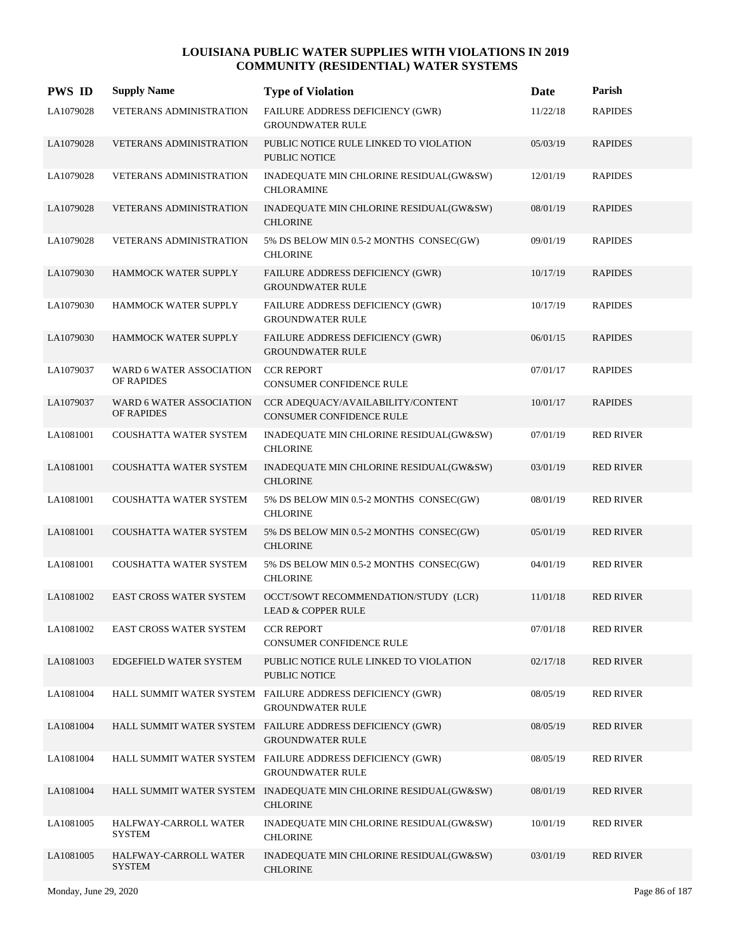| <b>PWS ID</b> | <b>Supply Name</b>                     | <b>Type of Violation</b>                                                             | Date     | Parish           |
|---------------|----------------------------------------|--------------------------------------------------------------------------------------|----------|------------------|
| LA1079028     | VETERANS ADMINISTRATION                | FAILURE ADDRESS DEFICIENCY (GWR)<br><b>GROUNDWATER RULE</b>                          | 11/22/18 | <b>RAPIDES</b>   |
| LA1079028     | <b>VETERANS ADMINISTRATION</b>         | PUBLIC NOTICE RULE LINKED TO VIOLATION<br><b>PUBLIC NOTICE</b>                       | 05/03/19 | <b>RAPIDES</b>   |
| LA1079028     | VETERANS ADMINISTRATION                | INADEQUATE MIN CHLORINE RESIDUAL(GW&SW)<br><b>CHLORAMINE</b>                         | 12/01/19 | <b>RAPIDES</b>   |
| LA1079028     | <b>VETERANS ADMINISTRATION</b>         | INADEQUATE MIN CHLORINE RESIDUAL(GW&SW)<br><b>CHLORINE</b>                           | 08/01/19 | <b>RAPIDES</b>   |
| LA1079028     | <b>VETERANS ADMINISTRATION</b>         | 5% DS BELOW MIN 0.5-2 MONTHS CONSEC(GW)<br><b>CHLORINE</b>                           | 09/01/19 | <b>RAPIDES</b>   |
| LA1079030     | HAMMOCK WATER SUPPLY                   | FAILURE ADDRESS DEFICIENCY (GWR)<br><b>GROUNDWATER RULE</b>                          | 10/17/19 | <b>RAPIDES</b>   |
| LA1079030     | HAMMOCK WATER SUPPLY                   | <b>FAILURE ADDRESS DEFICIENCY (GWR)</b><br><b>GROUNDWATER RULE</b>                   | 10/17/19 | <b>RAPIDES</b>   |
| LA1079030     | HAMMOCK WATER SUPPLY                   | FAILURE ADDRESS DEFICIENCY (GWR)<br><b>GROUNDWATER RULE</b>                          | 06/01/15 | <b>RAPIDES</b>   |
| LA1079037     | WARD 6 WATER ASSOCIATION<br>OF RAPIDES | <b>CCR REPORT</b><br><b>CONSUMER CONFIDENCE RULE</b>                                 | 07/01/17 | <b>RAPIDES</b>   |
| LA1079037     | WARD 6 WATER ASSOCIATION<br>OF RAPIDES | CCR ADEOUACY/AVAILABILITY/CONTENT<br>CONSUMER CONFIDENCE RULE                        | 10/01/17 | <b>RAPIDES</b>   |
| LA1081001     | COUSHATTA WATER SYSTEM                 | INADEQUATE MIN CHLORINE RESIDUAL(GW&SW)<br><b>CHLORINE</b>                           | 07/01/19 | <b>RED RIVER</b> |
| LA1081001     | <b>COUSHATTA WATER SYSTEM</b>          | INADEQUATE MIN CHLORINE RESIDUAL(GW&SW)<br><b>CHLORINE</b>                           | 03/01/19 | <b>RED RIVER</b> |
| LA1081001     | COUSHATTA WATER SYSTEM                 | 5% DS BELOW MIN 0.5-2 MONTHS CONSEC(GW)<br><b>CHLORINE</b>                           | 08/01/19 | <b>RED RIVER</b> |
| LA1081001     | COUSHATTA WATER SYSTEM                 | 5% DS BELOW MIN 0.5-2 MONTHS CONSEC(GW)<br><b>CHLORINE</b>                           | 05/01/19 | <b>RED RIVER</b> |
| LA1081001     | COUSHATTA WATER SYSTEM                 | 5% DS BELOW MIN 0.5-2 MONTHS CONSEC(GW)<br><b>CHLORINE</b>                           | 04/01/19 | <b>RED RIVER</b> |
| LA1081002     | <b>EAST CROSS WATER SYSTEM</b>         | OCCT/SOWT RECOMMENDATION/STUDY (LCR)<br><b>LEAD &amp; COPPER RULE</b>                | 11/01/18 | <b>RED RIVER</b> |
| LA1081002     | EAST CROSS WATER SYSTEM                | <b>CCR REPORT</b><br>CONSUMER CONFIDENCE RULE                                        | 07/01/18 | <b>RED RIVER</b> |
| LA1081003     | EDGEFIELD WATER SYSTEM                 | PUBLIC NOTICE RULE LINKED TO VIOLATION<br>PUBLIC NOTICE                              | 02/17/18 | <b>RED RIVER</b> |
| LA1081004     |                                        | HALL SUMMIT WATER SYSTEM FAILURE ADDRESS DEFICIENCY (GWR)<br><b>GROUNDWATER RULE</b> | 08/05/19 | <b>RED RIVER</b> |
| LA1081004     |                                        | HALL SUMMIT WATER SYSTEM FAILURE ADDRESS DEFICIENCY (GWR)<br><b>GROUNDWATER RULE</b> | 08/05/19 | <b>RED RIVER</b> |
| LA1081004     |                                        | HALL SUMMIT WATER SYSTEM FAILURE ADDRESS DEFICIENCY (GWR)<br><b>GROUNDWATER RULE</b> | 08/05/19 | <b>RED RIVER</b> |
| LA1081004     |                                        | HALL SUMMIT WATER SYSTEM INADEQUATE MIN CHLORINE RESIDUAL(GW&SW)<br><b>CHLORINE</b>  | 08/01/19 | <b>RED RIVER</b> |
| LA1081005     | HALFWAY-CARROLL WATER<br>SYSTEM        | INADEQUATE MIN CHLORINE RESIDUAL(GW&SW)<br><b>CHLORINE</b>                           | 10/01/19 | <b>RED RIVER</b> |
| LA1081005     | HALFWAY-CARROLL WATER<br><b>SYSTEM</b> | INADEQUATE MIN CHLORINE RESIDUAL(GW&SW)<br><b>CHLORINE</b>                           | 03/01/19 | <b>RED RIVER</b> |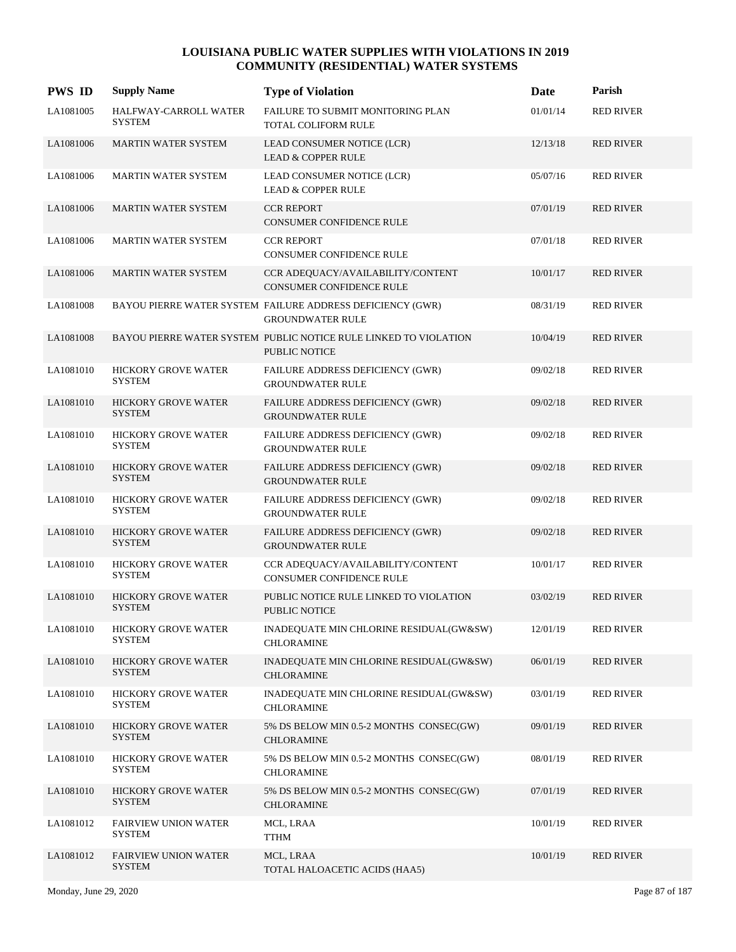| <b>PWS ID</b> | <b>Supply Name</b>                           | <b>Type of Violation</b>                                                                 | Date     | Parish           |
|---------------|----------------------------------------------|------------------------------------------------------------------------------------------|----------|------------------|
| LA1081005     | HALFWAY-CARROLL WATER<br><b>SYSTEM</b>       | FAILURE TO SUBMIT MONITORING PLAN<br><b>TOTAL COLIFORM RULE</b>                          | 01/01/14 | <b>RED RIVER</b> |
| LA1081006     | <b>MARTIN WATER SYSTEM</b>                   | LEAD CONSUMER NOTICE (LCR)<br><b>LEAD &amp; COPPER RULE</b>                              | 12/13/18 | <b>RED RIVER</b> |
| LA1081006     | <b>MARTIN WATER SYSTEM</b>                   | LEAD CONSUMER NOTICE (LCR)<br><b>LEAD &amp; COPPER RULE</b>                              | 05/07/16 | <b>RED RIVER</b> |
| LA1081006     | <b>MARTIN WATER SYSTEM</b>                   | <b>CCR REPORT</b><br><b>CONSUMER CONFIDENCE RULE</b>                                     | 07/01/19 | <b>RED RIVER</b> |
| LA1081006     | <b>MARTIN WATER SYSTEM</b>                   | <b>CCR REPORT</b><br><b>CONSUMER CONFIDENCE RULE</b>                                     | 07/01/18 | <b>RED RIVER</b> |
| LA1081006     | <b>MARTIN WATER SYSTEM</b>                   | CCR ADEQUACY/AVAILABILITY/CONTENT<br><b>CONSUMER CONFIDENCE RULE</b>                     | 10/01/17 | <b>RED RIVER</b> |
| LA1081008     |                                              | BAYOU PIERRE WATER SYSTEM FAILURE ADDRESS DEFICIENCY (GWR)<br><b>GROUNDWATER RULE</b>    | 08/31/19 | <b>RED RIVER</b> |
| LA1081008     |                                              | BAYOU PIERRE WATER SYSTEM PUBLIC NOTICE RULE LINKED TO VIOLATION<br><b>PUBLIC NOTICE</b> | 10/04/19 | <b>RED RIVER</b> |
| LA1081010     | HICKORY GROVE WATER<br><b>SYSTEM</b>         | FAILURE ADDRESS DEFICIENCY (GWR)<br><b>GROUNDWATER RULE</b>                              | 09/02/18 | <b>RED RIVER</b> |
| LA1081010     | <b>HICKORY GROVE WATER</b><br><b>SYSTEM</b>  | FAILURE ADDRESS DEFICIENCY (GWR)<br><b>GROUNDWATER RULE</b>                              | 09/02/18 | <b>RED RIVER</b> |
| LA1081010     | <b>HICKORY GROVE WATER</b><br><b>SYSTEM</b>  | FAILURE ADDRESS DEFICIENCY (GWR)<br><b>GROUNDWATER RULE</b>                              | 09/02/18 | <b>RED RIVER</b> |
| LA1081010     | <b>HICKORY GROVE WATER</b><br><b>SYSTEM</b>  | FAILURE ADDRESS DEFICIENCY (GWR)<br><b>GROUNDWATER RULE</b>                              | 09/02/18 | <b>RED RIVER</b> |
| LA1081010     | <b>HICKORY GROVE WATER</b><br><b>SYSTEM</b>  | FAILURE ADDRESS DEFICIENCY (GWR)<br><b>GROUNDWATER RULE</b>                              | 09/02/18 | <b>RED RIVER</b> |
| LA1081010     | <b>HICKORY GROVE WATER</b><br><b>SYSTEM</b>  | FAILURE ADDRESS DEFICIENCY (GWR)<br><b>GROUNDWATER RULE</b>                              | 09/02/18 | <b>RED RIVER</b> |
| LA1081010     | <b>HICKORY GROVE WATER</b><br><b>SYSTEM</b>  | CCR ADEQUACY/AVAILABILITY/CONTENT<br>CONSUMER CONFIDENCE RULE                            | 10/01/17 | <b>RED RIVER</b> |
| LA1081010     | <b>HICKORY GROVE WATER</b><br><b>SYSTEM</b>  | PUBLIC NOTICE RULE LINKED TO VIOLATION<br>PUBLIC NOTICE                                  | 03/02/19 | <b>RED RIVER</b> |
| LA1081010     | HICKORY GROVE WATER<br><b>SYSTEM</b>         | INADEQUATE MIN CHLORINE RESIDUAL(GW&SW)<br><b>CHLORAMINE</b>                             | 12/01/19 | <b>RED RIVER</b> |
| LA1081010     | <b>HICKORY GROVE WATER</b><br><b>SYSTEM</b>  | INADEQUATE MIN CHLORINE RESIDUAL(GW&SW)<br><b>CHLORAMINE</b>                             | 06/01/19 | <b>RED RIVER</b> |
| LA1081010     | <b>HICKORY GROVE WATER</b><br><b>SYSTEM</b>  | INADEQUATE MIN CHLORINE RESIDUAL(GW&SW)<br><b>CHLORAMINE</b>                             | 03/01/19 | <b>RED RIVER</b> |
| LA1081010     | <b>HICKORY GROVE WATER</b><br><b>SYSTEM</b>  | 5% DS BELOW MIN 0.5-2 MONTHS CONSEC(GW)<br><b>CHLORAMINE</b>                             | 09/01/19 | <b>RED RIVER</b> |
| LA1081010     | HICKORY GROVE WATER<br><b>SYSTEM</b>         | 5% DS BELOW MIN 0.5-2 MONTHS CONSEC(GW)<br>CHLORAMINE                                    | 08/01/19 | <b>RED RIVER</b> |
| LA1081010     | <b>HICKORY GROVE WATER</b><br><b>SYSTEM</b>  | 5% DS BELOW MIN 0.5-2 MONTHS CONSEC(GW)<br><b>CHLORAMINE</b>                             | 07/01/19 | <b>RED RIVER</b> |
| LA1081012     | <b>FAIRVIEW UNION WATER</b><br><b>SYSTEM</b> | MCL, LRAA<br><b>TTHM</b>                                                                 | 10/01/19 | <b>RED RIVER</b> |
| LA1081012     | <b>FAIRVIEW UNION WATER</b><br><b>SYSTEM</b> | MCL, LRAA<br>TOTAL HALOACETIC ACIDS (HAA5)                                               | 10/01/19 | <b>RED RIVER</b> |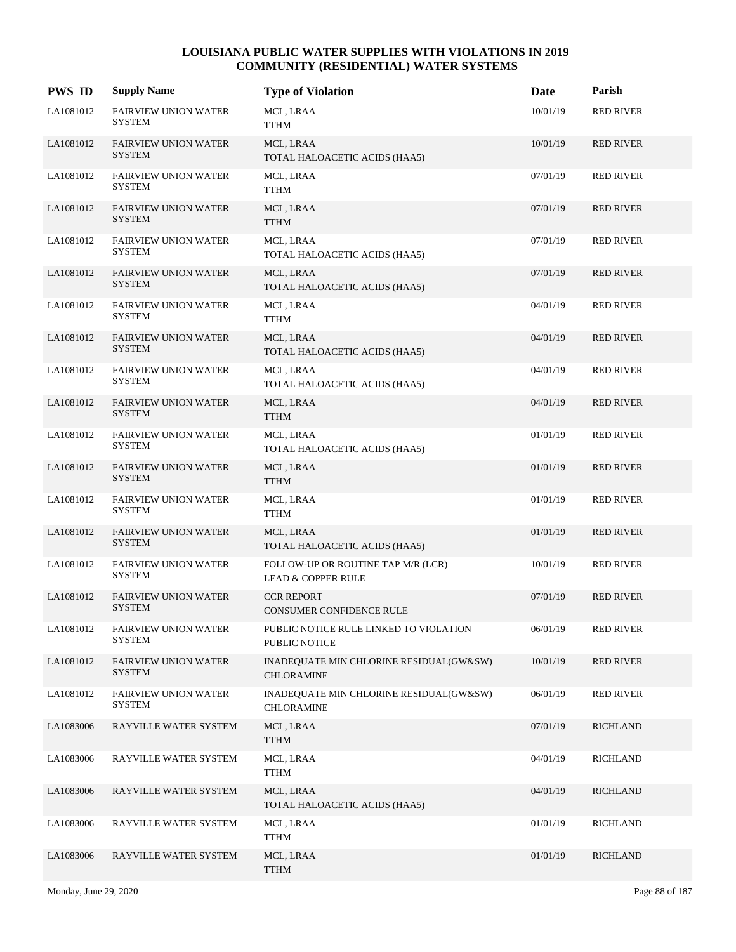| <b>PWS ID</b> | <b>Supply Name</b>                           | <b>Type of Violation</b>                                            | Date     | Parish           |
|---------------|----------------------------------------------|---------------------------------------------------------------------|----------|------------------|
| LA1081012     | <b>FAIRVIEW UNION WATER</b><br><b>SYSTEM</b> | MCL, LRAA<br>TTHM                                                   | 10/01/19 | <b>RED RIVER</b> |
| LA1081012     | <b>FAIRVIEW UNION WATER</b><br><b>SYSTEM</b> | MCL, LRAA<br>TOTAL HALOACETIC ACIDS (HAA5)                          | 10/01/19 | <b>RED RIVER</b> |
| LA1081012     | <b>FAIRVIEW UNION WATER</b><br><b>SYSTEM</b> | MCL, LRAA<br>TTHM                                                   | 07/01/19 | <b>RED RIVER</b> |
| LA1081012     | <b>FAIRVIEW UNION WATER</b><br><b>SYSTEM</b> | MCL, LRAA<br><b>TTHM</b>                                            | 07/01/19 | <b>RED RIVER</b> |
| LA1081012     | <b>FAIRVIEW UNION WATER</b><br><b>SYSTEM</b> | MCL, LRAA<br>TOTAL HALOACETIC ACIDS (HAA5)                          | 07/01/19 | <b>RED RIVER</b> |
| LA1081012     | <b>FAIRVIEW UNION WATER</b><br><b>SYSTEM</b> | MCL, LRAA<br>TOTAL HALOACETIC ACIDS (HAA5)                          | 07/01/19 | <b>RED RIVER</b> |
| LA1081012     | <b>FAIRVIEW UNION WATER</b><br><b>SYSTEM</b> | MCL, LRAA<br><b>TTHM</b>                                            | 04/01/19 | <b>RED RIVER</b> |
| LA1081012     | <b>FAIRVIEW UNION WATER</b><br><b>SYSTEM</b> | MCL, LRAA<br>TOTAL HALOACETIC ACIDS (HAA5)                          | 04/01/19 | <b>RED RIVER</b> |
| LA1081012     | <b>FAIRVIEW UNION WATER</b><br><b>SYSTEM</b> | MCL, LRAA<br>TOTAL HALOACETIC ACIDS (HAA5)                          | 04/01/19 | <b>RED RIVER</b> |
| LA1081012     | FAIRVIEW UNION WATER<br><b>SYSTEM</b>        | MCL, LRAA<br><b>TTHM</b>                                            | 04/01/19 | <b>RED RIVER</b> |
| LA1081012     | <b>FAIRVIEW UNION WATER</b><br><b>SYSTEM</b> | MCL, LRAA<br>TOTAL HALOACETIC ACIDS (HAA5)                          | 01/01/19 | <b>RED RIVER</b> |
| LA1081012     | <b>FAIRVIEW UNION WATER</b><br><b>SYSTEM</b> | MCL, LRAA<br><b>TTHM</b>                                            | 01/01/19 | <b>RED RIVER</b> |
| LA1081012     | <b>FAIRVIEW UNION WATER</b><br><b>SYSTEM</b> | MCL, LRAA<br><b>TTHM</b>                                            | 01/01/19 | <b>RED RIVER</b> |
| LA1081012     | <b>FAIRVIEW UNION WATER</b><br><b>SYSTEM</b> | MCL, LRAA<br>TOTAL HALOACETIC ACIDS (HAA5)                          | 01/01/19 | <b>RED RIVER</b> |
| LA1081012     | <b>FAIRVIEW UNION WATER</b><br><b>SYSTEM</b> | FOLLOW-UP OR ROUTINE TAP M/R (LCR)<br><b>LEAD &amp; COPPER RULE</b> | 10/01/19 | <b>RED RIVER</b> |
| LA1081012     | <b>FAIRVIEW UNION WATER</b><br><b>SYSTEM</b> | <b>CCR REPORT</b><br><b>CONSUMER CONFIDENCE RULE</b>                | 07/01/19 | <b>RED RIVER</b> |
| LA1081012     | <b>FAIRVIEW UNION WATER</b><br>SYSTEM        | PUBLIC NOTICE RULE LINKED TO VIOLATION<br>PUBLIC NOTICE             | 06/01/19 | <b>RED RIVER</b> |
| LA1081012     | <b>FAIRVIEW UNION WATER</b><br>SYSTEM        | INADEQUATE MIN CHLORINE RESIDUAL(GW&SW)<br><b>CHLORAMINE</b>        | 10/01/19 | <b>RED RIVER</b> |
| LA1081012     | <b>FAIRVIEW UNION WATER</b><br>SYSTEM        | INADEQUATE MIN CHLORINE RESIDUAL(GW&SW)<br><b>CHLORAMINE</b>        | 06/01/19 | <b>RED RIVER</b> |
| LA1083006     | RAYVILLE WATER SYSTEM                        | MCL, LRAA<br><b>TTHM</b>                                            | 07/01/19 | <b>RICHLAND</b>  |
| LA1083006     | RAYVILLE WATER SYSTEM                        | MCL, LRAA<br><b>TTHM</b>                                            | 04/01/19 | <b>RICHLAND</b>  |
| LA1083006     | RAYVILLE WATER SYSTEM                        | MCL, LRAA<br>TOTAL HALOACETIC ACIDS (HAA5)                          | 04/01/19 | <b>RICHLAND</b>  |
| LA1083006     | RAYVILLE WATER SYSTEM                        | MCL, LRAA<br><b>TTHM</b>                                            | 01/01/19 | <b>RICHLAND</b>  |
| LA1083006     | RAYVILLE WATER SYSTEM                        | MCL, LRAA<br><b>TTHM</b>                                            | 01/01/19 | <b>RICHLAND</b>  |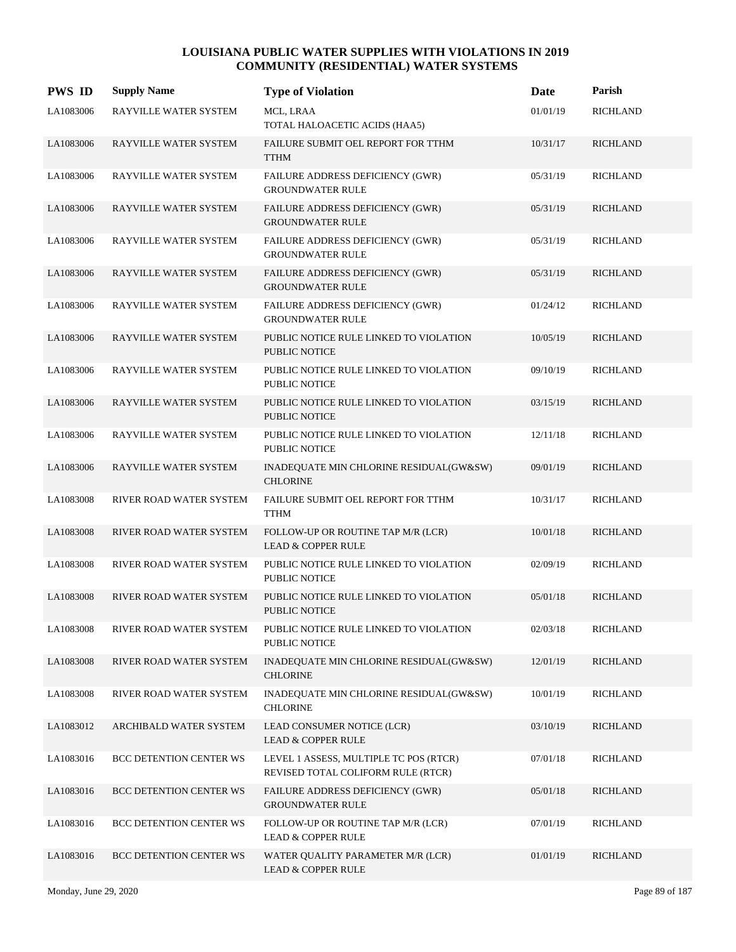| <b>PWS ID</b> | <b>Supply Name</b>             | <b>Type of Violation</b>                                                     | Date     | Parish          |
|---------------|--------------------------------|------------------------------------------------------------------------------|----------|-----------------|
| LA1083006     | RAYVILLE WATER SYSTEM          | MCL, LRAA<br>TOTAL HALOACETIC ACIDS (HAA5)                                   | 01/01/19 | <b>RICHLAND</b> |
| LA1083006     | RAYVILLE WATER SYSTEM          | FAILURE SUBMIT OEL REPORT FOR TTHM<br><b>TTHM</b>                            | 10/31/17 | <b>RICHLAND</b> |
| LA1083006     | RAYVILLE WATER SYSTEM          | FAILURE ADDRESS DEFICIENCY (GWR)<br><b>GROUNDWATER RULE</b>                  | 05/31/19 | <b>RICHLAND</b> |
| LA1083006     | RAYVILLE WATER SYSTEM          | FAILURE ADDRESS DEFICIENCY (GWR)<br><b>GROUNDWATER RULE</b>                  | 05/31/19 | <b>RICHLAND</b> |
| LA1083006     | RAYVILLE WATER SYSTEM          | FAILURE ADDRESS DEFICIENCY (GWR)<br><b>GROUNDWATER RULE</b>                  | 05/31/19 | <b>RICHLAND</b> |
| LA1083006     | RAYVILLE WATER SYSTEM          | FAILURE ADDRESS DEFICIENCY (GWR)<br><b>GROUNDWATER RULE</b>                  | 05/31/19 | <b>RICHLAND</b> |
| LA1083006     | RAYVILLE WATER SYSTEM          | FAILURE ADDRESS DEFICIENCY (GWR)<br><b>GROUNDWATER RULE</b>                  | 01/24/12 | <b>RICHLAND</b> |
| LA1083006     | RAYVILLE WATER SYSTEM          | PUBLIC NOTICE RULE LINKED TO VIOLATION<br>PUBLIC NOTICE                      | 10/05/19 | <b>RICHLAND</b> |
| LA1083006     | RAYVILLE WATER SYSTEM          | PUBLIC NOTICE RULE LINKED TO VIOLATION<br><b>PUBLIC NOTICE</b>               | 09/10/19 | <b>RICHLAND</b> |
| LA1083006     | RAYVILLE WATER SYSTEM          | PUBLIC NOTICE RULE LINKED TO VIOLATION<br>PUBLIC NOTICE                      | 03/15/19 | <b>RICHLAND</b> |
| LA1083006     | RAYVILLE WATER SYSTEM          | PUBLIC NOTICE RULE LINKED TO VIOLATION<br>PUBLIC NOTICE                      | 12/11/18 | <b>RICHLAND</b> |
| LA1083006     | RAYVILLE WATER SYSTEM          | INADEQUATE MIN CHLORINE RESIDUAL(GW&SW)<br><b>CHLORINE</b>                   | 09/01/19 | <b>RICHLAND</b> |
| LA1083008     | RIVER ROAD WATER SYSTEM        | FAILURE SUBMIT OEL REPORT FOR TTHM<br><b>TTHM</b>                            | 10/31/17 | <b>RICHLAND</b> |
| LA1083008     | RIVER ROAD WATER SYSTEM        | FOLLOW-UP OR ROUTINE TAP M/R (LCR)<br><b>LEAD &amp; COPPER RULE</b>          | 10/01/18 | <b>RICHLAND</b> |
| LA1083008     | RIVER ROAD WATER SYSTEM        | PUBLIC NOTICE RULE LINKED TO VIOLATION<br><b>PUBLIC NOTICE</b>               | 02/09/19 | <b>RICHLAND</b> |
| LA1083008     | RIVER ROAD WATER SYSTEM        | PUBLIC NOTICE RULE LINKED TO VIOLATION<br>PUBLIC NOTICE                      | 05/01/18 | <b>RICHLAND</b> |
| LA1083008     | RIVER ROAD WATER SYSTEM        | PUBLIC NOTICE RULE LINKED TO VIOLATION<br>PUBLIC NOTICE                      | 02/03/18 | <b>RICHLAND</b> |
| LA1083008     | RIVER ROAD WATER SYSTEM        | INADEQUATE MIN CHLORINE RESIDUAL(GW&SW)<br><b>CHLORINE</b>                   | 12/01/19 | <b>RICHLAND</b> |
| LA1083008     | RIVER ROAD WATER SYSTEM        | INADEQUATE MIN CHLORINE RESIDUAL(GW&SW)<br><b>CHLORINE</b>                   | 10/01/19 | <b>RICHLAND</b> |
| LA1083012     | ARCHIBALD WATER SYSTEM         | LEAD CONSUMER NOTICE (LCR)<br><b>LEAD &amp; COPPER RULE</b>                  | 03/10/19 | <b>RICHLAND</b> |
| LA1083016     | <b>BCC DETENTION CENTER WS</b> | LEVEL 1 ASSESS, MULTIPLE TC POS (RTCR)<br>REVISED TOTAL COLIFORM RULE (RTCR) | 07/01/18 | <b>RICHLAND</b> |
| LA1083016     | <b>BCC DETENTION CENTER WS</b> | FAILURE ADDRESS DEFICIENCY (GWR)<br><b>GROUNDWATER RULE</b>                  | 05/01/18 | <b>RICHLAND</b> |
| LA1083016     | <b>BCC DETENTION CENTER WS</b> | FOLLOW-UP OR ROUTINE TAP M/R (LCR)<br><b>LEAD &amp; COPPER RULE</b>          | 07/01/19 | <b>RICHLAND</b> |
| LA1083016     | <b>BCC DETENTION CENTER WS</b> | WATER QUALITY PARAMETER M/R (LCR)<br><b>LEAD &amp; COPPER RULE</b>           | 01/01/19 | <b>RICHLAND</b> |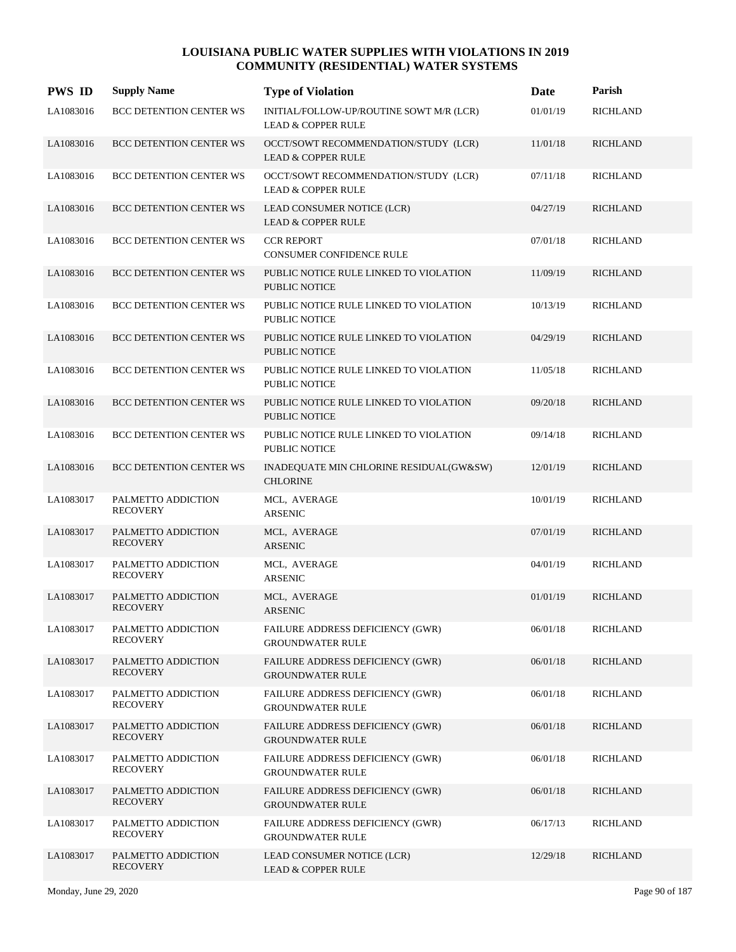| <b>PWS ID</b> | <b>Supply Name</b>                    | <b>Type of Violation</b>                                                  | Date     | Parish          |
|---------------|---------------------------------------|---------------------------------------------------------------------------|----------|-----------------|
| LA1083016     | BCC DETENTION CENTER WS               | INITIAL/FOLLOW-UP/ROUTINE SOWT M/R (LCR)<br><b>LEAD &amp; COPPER RULE</b> | 01/01/19 | <b>RICHLAND</b> |
| LA1083016     | <b>BCC DETENTION CENTER WS</b>        | OCCT/SOWT RECOMMENDATION/STUDY (LCR)<br><b>LEAD &amp; COPPER RULE</b>     | 11/01/18 | <b>RICHLAND</b> |
| LA1083016     | <b>BCC DETENTION CENTER WS</b>        | OCCT/SOWT RECOMMENDATION/STUDY (LCR)<br><b>LEAD &amp; COPPER RULE</b>     | 07/11/18 | <b>RICHLAND</b> |
| LA1083016     | <b>BCC DETENTION CENTER WS</b>        | LEAD CONSUMER NOTICE (LCR)<br><b>LEAD &amp; COPPER RULE</b>               | 04/27/19 | <b>RICHLAND</b> |
| LA1083016     | <b>BCC DETENTION CENTER WS</b>        | <b>CCR REPORT</b><br><b>CONSUMER CONFIDENCE RULE</b>                      | 07/01/18 | <b>RICHLAND</b> |
| LA1083016     | <b>BCC DETENTION CENTER WS</b>        | PUBLIC NOTICE RULE LINKED TO VIOLATION<br><b>PUBLIC NOTICE</b>            | 11/09/19 | <b>RICHLAND</b> |
| LA1083016     | <b>BCC DETENTION CENTER WS</b>        | PUBLIC NOTICE RULE LINKED TO VIOLATION<br><b>PUBLIC NOTICE</b>            | 10/13/19 | <b>RICHLAND</b> |
| LA1083016     | <b>BCC DETENTION CENTER WS</b>        | PUBLIC NOTICE RULE LINKED TO VIOLATION<br><b>PUBLIC NOTICE</b>            | 04/29/19 | <b>RICHLAND</b> |
| LA1083016     | BCC DETENTION CENTER WS               | PUBLIC NOTICE RULE LINKED TO VIOLATION<br><b>PUBLIC NOTICE</b>            | 11/05/18 | <b>RICHLAND</b> |
| LA1083016     | BCC DETENTION CENTER WS               | PUBLIC NOTICE RULE LINKED TO VIOLATION<br><b>PUBLIC NOTICE</b>            | 09/20/18 | <b>RICHLAND</b> |
| LA1083016     | <b>BCC DETENTION CENTER WS</b>        | PUBLIC NOTICE RULE LINKED TO VIOLATION<br><b>PUBLIC NOTICE</b>            | 09/14/18 | <b>RICHLAND</b> |
| LA1083016     | <b>BCC DETENTION CENTER WS</b>        | INADEQUATE MIN CHLORINE RESIDUAL(GW&SW)<br><b>CHLORINE</b>                | 12/01/19 | <b>RICHLAND</b> |
| LA1083017     | PALMETTO ADDICTION<br><b>RECOVERY</b> | MCL, AVERAGE<br>ARSENIC                                                   | 10/01/19 | <b>RICHLAND</b> |
| LA1083017     | PALMETTO ADDICTION<br><b>RECOVERY</b> | MCL, AVERAGE<br><b>ARSENIC</b>                                            | 07/01/19 | <b>RICHLAND</b> |
| LA1083017     | PALMETTO ADDICTION<br><b>RECOVERY</b> | MCL, AVERAGE<br><b>ARSENIC</b>                                            | 04/01/19 | <b>RICHLAND</b> |
| LA1083017     | PALMETTO ADDICTION<br><b>RECOVERY</b> | MCL, AVERAGE<br><b>ARSENIC</b>                                            | 01/01/19 | <b>RICHLAND</b> |
| LA1083017     | PALMETTO ADDICTION<br><b>RECOVERY</b> | FAILURE ADDRESS DEFICIENCY (GWR)<br><b>GROUNDWATER RULE</b>               | 06/01/18 | <b>RICHLAND</b> |
| LA1083017     | PALMETTO ADDICTION<br><b>RECOVERY</b> | FAILURE ADDRESS DEFICIENCY (GWR)<br><b>GROUNDWATER RULE</b>               | 06/01/18 | <b>RICHLAND</b> |
| LA1083017     | PALMETTO ADDICTION<br><b>RECOVERY</b> | FAILURE ADDRESS DEFICIENCY (GWR)<br><b>GROUNDWATER RULE</b>               | 06/01/18 | <b>RICHLAND</b> |
| LA1083017     | PALMETTO ADDICTION<br><b>RECOVERY</b> | FAILURE ADDRESS DEFICIENCY (GWR)<br><b>GROUNDWATER RULE</b>               | 06/01/18 | <b>RICHLAND</b> |
| LA1083017     | PALMETTO ADDICTION<br><b>RECOVERY</b> | FAILURE ADDRESS DEFICIENCY (GWR)<br><b>GROUNDWATER RULE</b>               | 06/01/18 | <b>RICHLAND</b> |
| LA1083017     | PALMETTO ADDICTION<br><b>RECOVERY</b> | FAILURE ADDRESS DEFICIENCY (GWR)<br><b>GROUNDWATER RULE</b>               | 06/01/18 | <b>RICHLAND</b> |
| LA1083017     | PALMETTO ADDICTION<br><b>RECOVERY</b> | <b>FAILURE ADDRESS DEFICIENCY (GWR)</b><br><b>GROUNDWATER RULE</b>        | 06/17/13 | <b>RICHLAND</b> |
| LA1083017     | PALMETTO ADDICTION<br><b>RECOVERY</b> | LEAD CONSUMER NOTICE (LCR)<br><b>LEAD &amp; COPPER RULE</b>               | 12/29/18 | <b>RICHLAND</b> |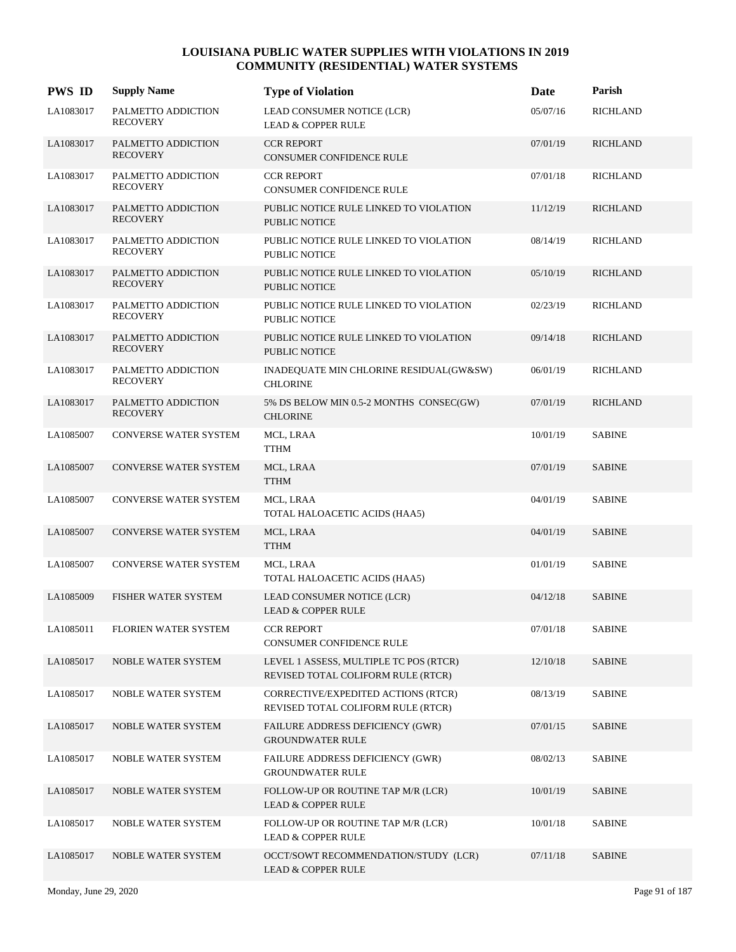| <b>PWS ID</b> | <b>Supply Name</b>                    | <b>Type of Violation</b>                                                     | Date     | Parish          |
|---------------|---------------------------------------|------------------------------------------------------------------------------|----------|-----------------|
| LA1083017     | PALMETTO ADDICTION<br><b>RECOVERY</b> | LEAD CONSUMER NOTICE (LCR)<br><b>LEAD &amp; COPPER RULE</b>                  | 05/07/16 | <b>RICHLAND</b> |
| LA1083017     | PALMETTO ADDICTION<br><b>RECOVERY</b> | <b>CCR REPORT</b><br>CONSUMER CONFIDENCE RULE                                | 07/01/19 | <b>RICHLAND</b> |
| LA1083017     | PALMETTO ADDICTION<br><b>RECOVERY</b> | <b>CCR REPORT</b><br>CONSUMER CONFIDENCE RULE                                | 07/01/18 | <b>RICHLAND</b> |
| LA1083017     | PALMETTO ADDICTION<br><b>RECOVERY</b> | PUBLIC NOTICE RULE LINKED TO VIOLATION<br><b>PUBLIC NOTICE</b>               | 11/12/19 | <b>RICHLAND</b> |
| LA1083017     | PALMETTO ADDICTION<br><b>RECOVERY</b> | PUBLIC NOTICE RULE LINKED TO VIOLATION<br><b>PUBLIC NOTICE</b>               | 08/14/19 | <b>RICHLAND</b> |
| LA1083017     | PALMETTO ADDICTION<br><b>RECOVERY</b> | PUBLIC NOTICE RULE LINKED TO VIOLATION<br><b>PUBLIC NOTICE</b>               | 05/10/19 | <b>RICHLAND</b> |
| LA1083017     | PALMETTO ADDICTION<br><b>RECOVERY</b> | PUBLIC NOTICE RULE LINKED TO VIOLATION<br><b>PUBLIC NOTICE</b>               | 02/23/19 | <b>RICHLAND</b> |
| LA1083017     | PALMETTO ADDICTION<br><b>RECOVERY</b> | PUBLIC NOTICE RULE LINKED TO VIOLATION<br><b>PUBLIC NOTICE</b>               | 09/14/18 | <b>RICHLAND</b> |
| LA1083017     | PALMETTO ADDICTION<br><b>RECOVERY</b> | INADEQUATE MIN CHLORINE RESIDUAL(GW&SW)<br><b>CHLORINE</b>                   | 06/01/19 | <b>RICHLAND</b> |
| LA1083017     | PALMETTO ADDICTION<br><b>RECOVERY</b> | 5% DS BELOW MIN 0.5-2 MONTHS CONSEC(GW)<br><b>CHLORINE</b>                   | 07/01/19 | <b>RICHLAND</b> |
| LA1085007     | CONVERSE WATER SYSTEM                 | MCL, LRAA<br><b>TTHM</b>                                                     | 10/01/19 | <b>SABINE</b>   |
| LA1085007     | <b>CONVERSE WATER SYSTEM</b>          | MCL, LRAA<br><b>TTHM</b>                                                     | 07/01/19 | <b>SABINE</b>   |
| LA1085007     | CONVERSE WATER SYSTEM                 | MCL, LRAA<br>TOTAL HALOACETIC ACIDS (HAA5)                                   | 04/01/19 | <b>SABINE</b>   |
| LA1085007     | CONVERSE WATER SYSTEM                 | MCL, LRAA<br><b>TTHM</b>                                                     | 04/01/19 | <b>SABINE</b>   |
| LA1085007     | CONVERSE WATER SYSTEM                 | MCL, LRAA<br>TOTAL HALOACETIC ACIDS (HAA5)                                   | 01/01/19 | <b>SABINE</b>   |
| LA1085009     | <b>FISHER WATER SYSTEM</b>            | LEAD CONSUMER NOTICE (LCR)<br><b>LEAD &amp; COPPER RULE</b>                  | 04/12/18 | <b>SABINE</b>   |
| LA1085011     | FLORIEN WATER SYSTEM                  | <b>CCR REPORT</b><br>CONSUMER CONFIDENCE RULE                                | 07/01/18 | <b>SABINE</b>   |
| LA1085017     | NOBLE WATER SYSTEM                    | LEVEL 1 ASSESS, MULTIPLE TC POS (RTCR)<br>REVISED TOTAL COLIFORM RULE (RTCR) | 12/10/18 | <b>SABINE</b>   |
| LA1085017     | NOBLE WATER SYSTEM                    | CORRECTIVE/EXPEDITED ACTIONS (RTCR)<br>REVISED TOTAL COLIFORM RULE (RTCR)    | 08/13/19 | <b>SABINE</b>   |
| LA1085017     | <b>NOBLE WATER SYSTEM</b>             | FAILURE ADDRESS DEFICIENCY (GWR)<br><b>GROUNDWATER RULE</b>                  | 07/01/15 | <b>SABINE</b>   |
| LA1085017     | NOBLE WATER SYSTEM                    | FAILURE ADDRESS DEFICIENCY (GWR)<br><b>GROUNDWATER RULE</b>                  | 08/02/13 | <b>SABINE</b>   |
| LA1085017     | NOBLE WATER SYSTEM                    | FOLLOW-UP OR ROUTINE TAP M/R (LCR)<br><b>LEAD &amp; COPPER RULE</b>          | 10/01/19 | <b>SABINE</b>   |
| LA1085017     | <b>NOBLE WATER SYSTEM</b>             | FOLLOW-UP OR ROUTINE TAP M/R (LCR)<br><b>LEAD &amp; COPPER RULE</b>          | 10/01/18 | <b>SABINE</b>   |
| LA1085017     | <b>NOBLE WATER SYSTEM</b>             | OCCT/SOWT RECOMMENDATION/STUDY (LCR)<br><b>LEAD &amp; COPPER RULE</b>        | 07/11/18 | <b>SABINE</b>   |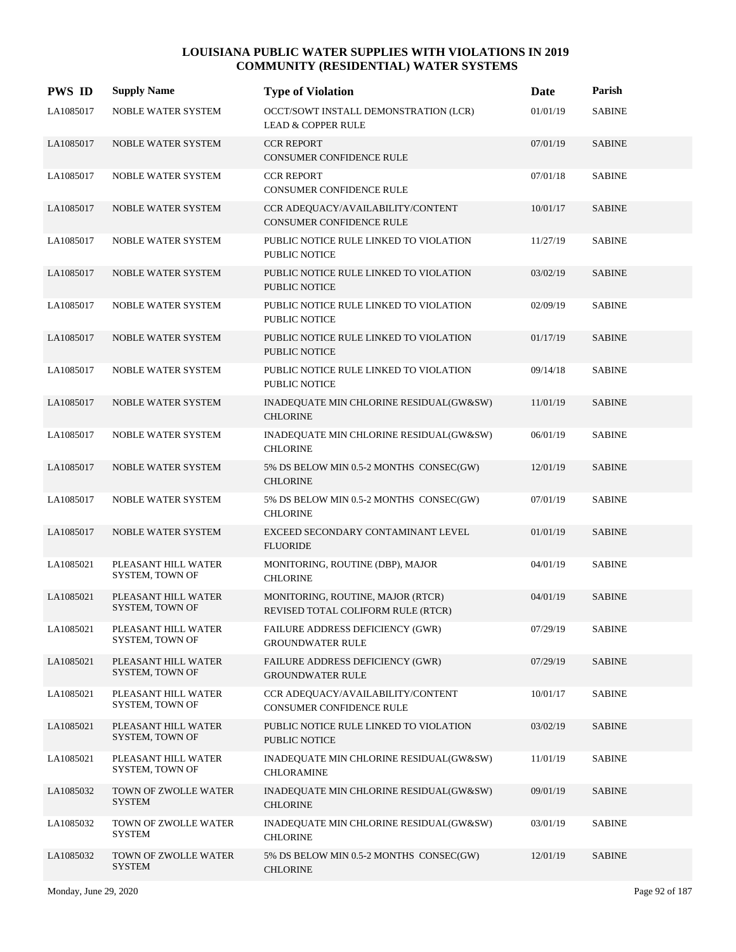| <b>PWS ID</b> | <b>Supply Name</b>                     | <b>Type of Violation</b>                                                | Date     | Parish        |
|---------------|----------------------------------------|-------------------------------------------------------------------------|----------|---------------|
| LA1085017     | NOBLE WATER SYSTEM                     | OCCT/SOWT INSTALL DEMONSTRATION (LCR)<br><b>LEAD &amp; COPPER RULE</b>  | 01/01/19 | <b>SABINE</b> |
| LA1085017     | NOBLE WATER SYSTEM                     | <b>CCR REPORT</b><br>CONSUMER CONFIDENCE RULE                           | 07/01/19 | <b>SABINE</b> |
| LA1085017     | NOBLE WATER SYSTEM                     | <b>CCR REPORT</b><br>CONSUMER CONFIDENCE RULE                           | 07/01/18 | <b>SABINE</b> |
| LA1085017     | <b>NOBLE WATER SYSTEM</b>              | CCR ADEQUACY/AVAILABILITY/CONTENT<br><b>CONSUMER CONFIDENCE RULE</b>    | 10/01/17 | <b>SABINE</b> |
| LA1085017     | NOBLE WATER SYSTEM                     | PUBLIC NOTICE RULE LINKED TO VIOLATION<br><b>PUBLIC NOTICE</b>          | 11/27/19 | <b>SABINE</b> |
| LA1085017     | <b>NOBLE WATER SYSTEM</b>              | PUBLIC NOTICE RULE LINKED TO VIOLATION<br><b>PUBLIC NOTICE</b>          | 03/02/19 | <b>SABINE</b> |
| LA1085017     | NOBLE WATER SYSTEM                     | PUBLIC NOTICE RULE LINKED TO VIOLATION<br><b>PUBLIC NOTICE</b>          | 02/09/19 | <b>SABINE</b> |
| LA1085017     | <b>NOBLE WATER SYSTEM</b>              | PUBLIC NOTICE RULE LINKED TO VIOLATION<br><b>PUBLIC NOTICE</b>          | 01/17/19 | <b>SABINE</b> |
| LA1085017     | NOBLE WATER SYSTEM                     | PUBLIC NOTICE RULE LINKED TO VIOLATION<br><b>PUBLIC NOTICE</b>          | 09/14/18 | <b>SABINE</b> |
| LA1085017     | NOBLE WATER SYSTEM                     | INADEQUATE MIN CHLORINE RESIDUAL(GW&SW)<br><b>CHLORINE</b>              | 11/01/19 | <b>SABINE</b> |
| LA1085017     | NOBLE WATER SYSTEM                     | INADEQUATE MIN CHLORINE RESIDUAL(GW&SW)<br><b>CHLORINE</b>              | 06/01/19 | <b>SABINE</b> |
| LA1085017     | <b>NOBLE WATER SYSTEM</b>              | 5% DS BELOW MIN 0.5-2 MONTHS CONSEC(GW)<br><b>CHLORINE</b>              | 12/01/19 | <b>SABINE</b> |
| LA1085017     | NOBLE WATER SYSTEM                     | 5% DS BELOW MIN 0.5-2 MONTHS CONSEC(GW)<br><b>CHLORINE</b>              | 07/01/19 | <b>SABINE</b> |
| LA1085017     | NOBLE WATER SYSTEM                     | EXCEED SECONDARY CONTAMINANT LEVEL<br><b>FLUORIDE</b>                   | 01/01/19 | <b>SABINE</b> |
| LA1085021     | PLEASANT HILL WATER<br>SYSTEM, TOWN OF | MONITORING, ROUTINE (DBP), MAJOR<br><b>CHLORINE</b>                     | 04/01/19 | <b>SABINE</b> |
| LA1085021     | PLEASANT HILL WATER<br>SYSTEM, TOWN OF | MONITORING, ROUTINE, MAJOR (RTCR)<br>REVISED TOTAL COLIFORM RULE (RTCR) | 04/01/19 | <b>SABINE</b> |
| LA1085021     | PLEASANT HILL WATER<br>SYSTEM, TOWN OF | FAILURE ADDRESS DEFICIENCY (GWR)<br><b>GROUNDWATER RULE</b>             | 07/29/19 | <b>SABINE</b> |
| LA1085021     | PLEASANT HILL WATER<br>SYSTEM, TOWN OF | FAILURE ADDRESS DEFICIENCY (GWR)<br><b>GROUNDWATER RULE</b>             | 07/29/19 | <b>SABINE</b> |
| LA1085021     | PLEASANT HILL WATER<br>SYSTEM, TOWN OF | CCR ADEQUACY/AVAILABILITY/CONTENT<br>CONSUMER CONFIDENCE RULE           | 10/01/17 | <b>SABINE</b> |
| LA1085021     | PLEASANT HILL WATER<br>SYSTEM, TOWN OF | PUBLIC NOTICE RULE LINKED TO VIOLATION<br>PUBLIC NOTICE                 | 03/02/19 | <b>SABINE</b> |
| LA1085021     | PLEASANT HILL WATER<br>SYSTEM, TOWN OF | INADEQUATE MIN CHLORINE RESIDUAL(GW&SW)<br><b>CHLORAMINE</b>            | 11/01/19 | <b>SABINE</b> |
| LA1085032     | TOWN OF ZWOLLE WATER<br><b>SYSTEM</b>  | INADEQUATE MIN CHLORINE RESIDUAL(GW&SW)<br><b>CHLORINE</b>              | 09/01/19 | <b>SABINE</b> |
| LA1085032     | TOWN OF ZWOLLE WATER<br>SYSTEM         | INADEQUATE MIN CHLORINE RESIDUAL(GW&SW)<br><b>CHLORINE</b>              | 03/01/19 | <b>SABINE</b> |
| LA1085032     | TOWN OF ZWOLLE WATER<br><b>SYSTEM</b>  | 5% DS BELOW MIN 0.5-2 MONTHS CONSEC(GW)<br><b>CHLORINE</b>              | 12/01/19 | <b>SABINE</b> |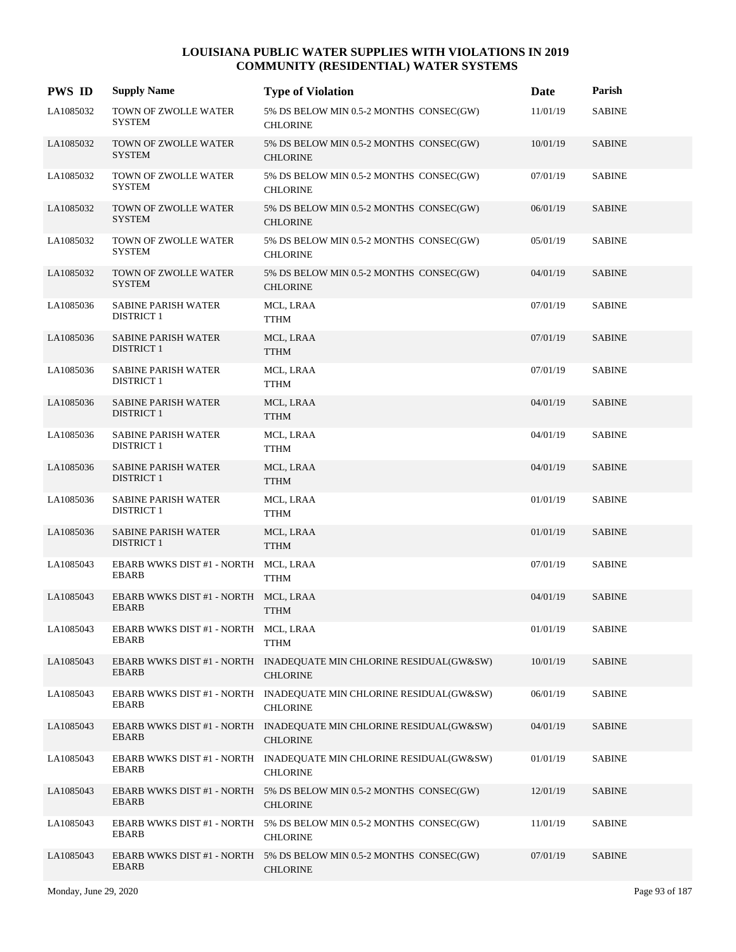| <b>PWS ID</b> | <b>Supply Name</b>                                   | <b>Type of Violation</b>                                                              | <b>Date</b> | Parish        |
|---------------|------------------------------------------------------|---------------------------------------------------------------------------------------|-------------|---------------|
| LA1085032     | TOWN OF ZWOLLE WATER<br><b>SYSTEM</b>                | 5% DS BELOW MIN 0.5-2 MONTHS CONSEC(GW)<br><b>CHLORINE</b>                            | 11/01/19    | <b>SABINE</b> |
| LA1085032     | TOWN OF ZWOLLE WATER<br><b>SYSTEM</b>                | 5% DS BELOW MIN 0.5-2 MONTHS CONSEC(GW)<br><b>CHLORINE</b>                            | 10/01/19    | <b>SABINE</b> |
| LA1085032     | TOWN OF ZWOLLE WATER<br><b>SYSTEM</b>                | 5% DS BELOW MIN 0.5-2 MONTHS CONSEC(GW)<br><b>CHLORINE</b>                            | 07/01/19    | <b>SABINE</b> |
| LA1085032     | TOWN OF ZWOLLE WATER<br><b>SYSTEM</b>                | 5% DS BELOW MIN 0.5-2 MONTHS CONSEC(GW)<br><b>CHLORINE</b>                            | 06/01/19    | <b>SABINE</b> |
| LA1085032     | TOWN OF ZWOLLE WATER<br><b>SYSTEM</b>                | 5% DS BELOW MIN 0.5-2 MONTHS CONSEC(GW)<br><b>CHLORINE</b>                            | 05/01/19    | <b>SABINE</b> |
| LA1085032     | TOWN OF ZWOLLE WATER<br><b>SYSTEM</b>                | 5% DS BELOW MIN 0.5-2 MONTHS CONSEC(GW)<br><b>CHLORINE</b>                            | 04/01/19    | <b>SABINE</b> |
| LA1085036     | SABINE PARISH WATER<br><b>DISTRICT 1</b>             | MCL, LRAA<br><b>TTHM</b>                                                              | 07/01/19    | <b>SABINE</b> |
| LA1085036     | <b>SABINE PARISH WATER</b><br><b>DISTRICT 1</b>      | MCL, LRAA<br><b>TTHM</b>                                                              | 07/01/19    | <b>SABINE</b> |
| LA1085036     | <b>SABINE PARISH WATER</b><br><b>DISTRICT 1</b>      | MCL, LRAA<br><b>TTHM</b>                                                              | 07/01/19    | <b>SABINE</b> |
| LA1085036     | <b>SABINE PARISH WATER</b><br><b>DISTRICT 1</b>      | MCL, LRAA<br><b>TTHM</b>                                                              | 04/01/19    | <b>SABINE</b> |
| LA1085036     | <b>SABINE PARISH WATER</b><br><b>DISTRICT 1</b>      | MCL, LRAA<br><b>TTHM</b>                                                              | 04/01/19    | <b>SABINE</b> |
| LA1085036     | <b>SABINE PARISH WATER</b><br><b>DISTRICT 1</b>      | MCL, LRAA<br><b>TTHM</b>                                                              | 04/01/19    | <b>SABINE</b> |
| LA1085036     | <b>SABINE PARISH WATER</b><br><b>DISTRICT 1</b>      | MCL, LRAA<br><b>TTHM</b>                                                              | 01/01/19    | <b>SABINE</b> |
| LA1085036     | <b>SABINE PARISH WATER</b><br><b>DISTRICT 1</b>      | MCL, LRAA<br><b>TTHM</b>                                                              | 01/01/19    | <b>SABINE</b> |
| LA1085043     | EBARB WWKS DIST #1 - NORTH MCL, LRAA<br><b>EBARB</b> | <b>TTHM</b>                                                                           | 07/01/19    | <b>SABINE</b> |
| LA1085043     | EBARB WWKS DIST #1 - NORTH MCL, LRAA<br><b>EBARB</b> | <b>TTHM</b>                                                                           | 04/01/19    | <b>SABINE</b> |
| LA1085043     | EBARB WWKS DIST #1 - NORTH MCL, LRAA<br><b>EBARB</b> | <b>TTHM</b>                                                                           | 01/01/19    | <b>SABINE</b> |
| LA1085043     | <b>EBARB</b>                                         | EBARB WWKS DIST #1 - NORTH INADEQUATE MIN CHLORINE RESIDUAL(GW&SW)<br><b>CHLORINE</b> | 10/01/19    | <b>SABINE</b> |
| LA1085043     | <b>EBARB</b>                                         | EBARB WWKS DIST #1 - NORTH INADEQUATE MIN CHLORINE RESIDUAL(GW&SW)<br><b>CHLORINE</b> | 06/01/19    | SABINE        |
| LA1085043     | EBARB                                                | EBARB WWKS DIST #1 - NORTH INADEQUATE MIN CHLORINE RESIDUAL(GW&SW)<br><b>CHLORINE</b> | 04/01/19    | <b>SABINE</b> |
| LA1085043     | <b>EBARB</b>                                         | EBARB WWKS DIST #1 - NORTH INADEQUATE MIN CHLORINE RESIDUAL(GW&SW)<br><b>CHLORINE</b> | 01/01/19    | <b>SABINE</b> |
| LA1085043     | EBARB                                                | EBARB WWKS DIST #1 - NORTH 5% DS BELOW MIN 0.5-2 MONTHS CONSEC(GW)<br><b>CHLORINE</b> | 12/01/19    | <b>SABINE</b> |
| LA1085043     | EBARB                                                | EBARB WWKS DIST #1 - NORTH 5% DS BELOW MIN 0.5-2 MONTHS CONSEC(GW)<br><b>CHLORINE</b> | 11/01/19    | <b>SABINE</b> |
| LA1085043     | <b>EBARB</b>                                         | EBARB WWKS DIST #1 - NORTH 5% DS BELOW MIN 0.5-2 MONTHS CONSEC(GW)<br><b>CHLORINE</b> | 07/01/19    | <b>SABINE</b> |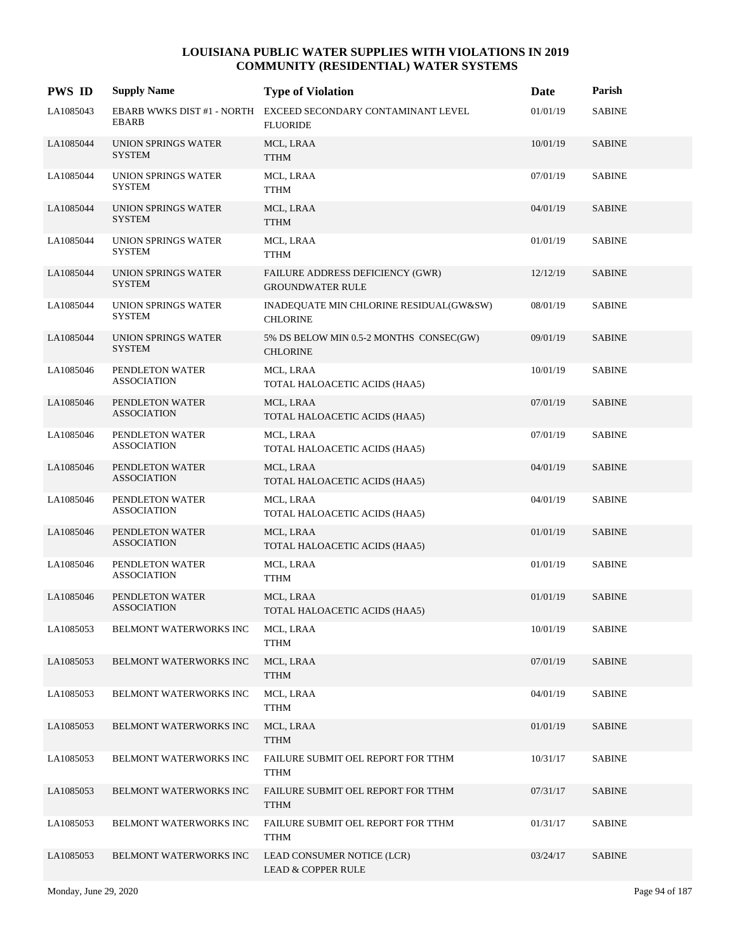| <b>PWS ID</b> | <b>Supply Name</b>                    | <b>Type of Violation</b>                                                         | Date     | Parish        |
|---------------|---------------------------------------|----------------------------------------------------------------------------------|----------|---------------|
| LA1085043     | <b>EBARB</b>                          | EBARB WWKS DIST #1 - NORTH EXCEED SECONDARY CONTAMINANT LEVEL<br><b>FLUORIDE</b> | 01/01/19 | <b>SABINE</b> |
| LA1085044     | UNION SPRINGS WATER<br><b>SYSTEM</b>  | MCL, LRAA<br><b>TTHM</b>                                                         | 10/01/19 | <b>SABINE</b> |
| LA1085044     | UNION SPRINGS WATER<br><b>SYSTEM</b>  | MCL, LRAA<br>${\rm TTHM}$                                                        | 07/01/19 | <b>SABINE</b> |
| LA1085044     | UNION SPRINGS WATER<br><b>SYSTEM</b>  | MCL, LRAA<br><b>TTHM</b>                                                         | 04/01/19 | <b>SABINE</b> |
| LA1085044     | UNION SPRINGS WATER<br><b>SYSTEM</b>  | MCL, LRAA<br><b>TTHM</b>                                                         | 01/01/19 | <b>SABINE</b> |
| LA1085044     | UNION SPRINGS WATER<br><b>SYSTEM</b>  | FAILURE ADDRESS DEFICIENCY (GWR)<br><b>GROUNDWATER RULE</b>                      | 12/12/19 | <b>SABINE</b> |
| LA1085044     | UNION SPRINGS WATER<br><b>SYSTEM</b>  | INADEQUATE MIN CHLORINE RESIDUAL(GW&SW)<br><b>CHLORINE</b>                       | 08/01/19 | <b>SABINE</b> |
| LA1085044     | UNION SPRINGS WATER<br><b>SYSTEM</b>  | 5% DS BELOW MIN 0.5-2 MONTHS CONSEC(GW)<br><b>CHLORINE</b>                       | 09/01/19 | <b>SABINE</b> |
| LA1085046     | PENDLETON WATER<br><b>ASSOCIATION</b> | MCL, LRAA<br>TOTAL HALOACETIC ACIDS (HAA5)                                       | 10/01/19 | <b>SABINE</b> |
| LA1085046     | PENDLETON WATER<br><b>ASSOCIATION</b> | MCL, LRAA<br>TOTAL HALOACETIC ACIDS (HAA5)                                       | 07/01/19 | <b>SABINE</b> |
| LA1085046     | PENDLETON WATER<br><b>ASSOCIATION</b> | MCL, LRAA<br>TOTAL HALOACETIC ACIDS (HAA5)                                       | 07/01/19 | <b>SABINE</b> |
| LA1085046     | PENDLETON WATER<br><b>ASSOCIATION</b> | MCL, LRAA<br>TOTAL HALOACETIC ACIDS (HAA5)                                       | 04/01/19 | <b>SABINE</b> |
| LA1085046     | PENDLETON WATER<br><b>ASSOCIATION</b> | MCL, LRAA<br>TOTAL HALOACETIC ACIDS (HAA5)                                       | 04/01/19 | <b>SABINE</b> |
| LA1085046     | PENDLETON WATER<br><b>ASSOCIATION</b> | MCL, LRAA<br>TOTAL HALOACETIC ACIDS (HAA5)                                       | 01/01/19 | <b>SABINE</b> |
| LA1085046     | PENDLETON WATER<br><b>ASSOCIATION</b> | MCL, LRAA<br><b>TTHM</b>                                                         | 01/01/19 | <b>SABINE</b> |
| LA1085046     | PENDLETON WATER<br><b>ASSOCIATION</b> | MCL, LRAA<br>TOTAL HALOACETIC ACIDS (HAA5)                                       | 01/01/19 | <b>SABINE</b> |
| LA1085053     | BELMONT WATERWORKS INC                | MCL, LRAA<br><b>TTHM</b>                                                         | 10/01/19 | <b>SABINE</b> |
| LA1085053     | BELMONT WATERWORKS INC                | MCL, LRAA<br><b>TTHM</b>                                                         | 07/01/19 | <b>SABINE</b> |
| LA1085053     | BELMONT WATERWORKS INC                | MCL, LRAA<br><b>TTHM</b>                                                         | 04/01/19 | <b>SABINE</b> |
| LA1085053     | BELMONT WATERWORKS INC                | MCL, LRAA<br><b>TTHM</b>                                                         | 01/01/19 | <b>SABINE</b> |
| LA1085053     | BELMONT WATERWORKS INC                | FAILURE SUBMIT OEL REPORT FOR TTHM<br><b>TTHM</b>                                | 10/31/17 | <b>SABINE</b> |
| LA1085053     | BELMONT WATERWORKS INC                | FAILURE SUBMIT OEL REPORT FOR TTHM<br><b>TTHM</b>                                | 07/31/17 | <b>SABINE</b> |
| LA1085053     | BELMONT WATERWORKS INC                | FAILURE SUBMIT OEL REPORT FOR TTHM<br><b>TTHM</b>                                | 01/31/17 | <b>SABINE</b> |
| LA1085053     | BELMONT WATERWORKS INC                | LEAD CONSUMER NOTICE (LCR)<br><b>LEAD &amp; COPPER RULE</b>                      | 03/24/17 | <b>SABINE</b> |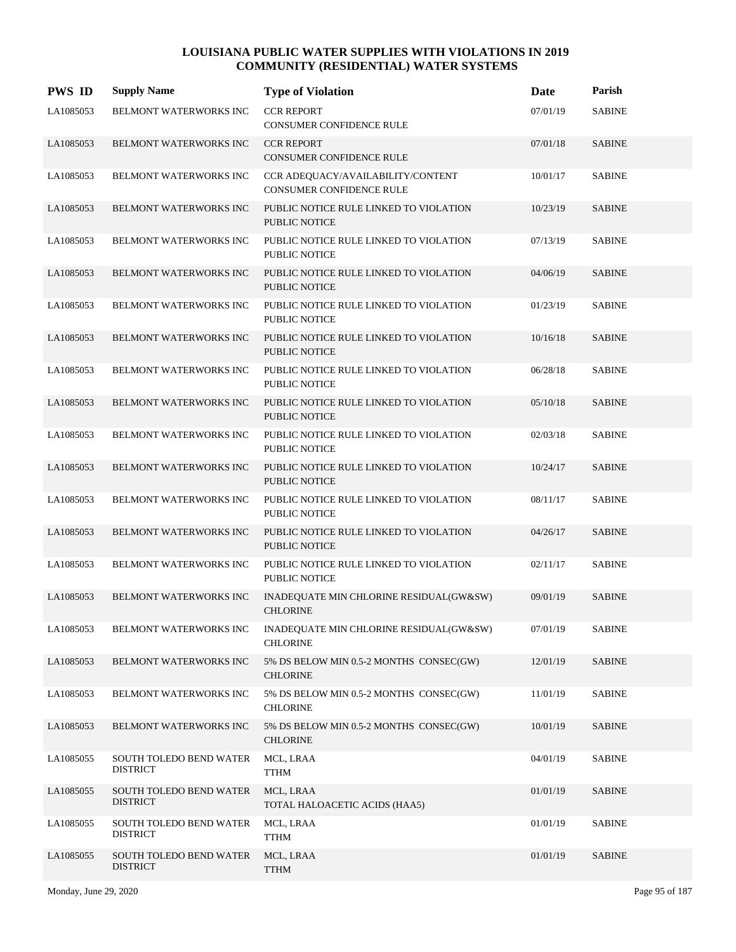| <b>PWS ID</b> | <b>Supply Name</b>                         | <b>Type of Violation</b>                                             | Date     | Parish                  |
|---------------|--------------------------------------------|----------------------------------------------------------------------|----------|-------------------------|
| LA1085053     | <b>BELMONT WATERWORKS INC</b>              | <b>CCR REPORT</b><br>CONSUMER CONFIDENCE RULE                        | 07/01/19 | <b>SABINE</b>           |
| LA1085053     | <b>BELMONT WATERWORKS INC</b>              | <b>CCR REPORT</b><br><b>CONSUMER CONFIDENCE RULE</b>                 | 07/01/18 | <b>SABINE</b>           |
| LA1085053     | BELMONT WATERWORKS INC                     | CCR ADEQUACY/AVAILABILITY/CONTENT<br><b>CONSUMER CONFIDENCE RULE</b> | 10/01/17 | <b>SABINE</b>           |
| LA1085053     | <b>BELMONT WATERWORKS INC</b>              | PUBLIC NOTICE RULE LINKED TO VIOLATION<br><b>PUBLIC NOTICE</b>       | 10/23/19 | <b>SABINE</b>           |
| LA1085053     | <b>BELMONT WATERWORKS INC</b>              | PUBLIC NOTICE RULE LINKED TO VIOLATION<br><b>PUBLIC NOTICE</b>       | 07/13/19 | $\operatorname{SABINE}$ |
| LA1085053     | BELMONT WATERWORKS INC                     | PUBLIC NOTICE RULE LINKED TO VIOLATION<br><b>PUBLIC NOTICE</b>       | 04/06/19 | <b>SABINE</b>           |
| LA1085053     | BELMONT WATERWORKS INC                     | PUBLIC NOTICE RULE LINKED TO VIOLATION<br><b>PUBLIC NOTICE</b>       | 01/23/19 | <b>SABINE</b>           |
| LA1085053     | <b>BELMONT WATERWORKS INC</b>              | PUBLIC NOTICE RULE LINKED TO VIOLATION<br><b>PUBLIC NOTICE</b>       | 10/16/18 | <b>SABINE</b>           |
| LA1085053     | BELMONT WATERWORKS INC                     | PUBLIC NOTICE RULE LINKED TO VIOLATION<br><b>PUBLIC NOTICE</b>       | 06/28/18 | <b>SABINE</b>           |
| LA1085053     | BELMONT WATERWORKS INC                     | PUBLIC NOTICE RULE LINKED TO VIOLATION<br><b>PUBLIC NOTICE</b>       | 05/10/18 | <b>SABINE</b>           |
| LA1085053     | BELMONT WATERWORKS INC                     | PUBLIC NOTICE RULE LINKED TO VIOLATION<br><b>PUBLIC NOTICE</b>       | 02/03/18 | <b>SABINE</b>           |
| LA1085053     | <b>BELMONT WATERWORKS INC</b>              | PUBLIC NOTICE RULE LINKED TO VIOLATION<br><b>PUBLIC NOTICE</b>       | 10/24/17 | <b>SABINE</b>           |
| LA1085053     | BELMONT WATERWORKS INC                     | PUBLIC NOTICE RULE LINKED TO VIOLATION<br><b>PUBLIC NOTICE</b>       | 08/11/17 | <b>SABINE</b>           |
| LA1085053     | BELMONT WATERWORKS INC                     | PUBLIC NOTICE RULE LINKED TO VIOLATION<br><b>PUBLIC NOTICE</b>       | 04/26/17 | <b>SABINE</b>           |
| LA1085053     | BELMONT WATERWORKS INC                     | PUBLIC NOTICE RULE LINKED TO VIOLATION<br><b>PUBLIC NOTICE</b>       | 02/11/17 | <b>SABINE</b>           |
| LA1085053     | <b>BELMONT WATERWORKS INC</b>              | INADEQUATE MIN CHLORINE RESIDUAL(GW&SW)<br><b>CHLORINE</b>           | 09/01/19 | <b>SABINE</b>           |
| LA1085053     | BELMONT WATERWORKS INC                     | INADEQUATE MIN CHLORINE RESIDUAL(GW&SW)<br><b>CHLORINE</b>           | 07/01/19 | <b>SABINE</b>           |
| LA1085053     | <b>BELMONT WATERWORKS INC</b>              | 5% DS BELOW MIN 0.5-2 MONTHS CONSEC(GW)<br><b>CHLORINE</b>           | 12/01/19 | <b>SABINE</b>           |
| LA1085053     | BELMONT WATERWORKS INC                     | 5% DS BELOW MIN 0.5-2 MONTHS CONSEC(GW)<br><b>CHLORINE</b>           | 11/01/19 | <b>SABINE</b>           |
| LA1085053     | BELMONT WATERWORKS INC                     | 5% DS BELOW MIN 0.5-2 MONTHS CONSEC(GW)<br><b>CHLORINE</b>           | 10/01/19 | <b>SABINE</b>           |
| LA1085055     | SOUTH TOLEDO BEND WATER<br><b>DISTRICT</b> | MCL, LRAA<br><b>TTHM</b>                                             | 04/01/19 | <b>SABINE</b>           |
| LA1085055     | SOUTH TOLEDO BEND WATER<br><b>DISTRICT</b> | MCL, LRAA<br>TOTAL HALOACETIC ACIDS (HAA5)                           | 01/01/19 | <b>SABINE</b>           |
| LA1085055     | SOUTH TOLEDO BEND WATER<br><b>DISTRICT</b> | MCL, LRAA<br><b>TTHM</b>                                             | 01/01/19 | <b>SABINE</b>           |
| LA1085055     | SOUTH TOLEDO BEND WATER<br><b>DISTRICT</b> | MCL, LRAA<br><b>TTHM</b>                                             | 01/01/19 | <b>SABINE</b>           |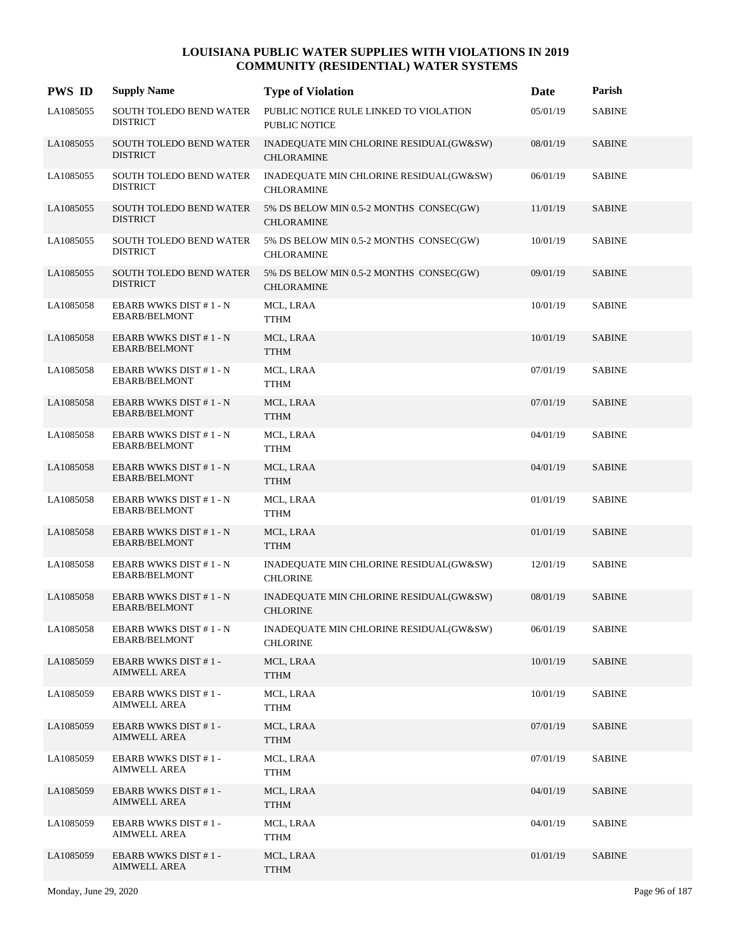| <b>PWS ID</b> | <b>Supply Name</b>                             | <b>Type of Violation</b>                                       | Date     | Parish        |
|---------------|------------------------------------------------|----------------------------------------------------------------|----------|---------------|
| LA1085055     | SOUTH TOLEDO BEND WATER<br><b>DISTRICT</b>     | PUBLIC NOTICE RULE LINKED TO VIOLATION<br><b>PUBLIC NOTICE</b> | 05/01/19 | <b>SABINE</b> |
| LA1085055     | SOUTH TOLEDO BEND WATER<br><b>DISTRICT</b>     | INADEQUATE MIN CHLORINE RESIDUAL(GW&SW)<br><b>CHLORAMINE</b>   | 08/01/19 | <b>SABINE</b> |
| LA1085055     | SOUTH TOLEDO BEND WATER<br><b>DISTRICT</b>     | INADEQUATE MIN CHLORINE RESIDUAL(GW&SW)<br><b>CHLORAMINE</b>   | 06/01/19 | <b>SABINE</b> |
| LA1085055     | SOUTH TOLEDO BEND WATER<br><b>DISTRICT</b>     | 5% DS BELOW MIN 0.5-2 MONTHS CONSEC(GW)<br><b>CHLORAMINE</b>   | 11/01/19 | <b>SABINE</b> |
| LA1085055     | SOUTH TOLEDO BEND WATER<br><b>DISTRICT</b>     | 5% DS BELOW MIN 0.5-2 MONTHS CONSEC(GW)<br><b>CHLORAMINE</b>   | 10/01/19 | <b>SABINE</b> |
| LA1085055     | SOUTH TOLEDO BEND WATER<br><b>DISTRICT</b>     | 5% DS BELOW MIN 0.5-2 MONTHS CONSEC(GW)<br><b>CHLORAMINE</b>   | 09/01/19 | <b>SABINE</b> |
| LA1085058     | EBARB WWKS DIST #1-N<br>EBARB/BELMONT          | MCL, LRAA<br><b>TTHM</b>                                       | 10/01/19 | <b>SABINE</b> |
| LA1085058     | EBARB WWKS DIST #1 - N<br><b>EBARB/BELMONT</b> | MCL, LRAA<br><b>TTHM</b>                                       | 10/01/19 | <b>SABINE</b> |
| LA1085058     | EBARB WWKS DIST #1 - N<br><b>EBARB/BELMONT</b> | MCL, LRAA<br><b>TTHM</b>                                       | 07/01/19 | <b>SABINE</b> |
| LA1085058     | EBARB WWKS DIST #1-N<br><b>EBARB/BELMONT</b>   | MCL, LRAA<br><b>TTHM</b>                                       | 07/01/19 | <b>SABINE</b> |
| LA1085058     | EBARB WWKS DIST #1 - N<br><b>EBARB/BELMONT</b> | MCL, LRAA<br>TTHM                                              | 04/01/19 | <b>SABINE</b> |
| LA1085058     | EBARB WWKS DIST #1 - N<br><b>EBARB/BELMONT</b> | MCL, LRAA<br><b>TTHM</b>                                       | 04/01/19 | <b>SABINE</b> |
| LA1085058     | EBARB WWKS DIST #1 - N<br>EBARB/BELMONT        | MCL, LRAA<br>TTHM                                              | 01/01/19 | <b>SABINE</b> |
| LA1085058     | EBARB WWKS DIST #1 - N<br><b>EBARB/BELMONT</b> | MCL, LRAA<br><b>TTHM</b>                                       | 01/01/19 | <b>SABINE</b> |
| LA1085058     | EBARB WWKS DIST #1 - N<br><b>EBARB/BELMONT</b> | INADEQUATE MIN CHLORINE RESIDUAL(GW&SW)<br><b>CHLORINE</b>     | 12/01/19 | <b>SABINE</b> |
| LA1085058     | EBARB WWKS DIST #1-N<br><b>EBARB/BELMONT</b>   | INADEQUATE MIN CHLORINE RESIDUAL(GW&SW)<br><b>CHLORINE</b>     | 08/01/19 | <b>SABINE</b> |
| LA1085058     | EBARB WWKS DIST #1-N<br>EBARB/BELMONT          | INADEQUATE MIN CHLORINE RESIDUAL(GW&SW)<br><b>CHLORINE</b>     | 06/01/19 | <b>SABINE</b> |
| LA1085059     | EBARB WWKS DIST #1-<br>AIMWELL AREA            | MCL, LRAA<br><b>TTHM</b>                                       | 10/01/19 | <b>SABINE</b> |
| LA1085059     | <b>EBARB WWKS DIST #1-</b><br>AIMWELL AREA     | MCL, LRAA<br><b>TTHM</b>                                       | 10/01/19 | <b>SABINE</b> |
| LA1085059     | <b>EBARB WWKS DIST #1-</b><br>AIMWELL AREA     | MCL, LRAA<br><b>TTHM</b>                                       | 07/01/19 | <b>SABINE</b> |
| LA1085059     | <b>EBARB WWKS DIST #1-</b><br>AIMWELL AREA     | MCL, LRAA<br><b>TTHM</b>                                       | 07/01/19 | <b>SABINE</b> |
| LA1085059     | EBARB WWKS DIST #1-<br>AIMWELL AREA            | MCL, LRAA<br><b>TTHM</b>                                       | 04/01/19 | <b>SABINE</b> |
| LA1085059     | <b>EBARB WWKS DIST #1-</b><br>AIMWELL AREA     | MCL, LRAA<br><b>TTHM</b>                                       | 04/01/19 | <b>SABINE</b> |
| LA1085059     | EBARB WWKS DIST #1-<br>AIMWELL AREA            | MCL, LRAA<br><b>TTHM</b>                                       | 01/01/19 | <b>SABINE</b> |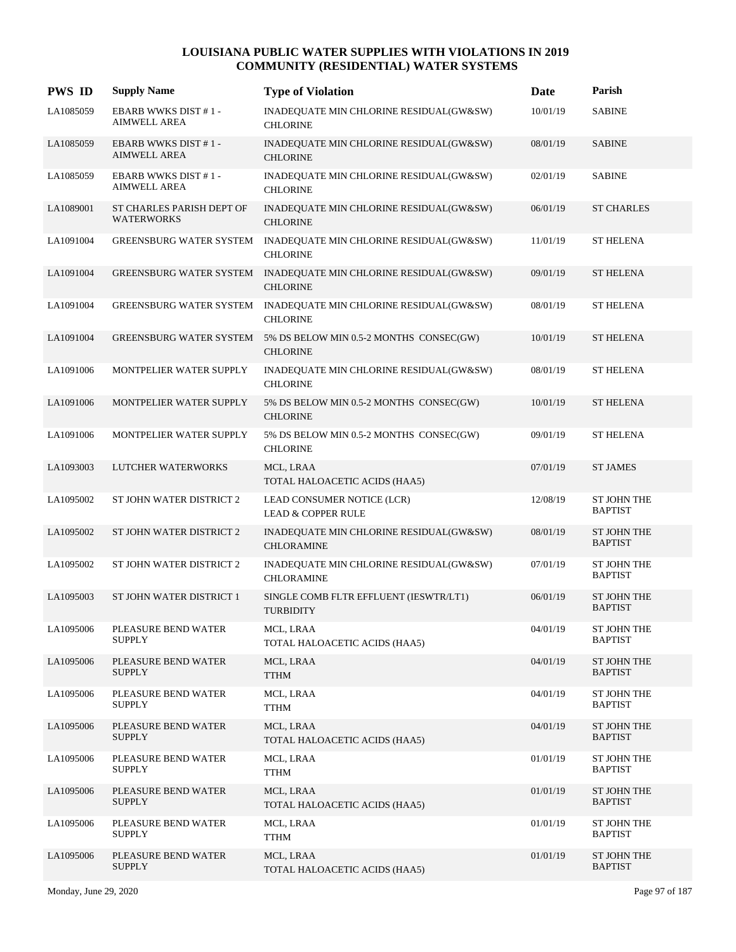| <b>PWS ID</b> | <b>Supply Name</b>                                | <b>Type of Violation</b>                                     | <b>Date</b> | Parish                               |
|---------------|---------------------------------------------------|--------------------------------------------------------------|-------------|--------------------------------------|
| LA1085059     | <b>EBARB WWKS DIST #1-</b><br><b>AIMWELL AREA</b> | INADEQUATE MIN CHLORINE RESIDUAL(GW&SW)<br><b>CHLORINE</b>   | 10/01/19    | <b>SABINE</b>                        |
| LA1085059     | <b>EBARB WWKS DIST #1-</b><br><b>AIMWELL AREA</b> | INADEQUATE MIN CHLORINE RESIDUAL(GW&SW)<br><b>CHLORINE</b>   | 08/01/19    | <b>SABINE</b>                        |
| LA1085059     | <b>EBARB WWKS DIST #1-</b><br><b>AIMWELL AREA</b> | INADEQUATE MIN CHLORINE RESIDUAL(GW&SW)<br><b>CHLORINE</b>   | 02/01/19    | <b>SABINE</b>                        |
| LA1089001     | ST CHARLES PARISH DEPT OF<br><b>WATERWORKS</b>    | INADEQUATE MIN CHLORINE RESIDUAL(GW&SW)<br><b>CHLORINE</b>   | 06/01/19    | <b>ST CHARLES</b>                    |
| LA1091004     | <b>GREENSBURG WATER SYSTEM</b>                    | INADEQUATE MIN CHLORINE RESIDUAL(GW&SW)<br><b>CHLORINE</b>   | 11/01/19    | <b>ST HELENA</b>                     |
| LA1091004     | GREENSBURG WATER SYSTEM                           | INADEQUATE MIN CHLORINE RESIDUAL(GW&SW)<br><b>CHLORINE</b>   | 09/01/19    | <b>ST HELENA</b>                     |
| LA1091004     | <b>GREENSBURG WATER SYSTEM</b>                    | INADEQUATE MIN CHLORINE RESIDUAL(GW&SW)<br><b>CHLORINE</b>   | 08/01/19    | <b>ST HELENA</b>                     |
| LA1091004     | <b>GREENSBURG WATER SYSTEM</b>                    | 5% DS BELOW MIN 0.5-2 MONTHS CONSEC(GW)<br><b>CHLORINE</b>   | 10/01/19    | <b>ST HELENA</b>                     |
| LA1091006     | MONTPELIER WATER SUPPLY                           | INADEQUATE MIN CHLORINE RESIDUAL(GW&SW)<br><b>CHLORINE</b>   | 08/01/19    | <b>ST HELENA</b>                     |
| LA1091006     | MONTPELIER WATER SUPPLY                           | 5% DS BELOW MIN 0.5-2 MONTHS CONSEC(GW)<br><b>CHLORINE</b>   | 10/01/19    | <b>ST HELENA</b>                     |
| LA1091006     | MONTPELIER WATER SUPPLY                           | 5% DS BELOW MIN 0.5-2 MONTHS CONSEC(GW)<br><b>CHLORINE</b>   | 09/01/19    | <b>ST HELENA</b>                     |
| LA1093003     | LUTCHER WATERWORKS                                | MCL, LRAA<br>TOTAL HALOACETIC ACIDS (HAA5)                   | 07/01/19    | <b>ST JAMES</b>                      |
| LA1095002     | ST JOHN WATER DISTRICT 2                          | LEAD CONSUMER NOTICE (LCR)<br><b>LEAD &amp; COPPER RULE</b>  | 12/08/19    | <b>ST JOHN THE</b><br><b>BAPTIST</b> |
| LA1095002     | ST JOHN WATER DISTRICT 2                          | INADEQUATE MIN CHLORINE RESIDUAL(GW&SW)<br><b>CHLORAMINE</b> | 08/01/19    | <b>ST JOHN THE</b><br><b>BAPTIST</b> |
| LA1095002     | ST JOHN WATER DISTRICT 2                          | INADEQUATE MIN CHLORINE RESIDUAL(GW&SW)<br><b>CHLORAMINE</b> | 07/01/19    | <b>ST JOHN THE</b><br><b>BAPTIST</b> |
| LA1095003     | ST JOHN WATER DISTRICT 1                          | SINGLE COMB FLTR EFFLUENT (IESWTR/LT1)<br><b>TURBIDITY</b>   | 06/01/19    | <b>ST JOHN THE</b><br><b>BAPTIST</b> |
| LA1095006     | PLEASURE BEND WATER<br><b>SUPPLY</b>              | MCL, LRAA<br>TOTAL HALOACETIC ACIDS (HAA5)                   | 04/01/19    | <b>ST JOHN THE</b><br><b>BAPTIST</b> |
| LA1095006     | PLEASURE BEND WATER<br><b>SUPPLY</b>              | MCL, LRAA<br><b>TTHM</b>                                     | 04/01/19    | <b>ST JOHN THE</b><br><b>BAPTIST</b> |
| LA1095006     | PLEASURE BEND WATER<br><b>SUPPLY</b>              | MCL, LRAA<br><b>TTHM</b>                                     | 04/01/19    | ST JOHN THE<br><b>BAPTIST</b>        |
| LA1095006     | PLEASURE BEND WATER<br><b>SUPPLY</b>              | MCL, LRAA<br>TOTAL HALOACETIC ACIDS (HAA5)                   | 04/01/19    | <b>ST JOHN THE</b><br><b>BAPTIST</b> |
| LA1095006     | PLEASURE BEND WATER<br><b>SUPPLY</b>              | MCL, LRAA<br><b>TTHM</b>                                     | 01/01/19    | <b>ST JOHN THE</b><br><b>BAPTIST</b> |
| LA1095006     | PLEASURE BEND WATER<br><b>SUPPLY</b>              | MCL, LRAA<br>TOTAL HALOACETIC ACIDS (HAA5)                   | 01/01/19    | <b>ST JOHN THE</b><br><b>BAPTIST</b> |
| LA1095006     | PLEASURE BEND WATER<br><b>SUPPLY</b>              | MCL, LRAA<br><b>TTHM</b>                                     | 01/01/19    | <b>ST JOHN THE</b><br><b>BAPTIST</b> |
| LA1095006     | PLEASURE BEND WATER<br><b>SUPPLY</b>              | MCL, LRAA<br>TOTAL HALOACETIC ACIDS (HAA5)                   | 01/01/19    | <b>ST JOHN THE</b><br><b>BAPTIST</b> |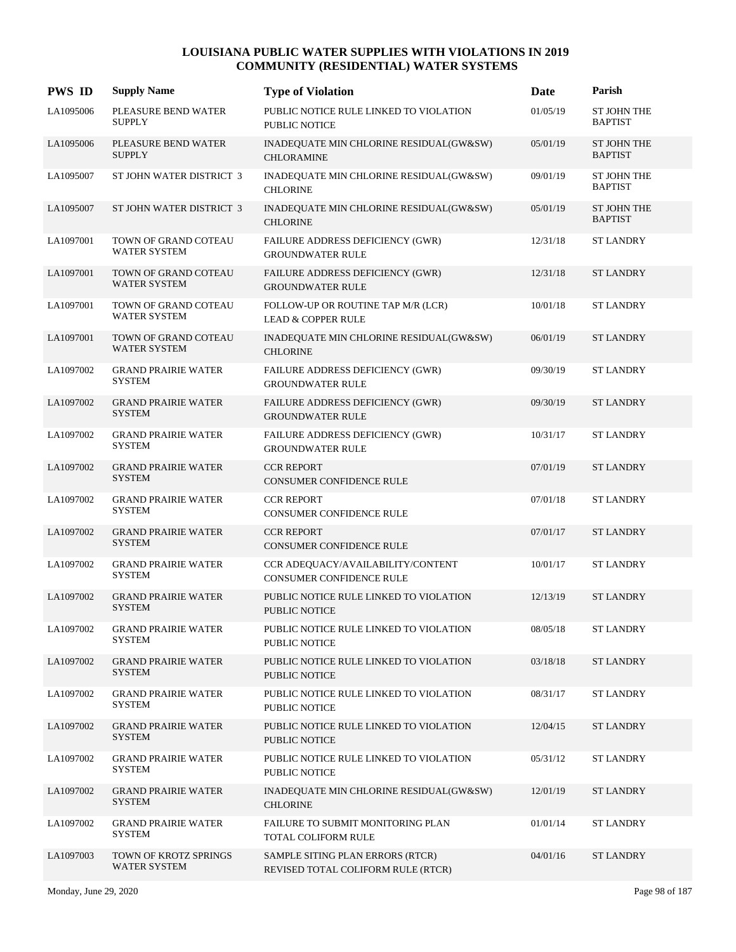| <b>PWS ID</b> | <b>Supply Name</b>                           | <b>Type of Violation</b>                                               | Date     | Parish                               |
|---------------|----------------------------------------------|------------------------------------------------------------------------|----------|--------------------------------------|
| LA1095006     | PLEASURE BEND WATER<br><b>SUPPLY</b>         | PUBLIC NOTICE RULE LINKED TO VIOLATION<br>PUBLIC NOTICE                | 01/05/19 | <b>ST JOHN THE</b><br><b>BAPTIST</b> |
| LA1095006     | PLEASURE BEND WATER<br><b>SUPPLY</b>         | INADEQUATE MIN CHLORINE RESIDUAL(GW&SW)<br><b>CHLORAMINE</b>           | 05/01/19 | <b>ST JOHN THE</b><br><b>BAPTIST</b> |
| LA1095007     | ST JOHN WATER DISTRICT 3                     | INADEQUATE MIN CHLORINE RESIDUAL(GW&SW)<br><b>CHLORINE</b>             | 09/01/19 | <b>ST JOHN THE</b><br><b>BAPTIST</b> |
| LA1095007     | ST JOHN WATER DISTRICT 3                     | INADEQUATE MIN CHLORINE RESIDUAL(GW&SW)<br><b>CHLORINE</b>             | 05/01/19 | <b>ST JOHN THE</b><br><b>BAPTIST</b> |
| LA1097001     | TOWN OF GRAND COTEAU<br><b>WATER SYSTEM</b>  | FAILURE ADDRESS DEFICIENCY (GWR)<br><b>GROUNDWATER RULE</b>            | 12/31/18 | <b>ST LANDRY</b>                     |
| LA1097001     | TOWN OF GRAND COTEAU<br><b>WATER SYSTEM</b>  | FAILURE ADDRESS DEFICIENCY (GWR)<br><b>GROUNDWATER RULE</b>            | 12/31/18 | <b>ST LANDRY</b>                     |
| LA1097001     | TOWN OF GRAND COTEAU<br><b>WATER SYSTEM</b>  | FOLLOW-UP OR ROUTINE TAP M/R (LCR)<br><b>LEAD &amp; COPPER RULE</b>    | 10/01/18 | <b>ST LANDRY</b>                     |
| LA1097001     | TOWN OF GRAND COTEAU<br><b>WATER SYSTEM</b>  | INADEQUATE MIN CHLORINE RESIDUAL(GW&SW)<br><b>CHLORINE</b>             | 06/01/19 | <b>ST LANDRY</b>                     |
| LA1097002     | <b>GRAND PRAIRIE WATER</b><br><b>SYSTEM</b>  | FAILURE ADDRESS DEFICIENCY (GWR)<br><b>GROUNDWATER RULE</b>            | 09/30/19 | <b>ST LANDRY</b>                     |
| LA1097002     | <b>GRAND PRAIRIE WATER</b><br><b>SYSTEM</b>  | FAILURE ADDRESS DEFICIENCY (GWR)<br><b>GROUNDWATER RULE</b>            | 09/30/19 | <b>ST LANDRY</b>                     |
| LA1097002     | <b>GRAND PRAIRIE WATER</b><br><b>SYSTEM</b>  | FAILURE ADDRESS DEFICIENCY (GWR)<br><b>GROUNDWATER RULE</b>            | 10/31/17 | <b>ST LANDRY</b>                     |
| LA1097002     | <b>GRAND PRAIRIE WATER</b><br><b>SYSTEM</b>  | <b>CCR REPORT</b><br>CONSUMER CONFIDENCE RULE                          | 07/01/19 | <b>ST LANDRY</b>                     |
| LA1097002     | <b>GRAND PRAIRIE WATER</b><br><b>SYSTEM</b>  | <b>CCR REPORT</b><br>CONSUMER CONFIDENCE RULE                          | 07/01/18 | <b>ST LANDRY</b>                     |
| LA1097002     | <b>GRAND PRAIRIE WATER</b><br><b>SYSTEM</b>  | <b>CCR REPORT</b><br>CONSUMER CONFIDENCE RULE                          | 07/01/17 | <b>ST LANDRY</b>                     |
| LA1097002     | <b>GRAND PRAIRIE WATER</b><br><b>SYSTEM</b>  | CCR ADEQUACY/AVAILABILITY/CONTENT<br>CONSUMER CONFIDENCE RULE          | 10/01/17 | <b>ST LANDRY</b>                     |
| LA1097002     | <b>GRAND PRAIRIE WATER</b><br><b>SYSTEM</b>  | PUBLIC NOTICE RULE LINKED TO VIOLATION<br>PUBLIC NOTICE                | 12/13/19 | <b>ST LANDRY</b>                     |
| LA1097002     | <b>GRAND PRAIRIE WATER</b><br><b>SYSTEM</b>  | PUBLIC NOTICE RULE LINKED TO VIOLATION<br>PUBLIC NOTICE                | 08/05/18 | <b>ST LANDRY</b>                     |
| LA1097002     | <b>GRAND PRAIRIE WATER</b><br><b>SYSTEM</b>  | PUBLIC NOTICE RULE LINKED TO VIOLATION<br>PUBLIC NOTICE                | 03/18/18 | <b>ST LANDRY</b>                     |
| LA1097002     | <b>GRAND PRAIRIE WATER</b><br>SYSTEM         | PUBLIC NOTICE RULE LINKED TO VIOLATION<br>PUBLIC NOTICE                | 08/31/17 | <b>ST LANDRY</b>                     |
| LA1097002     | <b>GRAND PRAIRIE WATER</b><br><b>SYSTEM</b>  | PUBLIC NOTICE RULE LINKED TO VIOLATION<br>PUBLIC NOTICE                | 12/04/15 | <b>ST LANDRY</b>                     |
| LA1097002     | <b>GRAND PRAIRIE WATER</b><br><b>SYSTEM</b>  | PUBLIC NOTICE RULE LINKED TO VIOLATION<br>PUBLIC NOTICE                | 05/31/12 | <b>ST LANDRY</b>                     |
| LA1097002     | <b>GRAND PRAIRIE WATER</b><br><b>SYSTEM</b>  | INADEQUATE MIN CHLORINE RESIDUAL(GW&SW)<br><b>CHLORINE</b>             | 12/01/19 | ST LANDRY                            |
| LA1097002     | <b>GRAND PRAIRIE WATER</b><br>SYSTEM         | FAILURE TO SUBMIT MONITORING PLAN<br>TOTAL COLIFORM RULE               | 01/01/14 | <b>ST LANDRY</b>                     |
| LA1097003     | TOWN OF KROTZ SPRINGS<br><b>WATER SYSTEM</b> | SAMPLE SITING PLAN ERRORS (RTCR)<br>REVISED TOTAL COLIFORM RULE (RTCR) | 04/01/16 | <b>ST LANDRY</b>                     |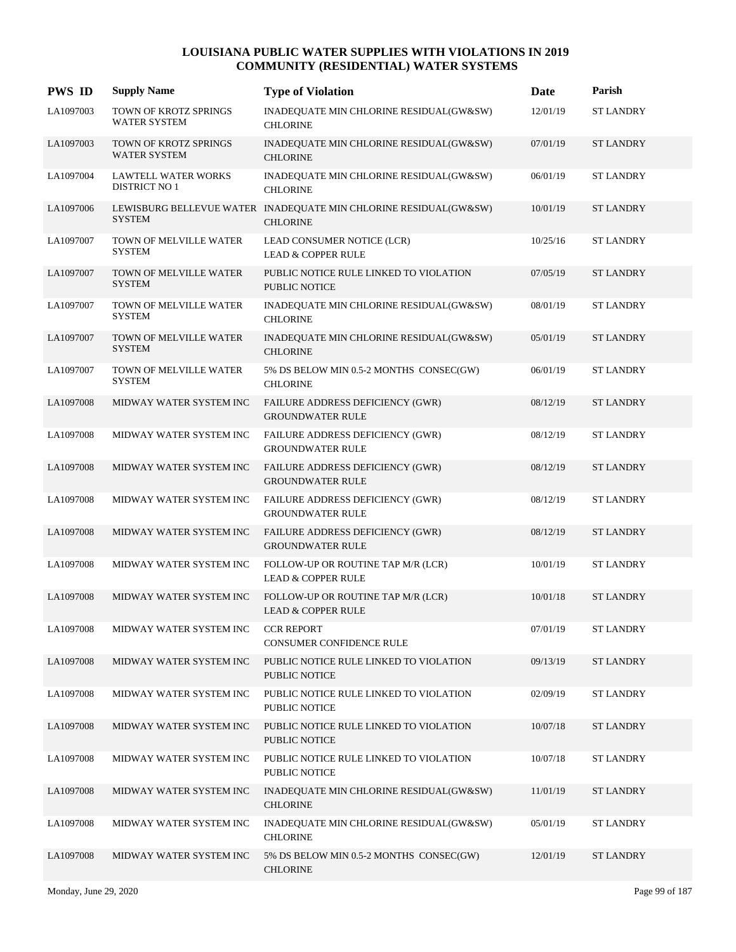| <b>PWS ID</b> | <b>Supply Name</b>                                 | <b>Type of Violation</b>                                                            | Date     | Parish           |
|---------------|----------------------------------------------------|-------------------------------------------------------------------------------------|----------|------------------|
| LA1097003     | TOWN OF KROTZ SPRINGS<br><b>WATER SYSTEM</b>       | INADEQUATE MIN CHLORINE RESIDUAL(GW&SW)<br><b>CHLORINE</b>                          | 12/01/19 | <b>ST LANDRY</b> |
| LA1097003     | TOWN OF KROTZ SPRINGS<br><b>WATER SYSTEM</b>       | INADEQUATE MIN CHLORINE RESIDUAL(GW&SW)<br><b>CHLORINE</b>                          | 07/01/19 | <b>ST LANDRY</b> |
| LA1097004     | <b>LAWTELL WATER WORKS</b><br><b>DISTRICT NO 1</b> | INADEQUATE MIN CHLORINE RESIDUAL(GW&SW)<br><b>CHLORINE</b>                          | 06/01/19 | <b>ST LANDRY</b> |
| LA1097006     | <b>SYSTEM</b>                                      | LEWISBURG BELLEVUE WATER INADEQUATE MIN CHLORINE RESIDUAL(GW&SW)<br><b>CHLORINE</b> | 10/01/19 | <b>ST LANDRY</b> |
| LA1097007     | TOWN OF MELVILLE WATER<br><b>SYSTEM</b>            | LEAD CONSUMER NOTICE (LCR)<br><b>LEAD &amp; COPPER RULE</b>                         | 10/25/16 | <b>ST LANDRY</b> |
| LA1097007     | TOWN OF MELVILLE WATER<br><b>SYSTEM</b>            | PUBLIC NOTICE RULE LINKED TO VIOLATION<br><b>PUBLIC NOTICE</b>                      | 07/05/19 | <b>ST LANDRY</b> |
| LA1097007     | TOWN OF MELVILLE WATER<br><b>SYSTEM</b>            | INADEQUATE MIN CHLORINE RESIDUAL(GW&SW)<br><b>CHLORINE</b>                          | 08/01/19 | <b>ST LANDRY</b> |
| LA1097007     | TOWN OF MELVILLE WATER<br><b>SYSTEM</b>            | INADEQUATE MIN CHLORINE RESIDUAL(GW&SW)<br><b>CHLORINE</b>                          | 05/01/19 | <b>ST LANDRY</b> |
| LA1097007     | TOWN OF MELVILLE WATER<br><b>SYSTEM</b>            | 5% DS BELOW MIN 0.5-2 MONTHS CONSEC(GW)<br><b>CHLORINE</b>                          | 06/01/19 | <b>ST LANDRY</b> |
| LA1097008     | MIDWAY WATER SYSTEM INC                            | FAILURE ADDRESS DEFICIENCY (GWR)<br><b>GROUNDWATER RULE</b>                         | 08/12/19 | <b>ST LANDRY</b> |
| LA1097008     | MIDWAY WATER SYSTEM INC                            | FAILURE ADDRESS DEFICIENCY (GWR)<br><b>GROUNDWATER RULE</b>                         | 08/12/19 | <b>ST LANDRY</b> |
| LA1097008     | MIDWAY WATER SYSTEM INC                            | FAILURE ADDRESS DEFICIENCY (GWR)<br><b>GROUNDWATER RULE</b>                         | 08/12/19 | <b>ST LANDRY</b> |
| LA1097008     | MIDWAY WATER SYSTEM INC                            | FAILURE ADDRESS DEFICIENCY (GWR)<br><b>GROUNDWATER RULE</b>                         | 08/12/19 | <b>ST LANDRY</b> |
| LA1097008     | MIDWAY WATER SYSTEM INC                            | FAILURE ADDRESS DEFICIENCY (GWR)<br><b>GROUNDWATER RULE</b>                         | 08/12/19 | <b>ST LANDRY</b> |
| LA1097008     | MIDWAY WATER SYSTEM INC                            | FOLLOW-UP OR ROUTINE TAP M/R (LCR)<br><b>LEAD &amp; COPPER RULE</b>                 | 10/01/19 | <b>ST LANDRY</b> |
| LA1097008     | MIDWAY WATER SYSTEM INC                            | FOLLOW-UP OR ROUTINE TAP M/R (LCR)<br><b>LEAD &amp; COPPER RULE</b>                 | 10/01/18 | <b>ST LANDRY</b> |
| LA1097008     | MIDWAY WATER SYSTEM INC                            | <b>CCR REPORT</b><br>CONSUMER CONFIDENCE RULE                                       | 07/01/19 | <b>ST LANDRY</b> |
| LA1097008     | MIDWAY WATER SYSTEM INC                            | PUBLIC NOTICE RULE LINKED TO VIOLATION<br>PUBLIC NOTICE                             | 09/13/19 | <b>ST LANDRY</b> |
| LA1097008     | MIDWAY WATER SYSTEM INC                            | PUBLIC NOTICE RULE LINKED TO VIOLATION<br>PUBLIC NOTICE                             | 02/09/19 | <b>ST LANDRY</b> |
| LA1097008     | MIDWAY WATER SYSTEM INC                            | PUBLIC NOTICE RULE LINKED TO VIOLATION<br>PUBLIC NOTICE                             | 10/07/18 | <b>ST LANDRY</b> |
| LA1097008     | MIDWAY WATER SYSTEM INC                            | PUBLIC NOTICE RULE LINKED TO VIOLATION<br><b>PUBLIC NOTICE</b>                      | 10/07/18 | <b>ST LANDRY</b> |
| LA1097008     | MIDWAY WATER SYSTEM INC                            | INADEQUATE MIN CHLORINE RESIDUAL(GW&SW)<br><b>CHLORINE</b>                          | 11/01/19 | <b>ST LANDRY</b> |
| LA1097008     | MIDWAY WATER SYSTEM INC                            | INADEQUATE MIN CHLORINE RESIDUAL(GW&SW)<br><b>CHLORINE</b>                          | 05/01/19 | <b>ST LANDRY</b> |
| LA1097008     | MIDWAY WATER SYSTEM INC                            | 5% DS BELOW MIN 0.5-2 MONTHS CONSEC(GW)<br><b>CHLORINE</b>                          | 12/01/19 | <b>ST LANDRY</b> |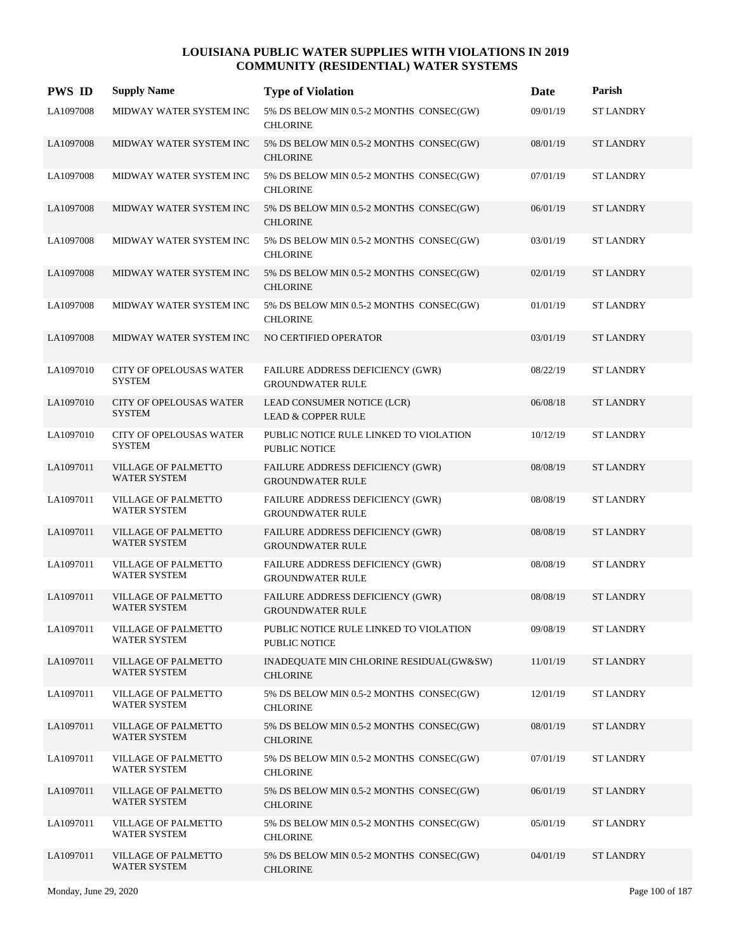| <b>PWS ID</b> | <b>Supply Name</b>                                | <b>Type of Violation</b>                                    | Date     | Parish           |
|---------------|---------------------------------------------------|-------------------------------------------------------------|----------|------------------|
| LA1097008     | MIDWAY WATER SYSTEM INC                           | 5% DS BELOW MIN 0.5-2 MONTHS CONSEC(GW)<br><b>CHLORINE</b>  | 09/01/19 | <b>ST LANDRY</b> |
| LA1097008     | MIDWAY WATER SYSTEM INC                           | 5% DS BELOW MIN 0.5-2 MONTHS CONSEC(GW)<br><b>CHLORINE</b>  | 08/01/19 | <b>ST LANDRY</b> |
| LA1097008     | MIDWAY WATER SYSTEM INC                           | 5% DS BELOW MIN 0.5-2 MONTHS CONSEC(GW)<br><b>CHLORINE</b>  | 07/01/19 | <b>ST LANDRY</b> |
| LA1097008     | MIDWAY WATER SYSTEM INC                           | 5% DS BELOW MIN 0.5-2 MONTHS CONSEC(GW)<br><b>CHLORINE</b>  | 06/01/19 | <b>ST LANDRY</b> |
| LA1097008     | MIDWAY WATER SYSTEM INC                           | 5% DS BELOW MIN 0.5-2 MONTHS CONSEC(GW)<br><b>CHLORINE</b>  | 03/01/19 | <b>ST LANDRY</b> |
| LA1097008     | MIDWAY WATER SYSTEM INC                           | 5% DS BELOW MIN 0.5-2 MONTHS CONSEC(GW)<br><b>CHLORINE</b>  | 02/01/19 | <b>ST LANDRY</b> |
| LA1097008     | MIDWAY WATER SYSTEM INC                           | 5% DS BELOW MIN 0.5-2 MONTHS CONSEC(GW)<br><b>CHLORINE</b>  | 01/01/19 | <b>ST LANDRY</b> |
| LA1097008     | MIDWAY WATER SYSTEM INC                           | NO CERTIFIED OPERATOR                                       | 03/01/19 | <b>ST LANDRY</b> |
| LA1097010     | <b>CITY OF OPELOUSAS WATER</b><br><b>SYSTEM</b>   | FAILURE ADDRESS DEFICIENCY (GWR)<br><b>GROUNDWATER RULE</b> | 08/22/19 | <b>ST LANDRY</b> |
| LA1097010     | <b>CITY OF OPELOUSAS WATER</b><br><b>SYSTEM</b>   | LEAD CONSUMER NOTICE (LCR)<br><b>LEAD &amp; COPPER RULE</b> | 06/08/18 | <b>ST LANDRY</b> |
| LA1097010     | <b>CITY OF OPELOUSAS WATER</b><br><b>SYSTEM</b>   | PUBLIC NOTICE RULE LINKED TO VIOLATION<br>PUBLIC NOTICE     | 10/12/19 | <b>ST LANDRY</b> |
| LA1097011     | <b>VILLAGE OF PALMETTO</b><br><b>WATER SYSTEM</b> | FAILURE ADDRESS DEFICIENCY (GWR)<br><b>GROUNDWATER RULE</b> | 08/08/19 | <b>ST LANDRY</b> |
| LA1097011     | <b>VILLAGE OF PALMETTO</b><br><b>WATER SYSTEM</b> | FAILURE ADDRESS DEFICIENCY (GWR)<br><b>GROUNDWATER RULE</b> | 08/08/19 | <b>ST LANDRY</b> |
| LA1097011     | <b>VILLAGE OF PALMETTO</b><br><b>WATER SYSTEM</b> | FAILURE ADDRESS DEFICIENCY (GWR)<br><b>GROUNDWATER RULE</b> | 08/08/19 | <b>ST LANDRY</b> |
| LA1097011     | <b>VILLAGE OF PALMETTO</b><br><b>WATER SYSTEM</b> | FAILURE ADDRESS DEFICIENCY (GWR)<br><b>GROUNDWATER RULE</b> | 08/08/19 | <b>ST LANDRY</b> |
| LA1097011     | <b>VILLAGE OF PALMETTO</b><br><b>WATER SYSTEM</b> | FAILURE ADDRESS DEFICIENCY (GWR)<br><b>GROUNDWATER RULE</b> | 08/08/19 | <b>ST LANDRY</b> |
| LA1097011     | VILLAGE OF PALMETTO<br>WATER SYSTEM               | PUBLIC NOTICE RULE LINKED TO VIOLATION<br>PUBLIC NOTICE     | 09/08/19 | <b>ST LANDRY</b> |
| LA1097011     | VILLAGE OF PALMETTO<br><b>WATER SYSTEM</b>        | INADEQUATE MIN CHLORINE RESIDUAL(GW&SW)<br><b>CHLORINE</b>  | 11/01/19 | <b>ST LANDRY</b> |
| LA1097011     | <b>VILLAGE OF PALMETTO</b><br>WATER SYSTEM        | 5% DS BELOW MIN 0.5-2 MONTHS CONSEC(GW)<br><b>CHLORINE</b>  | 12/01/19 | <b>ST LANDRY</b> |
| LA1097011     | VILLAGE OF PALMETTO<br>WATER SYSTEM               | 5% DS BELOW MIN 0.5-2 MONTHS CONSEC(GW)<br><b>CHLORINE</b>  | 08/01/19 | <b>ST LANDRY</b> |
| LA1097011     | VILLAGE OF PALMETTO<br><b>WATER SYSTEM</b>        | 5% DS BELOW MIN 0.5-2 MONTHS CONSEC(GW)<br><b>CHLORINE</b>  | 07/01/19 | <b>ST LANDRY</b> |
| LA1097011     | VILLAGE OF PALMETTO<br><b>WATER SYSTEM</b>        | 5% DS BELOW MIN 0.5-2 MONTHS CONSEC(GW)<br><b>CHLORINE</b>  | 06/01/19 | <b>ST LANDRY</b> |
| LA1097011     | VILLAGE OF PALMETTO<br><b>WATER SYSTEM</b>        | 5% DS BELOW MIN 0.5-2 MONTHS CONSEC(GW)<br><b>CHLORINE</b>  | 05/01/19 | <b>ST LANDRY</b> |
| LA1097011     | VILLAGE OF PALMETTO<br>WATER SYSTEM               | 5% DS BELOW MIN 0.5-2 MONTHS CONSEC(GW)<br><b>CHLORINE</b>  | 04/01/19 | <b>ST LANDRY</b> |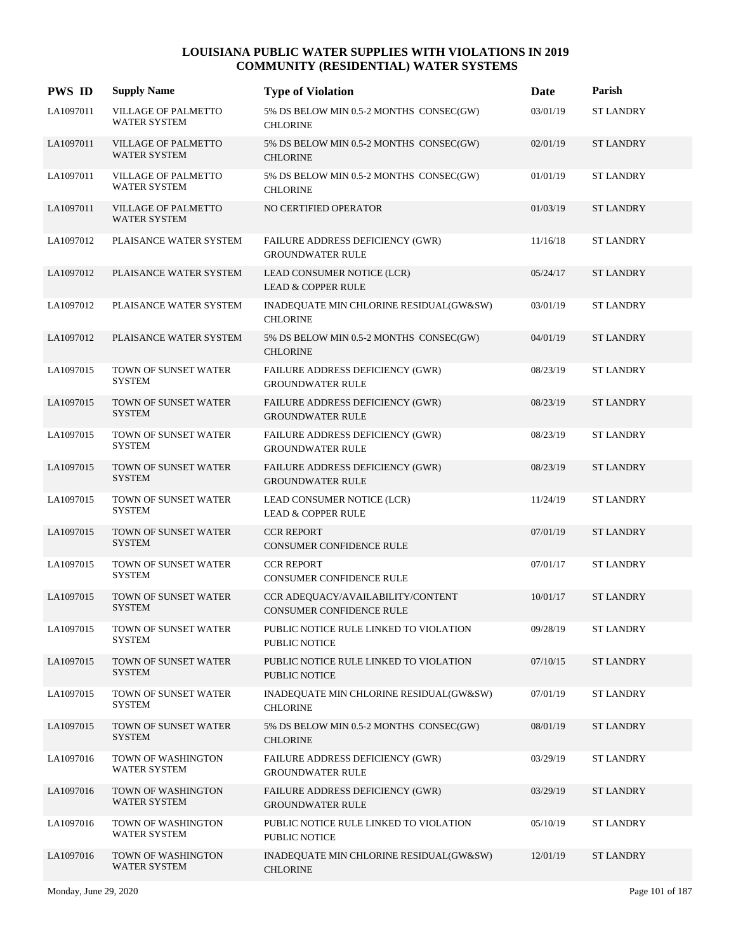| <b>PWS ID</b> | <b>Supply Name</b>                                | <b>Type of Violation</b>                                             | Date     | Parish           |
|---------------|---------------------------------------------------|----------------------------------------------------------------------|----------|------------------|
| LA1097011     | VILLAGE OF PALMETTO<br><b>WATER SYSTEM</b>        | 5% DS BELOW MIN 0.5-2 MONTHS CONSEC(GW)<br><b>CHLORINE</b>           | 03/01/19 | <b>ST LANDRY</b> |
| LA1097011     | <b>VILLAGE OF PALMETTO</b><br><b>WATER SYSTEM</b> | 5% DS BELOW MIN 0.5-2 MONTHS CONSEC(GW)<br><b>CHLORINE</b>           | 02/01/19 | <b>ST LANDRY</b> |
| LA1097011     | VILLAGE OF PALMETTO<br><b>WATER SYSTEM</b>        | 5% DS BELOW MIN 0.5-2 MONTHS CONSEC(GW)<br><b>CHLORINE</b>           | 01/01/19 | <b>ST LANDRY</b> |
| LA1097011     | <b>VILLAGE OF PALMETTO</b><br><b>WATER SYSTEM</b> | NO CERTIFIED OPERATOR                                                | 01/03/19 | <b>ST LANDRY</b> |
| LA1097012     | PLAISANCE WATER SYSTEM                            | FAILURE ADDRESS DEFICIENCY (GWR)<br><b>GROUNDWATER RULE</b>          | 11/16/18 | <b>ST LANDRY</b> |
| LA1097012     | PLAISANCE WATER SYSTEM                            | LEAD CONSUMER NOTICE (LCR)<br><b>LEAD &amp; COPPER RULE</b>          | 05/24/17 | <b>ST LANDRY</b> |
| LA1097012     | PLAISANCE WATER SYSTEM                            | INADEQUATE MIN CHLORINE RESIDUAL(GW&SW)<br><b>CHLORINE</b>           | 03/01/19 | <b>ST LANDRY</b> |
| LA1097012     | PLAISANCE WATER SYSTEM                            | 5% DS BELOW MIN 0.5-2 MONTHS CONSEC(GW)<br><b>CHLORINE</b>           | 04/01/19 | <b>ST LANDRY</b> |
| LA1097015     | TOWN OF SUNSET WATER<br><b>SYSTEM</b>             | FAILURE ADDRESS DEFICIENCY (GWR)<br><b>GROUNDWATER RULE</b>          | 08/23/19 | <b>ST LANDRY</b> |
| LA1097015     | TOWN OF SUNSET WATER<br><b>SYSTEM</b>             | <b>FAILURE ADDRESS DEFICIENCY (GWR)</b><br><b>GROUNDWATER RULE</b>   | 08/23/19 | <b>ST LANDRY</b> |
| LA1097015     | TOWN OF SUNSET WATER<br><b>SYSTEM</b>             | FAILURE ADDRESS DEFICIENCY (GWR)<br><b>GROUNDWATER RULE</b>          | 08/23/19 | <b>ST LANDRY</b> |
| LA1097015     | TOWN OF SUNSET WATER<br><b>SYSTEM</b>             | FAILURE ADDRESS DEFICIENCY (GWR)<br><b>GROUNDWATER RULE</b>          | 08/23/19 | <b>ST LANDRY</b> |
| LA1097015     | TOWN OF SUNSET WATER<br><b>SYSTEM</b>             | LEAD CONSUMER NOTICE (LCR)<br><b>LEAD &amp; COPPER RULE</b>          | 11/24/19 | <b>ST LANDRY</b> |
| LA1097015     | TOWN OF SUNSET WATER<br><b>SYSTEM</b>             | <b>CCR REPORT</b><br>CONSUMER CONFIDENCE RULE                        | 07/01/19 | <b>ST LANDRY</b> |
| LA1097015     | TOWN OF SUNSET WATER<br><b>SYSTEM</b>             | <b>CCR REPORT</b><br>CONSUMER CONFIDENCE RULE                        | 07/01/17 | <b>ST LANDRY</b> |
| LA1097015     | TOWN OF SUNSET WATER<br><b>SYSTEM</b>             | CCR ADEQUACY/AVAILABILITY/CONTENT<br><b>CONSUMER CONFIDENCE RULE</b> | 10/01/17 | <b>ST LANDRY</b> |
| LA1097015     | TOWN OF SUNSET WATER<br><b>SYSTEM</b>             | PUBLIC NOTICE RULE LINKED TO VIOLATION<br><b>PUBLIC NOTICE</b>       | 09/28/19 | <b>ST LANDRY</b> |
| LA1097015     | TOWN OF SUNSET WATER<br><b>SYSTEM</b>             | PUBLIC NOTICE RULE LINKED TO VIOLATION<br><b>PUBLIC NOTICE</b>       | 07/10/15 | <b>ST LANDRY</b> |
| LA1097015     | TOWN OF SUNSET WATER<br><b>SYSTEM</b>             | INADEQUATE MIN CHLORINE RESIDUAL(GW&SW)<br><b>CHLORINE</b>           | 07/01/19 | <b>ST LANDRY</b> |
| LA1097015     | TOWN OF SUNSET WATER<br><b>SYSTEM</b>             | 5% DS BELOW MIN 0.5-2 MONTHS CONSEC(GW)<br><b>CHLORINE</b>           | 08/01/19 | <b>ST LANDRY</b> |
| LA1097016     | TOWN OF WASHINGTON<br>WATER SYSTEM                | FAILURE ADDRESS DEFICIENCY (GWR)<br><b>GROUNDWATER RULE</b>          | 03/29/19 | <b>ST LANDRY</b> |
| LA1097016     | TOWN OF WASHINGTON<br>WATER SYSTEM                | FAILURE ADDRESS DEFICIENCY (GWR)<br><b>GROUNDWATER RULE</b>          | 03/29/19 | <b>ST LANDRY</b> |
| LA1097016     | TOWN OF WASHINGTON<br><b>WATER SYSTEM</b>         | PUBLIC NOTICE RULE LINKED TO VIOLATION<br>PUBLIC NOTICE              | 05/10/19 | <b>ST LANDRY</b> |
| LA1097016     | TOWN OF WASHINGTON<br>WATER SYSTEM                | INADEQUATE MIN CHLORINE RESIDUAL(GW&SW)<br><b>CHLORINE</b>           | 12/01/19 | <b>ST LANDRY</b> |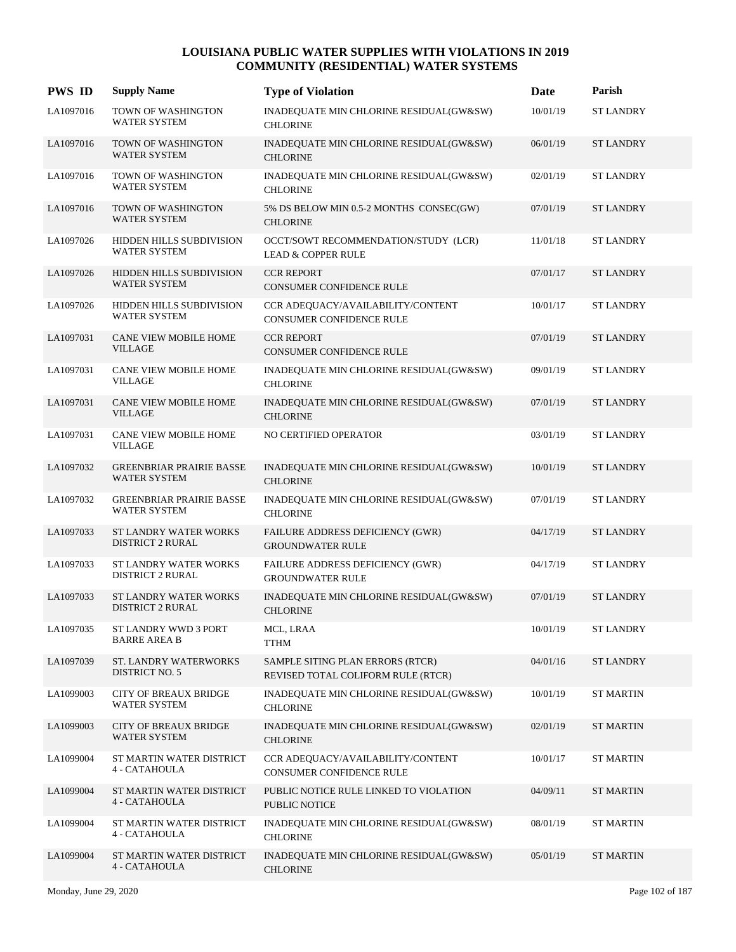| <b>PWS ID</b> | <b>Supply Name</b>                               | <b>Type of Violation</b>                                               | Date     | Parish           |
|---------------|--------------------------------------------------|------------------------------------------------------------------------|----------|------------------|
| LA1097016     | TOWN OF WASHINGTON<br><b>WATER SYSTEM</b>        | INADEQUATE MIN CHLORINE RESIDUAL(GW&SW)<br><b>CHLORINE</b>             | 10/01/19 | <b>ST LANDRY</b> |
| LA1097016     | TOWN OF WASHINGTON<br><b>WATER SYSTEM</b>        | INADEQUATE MIN CHLORINE RESIDUAL(GW&SW)<br><b>CHLORINE</b>             | 06/01/19 | <b>ST LANDRY</b> |
| LA1097016     | TOWN OF WASHINGTON<br><b>WATER SYSTEM</b>        | INADEQUATE MIN CHLORINE RESIDUAL(GW&SW)<br><b>CHLORINE</b>             | 02/01/19 | <b>ST LANDRY</b> |
| LA1097016     | TOWN OF WASHINGTON<br>WATER SYSTEM               | 5% DS BELOW MIN 0.5-2 MONTHS CONSEC(GW)<br><b>CHLORINE</b>             | 07/01/19 | <b>ST LANDRY</b> |
| LA1097026     | HIDDEN HILLS SUBDIVISION<br>WATER SYSTEM         | OCCT/SOWT RECOMMENDATION/STUDY (LCR)<br><b>LEAD &amp; COPPER RULE</b>  | 11/01/18 | <b>ST LANDRY</b> |
| LA1097026     | HIDDEN HILLS SUBDIVISION<br><b>WATER SYSTEM</b>  | <b>CCR REPORT</b><br>CONSUMER CONFIDENCE RULE                          | 07/01/17 | <b>ST LANDRY</b> |
| LA1097026     | HIDDEN HILLS SUBDIVISION<br><b>WATER SYSTEM</b>  | CCR ADEQUACY/AVAILABILITY/CONTENT<br><b>CONSUMER CONFIDENCE RULE</b>   | 10/01/17 | <b>ST LANDRY</b> |
| LA1097031     | <b>CANE VIEW MOBILE HOME</b><br>VILLAGE          | <b>CCR REPORT</b><br><b>CONSUMER CONFIDENCE RULE</b>                   | 07/01/19 | <b>ST LANDRY</b> |
| LA1097031     | CANE VIEW MOBILE HOME<br><b>VILLAGE</b>          | INADEQUATE MIN CHLORINE RESIDUAL(GW&SW)<br><b>CHLORINE</b>             | 09/01/19 | <b>ST LANDRY</b> |
| LA1097031     | CANE VIEW MOBILE HOME<br><b>VILLAGE</b>          | INADEQUATE MIN CHLORINE RESIDUAL(GW&SW)<br><b>CHLORINE</b>             | 07/01/19 | <b>ST LANDRY</b> |
| LA1097031     | CANE VIEW MOBILE HOME<br><b>VILLAGE</b>          | NO CERTIFIED OPERATOR                                                  | 03/01/19 | <b>ST LANDRY</b> |
| LA1097032     | <b>GREENBRIAR PRAIRIE BASSE</b><br>WATER SYSTEM  | INADEQUATE MIN CHLORINE RESIDUAL(GW&SW)<br><b>CHLORINE</b>             | 10/01/19 | <b>ST LANDRY</b> |
| LA1097032     | <b>GREENBRIAR PRAIRIE BASSE</b><br>WATER SYSTEM  | INADEQUATE MIN CHLORINE RESIDUAL(GW&SW)<br><b>CHLORINE</b>             | 07/01/19 | <b>ST LANDRY</b> |
| LA1097033     | ST LANDRY WATER WORKS<br><b>DISTRICT 2 RURAL</b> | FAILURE ADDRESS DEFICIENCY (GWR)<br><b>GROUNDWATER RULE</b>            | 04/17/19 | <b>ST LANDRY</b> |
| LA1097033     | ST LANDRY WATER WORKS<br><b>DISTRICT 2 RURAL</b> | FAILURE ADDRESS DEFICIENCY (GWR)<br><b>GROUNDWATER RULE</b>            | 04/17/19 | <b>ST LANDRY</b> |
| LA1097033     | ST LANDRY WATER WORKS<br><b>DISTRICT 2 RURAL</b> | INADEQUATE MIN CHLORINE RESIDUAL(GW&SW)<br><b>CHLORINE</b>             | 07/01/19 | <b>ST LANDRY</b> |
| LA1097035     | ST LANDRY WWD 3 PORT<br><b>BARRE AREA B</b>      | MCL, LRAA<br><b>TTHM</b>                                               | 10/01/19 | <b>ST LANDRY</b> |
| LA1097039     | ST. LANDRY WATERWORKS<br><b>DISTRICT NO. 5</b>   | SAMPLE SITING PLAN ERRORS (RTCR)<br>REVISED TOTAL COLIFORM RULE (RTCR) | 04/01/16 | <b>ST LANDRY</b> |
| LA1099003     | <b>CITY OF BREAUX BRIDGE</b><br>WATER SYSTEM     | INADEQUATE MIN CHLORINE RESIDUAL(GW&SW)<br><b>CHLORINE</b>             | 10/01/19 | <b>ST MARTIN</b> |
| LA1099003     | <b>CITY OF BREAUX BRIDGE</b><br>WATER SYSTEM     | INADEQUATE MIN CHLORINE RESIDUAL(GW&SW)<br><b>CHLORINE</b>             | 02/01/19 | <b>ST MARTIN</b> |
| LA1099004     | ST MARTIN WATER DISTRICT<br>4 - CATAHOULA        | CCR ADEQUACY/AVAILABILITY/CONTENT<br>CONSUMER CONFIDENCE RULE          | 10/01/17 | <b>ST MARTIN</b> |
| LA1099004     | ST MARTIN WATER DISTRICT<br>4 - CATAHOULA        | PUBLIC NOTICE RULE LINKED TO VIOLATION<br>PUBLIC NOTICE                | 04/09/11 | <b>ST MARTIN</b> |
| LA1099004     | ST MARTIN WATER DISTRICT<br>4 - CATAHOULA        | INADEQUATE MIN CHLORINE RESIDUAL(GW&SW)<br><b>CHLORINE</b>             | 08/01/19 | <b>ST MARTIN</b> |
| LA1099004     | ST MARTIN WATER DISTRICT<br>4 - CATAHOULA        | INADEQUATE MIN CHLORINE RESIDUAL(GW&SW)<br><b>CHLORINE</b>             | 05/01/19 | <b>ST MARTIN</b> |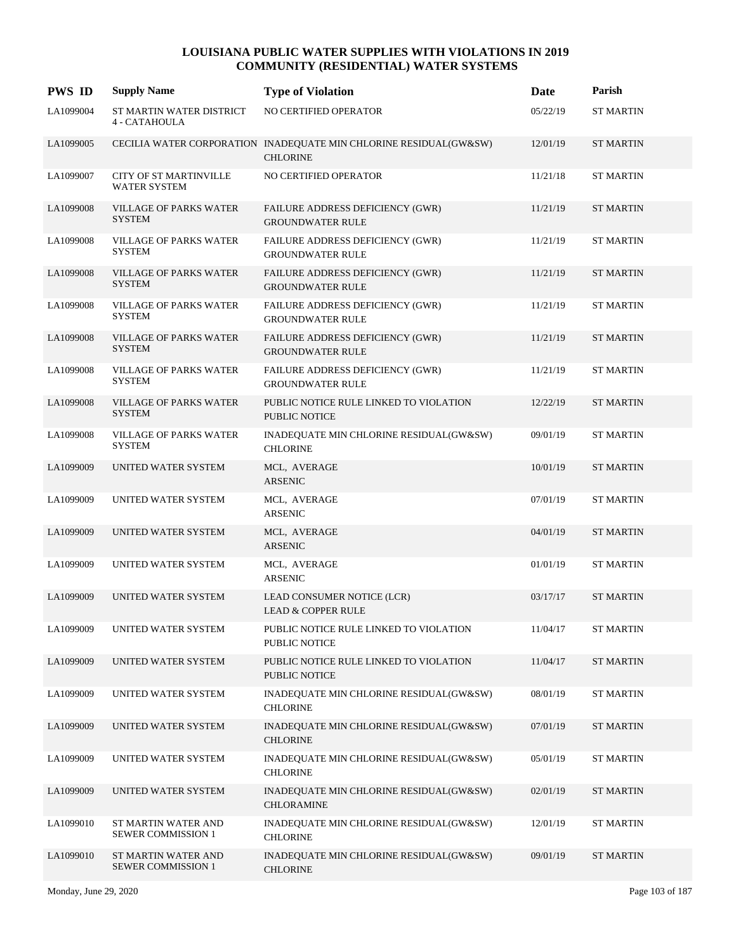| <b>PWS ID</b> | <b>Supply Name</b>                               | <b>Type of Violation</b>                                                             | Date     | Parish           |
|---------------|--------------------------------------------------|--------------------------------------------------------------------------------------|----------|------------------|
| LA1099004     | ST MARTIN WATER DISTRICT<br>4 - CATAHOULA        | NO CERTIFIED OPERATOR                                                                | 05/22/19 | <b>ST MARTIN</b> |
| LA1099005     |                                                  | CECILIA WATER CORPORATION INADEQUATE MIN CHLORINE RESIDUAL(GW&SW)<br><b>CHLORINE</b> | 12/01/19 | <b>ST MARTIN</b> |
| LA1099007     | CITY OF ST MARTINVILLE<br><b>WATER SYSTEM</b>    | NO CERTIFIED OPERATOR                                                                | 11/21/18 | <b>ST MARTIN</b> |
| LA1099008     | <b>VILLAGE OF PARKS WATER</b><br><b>SYSTEM</b>   | FAILURE ADDRESS DEFICIENCY (GWR)<br><b>GROUNDWATER RULE</b>                          | 11/21/19 | <b>ST MARTIN</b> |
| LA1099008     | <b>VILLAGE OF PARKS WATER</b><br>SYSTEM          | FAILURE ADDRESS DEFICIENCY (GWR)<br><b>GROUNDWATER RULE</b>                          | 11/21/19 | <b>ST MARTIN</b> |
| LA1099008     | <b>VILLAGE OF PARKS WATER</b><br><b>SYSTEM</b>   | FAILURE ADDRESS DEFICIENCY (GWR)<br><b>GROUNDWATER RULE</b>                          | 11/21/19 | <b>ST MARTIN</b> |
| LA1099008     | <b>VILLAGE OF PARKS WATER</b><br><b>SYSTEM</b>   | FAILURE ADDRESS DEFICIENCY (GWR)<br><b>GROUNDWATER RULE</b>                          | 11/21/19 | <b>ST MARTIN</b> |
| LA1099008     | <b>VILLAGE OF PARKS WATER</b><br><b>SYSTEM</b>   | FAILURE ADDRESS DEFICIENCY (GWR)<br><b>GROUNDWATER RULE</b>                          | 11/21/19 | <b>ST MARTIN</b> |
| LA1099008     | <b>VILLAGE OF PARKS WATER</b><br><b>SYSTEM</b>   | FAILURE ADDRESS DEFICIENCY (GWR)<br><b>GROUNDWATER RULE</b>                          | 11/21/19 | <b>ST MARTIN</b> |
| LA1099008     | VILLAGE OF PARKS WATER<br><b>SYSTEM</b>          | PUBLIC NOTICE RULE LINKED TO VIOLATION<br><b>PUBLIC NOTICE</b>                       | 12/22/19 | <b>ST MARTIN</b> |
| LA1099008     | <b>VILLAGE OF PARKS WATER</b><br><b>SYSTEM</b>   | INADEQUATE MIN CHLORINE RESIDUAL(GW&SW)<br><b>CHLORINE</b>                           | 09/01/19 | <b>ST MARTIN</b> |
| LA1099009     | UNITED WATER SYSTEM                              | MCL, AVERAGE<br>ARSENIC                                                              | 10/01/19 | <b>ST MARTIN</b> |
| LA1099009     | UNITED WATER SYSTEM                              | MCL, AVERAGE<br>ARSENIC                                                              | 07/01/19 | <b>ST MARTIN</b> |
| LA1099009     | UNITED WATER SYSTEM                              | MCL, AVERAGE<br><b>ARSENIC</b>                                                       | 04/01/19 | <b>ST MARTIN</b> |
| LA1099009     | UNITED WATER SYSTEM                              | MCL, AVERAGE<br><b>ARSENIC</b>                                                       | 01/01/19 | <b>ST MARTIN</b> |
| LA1099009     | UNITED WATER SYSTEM                              | LEAD CONSUMER NOTICE (LCR)<br><b>LEAD &amp; COPPER RULE</b>                          | 03/17/17 | <b>ST MARTIN</b> |
| LA1099009     | UNITED WATER SYSTEM                              | PUBLIC NOTICE RULE LINKED TO VIOLATION<br>PUBLIC NOTICE                              | 11/04/17 | <b>ST MARTIN</b> |
| LA1099009     | UNITED WATER SYSTEM                              | PUBLIC NOTICE RULE LINKED TO VIOLATION<br>PUBLIC NOTICE                              | 11/04/17 | <b>ST MARTIN</b> |
| LA1099009     | UNITED WATER SYSTEM                              | INADEQUATE MIN CHLORINE RESIDUAL(GW&SW)<br><b>CHLORINE</b>                           | 08/01/19 | <b>ST MARTIN</b> |
| LA1099009     | UNITED WATER SYSTEM                              | INADEQUATE MIN CHLORINE RESIDUAL(GW&SW)<br><b>CHLORINE</b>                           | 07/01/19 | <b>ST MARTIN</b> |
| LA1099009     | UNITED WATER SYSTEM                              | INADEQUATE MIN CHLORINE RESIDUAL(GW&SW)<br><b>CHLORINE</b>                           | 05/01/19 | <b>ST MARTIN</b> |
| LA1099009     | UNITED WATER SYSTEM                              | INADEQUATE MIN CHLORINE RESIDUAL(GW&SW)<br><b>CHLORAMINE</b>                         | 02/01/19 | ST MARTIN        |
| LA1099010     | ST MARTIN WATER AND<br><b>SEWER COMMISSION 1</b> | INADEQUATE MIN CHLORINE RESIDUAL(GW&SW)<br><b>CHLORINE</b>                           | 12/01/19 | <b>ST MARTIN</b> |
| LA1099010     | ST MARTIN WATER AND<br><b>SEWER COMMISSION 1</b> | INADEQUATE MIN CHLORINE RESIDUAL(GW&SW)<br><b>CHLORINE</b>                           | 09/01/19 | <b>ST MARTIN</b> |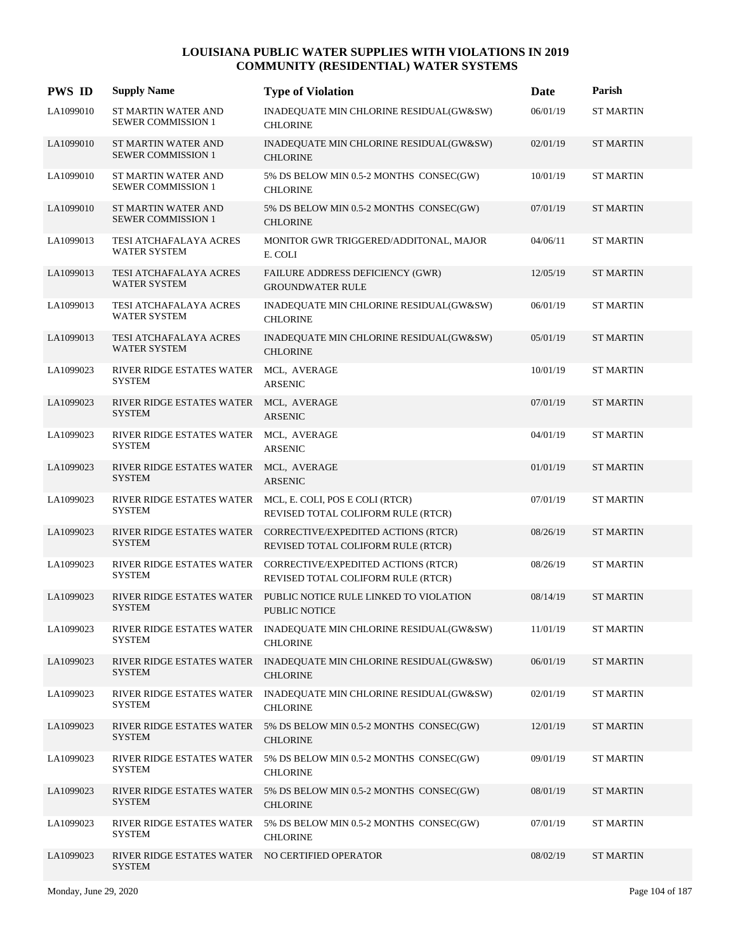| <b>PWS ID</b> | <b>Supply Name</b>                                      | <b>Type of Violation</b>                                                                            | <b>Date</b> | Parish           |
|---------------|---------------------------------------------------------|-----------------------------------------------------------------------------------------------------|-------------|------------------|
| LA1099010     | ST MARTIN WATER AND<br><b>SEWER COMMISSION 1</b>        | INADEQUATE MIN CHLORINE RESIDUAL(GW&SW)<br><b>CHLORINE</b>                                          | 06/01/19    | <b>ST MARTIN</b> |
| LA1099010     | ST MARTIN WATER AND<br><b>SEWER COMMISSION 1</b>        | INADEQUATE MIN CHLORINE RESIDUAL(GW&SW)<br><b>CHLORINE</b>                                          | 02/01/19    | <b>ST MARTIN</b> |
| LA1099010     | ST MARTIN WATER AND<br><b>SEWER COMMISSION 1</b>        | 5% DS BELOW MIN 0.5-2 MONTHS CONSEC(GW)<br><b>CHLORINE</b>                                          | 10/01/19    | <b>ST MARTIN</b> |
| LA1099010     | ST MARTIN WATER AND<br><b>SEWER COMMISSION 1</b>        | 5% DS BELOW MIN 0.5-2 MONTHS CONSEC(GW)<br><b>CHLORINE</b>                                          | 07/01/19    | ST MARTIN        |
| LA1099013     | TESI ATCHAFALAYA ACRES<br>WATER SYSTEM                  | MONITOR GWR TRIGGERED/ADDITONAL, MAJOR<br>E. COLI                                                   | 04/06/11    | <b>ST MARTIN</b> |
| LA1099013     | TESI ATCHAFALAYA ACRES<br><b>WATER SYSTEM</b>           | FAILURE ADDRESS DEFICIENCY (GWR)<br><b>GROUNDWATER RULE</b>                                         | 12/05/19    | <b>ST MARTIN</b> |
| LA1099013     | TESI ATCHAFALAYA ACRES<br><b>WATER SYSTEM</b>           | INADEQUATE MIN CHLORINE RESIDUAL(GW&SW)<br><b>CHLORINE</b>                                          | 06/01/19    | <b>ST MARTIN</b> |
| LA1099013     | TESI ATCHAFALAYA ACRES<br><b>WATER SYSTEM</b>           | INADEQUATE MIN CHLORINE RESIDUAL(GW&SW)<br><b>CHLORINE</b>                                          | 05/01/19    | <b>ST MARTIN</b> |
| LA1099023     | RIVER RIDGE ESTATES WATER<br><b>SYSTEM</b>              | MCL, AVERAGE<br><b>ARSENIC</b>                                                                      | 10/01/19    | <b>ST MARTIN</b> |
| LA1099023     | RIVER RIDGE ESTATES WATER MCL, AVERAGE<br><b>SYSTEM</b> | <b>ARSENIC</b>                                                                                      | 07/01/19    | <b>ST MARTIN</b> |
| LA1099023     | RIVER RIDGE ESTATES WATER<br><b>SYSTEM</b>              | MCL, AVERAGE<br><b>ARSENIC</b>                                                                      | 04/01/19    | <b>ST MARTIN</b> |
| LA1099023     | RIVER RIDGE ESTATES WATER MCL, AVERAGE<br><b>SYSTEM</b> | <b>ARSENIC</b>                                                                                      | 01/01/19    | <b>ST MARTIN</b> |
| LA1099023     | RIVER RIDGE ESTATES WATER<br><b>SYSTEM</b>              | MCL, E. COLI, POS E COLI (RTCR)<br>REVISED TOTAL COLIFORM RULE (RTCR)                               | 07/01/19    | <b>ST MARTIN</b> |
| LA1099023     | <b>SYSTEM</b>                                           | RIVER RIDGE ESTATES WATER CORRECTIVE/EXPEDITED ACTIONS (RTCR)<br>REVISED TOTAL COLIFORM RULE (RTCR) | 08/26/19    | <b>ST MARTIN</b> |
| LA1099023     | RIVER RIDGE ESTATES WATER<br><b>SYSTEM</b>              | CORRECTIVE/EXPEDITED ACTIONS (RTCR)<br>REVISED TOTAL COLIFORM RULE (RTCR)                           | 08/26/19    | <b>ST MARTIN</b> |
| LA1099023     | RIVER RIDGE ESTATES WATER<br><b>SYSTEM</b>              | PUBLIC NOTICE RULE LINKED TO VIOLATION<br><b>PUBLIC NOTICE</b>                                      | 08/14/19    | <b>ST MARTIN</b> |
| LA1099023     | <b>SYSTEM</b>                                           | RIVER RIDGE ESTATES WATER INADEQUATE MIN CHLORINE RESIDUAL(GW&SW)<br><b>CHLORINE</b>                | 11/01/19    | <b>ST MARTIN</b> |
| LA1099023     | RIVER RIDGE ESTATES WATER<br><b>SYSTEM</b>              | INADEQUATE MIN CHLORINE RESIDUAL(GW&SW)<br><b>CHLORINE</b>                                          | 06/01/19    | <b>ST MARTIN</b> |
| LA1099023     | RIVER RIDGE ESTATES WATER<br><b>SYSTEM</b>              | INADEQUATE MIN CHLORINE RESIDUAL(GW&SW)<br><b>CHLORINE</b>                                          | 02/01/19    | <b>ST MARTIN</b> |
| LA1099023     | RIVER RIDGE ESTATES WATER<br><b>SYSTEM</b>              | 5% DS BELOW MIN 0.5-2 MONTHS CONSEC(GW)<br><b>CHLORINE</b>                                          | 12/01/19    | <b>ST MARTIN</b> |
| LA1099023     | RIVER RIDGE ESTATES WATER<br><b>SYSTEM</b>              | 5% DS BELOW MIN 0.5-2 MONTHS CONSEC(GW)<br><b>CHLORINE</b>                                          | 09/01/19    | <b>ST MARTIN</b> |
| LA1099023     | RIVER RIDGE ESTATES WATER<br><b>SYSTEM</b>              | 5% DS BELOW MIN 0.5-2 MONTHS CONSEC(GW)<br><b>CHLORINE</b>                                          | 08/01/19    | <b>ST MARTIN</b> |
| LA1099023     | RIVER RIDGE ESTATES WATER<br><b>SYSTEM</b>              | 5% DS BELOW MIN 0.5-2 MONTHS CONSEC(GW)<br><b>CHLORINE</b>                                          | 07/01/19    | <b>ST MARTIN</b> |
| LA1099023     | RIVER RIDGE ESTATES WATER<br><b>SYSTEM</b>              | NO CERTIFIED OPERATOR                                                                               | 08/02/19    | <b>ST MARTIN</b> |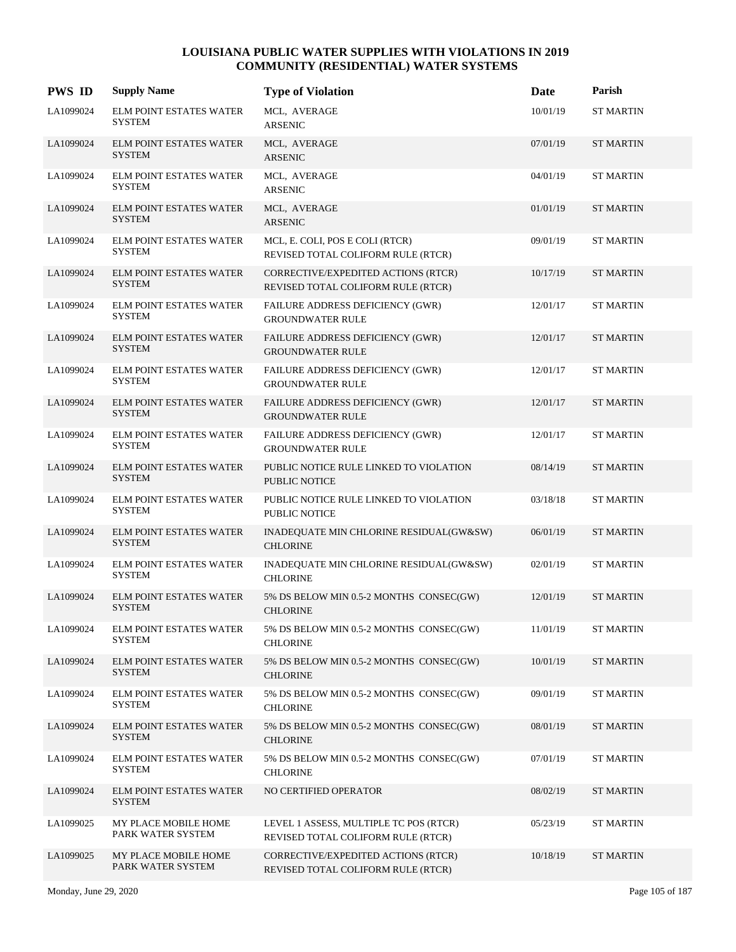| <b>PWS ID</b> | <b>Supply Name</b>                              | <b>Type of Violation</b>                                                     | Date     | Parish           |
|---------------|-------------------------------------------------|------------------------------------------------------------------------------|----------|------------------|
| LA1099024     | <b>ELM POINT ESTATES WATER</b><br><b>SYSTEM</b> | MCL, AVERAGE<br><b>ARSENIC</b>                                               | 10/01/19 | <b>ST MARTIN</b> |
| LA1099024     | <b>ELM POINT ESTATES WATER</b><br><b>SYSTEM</b> | MCL, AVERAGE<br><b>ARSENIC</b>                                               | 07/01/19 | <b>ST MARTIN</b> |
| LA1099024     | ELM POINT ESTATES WATER<br><b>SYSTEM</b>        | MCL, AVERAGE<br><b>ARSENIC</b>                                               | 04/01/19 | <b>ST MARTIN</b> |
| LA1099024     | <b>ELM POINT ESTATES WATER</b><br><b>SYSTEM</b> | MCL, AVERAGE<br><b>ARSENIC</b>                                               | 01/01/19 | <b>ST MARTIN</b> |
| LA1099024     | <b>ELM POINT ESTATES WATER</b><br>SYSTEM        | MCL, E. COLI, POS E COLI (RTCR)<br>REVISED TOTAL COLIFORM RULE (RTCR)        | 09/01/19 | <b>ST MARTIN</b> |
| LA1099024     | <b>ELM POINT ESTATES WATER</b><br><b>SYSTEM</b> | CORRECTIVE/EXPEDITED ACTIONS (RTCR)<br>REVISED TOTAL COLIFORM RULE (RTCR)    | 10/17/19 | <b>ST MARTIN</b> |
| LA1099024     | ELM POINT ESTATES WATER<br><b>SYSTEM</b>        | <b>FAILURE ADDRESS DEFICIENCY (GWR)</b><br><b>GROUNDWATER RULE</b>           | 12/01/17 | <b>ST MARTIN</b> |
| LA1099024     | <b>ELM POINT ESTATES WATER</b><br><b>SYSTEM</b> | FAILURE ADDRESS DEFICIENCY (GWR)<br><b>GROUNDWATER RULE</b>                  | 12/01/17 | <b>ST MARTIN</b> |
| LA1099024     | <b>ELM POINT ESTATES WATER</b><br>SYSTEM        | FAILURE ADDRESS DEFICIENCY (GWR)<br><b>GROUNDWATER RULE</b>                  | 12/01/17 | <b>ST MARTIN</b> |
| LA1099024     | <b>ELM POINT ESTATES WATER</b><br><b>SYSTEM</b> | FAILURE ADDRESS DEFICIENCY (GWR)<br><b>GROUNDWATER RULE</b>                  | 12/01/17 | <b>ST MARTIN</b> |
| LA1099024     | <b>ELM POINT ESTATES WATER</b><br><b>SYSTEM</b> | <b>FAILURE ADDRESS DEFICIENCY (GWR)</b><br><b>GROUNDWATER RULE</b>           | 12/01/17 | <b>ST MARTIN</b> |
| LA1099024     | <b>ELM POINT ESTATES WATER</b><br><b>SYSTEM</b> | PUBLIC NOTICE RULE LINKED TO VIOLATION<br><b>PUBLIC NOTICE</b>               | 08/14/19 | <b>ST MARTIN</b> |
| LA1099024     | <b>ELM POINT ESTATES WATER</b><br><b>SYSTEM</b> | PUBLIC NOTICE RULE LINKED TO VIOLATION<br>PUBLIC NOTICE                      | 03/18/18 | <b>ST MARTIN</b> |
| LA1099024     | <b>ELM POINT ESTATES WATER</b><br><b>SYSTEM</b> | INADEQUATE MIN CHLORINE RESIDUAL(GW&SW)<br><b>CHLORINE</b>                   | 06/01/19 | <b>ST MARTIN</b> |
| LA1099024     | <b>ELM POINT ESTATES WATER</b><br><b>SYSTEM</b> | INADEQUATE MIN CHLORINE RESIDUAL(GW&SW)<br><b>CHLORINE</b>                   | 02/01/19 | <b>ST MARTIN</b> |
| LA1099024     | <b>ELM POINT ESTATES WATER</b><br><b>SYSTEM</b> | 5% DS BELOW MIN 0.5-2 MONTHS CONSEC(GW)<br><b>CHLORINE</b>                   | 12/01/19 | <b>ST MARTIN</b> |
| LA1099024     | ELM POINT ESTATES WATER<br><b>SYSTEM</b>        | 5% DS BELOW MIN 0.5-2 MONTHS CONSEC(GW)<br><b>CHLORINE</b>                   | 11/01/19 | <b>ST MARTIN</b> |
| LA1099024     | <b>ELM POINT ESTATES WATER</b><br><b>SYSTEM</b> | 5% DS BELOW MIN 0.5-2 MONTHS CONSEC(GW)<br><b>CHLORINE</b>                   | 10/01/19 | <b>ST MARTIN</b> |
| LA1099024     | <b>ELM POINT ESTATES WATER</b><br><b>SYSTEM</b> | 5% DS BELOW MIN 0.5-2 MONTHS CONSEC(GW)<br><b>CHLORINE</b>                   | 09/01/19 | <b>ST MARTIN</b> |
| LA1099024     | <b>ELM POINT ESTATES WATER</b><br><b>SYSTEM</b> | 5% DS BELOW MIN 0.5-2 MONTHS CONSEC(GW)<br><b>CHLORINE</b>                   | 08/01/19 | <b>ST MARTIN</b> |
| LA1099024     | ELM POINT ESTATES WATER<br><b>SYSTEM</b>        | 5% DS BELOW MIN 0.5-2 MONTHS CONSEC(GW)<br><b>CHLORINE</b>                   | 07/01/19 | <b>ST MARTIN</b> |
| LA1099024     | <b>ELM POINT ESTATES WATER</b><br><b>SYSTEM</b> | NO CERTIFIED OPERATOR                                                        | 08/02/19 | <b>ST MARTIN</b> |
| LA1099025     | MY PLACE MOBILE HOME<br>PARK WATER SYSTEM       | LEVEL 1 ASSESS, MULTIPLE TC POS (RTCR)<br>REVISED TOTAL COLIFORM RULE (RTCR) | 05/23/19 | <b>ST MARTIN</b> |
| LA1099025     | MY PLACE MOBILE HOME<br>PARK WATER SYSTEM       | CORRECTIVE/EXPEDITED ACTIONS (RTCR)<br>REVISED TOTAL COLIFORM RULE (RTCR)    | 10/18/19 | <b>ST MARTIN</b> |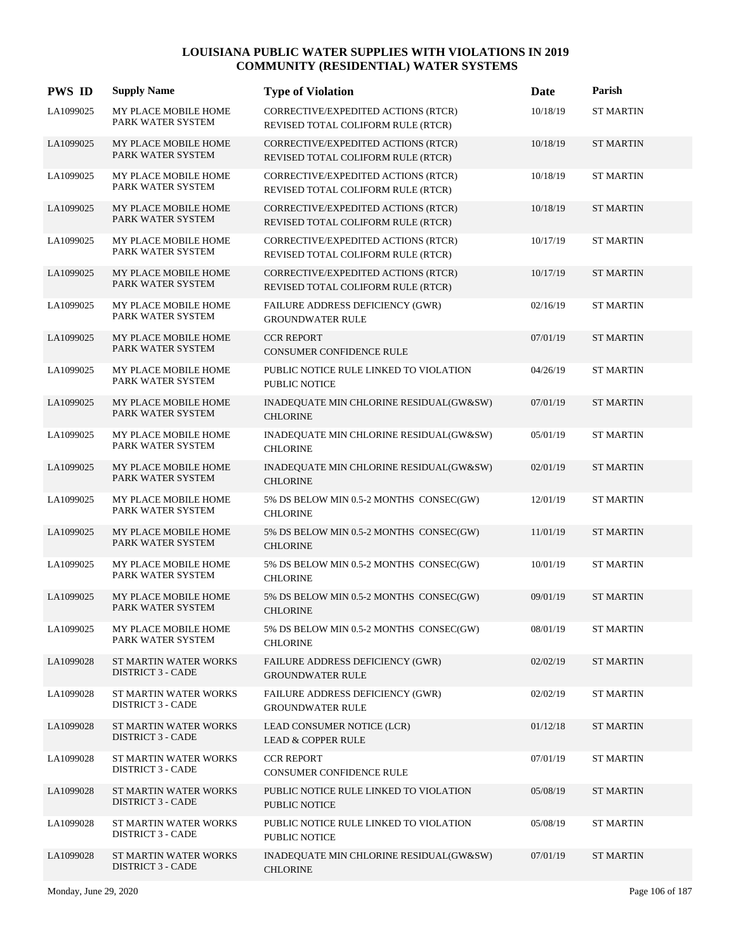| <b>PWS ID</b> | <b>Supply Name</b>                                | <b>Type of Violation</b>                                                  | Date     | Parish           |
|---------------|---------------------------------------------------|---------------------------------------------------------------------------|----------|------------------|
| LA1099025     | MY PLACE MOBILE HOME<br>PARK WATER SYSTEM         | CORRECTIVE/EXPEDITED ACTIONS (RTCR)<br>REVISED TOTAL COLIFORM RULE (RTCR) | 10/18/19 | <b>ST MARTIN</b> |
| LA1099025     | MY PLACE MOBILE HOME<br>PARK WATER SYSTEM         | CORRECTIVE/EXPEDITED ACTIONS (RTCR)<br>REVISED TOTAL COLIFORM RULE (RTCR) | 10/18/19 | <b>ST MARTIN</b> |
| LA1099025     | MY PLACE MOBILE HOME<br>PARK WATER SYSTEM         | CORRECTIVE/EXPEDITED ACTIONS (RTCR)<br>REVISED TOTAL COLIFORM RULE (RTCR) | 10/18/19 | <b>ST MARTIN</b> |
| LA1099025     | MY PLACE MOBILE HOME<br>PARK WATER SYSTEM         | CORRECTIVE/EXPEDITED ACTIONS (RTCR)<br>REVISED TOTAL COLIFORM RULE (RTCR) | 10/18/19 | <b>ST MARTIN</b> |
| LA1099025     | MY PLACE MOBILE HOME<br>PARK WATER SYSTEM         | CORRECTIVE/EXPEDITED ACTIONS (RTCR)<br>REVISED TOTAL COLIFORM RULE (RTCR) | 10/17/19 | <b>ST MARTIN</b> |
| LA1099025     | MY PLACE MOBILE HOME<br>PARK WATER SYSTEM         | CORRECTIVE/EXPEDITED ACTIONS (RTCR)<br>REVISED TOTAL COLIFORM RULE (RTCR) | 10/17/19 | <b>ST MARTIN</b> |
| LA1099025     | MY PLACE MOBILE HOME<br>PARK WATER SYSTEM         | FAILURE ADDRESS DEFICIENCY (GWR)<br><b>GROUNDWATER RULE</b>               | 02/16/19 | <b>ST MARTIN</b> |
| LA1099025     | MY PLACE MOBILE HOME<br>PARK WATER SYSTEM         | <b>CCR REPORT</b><br>CONSUMER CONFIDENCE RULE                             | 07/01/19 | <b>ST MARTIN</b> |
| LA1099025     | MY PLACE MOBILE HOME<br>PARK WATER SYSTEM         | PUBLIC NOTICE RULE LINKED TO VIOLATION<br>PUBLIC NOTICE                   | 04/26/19 | <b>ST MARTIN</b> |
| LA1099025     | MY PLACE MOBILE HOME<br>PARK WATER SYSTEM         | INADEQUATE MIN CHLORINE RESIDUAL(GW&SW)<br><b>CHLORINE</b>                | 07/01/19 | <b>ST MARTIN</b> |
| LA1099025     | MY PLACE MOBILE HOME<br>PARK WATER SYSTEM         | INADEQUATE MIN CHLORINE RESIDUAL(GW&SW)<br><b>CHLORINE</b>                | 05/01/19 | <b>ST MARTIN</b> |
| LA1099025     | MY PLACE MOBILE HOME<br>PARK WATER SYSTEM         | INADEQUATE MIN CHLORINE RESIDUAL(GW&SW)<br><b>CHLORINE</b>                | 02/01/19 | <b>ST MARTIN</b> |
| LA1099025     | MY PLACE MOBILE HOME<br>PARK WATER SYSTEM         | 5% DS BELOW MIN 0.5-2 MONTHS CONSEC(GW)<br><b>CHLORINE</b>                | 12/01/19 | <b>ST MARTIN</b> |
| LA1099025     | MY PLACE MOBILE HOME<br>PARK WATER SYSTEM         | 5% DS BELOW MIN 0.5-2 MONTHS CONSEC(GW)<br><b>CHLORINE</b>                | 11/01/19 | <b>ST MARTIN</b> |
| LA1099025     | MY PLACE MOBILE HOME<br>PARK WATER SYSTEM         | 5% DS BELOW MIN 0.5-2 MONTHS CONSEC(GW)<br><b>CHLORINE</b>                | 10/01/19 | <b>ST MARTIN</b> |
| LA1099025     | MY PLACE MOBILE HOME<br>PARK WATER SYSTEM         | 5% DS BELOW MIN 0.5-2 MONTHS CONSEC(GW)<br><b>CHLORINE</b>                | 09/01/19 | <b>ST MARTIN</b> |
| LA1099025     | MY PLACE MOBILE HOME<br>PARK WATER SYSTEM         | 5% DS BELOW MIN 0.5-2 MONTHS CONSEC(GW)<br><b>CHLORINE</b>                | 08/01/19 | <b>ST MARTIN</b> |
| LA1099028     | ST MARTIN WATER WORKS<br><b>DISTRICT 3 - CADE</b> | <b>FAILURE ADDRESS DEFICIENCY (GWR)</b><br><b>GROUNDWATER RULE</b>        | 02/02/19 | <b>ST MARTIN</b> |
| LA1099028     | ST MARTIN WATER WORKS<br><b>DISTRICT 3 - CADE</b> | FAILURE ADDRESS DEFICIENCY (GWR)<br><b>GROUNDWATER RULE</b>               | 02/02/19 | <b>ST MARTIN</b> |
| LA1099028     | ST MARTIN WATER WORKS<br><b>DISTRICT 3 - CADE</b> | LEAD CONSUMER NOTICE (LCR)<br><b>LEAD &amp; COPPER RULE</b>               | 01/12/18 | <b>ST MARTIN</b> |
| LA1099028     | ST MARTIN WATER WORKS<br><b>DISTRICT 3 - CADE</b> | <b>CCR REPORT</b><br>CONSUMER CONFIDENCE RULE                             | 07/01/19 | <b>ST MARTIN</b> |
| LA1099028     | ST MARTIN WATER WORKS<br><b>DISTRICT 3 - CADE</b> | PUBLIC NOTICE RULE LINKED TO VIOLATION<br>PUBLIC NOTICE                   | 05/08/19 | <b>ST MARTIN</b> |
| LA1099028     | ST MARTIN WATER WORKS<br><b>DISTRICT 3 - CADE</b> | PUBLIC NOTICE RULE LINKED TO VIOLATION<br>PUBLIC NOTICE                   | 05/08/19 | <b>ST MARTIN</b> |
| LA1099028     | ST MARTIN WATER WORKS<br><b>DISTRICT 3 - CADE</b> | INADEQUATE MIN CHLORINE RESIDUAL(GW&SW)<br><b>CHLORINE</b>                | 07/01/19 | <b>ST MARTIN</b> |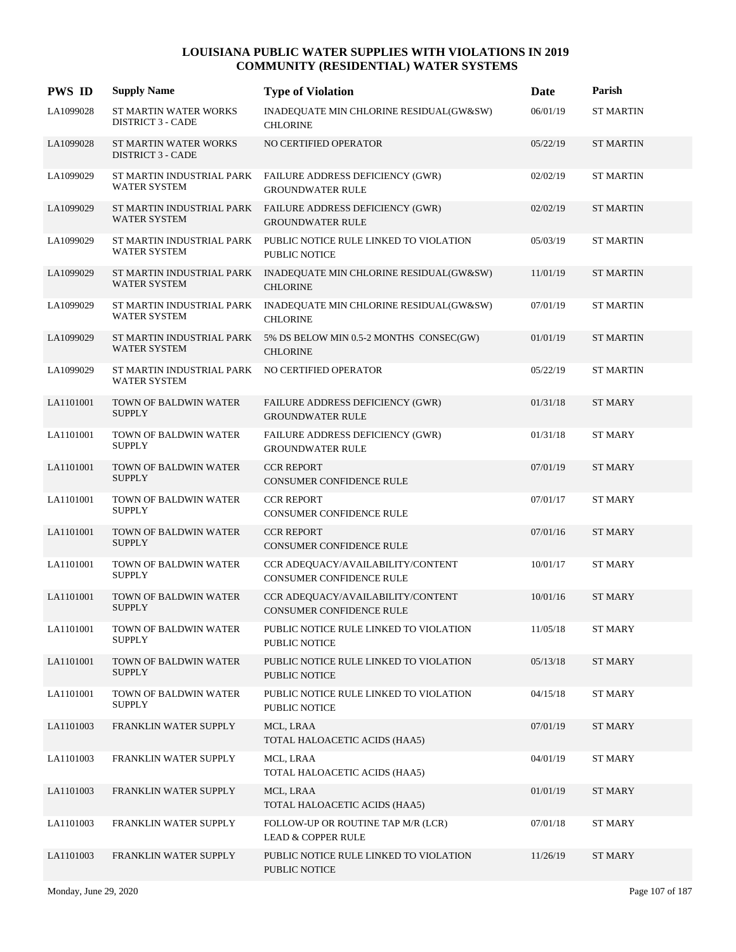| <b>PWS ID</b> | <b>Supply Name</b>                                                     | <b>Type of Violation</b>                                                              | Date     | Parish           |
|---------------|------------------------------------------------------------------------|---------------------------------------------------------------------------------------|----------|------------------|
| LA1099028     | ST MARTIN WATER WORKS<br><b>DISTRICT 3 - CADE</b>                      | INADEQUATE MIN CHLORINE RESIDUAL(GW&SW)<br><b>CHLORINE</b>                            | 06/01/19 | <b>ST MARTIN</b> |
| LA1099028     | ST MARTIN WATER WORKS<br><b>DISTRICT 3 - CADE</b>                      | NO CERTIFIED OPERATOR                                                                 | 05/22/19 | <b>ST MARTIN</b> |
| LA1099029     | <b>WATER SYSTEM</b>                                                    | ST MARTIN INDUSTRIAL PARK FAILURE ADDRESS DEFICIENCY (GWR)<br><b>GROUNDWATER RULE</b> | 02/02/19 | ST MARTIN        |
| LA1099029     | ST MARTIN INDUSTRIAL PARK<br><b>WATER SYSTEM</b>                       | FAILURE ADDRESS DEFICIENCY (GWR)<br><b>GROUNDWATER RULE</b>                           | 02/02/19 | <b>ST MARTIN</b> |
| LA1099029     | ST MARTIN INDUSTRIAL PARK<br><b>WATER SYSTEM</b>                       | PUBLIC NOTICE RULE LINKED TO VIOLATION<br><b>PUBLIC NOTICE</b>                        | 05/03/19 | <b>ST MARTIN</b> |
| LA1099029     | <b>WATER SYSTEM</b>                                                    | ST MARTIN INDUSTRIAL PARK INADEQUATE MIN CHLORINE RESIDUAL(GW&SW)<br><b>CHLORINE</b>  | 11/01/19 | <b>ST MARTIN</b> |
| LA1099029     | ST MARTIN INDUSTRIAL PARK<br><b>WATER SYSTEM</b>                       | INADEQUATE MIN CHLORINE RESIDUAL(GW&SW)<br><b>CHLORINE</b>                            | 07/01/19 | <b>ST MARTIN</b> |
| LA1099029     | ST MARTIN INDUSTRIAL PARK<br><b>WATER SYSTEM</b>                       | 5% DS BELOW MIN 0.5-2 MONTHS CONSEC(GW)<br><b>CHLORINE</b>                            | 01/01/19 | <b>ST MARTIN</b> |
| LA1099029     | ST MARTIN INDUSTRIAL PARK NO CERTIFIED OPERATOR<br><b>WATER SYSTEM</b> |                                                                                       | 05/22/19 | <b>ST MARTIN</b> |
| LA1101001     | TOWN OF BALDWIN WATER<br><b>SUPPLY</b>                                 | FAILURE ADDRESS DEFICIENCY (GWR)<br><b>GROUNDWATER RULE</b>                           | 01/31/18 | <b>ST MARY</b>   |
| LA1101001     | TOWN OF BALDWIN WATER<br><b>SUPPLY</b>                                 | FAILURE ADDRESS DEFICIENCY (GWR)<br><b>GROUNDWATER RULE</b>                           | 01/31/18 | <b>ST MARY</b>   |
| LA1101001     | TOWN OF BALDWIN WATER<br><b>SUPPLY</b>                                 | <b>CCR REPORT</b><br><b>CONSUMER CONFIDENCE RULE</b>                                  | 07/01/19 | <b>ST MARY</b>   |
| LA1101001     | TOWN OF BALDWIN WATER<br><b>SUPPLY</b>                                 | <b>CCR REPORT</b><br>CONSUMER CONFIDENCE RULE                                         | 07/01/17 | <b>ST MARY</b>   |
| LA1101001     | TOWN OF BALDWIN WATER<br><b>SUPPLY</b>                                 | <b>CCR REPORT</b><br><b>CONSUMER CONFIDENCE RULE</b>                                  | 07/01/16 | <b>ST MARY</b>   |
| LA1101001     | TOWN OF BALDWIN WATER<br><b>SUPPLY</b>                                 | CCR ADEQUACY/AVAILABILITY/CONTENT<br><b>CONSUMER CONFIDENCE RULE</b>                  | 10/01/17 | <b>ST MARY</b>   |
| LA1101001     | TOWN OF BALDWIN WATER<br><b>SUPPLY</b>                                 | CCR ADEQUACY/AVAILABILITY/CONTENT<br><b>CONSUMER CONFIDENCE RULE</b>                  | 10/01/16 | <b>ST MARY</b>   |
| LA1101001     | TOWN OF BALDWIN WATER<br><b>SUPPLY</b>                                 | PUBLIC NOTICE RULE LINKED TO VIOLATION<br>PUBLIC NOTICE                               | 11/05/18 | <b>ST MARY</b>   |
| LA1101001     | TOWN OF BALDWIN WATER<br><b>SUPPLY</b>                                 | PUBLIC NOTICE RULE LINKED TO VIOLATION<br><b>PUBLIC NOTICE</b>                        | 05/13/18 | ST MARY          |
| LA1101001     | TOWN OF BALDWIN WATER<br><b>SUPPLY</b>                                 | PUBLIC NOTICE RULE LINKED TO VIOLATION<br><b>PUBLIC NOTICE</b>                        | 04/15/18 | ST MARY          |
| LA1101003     | FRANKLIN WATER SUPPLY                                                  | MCL, LRAA<br>TOTAL HALOACETIC ACIDS (HAA5)                                            | 07/01/19 | <b>ST MARY</b>   |
| LA1101003     | FRANKLIN WATER SUPPLY                                                  | MCL, LRAA<br>TOTAL HALOACETIC ACIDS (HAA5)                                            | 04/01/19 | <b>ST MARY</b>   |
| LA1101003     | FRANKLIN WATER SUPPLY                                                  | MCL, LRAA<br>TOTAL HALOACETIC ACIDS (HAA5)                                            | 01/01/19 | ST MARY          |
| LA1101003     | FRANKLIN WATER SUPPLY                                                  | FOLLOW-UP OR ROUTINE TAP M/R (LCR)<br><b>LEAD &amp; COPPER RULE</b>                   | 07/01/18 | ST MARY          |
| LA1101003     | FRANKLIN WATER SUPPLY                                                  | PUBLIC NOTICE RULE LINKED TO VIOLATION<br>PUBLIC NOTICE                               | 11/26/19 | ST MARY          |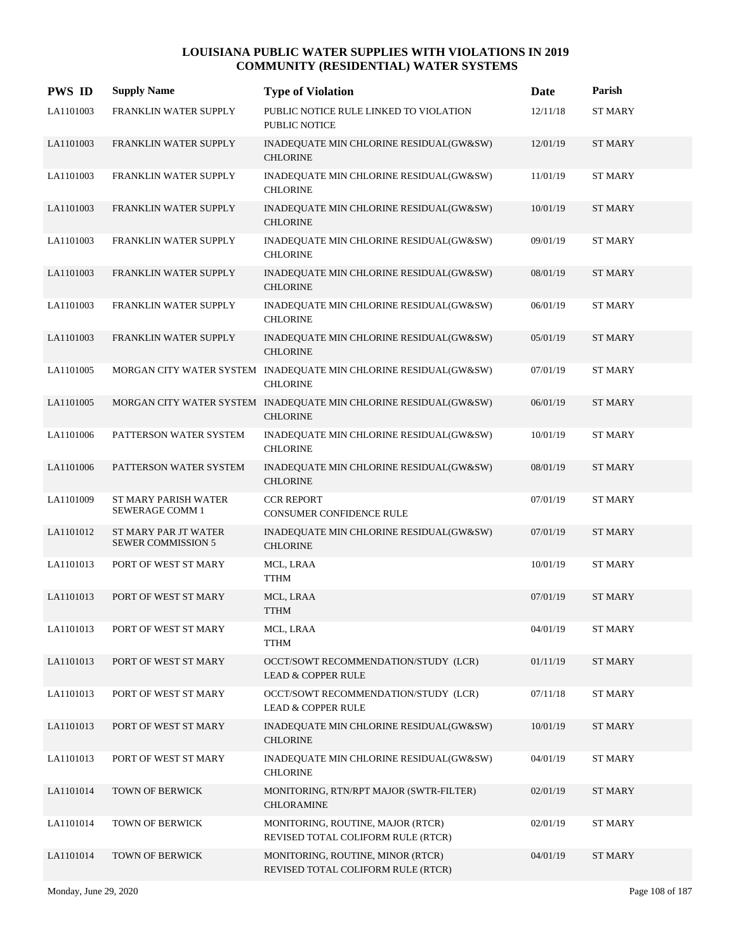| <b>PWS ID</b> | <b>Supply Name</b>                                | <b>Type of Violation</b>                                                            | Date     | Parish         |
|---------------|---------------------------------------------------|-------------------------------------------------------------------------------------|----------|----------------|
| LA1101003     | FRANKLIN WATER SUPPLY                             | PUBLIC NOTICE RULE LINKED TO VIOLATION<br>PUBLIC NOTICE                             | 12/11/18 | <b>ST MARY</b> |
| LA1101003     | FRANKLIN WATER SUPPLY                             | INADEQUATE MIN CHLORINE RESIDUAL(GW&SW)<br><b>CHLORINE</b>                          | 12/01/19 | <b>ST MARY</b> |
| LA1101003     | FRANKLIN WATER SUPPLY                             | INADEQUATE MIN CHLORINE RESIDUAL(GW&SW)<br><b>CHLORINE</b>                          | 11/01/19 | <b>ST MARY</b> |
| LA1101003     | FRANKLIN WATER SUPPLY                             | INADEQUATE MIN CHLORINE RESIDUAL(GW&SW)<br><b>CHLORINE</b>                          | 10/01/19 | <b>ST MARY</b> |
| LA1101003     | FRANKLIN WATER SUPPLY                             | INADEQUATE MIN CHLORINE RESIDUAL(GW&SW)<br><b>CHLORINE</b>                          | 09/01/19 | <b>ST MARY</b> |
| LA1101003     | FRANKLIN WATER SUPPLY                             | INADEQUATE MIN CHLORINE RESIDUAL(GW&SW)<br><b>CHLORINE</b>                          | 08/01/19 | ST MARY        |
| LA1101003     | FRANKLIN WATER SUPPLY                             | INADEQUATE MIN CHLORINE RESIDUAL(GW&SW)<br><b>CHLORINE</b>                          | 06/01/19 | <b>ST MARY</b> |
| LA1101003     | FRANKLIN WATER SUPPLY                             | INADEQUATE MIN CHLORINE RESIDUAL(GW&SW)<br><b>CHLORINE</b>                          | 05/01/19 | <b>ST MARY</b> |
| LA1101005     |                                                   | MORGAN CITY WATER SYSTEM INADEQUATE MIN CHLORINE RESIDUAL(GW&SW)<br><b>CHLORINE</b> | 07/01/19 | <b>ST MARY</b> |
| LA1101005     |                                                   | MORGAN CITY WATER SYSTEM INADEQUATE MIN CHLORINE RESIDUAL(GW&SW)<br><b>CHLORINE</b> | 06/01/19 | <b>ST MARY</b> |
| LA1101006     | PATTERSON WATER SYSTEM                            | INADEQUATE MIN CHLORINE RESIDUAL(GW&SW)<br><b>CHLORINE</b>                          | 10/01/19 | <b>ST MARY</b> |
| LA1101006     | PATTERSON WATER SYSTEM                            | INADEQUATE MIN CHLORINE RESIDUAL(GW&SW)<br><b>CHLORINE</b>                          | 08/01/19 | <b>ST MARY</b> |
| LA1101009     | ST MARY PARISH WATER<br>SEWERAGE COMM 1           | <b>CCR REPORT</b><br>CONSUMER CONFIDENCE RULE                                       | 07/01/19 | <b>ST MARY</b> |
| LA1101012     | ST MARY PAR JT WATER<br><b>SEWER COMMISSION 5</b> | INADEQUATE MIN CHLORINE RESIDUAL(GW&SW)<br><b>CHLORINE</b>                          | 07/01/19 | <b>ST MARY</b> |
| LA1101013     | PORT OF WEST ST MARY                              | MCL, LRAA<br><b>TTHM</b>                                                            | 10/01/19 | <b>ST MARY</b> |
| LA1101013     | PORT OF WEST ST MARY                              | MCL, LRAA<br><b>TTHM</b>                                                            | 07/01/19 | <b>ST MARY</b> |
| LA1101013     | PORT OF WEST ST MARY                              | MCL, LRAA<br><b>TTHM</b>                                                            | 04/01/19 | <b>ST MARY</b> |
| LA1101013     | PORT OF WEST ST MARY                              | OCCT/SOWT RECOMMENDATION/STUDY (LCR)<br><b>LEAD &amp; COPPER RULE</b>               | 01/11/19 | <b>ST MARY</b> |
| LA1101013     | PORT OF WEST ST MARY                              | OCCT/SOWT RECOMMENDATION/STUDY (LCR)<br>LEAD & COPPER RULE                          | 07/11/18 | <b>ST MARY</b> |
| LA1101013     | PORT OF WEST ST MARY                              | INADEQUATE MIN CHLORINE RESIDUAL(GW&SW)<br><b>CHLORINE</b>                          | 10/01/19 | <b>ST MARY</b> |
| LA1101013     | PORT OF WEST ST MARY                              | INADEQUATE MIN CHLORINE RESIDUAL(GW&SW)<br><b>CHLORINE</b>                          | 04/01/19 | <b>ST MARY</b> |
| LA1101014     | TOWN OF BERWICK                                   | MONITORING, RTN/RPT MAJOR (SWTR-FILTER)<br><b>CHLORAMINE</b>                        | 02/01/19 | <b>ST MARY</b> |
| LA1101014     | TOWN OF BERWICK                                   | MONITORING, ROUTINE, MAJOR (RTCR)<br>REVISED TOTAL COLIFORM RULE (RTCR)             | 02/01/19 | <b>ST MARY</b> |
| LA1101014     | TOWN OF BERWICK                                   | MONITORING, ROUTINE, MINOR (RTCR)<br>REVISED TOTAL COLIFORM RULE (RTCR)             | 04/01/19 | <b>ST MARY</b> |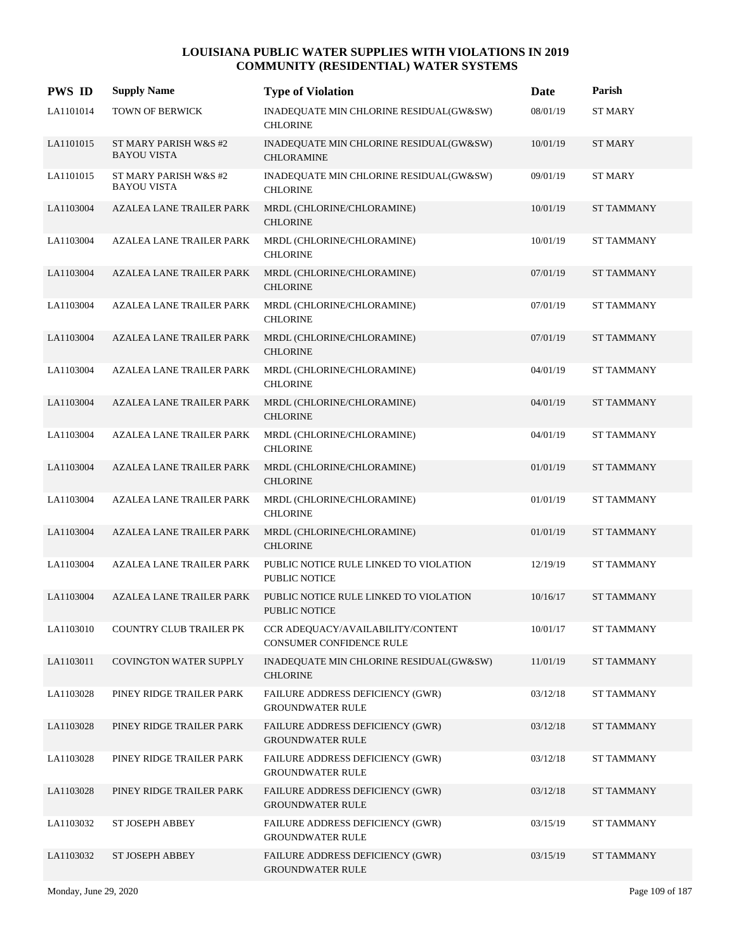| <b>PWS ID</b> | <b>Supply Name</b>                          | <b>Type of Violation</b>                                       | Date     | Parish            |
|---------------|---------------------------------------------|----------------------------------------------------------------|----------|-------------------|
| LA1101014     | TOWN OF BERWICK                             | INADEQUATE MIN CHLORINE RESIDUAL(GW&SW)<br><b>CHLORINE</b>     | 08/01/19 | <b>ST MARY</b>    |
| LA1101015     | ST MARY PARISH W&S #2<br><b>BAYOU VISTA</b> | INADEQUATE MIN CHLORINE RESIDUAL(GW&SW)<br><b>CHLORAMINE</b>   | 10/01/19 | ST MARY           |
| LA1101015     | ST MARY PARISH W&S #2<br><b>BAYOU VISTA</b> | INADEQUATE MIN CHLORINE RESIDUAL(GW&SW)<br><b>CHLORINE</b>     | 09/01/19 | <b>ST MARY</b>    |
| LA1103004     | <b>AZALEA LANE TRAILER PARK</b>             | MRDL (CHLORINE/CHLORAMINE)<br><b>CHLORINE</b>                  | 10/01/19 | <b>ST TAMMANY</b> |
| LA1103004     | <b>AZALEA LANE TRAILER PARK</b>             | MRDL (CHLORINE/CHLORAMINE)<br><b>CHLORINE</b>                  | 10/01/19 | <b>ST TAMMANY</b> |
| LA1103004     | <b>AZALEA LANE TRAILER PARK</b>             | MRDL (CHLORINE/CHLORAMINE)<br><b>CHLORINE</b>                  | 07/01/19 | <b>ST TAMMANY</b> |
| LA1103004     | AZALEA LANE TRAILER PARK                    | MRDL (CHLORINE/CHLORAMINE)<br><b>CHLORINE</b>                  | 07/01/19 | <b>ST TAMMANY</b> |
| LA1103004     | <b>AZALEA LANE TRAILER PARK</b>             | MRDL (CHLORINE/CHLORAMINE)<br><b>CHLORINE</b>                  | 07/01/19 | <b>ST TAMMANY</b> |
| LA1103004     | <b>AZALEA LANE TRAILER PARK</b>             | MRDL (CHLORINE/CHLORAMINE)<br><b>CHLORINE</b>                  | 04/01/19 | <b>ST TAMMANY</b> |
| LA1103004     | <b>AZALEA LANE TRAILER PARK</b>             | MRDL (CHLORINE/CHLORAMINE)<br><b>CHLORINE</b>                  | 04/01/19 | <b>ST TAMMANY</b> |
| LA1103004     | AZALEA LANE TRAILER PARK                    | MRDL (CHLORINE/CHLORAMINE)<br><b>CHLORINE</b>                  | 04/01/19 | <b>ST TAMMANY</b> |
| LA1103004     | <b>AZALEA LANE TRAILER PARK</b>             | MRDL (CHLORINE/CHLORAMINE)<br><b>CHLORINE</b>                  | 01/01/19 | <b>ST TAMMANY</b> |
| LA1103004     | AZALEA LANE TRAILER PARK                    | MRDL (CHLORINE/CHLORAMINE)<br><b>CHLORINE</b>                  | 01/01/19 | <b>ST TAMMANY</b> |
| LA1103004     | <b>AZALEA LANE TRAILER PARK</b>             | MRDL (CHLORINE/CHLORAMINE)<br><b>CHLORINE</b>                  | 01/01/19 | <b>ST TAMMANY</b> |
| LA1103004     | <b>AZALEA LANE TRAILER PARK</b>             | PUBLIC NOTICE RULE LINKED TO VIOLATION<br>PUBLIC NOTICE        | 12/19/19 | <b>ST TAMMANY</b> |
| LA1103004     | <b>AZALEA LANE TRAILER PARK</b>             | PUBLIC NOTICE RULE LINKED TO VIOLATION<br><b>PUBLIC NOTICE</b> | 10/16/17 | <b>ST TAMMANY</b> |
| LA1103010     | <b>COUNTRY CLUB TRAILER PK</b>              | CCR ADEOUACY/AVAILABILITY/CONTENT<br>CONSUMER CONFIDENCE RULE  | 10/01/17 | <b>ST TAMMANY</b> |
| LA1103011     | <b>COVINGTON WATER SUPPLY</b>               | INADEQUATE MIN CHLORINE RESIDUAL(GW&SW)<br><b>CHLORINE</b>     | 11/01/19 | <b>ST TAMMANY</b> |
| LA1103028     | PINEY RIDGE TRAILER PARK                    | FAILURE ADDRESS DEFICIENCY (GWR)<br><b>GROUNDWATER RULE</b>    | 03/12/18 | ST TAMMANY        |
| LA1103028     | PINEY RIDGE TRAILER PARK                    | FAILURE ADDRESS DEFICIENCY (GWR)<br><b>GROUNDWATER RULE</b>    | 03/12/18 | ST TAMMANY        |
| LA1103028     | PINEY RIDGE TRAILER PARK                    | FAILURE ADDRESS DEFICIENCY (GWR)<br><b>GROUNDWATER RULE</b>    | 03/12/18 | <b>ST TAMMANY</b> |
| LA1103028     | PINEY RIDGE TRAILER PARK                    | FAILURE ADDRESS DEFICIENCY (GWR)<br><b>GROUNDWATER RULE</b>    | 03/12/18 | <b>ST TAMMANY</b> |
| LA1103032     | ST JOSEPH ABBEY                             | FAILURE ADDRESS DEFICIENCY (GWR)<br><b>GROUNDWATER RULE</b>    | 03/15/19 | <b>ST TAMMANY</b> |
| LA1103032     | ST JOSEPH ABBEY                             | FAILURE ADDRESS DEFICIENCY (GWR)<br><b>GROUNDWATER RULE</b>    | 03/15/19 | <b>ST TAMMANY</b> |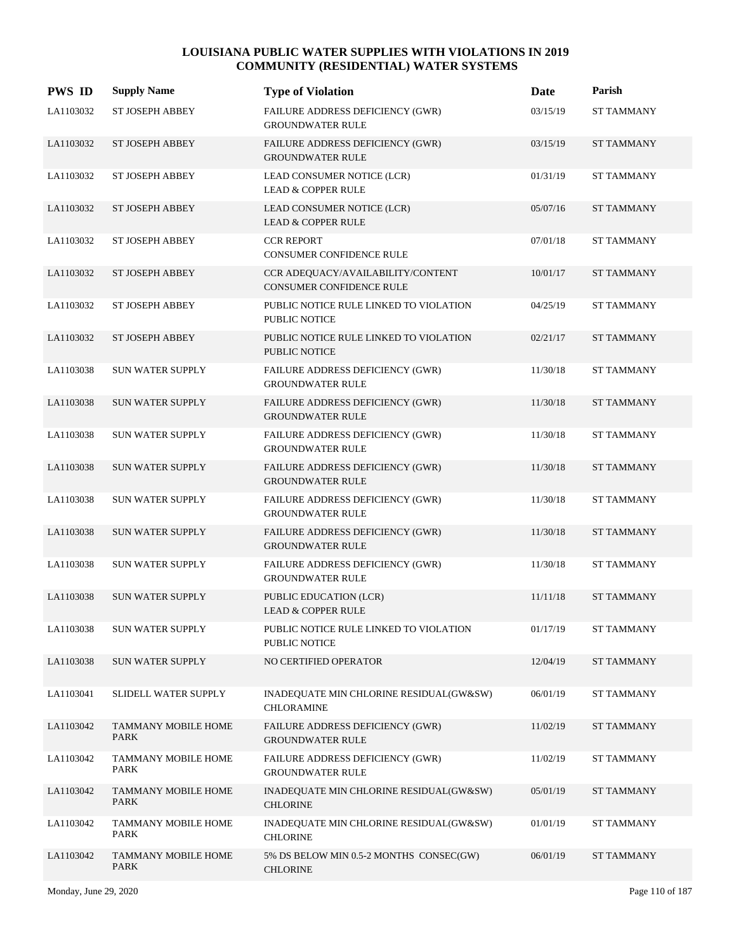| <b>PWS ID</b> | <b>Supply Name</b>                 | <b>Type of Violation</b>                                       | Date     | Parish            |
|---------------|------------------------------------|----------------------------------------------------------------|----------|-------------------|
| LA1103032     | ST JOSEPH ABBEY                    | FAILURE ADDRESS DEFICIENCY (GWR)<br><b>GROUNDWATER RULE</b>    | 03/15/19 | <b>ST TAMMANY</b> |
| LA1103032     | <b>ST JOSEPH ABBEY</b>             | FAILURE ADDRESS DEFICIENCY (GWR)<br><b>GROUNDWATER RULE</b>    | 03/15/19 | <b>ST TAMMANY</b> |
| LA1103032     | ST JOSEPH ABBEY                    | LEAD CONSUMER NOTICE (LCR)<br><b>LEAD &amp; COPPER RULE</b>    | 01/31/19 | <b>ST TAMMANY</b> |
| LA1103032     | ST JOSEPH ABBEY                    | LEAD CONSUMER NOTICE (LCR)<br><b>LEAD &amp; COPPER RULE</b>    | 05/07/16 | <b>ST TAMMANY</b> |
| LA1103032     | ST JOSEPH ABBEY                    | <b>CCR REPORT</b><br>CONSUMER CONFIDENCE RULE                  | 07/01/18 | <b>ST TAMMANY</b> |
| LA1103032     | ST JOSEPH ABBEY                    | CCR ADEQUACY/AVAILABILITY/CONTENT<br>CONSUMER CONFIDENCE RULE  | 10/01/17 | <b>ST TAMMANY</b> |
| LA1103032     | ST JOSEPH ABBEY                    | PUBLIC NOTICE RULE LINKED TO VIOLATION<br><b>PUBLIC NOTICE</b> | 04/25/19 | ST TAMMANY        |
| LA1103032     | ST JOSEPH ABBEY                    | PUBLIC NOTICE RULE LINKED TO VIOLATION<br><b>PUBLIC NOTICE</b> | 02/21/17 | <b>ST TAMMANY</b> |
| LA1103038     | SUN WATER SUPPLY                   | FAILURE ADDRESS DEFICIENCY (GWR)<br><b>GROUNDWATER RULE</b>    | 11/30/18 | <b>ST TAMMANY</b> |
| LA1103038     | <b>SUN WATER SUPPLY</b>            | FAILURE ADDRESS DEFICIENCY (GWR)<br><b>GROUNDWATER RULE</b>    | 11/30/18 | <b>ST TAMMANY</b> |
| LA1103038     | <b>SUN WATER SUPPLY</b>            | FAILURE ADDRESS DEFICIENCY (GWR)<br><b>GROUNDWATER RULE</b>    | 11/30/18 | <b>ST TAMMANY</b> |
| LA1103038     | <b>SUN WATER SUPPLY</b>            | FAILURE ADDRESS DEFICIENCY (GWR)<br><b>GROUNDWATER RULE</b>    | 11/30/18 | <b>ST TAMMANY</b> |
| LA1103038     | SUN WATER SUPPLY                   | FAILURE ADDRESS DEFICIENCY (GWR)<br><b>GROUNDWATER RULE</b>    | 11/30/18 | ST TAMMANY        |
| LA1103038     | <b>SUN WATER SUPPLY</b>            | FAILURE ADDRESS DEFICIENCY (GWR)<br><b>GROUNDWATER RULE</b>    | 11/30/18 | <b>ST TAMMANY</b> |
| LA1103038     | <b>SUN WATER SUPPLY</b>            | FAILURE ADDRESS DEFICIENCY (GWR)<br><b>GROUNDWATER RULE</b>    | 11/30/18 | <b>ST TAMMANY</b> |
| LA1103038     | <b>SUN WATER SUPPLY</b>            | PUBLIC EDUCATION (LCR)<br><b>LEAD &amp; COPPER RULE</b>        | 11/11/18 | <b>ST TAMMANY</b> |
| LA1103038     | SUN WATER SUPPLY                   | PUBLIC NOTICE RULE LINKED TO VIOLATION<br>PUBLIC NOTICE        | 01/17/19 | <b>ST TAMMANY</b> |
| LA1103038     | <b>SUN WATER SUPPLY</b>            | NO CERTIFIED OPERATOR                                          | 12/04/19 | <b>ST TAMMANY</b> |
| LA1103041     | SLIDELL WATER SUPPLY               | INADEQUATE MIN CHLORINE RESIDUAL(GW&SW)<br>CHLORAMINE          | 06/01/19 | ST TAMMANY        |
| LA1103042     | TAMMANY MOBILE HOME<br>PARK        | FAILURE ADDRESS DEFICIENCY (GWR)<br><b>GROUNDWATER RULE</b>    | 11/02/19 | <b>ST TAMMANY</b> |
| LA1103042     | TAMMANY MOBILE HOME<br>PARK        | FAILURE ADDRESS DEFICIENCY (GWR)<br><b>GROUNDWATER RULE</b>    | 11/02/19 | <b>ST TAMMANY</b> |
| LA1103042     | TAMMANY MOBILE HOME<br><b>PARK</b> | INADEQUATE MIN CHLORINE RESIDUAL(GW&SW)<br><b>CHLORINE</b>     | 05/01/19 | <b>ST TAMMANY</b> |
| LA1103042     | TAMMANY MOBILE HOME<br>PARK        | INADEQUATE MIN CHLORINE RESIDUAL(GW&SW)<br><b>CHLORINE</b>     | 01/01/19 | <b>ST TAMMANY</b> |
| LA1103042     | TAMMANY MOBILE HOME<br>PARK        | 5% DS BELOW MIN 0.5-2 MONTHS CONSEC(GW)<br><b>CHLORINE</b>     | 06/01/19 | <b>ST TAMMANY</b> |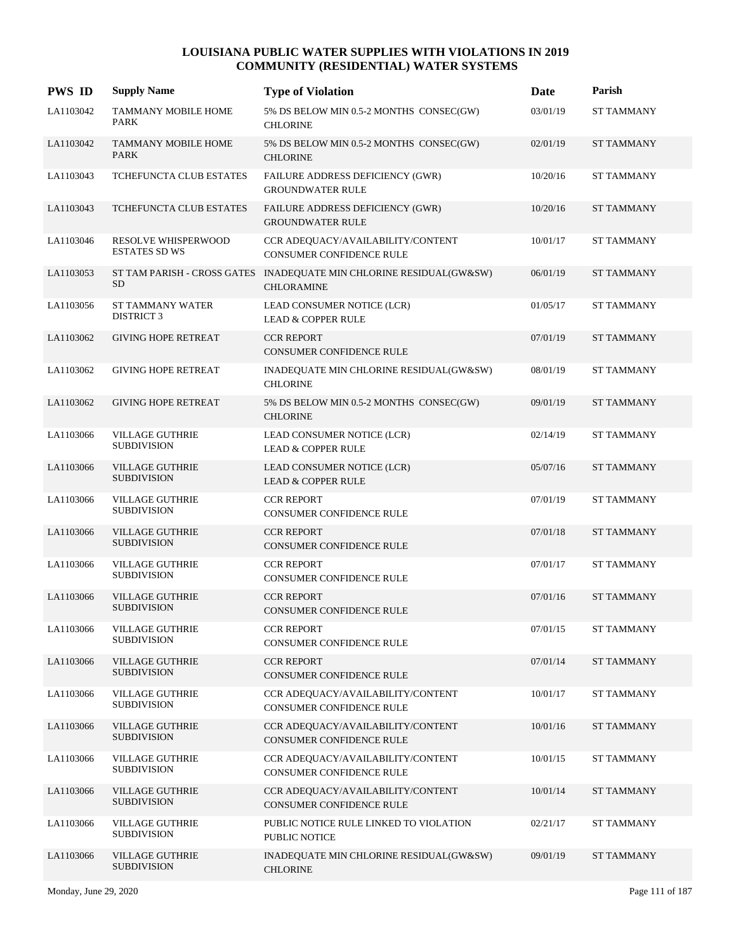| <b>PWS ID</b> | <b>Supply Name</b>                           | <b>Type of Violation</b>                                                                 | Date     | Parish            |
|---------------|----------------------------------------------|------------------------------------------------------------------------------------------|----------|-------------------|
| LA1103042     | TAMMANY MOBILE HOME<br><b>PARK</b>           | 5% DS BELOW MIN 0.5-2 MONTHS CONSEC(GW)<br><b>CHLORINE</b>                               | 03/01/19 | <b>ST TAMMANY</b> |
| LA1103042     | <b>TAMMANY MOBILE HOME</b><br><b>PARK</b>    | 5% DS BELOW MIN 0.5-2 MONTHS CONSEC(GW)<br><b>CHLORINE</b>                               | 02/01/19 | <b>ST TAMMANY</b> |
| LA1103043     | TCHEFUNCTA CLUB ESTATES                      | FAILURE ADDRESS DEFICIENCY (GWR)<br><b>GROUNDWATER RULE</b>                              | 10/20/16 | <b>ST TAMMANY</b> |
| LA1103043     | <b>TCHEFUNCTA CLUB ESTATES</b>               | FAILURE ADDRESS DEFICIENCY (GWR)<br><b>GROUNDWATER RULE</b>                              | 10/20/16 | <b>ST TAMMANY</b> |
| LA1103046     | RESOLVE WHISPERWOOD<br>ESTATES SD WS         | CCR ADEQUACY/AVAILABILITY/CONTENT<br>CONSUMER CONFIDENCE RULE                            | 10/01/17 | <b>ST TAMMANY</b> |
| LA1103053     | <b>SD</b>                                    | ST TAM PARISH - CROSS GATES INADEQUATE MIN CHLORINE RESIDUAL(GW&SW)<br><b>CHLORAMINE</b> | 06/01/19 | <b>ST TAMMANY</b> |
| LA1103056     | ST TAMMANY WATER<br><b>DISTRICT 3</b>        | LEAD CONSUMER NOTICE (LCR)<br><b>LEAD &amp; COPPER RULE</b>                              | 01/05/17 | <b>ST TAMMANY</b> |
| LA1103062     | <b>GIVING HOPE RETREAT</b>                   | <b>CCR REPORT</b><br><b>CONSUMER CONFIDENCE RULE</b>                                     | 07/01/19 | <b>ST TAMMANY</b> |
| LA1103062     | <b>GIVING HOPE RETREAT</b>                   | INADEQUATE MIN CHLORINE RESIDUAL(GW&SW)<br><b>CHLORINE</b>                               | 08/01/19 | <b>ST TAMMANY</b> |
| LA1103062     | <b>GIVING HOPE RETREAT</b>                   | 5% DS BELOW MIN 0.5-2 MONTHS CONSEC(GW)<br><b>CHLORINE</b>                               | 09/01/19 | <b>ST TAMMANY</b> |
| LA1103066     | <b>VILLAGE GUTHRIE</b><br><b>SUBDIVISION</b> | LEAD CONSUMER NOTICE (LCR)<br><b>LEAD &amp; COPPER RULE</b>                              | 02/14/19 | <b>ST TAMMANY</b> |
| LA1103066     | <b>VILLAGE GUTHRIE</b><br><b>SUBDIVISION</b> | LEAD CONSUMER NOTICE (LCR)<br><b>LEAD &amp; COPPER RULE</b>                              | 05/07/16 | <b>ST TAMMANY</b> |
| LA1103066     | <b>VILLAGE GUTHRIE</b><br><b>SUBDIVISION</b> | <b>CCR REPORT</b><br>CONSUMER CONFIDENCE RULE                                            | 07/01/19 | ST TAMMANY        |
| LA1103066     | <b>VILLAGE GUTHRIE</b><br><b>SUBDIVISION</b> | <b>CCR REPORT</b><br>CONSUMER CONFIDENCE RULE                                            | 07/01/18 | <b>ST TAMMANY</b> |
| LA1103066     | <b>VILLAGE GUTHRIE</b><br><b>SUBDIVISION</b> | <b>CCR REPORT</b><br>CONSUMER CONFIDENCE RULE                                            | 07/01/17 | <b>ST TAMMANY</b> |
| LA1103066     | <b>VILLAGE GUTHRIE</b><br><b>SUBDIVISION</b> | <b>CCR REPORT</b><br><b>CONSUMER CONFIDENCE RULE</b>                                     | 07/01/16 | <b>ST TAMMANY</b> |
| LA1103066     | <b>VILLAGE GUTHRIE</b><br><b>SUBDIVISION</b> | <b>CCR REPORT</b><br>CONSUMER CONFIDENCE RULE                                            | 07/01/15 | <b>ST TAMMANY</b> |
| LA1103066     | <b>VILLAGE GUTHRIE</b><br><b>SUBDIVISION</b> | <b>CCR REPORT</b><br>CONSUMER CONFIDENCE RULE                                            | 07/01/14 | <b>ST TAMMANY</b> |
| LA1103066     | <b>VILLAGE GUTHRIE</b><br><b>SUBDIVISION</b> | CCR ADEOUACY/AVAILABILITY/CONTENT<br>CONSUMER CONFIDENCE RULE                            | 10/01/17 | ST TAMMANY        |
| LA1103066     | <b>VILLAGE GUTHRIE</b><br><b>SUBDIVISION</b> | CCR ADEQUACY/AVAILABILITY/CONTENT<br>CONSUMER CONFIDENCE RULE                            | 10/01/16 | <b>ST TAMMANY</b> |
| LA1103066     | <b>VILLAGE GUTHRIE</b><br><b>SUBDIVISION</b> | CCR ADEQUACY/AVAILABILITY/CONTENT<br>CONSUMER CONFIDENCE RULE                            | 10/01/15 | <b>ST TAMMANY</b> |
| LA1103066     | <b>VILLAGE GUTHRIE</b><br><b>SUBDIVISION</b> | CCR ADEQUACY/AVAILABILITY/CONTENT<br>CONSUMER CONFIDENCE RULE                            | 10/01/14 | <b>ST TAMMANY</b> |
| LA1103066     | <b>VILLAGE GUTHRIE</b><br><b>SUBDIVISION</b> | PUBLIC NOTICE RULE LINKED TO VIOLATION<br>PUBLIC NOTICE                                  | 02/21/17 | <b>ST TAMMANY</b> |
| LA1103066     | <b>VILLAGE GUTHRIE</b><br><b>SUBDIVISION</b> | INADEQUATE MIN CHLORINE RESIDUAL(GW&SW)<br><b>CHLORINE</b>                               | 09/01/19 | <b>ST TAMMANY</b> |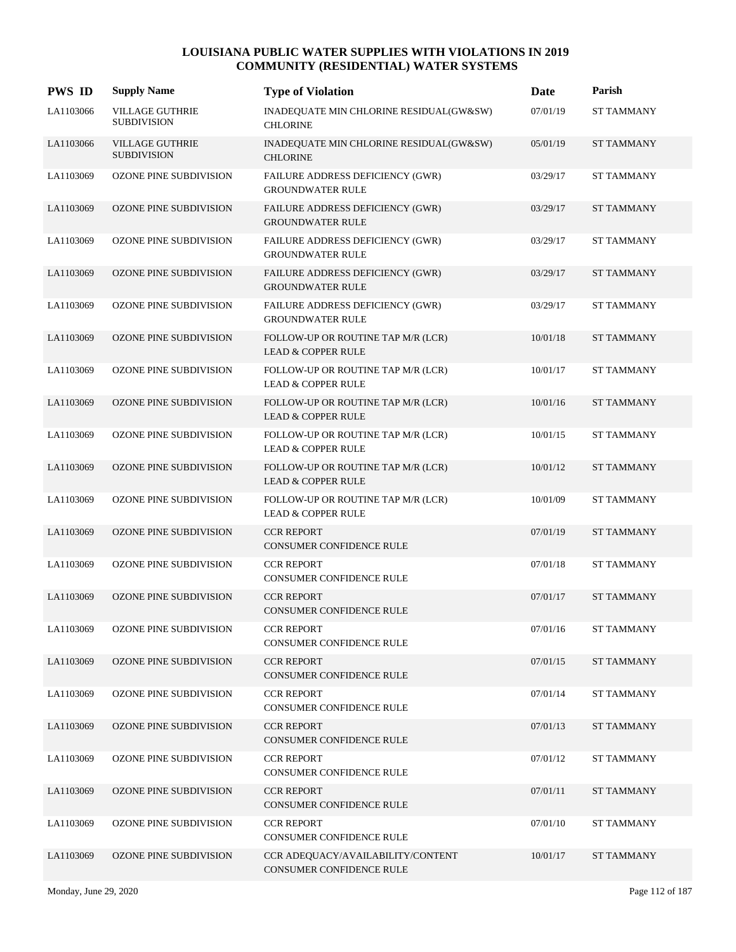| <b>PWS ID</b> | <b>Supply Name</b>                           | <b>Type of Violation</b>                                            | Date     | Parish            |
|---------------|----------------------------------------------|---------------------------------------------------------------------|----------|-------------------|
| LA1103066     | <b>VILLAGE GUTHRIE</b><br><b>SUBDIVISION</b> | INADEQUATE MIN CHLORINE RESIDUAL(GW&SW)<br><b>CHLORINE</b>          | 07/01/19 | <b>ST TAMMANY</b> |
| LA1103066     | <b>VILLAGE GUTHRIE</b><br><b>SUBDIVISION</b> | INADEQUATE MIN CHLORINE RESIDUAL(GW&SW)<br><b>CHLORINE</b>          | 05/01/19 | <b>ST TAMMANY</b> |
| LA1103069     | OZONE PINE SUBDIVISION                       | FAILURE ADDRESS DEFICIENCY (GWR)<br><b>GROUNDWATER RULE</b>         | 03/29/17 | <b>ST TAMMANY</b> |
| LA1103069     | <b>OZONE PINE SUBDIVISION</b>                | FAILURE ADDRESS DEFICIENCY (GWR)<br><b>GROUNDWATER RULE</b>         | 03/29/17 | <b>ST TAMMANY</b> |
| LA1103069     | OZONE PINE SUBDIVISION                       | FAILURE ADDRESS DEFICIENCY (GWR)<br><b>GROUNDWATER RULE</b>         | 03/29/17 | <b>ST TAMMANY</b> |
| LA1103069     | <b>OZONE PINE SUBDIVISION</b>                | FAILURE ADDRESS DEFICIENCY (GWR)<br><b>GROUNDWATER RULE</b>         | 03/29/17 | <b>ST TAMMANY</b> |
| LA1103069     | OZONE PINE SUBDIVISION                       | <b>FAILURE ADDRESS DEFICIENCY (GWR)</b><br><b>GROUNDWATER RULE</b>  | 03/29/17 | <b>ST TAMMANY</b> |
| LA1103069     | <b>OZONE PINE SUBDIVISION</b>                | FOLLOW-UP OR ROUTINE TAP M/R (LCR)<br><b>LEAD &amp; COPPER RULE</b> | 10/01/18 | <b>ST TAMMANY</b> |
| LA1103069     | OZONE PINE SUBDIVISION                       | FOLLOW-UP OR ROUTINE TAP M/R (LCR)<br><b>LEAD &amp; COPPER RULE</b> | 10/01/17 | <b>ST TAMMANY</b> |
| LA1103069     | OZONE PINE SUBDIVISION                       | FOLLOW-UP OR ROUTINE TAP M/R (LCR)<br><b>LEAD &amp; COPPER RULE</b> | 10/01/16 | <b>ST TAMMANY</b> |
| LA1103069     | OZONE PINE SUBDIVISION                       | FOLLOW-UP OR ROUTINE TAP M/R (LCR)<br><b>LEAD &amp; COPPER RULE</b> | 10/01/15 | <b>ST TAMMANY</b> |
| LA1103069     | <b>OZONE PINE SUBDIVISION</b>                | FOLLOW-UP OR ROUTINE TAP M/R (LCR)<br><b>LEAD &amp; COPPER RULE</b> | 10/01/12 | <b>ST TAMMANY</b> |
| LA1103069     | OZONE PINE SUBDIVISION                       | FOLLOW-UP OR ROUTINE TAP M/R (LCR)<br><b>LEAD &amp; COPPER RULE</b> | 10/01/09 | <b>ST TAMMANY</b> |
| LA1103069     | OZONE PINE SUBDIVISION                       | <b>CCR REPORT</b><br>CONSUMER CONFIDENCE RULE                       | 07/01/19 | <b>ST TAMMANY</b> |
| LA1103069     | <b>OZONE PINE SUBDIVISION</b>                | <b>CCR REPORT</b><br>CONSUMER CONFIDENCE RULE                       | 07/01/18 | <b>ST TAMMANY</b> |
| LA1103069     | <b>OZONE PINE SUBDIVISION</b>                | <b>CCR REPORT</b><br><b>CONSUMER CONFIDENCE RULE</b>                | 07/01/17 | <b>ST TAMMANY</b> |
| LA1103069     | <b>OZONE PINE SUBDIVISION</b>                | <b>CCR REPORT</b><br>CONSUMER CONFIDENCE RULE                       | 07/01/16 | <b>ST TAMMANY</b> |
| LA1103069     | OZONE PINE SUBDIVISION                       | <b>CCR REPORT</b><br>CONSUMER CONFIDENCE RULE                       | 07/01/15 | <b>ST TAMMANY</b> |
| LA1103069     | <b>OZONE PINE SUBDIVISION</b>                | <b>CCR REPORT</b><br>CONSUMER CONFIDENCE RULE                       | 07/01/14 | <b>ST TAMMANY</b> |
| LA1103069     | OZONE PINE SUBDIVISION                       | <b>CCR REPORT</b><br>CONSUMER CONFIDENCE RULE                       | 07/01/13 | <b>ST TAMMANY</b> |
| LA1103069     | <b>OZONE PINE SUBDIVISION</b>                | <b>CCR REPORT</b><br>CONSUMER CONFIDENCE RULE                       | 07/01/12 | <b>ST TAMMANY</b> |
| LA1103069     | OZONE PINE SUBDIVISION                       | <b>CCR REPORT</b><br>CONSUMER CONFIDENCE RULE                       | 07/01/11 | <b>ST TAMMANY</b> |
| LA1103069     | OZONE PINE SUBDIVISION                       | <b>CCR REPORT</b><br>CONSUMER CONFIDENCE RULE                       | 07/01/10 | <b>ST TAMMANY</b> |
| LA1103069     | OZONE PINE SUBDIVISION                       | CCR ADEQUACY/AVAILABILITY/CONTENT<br>CONSUMER CONFIDENCE RULE       | 10/01/17 | <b>ST TAMMANY</b> |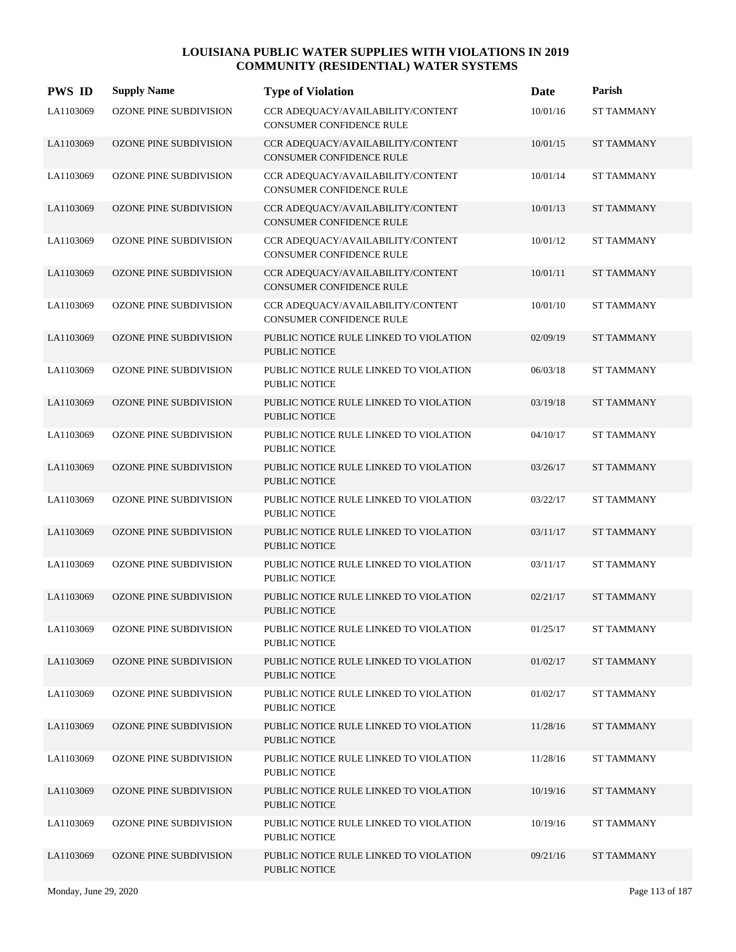| <b>PWS ID</b> | <b>Supply Name</b>            | <b>Type of Violation</b>                                             | Date     | Parish            |
|---------------|-------------------------------|----------------------------------------------------------------------|----------|-------------------|
| LA1103069     | OZONE PINE SUBDIVISION        | CCR ADEQUACY/AVAILABILITY/CONTENT<br><b>CONSUMER CONFIDENCE RULE</b> | 10/01/16 | <b>ST TAMMANY</b> |
| LA1103069     | OZONE PINE SUBDIVISION        | CCR ADEQUACY/AVAILABILITY/CONTENT<br><b>CONSUMER CONFIDENCE RULE</b> | 10/01/15 | <b>ST TAMMANY</b> |
| LA1103069     | OZONE PINE SUBDIVISION        | CCR ADEQUACY/AVAILABILITY/CONTENT<br>CONSUMER CONFIDENCE RULE        | 10/01/14 | <b>ST TAMMANY</b> |
| LA1103069     | OZONE PINE SUBDIVISION        | CCR ADEQUACY/AVAILABILITY/CONTENT<br>CONSUMER CONFIDENCE RULE        | 10/01/13 | <b>ST TAMMANY</b> |
| LA1103069     | OZONE PINE SUBDIVISION        | CCR ADEQUACY/AVAILABILITY/CONTENT<br>CONSUMER CONFIDENCE RULE        | 10/01/12 | <b>ST TAMMANY</b> |
| LA1103069     | OZONE PINE SUBDIVISION        | CCR ADEQUACY/AVAILABILITY/CONTENT<br>CONSUMER CONFIDENCE RULE        | 10/01/11 | <b>ST TAMMANY</b> |
| LA1103069     | OZONE PINE SUBDIVISION        | CCR ADEQUACY/AVAILABILITY/CONTENT<br>CONSUMER CONFIDENCE RULE        | 10/01/10 | <b>ST TAMMANY</b> |
| LA1103069     | <b>OZONE PINE SUBDIVISION</b> | PUBLIC NOTICE RULE LINKED TO VIOLATION<br>PUBLIC NOTICE              | 02/09/19 | <b>ST TAMMANY</b> |
| LA1103069     | OZONE PINE SUBDIVISION        | PUBLIC NOTICE RULE LINKED TO VIOLATION<br><b>PUBLIC NOTICE</b>       | 06/03/18 | <b>ST TAMMANY</b> |
| LA1103069     | <b>OZONE PINE SUBDIVISION</b> | PUBLIC NOTICE RULE LINKED TO VIOLATION<br><b>PUBLIC NOTICE</b>       | 03/19/18 | <b>ST TAMMANY</b> |
| LA1103069     | OZONE PINE SUBDIVISION        | PUBLIC NOTICE RULE LINKED TO VIOLATION<br>PUBLIC NOTICE              | 04/10/17 | <b>ST TAMMANY</b> |
| LA1103069     | <b>OZONE PINE SUBDIVISION</b> | PUBLIC NOTICE RULE LINKED TO VIOLATION<br>PUBLIC NOTICE              | 03/26/17 | <b>ST TAMMANY</b> |
| LA1103069     | OZONE PINE SUBDIVISION        | PUBLIC NOTICE RULE LINKED TO VIOLATION<br>PUBLIC NOTICE              | 03/22/17 | <b>ST TAMMANY</b> |
| LA1103069     | OZONE PINE SUBDIVISION        | PUBLIC NOTICE RULE LINKED TO VIOLATION<br><b>PUBLIC NOTICE</b>       | 03/11/17 | <b>ST TAMMANY</b> |
| LA1103069     | OZONE PINE SUBDIVISION        | PUBLIC NOTICE RULE LINKED TO VIOLATION<br><b>PUBLIC NOTICE</b>       | 03/11/17 | <b>ST TAMMANY</b> |
| LA1103069     | <b>OZONE PINE SUBDIVISION</b> | PUBLIC NOTICE RULE LINKED TO VIOLATION<br><b>PUBLIC NOTICE</b>       | 02/21/17 | <b>ST TAMMANY</b> |
| LA1103069     | OZONE PINE SUBDIVISION        | PUBLIC NOTICE RULE LINKED TO VIOLATION<br><b>PUBLIC NOTICE</b>       | 01/25/17 | <b>ST TAMMANY</b> |
| LA1103069     | OZONE PINE SUBDIVISION        | PUBLIC NOTICE RULE LINKED TO VIOLATION<br>PUBLIC NOTICE              | 01/02/17 | <b>ST TAMMANY</b> |
| LA1103069     | OZONE PINE SUBDIVISION        | PUBLIC NOTICE RULE LINKED TO VIOLATION<br>PUBLIC NOTICE              | 01/02/17 | <b>ST TAMMANY</b> |
| LA1103069     | <b>OZONE PINE SUBDIVISION</b> | PUBLIC NOTICE RULE LINKED TO VIOLATION<br>PUBLIC NOTICE              | 11/28/16 | <b>ST TAMMANY</b> |
| LA1103069     | OZONE PINE SUBDIVISION        | PUBLIC NOTICE RULE LINKED TO VIOLATION<br><b>PUBLIC NOTICE</b>       | 11/28/16 | <b>ST TAMMANY</b> |
| LA1103069     | <b>OZONE PINE SUBDIVISION</b> | PUBLIC NOTICE RULE LINKED TO VIOLATION<br>PUBLIC NOTICE              | 10/19/16 | <b>ST TAMMANY</b> |
| LA1103069     | OZONE PINE SUBDIVISION        | PUBLIC NOTICE RULE LINKED TO VIOLATION<br>PUBLIC NOTICE              | 10/19/16 | ST TAMMANY        |
| LA1103069     | <b>OZONE PINE SUBDIVISION</b> | PUBLIC NOTICE RULE LINKED TO VIOLATION<br>PUBLIC NOTICE              | 09/21/16 | <b>ST TAMMANY</b> |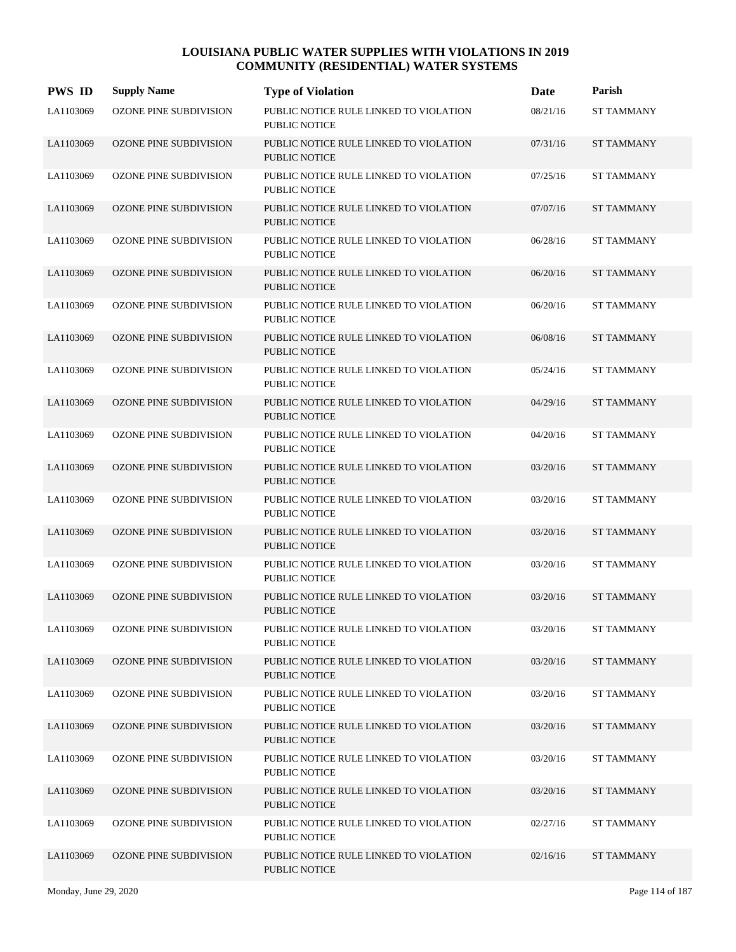| <b>PWS ID</b> | <b>Supply Name</b>            | <b>Type of Violation</b>                                       | Date     | Parish            |
|---------------|-------------------------------|----------------------------------------------------------------|----------|-------------------|
| LA1103069     | OZONE PINE SUBDIVISION        | PUBLIC NOTICE RULE LINKED TO VIOLATION<br><b>PUBLIC NOTICE</b> | 08/21/16 | <b>ST TAMMANY</b> |
| LA1103069     | <b>OZONE PINE SUBDIVISION</b> | PUBLIC NOTICE RULE LINKED TO VIOLATION<br><b>PUBLIC NOTICE</b> | 07/31/16 | <b>ST TAMMANY</b> |
| LA1103069     | OZONE PINE SUBDIVISION        | PUBLIC NOTICE RULE LINKED TO VIOLATION<br><b>PUBLIC NOTICE</b> | 07/25/16 | <b>ST TAMMANY</b> |
| LA1103069     | <b>OZONE PINE SUBDIVISION</b> | PUBLIC NOTICE RULE LINKED TO VIOLATION<br><b>PUBLIC NOTICE</b> | 07/07/16 | <b>ST TAMMANY</b> |
| LA1103069     | OZONE PINE SUBDIVISION        | PUBLIC NOTICE RULE LINKED TO VIOLATION<br><b>PUBLIC NOTICE</b> | 06/28/16 | <b>ST TAMMANY</b> |
| LA1103069     | <b>OZONE PINE SUBDIVISION</b> | PUBLIC NOTICE RULE LINKED TO VIOLATION<br><b>PUBLIC NOTICE</b> | 06/20/16 | <b>ST TAMMANY</b> |
| LA1103069     | OZONE PINE SUBDIVISION        | PUBLIC NOTICE RULE LINKED TO VIOLATION<br><b>PUBLIC NOTICE</b> | 06/20/16 | <b>ST TAMMANY</b> |
| LA1103069     | <b>OZONE PINE SUBDIVISION</b> | PUBLIC NOTICE RULE LINKED TO VIOLATION<br><b>PUBLIC NOTICE</b> | 06/08/16 | <b>ST TAMMANY</b> |
| LA1103069     | OZONE PINE SUBDIVISION        | PUBLIC NOTICE RULE LINKED TO VIOLATION<br><b>PUBLIC NOTICE</b> | 05/24/16 | <b>ST TAMMANY</b> |
| LA1103069     | OZONE PINE SUBDIVISION        | PUBLIC NOTICE RULE LINKED TO VIOLATION<br><b>PUBLIC NOTICE</b> | 04/29/16 | <b>ST TAMMANY</b> |
| LA1103069     | OZONE PINE SUBDIVISION        | PUBLIC NOTICE RULE LINKED TO VIOLATION<br>PUBLIC NOTICE        | 04/20/16 | <b>ST TAMMANY</b> |
| LA1103069     | <b>OZONE PINE SUBDIVISION</b> | PUBLIC NOTICE RULE LINKED TO VIOLATION<br>PUBLIC NOTICE        | 03/20/16 | <b>ST TAMMANY</b> |
| LA1103069     | OZONE PINE SUBDIVISION        | PUBLIC NOTICE RULE LINKED TO VIOLATION<br><b>PUBLIC NOTICE</b> | 03/20/16 | <b>ST TAMMANY</b> |
| LA1103069     | OZONE PINE SUBDIVISION        | PUBLIC NOTICE RULE LINKED TO VIOLATION<br><b>PUBLIC NOTICE</b> | 03/20/16 | <b>ST TAMMANY</b> |
| LA1103069     | OZONE PINE SUBDIVISION        | PUBLIC NOTICE RULE LINKED TO VIOLATION<br><b>PUBLIC NOTICE</b> | 03/20/16 | <b>ST TAMMANY</b> |
| LA1103069     | <b>OZONE PINE SUBDIVISION</b> | PUBLIC NOTICE RULE LINKED TO VIOLATION<br><b>PUBLIC NOTICE</b> | 03/20/16 | <b>ST TAMMANY</b> |
| LA1103069     | <b>OZONE PINE SUBDIVISION</b> | PUBLIC NOTICE RULE LINKED TO VIOLATION<br>PUBLIC NOTICE        | 03/20/16 | <b>ST TAMMANY</b> |
| LA1103069     | OZONE PINE SUBDIVISION        | PUBLIC NOTICE RULE LINKED TO VIOLATION<br>PUBLIC NOTICE        | 03/20/16 | <b>ST TAMMANY</b> |
| LA1103069     | OZONE PINE SUBDIVISION        | PUBLIC NOTICE RULE LINKED TO VIOLATION<br>PUBLIC NOTICE        | 03/20/16 | <b>ST TAMMANY</b> |
| LA1103069     | OZONE PINE SUBDIVISION        | PUBLIC NOTICE RULE LINKED TO VIOLATION<br>PUBLIC NOTICE        | 03/20/16 | <b>ST TAMMANY</b> |
| LA1103069     | <b>OZONE PINE SUBDIVISION</b> | PUBLIC NOTICE RULE LINKED TO VIOLATION<br>PUBLIC NOTICE        | 03/20/16 | <b>ST TAMMANY</b> |
| LA1103069     | <b>OZONE PINE SUBDIVISION</b> | PUBLIC NOTICE RULE LINKED TO VIOLATION<br>PUBLIC NOTICE        | 03/20/16 | <b>ST TAMMANY</b> |
| LA1103069     | OZONE PINE SUBDIVISION        | PUBLIC NOTICE RULE LINKED TO VIOLATION<br>PUBLIC NOTICE        | 02/27/16 | <b>ST TAMMANY</b> |
| LA1103069     | <b>OZONE PINE SUBDIVISION</b> | PUBLIC NOTICE RULE LINKED TO VIOLATION<br>PUBLIC NOTICE        | 02/16/16 | <b>ST TAMMANY</b> |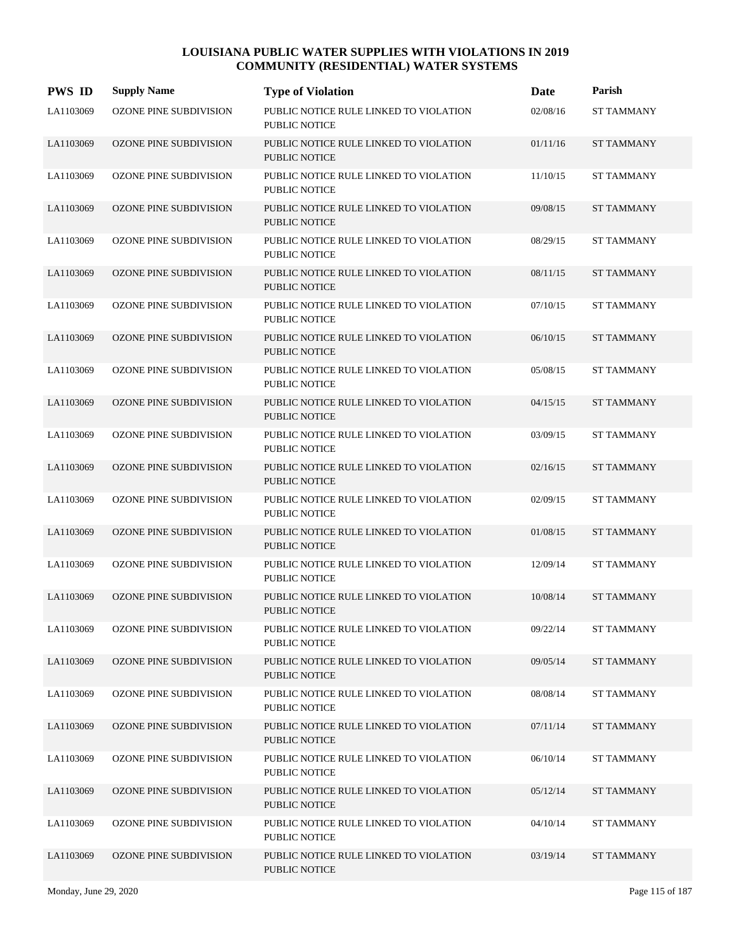| <b>PWS ID</b> | <b>Supply Name</b>            | <b>Type of Violation</b>                                       | Date     | Parish            |
|---------------|-------------------------------|----------------------------------------------------------------|----------|-------------------|
| LA1103069     | OZONE PINE SUBDIVISION        | PUBLIC NOTICE RULE LINKED TO VIOLATION<br><b>PUBLIC NOTICE</b> | 02/08/16 | <b>ST TAMMANY</b> |
| LA1103069     | OZONE PINE SUBDIVISION        | PUBLIC NOTICE RULE LINKED TO VIOLATION<br><b>PUBLIC NOTICE</b> | 01/11/16 | <b>ST TAMMANY</b> |
| LA1103069     | OZONE PINE SUBDIVISION        | PUBLIC NOTICE RULE LINKED TO VIOLATION<br><b>PUBLIC NOTICE</b> | 11/10/15 | <b>ST TAMMANY</b> |
| LA1103069     | OZONE PINE SUBDIVISION        | PUBLIC NOTICE RULE LINKED TO VIOLATION<br><b>PUBLIC NOTICE</b> | 09/08/15 | <b>ST TAMMANY</b> |
| LA1103069     | OZONE PINE SUBDIVISION        | PUBLIC NOTICE RULE LINKED TO VIOLATION<br><b>PUBLIC NOTICE</b> | 08/29/15 | <b>ST TAMMANY</b> |
| LA1103069     | OZONE PINE SUBDIVISION        | PUBLIC NOTICE RULE LINKED TO VIOLATION<br><b>PUBLIC NOTICE</b> | 08/11/15 | <b>ST TAMMANY</b> |
| LA1103069     | OZONE PINE SUBDIVISION        | PUBLIC NOTICE RULE LINKED TO VIOLATION<br><b>PUBLIC NOTICE</b> | 07/10/15 | <b>ST TAMMANY</b> |
| LA1103069     | <b>OZONE PINE SUBDIVISION</b> | PUBLIC NOTICE RULE LINKED TO VIOLATION<br><b>PUBLIC NOTICE</b> | 06/10/15 | <b>ST TAMMANY</b> |
| LA1103069     | <b>OZONE PINE SUBDIVISION</b> | PUBLIC NOTICE RULE LINKED TO VIOLATION<br><b>PUBLIC NOTICE</b> | 05/08/15 | <b>ST TAMMANY</b> |
| LA1103069     | <b>OZONE PINE SUBDIVISION</b> | PUBLIC NOTICE RULE LINKED TO VIOLATION<br><b>PUBLIC NOTICE</b> | 04/15/15 | <b>ST TAMMANY</b> |
| LA1103069     | OZONE PINE SUBDIVISION        | PUBLIC NOTICE RULE LINKED TO VIOLATION<br><b>PUBLIC NOTICE</b> | 03/09/15 | <b>ST TAMMANY</b> |
| LA1103069     | <b>OZONE PINE SUBDIVISION</b> | PUBLIC NOTICE RULE LINKED TO VIOLATION<br><b>PUBLIC NOTICE</b> | 02/16/15 | <b>ST TAMMANY</b> |
| LA1103069     | OZONE PINE SUBDIVISION        | PUBLIC NOTICE RULE LINKED TO VIOLATION<br><b>PUBLIC NOTICE</b> | 02/09/15 | <b>ST TAMMANY</b> |
| LA1103069     | <b>OZONE PINE SUBDIVISION</b> | PUBLIC NOTICE RULE LINKED TO VIOLATION<br><b>PUBLIC NOTICE</b> | 01/08/15 | <b>ST TAMMANY</b> |
| LA1103069     | OZONE PINE SUBDIVISION        | PUBLIC NOTICE RULE LINKED TO VIOLATION<br><b>PUBLIC NOTICE</b> | 12/09/14 | <b>ST TAMMANY</b> |
| LA1103069     | <b>OZONE PINE SUBDIVISION</b> | PUBLIC NOTICE RULE LINKED TO VIOLATION<br><b>PUBLIC NOTICE</b> | 10/08/14 | <b>ST TAMMANY</b> |
| LA1103069     | OZONE PINE SUBDIVISION        | PUBLIC NOTICE RULE LINKED TO VIOLATION<br>PUBLIC NOTICE        | 09/22/14 | <b>ST TAMMANY</b> |
| LA1103069     | <b>OZONE PINE SUBDIVISION</b> | PUBLIC NOTICE RULE LINKED TO VIOLATION<br>PUBLIC NOTICE        | 09/05/14 | <b>ST TAMMANY</b> |
| LA1103069     | <b>OZONE PINE SUBDIVISION</b> | PUBLIC NOTICE RULE LINKED TO VIOLATION<br>PUBLIC NOTICE        | 08/08/14 | <b>ST TAMMANY</b> |
| LA1103069     | OZONE PINE SUBDIVISION        | PUBLIC NOTICE RULE LINKED TO VIOLATION<br>PUBLIC NOTICE        | 07/11/14 | <b>ST TAMMANY</b> |
| LA1103069     | OZONE PINE SUBDIVISION        | PUBLIC NOTICE RULE LINKED TO VIOLATION<br><b>PUBLIC NOTICE</b> | 06/10/14 | <b>ST TAMMANY</b> |
| LA1103069     | OZONE PINE SUBDIVISION        | PUBLIC NOTICE RULE LINKED TO VIOLATION<br>PUBLIC NOTICE        | 05/12/14 | <b>ST TAMMANY</b> |
| LA1103069     | OZONE PINE SUBDIVISION        | PUBLIC NOTICE RULE LINKED TO VIOLATION<br>PUBLIC NOTICE        | 04/10/14 | <b>ST TAMMANY</b> |
| LA1103069     | OZONE PINE SUBDIVISION        | PUBLIC NOTICE RULE LINKED TO VIOLATION<br>PUBLIC NOTICE        | 03/19/14 | <b>ST TAMMANY</b> |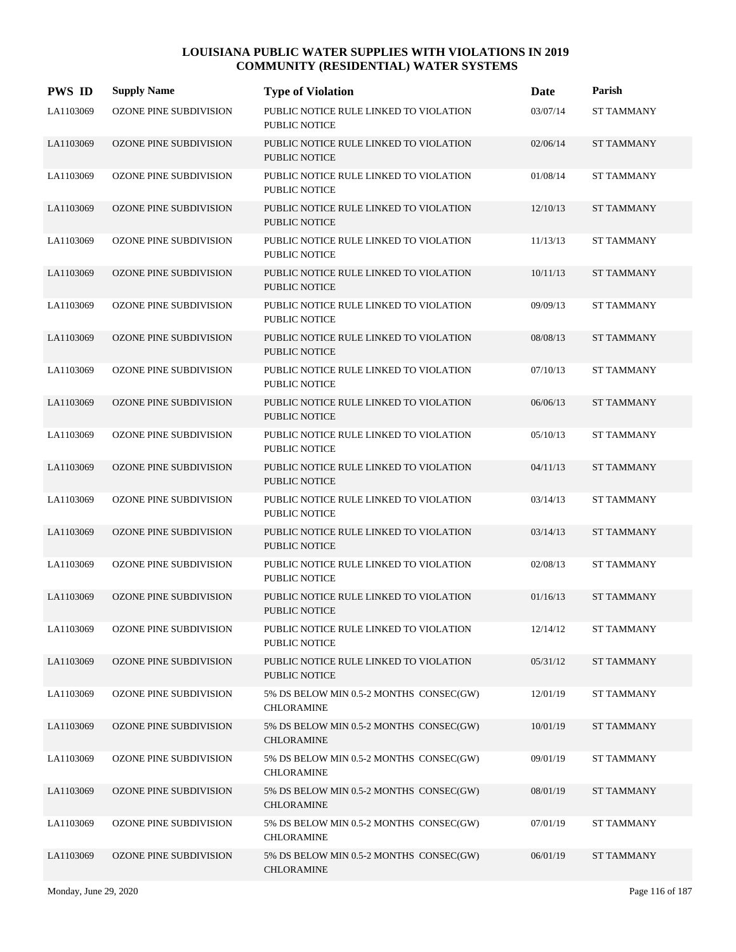| <b>PWS ID</b> | <b>Supply Name</b>            | <b>Type of Violation</b>                                       | Date     | Parish            |
|---------------|-------------------------------|----------------------------------------------------------------|----------|-------------------|
| LA1103069     | OZONE PINE SUBDIVISION        | PUBLIC NOTICE RULE LINKED TO VIOLATION<br><b>PUBLIC NOTICE</b> | 03/07/14 | <b>ST TAMMANY</b> |
| LA1103069     | OZONE PINE SUBDIVISION        | PUBLIC NOTICE RULE LINKED TO VIOLATION<br><b>PUBLIC NOTICE</b> | 02/06/14 | <b>ST TAMMANY</b> |
| LA1103069     | OZONE PINE SUBDIVISION        | PUBLIC NOTICE RULE LINKED TO VIOLATION<br><b>PUBLIC NOTICE</b> | 01/08/14 | <b>ST TAMMANY</b> |
| LA1103069     | <b>OZONE PINE SUBDIVISION</b> | PUBLIC NOTICE RULE LINKED TO VIOLATION<br><b>PUBLIC NOTICE</b> | 12/10/13 | <b>ST TAMMANY</b> |
| LA1103069     | OZONE PINE SUBDIVISION        | PUBLIC NOTICE RULE LINKED TO VIOLATION<br><b>PUBLIC NOTICE</b> | 11/13/13 | <b>ST TAMMANY</b> |
| LA1103069     | <b>OZONE PINE SUBDIVISION</b> | PUBLIC NOTICE RULE LINKED TO VIOLATION<br><b>PUBLIC NOTICE</b> | 10/11/13 | <b>ST TAMMANY</b> |
| LA1103069     | OZONE PINE SUBDIVISION        | PUBLIC NOTICE RULE LINKED TO VIOLATION<br><b>PUBLIC NOTICE</b> | 09/09/13 | <b>ST TAMMANY</b> |
| LA1103069     | <b>OZONE PINE SUBDIVISION</b> | PUBLIC NOTICE RULE LINKED TO VIOLATION<br><b>PUBLIC NOTICE</b> | 08/08/13 | <b>ST TAMMANY</b> |
| LA1103069     | OZONE PINE SUBDIVISION        | PUBLIC NOTICE RULE LINKED TO VIOLATION<br><b>PUBLIC NOTICE</b> | 07/10/13 | <b>ST TAMMANY</b> |
| LA1103069     | <b>OZONE PINE SUBDIVISION</b> | PUBLIC NOTICE RULE LINKED TO VIOLATION<br><b>PUBLIC NOTICE</b> | 06/06/13 | <b>ST TAMMANY</b> |
| LA1103069     | OZONE PINE SUBDIVISION        | PUBLIC NOTICE RULE LINKED TO VIOLATION<br><b>PUBLIC NOTICE</b> | 05/10/13 | <b>ST TAMMANY</b> |
| LA1103069     | <b>OZONE PINE SUBDIVISION</b> | PUBLIC NOTICE RULE LINKED TO VIOLATION<br><b>PUBLIC NOTICE</b> | 04/11/13 | <b>ST TAMMANY</b> |
| LA1103069     | OZONE PINE SUBDIVISION        | PUBLIC NOTICE RULE LINKED TO VIOLATION<br><b>PUBLIC NOTICE</b> | 03/14/13 | <b>ST TAMMANY</b> |
| LA1103069     | <b>OZONE PINE SUBDIVISION</b> | PUBLIC NOTICE RULE LINKED TO VIOLATION<br><b>PUBLIC NOTICE</b> | 03/14/13 | <b>ST TAMMANY</b> |
| LA1103069     | OZONE PINE SUBDIVISION        | PUBLIC NOTICE RULE LINKED TO VIOLATION<br><b>PUBLIC NOTICE</b> | 02/08/13 | <b>ST TAMMANY</b> |
| LA1103069     | <b>OZONE PINE SUBDIVISION</b> | PUBLIC NOTICE RULE LINKED TO VIOLATION<br><b>PUBLIC NOTICE</b> | 01/16/13 | <b>ST TAMMANY</b> |
| LA1103069     | OZONE PINE SUBDIVISION        | PUBLIC NOTICE RULE LINKED TO VIOLATION<br>PUBLIC NOTICE        | 12/14/12 | <b>ST TAMMANY</b> |
| LA1103069     | OZONE PINE SUBDIVISION        | PUBLIC NOTICE RULE LINKED TO VIOLATION<br><b>PUBLIC NOTICE</b> | 05/31/12 | <b>ST TAMMANY</b> |
| LA1103069     | OZONE PINE SUBDIVISION        | 5% DS BELOW MIN 0.5-2 MONTHS CONSEC(GW)<br><b>CHLORAMINE</b>   | 12/01/19 | <b>ST TAMMANY</b> |
| LA1103069     | OZONE PINE SUBDIVISION        | 5% DS BELOW MIN 0.5-2 MONTHS CONSEC(GW)<br><b>CHLORAMINE</b>   | 10/01/19 | <b>ST TAMMANY</b> |
| LA1103069     | OZONE PINE SUBDIVISION        | 5% DS BELOW MIN 0.5-2 MONTHS CONSEC(GW)<br>CHLORAMINE          | 09/01/19 | <b>ST TAMMANY</b> |
| LA1103069     | OZONE PINE SUBDIVISION        | 5% DS BELOW MIN 0.5-2 MONTHS CONSEC(GW)<br><b>CHLORAMINE</b>   | 08/01/19 | <b>ST TAMMANY</b> |
| LA1103069     | OZONE PINE SUBDIVISION        | 5% DS BELOW MIN 0.5-2 MONTHS CONSEC(GW)<br>CHLORAMINE          | 07/01/19 | <b>ST TAMMANY</b> |
| LA1103069     | OZONE PINE SUBDIVISION        | 5% DS BELOW MIN 0.5-2 MONTHS CONSEC(GW)<br><b>CHLORAMINE</b>   | 06/01/19 | <b>ST TAMMANY</b> |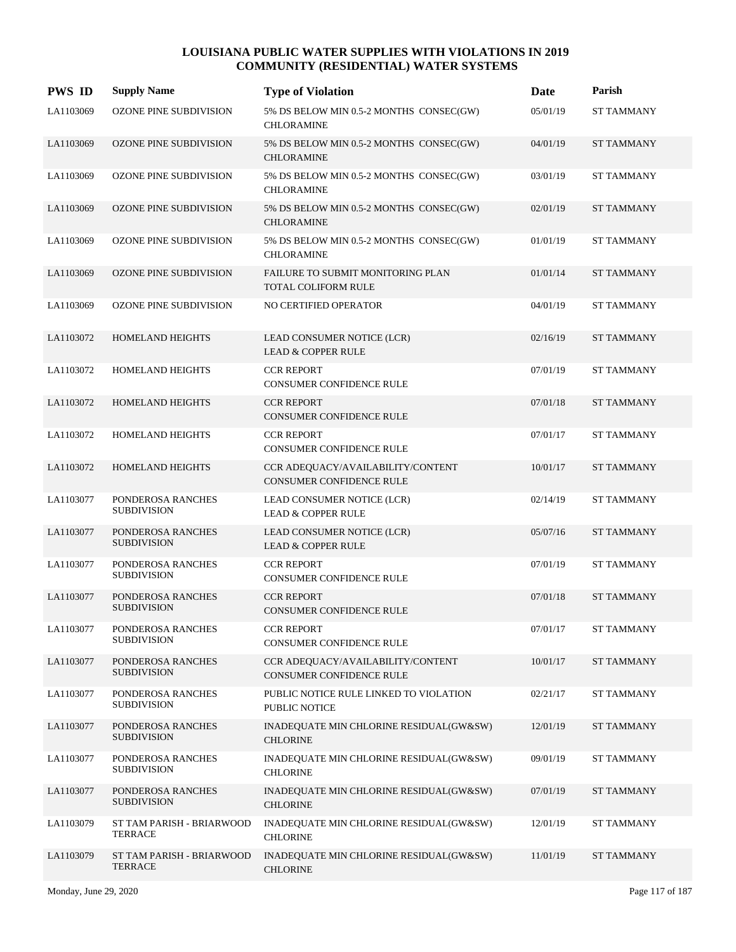| <b>PWS ID</b> | <b>Supply Name</b>                          | <b>Type of Violation</b>                                             | Date     | Parish            |
|---------------|---------------------------------------------|----------------------------------------------------------------------|----------|-------------------|
| LA1103069     | OZONE PINE SUBDIVISION                      | 5% DS BELOW MIN 0.5-2 MONTHS CONSEC(GW)<br><b>CHLORAMINE</b>         | 05/01/19 | <b>ST TAMMANY</b> |
| LA1103069     | OZONE PINE SUBDIVISION                      | 5% DS BELOW MIN 0.5-2 MONTHS CONSEC(GW)<br><b>CHLORAMINE</b>         | 04/01/19 | <b>ST TAMMANY</b> |
| LA1103069     | OZONE PINE SUBDIVISION                      | 5% DS BELOW MIN 0.5-2 MONTHS CONSEC(GW)<br><b>CHLORAMINE</b>         | 03/01/19 | <b>ST TAMMANY</b> |
| LA1103069     | <b>OZONE PINE SUBDIVISION</b>               | 5% DS BELOW MIN 0.5-2 MONTHS CONSEC(GW)<br><b>CHLORAMINE</b>         | 02/01/19 | <b>ST TAMMANY</b> |
| LA1103069     | OZONE PINE SUBDIVISION                      | 5% DS BELOW MIN 0.5-2 MONTHS CONSEC(GW)<br><b>CHLORAMINE</b>         | 01/01/19 | <b>ST TAMMANY</b> |
| LA1103069     | <b>OZONE PINE SUBDIVISION</b>               | FAILURE TO SUBMIT MONITORING PLAN<br><b>TOTAL COLIFORM RULE</b>      | 01/01/14 | <b>ST TAMMANY</b> |
| LA1103069     | <b>OZONE PINE SUBDIVISION</b>               | NO CERTIFIED OPERATOR                                                | 04/01/19 | <b>ST TAMMANY</b> |
| LA1103072     | <b>HOMELAND HEIGHTS</b>                     | LEAD CONSUMER NOTICE (LCR)<br><b>LEAD &amp; COPPER RULE</b>          | 02/16/19 | <b>ST TAMMANY</b> |
| LA1103072     | HOMELAND HEIGHTS                            | <b>CCR REPORT</b><br>CONSUMER CONFIDENCE RULE                        | 07/01/19 | <b>ST TAMMANY</b> |
| LA1103072     | <b>HOMELAND HEIGHTS</b>                     | <b>CCR REPORT</b><br><b>CONSUMER CONFIDENCE RULE</b>                 | 07/01/18 | <b>ST TAMMANY</b> |
| LA1103072     | HOMELAND HEIGHTS                            | <b>CCR REPORT</b><br><b>CONSUMER CONFIDENCE RULE</b>                 | 07/01/17 | <b>ST TAMMANY</b> |
| LA1103072     | HOMELAND HEIGHTS                            | CCR ADEQUACY/AVAILABILITY/CONTENT<br><b>CONSUMER CONFIDENCE RULE</b> | 10/01/17 | <b>ST TAMMANY</b> |
| LA1103077     | PONDEROSA RANCHES<br><b>SUBDIVISION</b>     | LEAD CONSUMER NOTICE (LCR)<br><b>LEAD &amp; COPPER RULE</b>          | 02/14/19 | <b>ST TAMMANY</b> |
| LA1103077     | PONDEROSA RANCHES<br><b>SUBDIVISION</b>     | LEAD CONSUMER NOTICE (LCR)<br><b>LEAD &amp; COPPER RULE</b>          | 05/07/16 | <b>ST TAMMANY</b> |
| LA1103077     | PONDEROSA RANCHES<br><b>SUBDIVISION</b>     | <b>CCR REPORT</b><br>CONSUMER CONFIDENCE RULE                        | 07/01/19 | <b>ST TAMMANY</b> |
| LA1103077     | PONDEROSA RANCHES<br><b>SUBDIVISION</b>     | <b>CCR REPORT</b><br><b>CONSUMER CONFIDENCE RULE</b>                 | 07/01/18 | <b>ST TAMMANY</b> |
| LA1103077     | PONDEROSA RANCHES<br><b>SUBDIVISION</b>     | <b>CCR REPORT</b><br>CONSUMER CONFIDENCE RULE                        | 07/01/17 | <b>ST TAMMANY</b> |
| LA1103077     | PONDEROSA RANCHES<br><b>SUBDIVISION</b>     | CCR ADEQUACY/AVAILABILITY/CONTENT<br>CONSUMER CONFIDENCE RULE        | 10/01/17 | <b>ST TAMMANY</b> |
| LA1103077     | PONDEROSA RANCHES<br><b>SUBDIVISION</b>     | PUBLIC NOTICE RULE LINKED TO VIOLATION<br>PUBLIC NOTICE              | 02/21/17 | <b>ST TAMMANY</b> |
| LA1103077     | PONDEROSA RANCHES<br><b>SUBDIVISION</b>     | INADEQUATE MIN CHLORINE RESIDUAL(GW&SW)<br><b>CHLORINE</b>           | 12/01/19 | <b>ST TAMMANY</b> |
| LA1103077     | PONDEROSA RANCHES<br><b>SUBDIVISION</b>     | INADEQUATE MIN CHLORINE RESIDUAL(GW&SW)<br><b>CHLORINE</b>           | 09/01/19 | <b>ST TAMMANY</b> |
| LA1103077     | PONDEROSA RANCHES<br><b>SUBDIVISION</b>     | INADEQUATE MIN CHLORINE RESIDUAL(GW&SW)<br><b>CHLORINE</b>           | 07/01/19 | <b>ST TAMMANY</b> |
| LA1103079     | ST TAM PARISH - BRIARWOOD<br>TERRACE        | INADEQUATE MIN CHLORINE RESIDUAL(GW&SW)<br><b>CHLORINE</b>           | 12/01/19 | <b>ST TAMMANY</b> |
| LA1103079     | ST TAM PARISH - BRIARWOOD<br><b>TERRACE</b> | INADEQUATE MIN CHLORINE RESIDUAL(GW&SW)<br><b>CHLORINE</b>           | 11/01/19 | <b>ST TAMMANY</b> |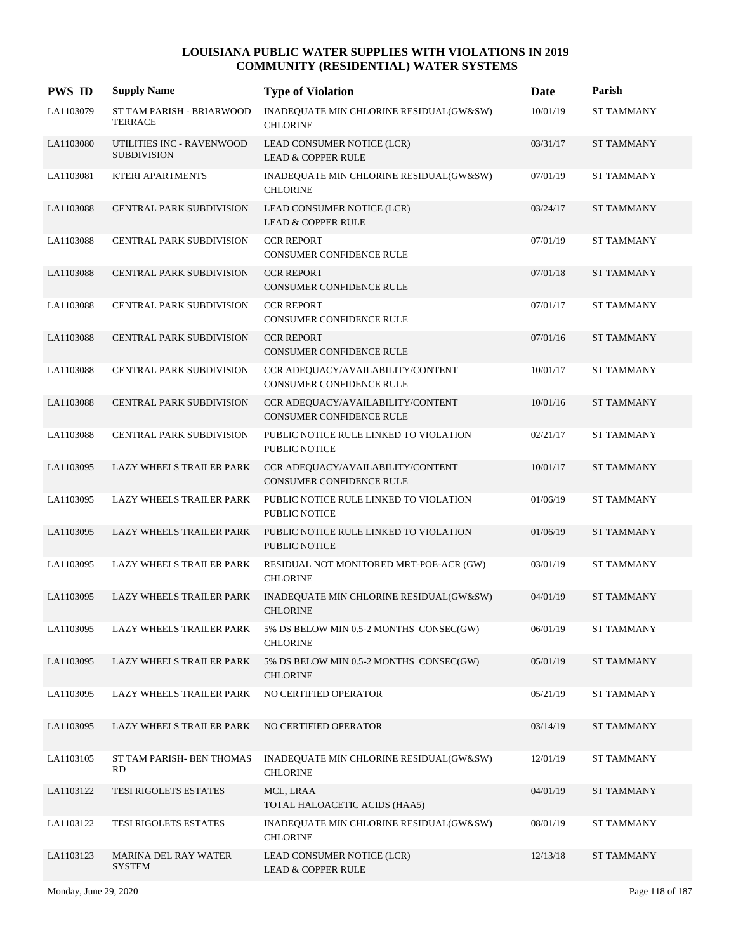| <b>PWS ID</b> | <b>Supply Name</b>                              | <b>Type of Violation</b>                                       | Date     | Parish            |
|---------------|-------------------------------------------------|----------------------------------------------------------------|----------|-------------------|
| LA1103079     | ST TAM PARISH - BRIARWOOD<br><b>TERRACE</b>     | INADEQUATE MIN CHLORINE RESIDUAL(GW&SW)<br><b>CHLORINE</b>     | 10/01/19 | <b>ST TAMMANY</b> |
| LA1103080     | UTILITIES INC - RAVENWOOD<br><b>SUBDIVISION</b> | LEAD CONSUMER NOTICE (LCR)<br><b>LEAD &amp; COPPER RULE</b>    | 03/31/17 | <b>ST TAMMANY</b> |
| LA1103081     | KTERI APARTMENTS                                | INADEQUATE MIN CHLORINE RESIDUAL(GW&SW)<br><b>CHLORINE</b>     | 07/01/19 | <b>ST TAMMANY</b> |
| LA1103088     | <b>CENTRAL PARK SUBDIVISION</b>                 | LEAD CONSUMER NOTICE (LCR)<br><b>LEAD &amp; COPPER RULE</b>    | 03/24/17 | <b>ST TAMMANY</b> |
| LA1103088     | <b>CENTRAL PARK SUBDIVISION</b>                 | <b>CCR REPORT</b><br><b>CONSUMER CONFIDENCE RULE</b>           | 07/01/19 | <b>ST TAMMANY</b> |
| LA1103088     | <b>CENTRAL PARK SUBDIVISION</b>                 | <b>CCR REPORT</b><br>CONSUMER CONFIDENCE RULE                  | 07/01/18 | <b>ST TAMMANY</b> |
| LA1103088     | CENTRAL PARK SUBDIVISION                        | <b>CCR REPORT</b><br>CONSUMER CONFIDENCE RULE                  | 07/01/17 | <b>ST TAMMANY</b> |
| LA1103088     | <b>CENTRAL PARK SUBDIVISION</b>                 | <b>CCR REPORT</b><br>CONSUMER CONFIDENCE RULE                  | 07/01/16 | <b>ST TAMMANY</b> |
| LA1103088     | CENTRAL PARK SUBDIVISION                        | CCR ADEQUACY/AVAILABILITY/CONTENT<br>CONSUMER CONFIDENCE RULE  | 10/01/17 | <b>ST TAMMANY</b> |
| LA1103088     | <b>CENTRAL PARK SUBDIVISION</b>                 | CCR ADEQUACY/AVAILABILITY/CONTENT<br>CONSUMER CONFIDENCE RULE  | 10/01/16 | <b>ST TAMMANY</b> |
| LA1103088     | CENTRAL PARK SUBDIVISION                        | PUBLIC NOTICE RULE LINKED TO VIOLATION<br>PUBLIC NOTICE        | 02/21/17 | <b>ST TAMMANY</b> |
| LA1103095     | <b>LAZY WHEELS TRAILER PARK</b>                 | CCR ADEQUACY/AVAILABILITY/CONTENT<br>CONSUMER CONFIDENCE RULE  | 10/01/17 | <b>ST TAMMANY</b> |
| LA1103095     | LAZY WHEELS TRAILER PARK                        | PUBLIC NOTICE RULE LINKED TO VIOLATION<br>PUBLIC NOTICE        | 01/06/19 | <b>ST TAMMANY</b> |
| LA1103095     | LAZY WHEELS TRAILER PARK                        | PUBLIC NOTICE RULE LINKED TO VIOLATION<br><b>PUBLIC NOTICE</b> | 01/06/19 | <b>ST TAMMANY</b> |
| LA1103095     | <b>LAZY WHEELS TRAILER PARK</b>                 | RESIDUAL NOT MONITORED MRT-POE-ACR (GW)<br><b>CHLORINE</b>     | 03/01/19 | <b>ST TAMMANY</b> |
| LA1103095     | <b>LAZY WHEELS TRAILER PARK</b>                 | INADEQUATE MIN CHLORINE RESIDUAL(GW&SW)<br><b>CHLORINE</b>     | 04/01/19 | <b>ST TAMMANY</b> |
| LA1103095     | LAZY WHEELS TRAILER PARK                        | 5% DS BELOW MIN 0.5-2 MONTHS CONSEC(GW)<br><b>CHLORINE</b>     | 06/01/19 | ST TAMMANY        |
| LA1103095     | LAZY WHEELS TRAILER PARK                        | 5% DS BELOW MIN 0.5-2 MONTHS CONSEC(GW)<br><b>CHLORINE</b>     | 05/01/19 | <b>ST TAMMANY</b> |
| LA1103095     | <b>LAZY WHEELS TRAILER PARK</b>                 | NO CERTIFIED OPERATOR                                          | 05/21/19 | <b>ST TAMMANY</b> |
| LA1103095     | LAZY WHEELS TRAILER PARK                        | NO CERTIFIED OPERATOR                                          | 03/14/19 | <b>ST TAMMANY</b> |
| LA1103105     | ST TAM PARISH- BEN THOMAS<br><b>RD</b>          | INADEQUATE MIN CHLORINE RESIDUAL(GW&SW)<br><b>CHLORINE</b>     | 12/01/19 | <b>ST TAMMANY</b> |
| LA1103122     | <b>TESI RIGOLETS ESTATES</b>                    | MCL, LRAA<br>TOTAL HALOACETIC ACIDS (HAA5)                     | 04/01/19 | <b>ST TAMMANY</b> |
| LA1103122     | TESI RIGOLETS ESTATES                           | INADEQUATE MIN CHLORINE RESIDUAL(GW&SW)<br><b>CHLORINE</b>     | 08/01/19 | <b>ST TAMMANY</b> |
| LA1103123     | <b>MARINA DEL RAY WATER</b><br><b>SYSTEM</b>    | LEAD CONSUMER NOTICE (LCR)<br><b>LEAD &amp; COPPER RULE</b>    | 12/13/18 | <b>ST TAMMANY</b> |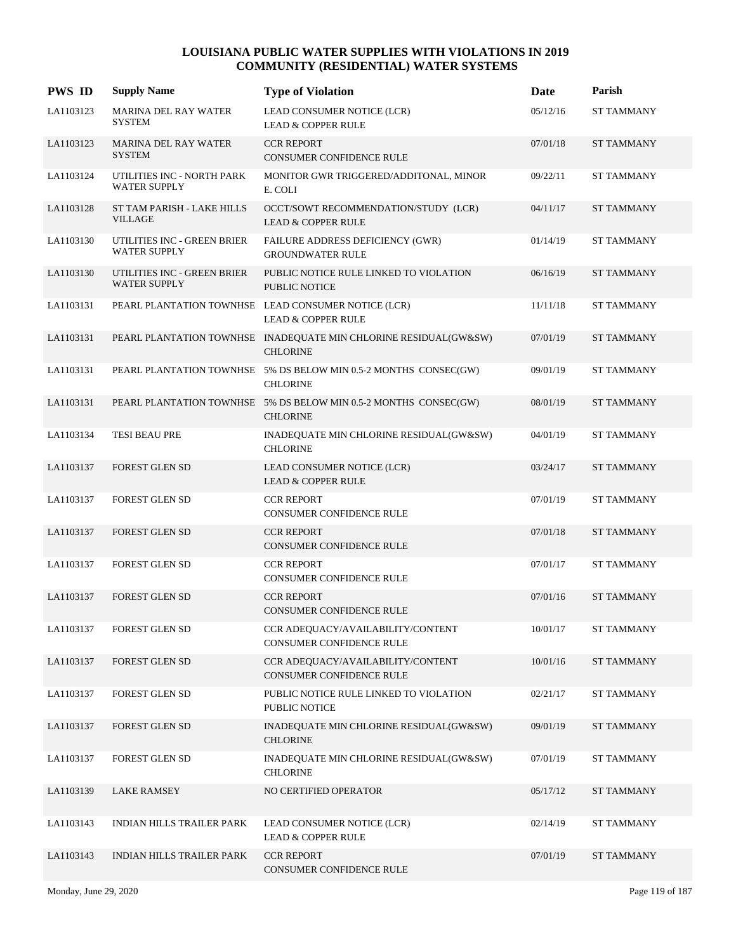| <b>PWS ID</b> | <b>Supply Name</b>                                 | <b>Type of Violation</b>                                                             | Date     | Parish            |
|---------------|----------------------------------------------------|--------------------------------------------------------------------------------------|----------|-------------------|
| LA1103123     | <b>MARINA DEL RAY WATER</b><br><b>SYSTEM</b>       | LEAD CONSUMER NOTICE (LCR)<br><b>LEAD &amp; COPPER RULE</b>                          | 05/12/16 | <b>ST TAMMANY</b> |
| LA1103123     | <b>MARINA DEL RAY WATER</b><br><b>SYSTEM</b>       | <b>CCR REPORT</b><br>CONSUMER CONFIDENCE RULE                                        | 07/01/18 | <b>ST TAMMANY</b> |
| LA1103124     | UTILITIES INC - NORTH PARK<br><b>WATER SUPPLY</b>  | MONITOR GWR TRIGGERED/ADDITONAL, MINOR<br>E. COLI                                    | 09/22/11 | <b>ST TAMMANY</b> |
| LA1103128     | ST TAM PARISH - LAKE HILLS<br>VILLAGE              | OCCT/SOWT RECOMMENDATION/STUDY (LCR)<br><b>LEAD &amp; COPPER RULE</b>                | 04/11/17 | <b>ST TAMMANY</b> |
| LA1103130     | UTILITIES INC - GREEN BRIER<br><b>WATER SUPPLY</b> | FAILURE ADDRESS DEFICIENCY (GWR)<br><b>GROUNDWATER RULE</b>                          | 01/14/19 | <b>ST TAMMANY</b> |
| LA1103130     | UTILITIES INC - GREEN BRIER<br><b>WATER SUPPLY</b> | PUBLIC NOTICE RULE LINKED TO VIOLATION<br><b>PUBLIC NOTICE</b>                       | 06/16/19 | <b>ST TAMMANY</b> |
| LA1103131     |                                                    | PEARL PLANTATION TOWNHSE LEAD CONSUMER NOTICE (LCR)<br><b>LEAD &amp; COPPER RULE</b> | 11/11/18 | <b>ST TAMMANY</b> |
| LA1103131     |                                                    | PEARL PLANTATION TOWNHSE INADEQUATE MIN CHLORINE RESIDUAL(GW&SW)<br><b>CHLORINE</b>  | 07/01/19 | <b>ST TAMMANY</b> |
| LA1103131     |                                                    | PEARL PLANTATION TOWNHSE 5% DS BELOW MIN 0.5-2 MONTHS CONSEC(GW)<br><b>CHLORINE</b>  | 09/01/19 | <b>ST TAMMANY</b> |
| LA1103131     |                                                    | PEARL PLANTATION TOWNHSE 5% DS BELOW MIN 0.5-2 MONTHS CONSEC(GW)<br><b>CHLORINE</b>  | 08/01/19 | <b>ST TAMMANY</b> |
| LA1103134     | TESI BEAU PRE                                      | INADEQUATE MIN CHLORINE RESIDUAL(GW&SW)<br><b>CHLORINE</b>                           | 04/01/19 | <b>ST TAMMANY</b> |
| LA1103137     | <b>FOREST GLEN SD</b>                              | LEAD CONSUMER NOTICE (LCR)<br><b>LEAD &amp; COPPER RULE</b>                          | 03/24/17 | <b>ST TAMMANY</b> |
| LA1103137     | FOREST GLEN SD                                     | <b>CCR REPORT</b><br>CONSUMER CONFIDENCE RULE                                        | 07/01/19 | <b>ST TAMMANY</b> |
| LA1103137     | <b>FOREST GLEN SD</b>                              | <b>CCR REPORT</b><br>CONSUMER CONFIDENCE RULE                                        | 07/01/18 | <b>ST TAMMANY</b> |
| LA1103137     | FOREST GLEN SD                                     | <b>CCR REPORT</b><br>CONSUMER CONFIDENCE RULE                                        | 07/01/17 | <b>ST TAMMANY</b> |
| LA1103137     | <b>FOREST GLEN SD</b>                              | <b>CCR REPORT</b><br><b>CONSUMER CONFIDENCE RULE</b>                                 | 07/01/16 | <b>ST TAMMANY</b> |
| LA1103137     | FOREST GLEN SD                                     | CCR ADEQUACY/AVAILABILITY/CONTENT<br>CONSUMER CONFIDENCE RULE                        | 10/01/17 | <b>ST TAMMANY</b> |
| LA1103137     | FOREST GLEN SD                                     | CCR ADEQUACY/AVAILABILITY/CONTENT<br>CONSUMER CONFIDENCE RULE                        | 10/01/16 | <b>ST TAMMANY</b> |
| LA1103137     | FOREST GLEN SD                                     | PUBLIC NOTICE RULE LINKED TO VIOLATION<br>PUBLIC NOTICE                              | 02/21/17 | <b>ST TAMMANY</b> |
| LA1103137     | FOREST GLEN SD                                     | INADEQUATE MIN CHLORINE RESIDUAL(GW&SW)<br><b>CHLORINE</b>                           | 09/01/19 | <b>ST TAMMANY</b> |
| LA1103137     | FOREST GLEN SD                                     | INADEQUATE MIN CHLORINE RESIDUAL(GW&SW)<br><b>CHLORINE</b>                           | 07/01/19 | <b>ST TAMMANY</b> |
| LA1103139     | <b>LAKE RAMSEY</b>                                 | NO CERTIFIED OPERATOR                                                                | 05/17/12 | <b>ST TAMMANY</b> |
| LA1103143     | INDIAN HILLS TRAILER PARK                          | LEAD CONSUMER NOTICE (LCR)<br><b>LEAD &amp; COPPER RULE</b>                          | 02/14/19 | ST TAMMANY        |
| LA1103143     | INDIAN HILLS TRAILER PARK                          | <b>CCR REPORT</b><br>CONSUMER CONFIDENCE RULE                                        | 07/01/19 | <b>ST TAMMANY</b> |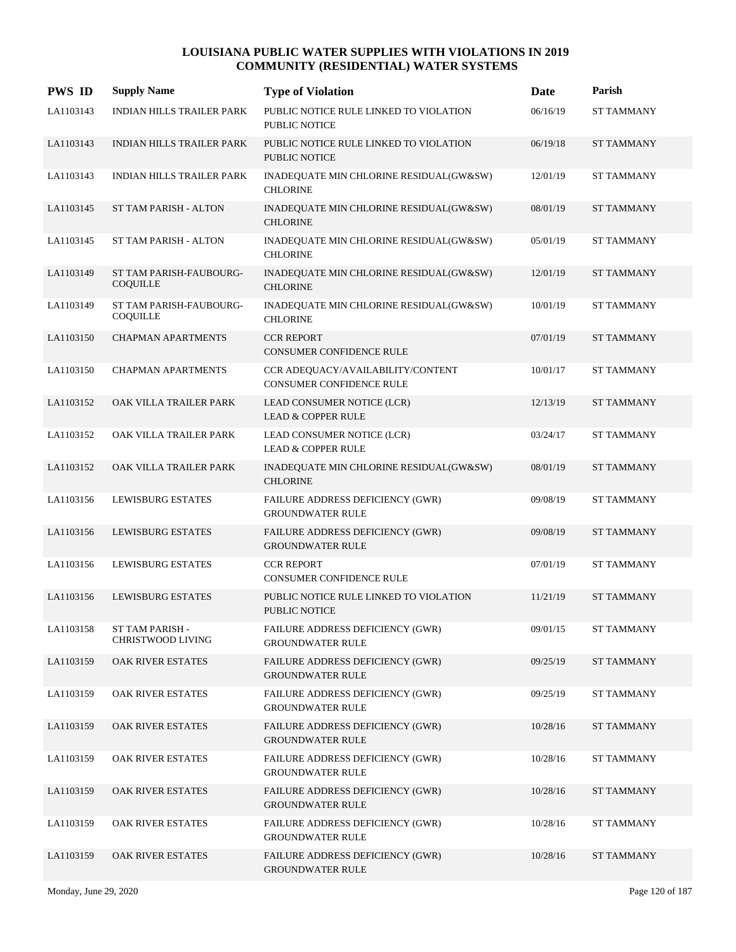| <b>PWS ID</b> | <b>Supply Name</b>                         | <b>Type of Violation</b>                                           | Date     | Parish            |
|---------------|--------------------------------------------|--------------------------------------------------------------------|----------|-------------------|
| LA1103143     | INDIAN HILLS TRAILER PARK                  | PUBLIC NOTICE RULE LINKED TO VIOLATION<br>PUBLIC NOTICE            | 06/16/19 | <b>ST TAMMANY</b> |
| LA1103143     | <b>INDIAN HILLS TRAILER PARK</b>           | PUBLIC NOTICE RULE LINKED TO VIOLATION<br><b>PUBLIC NOTICE</b>     | 06/19/18 | <b>ST TAMMANY</b> |
| LA1103143     | INDIAN HILLS TRAILER PARK                  | INADEQUATE MIN CHLORINE RESIDUAL(GW&SW)<br><b>CHLORINE</b>         | 12/01/19 | <b>ST TAMMANY</b> |
| LA1103145     | ST TAM PARISH - ALTON                      | INADEQUATE MIN CHLORINE RESIDUAL(GW&SW)<br><b>CHLORINE</b>         | 08/01/19 | <b>ST TAMMANY</b> |
| LA1103145     | <b>ST TAM PARISH - ALTON</b>               | INADEQUATE MIN CHLORINE RESIDUAL(GW&SW)<br><b>CHLORINE</b>         | 05/01/19 | <b>ST TAMMANY</b> |
| LA1103149     | ST TAM PARISH-FAUBOURG-<br><b>COQUILLE</b> | INADEQUATE MIN CHLORINE RESIDUAL(GW&SW)<br><b>CHLORINE</b>         | 12/01/19 | <b>ST TAMMANY</b> |
| LA1103149     | ST TAM PARISH-FAUBOURG-<br><b>COQUILLE</b> | INADEQUATE MIN CHLORINE RESIDUAL(GW&SW)<br><b>CHLORINE</b>         | 10/01/19 | <b>ST TAMMANY</b> |
| LA1103150     | <b>CHAPMAN APARTMENTS</b>                  | <b>CCR REPORT</b><br><b>CONSUMER CONFIDENCE RULE</b>               | 07/01/19 | <b>ST TAMMANY</b> |
| LA1103150     | <b>CHAPMAN APARTMENTS</b>                  | CCR ADEQUACY/AVAILABILITY/CONTENT<br>CONSUMER CONFIDENCE RULE      | 10/01/17 | <b>ST TAMMANY</b> |
| LA1103152     | OAK VILLA TRAILER PARK                     | LEAD CONSUMER NOTICE (LCR)<br><b>LEAD &amp; COPPER RULE</b>        | 12/13/19 | <b>ST TAMMANY</b> |
| LA1103152     | OAK VILLA TRAILER PARK                     | LEAD CONSUMER NOTICE (LCR)<br><b>LEAD &amp; COPPER RULE</b>        | 03/24/17 | <b>ST TAMMANY</b> |
| LA1103152     | OAK VILLA TRAILER PARK                     | INADEQUATE MIN CHLORINE RESIDUAL(GW&SW)<br><b>CHLORINE</b>         | 08/01/19 | <b>ST TAMMANY</b> |
| LA1103156     | <b>LEWISBURG ESTATES</b>                   | FAILURE ADDRESS DEFICIENCY (GWR)<br><b>GROUNDWATER RULE</b>        | 09/08/19 | <b>ST TAMMANY</b> |
| LA1103156     | <b>LEWISBURG ESTATES</b>                   | FAILURE ADDRESS DEFICIENCY (GWR)<br><b>GROUNDWATER RULE</b>        | 09/08/19 | <b>ST TAMMANY</b> |
| LA1103156     | <b>LEWISBURG ESTATES</b>                   | <b>CCR REPORT</b><br><b>CONSUMER CONFIDENCE RULE</b>               | 07/01/19 | <b>ST TAMMANY</b> |
| LA1103156     | LEWISBURG ESTATES                          | PUBLIC NOTICE RULE LINKED TO VIOLATION<br>PUBLIC NOTICE            | 11/21/19 | <b>ST TAMMANY</b> |
| LA1103158     | ST TAM PARISH -<br>CHRISTWOOD LIVING       | FAILURE ADDRESS DEFICIENCY (GWR)<br><b>GROUNDWATER RULE</b>        | 09/01/15 | <b>ST TAMMANY</b> |
| LA1103159     | OAK RIVER ESTATES                          | <b>FAILURE ADDRESS DEFICIENCY (GWR)</b><br><b>GROUNDWATER RULE</b> | 09/25/19 | <b>ST TAMMANY</b> |
| LA1103159     | OAK RIVER ESTATES                          | <b>FAILURE ADDRESS DEFICIENCY (GWR)</b><br><b>GROUNDWATER RULE</b> | 09/25/19 | ST TAMMANY        |
| LA1103159     | OAK RIVER ESTATES                          | <b>FAILURE ADDRESS DEFICIENCY (GWR)</b><br><b>GROUNDWATER RULE</b> | 10/28/16 | <b>ST TAMMANY</b> |
| LA1103159     | <b>OAK RIVER ESTATES</b>                   | <b>FAILURE ADDRESS DEFICIENCY (GWR)</b><br><b>GROUNDWATER RULE</b> | 10/28/16 | <b>ST TAMMANY</b> |
| LA1103159     | OAK RIVER ESTATES                          | <b>FAILURE ADDRESS DEFICIENCY (GWR)</b><br><b>GROUNDWATER RULE</b> | 10/28/16 | <b>ST TAMMANY</b> |
| LA1103159     | OAK RIVER ESTATES                          | <b>FAILURE ADDRESS DEFICIENCY (GWR)</b><br><b>GROUNDWATER RULE</b> | 10/28/16 | <b>ST TAMMANY</b> |
| LA1103159     | OAK RIVER ESTATES                          | FAILURE ADDRESS DEFICIENCY (GWR)<br><b>GROUNDWATER RULE</b>        | 10/28/16 | <b>ST TAMMANY</b> |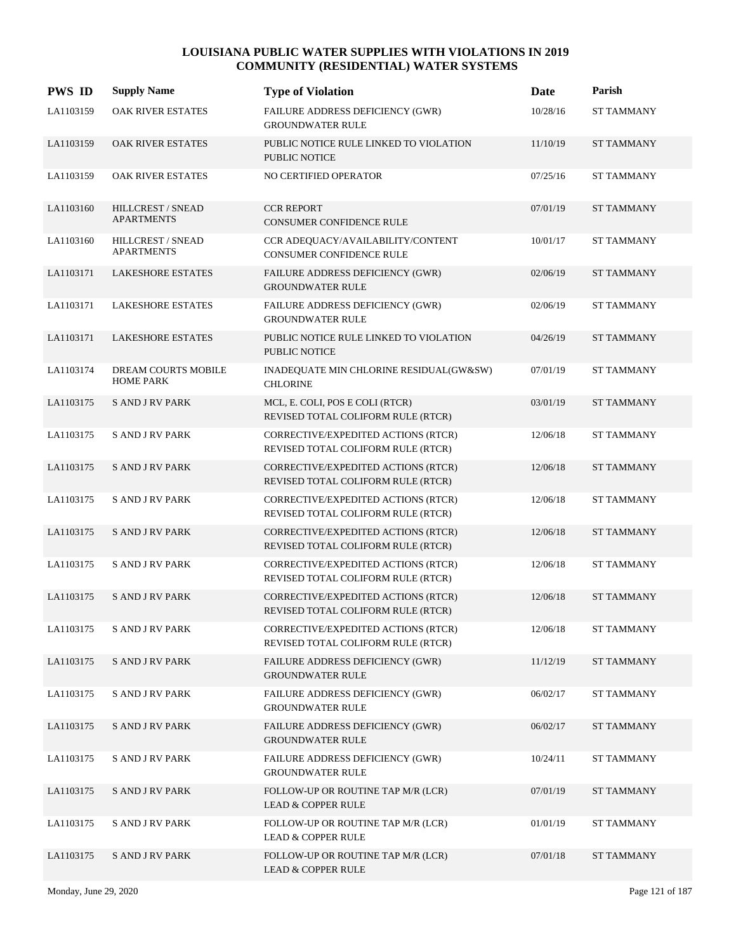| <b>PWS ID</b> | <b>Supply Name</b>                      | <b>Type of Violation</b>                                                  | Date     | Parish            |
|---------------|-----------------------------------------|---------------------------------------------------------------------------|----------|-------------------|
| LA1103159     | <b>OAK RIVER ESTATES</b>                | FAILURE ADDRESS DEFICIENCY (GWR)<br><b>GROUNDWATER RULE</b>               | 10/28/16 | <b>ST TAMMANY</b> |
| LA1103159     | OAK RIVER ESTATES                       | PUBLIC NOTICE RULE LINKED TO VIOLATION<br><b>PUBLIC NOTICE</b>            | 11/10/19 | <b>ST TAMMANY</b> |
| LA1103159     | OAK RIVER ESTATES                       | NO CERTIFIED OPERATOR                                                     | 07/25/16 | <b>ST TAMMANY</b> |
| LA1103160     | HILLCREST / SNEAD<br><b>APARTMENTS</b>  | <b>CCR REPORT</b><br><b>CONSUMER CONFIDENCE RULE</b>                      | 07/01/19 | <b>ST TAMMANY</b> |
| LA1103160     | HILLCREST / SNEAD<br><b>APARTMENTS</b>  | CCR ADEQUACY/AVAILABILITY/CONTENT<br>CONSUMER CONFIDENCE RULE             | 10/01/17 | <b>ST TAMMANY</b> |
| LA1103171     | <b>LAKESHORE ESTATES</b>                | FAILURE ADDRESS DEFICIENCY (GWR)<br><b>GROUNDWATER RULE</b>               | 02/06/19 | <b>ST TAMMANY</b> |
| LA1103171     | <b>LAKESHORE ESTATES</b>                | FAILURE ADDRESS DEFICIENCY (GWR)<br><b>GROUNDWATER RULE</b>               | 02/06/19 | <b>ST TAMMANY</b> |
| LA1103171     | <b>LAKESHORE ESTATES</b>                | PUBLIC NOTICE RULE LINKED TO VIOLATION<br><b>PUBLIC NOTICE</b>            | 04/26/19 | <b>ST TAMMANY</b> |
| LA1103174     | DREAM COURTS MOBILE<br><b>HOME PARK</b> | INADEQUATE MIN CHLORINE RESIDUAL(GW&SW)<br><b>CHLORINE</b>                | 07/01/19 | <b>ST TAMMANY</b> |
| LA1103175     | <b>SAND JRV PARK</b>                    | MCL, E. COLI, POS E COLI (RTCR)<br>REVISED TOTAL COLIFORM RULE (RTCR)     | 03/01/19 | <b>ST TAMMANY</b> |
| LA1103175     | <b>S AND J RV PARK</b>                  | CORRECTIVE/EXPEDITED ACTIONS (RTCR)<br>REVISED TOTAL COLIFORM RULE (RTCR) | 12/06/18 | <b>ST TAMMANY</b> |
| LA1103175     | <b>SAND J RV PARK</b>                   | CORRECTIVE/EXPEDITED ACTIONS (RTCR)<br>REVISED TOTAL COLIFORM RULE (RTCR) | 12/06/18 | <b>ST TAMMANY</b> |
| LA1103175     | <b>SAND JRV PARK</b>                    | CORRECTIVE/EXPEDITED ACTIONS (RTCR)<br>REVISED TOTAL COLIFORM RULE (RTCR) | 12/06/18 | <b>ST TAMMANY</b> |
| LA1103175     | <b>SAND J RV PARK</b>                   | CORRECTIVE/EXPEDITED ACTIONS (RTCR)<br>REVISED TOTAL COLIFORM RULE (RTCR) | 12/06/18 | <b>ST TAMMANY</b> |
| LA1103175     | <b>S AND J RV PARK</b>                  | CORRECTIVE/EXPEDITED ACTIONS (RTCR)<br>REVISED TOTAL COLIFORM RULE (RTCR) | 12/06/18 | <b>ST TAMMANY</b> |
| LA1103175     | <b>SAND JRV PARK</b>                    | CORRECTIVE/EXPEDITED ACTIONS (RTCR)<br>REVISED TOTAL COLIFORM RULE (RTCR) | 12/06/18 | <b>ST TAMMANY</b> |
| LA1103175     | <b>SAND JRV PARK</b>                    | CORRECTIVE/EXPEDITED ACTIONS (RTCR)<br>REVISED TOTAL COLIFORM RULE (RTCR) | 12/06/18 | <b>ST TAMMANY</b> |
| LA1103175     | <b>SAND JRV PARK</b>                    | FAILURE ADDRESS DEFICIENCY (GWR)<br><b>GROUNDWATER RULE</b>               | 11/12/19 | <b>ST TAMMANY</b> |
| LA1103175     | <b>SAND JRV PARK</b>                    | FAILURE ADDRESS DEFICIENCY (GWR)<br><b>GROUNDWATER RULE</b>               | 06/02/17 | ST TAMMANY        |
| LA1103175     | <b>SAND JRV PARK</b>                    | FAILURE ADDRESS DEFICIENCY (GWR)<br><b>GROUNDWATER RULE</b>               | 06/02/17 | <b>ST TAMMANY</b> |
| LA1103175     | <b>SAND JRV PARK</b>                    | FAILURE ADDRESS DEFICIENCY (GWR)<br><b>GROUNDWATER RULE</b>               | 10/24/11 | <b>ST TAMMANY</b> |
| LA1103175     | <b>SAND JRV PARK</b>                    | FOLLOW-UP OR ROUTINE TAP M/R (LCR)<br><b>LEAD &amp; COPPER RULE</b>       | 07/01/19 | <b>ST TAMMANY</b> |
| LA1103175     | <b>SAND JRV PARK</b>                    | FOLLOW-UP OR ROUTINE TAP M/R (LCR)<br><b>LEAD &amp; COPPER RULE</b>       | 01/01/19 | <b>ST TAMMANY</b> |
| LA1103175     | <b>S AND J RV PARK</b>                  | FOLLOW-UP OR ROUTINE TAP M/R (LCR)<br><b>LEAD &amp; COPPER RULE</b>       | 07/01/18 | <b>ST TAMMANY</b> |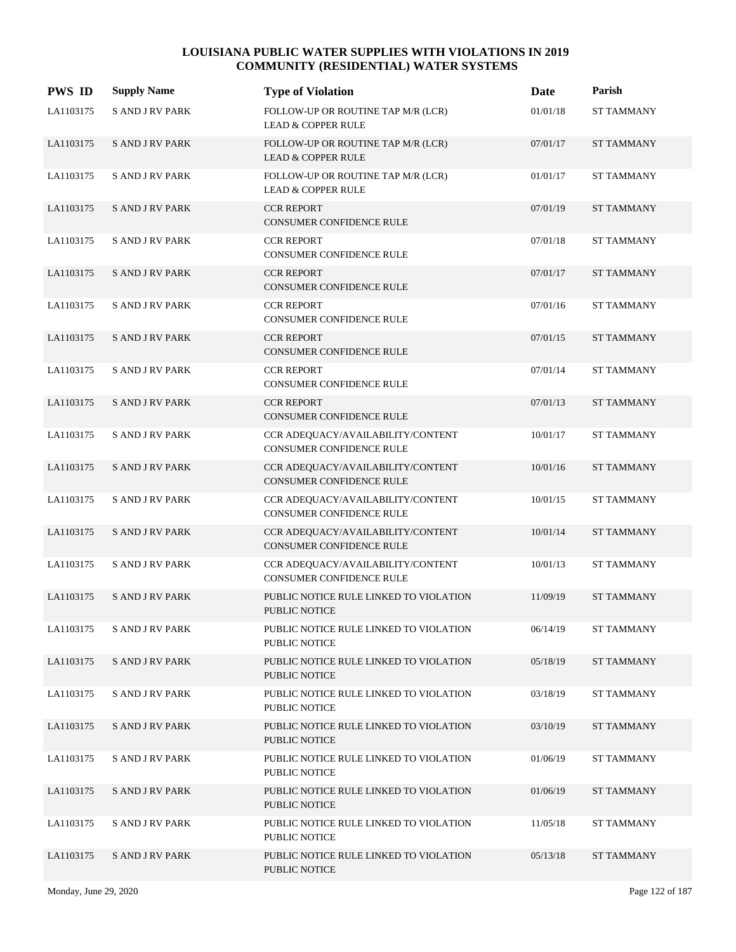| <b>PWS ID</b> | <b>Supply Name</b>     | <b>Type of Violation</b>                                            | Date     | Parish            |
|---------------|------------------------|---------------------------------------------------------------------|----------|-------------------|
| LA1103175     | <b>S AND J RV PARK</b> | FOLLOW-UP OR ROUTINE TAP M/R (LCR)<br><b>LEAD &amp; COPPER RULE</b> | 01/01/18 | <b>ST TAMMANY</b> |
| LA1103175     | <b>SAND JRV PARK</b>   | FOLLOW-UP OR ROUTINE TAP M/R (LCR)<br><b>LEAD &amp; COPPER RULE</b> | 07/01/17 | <b>ST TAMMANY</b> |
| LA1103175     | <b>SAND JRV PARK</b>   | FOLLOW-UP OR ROUTINE TAP M/R (LCR)<br><b>LEAD &amp; COPPER RULE</b> | 01/01/17 | <b>ST TAMMANY</b> |
| LA1103175     | <b>SAND JRV PARK</b>   | <b>CCR REPORT</b><br><b>CONSUMER CONFIDENCE RULE</b>                | 07/01/19 | <b>ST TAMMANY</b> |
| LA1103175     | <b>SAND JRV PARK</b>   | <b>CCR REPORT</b><br>CONSUMER CONFIDENCE RULE                       | 07/01/18 | <b>ST TAMMANY</b> |
| LA1103175     | <b>SAND JRV PARK</b>   | <b>CCR REPORT</b><br>CONSUMER CONFIDENCE RULE                       | 07/01/17 | <b>ST TAMMANY</b> |
| LA1103175     | <b>SAND JRV PARK</b>   | <b>CCR REPORT</b><br>CONSUMER CONFIDENCE RULE                       | 07/01/16 | <b>ST TAMMANY</b> |
| LA1103175     | <b>SAND J RV PARK</b>  | <b>CCR REPORT</b><br><b>CONSUMER CONFIDENCE RULE</b>                | 07/01/15 | <b>ST TAMMANY</b> |
| LA1103175     | <b>S AND J RV PARK</b> | <b>CCR REPORT</b><br>CONSUMER CONFIDENCE RULE                       | 07/01/14 | <b>ST TAMMANY</b> |
| LA1103175     | <b>SAND JRV PARK</b>   | <b>CCR REPORT</b><br>CONSUMER CONFIDENCE RULE                       | 07/01/13 | <b>ST TAMMANY</b> |
| LA1103175     | <b>SAND JRV PARK</b>   | CCR ADEQUACY/AVAILABILITY/CONTENT<br>CONSUMER CONFIDENCE RULE       | 10/01/17 | <b>ST TAMMANY</b> |
| LA1103175     | <b>SAND J RV PARK</b>  | CCR ADEQUACY/AVAILABILITY/CONTENT<br>CONSUMER CONFIDENCE RULE       | 10/01/16 | <b>ST TAMMANY</b> |
| LA1103175     | <b>S AND J RV PARK</b> | CCR ADEQUACY/AVAILABILITY/CONTENT<br>CONSUMER CONFIDENCE RULE       | 10/01/15 | <b>ST TAMMANY</b> |
| LA1103175     | <b>SAND J RV PARK</b>  | CCR ADEQUACY/AVAILABILITY/CONTENT<br>CONSUMER CONFIDENCE RULE       | 10/01/14 | <b>ST TAMMANY</b> |
| LA1103175     | <b>S AND J RV PARK</b> | CCR ADEQUACY/AVAILABILITY/CONTENT<br>CONSUMER CONFIDENCE RULE       | 10/01/13 | <b>ST TAMMANY</b> |
| LA1103175     | <b>SAND JRV PARK</b>   | PUBLIC NOTICE RULE LINKED TO VIOLATION<br>PUBLIC NOTICE             | 11/09/19 | <b>ST TAMMANY</b> |
| LA1103175     | <b>S AND J RV PARK</b> | PUBLIC NOTICE RULE LINKED TO VIOLATION<br>PUBLIC NOTICE             | 06/14/19 | <b>ST TAMMANY</b> |
| LA1103175     | <b>SAND JRV PARK</b>   | PUBLIC NOTICE RULE LINKED TO VIOLATION<br>PUBLIC NOTICE             | 05/18/19 | <b>ST TAMMANY</b> |
| LA1103175     | <b>S AND J RV PARK</b> | PUBLIC NOTICE RULE LINKED TO VIOLATION<br>PUBLIC NOTICE             | 03/18/19 | <b>ST TAMMANY</b> |
| LA1103175     | <b>SAND JRV PARK</b>   | PUBLIC NOTICE RULE LINKED TO VIOLATION<br>PUBLIC NOTICE             | 03/10/19 | ST TAMMANY        |
| LA1103175     | <b>S AND J RV PARK</b> | PUBLIC NOTICE RULE LINKED TO VIOLATION<br>PUBLIC NOTICE             | 01/06/19 | <b>ST TAMMANY</b> |
| LA1103175     | <b>SAND JRV PARK</b>   | PUBLIC NOTICE RULE LINKED TO VIOLATION<br>PUBLIC NOTICE             | 01/06/19 | <b>ST TAMMANY</b> |
| LA1103175     | <b>SAND JRV PARK</b>   | PUBLIC NOTICE RULE LINKED TO VIOLATION<br>PUBLIC NOTICE             | 11/05/18 | <b>ST TAMMANY</b> |
| LA1103175     | <b>SAND JRV PARK</b>   | PUBLIC NOTICE RULE LINKED TO VIOLATION<br>PUBLIC NOTICE             | 05/13/18 | <b>ST TAMMANY</b> |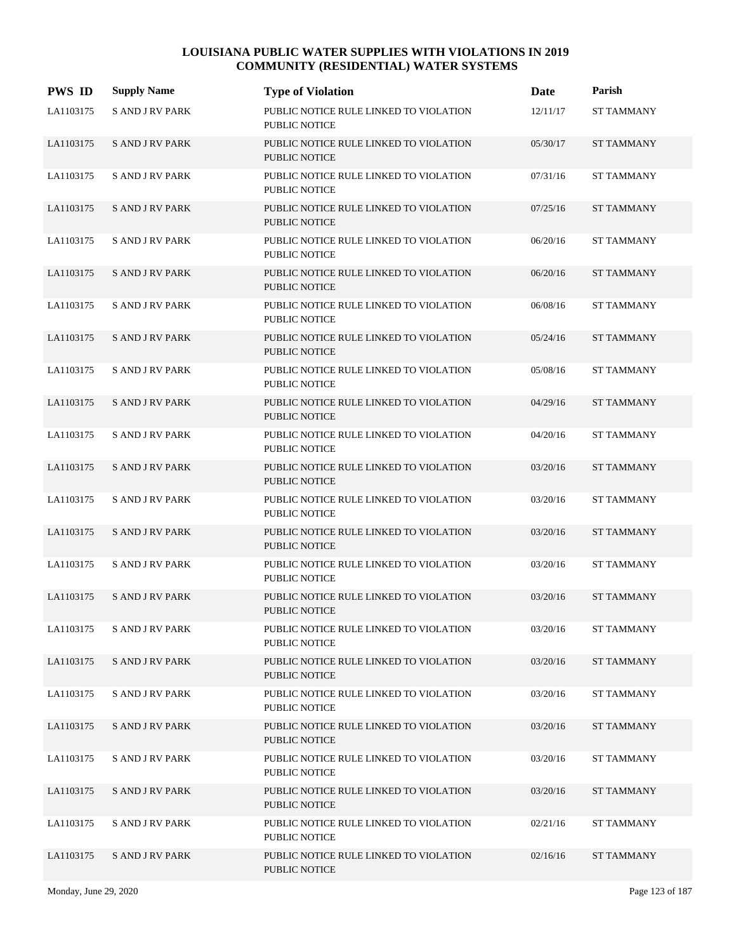| <b>PWS ID</b> | <b>Supply Name</b>     | <b>Type of Violation</b>                                       | Date     | Parish            |
|---------------|------------------------|----------------------------------------------------------------|----------|-------------------|
| LA1103175     | <b>SAND JRV PARK</b>   | PUBLIC NOTICE RULE LINKED TO VIOLATION<br><b>PUBLIC NOTICE</b> | 12/11/17 | ST TAMMANY        |
| LA1103175     | <b>SAND JRV PARK</b>   | PUBLIC NOTICE RULE LINKED TO VIOLATION<br><b>PUBLIC NOTICE</b> | 05/30/17 | <b>ST TAMMANY</b> |
| LA1103175     | <b>SAND JRV PARK</b>   | PUBLIC NOTICE RULE LINKED TO VIOLATION<br><b>PUBLIC NOTICE</b> | 07/31/16 | <b>ST TAMMANY</b> |
| LA1103175     | <b>SAND JRV PARK</b>   | PUBLIC NOTICE RULE LINKED TO VIOLATION<br><b>PUBLIC NOTICE</b> | 07/25/16 | <b>ST TAMMANY</b> |
| LA1103175     | <b>SAND JRV PARK</b>   | PUBLIC NOTICE RULE LINKED TO VIOLATION<br><b>PUBLIC NOTICE</b> | 06/20/16 | <b>ST TAMMANY</b> |
| LA1103175     | <b>SAND JRV PARK</b>   | PUBLIC NOTICE RULE LINKED TO VIOLATION<br><b>PUBLIC NOTICE</b> | 06/20/16 | <b>ST TAMMANY</b> |
| LA1103175     | <b>S AND J RV PARK</b> | PUBLIC NOTICE RULE LINKED TO VIOLATION<br><b>PUBLIC NOTICE</b> | 06/08/16 | <b>ST TAMMANY</b> |
| LA1103175     | <b>SAND J RV PARK</b>  | PUBLIC NOTICE RULE LINKED TO VIOLATION<br><b>PUBLIC NOTICE</b> | 05/24/16 | <b>ST TAMMANY</b> |
| LA1103175     | <b>SAND JRV PARK</b>   | PUBLIC NOTICE RULE LINKED TO VIOLATION<br><b>PUBLIC NOTICE</b> | 05/08/16 | <b>ST TAMMANY</b> |
| LA1103175     | <b>SAND JRV PARK</b>   | PUBLIC NOTICE RULE LINKED TO VIOLATION<br><b>PUBLIC NOTICE</b> | 04/29/16 | <b>ST TAMMANY</b> |
| LA1103175     | <b>S AND J RV PARK</b> | PUBLIC NOTICE RULE LINKED TO VIOLATION<br><b>PUBLIC NOTICE</b> | 04/20/16 | <b>ST TAMMANY</b> |
| LA1103175     | <b>S AND J RV PARK</b> | PUBLIC NOTICE RULE LINKED TO VIOLATION<br><b>PUBLIC NOTICE</b> | 03/20/16 | <b>ST TAMMANY</b> |
| LA1103175     | <b>SAND JRV PARK</b>   | PUBLIC NOTICE RULE LINKED TO VIOLATION<br><b>PUBLIC NOTICE</b> | 03/20/16 | <b>ST TAMMANY</b> |
| LA1103175     | <b>SAND JRV PARK</b>   | PUBLIC NOTICE RULE LINKED TO VIOLATION<br><b>PUBLIC NOTICE</b> | 03/20/16 | <b>ST TAMMANY</b> |
| LA1103175     | <b>S AND J RV PARK</b> | PUBLIC NOTICE RULE LINKED TO VIOLATION<br><b>PUBLIC NOTICE</b> | 03/20/16 | <b>ST TAMMANY</b> |
| LA1103175     | <b>SAND JRV PARK</b>   | PUBLIC NOTICE RULE LINKED TO VIOLATION<br><b>PUBLIC NOTICE</b> | 03/20/16 | <b>ST TAMMANY</b> |
| LA1103175     | <b>SAND JRV PARK</b>   | PUBLIC NOTICE RULE LINKED TO VIOLATION<br>PUBLIC NOTICE        | 03/20/16 | <b>ST TAMMANY</b> |
| LA1103175     | <b>SAND JRV PARK</b>   | PUBLIC NOTICE RULE LINKED TO VIOLATION<br>PUBLIC NOTICE        | 03/20/16 | <b>ST TAMMANY</b> |
| LA1103175     | <b>SAND JRV PARK</b>   | PUBLIC NOTICE RULE LINKED TO VIOLATION<br>PUBLIC NOTICE        | 03/20/16 | ST TAMMANY        |
| LA1103175     | <b>SAND JRV PARK</b>   | PUBLIC NOTICE RULE LINKED TO VIOLATION<br>PUBLIC NOTICE        | 03/20/16 | <b>ST TAMMANY</b> |
| LA1103175     | <b>SAND JRV PARK</b>   | PUBLIC NOTICE RULE LINKED TO VIOLATION<br>PUBLIC NOTICE        | 03/20/16 | <b>ST TAMMANY</b> |
| LA1103175     | <b>SAND JRV PARK</b>   | PUBLIC NOTICE RULE LINKED TO VIOLATION<br>PUBLIC NOTICE        | 03/20/16 | <b>ST TAMMANY</b> |
| LA1103175     | <b>SAND JRV PARK</b>   | PUBLIC NOTICE RULE LINKED TO VIOLATION<br>PUBLIC NOTICE        | 02/21/16 | <b>ST TAMMANY</b> |
| LA1103175     | <b>SAND JRV PARK</b>   | PUBLIC NOTICE RULE LINKED TO VIOLATION<br>PUBLIC NOTICE        | 02/16/16 | <b>ST TAMMANY</b> |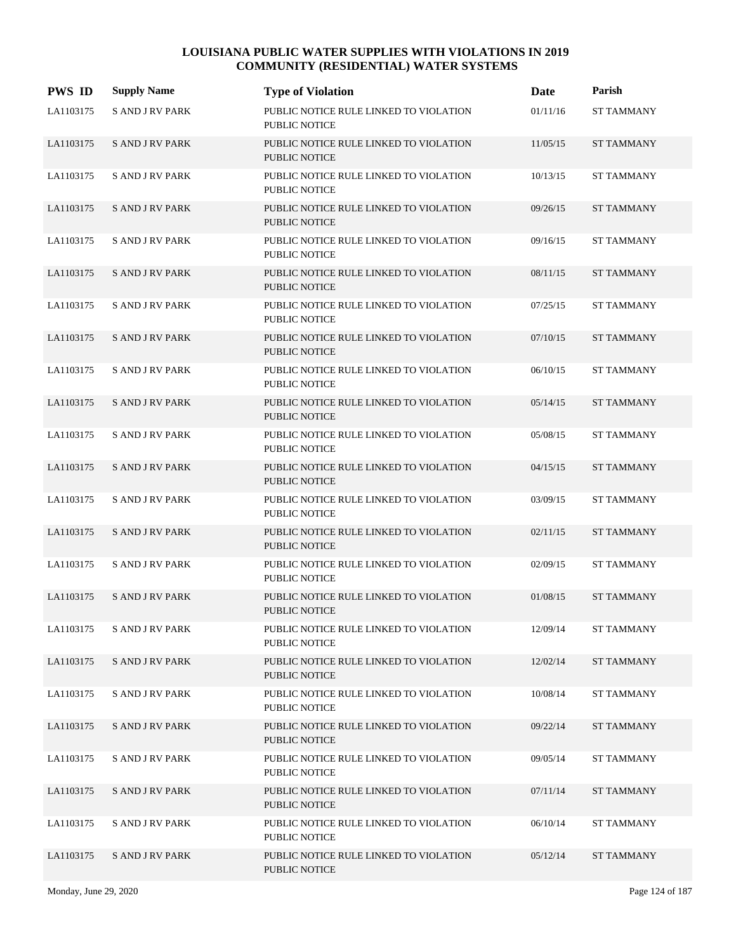| <b>PWS ID</b> | <b>Supply Name</b>     | <b>Type of Violation</b>                                       | Date     | Parish            |
|---------------|------------------------|----------------------------------------------------------------|----------|-------------------|
| LA1103175     | <b>S AND J RV PARK</b> | PUBLIC NOTICE RULE LINKED TO VIOLATION<br><b>PUBLIC NOTICE</b> | 01/11/16 | <b>ST TAMMANY</b> |
| LA1103175     | <b>SAND J RV PARK</b>  | PUBLIC NOTICE RULE LINKED TO VIOLATION<br>PUBLIC NOTICE        | 11/05/15 | <b>ST TAMMANY</b> |
| LA1103175     | <b>S AND J RV PARK</b> | PUBLIC NOTICE RULE LINKED TO VIOLATION<br><b>PUBLIC NOTICE</b> | 10/13/15 | <b>ST TAMMANY</b> |
| LA1103175     | <b>SAND JRV PARK</b>   | PUBLIC NOTICE RULE LINKED TO VIOLATION<br><b>PUBLIC NOTICE</b> | 09/26/15 | <b>ST TAMMANY</b> |
| LA1103175     | <b>S AND J RV PARK</b> | PUBLIC NOTICE RULE LINKED TO VIOLATION<br><b>PUBLIC NOTICE</b> | 09/16/15 | <b>ST TAMMANY</b> |
| LA1103175     | <b>SAND JRV PARK</b>   | PUBLIC NOTICE RULE LINKED TO VIOLATION<br><b>PUBLIC NOTICE</b> | 08/11/15 | <b>ST TAMMANY</b> |
| LA1103175     | <b>S AND J RV PARK</b> | PUBLIC NOTICE RULE LINKED TO VIOLATION<br><b>PUBLIC NOTICE</b> | 07/25/15 | <b>ST TAMMANY</b> |
| LA1103175     | <b>SAND J RV PARK</b>  | PUBLIC NOTICE RULE LINKED TO VIOLATION<br><b>PUBLIC NOTICE</b> | 07/10/15 | <b>ST TAMMANY</b> |
| LA1103175     | <b>S AND J RV PARK</b> | PUBLIC NOTICE RULE LINKED TO VIOLATION<br><b>PUBLIC NOTICE</b> | 06/10/15 | <b>ST TAMMANY</b> |
| LA1103175     | <b>SAND JRV PARK</b>   | PUBLIC NOTICE RULE LINKED TO VIOLATION<br><b>PUBLIC NOTICE</b> | 05/14/15 | <b>ST TAMMANY</b> |
| LA1103175     | <b>SAND JRV PARK</b>   | PUBLIC NOTICE RULE LINKED TO VIOLATION<br><b>PUBLIC NOTICE</b> | 05/08/15 | <b>ST TAMMANY</b> |
| LA1103175     | <b>SAND J RV PARK</b>  | PUBLIC NOTICE RULE LINKED TO VIOLATION<br><b>PUBLIC NOTICE</b> | 04/15/15 | <b>ST TAMMANY</b> |
| LA1103175     | <b>S AND J RV PARK</b> | PUBLIC NOTICE RULE LINKED TO VIOLATION<br><b>PUBLIC NOTICE</b> | 03/09/15 | <b>ST TAMMANY</b> |
| LA1103175     | <b>SAND J RV PARK</b>  | PUBLIC NOTICE RULE LINKED TO VIOLATION<br><b>PUBLIC NOTICE</b> | 02/11/15 | <b>ST TAMMANY</b> |
| LA1103175     | <b>SAND JRV PARK</b>   | PUBLIC NOTICE RULE LINKED TO VIOLATION<br>PUBLIC NOTICE        | 02/09/15 | <b>ST TAMMANY</b> |
| LA1103175     | <b>SAND JRV PARK</b>   | PUBLIC NOTICE RULE LINKED TO VIOLATION<br><b>PUBLIC NOTICE</b> | 01/08/15 | <b>ST TAMMANY</b> |
| LA1103175     | <b>SAND JRV PARK</b>   | PUBLIC NOTICE RULE LINKED TO VIOLATION<br>PUBLIC NOTICE        | 12/09/14 | <b>ST TAMMANY</b> |
| LA1103175     | <b>SAND JRV PARK</b>   | PUBLIC NOTICE RULE LINKED TO VIOLATION<br>PUBLIC NOTICE        | 12/02/14 | <b>ST TAMMANY</b> |
| LA1103175     | <b>SAND JRV PARK</b>   | PUBLIC NOTICE RULE LINKED TO VIOLATION<br>PUBLIC NOTICE        | 10/08/14 | <b>ST TAMMANY</b> |
| LA1103175     | <b>SAND JRV PARK</b>   | PUBLIC NOTICE RULE LINKED TO VIOLATION<br>PUBLIC NOTICE        | 09/22/14 | <b>ST TAMMANY</b> |
| LA1103175     | <b>SAND JRV PARK</b>   | PUBLIC NOTICE RULE LINKED TO VIOLATION<br>PUBLIC NOTICE        | 09/05/14 | <b>ST TAMMANY</b> |
| LA1103175     | <b>SAND JRV PARK</b>   | PUBLIC NOTICE RULE LINKED TO VIOLATION<br>PUBLIC NOTICE        | 07/11/14 | <b>ST TAMMANY</b> |
| LA1103175     | <b>SAND JRV PARK</b>   | PUBLIC NOTICE RULE LINKED TO VIOLATION<br>PUBLIC NOTICE        | 06/10/14 | <b>ST TAMMANY</b> |
| LA1103175     | <b>S AND J RV PARK</b> | PUBLIC NOTICE RULE LINKED TO VIOLATION<br>PUBLIC NOTICE        | 05/12/14 | <b>ST TAMMANY</b> |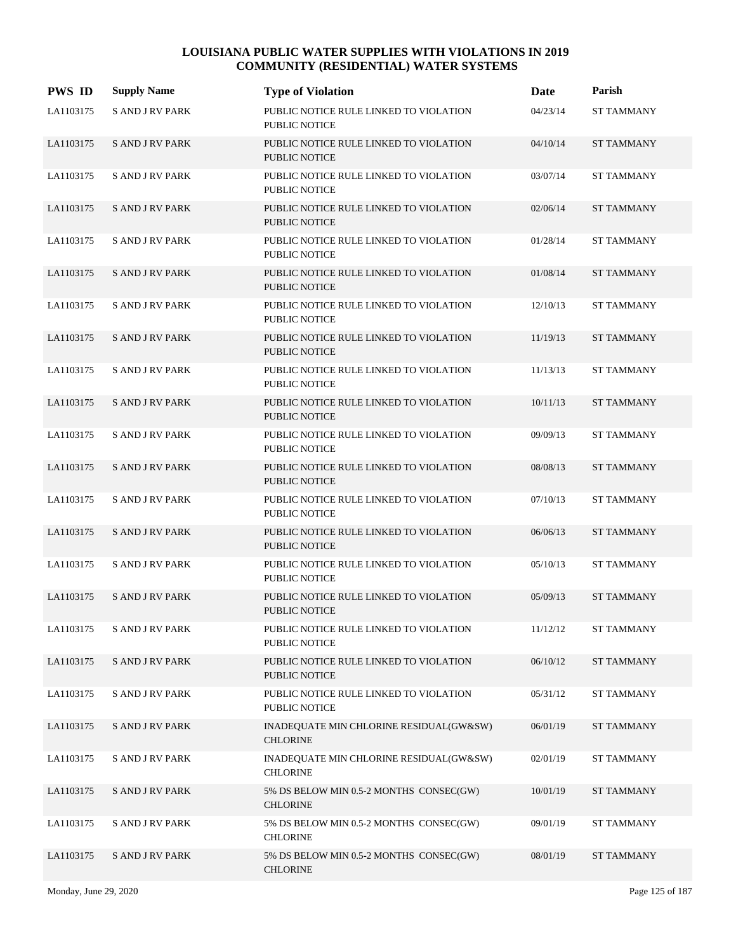| <b>PWS ID</b> | <b>Supply Name</b>     | <b>Type of Violation</b>                                       | Date     | Parish            |
|---------------|------------------------|----------------------------------------------------------------|----------|-------------------|
| LA1103175     | <b>S AND J RV PARK</b> | PUBLIC NOTICE RULE LINKED TO VIOLATION<br><b>PUBLIC NOTICE</b> | 04/23/14 | <b>ST TAMMANY</b> |
| LA1103175     | <b>SAND JRV PARK</b>   | PUBLIC NOTICE RULE LINKED TO VIOLATION<br><b>PUBLIC NOTICE</b> | 04/10/14 | <b>ST TAMMANY</b> |
| LA1103175     | S AND J RV PARK        | PUBLIC NOTICE RULE LINKED TO VIOLATION<br><b>PUBLIC NOTICE</b> | 03/07/14 | <b>ST TAMMANY</b> |
| LA1103175     | <b>SAND JRV PARK</b>   | PUBLIC NOTICE RULE LINKED TO VIOLATION<br><b>PUBLIC NOTICE</b> | 02/06/14 | <b>ST TAMMANY</b> |
| LA1103175     | <b>SAND JRV PARK</b>   | PUBLIC NOTICE RULE LINKED TO VIOLATION<br><b>PUBLIC NOTICE</b> | 01/28/14 | <b>ST TAMMANY</b> |
| LA1103175     | <b>SAND JRV PARK</b>   | PUBLIC NOTICE RULE LINKED TO VIOLATION<br><b>PUBLIC NOTICE</b> | 01/08/14 | <b>ST TAMMANY</b> |
| LA1103175     | <b>S AND J RV PARK</b> | PUBLIC NOTICE RULE LINKED TO VIOLATION<br><b>PUBLIC NOTICE</b> | 12/10/13 | <b>ST TAMMANY</b> |
| LA1103175     | <b>SAND J RV PARK</b>  | PUBLIC NOTICE RULE LINKED TO VIOLATION<br><b>PUBLIC NOTICE</b> | 11/19/13 | <b>ST TAMMANY</b> |
| LA1103175     | <b>SAND JRV PARK</b>   | PUBLIC NOTICE RULE LINKED TO VIOLATION<br><b>PUBLIC NOTICE</b> | 11/13/13 | <b>ST TAMMANY</b> |
| LA1103175     | <b>SAND JRV PARK</b>   | PUBLIC NOTICE RULE LINKED TO VIOLATION<br><b>PUBLIC NOTICE</b> | 10/11/13 | <b>ST TAMMANY</b> |
| LA1103175     | <b>SAND JRV PARK</b>   | PUBLIC NOTICE RULE LINKED TO VIOLATION<br><b>PUBLIC NOTICE</b> | 09/09/13 | <b>ST TAMMANY</b> |
| LA1103175     | <b>SAND JRV PARK</b>   | PUBLIC NOTICE RULE LINKED TO VIOLATION<br><b>PUBLIC NOTICE</b> | 08/08/13 | <b>ST TAMMANY</b> |
| LA1103175     | <b>S AND J RV PARK</b> | PUBLIC NOTICE RULE LINKED TO VIOLATION<br><b>PUBLIC NOTICE</b> | 07/10/13 | <b>ST TAMMANY</b> |
| LA1103175     | <b>SAND JRV PARK</b>   | PUBLIC NOTICE RULE LINKED TO VIOLATION<br><b>PUBLIC NOTICE</b> | 06/06/13 | <b>ST TAMMANY</b> |
| LA1103175     | <b>SAND JRV PARK</b>   | PUBLIC NOTICE RULE LINKED TO VIOLATION<br><b>PUBLIC NOTICE</b> | 05/10/13 | <b>ST TAMMANY</b> |
| LA1103175     | <b>SAND JRV PARK</b>   | PUBLIC NOTICE RULE LINKED TO VIOLATION<br><b>PUBLIC NOTICE</b> | 05/09/13 | <b>ST TAMMANY</b> |
| LA1103175     | <b>SAND JRV PARK</b>   | PUBLIC NOTICE RULE LINKED TO VIOLATION<br><b>PUBLIC NOTICE</b> | 11/12/12 | <b>ST TAMMANY</b> |
| LA1103175     | <b>SAND JRV PARK</b>   | PUBLIC NOTICE RULE LINKED TO VIOLATION<br>PUBLIC NOTICE        | 06/10/12 | <b>ST TAMMANY</b> |
| LA1103175     | <b>SAND JRV PARK</b>   | PUBLIC NOTICE RULE LINKED TO VIOLATION<br>PUBLIC NOTICE        | 05/31/12 | <b>ST TAMMANY</b> |
| LA1103175     | <b>SAND JRV PARK</b>   | INADEQUATE MIN CHLORINE RESIDUAL(GW&SW)<br><b>CHLORINE</b>     | 06/01/19 | <b>ST TAMMANY</b> |
| LA1103175     | <b>S AND J RV PARK</b> | INADEQUATE MIN CHLORINE RESIDUAL(GW&SW)<br><b>CHLORINE</b>     | 02/01/19 | <b>ST TAMMANY</b> |
| LA1103175     | <b>SAND JRV PARK</b>   | 5% DS BELOW MIN 0.5-2 MONTHS CONSEC(GW)<br><b>CHLORINE</b>     | 10/01/19 | <b>ST TAMMANY</b> |
| LA1103175     | <b>SAND JRV PARK</b>   | 5% DS BELOW MIN 0.5-2 MONTHS CONSEC(GW)<br><b>CHLORINE</b>     | 09/01/19 | <b>ST TAMMANY</b> |
| LA1103175     | <b>S AND J RV PARK</b> | 5% DS BELOW MIN 0.5-2 MONTHS CONSEC(GW)<br><b>CHLORINE</b>     | 08/01/19 | ST TAMMANY        |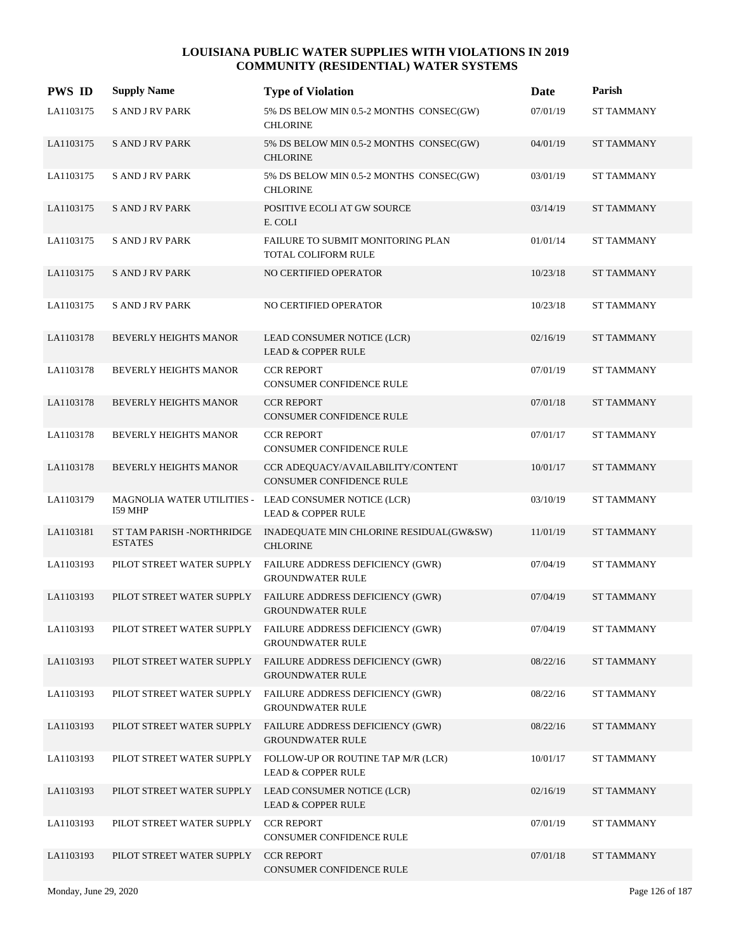| <b>PWS ID</b> | <b>Supply Name</b>                          | <b>Type of Violation</b>                                                               | Date     | Parish            |
|---------------|---------------------------------------------|----------------------------------------------------------------------------------------|----------|-------------------|
| LA1103175     | <b>S AND J RV PARK</b>                      | 5% DS BELOW MIN 0.5-2 MONTHS CONSEC(GW)<br><b>CHLORINE</b>                             | 07/01/19 | ST TAMMANY        |
| LA1103175     | <b>SAND JRV PARK</b>                        | 5% DS BELOW MIN 0.5-2 MONTHS CONSEC(GW)<br><b>CHLORINE</b>                             | 04/01/19 | <b>ST TAMMANY</b> |
| LA1103175     | <b>SAND JRV PARK</b>                        | 5% DS BELOW MIN 0.5-2 MONTHS CONSEC(GW)<br><b>CHLORINE</b>                             | 03/01/19 | <b>ST TAMMANY</b> |
| LA1103175     | <b>SAND JRV PARK</b>                        | POSITIVE ECOLI AT GW SOURCE<br>E. COLI                                                 | 03/14/19 | <b>ST TAMMANY</b> |
| LA1103175     | <b>SAND JRV PARK</b>                        | FAILURE TO SUBMIT MONITORING PLAN<br>TOTAL COLIFORM RULE                               | 01/01/14 | <b>ST TAMMANY</b> |
| LA1103175     | <b>SAND JRV PARK</b>                        | NO CERTIFIED OPERATOR                                                                  | 10/23/18 | <b>ST TAMMANY</b> |
| LA1103175     | <b>SAND JRV PARK</b>                        | NO CERTIFIED OPERATOR                                                                  | 10/23/18 | <b>ST TAMMANY</b> |
| LA1103178     | BEVERLY HEIGHTS MANOR                       | LEAD CONSUMER NOTICE (LCR)<br><b>LEAD &amp; COPPER RULE</b>                            | 02/16/19 | <b>ST TAMMANY</b> |
| LA1103178     | BEVERLY HEIGHTS MANOR                       | <b>CCR REPORT</b><br>CONSUMER CONFIDENCE RULE                                          | 07/01/19 | <b>ST TAMMANY</b> |
| LA1103178     | <b>BEVERLY HEIGHTS MANOR</b>                | <b>CCR REPORT</b><br><b>CONSUMER CONFIDENCE RULE</b>                                   | 07/01/18 | <b>ST TAMMANY</b> |
| LA1103178     | BEVERLY HEIGHTS MANOR                       | <b>CCR REPORT</b><br><b>CONSUMER CONFIDENCE RULE</b>                                   | 07/01/17 | <b>ST TAMMANY</b> |
| LA1103178     | <b>BEVERLY HEIGHTS MANOR</b>                | CCR ADEQUACY/AVAILABILITY/CONTENT<br><b>CONSUMER CONFIDENCE RULE</b>                   | 10/01/17 | <b>ST TAMMANY</b> |
| LA1103179     | 159 MHP                                     | MAGNOLIA WATER UTILITIES - LEAD CONSUMER NOTICE (LCR)<br><b>LEAD &amp; COPPER RULE</b> | 03/10/19 | <b>ST TAMMANY</b> |
| LA1103181     | ST TAM PARISH -NORTHRIDGE<br><b>ESTATES</b> | INADEQUATE MIN CHLORINE RESIDUAL(GW&SW)<br><b>CHLORINE</b>                             | 11/01/19 | <b>ST TAMMANY</b> |
| LA1103193     | PILOT STREET WATER SUPPLY                   | FAILURE ADDRESS DEFICIENCY (GWR)<br><b>GROUNDWATER RULE</b>                            | 07/04/19 | <b>ST TAMMANY</b> |
| LA1103193     | PILOT STREET WATER SUPPLY                   | FAILURE ADDRESS DEFICIENCY (GWR)<br><b>GROUNDWATER RULE</b>                            | 07/04/19 | <b>ST TAMMANY</b> |
| LA1103193     |                                             | PILOT STREET WATER SUPPLY FAILURE ADDRESS DEFICIENCY (GWR)<br><b>GROUNDWATER RULE</b>  | 07/04/19 | <b>ST TAMMANY</b> |
| LA1103193     | PILOT STREET WATER SUPPLY                   | FAILURE ADDRESS DEFICIENCY (GWR)<br><b>GROUNDWATER RULE</b>                            | 08/22/16 | <b>ST TAMMANY</b> |
| LA1103193     | PILOT STREET WATER SUPPLY                   | FAILURE ADDRESS DEFICIENCY (GWR)<br><b>GROUNDWATER RULE</b>                            | 08/22/16 | <b>ST TAMMANY</b> |
| LA1103193     | PILOT STREET WATER SUPPLY                   | FAILURE ADDRESS DEFICIENCY (GWR)<br><b>GROUNDWATER RULE</b>                            | 08/22/16 | <b>ST TAMMANY</b> |
| LA1103193     | PILOT STREET WATER SUPPLY                   | FOLLOW-UP OR ROUTINE TAP M/R (LCR)<br>LEAD & COPPER RULE                               | 10/01/17 | <b>ST TAMMANY</b> |
| LA1103193     | PILOT STREET WATER SUPPLY                   | LEAD CONSUMER NOTICE (LCR)<br><b>LEAD &amp; COPPER RULE</b>                            | 02/16/19 | <b>ST TAMMANY</b> |
| LA1103193     | PILOT STREET WATER SUPPLY                   | <b>CCR REPORT</b><br>CONSUMER CONFIDENCE RULE                                          | 07/01/19 | <b>ST TAMMANY</b> |
| LA1103193     | PILOT STREET WATER SUPPLY                   | <b>CCR REPORT</b><br>CONSUMER CONFIDENCE RULE                                          | 07/01/18 | <b>ST TAMMANY</b> |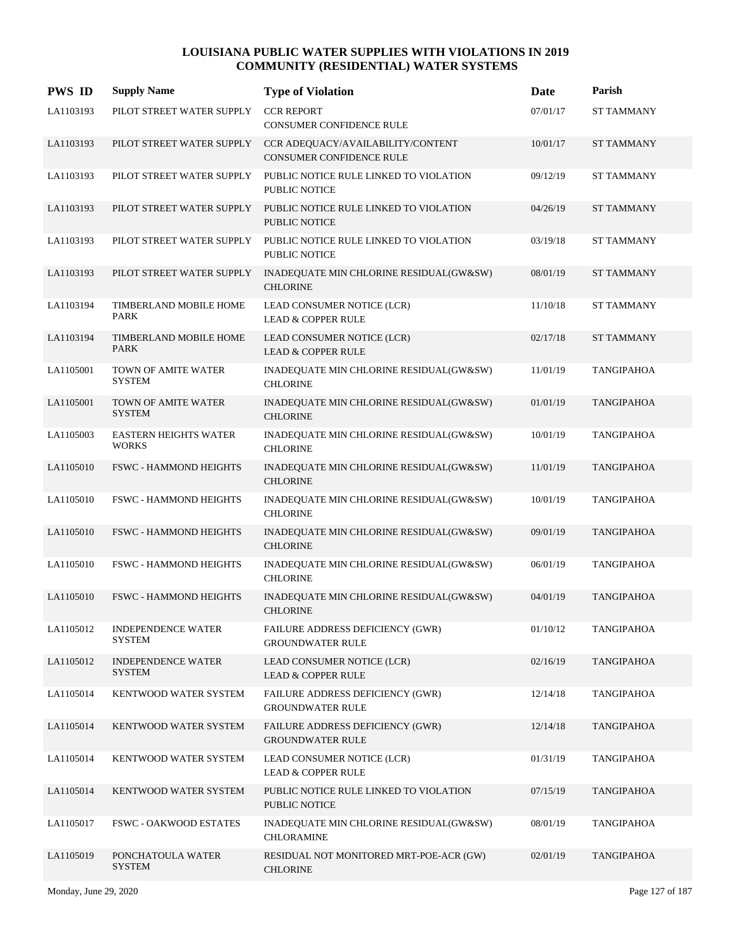| <b>PWS ID</b> | <b>Supply Name</b>                           | <b>Type of Violation</b>                                             | Date     | Parish            |
|---------------|----------------------------------------------|----------------------------------------------------------------------|----------|-------------------|
| LA1103193     | PILOT STREET WATER SUPPLY                    | <b>CCR REPORT</b><br>CONSUMER CONFIDENCE RULE                        | 07/01/17 | <b>ST TAMMANY</b> |
| LA1103193     | PILOT STREET WATER SUPPLY                    | CCR ADEQUACY/AVAILABILITY/CONTENT<br><b>CONSUMER CONFIDENCE RULE</b> | 10/01/17 | <b>ST TAMMANY</b> |
| LA1103193     | PILOT STREET WATER SUPPLY                    | PUBLIC NOTICE RULE LINKED TO VIOLATION<br><b>PUBLIC NOTICE</b>       | 09/12/19 | <b>ST TAMMANY</b> |
| LA1103193     | PILOT STREET WATER SUPPLY                    | PUBLIC NOTICE RULE LINKED TO VIOLATION<br><b>PUBLIC NOTICE</b>       | 04/26/19 | <b>ST TAMMANY</b> |
| LA1103193     | PILOT STREET WATER SUPPLY                    | PUBLIC NOTICE RULE LINKED TO VIOLATION<br><b>PUBLIC NOTICE</b>       | 03/19/18 | <b>ST TAMMANY</b> |
| LA1103193     | PILOT STREET WATER SUPPLY                    | INADEQUATE MIN CHLORINE RESIDUAL(GW&SW)<br><b>CHLORINE</b>           | 08/01/19 | <b>ST TAMMANY</b> |
| LA1103194     | TIMBERLAND MOBILE HOME<br><b>PARK</b>        | LEAD CONSUMER NOTICE (LCR)<br><b>LEAD &amp; COPPER RULE</b>          | 11/10/18 | <b>ST TAMMANY</b> |
| LA1103194     | TIMBERLAND MOBILE HOME<br><b>PARK</b>        | LEAD CONSUMER NOTICE (LCR)<br><b>LEAD &amp; COPPER RULE</b>          | 02/17/18 | <b>ST TAMMANY</b> |
| LA1105001     | TOWN OF AMITE WATER<br><b>SYSTEM</b>         | INADEQUATE MIN CHLORINE RESIDUAL(GW&SW)<br><b>CHLORINE</b>           | 11/01/19 | TANGIPAHOA        |
| LA1105001     | TOWN OF AMITE WATER<br><b>SYSTEM</b>         | INADEQUATE MIN CHLORINE RESIDUAL(GW&SW)<br><b>CHLORINE</b>           | 01/01/19 | <b>TANGIPAHOA</b> |
| LA1105003     | <b>EASTERN HEIGHTS WATER</b><br><b>WORKS</b> | INADEQUATE MIN CHLORINE RESIDUAL(GW&SW)<br><b>CHLORINE</b>           | 10/01/19 | <b>TANGIPAHOA</b> |
| LA1105010     | <b>FSWC - HAMMOND HEIGHTS</b>                | INADEQUATE MIN CHLORINE RESIDUAL(GW&SW)<br><b>CHLORINE</b>           | 11/01/19 | <b>TANGIPAHOA</b> |
| LA1105010     | FSWC - HAMMOND HEIGHTS                       | INADEQUATE MIN CHLORINE RESIDUAL(GW&SW)<br><b>CHLORINE</b>           | 10/01/19 | <b>TANGIPAHOA</b> |
| LA1105010     | FSWC - HAMMOND HEIGHTS                       | INADEQUATE MIN CHLORINE RESIDUAL(GW&SW)<br><b>CHLORINE</b>           | 09/01/19 | <b>TANGIPAHOA</b> |
| LA1105010     | <b>FSWC - HAMMOND HEIGHTS</b>                | INADEQUATE MIN CHLORINE RESIDUAL(GW&SW)<br><b>CHLORINE</b>           | 06/01/19 | <b>TANGIPAHOA</b> |
| LA1105010     | <b>FSWC - HAMMOND HEIGHTS</b>                | INADEQUATE MIN CHLORINE RESIDUAL(GW&SW)<br><b>CHLORINE</b>           | 04/01/19 | <b>TANGIPAHOA</b> |
| LA1105012     | <b>INDEPENDENCE WATER</b><br>SYSTEM          | FAILURE ADDRESS DEFICIENCY (GWR)<br><b>GROUNDWATER RULE</b>          | 01/10/12 | <b>TANGIPAHOA</b> |
| LA1105012     | <b>INDEPENDENCE WATER</b><br><b>SYSTEM</b>   | LEAD CONSUMER NOTICE (LCR)<br><b>LEAD &amp; COPPER RULE</b>          | 02/16/19 | TANGIPAHOA        |
| LA1105014     | KENTWOOD WATER SYSTEM                        | FAILURE ADDRESS DEFICIENCY (GWR)<br><b>GROUNDWATER RULE</b>          | 12/14/18 | TANGIPAHOA        |
| LA1105014     | KENTWOOD WATER SYSTEM                        | FAILURE ADDRESS DEFICIENCY (GWR)<br><b>GROUNDWATER RULE</b>          | 12/14/18 | <b>TANGIPAHOA</b> |
| LA1105014     | KENTWOOD WATER SYSTEM                        | LEAD CONSUMER NOTICE (LCR)<br><b>LEAD &amp; COPPER RULE</b>          | 01/31/19 | TANGIPAHOA        |
| LA1105014     | KENTWOOD WATER SYSTEM                        | PUBLIC NOTICE RULE LINKED TO VIOLATION<br>PUBLIC NOTICE              | 07/15/19 | TANGIPAHOA        |
| LA1105017     | <b>FSWC - OAKWOOD ESTATES</b>                | INADEQUATE MIN CHLORINE RESIDUAL(GW&SW)<br><b>CHLORAMINE</b>         | 08/01/19 | TANGIPAHOA        |
| LA1105019     | PONCHATOULA WATER<br><b>SYSTEM</b>           | RESIDUAL NOT MONITORED MRT-POE-ACR (GW)<br><b>CHLORINE</b>           | 02/01/19 | TANGIPAHOA        |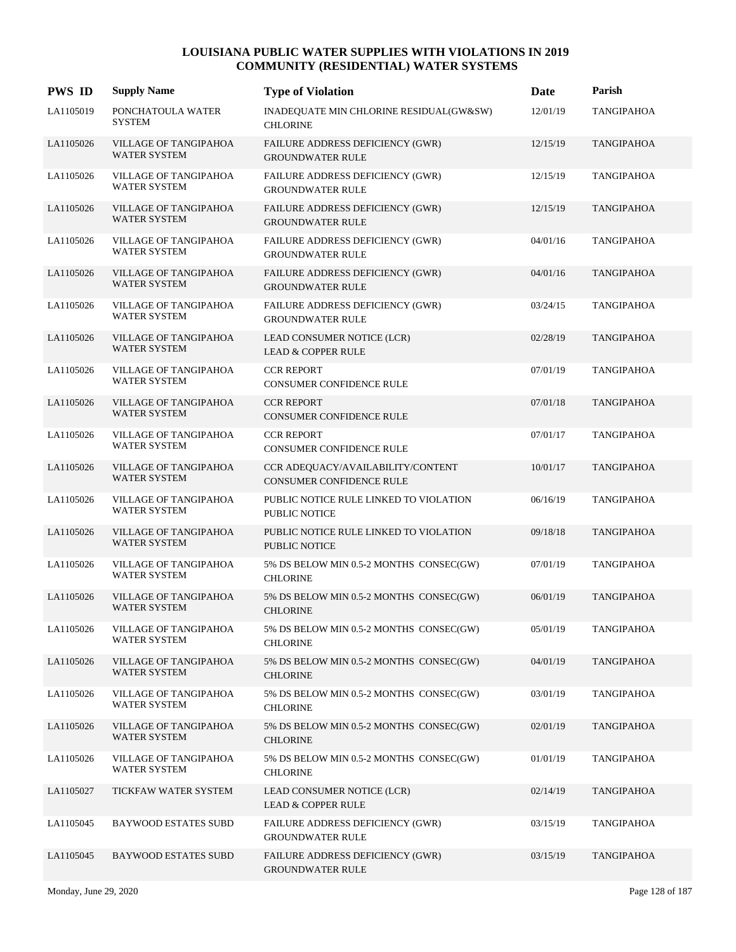| <b>PWS ID</b> | <b>Supply Name</b>                           | <b>Type of Violation</b>                                             | Date     | Parish            |
|---------------|----------------------------------------------|----------------------------------------------------------------------|----------|-------------------|
| LA1105019     | PONCHATOULA WATER<br>SYSTEM                  | INADEQUATE MIN CHLORINE RESIDUAL(GW&SW)<br><b>CHLORINE</b>           | 12/01/19 | <b>TANGIPAHOA</b> |
| LA1105026     | VILLAGE OF TANGIPAHOA<br><b>WATER SYSTEM</b> | FAILURE ADDRESS DEFICIENCY (GWR)<br><b>GROUNDWATER RULE</b>          | 12/15/19 | TANGIPAHOA        |
| LA1105026     | VILLAGE OF TANGIPAHOA<br><b>WATER SYSTEM</b> | FAILURE ADDRESS DEFICIENCY (GWR)<br><b>GROUNDWATER RULE</b>          | 12/15/19 | TANGIPAHOA        |
| LA1105026     | VILLAGE OF TANGIPAHOA<br><b>WATER SYSTEM</b> | FAILURE ADDRESS DEFICIENCY (GWR)<br><b>GROUNDWATER RULE</b>          | 12/15/19 | <b>TANGIPAHOA</b> |
| LA1105026     | VILLAGE OF TANGIPAHOA<br><b>WATER SYSTEM</b> | FAILURE ADDRESS DEFICIENCY (GWR)<br><b>GROUNDWATER RULE</b>          | 04/01/16 | <b>TANGIPAHOA</b> |
| LA1105026     | VILLAGE OF TANGIPAHOA<br><b>WATER SYSTEM</b> | <b>FAILURE ADDRESS DEFICIENCY (GWR)</b><br><b>GROUNDWATER RULE</b>   | 04/01/16 | <b>TANGIPAHOA</b> |
| LA1105026     | VILLAGE OF TANGIPAHOA<br><b>WATER SYSTEM</b> | <b>FAILURE ADDRESS DEFICIENCY (GWR)</b><br><b>GROUNDWATER RULE</b>   | 03/24/15 | TANGIPAHOA        |
| LA1105026     | VILLAGE OF TANGIPAHOA<br><b>WATER SYSTEM</b> | LEAD CONSUMER NOTICE (LCR)<br><b>LEAD &amp; COPPER RULE</b>          | 02/28/19 | <b>TANGIPAHOA</b> |
| LA1105026     | VILLAGE OF TANGIPAHOA<br><b>WATER SYSTEM</b> | <b>CCR REPORT</b><br>CONSUMER CONFIDENCE RULE                        | 07/01/19 | <b>TANGIPAHOA</b> |
| LA1105026     | VILLAGE OF TANGIPAHOA<br><b>WATER SYSTEM</b> | <b>CCR REPORT</b><br>CONSUMER CONFIDENCE RULE                        | 07/01/18 | <b>TANGIPAHOA</b> |
| LA1105026     | VILLAGE OF TANGIPAHOA<br><b>WATER SYSTEM</b> | <b>CCR REPORT</b><br><b>CONSUMER CONFIDENCE RULE</b>                 | 07/01/17 | TANGIPAHOA        |
| LA1105026     | VILLAGE OF TANGIPAHOA<br>WATER SYSTEM        | CCR ADEQUACY/AVAILABILITY/CONTENT<br><b>CONSUMER CONFIDENCE RULE</b> | 10/01/17 | <b>TANGIPAHOA</b> |
| LA1105026     | VILLAGE OF TANGIPAHOA<br><b>WATER SYSTEM</b> | PUBLIC NOTICE RULE LINKED TO VIOLATION<br><b>PUBLIC NOTICE</b>       | 06/16/19 | <b>TANGIPAHOA</b> |
| LA1105026     | VILLAGE OF TANGIPAHOA<br><b>WATER SYSTEM</b> | PUBLIC NOTICE RULE LINKED TO VIOLATION<br><b>PUBLIC NOTICE</b>       | 09/18/18 | <b>TANGIPAHOA</b> |
| LA1105026     | VILLAGE OF TANGIPAHOA<br><b>WATER SYSTEM</b> | 5% DS BELOW MIN 0.5-2 MONTHS CONSEC(GW)<br><b>CHLORINE</b>           | 07/01/19 | TANGIPAHOA        |
| LA1105026     | VILLAGE OF TANGIPAHOA<br><b>WATER SYSTEM</b> | 5% DS BELOW MIN 0.5-2 MONTHS CONSEC(GW)<br><b>CHLORINE</b>           | 06/01/19 | TANGIPAHOA        |
| LA1105026     | VILLAGE OF TANGIPAHOA<br>WATER SYSTEM        | 5% DS BELOW MIN 0.5-2 MONTHS CONSEC(GW)<br><b>CHLORINE</b>           | 05/01/19 | <b>TANGIPAHOA</b> |
| LA1105026     | VILLAGE OF TANGIPAHOA<br><b>WATER SYSTEM</b> | 5% DS BELOW MIN 0.5-2 MONTHS CONSEC(GW)<br><b>CHLORINE</b>           | 04/01/19 | TANGIPAHOA        |
| LA1105026     | VILLAGE OF TANGIPAHOA<br>WATER SYSTEM        | 5% DS BELOW MIN 0.5-2 MONTHS CONSEC(GW)<br><b>CHLORINE</b>           | 03/01/19 | TANGIPAHOA        |
| LA1105026     | VILLAGE OF TANGIPAHOA<br><b>WATER SYSTEM</b> | 5% DS BELOW MIN 0.5-2 MONTHS CONSEC(GW)<br><b>CHLORINE</b>           | 02/01/19 | <b>TANGIPAHOA</b> |
| LA1105026     | VILLAGE OF TANGIPAHOA<br><b>WATER SYSTEM</b> | 5% DS BELOW MIN 0.5-2 MONTHS CONSEC(GW)<br><b>CHLORINE</b>           | 01/01/19 | TANGIPAHOA        |
| LA1105027     | TICKFAW WATER SYSTEM                         | LEAD CONSUMER NOTICE (LCR)<br><b>LEAD &amp; COPPER RULE</b>          | 02/14/19 | TANGIPAHOA        |
| LA1105045     | <b>BAYWOOD ESTATES SUBD</b>                  | FAILURE ADDRESS DEFICIENCY (GWR)<br><b>GROUNDWATER RULE</b>          | 03/15/19 | TANGIPAHOA        |
| LA1105045     | <b>BAYWOOD ESTATES SUBD</b>                  | FAILURE ADDRESS DEFICIENCY (GWR)<br><b>GROUNDWATER RULE</b>          | 03/15/19 | <b>TANGIPAHOA</b> |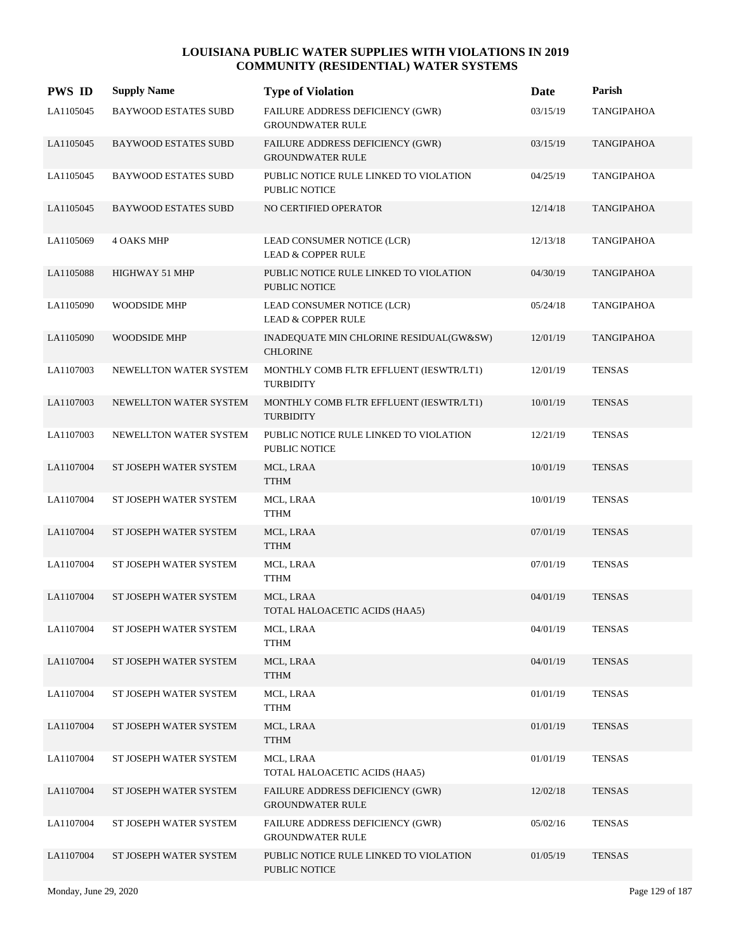| <b>PWS ID</b> | <b>Supply Name</b>          | <b>Type of Violation</b>                                           | Date     | Parish            |
|---------------|-----------------------------|--------------------------------------------------------------------|----------|-------------------|
| LA1105045     | <b>BAYWOOD ESTATES SUBD</b> | FAILURE ADDRESS DEFICIENCY (GWR)<br><b>GROUNDWATER RULE</b>        | 03/15/19 | <b>TANGIPAHOA</b> |
| LA1105045     | <b>BAYWOOD ESTATES SUBD</b> | FAILURE ADDRESS DEFICIENCY (GWR)<br><b>GROUNDWATER RULE</b>        | 03/15/19 | <b>TANGIPAHOA</b> |
| LA1105045     | <b>BAYWOOD ESTATES SUBD</b> | PUBLIC NOTICE RULE LINKED TO VIOLATION<br><b>PUBLIC NOTICE</b>     | 04/25/19 | <b>TANGIPAHOA</b> |
| LA1105045     | <b>BAYWOOD ESTATES SUBD</b> | NO CERTIFIED OPERATOR                                              | 12/14/18 | <b>TANGIPAHOA</b> |
| LA1105069     | <b>4 OAKS MHP</b>           | LEAD CONSUMER NOTICE (LCR)<br><b>LEAD &amp; COPPER RULE</b>        | 12/13/18 | <b>TANGIPAHOA</b> |
| LA1105088     | HIGHWAY 51 MHP              | PUBLIC NOTICE RULE LINKED TO VIOLATION<br>PUBLIC NOTICE            | 04/30/19 | <b>TANGIPAHOA</b> |
| LA1105090     | <b>WOODSIDE MHP</b>         | LEAD CONSUMER NOTICE (LCR)<br><b>LEAD &amp; COPPER RULE</b>        | 05/24/18 | TANGIPAHOA        |
| LA1105090     | <b>WOODSIDE MHP</b>         | INADEQUATE MIN CHLORINE RESIDUAL(GW&SW)<br><b>CHLORINE</b>         | 12/01/19 | <b>TANGIPAHOA</b> |
| LA1107003     | NEWELLTON WATER SYSTEM      | MONTHLY COMB FLTR EFFLUENT (IESWTR/LT1)<br><b>TURBIDITY</b>        | 12/01/19 | <b>TENSAS</b>     |
| LA1107003     | NEWELLTON WATER SYSTEM      | MONTHLY COMB FLTR EFFLUENT (IESWTR/LT1)<br><b>TURBIDITY</b>        | 10/01/19 | <b>TENSAS</b>     |
| LA1107003     | NEWELLTON WATER SYSTEM      | PUBLIC NOTICE RULE LINKED TO VIOLATION<br>PUBLIC NOTICE            | 12/21/19 | <b>TENSAS</b>     |
| LA1107004     | ST JOSEPH WATER SYSTEM      | MCL, LRAA<br><b>TTHM</b>                                           | 10/01/19 | <b>TENSAS</b>     |
| LA1107004     | ST JOSEPH WATER SYSTEM      | MCL, LRAA<br><b>TTHM</b>                                           | 10/01/19 | <b>TENSAS</b>     |
| LA1107004     | ST JOSEPH WATER SYSTEM      | MCL, LRAA<br><b>TTHM</b>                                           | 07/01/19 | <b>TENSAS</b>     |
| LA1107004     | ST JOSEPH WATER SYSTEM      | MCL, LRAA<br><b>TTHM</b>                                           | 07/01/19 | <b>TENSAS</b>     |
| LA1107004     | ST JOSEPH WATER SYSTEM      | MCL, LRAA<br>TOTAL HALOACETIC ACIDS (HAA5)                         | 04/01/19 | <b>TENSAS</b>     |
| LA1107004     | ST JOSEPH WATER SYSTEM      | MCL, LRAA<br><b>TTHM</b>                                           | 04/01/19 | <b>TENSAS</b>     |
| LA1107004     | ST JOSEPH WATER SYSTEM      | MCL, LRAA<br><b>TTHM</b>                                           | 04/01/19 | <b>TENSAS</b>     |
| LA1107004     | ST JOSEPH WATER SYSTEM      | MCL, LRAA<br><b>TTHM</b>                                           | 01/01/19 | <b>TENSAS</b>     |
| LA1107004     | ST JOSEPH WATER SYSTEM      | MCL, LRAA<br><b>TTHM</b>                                           | 01/01/19 | <b>TENSAS</b>     |
| LA1107004     | ST JOSEPH WATER SYSTEM      | MCL, LRAA<br>TOTAL HALOACETIC ACIDS (HAA5)                         | 01/01/19 | <b>TENSAS</b>     |
| LA1107004     | ST JOSEPH WATER SYSTEM      | <b>FAILURE ADDRESS DEFICIENCY (GWR)</b><br><b>GROUNDWATER RULE</b> | 12/02/18 | <b>TENSAS</b>     |
| LA1107004     | ST JOSEPH WATER SYSTEM      | FAILURE ADDRESS DEFICIENCY (GWR)<br><b>GROUNDWATER RULE</b>        | 05/02/16 | <b>TENSAS</b>     |
| LA1107004     | ST JOSEPH WATER SYSTEM      | PUBLIC NOTICE RULE LINKED TO VIOLATION<br>PUBLIC NOTICE            | 01/05/19 | <b>TENSAS</b>     |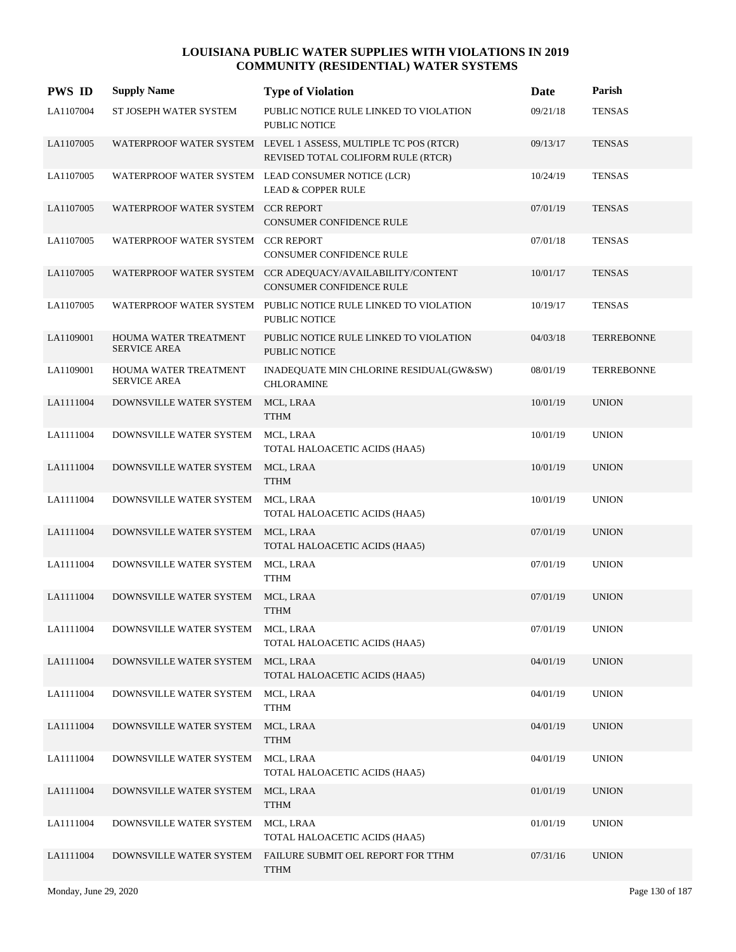| <b>PWS ID</b> | <b>Supply Name</b>                           | <b>Type of Violation</b>                                                                             | Date     | Parish            |
|---------------|----------------------------------------------|------------------------------------------------------------------------------------------------------|----------|-------------------|
| LA1107004     | ST JOSEPH WATER SYSTEM                       | PUBLIC NOTICE RULE LINKED TO VIOLATION<br>PUBLIC NOTICE                                              | 09/21/18 | <b>TENSAS</b>     |
| LA1107005     |                                              | WATERPROOF WATER SYSTEM LEVEL 1 ASSESS, MULTIPLE TC POS (RTCR)<br>REVISED TOTAL COLIFORM RULE (RTCR) | 09/13/17 | <b>TENSAS</b>     |
| LA1107005     |                                              | WATERPROOF WATER SYSTEM LEAD CONSUMER NOTICE (LCR)<br><b>LEAD &amp; COPPER RULE</b>                  | 10/24/19 | <b>TENSAS</b>     |
| LA1107005     | WATERPROOF WATER SYSTEM CCR REPORT           | <b>CONSUMER CONFIDENCE RULE</b>                                                                      | 07/01/19 | <b>TENSAS</b>     |
| LA1107005     | WATERPROOF WATER SYSTEM CCR REPORT           | <b>CONSUMER CONFIDENCE RULE</b>                                                                      | 07/01/18 | <b>TENSAS</b>     |
| LA1107005     |                                              | WATERPROOF WATER SYSTEM CCR ADEQUACY/AVAILABILITY/CONTENT<br>CONSUMER CONFIDENCE RULE                | 10/01/17 | <b>TENSAS</b>     |
| LA1107005     |                                              | WATERPROOF WATER SYSTEM PUBLIC NOTICE RULE LINKED TO VIOLATION<br>PUBLIC NOTICE                      | 10/19/17 | <b>TENSAS</b>     |
| LA1109001     | HOUMA WATER TREATMENT<br><b>SERVICE AREA</b> | PUBLIC NOTICE RULE LINKED TO VIOLATION<br><b>PUBLIC NOTICE</b>                                       | 04/03/18 | <b>TERREBONNE</b> |
| LA1109001     | HOUMA WATER TREATMENT<br><b>SERVICE AREA</b> | INADEQUATE MIN CHLORINE RESIDUAL(GW&SW)<br><b>CHLORAMINE</b>                                         | 08/01/19 | <b>TERREBONNE</b> |
| LA1111004     | DOWNSVILLE WATER SYSTEM                      | MCL, LRAA<br><b>TTHM</b>                                                                             | 10/01/19 | <b>UNION</b>      |
| LA1111004     | DOWNSVILLE WATER SYSTEM                      | MCL, LRAA<br>TOTAL HALOACETIC ACIDS (HAA5)                                                           | 10/01/19 | <b>UNION</b>      |
| LA1111004     | DOWNSVILLE WATER SYSTEM                      | MCL, LRAA<br><b>TTHM</b>                                                                             | 10/01/19 | <b>UNION</b>      |
| LA1111004     | DOWNSVILLE WATER SYSTEM                      | MCL, LRAA<br>TOTAL HALOACETIC ACIDS (HAA5)                                                           | 10/01/19 | <b>UNION</b>      |
| LA1111004     | DOWNSVILLE WATER SYSTEM                      | MCL, LRAA<br>TOTAL HALOACETIC ACIDS (HAA5)                                                           | 07/01/19 | <b>UNION</b>      |
| LA1111004     | DOWNSVILLE WATER SYSTEM                      | MCL, LRAA<br><b>TTHM</b>                                                                             | 07/01/19 | <b>UNION</b>      |
| LA1111004     | DOWNSVILLE WATER SYSTEM                      | MCL, LRAA<br><b>TTHM</b>                                                                             | 07/01/19 | <b>UNION</b>      |
| LA1111004     | DOWNSVILLE WATER SYSTEM                      | MCL, LRAA<br>TOTAL HALOACETIC ACIDS (HAA5)                                                           | 07/01/19 | <b>UNION</b>      |
| LA1111004     | DOWNSVILLE WATER SYSTEM                      | MCL, LRAA<br>TOTAL HALOACETIC ACIDS (HAA5)                                                           | 04/01/19 | <b>UNION</b>      |
| LA1111004     | DOWNSVILLE WATER SYSTEM                      | MCL, LRAA<br><b>TTHM</b>                                                                             | 04/01/19 | <b>UNION</b>      |
| LA1111004     | DOWNSVILLE WATER SYSTEM                      | MCL, LRAA<br><b>TTHM</b>                                                                             | 04/01/19 | <b>UNION</b>      |
| LA1111004     | DOWNSVILLE WATER SYSTEM                      | MCL, LRAA<br>TOTAL HALOACETIC ACIDS (HAA5)                                                           | 04/01/19 | <b>UNION</b>      |
| LA1111004     | DOWNSVILLE WATER SYSTEM                      | MCL, LRAA<br><b>TTHM</b>                                                                             | 01/01/19 | <b>UNION</b>      |
| LA1111004     | DOWNSVILLE WATER SYSTEM                      | MCL, LRAA<br>TOTAL HALOACETIC ACIDS (HAA5)                                                           | 01/01/19 | <b>UNION</b>      |
| LA1111004     | DOWNSVILLE WATER SYSTEM                      | FAILURE SUBMIT OEL REPORT FOR TTHM<br><b>TTHM</b>                                                    | 07/31/16 | <b>UNION</b>      |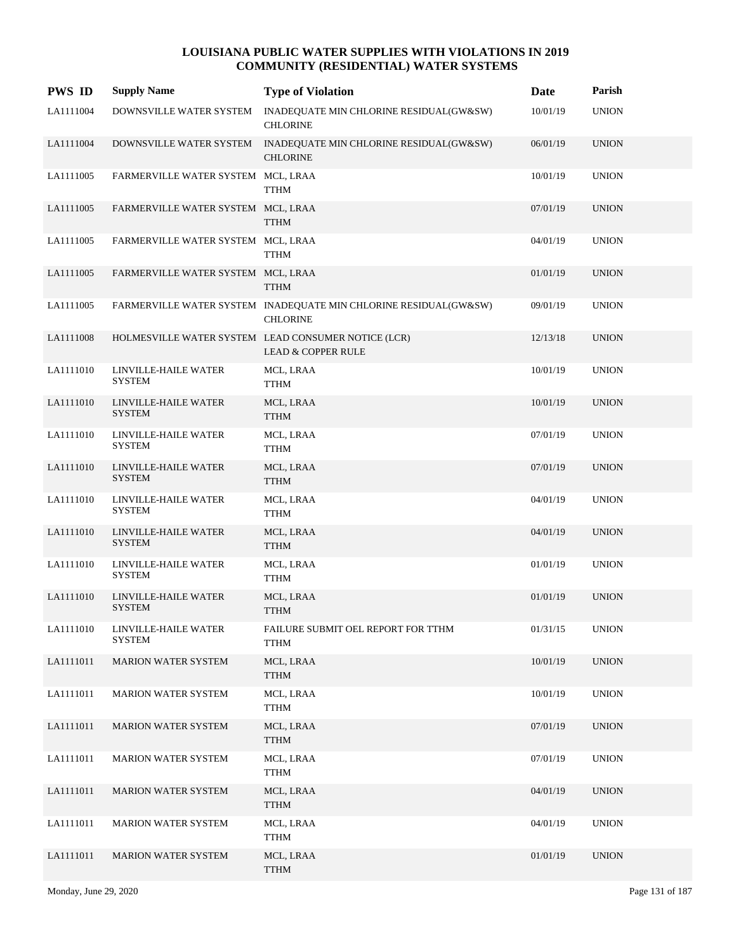| <b>PWS ID</b> | <b>Supply Name</b>                    | <b>Type of Violation</b>                                                             | Date     | Parish       |
|---------------|---------------------------------------|--------------------------------------------------------------------------------------|----------|--------------|
| LA1111004     | DOWNSVILLE WATER SYSTEM               | INADEQUATE MIN CHLORINE RESIDUAL(GW&SW)<br><b>CHLORINE</b>                           | 10/01/19 | <b>UNION</b> |
| LA1111004     | DOWNSVILLE WATER SYSTEM               | INADEQUATE MIN CHLORINE RESIDUAL(GW&SW)<br><b>CHLORINE</b>                           | 06/01/19 | <b>UNION</b> |
| LA1111005     | FARMERVILLE WATER SYSTEM MCL, LRAA    | <b>TTHM</b>                                                                          | 10/01/19 | <b>UNION</b> |
| LA1111005     | FARMERVILLE WATER SYSTEM MCL, LRAA    | <b>TTHM</b>                                                                          | 07/01/19 | <b>UNION</b> |
| LA1111005     | FARMERVILLE WATER SYSTEM MCL, LRAA    | <b>TTHM</b>                                                                          | 04/01/19 | <b>UNION</b> |
| LA1111005     | FARMERVILLE WATER SYSTEM MCL, LRAA    | <b>TTHM</b>                                                                          | 01/01/19 | <b>UNION</b> |
| LA1111005     |                                       | FARMERVILLE WATER SYSTEM INADEQUATE MIN CHLORINE RESIDUAL(GW&SW)<br><b>CHLORINE</b>  | 09/01/19 | <b>UNION</b> |
| LA1111008     |                                       | HOLMESVILLE WATER SYSTEM LEAD CONSUMER NOTICE (LCR)<br><b>LEAD &amp; COPPER RULE</b> | 12/13/18 | <b>UNION</b> |
| LA1111010     | LINVILLE-HAILE WATER<br><b>SYSTEM</b> | MCL, LRAA<br><b>TTHM</b>                                                             | 10/01/19 | <b>UNION</b> |
| LA1111010     | LINVILLE-HAILE WATER<br><b>SYSTEM</b> | MCL, LRAA<br><b>TTHM</b>                                                             | 10/01/19 | <b>UNION</b> |
| LA1111010     | LINVILLE-HAILE WATER<br><b>SYSTEM</b> | MCL, LRAA<br><b>TTHM</b>                                                             | 07/01/19 | <b>UNION</b> |
| LA1111010     | LINVILLE-HAILE WATER<br><b>SYSTEM</b> | MCL, LRAA<br><b>TTHM</b>                                                             | 07/01/19 | <b>UNION</b> |
| LA1111010     | LINVILLE-HAILE WATER<br><b>SYSTEM</b> | MCL, LRAA<br><b>TTHM</b>                                                             | 04/01/19 | <b>UNION</b> |
| LA1111010     | LINVILLE-HAILE WATER<br><b>SYSTEM</b> | MCL, LRAA<br><b>TTHM</b>                                                             | 04/01/19 | <b>UNION</b> |
| LA1111010     | LINVILLE-HAILE WATER<br><b>SYSTEM</b> | MCL, LRAA<br><b>TTHM</b>                                                             | 01/01/19 | <b>UNION</b> |
| LA1111010     | LINVILLE-HAILE WATER<br><b>SYSTEM</b> | MCL, LRAA<br><b>TTHM</b>                                                             | 01/01/19 | <b>UNION</b> |
| LA1111010     | LINVILLE-HAILE WATER<br><b>SYSTEM</b> | FAILURE SUBMIT OEL REPORT FOR TTHM<br><b>TTHM</b>                                    | 01/31/15 | <b>UNION</b> |
| LA1111011     | <b>MARION WATER SYSTEM</b>            | MCL, LRAA<br><b>TTHM</b>                                                             | 10/01/19 | <b>UNION</b> |
| LA1111011     | <b>MARION WATER SYSTEM</b>            | MCL, LRAA<br><b>TTHM</b>                                                             | 10/01/19 | <b>UNION</b> |
| LA1111011     | <b>MARION WATER SYSTEM</b>            | MCL, LRAA<br><b>TTHM</b>                                                             | 07/01/19 | <b>UNION</b> |
| LA1111011     | MARION WATER SYSTEM                   | MCL, LRAA<br><b>TTHM</b>                                                             | 07/01/19 | <b>UNION</b> |
| LA1111011     | <b>MARION WATER SYSTEM</b>            | MCL, LRAA<br><b>TTHM</b>                                                             | 04/01/19 | <b>UNION</b> |
| LA1111011     | <b>MARION WATER SYSTEM</b>            | MCL, LRAA<br><b>TTHM</b>                                                             | 04/01/19 | <b>UNION</b> |
| LA1111011     | MARION WATER SYSTEM                   | MCL, LRAA<br><b>TTHM</b>                                                             | 01/01/19 | <b>UNION</b> |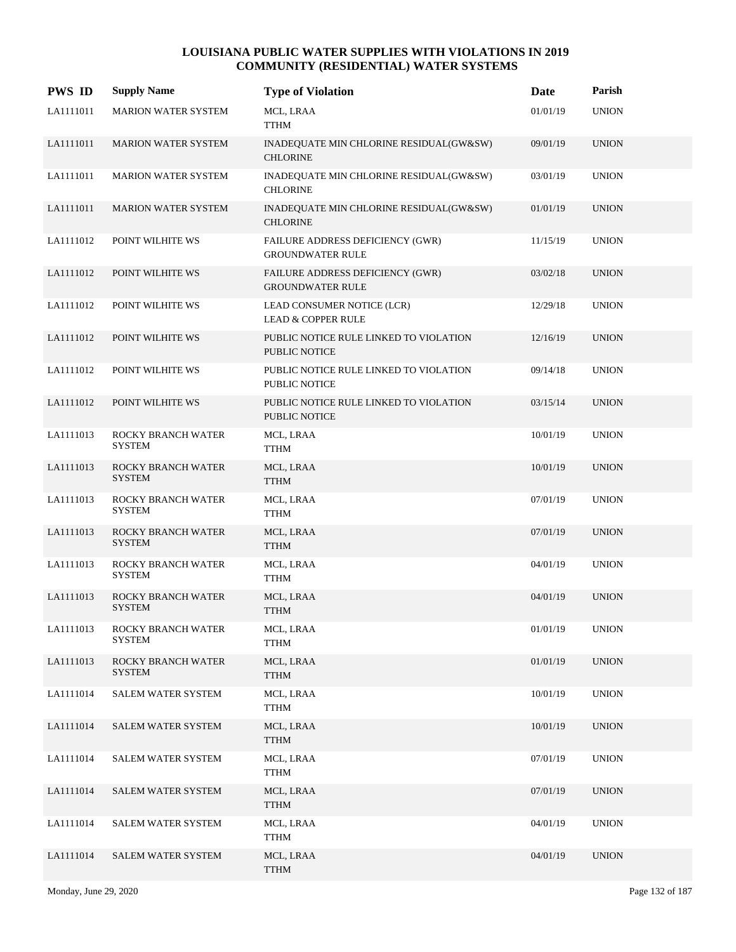| <b>PWS ID</b> | <b>Supply Name</b>                  | <b>Type of Violation</b>                                       | Date     | Parish       |
|---------------|-------------------------------------|----------------------------------------------------------------|----------|--------------|
| LA1111011     | <b>MARION WATER SYSTEM</b>          | MCL, LRAA<br><b>TTHM</b>                                       | 01/01/19 | <b>UNION</b> |
| LA1111011     | <b>MARION WATER SYSTEM</b>          | INADEQUATE MIN CHLORINE RESIDUAL(GW&SW)<br><b>CHLORINE</b>     | 09/01/19 | <b>UNION</b> |
| LA1111011     | MARION WATER SYSTEM                 | INADEQUATE MIN CHLORINE RESIDUAL(GW&SW)<br><b>CHLORINE</b>     | 03/01/19 | <b>UNION</b> |
| LA1111011     | <b>MARION WATER SYSTEM</b>          | INADEQUATE MIN CHLORINE RESIDUAL(GW&SW)<br><b>CHLORINE</b>     | 01/01/19 | <b>UNION</b> |
| LA1111012     | POINT WILHITE WS                    | FAILURE ADDRESS DEFICIENCY (GWR)<br><b>GROUNDWATER RULE</b>    | 11/15/19 | <b>UNION</b> |
| LA1111012     | POINT WILHITE WS                    | FAILURE ADDRESS DEFICIENCY (GWR)<br><b>GROUNDWATER RULE</b>    | 03/02/18 | <b>UNION</b> |
| LA1111012     | POINT WILHITE WS                    | LEAD CONSUMER NOTICE (LCR)<br><b>LEAD &amp; COPPER RULE</b>    | 12/29/18 | <b>UNION</b> |
| LA1111012     | POINT WILHITE WS                    | PUBLIC NOTICE RULE LINKED TO VIOLATION<br><b>PUBLIC NOTICE</b> | 12/16/19 | <b>UNION</b> |
| LA1111012     | POINT WILHITE WS                    | PUBLIC NOTICE RULE LINKED TO VIOLATION<br>PUBLIC NOTICE        | 09/14/18 | <b>UNION</b> |
| LA1111012     | POINT WILHITE WS                    | PUBLIC NOTICE RULE LINKED TO VIOLATION<br>PUBLIC NOTICE        | 03/15/14 | <b>UNION</b> |
| LA1111013     | ROCKY BRANCH WATER<br><b>SYSTEM</b> | MCL, LRAA<br><b>TTHM</b>                                       | 10/01/19 | <b>UNION</b> |
| LA1111013     | ROCKY BRANCH WATER<br><b>SYSTEM</b> | MCL, LRAA<br><b>TTHM</b>                                       | 10/01/19 | <b>UNION</b> |
| LA1111013     | ROCKY BRANCH WATER<br><b>SYSTEM</b> | MCL, LRAA<br><b>TTHM</b>                                       | 07/01/19 | <b>UNION</b> |
| LA1111013     | ROCKY BRANCH WATER<br><b>SYSTEM</b> | MCL, LRAA<br><b>TTHM</b>                                       | 07/01/19 | <b>UNION</b> |
| LA1111013     | ROCKY BRANCH WATER<br><b>SYSTEM</b> | MCL, LRAA<br><b>TTHM</b>                                       | 04/01/19 | <b>UNION</b> |
| LA1111013     | ROCKY BRANCH WATER<br><b>SYSTEM</b> | MCL, LRAA<br><b>TTHM</b>                                       | 04/01/19 | <b>UNION</b> |
| LA1111013     | ROCKY BRANCH WATER<br><b>SYSTEM</b> | MCL, LRAA<br><b>TTHM</b>                                       | 01/01/19 | <b>UNION</b> |
| LA1111013     | ROCKY BRANCH WATER<br><b>SYSTEM</b> | MCL, LRAA<br><b>TTHM</b>                                       | 01/01/19 | <b>UNION</b> |
| LA1111014     | <b>SALEM WATER SYSTEM</b>           | MCL, LRAA<br><b>TTHM</b>                                       | 10/01/19 | <b>UNION</b> |
| LA1111014     | <b>SALEM WATER SYSTEM</b>           | MCL, LRAA<br><b>TTHM</b>                                       | 10/01/19 | <b>UNION</b> |
| LA1111014     | SALEM WATER SYSTEM                  | MCL, LRAA<br><b>TTHM</b>                                       | 07/01/19 | <b>UNION</b> |
| LA1111014     | <b>SALEM WATER SYSTEM</b>           | MCL, LRAA<br><b>TTHM</b>                                       | 07/01/19 | <b>UNION</b> |
| LA1111014     | SALEM WATER SYSTEM                  | MCL, LRAA<br><b>TTHM</b>                                       | 04/01/19 | <b>UNION</b> |
| LA1111014     | <b>SALEM WATER SYSTEM</b>           | MCL, LRAA<br><b>TTHM</b>                                       | 04/01/19 | <b>UNION</b> |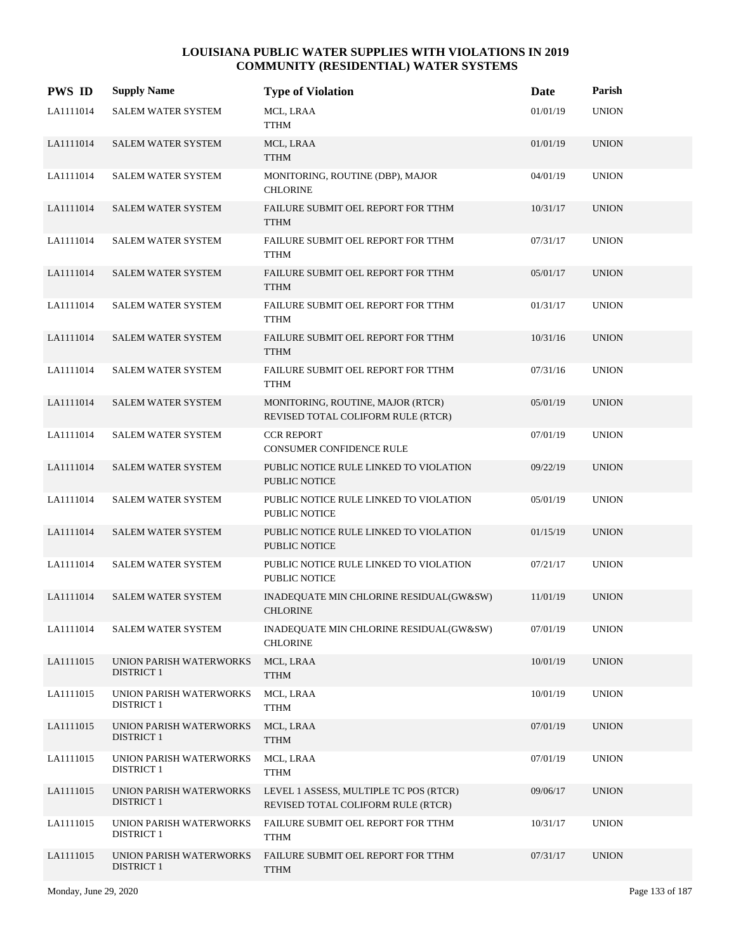| <b>PWS ID</b> | <b>Supply Name</b>                           | <b>Type of Violation</b>                                                     | Date     | Parish       |
|---------------|----------------------------------------------|------------------------------------------------------------------------------|----------|--------------|
| LA1111014     | SALEM WATER SYSTEM                           | MCL, LRAA<br><b>TTHM</b>                                                     | 01/01/19 | <b>UNION</b> |
| LA1111014     | <b>SALEM WATER SYSTEM</b>                    | MCL, LRAA<br><b>TTHM</b>                                                     | 01/01/19 | <b>UNION</b> |
| LA1111014     | SALEM WATER SYSTEM                           | MONITORING, ROUTINE (DBP), MAJOR<br><b>CHLORINE</b>                          | 04/01/19 | <b>UNION</b> |
| LA1111014     | <b>SALEM WATER SYSTEM</b>                    | FAILURE SUBMIT OEL REPORT FOR TTHM<br><b>TTHM</b>                            | 10/31/17 | <b>UNION</b> |
| LA1111014     | <b>SALEM WATER SYSTEM</b>                    | FAILURE SUBMIT OEL REPORT FOR TTHM<br><b>TTHM</b>                            | 07/31/17 | <b>UNION</b> |
| LA1111014     | <b>SALEM WATER SYSTEM</b>                    | FAILURE SUBMIT OEL REPORT FOR TTHM<br><b>TTHM</b>                            | 05/01/17 | <b>UNION</b> |
| LA1111014     | <b>SALEM WATER SYSTEM</b>                    | FAILURE SUBMIT OEL REPORT FOR TTHM<br><b>TTHM</b>                            | 01/31/17 | <b>UNION</b> |
| LA1111014     | <b>SALEM WATER SYSTEM</b>                    | FAILURE SUBMIT OEL REPORT FOR TTHM<br><b>TTHM</b>                            | 10/31/16 | <b>UNION</b> |
| LA1111014     | <b>SALEM WATER SYSTEM</b>                    | FAILURE SUBMIT OEL REPORT FOR TTHM<br><b>TTHM</b>                            | 07/31/16 | <b>UNION</b> |
| LA1111014     | SALEM WATER SYSTEM                           | MONITORING, ROUTINE, MAJOR (RTCR)<br>REVISED TOTAL COLIFORM RULE (RTCR)      | 05/01/19 | <b>UNION</b> |
| LA1111014     | <b>SALEM WATER SYSTEM</b>                    | <b>CCR REPORT</b><br>CONSUMER CONFIDENCE RULE                                | 07/01/19 | <b>UNION</b> |
| LA1111014     | <b>SALEM WATER SYSTEM</b>                    | PUBLIC NOTICE RULE LINKED TO VIOLATION<br><b>PUBLIC NOTICE</b>               | 09/22/19 | <b>UNION</b> |
| LA1111014     | <b>SALEM WATER SYSTEM</b>                    | PUBLIC NOTICE RULE LINKED TO VIOLATION<br><b>PUBLIC NOTICE</b>               | 05/01/19 | <b>UNION</b> |
| LA1111014     | SALEM WATER SYSTEM                           | PUBLIC NOTICE RULE LINKED TO VIOLATION<br><b>PUBLIC NOTICE</b>               | 01/15/19 | <b>UNION</b> |
| LA1111014     | <b>SALEM WATER SYSTEM</b>                    | PUBLIC NOTICE RULE LINKED TO VIOLATION<br><b>PUBLIC NOTICE</b>               | 07/21/17 | <b>UNION</b> |
| LA1111014     | <b>SALEM WATER SYSTEM</b>                    | INADEQUATE MIN CHLORINE RESIDUAL(GW&SW)<br><b>CHLORINE</b>                   | 11/01/19 | <b>UNION</b> |
| LA1111014     | SALEM WATER SYSTEM                           | INADEQUATE MIN CHLORINE RESIDUAL(GW&SW)<br><b>CHLORINE</b>                   | 07/01/19 | <b>UNION</b> |
| LA1111015     | UNION PARISH WATERWORKS<br><b>DISTRICT 1</b> | MCL, LRAA<br><b>TTHM</b>                                                     | 10/01/19 | <b>UNION</b> |
| LA1111015     | UNION PARISH WATERWORKS<br><b>DISTRICT 1</b> | MCL, LRAA<br><b>TTHM</b>                                                     | 10/01/19 | <b>UNION</b> |
| LA1111015     | UNION PARISH WATERWORKS<br><b>DISTRICT 1</b> | MCL, LRAA<br><b>TTHM</b>                                                     | 07/01/19 | <b>UNION</b> |
| LA1111015     | UNION PARISH WATERWORKS<br><b>DISTRICT 1</b> | MCL, LRAA<br><b>TTHM</b>                                                     | 07/01/19 | <b>UNION</b> |
| LA1111015     | UNION PARISH WATERWORKS<br><b>DISTRICT 1</b> | LEVEL 1 ASSESS, MULTIPLE TC POS (RTCR)<br>REVISED TOTAL COLIFORM RULE (RTCR) | 09/06/17 | <b>UNION</b> |
| LA1111015     | UNION PARISH WATERWORKS<br><b>DISTRICT 1</b> | FAILURE SUBMIT OEL REPORT FOR TTHM<br><b>TTHM</b>                            | 10/31/17 | <b>UNION</b> |
| LA1111015     | UNION PARISH WATERWORKS<br><b>DISTRICT 1</b> | FAILURE SUBMIT OEL REPORT FOR TTHM<br><b>TTHM</b>                            | 07/31/17 | <b>UNION</b> |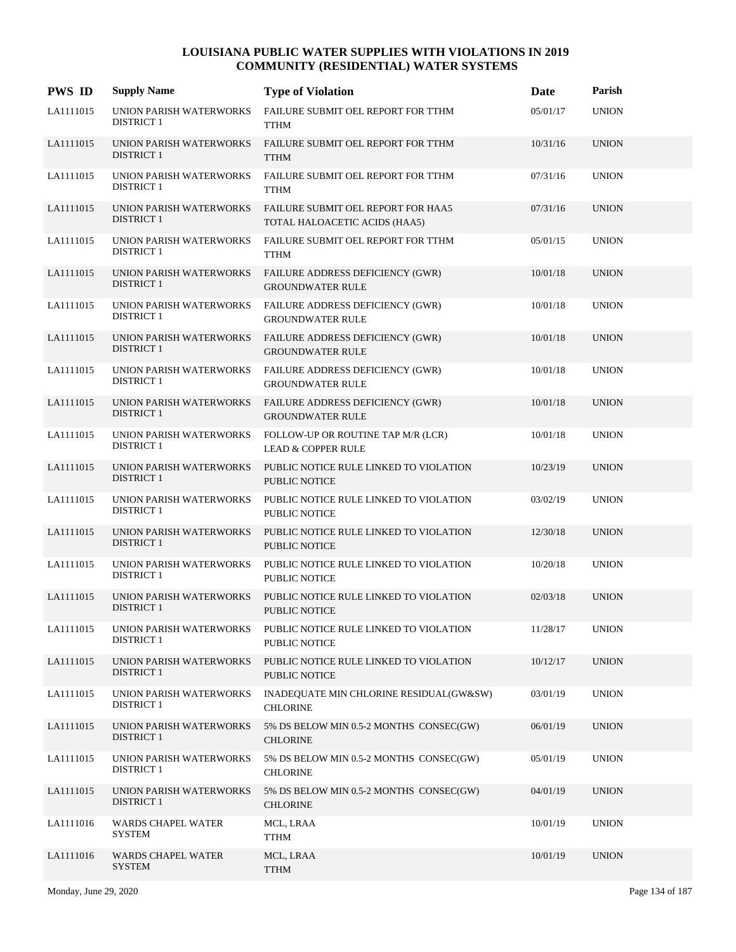| <b>PWS ID</b> | <b>Supply Name</b>                                  | <b>Type of Violation</b>                                            | Date     | Parish       |
|---------------|-----------------------------------------------------|---------------------------------------------------------------------|----------|--------------|
| LA1111015     | UNION PARISH WATERWORKS<br><b>DISTRICT 1</b>        | FAILURE SUBMIT OEL REPORT FOR TTHM<br><b>TTHM</b>                   | 05/01/17 | <b>UNION</b> |
| LA1111015     | UNION PARISH WATERWORKS<br><b>DISTRICT 1</b>        | FAILURE SUBMIT OEL REPORT FOR TTHM<br><b>TTHM</b>                   | 10/31/16 | <b>UNION</b> |
| LA1111015     | UNION PARISH WATERWORKS<br><b>DISTRICT 1</b>        | FAILURE SUBMIT OEL REPORT FOR TTHM<br><b>TTHM</b>                   | 07/31/16 | <b>UNION</b> |
| LA1111015     | UNION PARISH WATERWORKS<br><b>DISTRICT 1</b>        | FAILURE SUBMIT OEL REPORT FOR HAA5<br>TOTAL HALOACETIC ACIDS (HAA5) | 07/31/16 | <b>UNION</b> |
| LA1111015     | UNION PARISH WATERWORKS<br><b>DISTRICT 1</b>        | FAILURE SUBMIT OEL REPORT FOR TTHM<br><b>TTHM</b>                   | 05/01/15 | <b>UNION</b> |
| LA1111015     | UNION PARISH WATERWORKS<br><b>DISTRICT 1</b>        | FAILURE ADDRESS DEFICIENCY (GWR)<br><b>GROUNDWATER RULE</b>         | 10/01/18 | <b>UNION</b> |
| LA1111015     | UNION PARISH WATERWORKS<br><b>DISTRICT 1</b>        | FAILURE ADDRESS DEFICIENCY (GWR)<br><b>GROUNDWATER RULE</b>         | 10/01/18 | <b>UNION</b> |
| LA1111015     | UNION PARISH WATERWORKS<br><b>DISTRICT 1</b>        | FAILURE ADDRESS DEFICIENCY (GWR)<br><b>GROUNDWATER RULE</b>         | 10/01/18 | <b>UNION</b> |
| LA1111015     | UNION PARISH WATERWORKS<br><b>DISTRICT 1</b>        | FAILURE ADDRESS DEFICIENCY (GWR)<br><b>GROUNDWATER RULE</b>         | 10/01/18 | <b>UNION</b> |
| LA1111015     | UNION PARISH WATERWORKS<br><b>DISTRICT 1</b>        | <b>FAILURE ADDRESS DEFICIENCY (GWR)</b><br><b>GROUNDWATER RULE</b>  | 10/01/18 | <b>UNION</b> |
| LA1111015     | UNION PARISH WATERWORKS<br><b>DISTRICT 1</b>        | FOLLOW-UP OR ROUTINE TAP M/R (LCR)<br><b>LEAD &amp; COPPER RULE</b> | 10/01/18 | <b>UNION</b> |
| LA1111015     | UNION PARISH WATERWORKS<br><b>DISTRICT 1</b>        | PUBLIC NOTICE RULE LINKED TO VIOLATION<br><b>PUBLIC NOTICE</b>      | 10/23/19 | <b>UNION</b> |
| LA1111015     | UNION PARISH WATERWORKS<br><b>DISTRICT 1</b>        | PUBLIC NOTICE RULE LINKED TO VIOLATION<br><b>PUBLIC NOTICE</b>      | 03/02/19 | <b>UNION</b> |
| LA1111015     | UNION PARISH WATERWORKS<br><b>DISTRICT 1</b>        | PUBLIC NOTICE RULE LINKED TO VIOLATION<br><b>PUBLIC NOTICE</b>      | 12/30/18 | <b>UNION</b> |
| LA1111015     | <b>UNION PARISH WATERWORKS</b><br><b>DISTRICT 1</b> | PUBLIC NOTICE RULE LINKED TO VIOLATION<br><b>PUBLIC NOTICE</b>      | 10/20/18 | <b>UNION</b> |
| LA1111015     | UNION PARISH WATERWORKS<br><b>DISTRICT 1</b>        | PUBLIC NOTICE RULE LINKED TO VIOLATION<br><b>PUBLIC NOTICE</b>      | 02/03/18 | <b>UNION</b> |
| LA1111015     | UNION PARISH WATERWORKS<br><b>DISTRICT 1</b>        | PUBLIC NOTICE RULE LINKED TO VIOLATION<br>PUBLIC NOTICE             | 11/28/17 | <b>UNION</b> |
| LA1111015     | <b>UNION PARISH WATERWORKS</b><br><b>DISTRICT 1</b> | PUBLIC NOTICE RULE LINKED TO VIOLATION<br>PUBLIC NOTICE             | 10/12/17 | <b>UNION</b> |
| LA1111015     | <b>UNION PARISH WATERWORKS</b><br><b>DISTRICT 1</b> | INADEQUATE MIN CHLORINE RESIDUAL(GW&SW)<br><b>CHLORINE</b>          | 03/01/19 | <b>UNION</b> |
| LA1111015     | UNION PARISH WATERWORKS<br><b>DISTRICT 1</b>        | 5% DS BELOW MIN 0.5-2 MONTHS CONSEC(GW)<br><b>CHLORINE</b>          | 06/01/19 | <b>UNION</b> |
| LA1111015     | UNION PARISH WATERWORKS<br><b>DISTRICT 1</b>        | 5% DS BELOW MIN 0.5-2 MONTHS CONSEC(GW)<br><b>CHLORINE</b>          | 05/01/19 | <b>UNION</b> |
| LA1111015     | UNION PARISH WATERWORKS<br><b>DISTRICT 1</b>        | 5% DS BELOW MIN 0.5-2 MONTHS CONSEC(GW)<br><b>CHLORINE</b>          | 04/01/19 | <b>UNION</b> |
| LA1111016     | WARDS CHAPEL WATER<br><b>SYSTEM</b>                 | MCL, LRAA<br>TTHM                                                   | 10/01/19 | <b>UNION</b> |
| LA1111016     | <b>WARDS CHAPEL WATER</b><br><b>SYSTEM</b>          | MCL, LRAA<br><b>TTHM</b>                                            | 10/01/19 | <b>UNION</b> |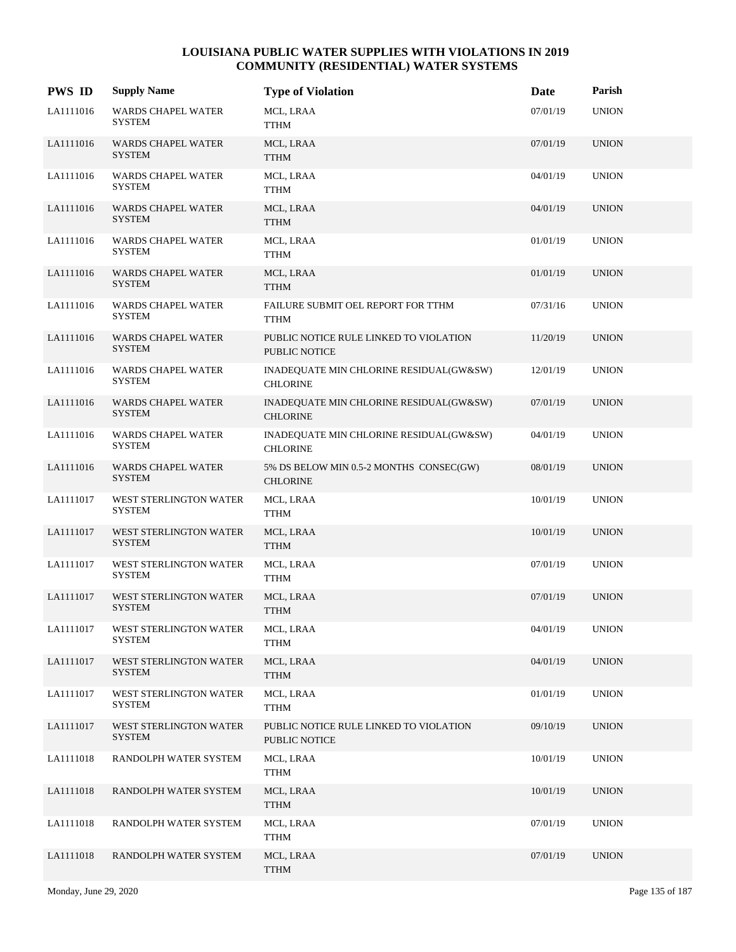| <b>PWS ID</b> | <b>Supply Name</b>                         | <b>Type of Violation</b>                                   | Date     | Parish       |
|---------------|--------------------------------------------|------------------------------------------------------------|----------|--------------|
| LA1111016     | <b>WARDS CHAPEL WATER</b><br><b>SYSTEM</b> | MCL, LRAA<br>TTHM                                          | 07/01/19 | <b>UNION</b> |
| LA1111016     | <b>WARDS CHAPEL WATER</b><br><b>SYSTEM</b> | MCL, LRAA<br><b>TTHM</b>                                   | 07/01/19 | <b>UNION</b> |
| LA1111016     | <b>WARDS CHAPEL WATER</b><br><b>SYSTEM</b> | MCL, LRAA<br><b>TTHM</b>                                   | 04/01/19 | <b>UNION</b> |
| LA1111016     | <b>WARDS CHAPEL WATER</b><br><b>SYSTEM</b> | MCL, LRAA<br><b>TTHM</b>                                   | 04/01/19 | <b>UNION</b> |
| LA1111016     | <b>WARDS CHAPEL WATER</b><br>SYSTEM        | MCL, LRAA<br><b>TTHM</b>                                   | 01/01/19 | <b>UNION</b> |
| LA1111016     | WARDS CHAPEL WATER<br><b>SYSTEM</b>        | MCL, LRAA<br><b>TTHM</b>                                   | 01/01/19 | <b>UNION</b> |
| LA1111016     | WARDS CHAPEL WATER<br><b>SYSTEM</b>        | FAILURE SUBMIT OEL REPORT FOR TTHM<br><b>TTHM</b>          | 07/31/16 | <b>UNION</b> |
| LA1111016     | <b>WARDS CHAPEL WATER</b><br><b>SYSTEM</b> | PUBLIC NOTICE RULE LINKED TO VIOLATION<br>PUBLIC NOTICE    | 11/20/19 | <b>UNION</b> |
| LA1111016     | <b>WARDS CHAPEL WATER</b><br>SYSTEM        | INADEQUATE MIN CHLORINE RESIDUAL(GW&SW)<br><b>CHLORINE</b> | 12/01/19 | <b>UNION</b> |
| LA1111016     | <b>WARDS CHAPEL WATER</b><br><b>SYSTEM</b> | INADEQUATE MIN CHLORINE RESIDUAL(GW&SW)<br><b>CHLORINE</b> | 07/01/19 | <b>UNION</b> |
| LA1111016     | <b>WARDS CHAPEL WATER</b><br><b>SYSTEM</b> | INADEQUATE MIN CHLORINE RESIDUAL(GW&SW)<br><b>CHLORINE</b> | 04/01/19 | <b>UNION</b> |
| LA1111016     | WARDS CHAPEL WATER<br><b>SYSTEM</b>        | 5% DS BELOW MIN 0.5-2 MONTHS CONSEC(GW)<br><b>CHLORINE</b> | 08/01/19 | <b>UNION</b> |
| LA1111017     | WEST STERLINGTON WATER<br><b>SYSTEM</b>    | MCL, LRAA<br><b>TTHM</b>                                   | 10/01/19 | <b>UNION</b> |
| LA1111017     | WEST STERLINGTON WATER<br><b>SYSTEM</b>    | MCL, LRAA<br><b>TTHM</b>                                   | 10/01/19 | <b>UNION</b> |
| LA1111017     | WEST STERLINGTON WATER<br><b>SYSTEM</b>    | MCL, LRAA<br><b>TTHM</b>                                   | 07/01/19 | <b>UNION</b> |
| LA1111017     | WEST STERLINGTON WATER<br><b>SYSTEM</b>    | MCL, LRAA<br><b>TTHM</b>                                   | 07/01/19 | <b>UNION</b> |
| LA1111017     | WEST STERLINGTON WATER<br><b>SYSTEM</b>    | MCL, LRAA<br><b>TTHM</b>                                   | 04/01/19 | <b>UNION</b> |
| LA1111017     | WEST STERLINGTON WATER<br><b>SYSTEM</b>    | MCL, LRAA<br><b>TTHM</b>                                   | 04/01/19 | <b>UNION</b> |
| LA1111017     | WEST STERLINGTON WATER<br><b>SYSTEM</b>    | MCL, LRAA<br><b>TTHM</b>                                   | 01/01/19 | <b>UNION</b> |
| LA1111017     | WEST STERLINGTON WATER<br><b>SYSTEM</b>    | PUBLIC NOTICE RULE LINKED TO VIOLATION<br>PUBLIC NOTICE    | 09/10/19 | <b>UNION</b> |
| LA1111018     | RANDOLPH WATER SYSTEM                      | MCL, LRAA<br><b>TTHM</b>                                   | 10/01/19 | <b>UNION</b> |
| LA1111018     | RANDOLPH WATER SYSTEM                      | MCL, LRAA<br><b>TTHM</b>                                   | 10/01/19 | <b>UNION</b> |
| LA1111018     | RANDOLPH WATER SYSTEM                      | MCL, LRAA<br><b>TTHM</b>                                   | 07/01/19 | <b>UNION</b> |
| LA1111018     | RANDOLPH WATER SYSTEM                      | MCL, LRAA<br><b>TTHM</b>                                   | 07/01/19 | <b>UNION</b> |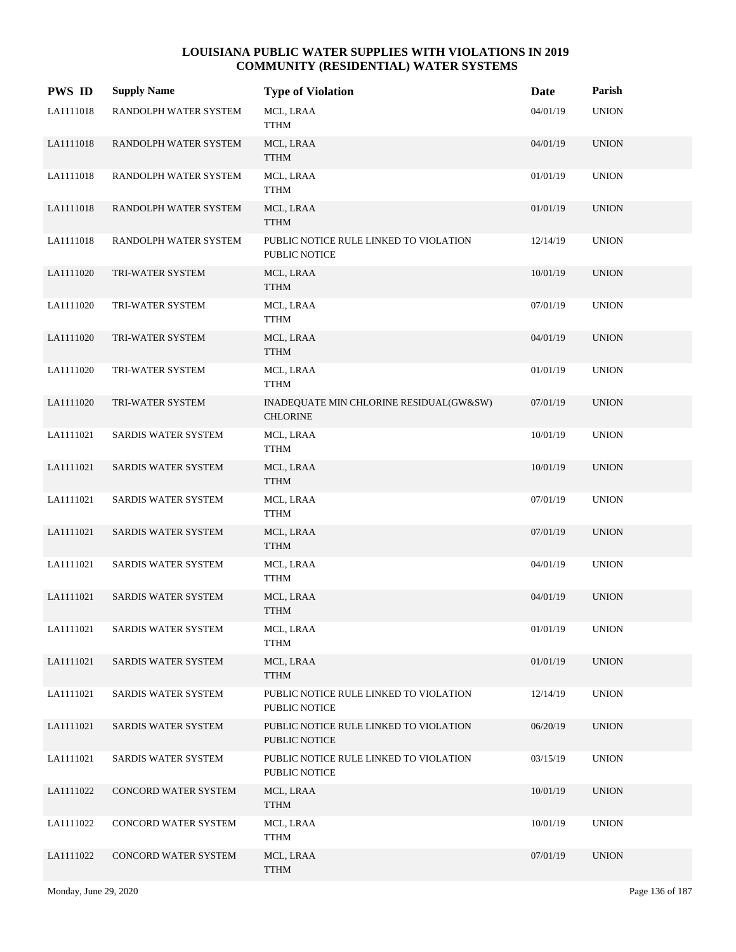| <b>PWS ID</b> | <b>Supply Name</b>    | <b>Type of Violation</b>                                       | Date     | Parish       |
|---------------|-----------------------|----------------------------------------------------------------|----------|--------------|
| LA1111018     | RANDOLPH WATER SYSTEM | MCL, LRAA<br><b>TTHM</b>                                       | 04/01/19 | <b>UNION</b> |
| LA1111018     | RANDOLPH WATER SYSTEM | MCL, LRAA<br><b>TTHM</b>                                       | 04/01/19 | <b>UNION</b> |
| LA1111018     | RANDOLPH WATER SYSTEM | MCL, LRAA<br><b>TTHM</b>                                       | 01/01/19 | <b>UNION</b> |
| LA1111018     | RANDOLPH WATER SYSTEM | MCL, LRAA<br><b>TTHM</b>                                       | 01/01/19 | <b>UNION</b> |
| LA1111018     | RANDOLPH WATER SYSTEM | PUBLIC NOTICE RULE LINKED TO VIOLATION<br><b>PUBLIC NOTICE</b> | 12/14/19 | <b>UNION</b> |
| LA1111020     | TRI-WATER SYSTEM      | MCL, LRAA<br><b>TTHM</b>                                       | 10/01/19 | <b>UNION</b> |
| LA1111020     | TRI-WATER SYSTEM      | MCL, LRAA<br>TTHM                                              | 07/01/19 | <b>UNION</b> |
| LA1111020     | TRI-WATER SYSTEM      | MCL, LRAA<br><b>TTHM</b>                                       | 04/01/19 | <b>UNION</b> |
| LA1111020     | TRI-WATER SYSTEM      | MCL, LRAA<br>TTHM                                              | 01/01/19 | <b>UNION</b> |
| LA1111020     | TRI-WATER SYSTEM      | INADEQUATE MIN CHLORINE RESIDUAL(GW&SW)<br><b>CHLORINE</b>     | 07/01/19 | <b>UNION</b> |
| LA1111021     | SARDIS WATER SYSTEM   | MCL, LRAA<br><b>TTHM</b>                                       | 10/01/19 | <b>UNION</b> |
| LA1111021     | SARDIS WATER SYSTEM   | MCL, LRAA<br><b>TTHM</b>                                       | 10/01/19 | <b>UNION</b> |
| LA1111021     | SARDIS WATER SYSTEM   | MCL, LRAA<br><b>TTHM</b>                                       | 07/01/19 | <b>UNION</b> |
| LA1111021     | SARDIS WATER SYSTEM   | MCL, LRAA<br><b>TTHM</b>                                       | 07/01/19 | <b>UNION</b> |
| LA1111021     | SARDIS WATER SYSTEM   | MCL, LRAA<br><b>TTHM</b>                                       | 04/01/19 | <b>UNION</b> |
| LA1111021     | SARDIS WATER SYSTEM   | MCL, LRAA<br><b>TTHM</b>                                       | 04/01/19 | <b>UNION</b> |
| LA1111021     | SARDIS WATER SYSTEM   | MCL, LRAA<br><b>TTHM</b>                                       | 01/01/19 | <b>UNION</b> |
| LA1111021     | SARDIS WATER SYSTEM   | MCL, LRAA<br><b>TTHM</b>                                       | 01/01/19 | <b>UNION</b> |
| LA1111021     | SARDIS WATER SYSTEM   | PUBLIC NOTICE RULE LINKED TO VIOLATION<br>PUBLIC NOTICE        | 12/14/19 | <b>UNION</b> |
| LA1111021     | SARDIS WATER SYSTEM   | PUBLIC NOTICE RULE LINKED TO VIOLATION<br>PUBLIC NOTICE        | 06/20/19 | <b>UNION</b> |
| LA1111021     | SARDIS WATER SYSTEM   | PUBLIC NOTICE RULE LINKED TO VIOLATION<br>PUBLIC NOTICE        | 03/15/19 | <b>UNION</b> |
| LA1111022     | CONCORD WATER SYSTEM  | MCL, LRAA<br><b>TTHM</b>                                       | 10/01/19 | <b>UNION</b> |
| LA1111022     | CONCORD WATER SYSTEM  | MCL, LRAA<br><b>TTHM</b>                                       | 10/01/19 | <b>UNION</b> |
| LA1111022     | CONCORD WATER SYSTEM  | MCL, LRAA<br><b>TTHM</b>                                       | 07/01/19 | <b>UNION</b> |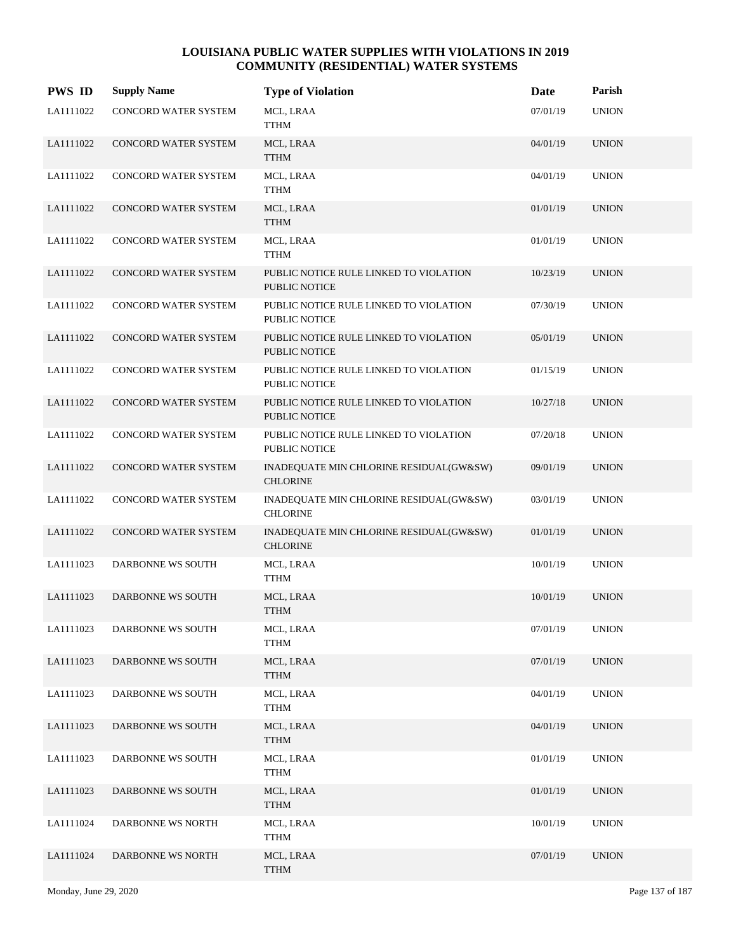| <b>PWS ID</b> | <b>Supply Name</b>          | <b>Type of Violation</b>                                       | Date     | Parish       |
|---------------|-----------------------------|----------------------------------------------------------------|----------|--------------|
| LA1111022     | CONCORD WATER SYSTEM        | MCL, LRAA<br><b>TTHM</b>                                       | 07/01/19 | <b>UNION</b> |
| LA1111022     | CONCORD WATER SYSTEM        | MCL, LRAA<br><b>TTHM</b>                                       | 04/01/19 | <b>UNION</b> |
| LA1111022     | CONCORD WATER SYSTEM        | MCL, LRAA<br><b>TTHM</b>                                       | 04/01/19 | <b>UNION</b> |
| LA1111022     | <b>CONCORD WATER SYSTEM</b> | MCL, LRAA<br><b>TTHM</b>                                       | 01/01/19 | <b>UNION</b> |
| LA1111022     | CONCORD WATER SYSTEM        | MCL, LRAA<br><b>TTHM</b>                                       | 01/01/19 | <b>UNION</b> |
| LA1111022     | CONCORD WATER SYSTEM        | PUBLIC NOTICE RULE LINKED TO VIOLATION<br><b>PUBLIC NOTICE</b> | 10/23/19 | <b>UNION</b> |
| LA1111022     | CONCORD WATER SYSTEM        | PUBLIC NOTICE RULE LINKED TO VIOLATION<br>PUBLIC NOTICE        | 07/30/19 | <b>UNION</b> |
| LA1111022     | <b>CONCORD WATER SYSTEM</b> | PUBLIC NOTICE RULE LINKED TO VIOLATION<br>PUBLIC NOTICE        | 05/01/19 | <b>UNION</b> |
| LA1111022     | CONCORD WATER SYSTEM        | PUBLIC NOTICE RULE LINKED TO VIOLATION<br>PUBLIC NOTICE        | 01/15/19 | <b>UNION</b> |
| LA1111022     | CONCORD WATER SYSTEM        | PUBLIC NOTICE RULE LINKED TO VIOLATION<br>PUBLIC NOTICE        | 10/27/18 | <b>UNION</b> |
| LA1111022     | CONCORD WATER SYSTEM        | PUBLIC NOTICE RULE LINKED TO VIOLATION<br>PUBLIC NOTICE        | 07/20/18 | <b>UNION</b> |
| LA1111022     | CONCORD WATER SYSTEM        | INADEQUATE MIN CHLORINE RESIDUAL(GW&SW)<br><b>CHLORINE</b>     | 09/01/19 | <b>UNION</b> |
| LA1111022     | CONCORD WATER SYSTEM        | INADEQUATE MIN CHLORINE RESIDUAL(GW&SW)<br><b>CHLORINE</b>     | 03/01/19 | <b>UNION</b> |
| LA1111022     | CONCORD WATER SYSTEM        | INADEQUATE MIN CHLORINE RESIDUAL(GW&SW)<br><b>CHLORINE</b>     | 01/01/19 | <b>UNION</b> |
| LA1111023     | DARBONNE WS SOUTH           | MCL, LRAA<br><b>TTHM</b>                                       | 10/01/19 | <b>UNION</b> |
| LA1111023     | DARBONNE WS SOUTH           | MCL, LRAA<br><b>TTHM</b>                                       | 10/01/19 | <b>UNION</b> |
| LA1111023     | DARBONNE WS SOUTH           | MCL, LRAA<br><b>TTHM</b>                                       | 07/01/19 | <b>UNION</b> |
| LA1111023     | DARBONNE WS SOUTH           | MCL, LRAA<br><b>TTHM</b>                                       | 07/01/19 | <b>UNION</b> |
| LA1111023     | DARBONNE WS SOUTH           | MCL, LRAA<br><b>TTHM</b>                                       | 04/01/19 | <b>UNION</b> |
| LA1111023     | DARBONNE WS SOUTH           | MCL, LRAA<br><b>TTHM</b>                                       | 04/01/19 | <b>UNION</b> |
| LA1111023     | DARBONNE WS SOUTH           | MCL, LRAA<br><b>TTHM</b>                                       | 01/01/19 | <b>UNION</b> |
| LA1111023     | DARBONNE WS SOUTH           | MCL, LRAA<br><b>TTHM</b>                                       | 01/01/19 | <b>UNION</b> |
| LA1111024     | DARBONNE WS NORTH           | MCL, LRAA<br><b>TTHM</b>                                       | 10/01/19 | <b>UNION</b> |
| LA1111024     | DARBONNE WS NORTH           | MCL, LRAA<br><b>TTHM</b>                                       | 07/01/19 | <b>UNION</b> |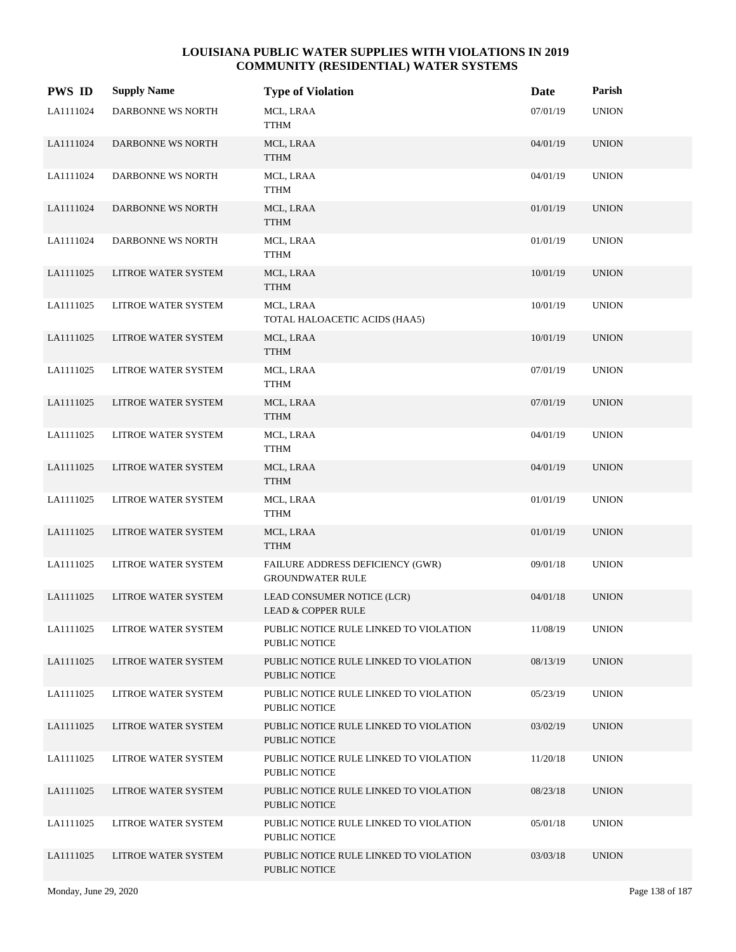| <b>PWS ID</b> | <b>Supply Name</b>  | <b>Type of Violation</b>                                       | Date     | Parish       |
|---------------|---------------------|----------------------------------------------------------------|----------|--------------|
| LA1111024     | DARBONNE WS NORTH   | MCL, LRAA<br><b>TTHM</b>                                       | 07/01/19 | <b>UNION</b> |
| LA1111024     | DARBONNE WS NORTH   | MCL, LRAA<br><b>TTHM</b>                                       | 04/01/19 | <b>UNION</b> |
| LA1111024     | DARBONNE WS NORTH   | MCL, LRAA<br><b>TTHM</b>                                       | 04/01/19 | <b>UNION</b> |
| LA1111024     | DARBONNE WS NORTH   | MCL, LRAA<br><b>TTHM</b>                                       | 01/01/19 | <b>UNION</b> |
| LA1111024     | DARBONNE WS NORTH   | MCL, LRAA<br><b>TTHM</b>                                       | 01/01/19 | <b>UNION</b> |
| LA1111025     | LITROE WATER SYSTEM | MCL, LRAA<br><b>TTHM</b>                                       | 10/01/19 | <b>UNION</b> |
| LA1111025     | LITROE WATER SYSTEM | MCL, LRAA<br>TOTAL HALOACETIC ACIDS (HAA5)                     | 10/01/19 | <b>UNION</b> |
| LA1111025     | LITROE WATER SYSTEM | MCL, LRAA<br><b>TTHM</b>                                       | 10/01/19 | <b>UNION</b> |
| LA1111025     | LITROE WATER SYSTEM | MCL, LRAA<br><b>TTHM</b>                                       | 07/01/19 | <b>UNION</b> |
| LA1111025     | LITROE WATER SYSTEM | MCL, LRAA<br><b>TTHM</b>                                       | 07/01/19 | <b>UNION</b> |
| LA1111025     | LITROE WATER SYSTEM | MCL, LRAA<br><b>TTHM</b>                                       | 04/01/19 | <b>UNION</b> |
| LA1111025     | LITROE WATER SYSTEM | MCL, LRAA<br><b>TTHM</b>                                       | 04/01/19 | <b>UNION</b> |
| LA1111025     | LITROE WATER SYSTEM | MCL, LRAA<br><b>TTHM</b>                                       | 01/01/19 | <b>UNION</b> |
| LA1111025     | LITROE WATER SYSTEM | MCL, LRAA<br><b>TTHM</b>                                       | 01/01/19 | <b>UNION</b> |
| LA1111025     | LITROE WATER SYSTEM | FAILURE ADDRESS DEFICIENCY (GWR)<br><b>GROUNDWATER RULE</b>    | 09/01/18 | <b>UNION</b> |
| LA1111025     | LITROE WATER SYSTEM | LEAD CONSUMER NOTICE (LCR)<br><b>LEAD &amp; COPPER RULE</b>    | 04/01/18 | <b>UNION</b> |
| LA1111025     | LITROE WATER SYSTEM | PUBLIC NOTICE RULE LINKED TO VIOLATION<br>PUBLIC NOTICE        | 11/08/19 | <b>UNION</b> |
| LA1111025     | LITROE WATER SYSTEM | PUBLIC NOTICE RULE LINKED TO VIOLATION<br><b>PUBLIC NOTICE</b> | 08/13/19 | <b>UNION</b> |
| LA1111025     | LITROE WATER SYSTEM | PUBLIC NOTICE RULE LINKED TO VIOLATION<br>PUBLIC NOTICE        | 05/23/19 | <b>UNION</b> |
| LA1111025     | LITROE WATER SYSTEM | PUBLIC NOTICE RULE LINKED TO VIOLATION<br>PUBLIC NOTICE        | 03/02/19 | <b>UNION</b> |
| LA1111025     | LITROE WATER SYSTEM | PUBLIC NOTICE RULE LINKED TO VIOLATION<br>PUBLIC NOTICE        | 11/20/18 | <b>UNION</b> |
| LA1111025     | LITROE WATER SYSTEM | PUBLIC NOTICE RULE LINKED TO VIOLATION<br>PUBLIC NOTICE        | 08/23/18 | <b>UNION</b> |
| LA1111025     | LITROE WATER SYSTEM | PUBLIC NOTICE RULE LINKED TO VIOLATION<br>PUBLIC NOTICE        | 05/01/18 | <b>UNION</b> |
| LA1111025     | LITROE WATER SYSTEM | PUBLIC NOTICE RULE LINKED TO VIOLATION<br>PUBLIC NOTICE        | 03/03/18 | <b>UNION</b> |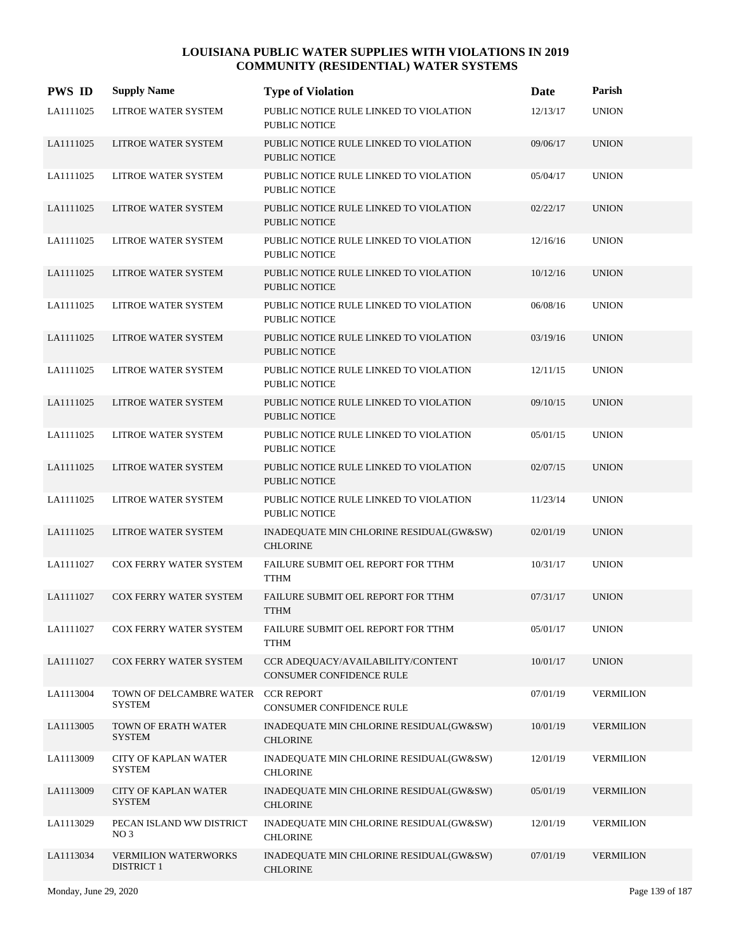| <b>PWS ID</b> | <b>Supply Name</b>                               | <b>Type of Violation</b>                                       | Date     | Parish           |
|---------------|--------------------------------------------------|----------------------------------------------------------------|----------|------------------|
| LA1111025     | LITROE WATER SYSTEM                              | PUBLIC NOTICE RULE LINKED TO VIOLATION<br>PUBLIC NOTICE        | 12/13/17 | <b>UNION</b>     |
| LA1111025     | LITROE WATER SYSTEM                              | PUBLIC NOTICE RULE LINKED TO VIOLATION<br><b>PUBLIC NOTICE</b> | 09/06/17 | <b>UNION</b>     |
| LA1111025     | LITROE WATER SYSTEM                              | PUBLIC NOTICE RULE LINKED TO VIOLATION<br><b>PUBLIC NOTICE</b> | 05/04/17 | <b>UNION</b>     |
| LA1111025     | LITROE WATER SYSTEM                              | PUBLIC NOTICE RULE LINKED TO VIOLATION<br><b>PUBLIC NOTICE</b> | 02/22/17 | <b>UNION</b>     |
| LA1111025     | LITROE WATER SYSTEM                              | PUBLIC NOTICE RULE LINKED TO VIOLATION<br>PUBLIC NOTICE        | 12/16/16 | <b>UNION</b>     |
| LA1111025     | LITROE WATER SYSTEM                              | PUBLIC NOTICE RULE LINKED TO VIOLATION<br><b>PUBLIC NOTICE</b> | 10/12/16 | <b>UNION</b>     |
| LA1111025     | LITROE WATER SYSTEM                              | PUBLIC NOTICE RULE LINKED TO VIOLATION<br><b>PUBLIC NOTICE</b> | 06/08/16 | <b>UNION</b>     |
| LA1111025     | LITROE WATER SYSTEM                              | PUBLIC NOTICE RULE LINKED TO VIOLATION<br><b>PUBLIC NOTICE</b> | 03/19/16 | <b>UNION</b>     |
| LA1111025     | LITROE WATER SYSTEM                              | PUBLIC NOTICE RULE LINKED TO VIOLATION<br><b>PUBLIC NOTICE</b> | 12/11/15 | <b>UNION</b>     |
| LA1111025     | LITROE WATER SYSTEM                              | PUBLIC NOTICE RULE LINKED TO VIOLATION<br><b>PUBLIC NOTICE</b> | 09/10/15 | <b>UNION</b>     |
| LA1111025     | LITROE WATER SYSTEM                              | PUBLIC NOTICE RULE LINKED TO VIOLATION<br><b>PUBLIC NOTICE</b> | 05/01/15 | <b>UNION</b>     |
| LA1111025     | LITROE WATER SYSTEM                              | PUBLIC NOTICE RULE LINKED TO VIOLATION<br><b>PUBLIC NOTICE</b> | 02/07/15 | <b>UNION</b>     |
| LA1111025     | LITROE WATER SYSTEM                              | PUBLIC NOTICE RULE LINKED TO VIOLATION<br><b>PUBLIC NOTICE</b> | 11/23/14 | <b>UNION</b>     |
| LA1111025     | LITROE WATER SYSTEM                              | INADEQUATE MIN CHLORINE RESIDUAL(GW&SW)<br><b>CHLORINE</b>     | 02/01/19 | <b>UNION</b>     |
| LA1111027     | COX FERRY WATER SYSTEM                           | FAILURE SUBMIT OEL REPORT FOR TTHM<br><b>TTHM</b>              | 10/31/17 | <b>UNION</b>     |
| LA1111027     | <b>COX FERRY WATER SYSTEM</b>                    | FAILURE SUBMIT OEL REPORT FOR TTHM<br><b>TTHM</b>              | 07/31/17 | <b>UNION</b>     |
| LA1111027     | COX FERRY WATER SYSTEM                           | FAILURE SUBMIT OEL REPORT FOR TTHM<br>TTHM                     | 05/01/17 | <b>UNION</b>     |
| LA1111027     | COX FERRY WATER SYSTEM                           | CCR ADEOUACY/AVAILABILITY/CONTENT<br>CONSUMER CONFIDENCE RULE  | 10/01/17 | <b>UNION</b>     |
| LA1113004     | TOWN OF DELCAMBRE WATER<br><b>SYSTEM</b>         | <b>CCR REPORT</b><br>CONSUMER CONFIDENCE RULE                  | 07/01/19 | <b>VERMILION</b> |
| LA1113005     | TOWN OF ERATH WATER<br><b>SYSTEM</b>             | INADEQUATE MIN CHLORINE RESIDUAL(GW&SW)<br><b>CHLORINE</b>     | 10/01/19 | <b>VERMILION</b> |
| LA1113009     | <b>CITY OF KAPLAN WATER</b><br><b>SYSTEM</b>     | INADEQUATE MIN CHLORINE RESIDUAL(GW&SW)<br><b>CHLORINE</b>     | 12/01/19 | <b>VERMILION</b> |
| LA1113009     | <b>CITY OF KAPLAN WATER</b><br><b>SYSTEM</b>     | INADEQUATE MIN CHLORINE RESIDUAL(GW&SW)<br><b>CHLORINE</b>     | 05/01/19 | <b>VERMILION</b> |
| LA1113029     | PECAN ISLAND WW DISTRICT<br>NO <sub>3</sub>      | INADEQUATE MIN CHLORINE RESIDUAL(GW&SW)<br><b>CHLORINE</b>     | 12/01/19 | <b>VERMILION</b> |
| LA1113034     | <b>VERMILION WATERWORKS</b><br><b>DISTRICT 1</b> | INADEQUATE MIN CHLORINE RESIDUAL(GW&SW)<br><b>CHLORINE</b>     | 07/01/19 | <b>VERMILION</b> |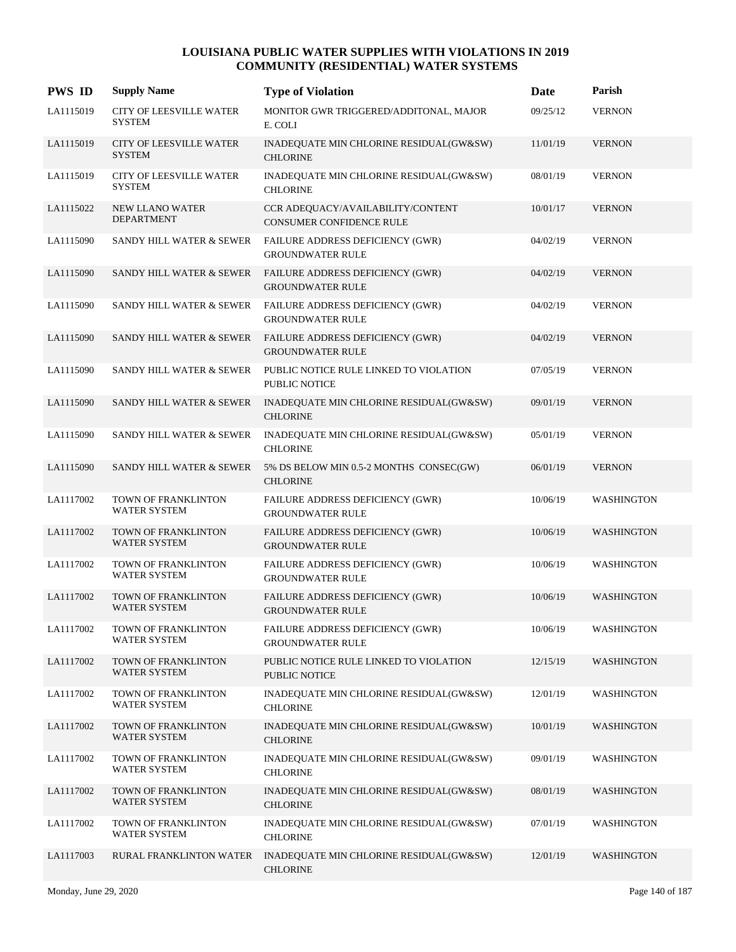| <b>PWS ID</b> | <b>Supply Name</b>                              | <b>Type of Violation</b>                                           | Date     | Parish            |
|---------------|-------------------------------------------------|--------------------------------------------------------------------|----------|-------------------|
| LA1115019     | <b>CITY OF LEESVILLE WATER</b><br><b>SYSTEM</b> | MONITOR GWR TRIGGERED/ADDITONAL, MAJOR<br>E. COLI                  | 09/25/12 | <b>VERNON</b>     |
| LA1115019     | <b>CITY OF LEESVILLE WATER</b><br><b>SYSTEM</b> | INADEQUATE MIN CHLORINE RESIDUAL(GW&SW)<br><b>CHLORINE</b>         | 11/01/19 | <b>VERNON</b>     |
| LA1115019     | <b>CITY OF LEESVILLE WATER</b><br><b>SYSTEM</b> | INADEQUATE MIN CHLORINE RESIDUAL(GW&SW)<br><b>CHLORINE</b>         | 08/01/19 | <b>VERNON</b>     |
| LA1115022     | <b>NEW LLANO WATER</b><br><b>DEPARTMENT</b>     | CCR ADEQUACY/AVAILABILITY/CONTENT<br>CONSUMER CONFIDENCE RULE      | 10/01/17 | <b>VERNON</b>     |
| LA1115090     | SANDY HILL WATER & SEWER                        | FAILURE ADDRESS DEFICIENCY (GWR)<br><b>GROUNDWATER RULE</b>        | 04/02/19 | <b>VERNON</b>     |
| LA1115090     | SANDY HILL WATER & SEWER                        | <b>FAILURE ADDRESS DEFICIENCY (GWR)</b><br><b>GROUNDWATER RULE</b> | 04/02/19 | <b>VERNON</b>     |
| LA1115090     | SANDY HILL WATER & SEWER                        | FAILURE ADDRESS DEFICIENCY (GWR)<br><b>GROUNDWATER RULE</b>        | 04/02/19 | <b>VERNON</b>     |
| LA1115090     | SANDY HILL WATER & SEWER                        | FAILURE ADDRESS DEFICIENCY (GWR)<br><b>GROUNDWATER RULE</b>        | 04/02/19 | <b>VERNON</b>     |
| LA1115090     | SANDY HILL WATER & SEWER                        | PUBLIC NOTICE RULE LINKED TO VIOLATION<br><b>PUBLIC NOTICE</b>     | 07/05/19 | <b>VERNON</b>     |
| LA1115090     | SANDY HILL WATER & SEWER                        | INADEQUATE MIN CHLORINE RESIDUAL(GW&SW)<br><b>CHLORINE</b>         | 09/01/19 | <b>VERNON</b>     |
| LA1115090     | SANDY HILL WATER & SEWER                        | INADEQUATE MIN CHLORINE RESIDUAL(GW&SW)<br><b>CHLORINE</b>         | 05/01/19 | <b>VERNON</b>     |
| LA1115090     | SANDY HILL WATER & SEWER                        | 5% DS BELOW MIN 0.5-2 MONTHS CONSEC(GW)<br><b>CHLORINE</b>         | 06/01/19 | <b>VERNON</b>     |
| LA1117002     | TOWN OF FRANKLINTON<br>WATER SYSTEM             | FAILURE ADDRESS DEFICIENCY (GWR)<br><b>GROUNDWATER RULE</b>        | 10/06/19 | WASHINGTON        |
| LA1117002     | TOWN OF FRANKLINTON<br>WATER SYSTEM             | FAILURE ADDRESS DEFICIENCY (GWR)<br><b>GROUNDWATER RULE</b>        | 10/06/19 | <b>WASHINGTON</b> |
| LA1117002     | TOWN OF FRANKLINTON<br><b>WATER SYSTEM</b>      | FAILURE ADDRESS DEFICIENCY (GWR)<br><b>GROUNDWATER RULE</b>        | 10/06/19 | WASHINGTON        |
| LA1117002     | TOWN OF FRANKLINTON<br><b>WATER SYSTEM</b>      | FAILURE ADDRESS DEFICIENCY (GWR)<br><b>GROUNDWATER RULE</b>        | 10/06/19 | <b>WASHINGTON</b> |
| LA1117002     | TOWN OF FRANKLINTON<br>WATER SYSTEM             | FAILURE ADDRESS DEFICIENCY (GWR)<br><b>GROUNDWATER RULE</b>        | 10/06/19 | WASHINGTON        |
| LA1117002     | TOWN OF FRANKLINTON<br>WATER SYSTEM             | PUBLIC NOTICE RULE LINKED TO VIOLATION<br><b>PUBLIC NOTICE</b>     | 12/15/19 | <b>WASHINGTON</b> |
| LA1117002     | TOWN OF FRANKLINTON<br><b>WATER SYSTEM</b>      | INADEQUATE MIN CHLORINE RESIDUAL(GW&SW)<br><b>CHLORINE</b>         | 12/01/19 | WASHINGTON        |
| LA1117002     | TOWN OF FRANKLINTON<br><b>WATER SYSTEM</b>      | INADEQUATE MIN CHLORINE RESIDUAL(GW&SW)<br><b>CHLORINE</b>         | 10/01/19 | WASHINGTON        |
| LA1117002     | TOWN OF FRANKLINTON<br><b>WATER SYSTEM</b>      | INADEQUATE MIN CHLORINE RESIDUAL(GW&SW)<br><b>CHLORINE</b>         | 09/01/19 | WASHINGTON        |
| LA1117002     | TOWN OF FRANKLINTON<br>WATER SYSTEM             | INADEQUATE MIN CHLORINE RESIDUAL(GW&SW)<br><b>CHLORINE</b>         | 08/01/19 | WASHINGTON        |
| LA1117002     | TOWN OF FRANKLINTON<br><b>WATER SYSTEM</b>      | INADEQUATE MIN CHLORINE RESIDUAL(GW&SW)<br><b>CHLORINE</b>         | 07/01/19 | WASHINGTON        |
| LA1117003     | RURAL FRANKLINTON WATER                         | INADEQUATE MIN CHLORINE RESIDUAL(GW&SW)<br><b>CHLORINE</b>         | 12/01/19 | WASHINGTON        |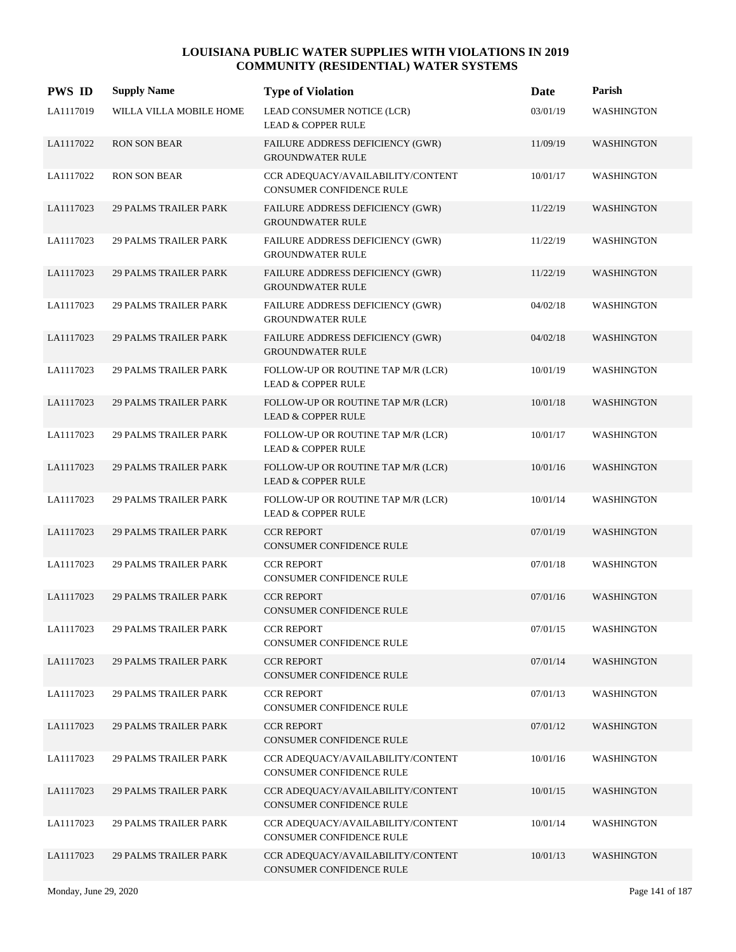| <b>PWS ID</b> | <b>Supply Name</b>           | <b>Type of Violation</b>                                             | Date     | Parish            |
|---------------|------------------------------|----------------------------------------------------------------------|----------|-------------------|
| LA1117019     | WILLA VILLA MOBILE HOME      | LEAD CONSUMER NOTICE (LCR)<br><b>LEAD &amp; COPPER RULE</b>          | 03/01/19 | <b>WASHINGTON</b> |
| LA1117022     | <b>RON SON BEAR</b>          | FAILURE ADDRESS DEFICIENCY (GWR)<br><b>GROUNDWATER RULE</b>          | 11/09/19 | <b>WASHINGTON</b> |
| LA1117022     | <b>RON SON BEAR</b>          | CCR ADEQUACY/AVAILABILITY/CONTENT<br><b>CONSUMER CONFIDENCE RULE</b> | 10/01/17 | <b>WASHINGTON</b> |
| LA1117023     | <b>29 PALMS TRAILER PARK</b> | FAILURE ADDRESS DEFICIENCY (GWR)<br><b>GROUNDWATER RULE</b>          | 11/22/19 | WASHINGTON        |
| LA1117023     | <b>29 PALMS TRAILER PARK</b> | FAILURE ADDRESS DEFICIENCY (GWR)<br><b>GROUNDWATER RULE</b>          | 11/22/19 | WASHINGTON        |
| LA1117023     | <b>29 PALMS TRAILER PARK</b> | FAILURE ADDRESS DEFICIENCY (GWR)<br><b>GROUNDWATER RULE</b>          | 11/22/19 | WASHINGTON        |
| LA1117023     | <b>29 PALMS TRAILER PARK</b> | <b>FAILURE ADDRESS DEFICIENCY (GWR)</b><br><b>GROUNDWATER RULE</b>   | 04/02/18 | WASHINGTON        |
| LA1117023     | <b>29 PALMS TRAILER PARK</b> | FAILURE ADDRESS DEFICIENCY (GWR)<br><b>GROUNDWATER RULE</b>          | 04/02/18 | WASHINGTON        |
| LA1117023     | <b>29 PALMS TRAILER PARK</b> | FOLLOW-UP OR ROUTINE TAP M/R (LCR)<br><b>LEAD &amp; COPPER RULE</b>  | 10/01/19 | WASHINGTON        |
| LA1117023     | <b>29 PALMS TRAILER PARK</b> | FOLLOW-UP OR ROUTINE TAP M/R (LCR)<br><b>LEAD &amp; COPPER RULE</b>  | 10/01/18 | <b>WASHINGTON</b> |
| LA1117023     | <b>29 PALMS TRAILER PARK</b> | FOLLOW-UP OR ROUTINE TAP M/R (LCR)<br><b>LEAD &amp; COPPER RULE</b>  | 10/01/17 | WASHINGTON        |
| LA1117023     | <b>29 PALMS TRAILER PARK</b> | FOLLOW-UP OR ROUTINE TAP M/R (LCR)<br><b>LEAD &amp; COPPER RULE</b>  | 10/01/16 | <b>WASHINGTON</b> |
| LA1117023     | <b>29 PALMS TRAILER PARK</b> | FOLLOW-UP OR ROUTINE TAP M/R (LCR)<br><b>LEAD &amp; COPPER RULE</b>  | 10/01/14 | <b>WASHINGTON</b> |
| LA1117023     | <b>29 PALMS TRAILER PARK</b> | <b>CCR REPORT</b><br>CONSUMER CONFIDENCE RULE                        | 07/01/19 | <b>WASHINGTON</b> |
| LA1117023     | <b>29 PALMS TRAILER PARK</b> | <b>CCR REPORT</b><br>CONSUMER CONFIDENCE RULE                        | 07/01/18 | WASHINGTON        |
| LA1117023     | <b>29 PALMS TRAILER PARK</b> | <b>CCR REPORT</b><br><b>CONSUMER CONFIDENCE RULE</b>                 | 07/01/16 | <b>WASHINGTON</b> |
| LA1117023     | <b>29 PALMS TRAILER PARK</b> | <b>CCR REPORT</b><br>CONSUMER CONFIDENCE RULE                        | 07/01/15 | WASHINGTON        |
| LA1117023     | <b>29 PALMS TRAILER PARK</b> | <b>CCR REPORT</b><br>CONSUMER CONFIDENCE RULE                        | 07/01/14 | WASHINGTON        |
| LA1117023     | <b>29 PALMS TRAILER PARK</b> | <b>CCR REPORT</b><br>CONSUMER CONFIDENCE RULE                        | 07/01/13 | WASHINGTON        |
| LA1117023     | <b>29 PALMS TRAILER PARK</b> | <b>CCR REPORT</b><br>CONSUMER CONFIDENCE RULE                        | 07/01/12 | <b>WASHINGTON</b> |
| LA1117023     | <b>29 PALMS TRAILER PARK</b> | CCR ADEQUACY/AVAILABILITY/CONTENT<br>CONSUMER CONFIDENCE RULE        | 10/01/16 | WASHINGTON        |
| LA1117023     | <b>29 PALMS TRAILER PARK</b> | CCR ADEQUACY/AVAILABILITY/CONTENT<br>CONSUMER CONFIDENCE RULE        | 10/01/15 | <b>WASHINGTON</b> |
| LA1117023     | <b>29 PALMS TRAILER PARK</b> | CCR ADEQUACY/AVAILABILITY/CONTENT<br>CONSUMER CONFIDENCE RULE        | 10/01/14 | <b>WASHINGTON</b> |
| LA1117023     | <b>29 PALMS TRAILER PARK</b> | CCR ADEQUACY/AVAILABILITY/CONTENT<br>CONSUMER CONFIDENCE RULE        | 10/01/13 | <b>WASHINGTON</b> |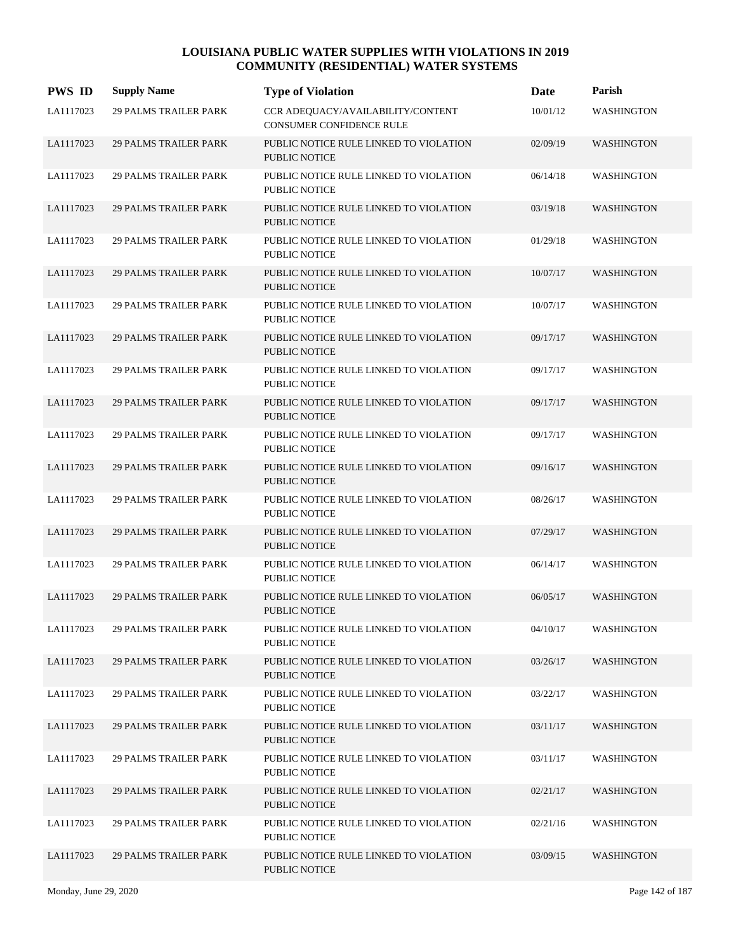| <b>PWS ID</b> | <b>Supply Name</b>           | <b>Type of Violation</b>                                             | Date     | Parish            |
|---------------|------------------------------|----------------------------------------------------------------------|----------|-------------------|
| LA1117023     | <b>29 PALMS TRAILER PARK</b> | CCR ADEQUACY/AVAILABILITY/CONTENT<br><b>CONSUMER CONFIDENCE RULE</b> | 10/01/12 | <b>WASHINGTON</b> |
| LA1117023     | <b>29 PALMS TRAILER PARK</b> | PUBLIC NOTICE RULE LINKED TO VIOLATION<br><b>PUBLIC NOTICE</b>       | 02/09/19 | <b>WASHINGTON</b> |
| LA1117023     | <b>29 PALMS TRAILER PARK</b> | PUBLIC NOTICE RULE LINKED TO VIOLATION<br><b>PUBLIC NOTICE</b>       | 06/14/18 | <b>WASHINGTON</b> |
| LA1117023     | <b>29 PALMS TRAILER PARK</b> | PUBLIC NOTICE RULE LINKED TO VIOLATION<br><b>PUBLIC NOTICE</b>       | 03/19/18 | <b>WASHINGTON</b> |
| LA1117023     | <b>29 PALMS TRAILER PARK</b> | PUBLIC NOTICE RULE LINKED TO VIOLATION<br>PUBLIC NOTICE              | 01/29/18 | WASHINGTON        |
| LA1117023     | <b>29 PALMS TRAILER PARK</b> | PUBLIC NOTICE RULE LINKED TO VIOLATION<br><b>PUBLIC NOTICE</b>       | 10/07/17 | <b>WASHINGTON</b> |
| LA1117023     | <b>29 PALMS TRAILER PARK</b> | PUBLIC NOTICE RULE LINKED TO VIOLATION<br><b>PUBLIC NOTICE</b>       | 10/07/17 | WASHINGTON        |
| LA1117023     | <b>29 PALMS TRAILER PARK</b> | PUBLIC NOTICE RULE LINKED TO VIOLATION<br>PUBLIC NOTICE              | 09/17/17 | <b>WASHINGTON</b> |
| LA1117023     | <b>29 PALMS TRAILER PARK</b> | PUBLIC NOTICE RULE LINKED TO VIOLATION<br>PUBLIC NOTICE              | 09/17/17 | WASHINGTON        |
| LA1117023     | <b>29 PALMS TRAILER PARK</b> | PUBLIC NOTICE RULE LINKED TO VIOLATION<br><b>PUBLIC NOTICE</b>       | 09/17/17 | <b>WASHINGTON</b> |
| LA1117023     | <b>29 PALMS TRAILER PARK</b> | PUBLIC NOTICE RULE LINKED TO VIOLATION<br>PUBLIC NOTICE              | 09/17/17 | <b>WASHINGTON</b> |
| LA1117023     | <b>29 PALMS TRAILER PARK</b> | PUBLIC NOTICE RULE LINKED TO VIOLATION<br>PUBLIC NOTICE              | 09/16/17 | <b>WASHINGTON</b> |
| LA1117023     | <b>29 PALMS TRAILER PARK</b> | PUBLIC NOTICE RULE LINKED TO VIOLATION<br>PUBLIC NOTICE              | 08/26/17 | WASHINGTON        |
| LA1117023     | <b>29 PALMS TRAILER PARK</b> | PUBLIC NOTICE RULE LINKED TO VIOLATION<br><b>PUBLIC NOTICE</b>       | 07/29/17 | <b>WASHINGTON</b> |
| LA1117023     | <b>29 PALMS TRAILER PARK</b> | PUBLIC NOTICE RULE LINKED TO VIOLATION<br><b>PUBLIC NOTICE</b>       | 06/14/17 | <b>WASHINGTON</b> |
| LA1117023     | <b>29 PALMS TRAILER PARK</b> | PUBLIC NOTICE RULE LINKED TO VIOLATION<br>PUBLIC NOTICE              | 06/05/17 | <b>WASHINGTON</b> |
| LA1117023     | <b>29 PALMS TRAILER PARK</b> | PUBLIC NOTICE RULE LINKED TO VIOLATION<br>PUBLIC NOTICE              | 04/10/17 | WASHINGTON        |
| LA1117023     | <b>29 PALMS TRAILER PARK</b> | PUBLIC NOTICE RULE LINKED TO VIOLATION<br>PUBLIC NOTICE              | 03/26/17 | <b>WASHINGTON</b> |
| LA1117023     | <b>29 PALMS TRAILER PARK</b> | PUBLIC NOTICE RULE LINKED TO VIOLATION<br>PUBLIC NOTICE              | 03/22/17 | WASHINGTON        |
| LA1117023     | <b>29 PALMS TRAILER PARK</b> | PUBLIC NOTICE RULE LINKED TO VIOLATION<br>PUBLIC NOTICE              | 03/11/17 | <b>WASHINGTON</b> |
| LA1117023     | <b>29 PALMS TRAILER PARK</b> | PUBLIC NOTICE RULE LINKED TO VIOLATION<br>PUBLIC NOTICE              | 03/11/17 | WASHINGTON        |
| LA1117023     | <b>29 PALMS TRAILER PARK</b> | PUBLIC NOTICE RULE LINKED TO VIOLATION<br>PUBLIC NOTICE              | 02/21/17 | <b>WASHINGTON</b> |
| LA1117023     | <b>29 PALMS TRAILER PARK</b> | PUBLIC NOTICE RULE LINKED TO VIOLATION<br>PUBLIC NOTICE              | 02/21/16 | <b>WASHINGTON</b> |
| LA1117023     | <b>29 PALMS TRAILER PARK</b> | PUBLIC NOTICE RULE LINKED TO VIOLATION<br>PUBLIC NOTICE              | 03/09/15 | <b>WASHINGTON</b> |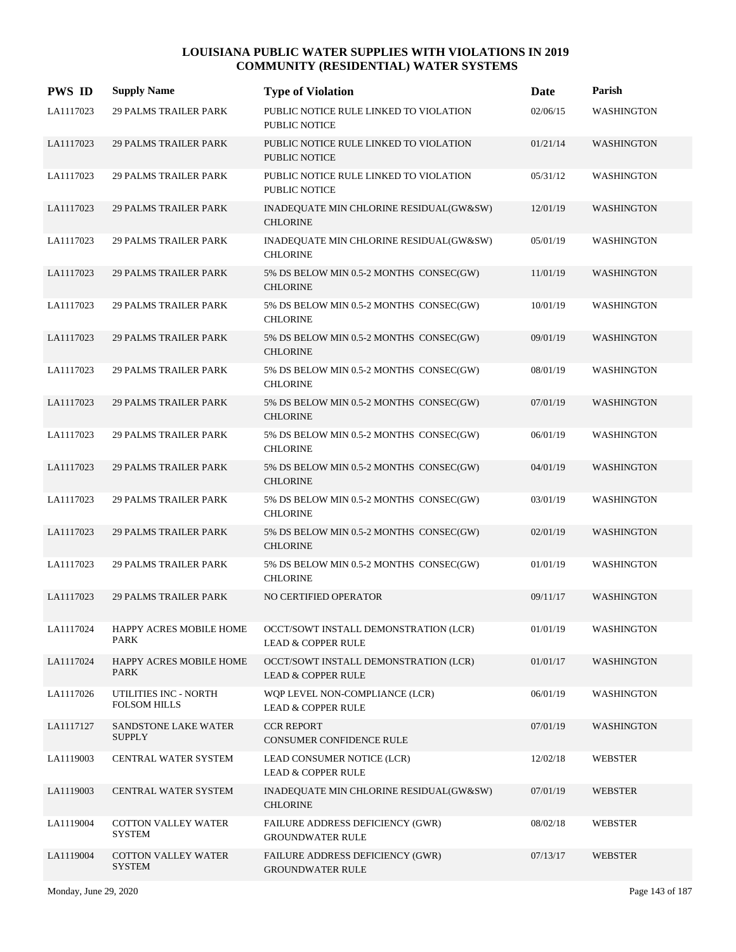| <b>PWS ID</b> | <b>Supply Name</b>                           | <b>Type of Violation</b>                                               | Date     | Parish            |
|---------------|----------------------------------------------|------------------------------------------------------------------------|----------|-------------------|
| LA1117023     | <b>29 PALMS TRAILER PARK</b>                 | PUBLIC NOTICE RULE LINKED TO VIOLATION<br><b>PUBLIC NOTICE</b>         | 02/06/15 | WASHINGTON        |
| LA1117023     | <b>29 PALMS TRAILER PARK</b>                 | PUBLIC NOTICE RULE LINKED TO VIOLATION<br><b>PUBLIC NOTICE</b>         | 01/21/14 | WASHINGTON        |
| LA1117023     | <b>29 PALMS TRAILER PARK</b>                 | PUBLIC NOTICE RULE LINKED TO VIOLATION<br><b>PUBLIC NOTICE</b>         | 05/31/12 | <b>WASHINGTON</b> |
| LA1117023     | <b>29 PALMS TRAILER PARK</b>                 | INADEQUATE MIN CHLORINE RESIDUAL(GW&SW)<br><b>CHLORINE</b>             | 12/01/19 | <b>WASHINGTON</b> |
| LA1117023     | <b>29 PALMS TRAILER PARK</b>                 | INADEQUATE MIN CHLORINE RESIDUAL(GW&SW)<br><b>CHLORINE</b>             | 05/01/19 | <b>WASHINGTON</b> |
| LA1117023     | <b>29 PALMS TRAILER PARK</b>                 | 5% DS BELOW MIN 0.5-2 MONTHS CONSEC(GW)<br><b>CHLORINE</b>             | 11/01/19 | <b>WASHINGTON</b> |
| LA1117023     | <b>29 PALMS TRAILER PARK</b>                 | 5% DS BELOW MIN 0.5-2 MONTHS CONSEC(GW)<br><b>CHLORINE</b>             | 10/01/19 | <b>WASHINGTON</b> |
| LA1117023     | <b>29 PALMS TRAILER PARK</b>                 | 5% DS BELOW MIN 0.5-2 MONTHS CONSEC(GW)<br><b>CHLORINE</b>             | 09/01/19 | <b>WASHINGTON</b> |
| LA1117023     | <b>29 PALMS TRAILER PARK</b>                 | 5% DS BELOW MIN 0.5-2 MONTHS CONSEC(GW)<br><b>CHLORINE</b>             | 08/01/19 | <b>WASHINGTON</b> |
| LA1117023     | <b>29 PALMS TRAILER PARK</b>                 | 5% DS BELOW MIN 0.5-2 MONTHS CONSEC(GW)<br><b>CHLORINE</b>             | 07/01/19 | <b>WASHINGTON</b> |
| LA1117023     | <b>29 PALMS TRAILER PARK</b>                 | 5% DS BELOW MIN 0.5-2 MONTHS CONSEC(GW)<br><b>CHLORINE</b>             | 06/01/19 | WASHINGTON        |
| LA1117023     | <b>29 PALMS TRAILER PARK</b>                 | 5% DS BELOW MIN 0.5-2 MONTHS CONSEC(GW)<br><b>CHLORINE</b>             | 04/01/19 | <b>WASHINGTON</b> |
| LA1117023     | <b>29 PALMS TRAILER PARK</b>                 | 5% DS BELOW MIN 0.5-2 MONTHS CONSEC(GW)<br><b>CHLORINE</b>             | 03/01/19 | <b>WASHINGTON</b> |
| LA1117023     | <b>29 PALMS TRAILER PARK</b>                 | 5% DS BELOW MIN 0.5-2 MONTHS CONSEC(GW)<br><b>CHLORINE</b>             | 02/01/19 | <b>WASHINGTON</b> |
| LA1117023     | <b>29 PALMS TRAILER PARK</b>                 | 5% DS BELOW MIN 0.5-2 MONTHS CONSEC(GW)<br><b>CHLORINE</b>             | 01/01/19 | WASHINGTON        |
| LA1117023     | <b>29 PALMS TRAILER PARK</b>                 | NO CERTIFIED OPERATOR                                                  | 09/11/17 | WASHINGTON        |
| LA1117024     | HAPPY ACRES MOBILE HOME<br>PARK              | OCCT/SOWT INSTALL DEMONSTRATION (LCR)<br><b>LEAD &amp; COPPER RULE</b> | 01/01/19 | WASHINGTON        |
| LA1117024     | HAPPY ACRES MOBILE HOME<br><b>PARK</b>       | OCCT/SOWT INSTALL DEMONSTRATION (LCR)<br><b>LEAD &amp; COPPER RULE</b> | 01/01/17 | WASHINGTON        |
| LA1117026     | UTILITIES INC - NORTH<br><b>FOLSOM HILLS</b> | WQP LEVEL NON-COMPLIANCE (LCR)<br><b>LEAD &amp; COPPER RULE</b>        | 06/01/19 | WASHINGTON        |
| LA1117127     | SANDSTONE LAKE WATER<br><b>SUPPLY</b>        | <b>CCR REPORT</b><br>CONSUMER CONFIDENCE RULE                          | 07/01/19 | <b>WASHINGTON</b> |
| LA1119003     | CENTRAL WATER SYSTEM                         | LEAD CONSUMER NOTICE (LCR)<br><b>LEAD &amp; COPPER RULE</b>            | 12/02/18 | WEBSTER           |
| LA1119003     | CENTRAL WATER SYSTEM                         | INADEQUATE MIN CHLORINE RESIDUAL(GW&SW)<br><b>CHLORINE</b>             | 07/01/19 | <b>WEBSTER</b>    |
| LA1119004     | <b>COTTON VALLEY WATER</b><br>SYSTEM         | FAILURE ADDRESS DEFICIENCY (GWR)<br><b>GROUNDWATER RULE</b>            | 08/02/18 | WEBSTER           |
| LA1119004     | <b>COTTON VALLEY WATER</b><br><b>SYSTEM</b>  | FAILURE ADDRESS DEFICIENCY (GWR)<br><b>GROUNDWATER RULE</b>            | 07/13/17 | <b>WEBSTER</b>    |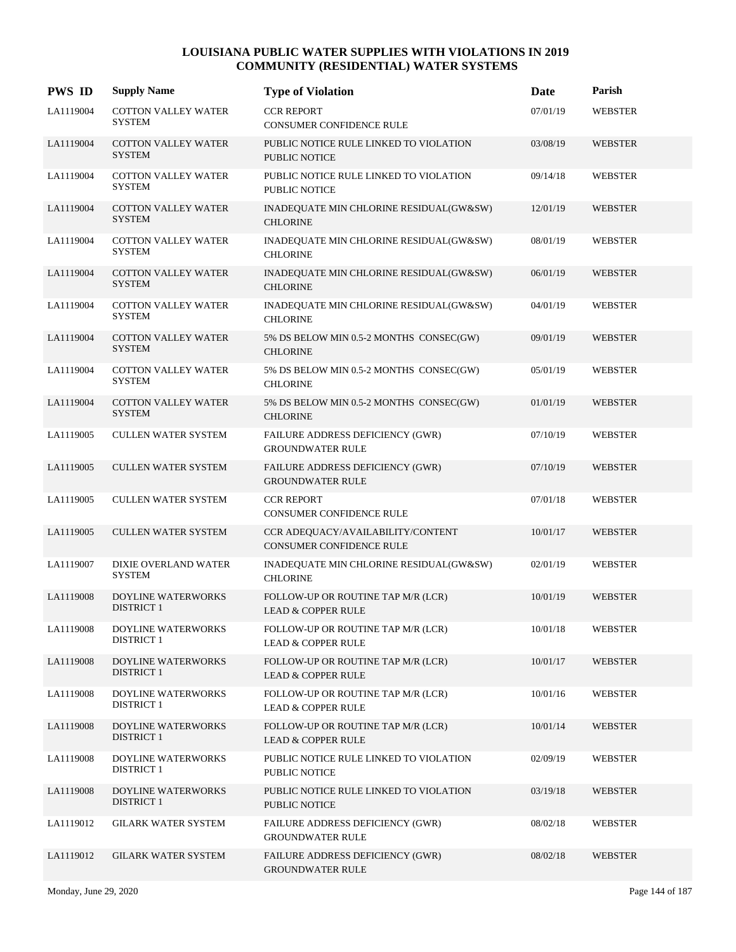| <b>PWS ID</b> | <b>Supply Name</b>                             | <b>Type of Violation</b>                                             | Date     | Parish         |
|---------------|------------------------------------------------|----------------------------------------------------------------------|----------|----------------|
| LA1119004     | COTTON VALLEY WATER<br><b>SYSTEM</b>           | <b>CCR REPORT</b><br>CONSUMER CONFIDENCE RULE                        | 07/01/19 | <b>WEBSTER</b> |
| LA1119004     | <b>COTTON VALLEY WATER</b><br><b>SYSTEM</b>    | PUBLIC NOTICE RULE LINKED TO VIOLATION<br><b>PUBLIC NOTICE</b>       | 03/08/19 | <b>WEBSTER</b> |
| LA1119004     | COTTON VALLEY WATER<br><b>SYSTEM</b>           | PUBLIC NOTICE RULE LINKED TO VIOLATION<br><b>PUBLIC NOTICE</b>       | 09/14/18 | <b>WEBSTER</b> |
| LA1119004     | <b>COTTON VALLEY WATER</b><br><b>SYSTEM</b>    | INADEQUATE MIN CHLORINE RESIDUAL(GW&SW)<br><b>CHLORINE</b>           | 12/01/19 | <b>WEBSTER</b> |
| LA1119004     | <b>COTTON VALLEY WATER</b><br><b>SYSTEM</b>    | INADEQUATE MIN CHLORINE RESIDUAL(GW&SW)<br><b>CHLORINE</b>           | 08/01/19 | <b>WEBSTER</b> |
| LA1119004     | <b>COTTON VALLEY WATER</b><br><b>SYSTEM</b>    | INADEQUATE MIN CHLORINE RESIDUAL(GW&SW)<br><b>CHLORINE</b>           | 06/01/19 | <b>WEBSTER</b> |
| LA1119004     | <b>COTTON VALLEY WATER</b><br><b>SYSTEM</b>    | INADEQUATE MIN CHLORINE RESIDUAL(GW&SW)<br><b>CHLORINE</b>           | 04/01/19 | <b>WEBSTER</b> |
| LA1119004     | <b>COTTON VALLEY WATER</b><br><b>SYSTEM</b>    | 5% DS BELOW MIN 0.5-2 MONTHS CONSEC(GW)<br><b>CHLORINE</b>           | 09/01/19 | <b>WEBSTER</b> |
| LA1119004     | <b>COTTON VALLEY WATER</b><br><b>SYSTEM</b>    | 5% DS BELOW MIN 0.5-2 MONTHS CONSEC(GW)<br><b>CHLORINE</b>           | 05/01/19 | <b>WEBSTER</b> |
| LA1119004     | COTTON VALLEY WATER<br><b>SYSTEM</b>           | 5% DS BELOW MIN 0.5-2 MONTHS CONSEC(GW)<br><b>CHLORINE</b>           | 01/01/19 | <b>WEBSTER</b> |
| LA1119005     | <b>CULLEN WATER SYSTEM</b>                     | FAILURE ADDRESS DEFICIENCY (GWR)<br><b>GROUNDWATER RULE</b>          | 07/10/19 | <b>WEBSTER</b> |
| LA1119005     | <b>CULLEN WATER SYSTEM</b>                     | FAILURE ADDRESS DEFICIENCY (GWR)<br><b>GROUNDWATER RULE</b>          | 07/10/19 | <b>WEBSTER</b> |
| LA1119005     | <b>CULLEN WATER SYSTEM</b>                     | <b>CCR REPORT</b><br>CONSUMER CONFIDENCE RULE                        | 07/01/18 | <b>WEBSTER</b> |
| LA1119005     | <b>CULLEN WATER SYSTEM</b>                     | CCR ADEQUACY/AVAILABILITY/CONTENT<br><b>CONSUMER CONFIDENCE RULE</b> | 10/01/17 | <b>WEBSTER</b> |
| LA1119007     | DIXIE OVERLAND WATER<br><b>SYSTEM</b>          | INADEQUATE MIN CHLORINE RESIDUAL(GW&SW)<br><b>CHLORINE</b>           | 02/01/19 | <b>WEBSTER</b> |
| LA1119008     | DOYLINE WATERWORKS<br><b>DISTRICT 1</b>        | FOLLOW-UP OR ROUTINE TAP M/R (LCR)<br><b>LEAD &amp; COPPER RULE</b>  | 10/01/19 | <b>WEBSTER</b> |
| LA1119008     | DOYLINE WATERWORKS<br><b>DISTRICT 1</b>        | FOLLOW-UP OR ROUTINE TAP M/R (LCR)<br><b>LEAD &amp; COPPER RULE</b>  | 10/01/18 | <b>WEBSTER</b> |
| LA1119008     | <b>DOYLINE WATERWORKS</b><br><b>DISTRICT 1</b> | FOLLOW-UP OR ROUTINE TAP M/R (LCR)<br><b>LEAD &amp; COPPER RULE</b>  | 10/01/17 | <b>WEBSTER</b> |
| LA1119008     | DOYLINE WATERWORKS<br><b>DISTRICT 1</b>        | FOLLOW-UP OR ROUTINE TAP M/R (LCR)<br><b>LEAD &amp; COPPER RULE</b>  | 10/01/16 | <b>WEBSTER</b> |
| LA1119008     | <b>DOYLINE WATERWORKS</b><br><b>DISTRICT 1</b> | FOLLOW-UP OR ROUTINE TAP M/R (LCR)<br><b>LEAD &amp; COPPER RULE</b>  | 10/01/14 | <b>WEBSTER</b> |
| LA1119008     | DOYLINE WATERWORKS<br><b>DISTRICT 1</b>        | PUBLIC NOTICE RULE LINKED TO VIOLATION<br>PUBLIC NOTICE              | 02/09/19 | <b>WEBSTER</b> |
| LA1119008     | DOYLINE WATERWORKS<br><b>DISTRICT 1</b>        | PUBLIC NOTICE RULE LINKED TO VIOLATION<br>PUBLIC NOTICE              | 03/19/18 | <b>WEBSTER</b> |
| LA1119012     | <b>GILARK WATER SYSTEM</b>                     | FAILURE ADDRESS DEFICIENCY (GWR)<br><b>GROUNDWATER RULE</b>          | 08/02/18 | WEBSTER        |
| LA1119012     | <b>GILARK WATER SYSTEM</b>                     | FAILURE ADDRESS DEFICIENCY (GWR)<br><b>GROUNDWATER RULE</b>          | 08/02/18 | <b>WEBSTER</b> |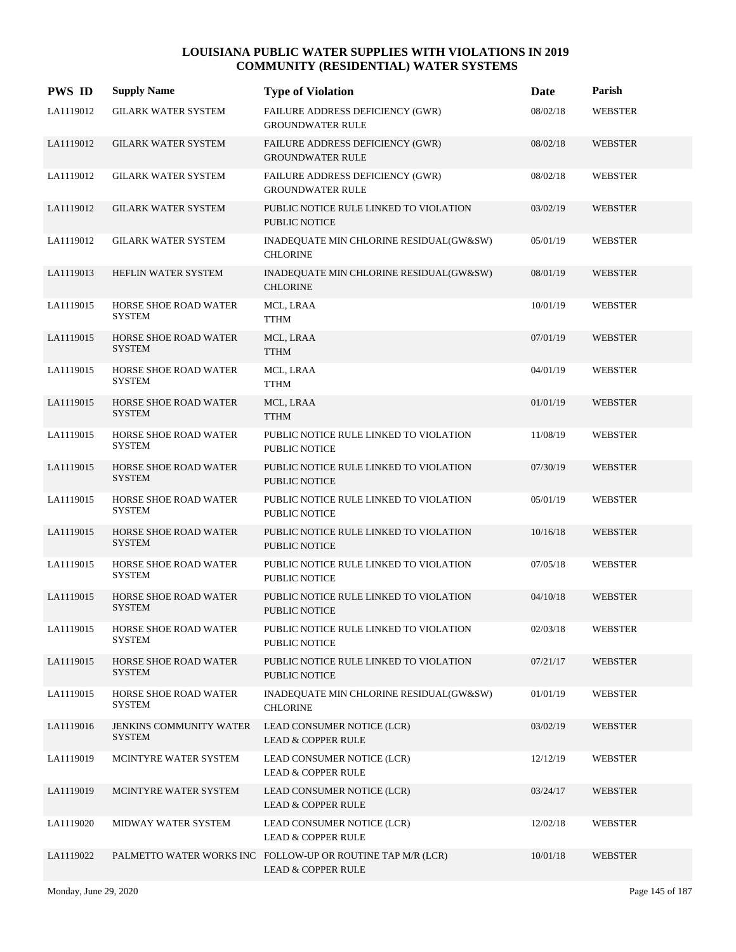| <b>PWS ID</b> | <b>Supply Name</b>                              | <b>Type of Violation</b>                                                                     | Date     | Parish         |
|---------------|-------------------------------------------------|----------------------------------------------------------------------------------------------|----------|----------------|
| LA1119012     | <b>GILARK WATER SYSTEM</b>                      | FAILURE ADDRESS DEFICIENCY (GWR)<br><b>GROUNDWATER RULE</b>                                  | 08/02/18 | <b>WEBSTER</b> |
| LA1119012     | <b>GILARK WATER SYSTEM</b>                      | FAILURE ADDRESS DEFICIENCY (GWR)<br><b>GROUNDWATER RULE</b>                                  | 08/02/18 | <b>WEBSTER</b> |
| LA1119012     | <b>GILARK WATER SYSTEM</b>                      | FAILURE ADDRESS DEFICIENCY (GWR)<br><b>GROUNDWATER RULE</b>                                  | 08/02/18 | <b>WEBSTER</b> |
| LA1119012     | <b>GILARK WATER SYSTEM</b>                      | PUBLIC NOTICE RULE LINKED TO VIOLATION<br><b>PUBLIC NOTICE</b>                               | 03/02/19 | <b>WEBSTER</b> |
| LA1119012     | <b>GILARK WATER SYSTEM</b>                      | INADEQUATE MIN CHLORINE RESIDUAL(GW&SW)<br><b>CHLORINE</b>                                   | 05/01/19 | <b>WEBSTER</b> |
| LA1119013     | HEFLIN WATER SYSTEM                             | INADEQUATE MIN CHLORINE RESIDUAL(GW&SW)<br><b>CHLORINE</b>                                   | 08/01/19 | <b>WEBSTER</b> |
| LA1119015     | HORSE SHOE ROAD WATER<br><b>SYSTEM</b>          | MCL, LRAA<br><b>TTHM</b>                                                                     | 10/01/19 | <b>WEBSTER</b> |
| LA1119015     | <b>HORSE SHOE ROAD WATER</b><br><b>SYSTEM</b>   | MCL, LRAA<br><b>TTHM</b>                                                                     | 07/01/19 | <b>WEBSTER</b> |
| LA1119015     | HORSE SHOE ROAD WATER<br><b>SYSTEM</b>          | MCL, LRAA<br><b>TTHM</b>                                                                     | 04/01/19 | <b>WEBSTER</b> |
| LA1119015     | HORSE SHOE ROAD WATER<br><b>SYSTEM</b>          | MCL, LRAA<br><b>TTHM</b>                                                                     | 01/01/19 | WEBSTER        |
| LA1119015     | HORSE SHOE ROAD WATER<br><b>SYSTEM</b>          | PUBLIC NOTICE RULE LINKED TO VIOLATION<br>PUBLIC NOTICE                                      | 11/08/19 | WEBSTER        |
| LA1119015     | <b>HORSE SHOE ROAD WATER</b><br><b>SYSTEM</b>   | PUBLIC NOTICE RULE LINKED TO VIOLATION<br><b>PUBLIC NOTICE</b>                               | 07/30/19 | <b>WEBSTER</b> |
| LA1119015     | HORSE SHOE ROAD WATER<br>SYSTEM                 | PUBLIC NOTICE RULE LINKED TO VIOLATION<br>PUBLIC NOTICE                                      | 05/01/19 | <b>WEBSTER</b> |
| LA1119015     | HORSE SHOE ROAD WATER<br><b>SYSTEM</b>          | PUBLIC NOTICE RULE LINKED TO VIOLATION<br><b>PUBLIC NOTICE</b>                               | 10/16/18 | <b>WEBSTER</b> |
| LA1119015     | HORSE SHOE ROAD WATER<br><b>SYSTEM</b>          | PUBLIC NOTICE RULE LINKED TO VIOLATION<br>PUBLIC NOTICE                                      | 07/05/18 | WEBSTER        |
| LA1119015     | <b>HORSE SHOE ROAD WATER</b><br>SYSTEM          | PUBLIC NOTICE RULE LINKED TO VIOLATION<br>PUBLIC NOTICE                                      | 04/10/18 | WEBSTER        |
| LA1119015     | HORSE SHOE ROAD WATER<br>SYSTEM                 | PUBLIC NOTICE RULE LINKED TO VIOLATION<br>PUBLIC NOTICE                                      | 02/03/18 | WEBSTER        |
| LA1119015     | HORSE SHOE ROAD WATER<br>SYSTEM                 | PUBLIC NOTICE RULE LINKED TO VIOLATION<br>PUBLIC NOTICE                                      | 07/21/17 | WEBSTER        |
| LA1119015     | HORSE SHOE ROAD WATER<br>SYSTEM                 | INADEQUATE MIN CHLORINE RESIDUAL(GW&SW)<br><b>CHLORINE</b>                                   | 01/01/19 | <b>WEBSTER</b> |
| LA1119016     | <b>JENKINS COMMUNITY WATER</b><br><b>SYSTEM</b> | LEAD CONSUMER NOTICE (LCR)<br><b>LEAD &amp; COPPER RULE</b>                                  | 03/02/19 | WEBSTER        |
| LA1119019     | MCINTYRE WATER SYSTEM                           | LEAD CONSUMER NOTICE (LCR)<br><b>LEAD &amp; COPPER RULE</b>                                  | 12/12/19 | <b>WEBSTER</b> |
| LA1119019     | MCINTYRE WATER SYSTEM                           | LEAD CONSUMER NOTICE (LCR)<br><b>LEAD &amp; COPPER RULE</b>                                  | 03/24/17 | WEBSTER        |
| LA1119020     | MIDWAY WATER SYSTEM                             | LEAD CONSUMER NOTICE (LCR)<br><b>LEAD &amp; COPPER RULE</b>                                  | 12/02/18 | WEBSTER        |
| LA1119022     |                                                 | PALMETTO WATER WORKS INC FOLLOW-UP OR ROUTINE TAP M/R (LCR)<br><b>LEAD &amp; COPPER RULE</b> | 10/01/18 | <b>WEBSTER</b> |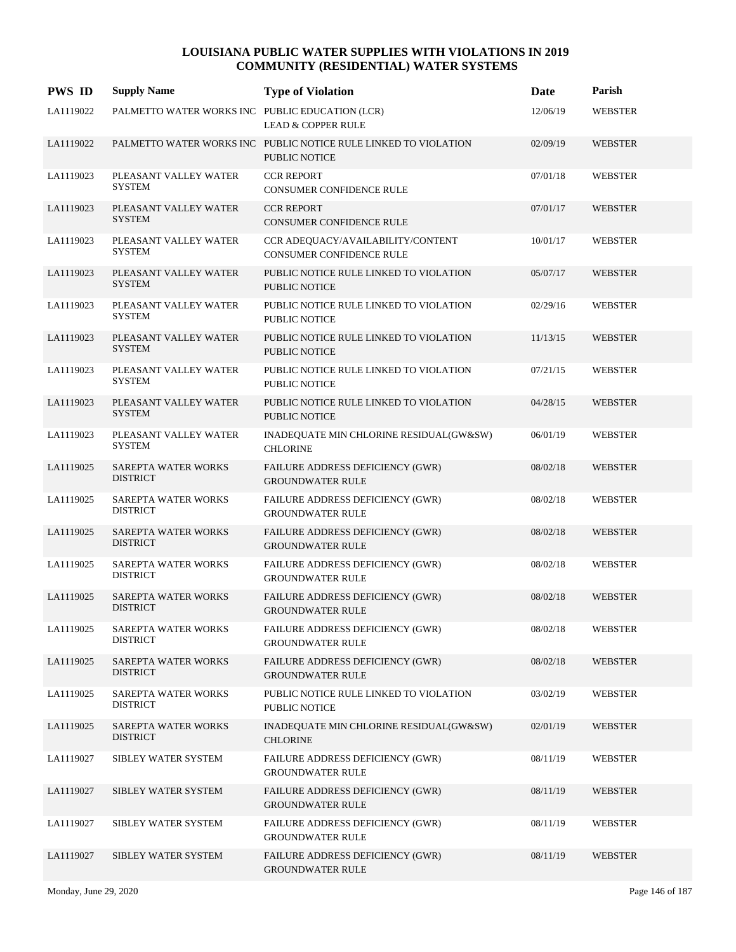| <b>PWS ID</b> | <b>Supply Name</b>                              | <b>Type of Violation</b>                                                                | Date     | Parish         |
|---------------|-------------------------------------------------|-----------------------------------------------------------------------------------------|----------|----------------|
| LA1119022     | PALMETTO WATER WORKS INC PUBLIC EDUCATION (LCR) | <b>LEAD &amp; COPPER RULE</b>                                                           | 12/06/19 | <b>WEBSTER</b> |
| LA1119022     |                                                 | PALMETTO WATER WORKS INC PUBLIC NOTICE RULE LINKED TO VIOLATION<br><b>PUBLIC NOTICE</b> | 02/09/19 | <b>WEBSTER</b> |
| LA1119023     | PLEASANT VALLEY WATER<br><b>SYSTEM</b>          | <b>CCR REPORT</b><br>CONSUMER CONFIDENCE RULE                                           | 07/01/18 | WEBSTER        |
| LA1119023     | PLEASANT VALLEY WATER<br><b>SYSTEM</b>          | <b>CCR REPORT</b><br><b>CONSUMER CONFIDENCE RULE</b>                                    | 07/01/17 | <b>WEBSTER</b> |
| LA1119023     | PLEASANT VALLEY WATER<br><b>SYSTEM</b>          | CCR ADEOUACY/AVAILABILITY/CONTENT<br><b>CONSUMER CONFIDENCE RULE</b>                    | 10/01/17 | <b>WEBSTER</b> |
| LA1119023     | PLEASANT VALLEY WATER<br><b>SYSTEM</b>          | PUBLIC NOTICE RULE LINKED TO VIOLATION<br>PUBLIC NOTICE                                 | 05/07/17 | WEBSTER        |
| LA1119023     | PLEASANT VALLEY WATER<br><b>SYSTEM</b>          | PUBLIC NOTICE RULE LINKED TO VIOLATION<br>PUBLIC NOTICE                                 | 02/29/16 | <b>WEBSTER</b> |
| LA1119023     | PLEASANT VALLEY WATER<br><b>SYSTEM</b>          | PUBLIC NOTICE RULE LINKED TO VIOLATION<br>PUBLIC NOTICE                                 | 11/13/15 | <b>WEBSTER</b> |
| LA1119023     | PLEASANT VALLEY WATER<br><b>SYSTEM</b>          | PUBLIC NOTICE RULE LINKED TO VIOLATION<br>PUBLIC NOTICE                                 | 07/21/15 | <b>WEBSTER</b> |
| LA1119023     | PLEASANT VALLEY WATER<br><b>SYSTEM</b>          | PUBLIC NOTICE RULE LINKED TO VIOLATION<br>PUBLIC NOTICE                                 | 04/28/15 | <b>WEBSTER</b> |
| LA1119023     | PLEASANT VALLEY WATER<br><b>SYSTEM</b>          | INADEQUATE MIN CHLORINE RESIDUAL(GW&SW)<br><b>CHLORINE</b>                              | 06/01/19 | <b>WEBSTER</b> |
| LA1119025     | <b>SAREPTA WATER WORKS</b><br><b>DISTRICT</b>   | FAILURE ADDRESS DEFICIENCY (GWR)<br><b>GROUNDWATER RULE</b>                             | 08/02/18 | <b>WEBSTER</b> |
| LA1119025     | SAREPTA WATER WORKS<br><b>DISTRICT</b>          | FAILURE ADDRESS DEFICIENCY (GWR)<br><b>GROUNDWATER RULE</b>                             | 08/02/18 | <b>WEBSTER</b> |
| LA1119025     | SAREPTA WATER WORKS<br><b>DISTRICT</b>          | FAILURE ADDRESS DEFICIENCY (GWR)<br><b>GROUNDWATER RULE</b>                             | 08/02/18 | <b>WEBSTER</b> |
| LA1119025     | SAREPTA WATER WORKS<br><b>DISTRICT</b>          | FAILURE ADDRESS DEFICIENCY (GWR)<br><b>GROUNDWATER RULE</b>                             | 08/02/18 | <b>WEBSTER</b> |
| LA1119025     | <b>SAREPTA WATER WORKS</b><br><b>DISTRICT</b>   | FAILURE ADDRESS DEFICIENCY (GWR)<br><b>GROUNDWATER RULE</b>                             | 08/02/18 | <b>WEBSTER</b> |
| LA1119025     | SAREPTA WATER WORKS<br><b>DISTRICT</b>          | FAILURE ADDRESS DEFICIENCY (GWR)<br><b>GROUNDWATER RULE</b>                             | 08/02/18 | <b>WEBSTER</b> |
| LA1119025     | SAREPTA WATER WORKS<br><b>DISTRICT</b>          | FAILURE ADDRESS DEFICIENCY (GWR)<br><b>GROUNDWATER RULE</b>                             | 08/02/18 | WEBSTER        |
| LA1119025     | SAREPTA WATER WORKS<br><b>DISTRICT</b>          | PUBLIC NOTICE RULE LINKED TO VIOLATION<br>PUBLIC NOTICE                                 | 03/02/19 | WEBSTER        |
| LA1119025     | SAREPTA WATER WORKS<br><b>DISTRICT</b>          | INADEQUATE MIN CHLORINE RESIDUAL(GW&SW)<br><b>CHLORINE</b>                              | 02/01/19 | WEBSTER        |
| LA1119027     | SIBLEY WATER SYSTEM                             | FAILURE ADDRESS DEFICIENCY (GWR)<br><b>GROUNDWATER RULE</b>                             | 08/11/19 | <b>WEBSTER</b> |
| LA1119027     | SIBLEY WATER SYSTEM                             | <b>FAILURE ADDRESS DEFICIENCY (GWR)</b><br><b>GROUNDWATER RULE</b>                      | 08/11/19 | WEBSTER        |
| LA1119027     | SIBLEY WATER SYSTEM                             | FAILURE ADDRESS DEFICIENCY (GWR)<br><b>GROUNDWATER RULE</b>                             | 08/11/19 | WEBSTER        |
| LA1119027     | SIBLEY WATER SYSTEM                             | FAILURE ADDRESS DEFICIENCY (GWR)<br><b>GROUNDWATER RULE</b>                             | 08/11/19 | WEBSTER        |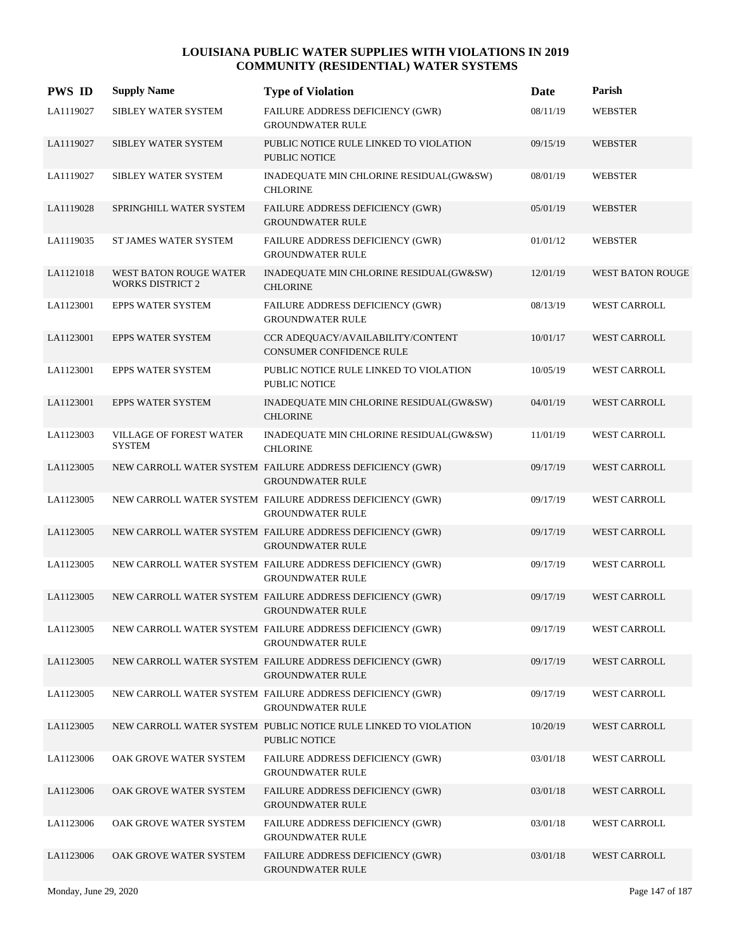| <b>PWS ID</b> | <b>Supply Name</b>                                | <b>Type of Violation</b>                                                                | <b>Date</b> | Parish              |
|---------------|---------------------------------------------------|-----------------------------------------------------------------------------------------|-------------|---------------------|
| LA1119027     | SIBLEY WATER SYSTEM                               | FAILURE ADDRESS DEFICIENCY (GWR)<br><b>GROUNDWATER RULE</b>                             | 08/11/19    | <b>WEBSTER</b>      |
| LA1119027     | SIBLEY WATER SYSTEM                               | PUBLIC NOTICE RULE LINKED TO VIOLATION<br><b>PUBLIC NOTICE</b>                          | 09/15/19    | <b>WEBSTER</b>      |
| LA1119027     | SIBLEY WATER SYSTEM                               | INADEQUATE MIN CHLORINE RESIDUAL(GW&SW)<br><b>CHLORINE</b>                              | 08/01/19    | <b>WEBSTER</b>      |
| LA1119028     | SPRINGHILL WATER SYSTEM                           | FAILURE ADDRESS DEFICIENCY (GWR)<br><b>GROUNDWATER RULE</b>                             | 05/01/19    | <b>WEBSTER</b>      |
| LA1119035     | ST JAMES WATER SYSTEM                             | FAILURE ADDRESS DEFICIENCY (GWR)<br><b>GROUNDWATER RULE</b>                             | 01/01/12    | <b>WEBSTER</b>      |
| LA1121018     | WEST BATON ROUGE WATER<br><b>WORKS DISTRICT 2</b> | INADEQUATE MIN CHLORINE RESIDUAL(GW&SW)<br><b>CHLORINE</b>                              | 12/01/19    | WEST BATON ROUGE    |
| LA1123001     | EPPS WATER SYSTEM                                 | FAILURE ADDRESS DEFICIENCY (GWR)<br><b>GROUNDWATER RULE</b>                             | 08/13/19    | <b>WEST CARROLL</b> |
| LA1123001     | <b>EPPS WATER SYSTEM</b>                          | CCR ADEQUACY/AVAILABILITY/CONTENT<br>CONSUMER CONFIDENCE RULE                           | 10/01/17    | <b>WEST CARROLL</b> |
| LA1123001     | <b>EPPS WATER SYSTEM</b>                          | PUBLIC NOTICE RULE LINKED TO VIOLATION<br>PUBLIC NOTICE                                 | 10/05/19    | <b>WEST CARROLL</b> |
| LA1123001     | <b>EPPS WATER SYSTEM</b>                          | INADEQUATE MIN CHLORINE RESIDUAL(GW&SW)<br><b>CHLORINE</b>                              | 04/01/19    | <b>WEST CARROLL</b> |
| LA1123003     | VILLAGE OF FOREST WATER<br><b>SYSTEM</b>          | INADEQUATE MIN CHLORINE RESIDUAL(GW&SW)<br><b>CHLORINE</b>                              | 11/01/19    | <b>WEST CARROLL</b> |
| LA1123005     |                                                   | NEW CARROLL WATER SYSTEM FAILURE ADDRESS DEFICIENCY (GWR)<br><b>GROUNDWATER RULE</b>    | 09/17/19    | <b>WEST CARROLL</b> |
| LA1123005     |                                                   | NEW CARROLL WATER SYSTEM FAILURE ADDRESS DEFICIENCY (GWR)<br><b>GROUNDWATER RULE</b>    | 09/17/19    | WEST CARROLL        |
| LA1123005     |                                                   | NEW CARROLL WATER SYSTEM FAILURE ADDRESS DEFICIENCY (GWR)<br><b>GROUNDWATER RULE</b>    | 09/17/19    | <b>WEST CARROLL</b> |
| LA1123005     |                                                   | NEW CARROLL WATER SYSTEM FAILURE ADDRESS DEFICIENCY (GWR)<br><b>GROUNDWATER RULE</b>    | 09/17/19    | <b>WEST CARROLL</b> |
| LA1123005     |                                                   | NEW CARROLL WATER SYSTEM FAILURE ADDRESS DEFICIENCY (GWR)<br><b>GROUNDWATER RULE</b>    | 09/17/19    | <b>WEST CARROLL</b> |
| LA1123005     |                                                   | NEW CARROLL WATER SYSTEM FAILURE ADDRESS DEFICIENCY (GWR)<br><b>GROUNDWATER RULE</b>    | 09/17/19    | WEST CARROLL        |
| LA1123005     |                                                   | NEW CARROLL WATER SYSTEM FAILURE ADDRESS DEFICIENCY (GWR)<br><b>GROUNDWATER RULE</b>    | 09/17/19    | <b>WEST CARROLL</b> |
| LA1123005     |                                                   | NEW CARROLL WATER SYSTEM FAILURE ADDRESS DEFICIENCY (GWR)<br><b>GROUNDWATER RULE</b>    | 09/17/19    | WEST CARROLL        |
| LA1123005     |                                                   | NEW CARROLL WATER SYSTEM PUBLIC NOTICE RULE LINKED TO VIOLATION<br><b>PUBLIC NOTICE</b> | 10/20/19    | WEST CARROLL        |
| LA1123006     | OAK GROVE WATER SYSTEM                            | FAILURE ADDRESS DEFICIENCY (GWR)<br><b>GROUNDWATER RULE</b>                             | 03/01/18    | WEST CARROLL        |
| LA1123006     | OAK GROVE WATER SYSTEM                            | <b>FAILURE ADDRESS DEFICIENCY (GWR)</b><br><b>GROUNDWATER RULE</b>                      | 03/01/18    | WEST CARROLL        |
| LA1123006     | OAK GROVE WATER SYSTEM                            | FAILURE ADDRESS DEFICIENCY (GWR)<br><b>GROUNDWATER RULE</b>                             | 03/01/18    | WEST CARROLL        |
| LA1123006     | OAK GROVE WATER SYSTEM                            | FAILURE ADDRESS DEFICIENCY (GWR)<br><b>GROUNDWATER RULE</b>                             | 03/01/18    | WEST CARROLL        |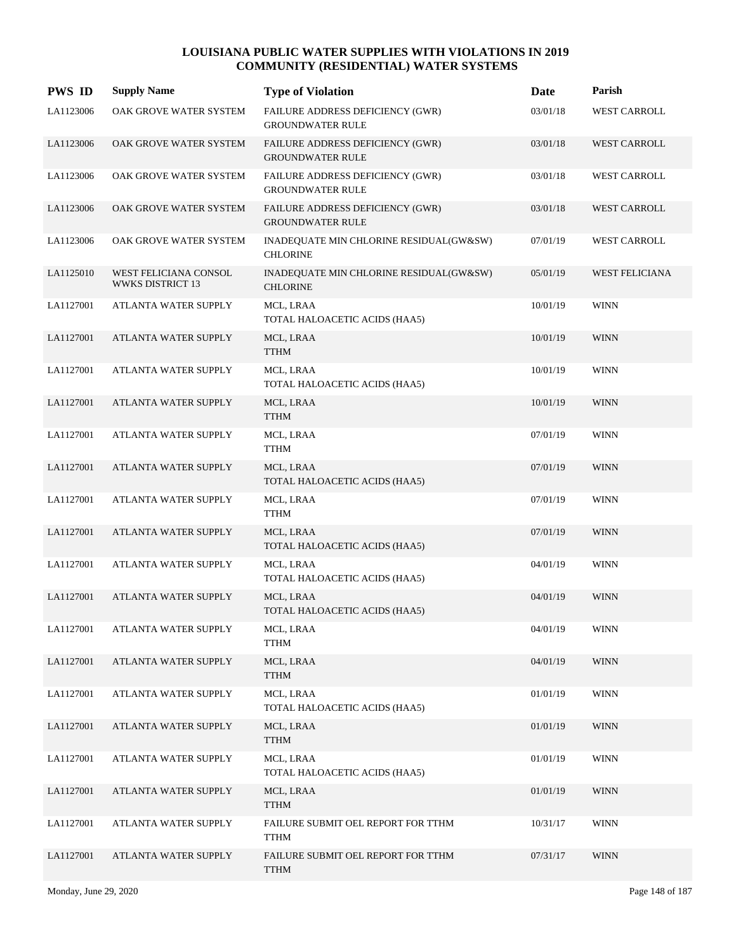| <b>PWS ID</b> | <b>Supply Name</b>                        | <b>Type of Violation</b>                                    | Date     | Parish                |
|---------------|-------------------------------------------|-------------------------------------------------------------|----------|-----------------------|
| LA1123006     | OAK GROVE WATER SYSTEM                    | FAILURE ADDRESS DEFICIENCY (GWR)<br><b>GROUNDWATER RULE</b> | 03/01/18 | WEST CARROLL          |
| LA1123006     | OAK GROVE WATER SYSTEM                    | FAILURE ADDRESS DEFICIENCY (GWR)<br><b>GROUNDWATER RULE</b> | 03/01/18 | WEST CARROLL          |
| LA1123006     | OAK GROVE WATER SYSTEM                    | FAILURE ADDRESS DEFICIENCY (GWR)<br><b>GROUNDWATER RULE</b> | 03/01/18 | <b>WEST CARROLL</b>   |
| LA1123006     | OAK GROVE WATER SYSTEM                    | FAILURE ADDRESS DEFICIENCY (GWR)<br><b>GROUNDWATER RULE</b> | 03/01/18 | <b>WEST CARROLL</b>   |
| LA1123006     | OAK GROVE WATER SYSTEM                    | INADEQUATE MIN CHLORINE RESIDUAL(GW&SW)<br><b>CHLORINE</b>  | 07/01/19 | <b>WEST CARROLL</b>   |
| LA1125010     | WEST FELICIANA CONSOL<br>WWKS DISTRICT 13 | INADEQUATE MIN CHLORINE RESIDUAL(GW&SW)<br><b>CHLORINE</b>  | 05/01/19 | <b>WEST FELICIANA</b> |
| LA1127001     | ATLANTA WATER SUPPLY                      | MCL, LRAA<br>TOTAL HALOACETIC ACIDS (HAA5)                  | 10/01/19 | <b>WINN</b>           |
| LA1127001     | ATLANTA WATER SUPPLY                      | MCL, LRAA<br><b>TTHM</b>                                    | 10/01/19 | <b>WINN</b>           |
| LA1127001     | ATLANTA WATER SUPPLY                      | MCL, LRAA<br>TOTAL HALOACETIC ACIDS (HAA5)                  | 10/01/19 | <b>WINN</b>           |
| LA1127001     | <b>ATLANTA WATER SUPPLY</b>               | MCL, LRAA<br><b>TTHM</b>                                    | 10/01/19 | <b>WINN</b>           |
| LA1127001     | ATLANTA WATER SUPPLY                      | MCL, LRAA<br>TTHM                                           | 07/01/19 | <b>WINN</b>           |
| LA1127001     | ATLANTA WATER SUPPLY                      | MCL, LRAA<br>TOTAL HALOACETIC ACIDS (HAA5)                  | 07/01/19 | <b>WINN</b>           |
| LA1127001     | ATLANTA WATER SUPPLY                      | MCL, LRAA<br><b>TTHM</b>                                    | 07/01/19 | WINN                  |
| LA1127001     | ATLANTA WATER SUPPLY                      | MCL, LRAA<br>TOTAL HALOACETIC ACIDS (HAA5)                  | 07/01/19 | <b>WINN</b>           |
| LA1127001     | ATLANTA WATER SUPPLY                      | MCL, LRAA<br>TOTAL HALOACETIC ACIDS (HAA5)                  | 04/01/19 | <b>WINN</b>           |
| LA1127001     | ATLANTA WATER SUPPLY                      | MCL, LRAA<br>TOTAL HALOACETIC ACIDS (HAA5)                  | 04/01/19 | <b>WINN</b>           |
| LA1127001     | ATLANTA WATER SUPPLY                      | MCL, LRAA<br><b>TTHM</b>                                    | 04/01/19 | <b>WINN</b>           |
| LA1127001     | ATLANTA WATER SUPPLY                      | MCL, LRAA<br><b>TTHM</b>                                    | 04/01/19 | <b>WINN</b>           |
| LA1127001     | ATLANTA WATER SUPPLY                      | MCL, LRAA<br>TOTAL HALOACETIC ACIDS (HAA5)                  | 01/01/19 | <b>WINN</b>           |
| LA1127001     | ATLANTA WATER SUPPLY                      | MCL, LRAA<br><b>TTHM</b>                                    | 01/01/19 | <b>WINN</b>           |
| LA1127001     | ATLANTA WATER SUPPLY                      | MCL, LRAA<br>TOTAL HALOACETIC ACIDS (HAA5)                  | 01/01/19 | <b>WINN</b>           |
| LA1127001     | ATLANTA WATER SUPPLY                      | MCL, LRAA<br><b>TTHM</b>                                    | 01/01/19 | <b>WINN</b>           |
| LA1127001     | ATLANTA WATER SUPPLY                      | FAILURE SUBMIT OEL REPORT FOR TTHM<br><b>TTHM</b>           | 10/31/17 | <b>WINN</b>           |
| LA1127001     | ATLANTA WATER SUPPLY                      | FAILURE SUBMIT OEL REPORT FOR TTHM<br><b>TTHM</b>           | 07/31/17 | <b>WINN</b>           |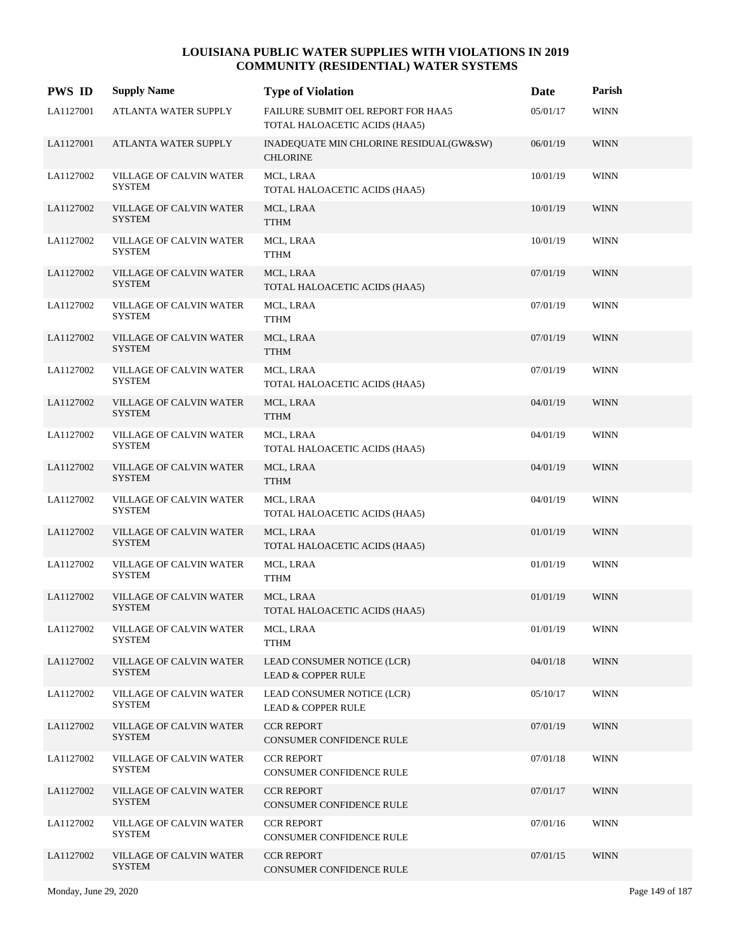| <b>PWS ID</b> | <b>Supply Name</b>                       | <b>Type of Violation</b>                                            | Date     | Parish      |
|---------------|------------------------------------------|---------------------------------------------------------------------|----------|-------------|
| LA1127001     | ATLANTA WATER SUPPLY                     | FAILURE SUBMIT OEL REPORT FOR HAA5<br>TOTAL HALOACETIC ACIDS (HAA5) | 05/01/17 | <b>WINN</b> |
| LA1127001     | ATLANTA WATER SUPPLY                     | INADEQUATE MIN CHLORINE RESIDUAL(GW&SW)<br><b>CHLORINE</b>          | 06/01/19 | <b>WINN</b> |
| LA1127002     | VILLAGE OF CALVIN WATER<br><b>SYSTEM</b> | MCL, LRAA<br>TOTAL HALOACETIC ACIDS (HAA5)                          | 10/01/19 | <b>WINN</b> |
| LA1127002     | VILLAGE OF CALVIN WATER<br><b>SYSTEM</b> | MCL, LRAA<br><b>TTHM</b>                                            | 10/01/19 | <b>WINN</b> |
| LA1127002     | VILLAGE OF CALVIN WATER<br><b>SYSTEM</b> | MCL, LRAA<br><b>TTHM</b>                                            | 10/01/19 | <b>WINN</b> |
| LA1127002     | VILLAGE OF CALVIN WATER<br><b>SYSTEM</b> | MCL, LRAA<br>TOTAL HALOACETIC ACIDS (HAA5)                          | 07/01/19 | <b>WINN</b> |
| LA1127002     | VILLAGE OF CALVIN WATER<br><b>SYSTEM</b> | MCL, LRAA<br><b>TTHM</b>                                            | 07/01/19 | <b>WINN</b> |
| LA1127002     | VILLAGE OF CALVIN WATER<br><b>SYSTEM</b> | MCL, LRAA<br><b>TTHM</b>                                            | 07/01/19 | <b>WINN</b> |
| LA1127002     | VILLAGE OF CALVIN WATER<br><b>SYSTEM</b> | MCL, LRAA<br>TOTAL HALOACETIC ACIDS (HAA5)                          | 07/01/19 | <b>WINN</b> |
| LA1127002     | VILLAGE OF CALVIN WATER<br><b>SYSTEM</b> | MCL, LRAA<br><b>TTHM</b>                                            | 04/01/19 | <b>WINN</b> |
| LA1127002     | VILLAGE OF CALVIN WATER<br><b>SYSTEM</b> | MCL, LRAA<br>TOTAL HALOACETIC ACIDS (HAA5)                          | 04/01/19 | <b>WINN</b> |
| LA1127002     | VILLAGE OF CALVIN WATER<br><b>SYSTEM</b> | MCL, LRAA<br><b>TTHM</b>                                            | 04/01/19 | <b>WINN</b> |
| LA1127002     | VILLAGE OF CALVIN WATER<br><b>SYSTEM</b> | MCL, LRAA<br>TOTAL HALOACETIC ACIDS (HAA5)                          | 04/01/19 | WINN        |
| LA1127002     | VILLAGE OF CALVIN WATER<br><b>SYSTEM</b> | MCL, LRAA<br>TOTAL HALOACETIC ACIDS (HAA5)                          | 01/01/19 | <b>WINN</b> |
| LA1127002     | VILLAGE OF CALVIN WATER<br><b>SYSTEM</b> | MCL, LRAA<br><b>TTHM</b>                                            | 01/01/19 | <b>WINN</b> |
| LA1127002     | VILLAGE OF CALVIN WATER<br><b>SYSTEM</b> | MCL, LRAA<br>TOTAL HALOACETIC ACIDS (HAA5)                          | 01/01/19 | <b>WINN</b> |
| LA1127002     | VILLAGE OF CALVIN WATER<br><b>SYSTEM</b> | MCL, LRAA<br><b>TTHM</b>                                            | 01/01/19 | <b>WINN</b> |
| LA1127002     | VILLAGE OF CALVIN WATER<br><b>SYSTEM</b> | LEAD CONSUMER NOTICE (LCR)<br><b>LEAD &amp; COPPER RULE</b>         | 04/01/18 | <b>WINN</b> |
| LA1127002     | VILLAGE OF CALVIN WATER<br><b>SYSTEM</b> | LEAD CONSUMER NOTICE (LCR)<br><b>LEAD &amp; COPPER RULE</b>         | 05/10/17 | WINN        |
| LA1127002     | VILLAGE OF CALVIN WATER<br><b>SYSTEM</b> | <b>CCR REPORT</b><br>CONSUMER CONFIDENCE RULE                       | 07/01/19 | <b>WINN</b> |
| LA1127002     | VILLAGE OF CALVIN WATER<br><b>SYSTEM</b> | <b>CCR REPORT</b><br>CONSUMER CONFIDENCE RULE                       | 07/01/18 | <b>WINN</b> |
| LA1127002     | VILLAGE OF CALVIN WATER<br><b>SYSTEM</b> | <b>CCR REPORT</b><br>CONSUMER CONFIDENCE RULE                       | 07/01/17 | <b>WINN</b> |
| LA1127002     | VILLAGE OF CALVIN WATER<br>SYSTEM        | <b>CCR REPORT</b><br>CONSUMER CONFIDENCE RULE                       | 07/01/16 | WINN        |
| LA1127002     | VILLAGE OF CALVIN WATER<br><b>SYSTEM</b> | <b>CCR REPORT</b><br>CONSUMER CONFIDENCE RULE                       | 07/01/15 | <b>WINN</b> |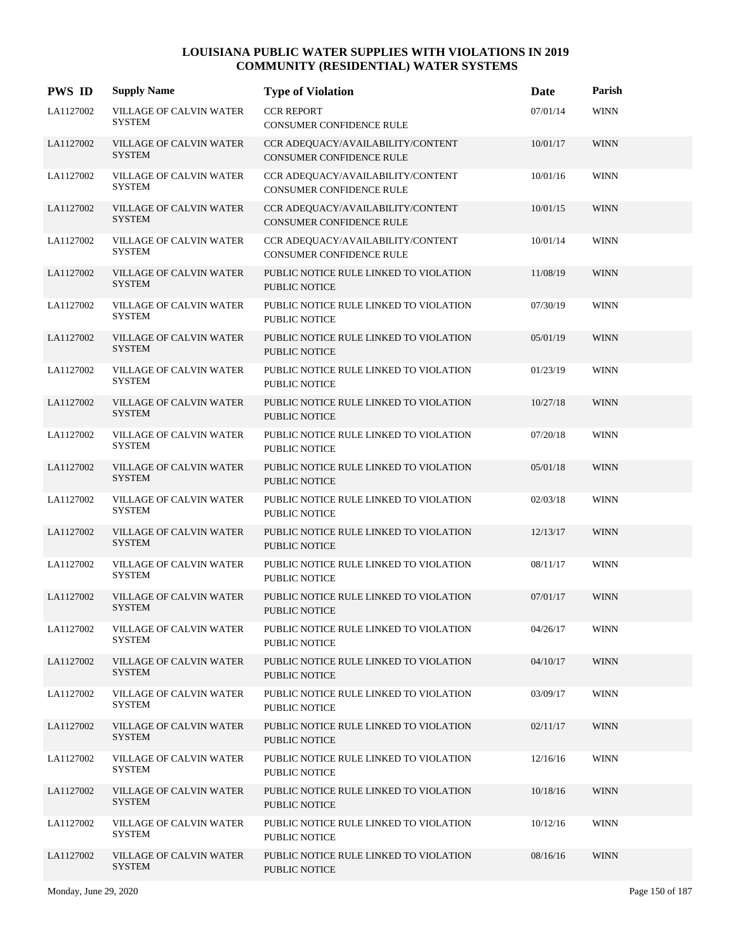| <b>PWS ID</b> | <b>Supply Name</b>                              | <b>Type of Violation</b>                                       | Date     | Parish      |
|---------------|-------------------------------------------------|----------------------------------------------------------------|----------|-------------|
| LA1127002     | <b>VILLAGE OF CALVIN WATER</b><br><b>SYSTEM</b> | <b>CCR REPORT</b><br>CONSUMER CONFIDENCE RULE                  | 07/01/14 | <b>WINN</b> |
| LA1127002     | <b>VILLAGE OF CALVIN WATER</b><br><b>SYSTEM</b> | CCR ADEQUACY/AVAILABILITY/CONTENT<br>CONSUMER CONFIDENCE RULE  | 10/01/17 | <b>WINN</b> |
| LA1127002     | VILLAGE OF CALVIN WATER<br><b>SYSTEM</b>        | CCR ADEQUACY/AVAILABILITY/CONTENT<br>CONSUMER CONFIDENCE RULE  | 10/01/16 | <b>WINN</b> |
| LA1127002     | VILLAGE OF CALVIN WATER<br><b>SYSTEM</b>        | CCR ADEQUACY/AVAILABILITY/CONTENT<br>CONSUMER CONFIDENCE RULE  | 10/01/15 | <b>WINN</b> |
| LA1127002     | VILLAGE OF CALVIN WATER<br><b>SYSTEM</b>        | CCR ADEQUACY/AVAILABILITY/CONTENT<br>CONSUMER CONFIDENCE RULE  | 10/01/14 | <b>WINN</b> |
| LA1127002     | VILLAGE OF CALVIN WATER<br><b>SYSTEM</b>        | PUBLIC NOTICE RULE LINKED TO VIOLATION<br>PUBLIC NOTICE        | 11/08/19 | <b>WINN</b> |
| LA1127002     | VILLAGE OF CALVIN WATER<br><b>SYSTEM</b>        | PUBLIC NOTICE RULE LINKED TO VIOLATION<br>PUBLIC NOTICE        | 07/30/19 | <b>WINN</b> |
| LA1127002     | VILLAGE OF CALVIN WATER<br><b>SYSTEM</b>        | PUBLIC NOTICE RULE LINKED TO VIOLATION<br><b>PUBLIC NOTICE</b> | 05/01/19 | <b>WINN</b> |
| LA1127002     | VILLAGE OF CALVIN WATER<br><b>SYSTEM</b>        | PUBLIC NOTICE RULE LINKED TO VIOLATION<br>PUBLIC NOTICE        | 01/23/19 | <b>WINN</b> |
| LA1127002     | VILLAGE OF CALVIN WATER<br><b>SYSTEM</b>        | PUBLIC NOTICE RULE LINKED TO VIOLATION<br>PUBLIC NOTICE        | 10/27/18 | <b>WINN</b> |
| LA1127002     | VILLAGE OF CALVIN WATER<br><b>SYSTEM</b>        | PUBLIC NOTICE RULE LINKED TO VIOLATION<br>PUBLIC NOTICE        | 07/20/18 | <b>WINN</b> |
| LA1127002     | VILLAGE OF CALVIN WATER<br><b>SYSTEM</b>        | PUBLIC NOTICE RULE LINKED TO VIOLATION<br>PUBLIC NOTICE        | 05/01/18 | <b>WINN</b> |
| LA1127002     | VILLAGE OF CALVIN WATER<br><b>SYSTEM</b>        | PUBLIC NOTICE RULE LINKED TO VIOLATION<br>PUBLIC NOTICE        | 02/03/18 | <b>WINN</b> |
| LA1127002     | VILLAGE OF CALVIN WATER<br><b>SYSTEM</b>        | PUBLIC NOTICE RULE LINKED TO VIOLATION<br><b>PUBLIC NOTICE</b> | 12/13/17 | <b>WINN</b> |
| LA1127002     | VILLAGE OF CALVIN WATER<br><b>SYSTEM</b>        | PUBLIC NOTICE RULE LINKED TO VIOLATION<br>PUBLIC NOTICE        | 08/11/17 | <b>WINN</b> |
| LA1127002     | VILLAGE OF CALVIN WATER<br><b>SYSTEM</b>        | PUBLIC NOTICE RULE LINKED TO VIOLATION<br><b>PUBLIC NOTICE</b> | 07/01/17 | <b>WINN</b> |
| LA1127002     | VILLAGE OF CALVIN WATER<br><b>SYSTEM</b>        | PUBLIC NOTICE RULE LINKED TO VIOLATION<br><b>PUBLIC NOTICE</b> | 04/26/17 | <b>WINN</b> |
| LA1127002     | VILLAGE OF CALVIN WATER<br><b>SYSTEM</b>        | PUBLIC NOTICE RULE LINKED TO VIOLATION<br><b>PUBLIC NOTICE</b> | 04/10/17 | <b>WINN</b> |
| LA1127002     | VILLAGE OF CALVIN WATER<br><b>SYSTEM</b>        | PUBLIC NOTICE RULE LINKED TO VIOLATION<br><b>PUBLIC NOTICE</b> | 03/09/17 | <b>WINN</b> |
| LA1127002     | <b>VILLAGE OF CALVIN WATER</b><br><b>SYSTEM</b> | PUBLIC NOTICE RULE LINKED TO VIOLATION<br><b>PUBLIC NOTICE</b> | 02/11/17 | <b>WINN</b> |
| LA1127002     | VILLAGE OF CALVIN WATER<br><b>SYSTEM</b>        | PUBLIC NOTICE RULE LINKED TO VIOLATION<br>PUBLIC NOTICE        | 12/16/16 | <b>WINN</b> |
| LA1127002     | VILLAGE OF CALVIN WATER<br><b>SYSTEM</b>        | PUBLIC NOTICE RULE LINKED TO VIOLATION<br>PUBLIC NOTICE        | 10/18/16 | <b>WINN</b> |
| LA1127002     | VILLAGE OF CALVIN WATER<br><b>SYSTEM</b>        | PUBLIC NOTICE RULE LINKED TO VIOLATION<br><b>PUBLIC NOTICE</b> | 10/12/16 | <b>WINN</b> |
| LA1127002     | <b>VILLAGE OF CALVIN WATER</b><br><b>SYSTEM</b> | PUBLIC NOTICE RULE LINKED TO VIOLATION<br>PUBLIC NOTICE        | 08/16/16 | <b>WINN</b> |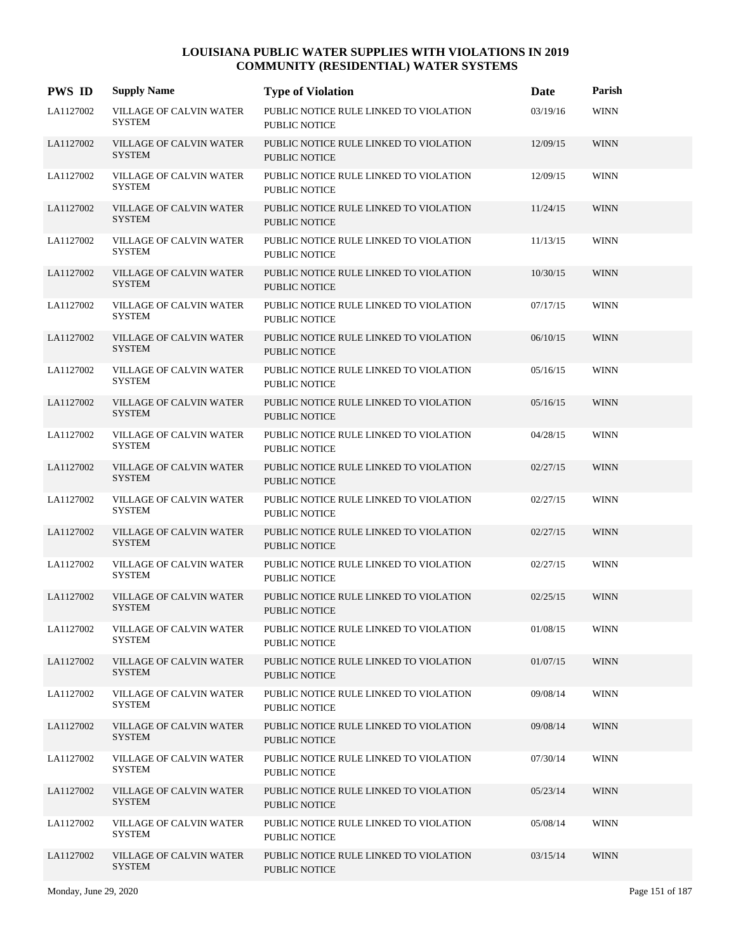| <b>PWS ID</b> | <b>Supply Name</b>                              | <b>Type of Violation</b>                                       | Date     | Parish      |
|---------------|-------------------------------------------------|----------------------------------------------------------------|----------|-------------|
| LA1127002     | VILLAGE OF CALVIN WATER<br><b>SYSTEM</b>        | PUBLIC NOTICE RULE LINKED TO VIOLATION<br><b>PUBLIC NOTICE</b> | 03/19/16 | <b>WINN</b> |
| LA1127002     | <b>VILLAGE OF CALVIN WATER</b><br><b>SYSTEM</b> | PUBLIC NOTICE RULE LINKED TO VIOLATION<br><b>PUBLIC NOTICE</b> | 12/09/15 | <b>WINN</b> |
| LA1127002     | VILLAGE OF CALVIN WATER<br><b>SYSTEM</b>        | PUBLIC NOTICE RULE LINKED TO VIOLATION<br><b>PUBLIC NOTICE</b> | 12/09/15 | <b>WINN</b> |
| LA1127002     | <b>VILLAGE OF CALVIN WATER</b><br><b>SYSTEM</b> | PUBLIC NOTICE RULE LINKED TO VIOLATION<br><b>PUBLIC NOTICE</b> | 11/24/15 | <b>WINN</b> |
| LA1127002     | VILLAGE OF CALVIN WATER<br><b>SYSTEM</b>        | PUBLIC NOTICE RULE LINKED TO VIOLATION<br><b>PUBLIC NOTICE</b> | 11/13/15 | <b>WINN</b> |
| LA1127002     | VILLAGE OF CALVIN WATER<br><b>SYSTEM</b>        | PUBLIC NOTICE RULE LINKED TO VIOLATION<br><b>PUBLIC NOTICE</b> | 10/30/15 | <b>WINN</b> |
| LA1127002     | VILLAGE OF CALVIN WATER<br><b>SYSTEM</b>        | PUBLIC NOTICE RULE LINKED TO VIOLATION<br>PUBLIC NOTICE        | 07/17/15 | <b>WINN</b> |
| LA1127002     | <b>VILLAGE OF CALVIN WATER</b><br><b>SYSTEM</b> | PUBLIC NOTICE RULE LINKED TO VIOLATION<br><b>PUBLIC NOTICE</b> | 06/10/15 | <b>WINN</b> |
| LA1127002     | VILLAGE OF CALVIN WATER<br><b>SYSTEM</b>        | PUBLIC NOTICE RULE LINKED TO VIOLATION<br><b>PUBLIC NOTICE</b> | 05/16/15 | <b>WINN</b> |
| LA1127002     | <b>VILLAGE OF CALVIN WATER</b><br><b>SYSTEM</b> | PUBLIC NOTICE RULE LINKED TO VIOLATION<br><b>PUBLIC NOTICE</b> | 05/16/15 | <b>WINN</b> |
| LA1127002     | VILLAGE OF CALVIN WATER<br><b>SYSTEM</b>        | PUBLIC NOTICE RULE LINKED TO VIOLATION<br><b>PUBLIC NOTICE</b> | 04/28/15 | <b>WINN</b> |
| LA1127002     | <b>VILLAGE OF CALVIN WATER</b><br><b>SYSTEM</b> | PUBLIC NOTICE RULE LINKED TO VIOLATION<br><b>PUBLIC NOTICE</b> | 02/27/15 | <b>WINN</b> |
| LA1127002     | <b>VILLAGE OF CALVIN WATER</b><br><b>SYSTEM</b> | PUBLIC NOTICE RULE LINKED TO VIOLATION<br><b>PUBLIC NOTICE</b> | 02/27/15 | <b>WINN</b> |
| LA1127002     | VILLAGE OF CALVIN WATER<br><b>SYSTEM</b>        | PUBLIC NOTICE RULE LINKED TO VIOLATION<br><b>PUBLIC NOTICE</b> | 02/27/15 | <b>WINN</b> |
| LA1127002     | VILLAGE OF CALVIN WATER<br><b>SYSTEM</b>        | PUBLIC NOTICE RULE LINKED TO VIOLATION<br><b>PUBLIC NOTICE</b> | 02/27/15 | <b>WINN</b> |
| LA1127002     | <b>VILLAGE OF CALVIN WATER</b><br><b>SYSTEM</b> | PUBLIC NOTICE RULE LINKED TO VIOLATION<br><b>PUBLIC NOTICE</b> | 02/25/15 | <b>WINN</b> |
| LA1127002     | VILLAGE OF CALVIN WATER<br><b>SYSTEM</b>        | PUBLIC NOTICE RULE LINKED TO VIOLATION<br>PUBLIC NOTICE        | 01/08/15 | <b>WINN</b> |
| LA1127002     | VILLAGE OF CALVIN WATER<br><b>SYSTEM</b>        | PUBLIC NOTICE RULE LINKED TO VIOLATION<br>PUBLIC NOTICE        | 01/07/15 | <b>WINN</b> |
| LA1127002     | VILLAGE OF CALVIN WATER<br><b>SYSTEM</b>        | PUBLIC NOTICE RULE LINKED TO VIOLATION<br>PUBLIC NOTICE        | 09/08/14 | <b>WINN</b> |
| LA1127002     | VILLAGE OF CALVIN WATER<br><b>SYSTEM</b>        | PUBLIC NOTICE RULE LINKED TO VIOLATION<br><b>PUBLIC NOTICE</b> | 09/08/14 | <b>WINN</b> |
| LA1127002     | VILLAGE OF CALVIN WATER<br><b>SYSTEM</b>        | PUBLIC NOTICE RULE LINKED TO VIOLATION<br>PUBLIC NOTICE        | 07/30/14 | <b>WINN</b> |
| LA1127002     | VILLAGE OF CALVIN WATER<br><b>SYSTEM</b>        | PUBLIC NOTICE RULE LINKED TO VIOLATION<br>PUBLIC NOTICE        | 05/23/14 | <b>WINN</b> |
| LA1127002     | VILLAGE OF CALVIN WATER<br><b>SYSTEM</b>        | PUBLIC NOTICE RULE LINKED TO VIOLATION<br>PUBLIC NOTICE        | 05/08/14 | <b>WINN</b> |
| LA1127002     | <b>VILLAGE OF CALVIN WATER</b><br><b>SYSTEM</b> | PUBLIC NOTICE RULE LINKED TO VIOLATION<br>PUBLIC NOTICE        | 03/15/14 | <b>WINN</b> |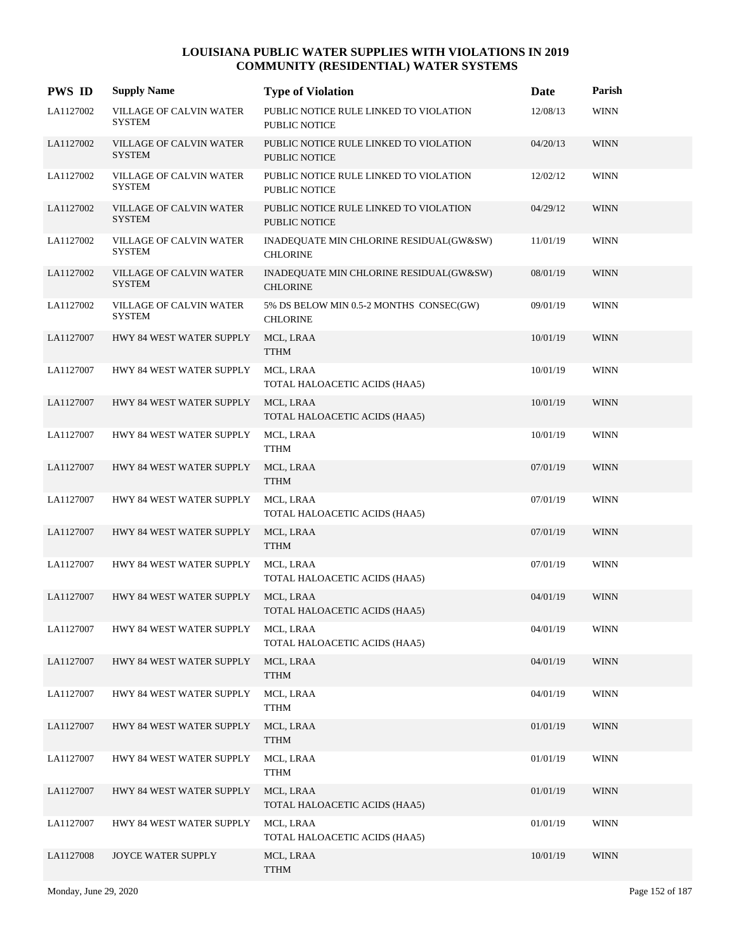| <b>PWS ID</b> | <b>Supply Name</b>                              | <b>Type of Violation</b>                                       | Date     | Parish      |
|---------------|-------------------------------------------------|----------------------------------------------------------------|----------|-------------|
| LA1127002     | <b>VILLAGE OF CALVIN WATER</b><br><b>SYSTEM</b> | PUBLIC NOTICE RULE LINKED TO VIOLATION<br><b>PUBLIC NOTICE</b> | 12/08/13 | <b>WINN</b> |
| LA1127002     | <b>VILLAGE OF CALVIN WATER</b><br><b>SYSTEM</b> | PUBLIC NOTICE RULE LINKED TO VIOLATION<br><b>PUBLIC NOTICE</b> | 04/20/13 | <b>WINN</b> |
| LA1127002     | VILLAGE OF CALVIN WATER<br><b>SYSTEM</b>        | PUBLIC NOTICE RULE LINKED TO VIOLATION<br><b>PUBLIC NOTICE</b> | 12/02/12 | <b>WINN</b> |
| LA1127002     | VILLAGE OF CALVIN WATER<br><b>SYSTEM</b>        | PUBLIC NOTICE RULE LINKED TO VIOLATION<br>PUBLIC NOTICE        | 04/29/12 | <b>WINN</b> |
| LA1127002     | VILLAGE OF CALVIN WATER<br><b>SYSTEM</b>        | INADEQUATE MIN CHLORINE RESIDUAL(GW&SW)<br><b>CHLORINE</b>     | 11/01/19 | <b>WINN</b> |
| LA1127002     | VILLAGE OF CALVIN WATER<br><b>SYSTEM</b>        | INADEQUATE MIN CHLORINE RESIDUAL(GW&SW)<br><b>CHLORINE</b>     | 08/01/19 | <b>WINN</b> |
| LA1127002     | VILLAGE OF CALVIN WATER<br><b>SYSTEM</b>        | 5% DS BELOW MIN 0.5-2 MONTHS CONSEC(GW)<br><b>CHLORINE</b>     | 09/01/19 | <b>WINN</b> |
| LA1127007     | HWY 84 WEST WATER SUPPLY                        | MCL, LRAA<br><b>TTHM</b>                                       | 10/01/19 | <b>WINN</b> |
| LA1127007     | HWY 84 WEST WATER SUPPLY                        | MCL, LRAA<br>TOTAL HALOACETIC ACIDS (HAA5)                     | 10/01/19 | <b>WINN</b> |
| LA1127007     | HWY 84 WEST WATER SUPPLY                        | MCL, LRAA<br>TOTAL HALOACETIC ACIDS (HAA5)                     | 10/01/19 | <b>WINN</b> |
| LA1127007     | HWY 84 WEST WATER SUPPLY                        | MCL, LRAA<br><b>TTHM</b>                                       | 10/01/19 | <b>WINN</b> |
| LA1127007     | HWY 84 WEST WATER SUPPLY                        | MCL, LRAA<br><b>TTHM</b>                                       | 07/01/19 | <b>WINN</b> |
| LA1127007     | HWY 84 WEST WATER SUPPLY                        | MCL, LRAA<br>TOTAL HALOACETIC ACIDS (HAA5)                     | 07/01/19 | <b>WINN</b> |
| LA1127007     | HWY 84 WEST WATER SUPPLY                        | MCL, LRAA<br><b>TTHM</b>                                       | 07/01/19 | <b>WINN</b> |
| LA1127007     | HWY 84 WEST WATER SUPPLY                        | MCL, LRAA<br>TOTAL HALOACETIC ACIDS (HAA5)                     | 07/01/19 | <b>WINN</b> |
| LA1127007     | HWY 84 WEST WATER SUPPLY                        | MCL, LRAA<br>TOTAL HALOACETIC ACIDS (HAA5)                     | 04/01/19 | <b>WINN</b> |
| LA1127007     | HWY 84 WEST WATER SUPPLY                        | MCL, LRAA<br>TOTAL HALOACETIC ACIDS (HAA5)                     | 04/01/19 | <b>WINN</b> |
| LA1127007     | HWY 84 WEST WATER SUPPLY                        | MCL, LRAA<br><b>TTHM</b>                                       | 04/01/19 | <b>WINN</b> |
| LA1127007     | HWY 84 WEST WATER SUPPLY                        | MCL, LRAA<br><b>TTHM</b>                                       | 04/01/19 | <b>WINN</b> |
| LA1127007     | HWY 84 WEST WATER SUPPLY                        | MCL, LRAA<br><b>TTHM</b>                                       | 01/01/19 | <b>WINN</b> |
| LA1127007     | HWY 84 WEST WATER SUPPLY                        | MCL, LRAA<br><b>TTHM</b>                                       | 01/01/19 | <b>WINN</b> |
| LA1127007     | HWY 84 WEST WATER SUPPLY                        | MCL, LRAA<br>TOTAL HALOACETIC ACIDS (HAA5)                     | 01/01/19 | <b>WINN</b> |
| LA1127007     | HWY 84 WEST WATER SUPPLY                        | MCL, LRAA<br>TOTAL HALOACETIC ACIDS (HAA5)                     | 01/01/19 | <b>WINN</b> |
| LA1127008     | JOYCE WATER SUPPLY                              | MCL, LRAA<br><b>TTHM</b>                                       | 10/01/19 | <b>WINN</b> |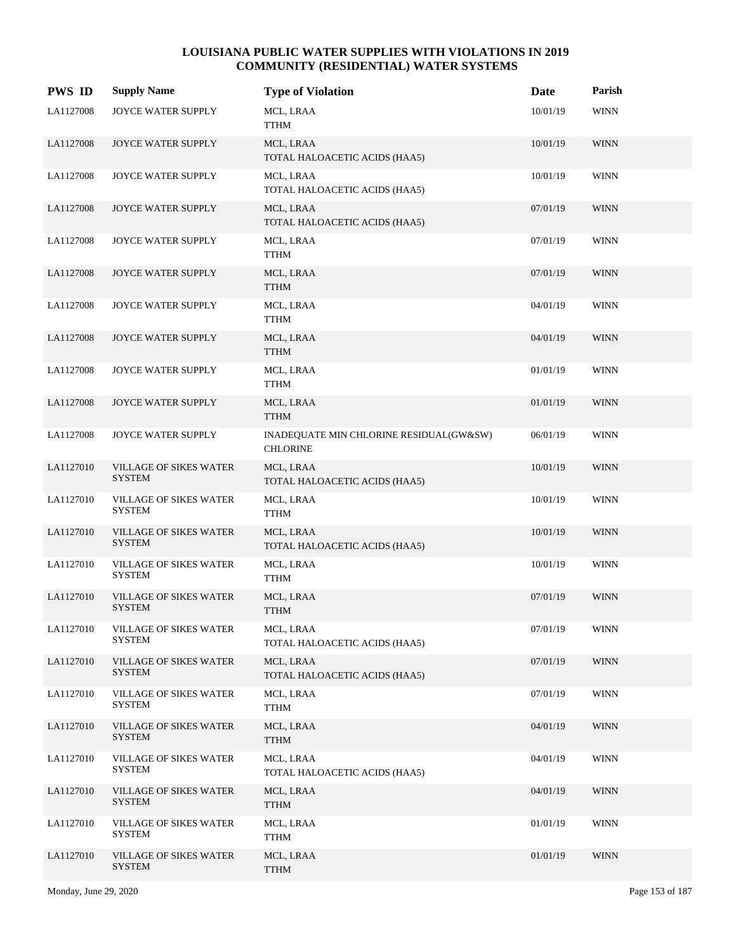| <b>PWS ID</b> | <b>Supply Name</b>                             | <b>Type of Violation</b>                                   | Date     | Parish      |
|---------------|------------------------------------------------|------------------------------------------------------------|----------|-------------|
| LA1127008     | JOYCE WATER SUPPLY                             | MCL, LRAA<br>TTHM                                          | 10/01/19 | <b>WINN</b> |
| LA1127008     | JOYCE WATER SUPPLY                             | MCL, LRAA<br>TOTAL HALOACETIC ACIDS (HAA5)                 | 10/01/19 | <b>WINN</b> |
| LA1127008     | JOYCE WATER SUPPLY                             | MCL, LRAA<br>TOTAL HALOACETIC ACIDS (HAA5)                 | 10/01/19 | <b>WINN</b> |
| LA1127008     | <b>JOYCE WATER SUPPLY</b>                      | MCL, LRAA<br>TOTAL HALOACETIC ACIDS (HAA5)                 | 07/01/19 | <b>WINN</b> |
| LA1127008     | JOYCE WATER SUPPLY                             | MCL, LRAA<br><b>TTHM</b>                                   | 07/01/19 | <b>WINN</b> |
| LA1127008     | JOYCE WATER SUPPLY                             | MCL, LRAA<br><b>TTHM</b>                                   | 07/01/19 | <b>WINN</b> |
| LA1127008     | JOYCE WATER SUPPLY                             | MCL, LRAA<br><b>TTHM</b>                                   | 04/01/19 | <b>WINN</b> |
| LA1127008     | <b>JOYCE WATER SUPPLY</b>                      | MCL, LRAA<br><b>TTHM</b>                                   | 04/01/19 | <b>WINN</b> |
| LA1127008     | JOYCE WATER SUPPLY                             | MCL, LRAA<br><b>TTHM</b>                                   | 01/01/19 | <b>WINN</b> |
| LA1127008     | JOYCE WATER SUPPLY                             | MCL, LRAA<br><b>TTHM</b>                                   | 01/01/19 | <b>WINN</b> |
| LA1127008     | JOYCE WATER SUPPLY                             | INADEQUATE MIN CHLORINE RESIDUAL(GW&SW)<br><b>CHLORINE</b> | 06/01/19 | <b>WINN</b> |
| LA1127010     | VILLAGE OF SIKES WATER<br><b>SYSTEM</b>        | MCL, LRAA<br>TOTAL HALOACETIC ACIDS (HAA5)                 | 10/01/19 | <b>WINN</b> |
| LA1127010     | <b>VILLAGE OF SIKES WATER</b><br><b>SYSTEM</b> | MCL, LRAA<br><b>TTHM</b>                                   | 10/01/19 | <b>WINN</b> |
| LA1127010     | VILLAGE OF SIKES WATER<br><b>SYSTEM</b>        | MCL, LRAA<br>TOTAL HALOACETIC ACIDS (HAA5)                 | 10/01/19 | <b>WINN</b> |
| LA1127010     | VILLAGE OF SIKES WATER<br><b>SYSTEM</b>        | MCL, LRAA<br><b>TTHM</b>                                   | 10/01/19 | <b>WINN</b> |
| LA1127010     | <b>VILLAGE OF SIKES WATER</b><br><b>SYSTEM</b> | MCL, LRAA<br><b>TTHM</b>                                   | 07/01/19 | <b>WINN</b> |
| LA1127010     | VILLAGE OF SIKES WATER<br><b>SYSTEM</b>        | MCL, LRAA<br>TOTAL HALOACETIC ACIDS (HAA5)                 | 07/01/19 | <b>WINN</b> |
| LA1127010     | <b>VILLAGE OF SIKES WATER</b><br><b>SYSTEM</b> | MCL, LRAA<br>TOTAL HALOACETIC ACIDS (HAA5)                 | 07/01/19 | <b>WINN</b> |
| LA1127010     | <b>VILLAGE OF SIKES WATER</b><br><b>SYSTEM</b> | MCL, LRAA<br><b>TTHM</b>                                   | 07/01/19 | <b>WINN</b> |
| LA1127010     | <b>VILLAGE OF SIKES WATER</b><br><b>SYSTEM</b> | MCL, LRAA<br><b>TTHM</b>                                   | 04/01/19 | <b>WINN</b> |
| LA1127010     | VILLAGE OF SIKES WATER<br><b>SYSTEM</b>        | MCL, LRAA<br>TOTAL HALOACETIC ACIDS (HAA5)                 | 04/01/19 | <b>WINN</b> |
| LA1127010     | <b>VILLAGE OF SIKES WATER</b><br><b>SYSTEM</b> | MCL, LRAA<br><b>TTHM</b>                                   | 04/01/19 | <b>WINN</b> |
| LA1127010     | <b>VILLAGE OF SIKES WATER</b><br><b>SYSTEM</b> | MCL, LRAA<br><b>TTHM</b>                                   | 01/01/19 | <b>WINN</b> |
| LA1127010     | <b>VILLAGE OF SIKES WATER</b><br><b>SYSTEM</b> | MCL, LRAA<br><b>TTHM</b>                                   | 01/01/19 | <b>WINN</b> |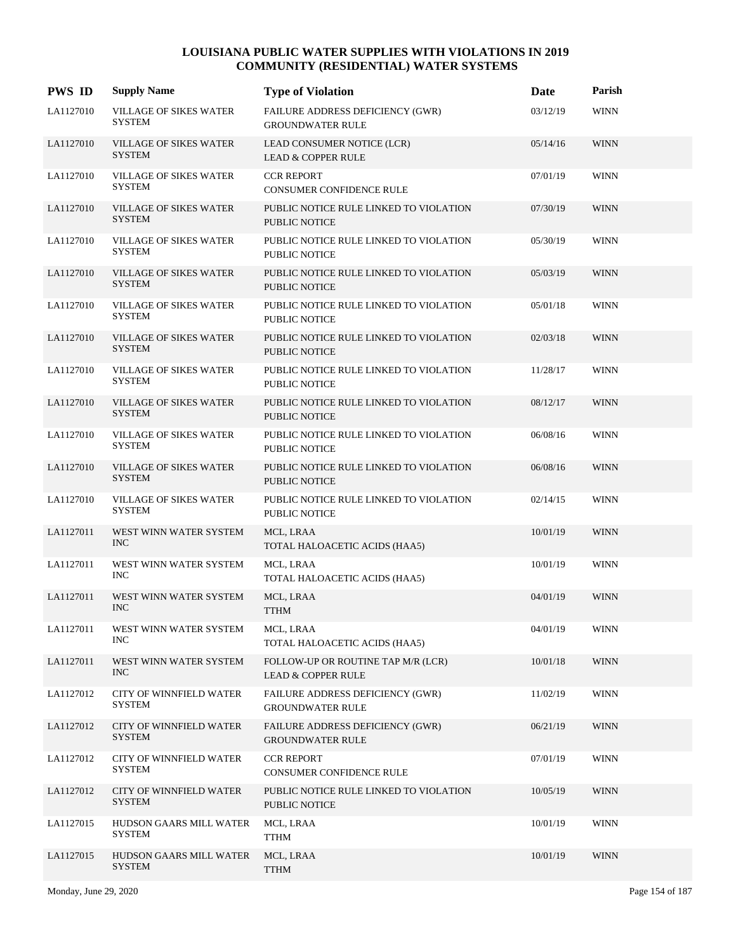| <b>PWS ID</b> | <b>Supply Name</b>                             | <b>Type of Violation</b>                                            | Date     | Parish      |
|---------------|------------------------------------------------|---------------------------------------------------------------------|----------|-------------|
| LA1127010     | <b>VILLAGE OF SIKES WATER</b><br><b>SYSTEM</b> | FAILURE ADDRESS DEFICIENCY (GWR)<br><b>GROUNDWATER RULE</b>         | 03/12/19 | <b>WINN</b> |
| LA1127010     | <b>VILLAGE OF SIKES WATER</b><br><b>SYSTEM</b> | LEAD CONSUMER NOTICE (LCR)<br><b>LEAD &amp; COPPER RULE</b>         | 05/14/16 | <b>WINN</b> |
| LA1127010     | <b>VILLAGE OF SIKES WATER</b><br><b>SYSTEM</b> | <b>CCR REPORT</b><br><b>CONSUMER CONFIDENCE RULE</b>                | 07/01/19 | <b>WINN</b> |
| LA1127010     | <b>VILLAGE OF SIKES WATER</b><br><b>SYSTEM</b> | PUBLIC NOTICE RULE LINKED TO VIOLATION<br><b>PUBLIC NOTICE</b>      | 07/30/19 | <b>WINN</b> |
| LA1127010     | <b>VILLAGE OF SIKES WATER</b><br><b>SYSTEM</b> | PUBLIC NOTICE RULE LINKED TO VIOLATION<br><b>PUBLIC NOTICE</b>      | 05/30/19 | <b>WINN</b> |
| LA1127010     | <b>VILLAGE OF SIKES WATER</b><br><b>SYSTEM</b> | PUBLIC NOTICE RULE LINKED TO VIOLATION<br><b>PUBLIC NOTICE</b>      | 05/03/19 | <b>WINN</b> |
| LA1127010     | <b>VILLAGE OF SIKES WATER</b><br><b>SYSTEM</b> | PUBLIC NOTICE RULE LINKED TO VIOLATION<br><b>PUBLIC NOTICE</b>      | 05/01/18 | <b>WINN</b> |
| LA1127010     | <b>VILLAGE OF SIKES WATER</b><br><b>SYSTEM</b> | PUBLIC NOTICE RULE LINKED TO VIOLATION<br><b>PUBLIC NOTICE</b>      | 02/03/18 | <b>WINN</b> |
| LA1127010     | <b>VILLAGE OF SIKES WATER</b><br><b>SYSTEM</b> | PUBLIC NOTICE RULE LINKED TO VIOLATION<br><b>PUBLIC NOTICE</b>      | 11/28/17 | <b>WINN</b> |
| LA1127010     | <b>VILLAGE OF SIKES WATER</b><br><b>SYSTEM</b> | PUBLIC NOTICE RULE LINKED TO VIOLATION<br><b>PUBLIC NOTICE</b>      | 08/12/17 | <b>WINN</b> |
| LA1127010     | <b>VILLAGE OF SIKES WATER</b><br><b>SYSTEM</b> | PUBLIC NOTICE RULE LINKED TO VIOLATION<br><b>PUBLIC NOTICE</b>      | 06/08/16 | <b>WINN</b> |
| LA1127010     | <b>VILLAGE OF SIKES WATER</b><br><b>SYSTEM</b> | PUBLIC NOTICE RULE LINKED TO VIOLATION<br><b>PUBLIC NOTICE</b>      | 06/08/16 | <b>WINN</b> |
| LA1127010     | <b>VILLAGE OF SIKES WATER</b><br><b>SYSTEM</b> | PUBLIC NOTICE RULE LINKED TO VIOLATION<br><b>PUBLIC NOTICE</b>      | 02/14/15 | <b>WINN</b> |
| LA1127011     | WEST WINN WATER SYSTEM<br><b>INC</b>           | MCL, LRAA<br>TOTAL HALOACETIC ACIDS (HAA5)                          | 10/01/19 | <b>WINN</b> |
| LA1127011     | WEST WINN WATER SYSTEM<br><b>INC</b>           | MCL, LRAA<br>TOTAL HALOACETIC ACIDS (HAA5)                          | 10/01/19 | <b>WINN</b> |
| LA1127011     | WEST WINN WATER SYSTEM<br><b>INC</b>           | MCL, LRAA<br><b>TTHM</b>                                            | 04/01/19 | <b>WINN</b> |
| LA1127011     | WEST WINN WATER SYSTEM<br>INC.                 | MCL, LRAA<br>TOTAL HALOACETIC ACIDS (HAA5)                          | 04/01/19 | <b>WINN</b> |
| LA1127011     | WEST WINN WATER SYSTEM<br>INC                  | FOLLOW-UP OR ROUTINE TAP M/R (LCR)<br><b>LEAD &amp; COPPER RULE</b> | 10/01/18 | <b>WINN</b> |
| LA1127012     | CITY OF WINNFIELD WATER<br>SYSTEM              | FAILURE ADDRESS DEFICIENCY (GWR)<br><b>GROUNDWATER RULE</b>         | 11/02/19 | <b>WINN</b> |
| LA1127012     | CITY OF WINNFIELD WATER<br><b>SYSTEM</b>       | FAILURE ADDRESS DEFICIENCY (GWR)<br><b>GROUNDWATER RULE</b>         | 06/21/19 | <b>WINN</b> |
| LA1127012     | CITY OF WINNFIELD WATER<br><b>SYSTEM</b>       | <b>CCR REPORT</b><br>CONSUMER CONFIDENCE RULE                       | 07/01/19 | <b>WINN</b> |
| LA1127012     | CITY OF WINNFIELD WATER<br><b>SYSTEM</b>       | PUBLIC NOTICE RULE LINKED TO VIOLATION<br>PUBLIC NOTICE             | 10/05/19 | <b>WINN</b> |
| LA1127015     | HUDSON GAARS MILL WATER<br><b>SYSTEM</b>       | MCL, LRAA<br><b>TTHM</b>                                            | 10/01/19 | <b>WINN</b> |
| LA1127015     | HUDSON GAARS MILL WATER<br><b>SYSTEM</b>       | MCL, LRAA<br><b>TTHM</b>                                            | 10/01/19 | <b>WINN</b> |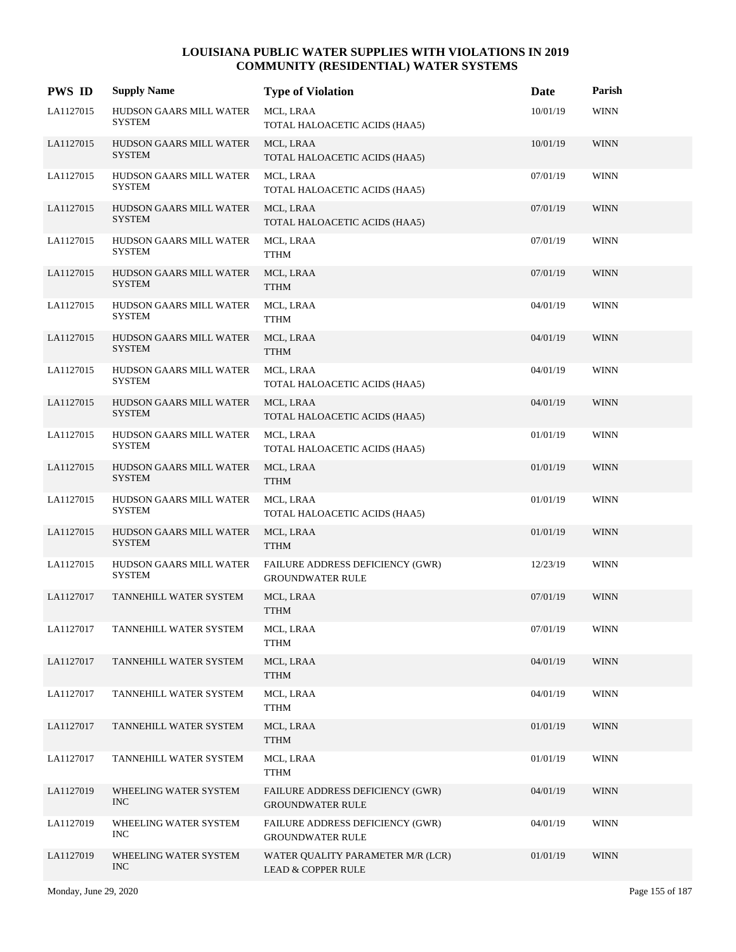| <b>PWS ID</b> | <b>Supply Name</b>                              | <b>Type of Violation</b>                                           | Date     | Parish      |
|---------------|-------------------------------------------------|--------------------------------------------------------------------|----------|-------------|
| LA1127015     | HUDSON GAARS MILL WATER<br>SYSTEM               | MCL, LRAA<br>TOTAL HALOACETIC ACIDS (HAA5)                         | 10/01/19 | <b>WINN</b> |
| LA1127015     | HUDSON GAARS MILL WATER<br><b>SYSTEM</b>        | MCL, LRAA<br>TOTAL HALOACETIC ACIDS (HAA5)                         | 10/01/19 | <b>WINN</b> |
| LA1127015     | HUDSON GAARS MILL WATER<br><b>SYSTEM</b>        | MCL, LRAA<br>TOTAL HALOACETIC ACIDS (HAA5)                         | 07/01/19 | <b>WINN</b> |
| LA1127015     | HUDSON GAARS MILL WATER<br><b>SYSTEM</b>        | MCL, LRAA<br>TOTAL HALOACETIC ACIDS (HAA5)                         | 07/01/19 | <b>WINN</b> |
| LA1127015     | HUDSON GAARS MILL WATER<br>SYSTEM               | MCL, LRAA<br><b>TTHM</b>                                           | 07/01/19 | <b>WINN</b> |
| LA1127015     | HUDSON GAARS MILL WATER<br><b>SYSTEM</b>        | MCL, LRAA<br><b>TTHM</b>                                           | 07/01/19 | <b>WINN</b> |
| LA1127015     | HUDSON GAARS MILL WATER<br><b>SYSTEM</b>        | MCL, LRAA<br><b>TTHM</b>                                           | 04/01/19 | WINN        |
| LA1127015     | HUDSON GAARS MILL WATER<br><b>SYSTEM</b>        | MCL, LRAA<br><b>TTHM</b>                                           | 04/01/19 | <b>WINN</b> |
| LA1127015     | HUDSON GAARS MILL WATER<br>SYSTEM               | MCL, LRAA<br>TOTAL HALOACETIC ACIDS (HAA5)                         | 04/01/19 | <b>WINN</b> |
| LA1127015     | <b>HUDSON GAARS MILL WATER</b><br><b>SYSTEM</b> | MCL, LRAA<br>TOTAL HALOACETIC ACIDS (HAA5)                         | 04/01/19 | <b>WINN</b> |
| LA1127015     | HUDSON GAARS MILL WATER<br><b>SYSTEM</b>        | MCL, LRAA<br>TOTAL HALOACETIC ACIDS (HAA5)                         | 01/01/19 | <b>WINN</b> |
| LA1127015     | HUDSON GAARS MILL WATER<br><b>SYSTEM</b>        | MCL, LRAA<br><b>TTHM</b>                                           | 01/01/19 | <b>WINN</b> |
| LA1127015     | HUDSON GAARS MILL WATER<br>SYSTEM               | MCL, LRAA<br>TOTAL HALOACETIC ACIDS (HAA5)                         | 01/01/19 | <b>WINN</b> |
| LA1127015     | HUDSON GAARS MILL WATER<br><b>SYSTEM</b>        | MCL, LRAA<br><b>TTHM</b>                                           | 01/01/19 | <b>WINN</b> |
| LA1127015     | HUDSON GAARS MILL WATER<br><b>SYSTEM</b>        | FAILURE ADDRESS DEFICIENCY (GWR)<br><b>GROUNDWATER RULE</b>        | 12/23/19 | <b>WINN</b> |
| LA1127017     | TANNEHILL WATER SYSTEM                          | MCL, LRAA<br><b>TTHM</b>                                           | 07/01/19 | <b>WINN</b> |
| LA1127017     | TANNEHILL WATER SYSTEM                          | MCL, LRAA<br><b>TTHM</b>                                           | 07/01/19 | <b>WINN</b> |
| LA1127017     | TANNEHILL WATER SYSTEM                          | MCL, LRAA<br><b>TTHM</b>                                           | 04/01/19 | <b>WINN</b> |
| LA1127017     | TANNEHILL WATER SYSTEM                          | MCL, LRAA<br><b>TTHM</b>                                           | 04/01/19 | WINN        |
| LA1127017     | TANNEHILL WATER SYSTEM                          | MCL, LRAA<br><b>TTHM</b>                                           | 01/01/19 | <b>WINN</b> |
| LA1127017     | TANNEHILL WATER SYSTEM                          | MCL, LRAA<br><b>TTHM</b>                                           | 01/01/19 | <b>WINN</b> |
| LA1127019     | WHEELING WATER SYSTEM<br><b>INC</b>             | FAILURE ADDRESS DEFICIENCY (GWR)<br><b>GROUNDWATER RULE</b>        | 04/01/19 | <b>WINN</b> |
| LA1127019     | WHEELING WATER SYSTEM<br>INC                    | FAILURE ADDRESS DEFICIENCY (GWR)<br><b>GROUNDWATER RULE</b>        | 04/01/19 | <b>WINN</b> |
| LA1127019     | WHEELING WATER SYSTEM<br><b>INC</b>             | WATER QUALITY PARAMETER M/R (LCR)<br><b>LEAD &amp; COPPER RULE</b> | 01/01/19 | <b>WINN</b> |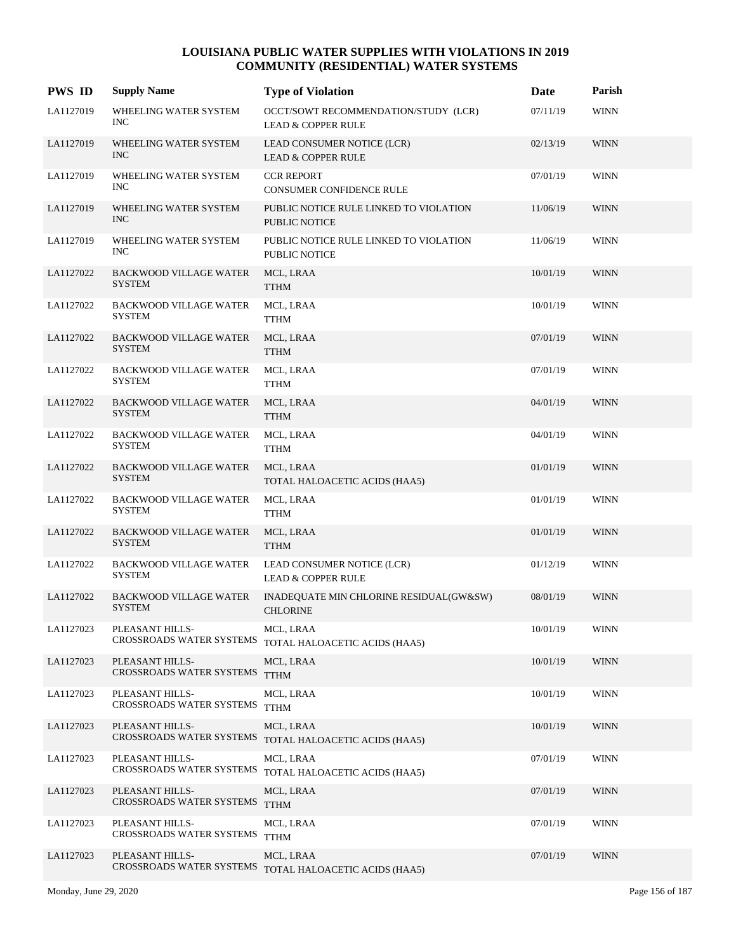| <b>PWS ID</b> | <b>Supply Name</b>                               | <b>Type of Violation</b>                                              | Date     | Parish      |
|---------------|--------------------------------------------------|-----------------------------------------------------------------------|----------|-------------|
| LA1127019     | WHEELING WATER SYSTEM<br><b>INC</b>              | OCCT/SOWT RECOMMENDATION/STUDY (LCR)<br><b>LEAD &amp; COPPER RULE</b> | 07/11/19 | <b>WINN</b> |
| LA1127019     | WHEELING WATER SYSTEM<br><b>INC</b>              | LEAD CONSUMER NOTICE (LCR)<br><b>LEAD &amp; COPPER RULE</b>           | 02/13/19 | <b>WINN</b> |
| LA1127019     | WHEELING WATER SYSTEM<br><b>INC</b>              | <b>CCR REPORT</b><br>CONSUMER CONFIDENCE RULE                         | 07/01/19 | <b>WINN</b> |
| LA1127019     | WHEELING WATER SYSTEM<br><b>INC</b>              | PUBLIC NOTICE RULE LINKED TO VIOLATION<br><b>PUBLIC NOTICE</b>        | 11/06/19 | <b>WINN</b> |
| LA1127019     | WHEELING WATER SYSTEM<br><b>INC</b>              | PUBLIC NOTICE RULE LINKED TO VIOLATION<br><b>PUBLIC NOTICE</b>        | 11/06/19 | <b>WINN</b> |
| LA1127022     | <b>BACKWOOD VILLAGE WATER</b><br><b>SYSTEM</b>   | MCL, LRAA<br><b>TTHM</b>                                              | 10/01/19 | <b>WINN</b> |
| LA1127022     | <b>BACKWOOD VILLAGE WATER</b><br><b>SYSTEM</b>   | MCL, LRAA<br><b>TTHM</b>                                              | 10/01/19 | <b>WINN</b> |
| LA1127022     | <b>BACKWOOD VILLAGE WATER</b><br><b>SYSTEM</b>   | MCL, LRAA<br><b>TTHM</b>                                              | 07/01/19 | <b>WINN</b> |
| LA1127022     | <b>BACKWOOD VILLAGE WATER</b><br><b>SYSTEM</b>   | MCL, LRAA<br><b>TTHM</b>                                              | 07/01/19 | <b>WINN</b> |
| LA1127022     | <b>BACKWOOD VILLAGE WATER</b><br><b>SYSTEM</b>   | MCL, LRAA<br><b>TTHM</b>                                              | 04/01/19 | <b>WINN</b> |
| LA1127022     | <b>BACKWOOD VILLAGE WATER</b><br><b>SYSTEM</b>   | MCL, LRAA<br><b>TTHM</b>                                              | 04/01/19 | <b>WINN</b> |
| LA1127022     | <b>BACKWOOD VILLAGE WATER</b><br><b>SYSTEM</b>   | MCL, LRAA<br>TOTAL HALOACETIC ACIDS (HAA5)                            | 01/01/19 | <b>WINN</b> |
| LA1127022     | <b>BACKWOOD VILLAGE WATER</b><br><b>SYSTEM</b>   | MCL, LRAA<br><b>TTHM</b>                                              | 01/01/19 | <b>WINN</b> |
| LA1127022     | <b>BACKWOOD VILLAGE WATER</b><br><b>SYSTEM</b>   | MCL, LRAA<br><b>TTHM</b>                                              | 01/01/19 | <b>WINN</b> |
| LA1127022     | <b>BACKWOOD VILLAGE WATER</b><br><b>SYSTEM</b>   | LEAD CONSUMER NOTICE (LCR)<br><b>LEAD &amp; COPPER RULE</b>           | 01/12/19 | <b>WINN</b> |
| LA1127022     | <b>BACKWOOD VILLAGE WATER</b><br><b>SYSTEM</b>   | INADEQUATE MIN CHLORINE RESIDUAL(GW&SW)<br><b>CHLORINE</b>            | 08/01/19 | <b>WINN</b> |
| LA1127023     | PLEASANT HILLS-                                  | MCL, LRAA<br>CROSSROADS WATER SYSTEMS TOTAL HALOACETIC ACIDS (HAA5)   | 10/01/19 | <b>WINN</b> |
| LA1127023     | PLEASANT HILLS-<br>CROSSROADS WATER SYSTEMS TTHM | MCL, LRAA                                                             | 10/01/19 | <b>WINN</b> |
| LA1127023     | PLEASANT HILLS-<br>CROSSROADS WATER SYSTEMS TTHM | MCL, LRAA                                                             | 10/01/19 | <b>WINN</b> |
| LA1127023     | PLEASANT HILLS-<br>CROSSROADS WATER SYSTEMS      | MCL, LRAA<br>TOTAL HALOACETIC ACIDS (HAA5)                            | 10/01/19 | <b>WINN</b> |
| LA1127023     | PLEASANT HILLS-                                  | MCL, LRAA<br>CROSSROADS WATER SYSTEMS TOTAL HALOACETIC ACIDS (HAA5)   | 07/01/19 | <b>WINN</b> |
| LA1127023     | PLEASANT HILLS-<br>CROSSROADS WATER SYSTEMS      | MCL, LRAA<br><b>TTHM</b>                                              | 07/01/19 | <b>WINN</b> |
| LA1127023     | PLEASANT HILLS-<br>CROSSROADS WATER SYSTEMS      | MCL, LRAA<br><b>TTHM</b>                                              | 07/01/19 | <b>WINN</b> |
| LA1127023     | PLEASANT HILLS-<br>CROSSROADS WATER SYSTEMS      | MCL, LRAA<br>TOTAL HALOACETIC ACIDS (HAA5)                            | 07/01/19 | <b>WINN</b> |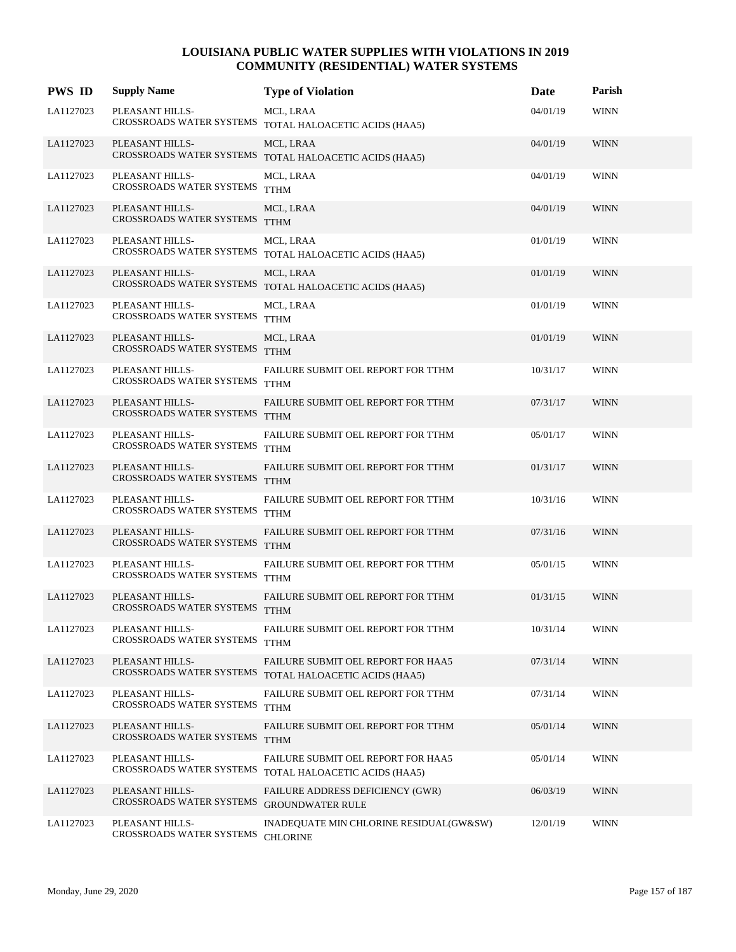| <b>PWS ID</b> | <b>Supply Name</b>                               | <b>Type of Violation</b>                                            | Date     | Parish      |
|---------------|--------------------------------------------------|---------------------------------------------------------------------|----------|-------------|
| LA1127023     | PLEASANT HILLS-                                  | MCL, LRAA<br>CROSSROADS WATER SYSTEMS TOTAL HALOACETIC ACIDS (HAA5) | 04/01/19 | <b>WINN</b> |
| LA1127023     | PLEASANT HILLS-                                  | MCL, LRAA<br>CROSSROADS WATER SYSTEMS TOTAL HALOACETIC ACIDS (HAA5) | 04/01/19 | <b>WINN</b> |
| LA1127023     | PLEASANT HILLS-<br>CROSSROADS WATER SYSTEMS TTHM | MCL, LRAA                                                           | 04/01/19 | <b>WINN</b> |
| LA1127023     | PLEASANT HILLS-<br>CROSSROADS WATER SYSTEMS      | MCL, LRAA<br><b>TTHM</b>                                            | 04/01/19 | <b>WINN</b> |
| LA1127023     | PLEASANT HILLS-                                  | MCL, LRAA<br>CROSSROADS WATER SYSTEMS TOTAL HALOACETIC ACIDS (HAA5) | 01/01/19 | <b>WINN</b> |
| LA1127023     | PLEASANT HILLS-                                  | MCL, LRAA<br>CROSSROADS WATER SYSTEMS TOTAL HALOACETIC ACIDS (HAA5) | 01/01/19 | <b>WINN</b> |
| LA1127023     | PLEASANT HILLS-<br>CROSSROADS WATER SYSTEMS TTHM | MCL, LRAA                                                           | 01/01/19 | <b>WINN</b> |
| LA1127023     | PLEASANT HILLS-<br>CROSSROADS WATER SYSTEMS TTHM | MCL, LRAA                                                           | 01/01/19 | <b>WINN</b> |
| LA1127023     | PLEASANT HILLS-<br>CROSSROADS WATER SYSTEMS TTHM | FAILURE SUBMIT OEL REPORT FOR TTHM                                  | 10/31/17 | <b>WINN</b> |
| LA1127023     | PLEASANT HILLS-<br>CROSSROADS WATER SYSTEMS      | FAILURE SUBMIT OEL REPORT FOR TTHM<br><b>TTHM</b>                   | 07/31/17 | <b>WINN</b> |
| LA1127023     | PLEASANT HILLS-<br>CROSSROADS WATER SYSTEMS TTHM | FAILURE SUBMIT OEL REPORT FOR TTHM                                  | 05/01/17 | <b>WINN</b> |
| LA1127023     | PLEASANT HILLS-<br>CROSSROADS WATER SYSTEMS      | FAILURE SUBMIT OEL REPORT FOR TTHM<br><b>TTHM</b>                   | 01/31/17 | <b>WINN</b> |
| LA1127023     | PLEASANT HILLS-<br>CROSSROADS WATER SYSTEMS TTHM | FAILURE SUBMIT OEL REPORT FOR TTHM                                  | 10/31/16 | <b>WINN</b> |
| LA1127023     | PLEASANT HILLS-<br>CROSSROADS WATER SYSTEMS      | FAILURE SUBMIT OEL REPORT FOR TTHM<br><b>TTHM</b>                   | 07/31/16 | <b>WINN</b> |
| LA1127023     | PLEASANT HILLS-<br>CROSSROADS WATER SYSTEMS TTHM | FAILURE SUBMIT OEL REPORT FOR TTHM                                  | 05/01/15 | <b>WINN</b> |
| LA1127023     | PLEASANT HILLS-<br>CROSSROADS WATER SYSTEMS      | FAILURE SUBMIT OEL REPORT FOR TTHM<br><b>TTHM</b>                   | 01/31/15 | <b>WINN</b> |
| LA1127023     | PLEASANT HILLS-<br>CROSSROADS WATER SYSTEMS      | FAILURE SUBMIT OEL REPORT FOR TTHM<br><b>TTHM</b>                   | 10/31/14 | <b>WINN</b> |
| LA1127023     | PLEASANT HILLS-<br>CROSSROADS WATER SYSTEMS      | FAILURE SUBMIT OEL REPORT FOR HAA5<br>TOTAL HALOACETIC ACIDS (HAA5) | 07/31/14 | <b>WINN</b> |
| LA1127023     | PLEASANT HILLS-<br>CROSSROADS WATER SYSTEMS      | FAILURE SUBMIT OEL REPORT FOR TTHM<br><b>TTHM</b>                   | 07/31/14 | <b>WINN</b> |
| LA1127023     | PLEASANT HILLS-<br>CROSSROADS WATER SYSTEMS      | FAILURE SUBMIT OEL REPORT FOR TTHM<br><b>TTHM</b>                   | 05/01/14 | <b>WINN</b> |
| LA1127023     | PLEASANT HILLS-<br>CROSSROADS WATER SYSTEMS      | FAILURE SUBMIT OEL REPORT FOR HAA5<br>TOTAL HALOACETIC ACIDS (HAA5) | 05/01/14 | <b>WINN</b> |
| LA1127023     | PLEASANT HILLS-<br>CROSSROADS WATER SYSTEMS      | <b>FAILURE ADDRESS DEFICIENCY (GWR)</b><br><b>GROUNDWATER RULE</b>  | 06/03/19 | <b>WINN</b> |
| LA1127023     | PLEASANT HILLS-<br>CROSSROADS WATER SYSTEMS      | INADEQUATE MIN CHLORINE RESIDUAL(GW&SW)<br><b>CHLORINE</b>          | 12/01/19 | <b>WINN</b> |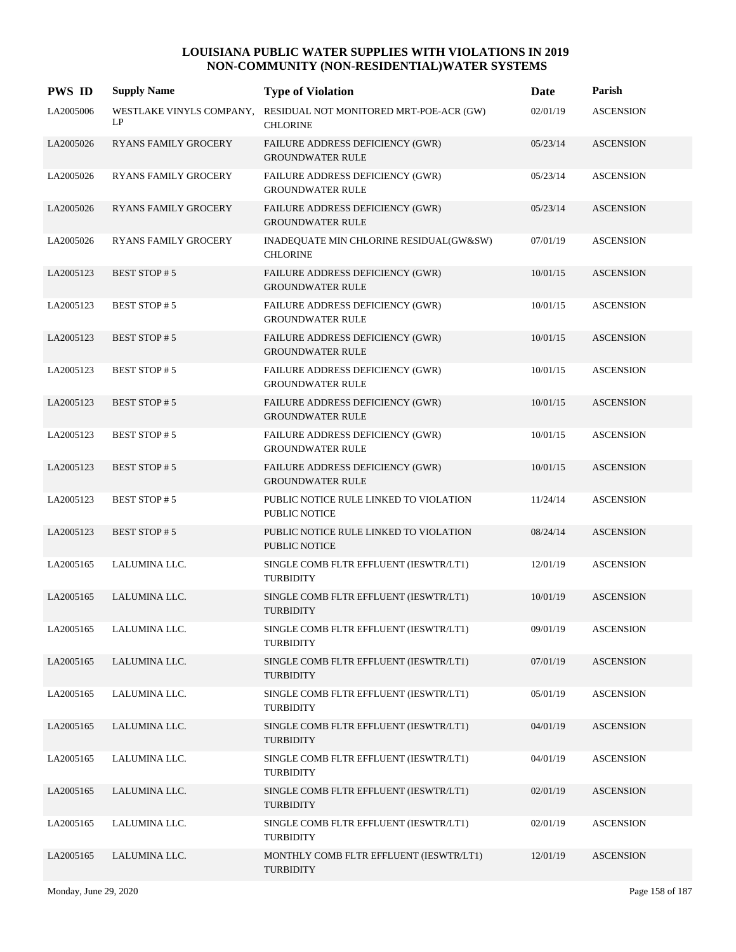| <b>PWS ID</b> | <b>Supply Name</b>             | <b>Type of Violation</b>                                           | Date     | Parish           |
|---------------|--------------------------------|--------------------------------------------------------------------|----------|------------------|
| LA2005006     | WESTLAKE VINYLS COMPANY,<br>LP | RESIDUAL NOT MONITORED MRT-POE-ACR (GW)<br><b>CHLORINE</b>         | 02/01/19 | <b>ASCENSION</b> |
| LA2005026     | <b>RYANS FAMILY GROCERY</b>    | FAILURE ADDRESS DEFICIENCY (GWR)<br><b>GROUNDWATER RULE</b>        | 05/23/14 | <b>ASCENSION</b> |
| LA2005026     | RYANS FAMILY GROCERY           | <b>FAILURE ADDRESS DEFICIENCY (GWR)</b><br><b>GROUNDWATER RULE</b> | 05/23/14 | <b>ASCENSION</b> |
| LA2005026     | <b>RYANS FAMILY GROCERY</b>    | FAILURE ADDRESS DEFICIENCY (GWR)<br><b>GROUNDWATER RULE</b>        | 05/23/14 | <b>ASCENSION</b> |
| LA2005026     | <b>RYANS FAMILY GROCERY</b>    | INADEQUATE MIN CHLORINE RESIDUAL(GW&SW)<br><b>CHLORINE</b>         | 07/01/19 | <b>ASCENSION</b> |
| LA2005123     | <b>BEST STOP#5</b>             | FAILURE ADDRESS DEFICIENCY (GWR)<br><b>GROUNDWATER RULE</b>        | 10/01/15 | <b>ASCENSION</b> |
| LA2005123     | <b>BEST STOP#5</b>             | FAILURE ADDRESS DEFICIENCY (GWR)<br><b>GROUNDWATER RULE</b>        | 10/01/15 | <b>ASCENSION</b> |
| LA2005123     | <b>BEST STOP#5</b>             | FAILURE ADDRESS DEFICIENCY (GWR)<br><b>GROUNDWATER RULE</b>        | 10/01/15 | <b>ASCENSION</b> |
| LA2005123     | <b>BEST STOP#5</b>             | FAILURE ADDRESS DEFICIENCY (GWR)<br><b>GROUNDWATER RULE</b>        | 10/01/15 | <b>ASCENSION</b> |
| LA2005123     | <b>BEST STOP#5</b>             | FAILURE ADDRESS DEFICIENCY (GWR)<br><b>GROUNDWATER RULE</b>        | 10/01/15 | <b>ASCENSION</b> |
| LA2005123     | <b>BEST STOP#5</b>             | FAILURE ADDRESS DEFICIENCY (GWR)<br><b>GROUNDWATER RULE</b>        | 10/01/15 | <b>ASCENSION</b> |
| LA2005123     | <b>BEST STOP#5</b>             | FAILURE ADDRESS DEFICIENCY (GWR)<br><b>GROUNDWATER RULE</b>        | 10/01/15 | <b>ASCENSION</b> |
| LA2005123     | <b>BEST STOP#5</b>             | PUBLIC NOTICE RULE LINKED TO VIOLATION<br><b>PUBLIC NOTICE</b>     | 11/24/14 | <b>ASCENSION</b> |
| LA2005123     | <b>BEST STOP#5</b>             | PUBLIC NOTICE RULE LINKED TO VIOLATION<br><b>PUBLIC NOTICE</b>     | 08/24/14 | <b>ASCENSION</b> |
| LA2005165     | LALUMINA LLC.                  | SINGLE COMB FLTR EFFLUENT (IESWTR/LT1)<br><b>TURBIDITY</b>         | 12/01/19 | <b>ASCENSION</b> |
| LA2005165     | LALUMINA LLC.                  | SINGLE COMB FLTR EFFLUENT (IESWTR/LT1)<br><b>TURBIDITY</b>         | 10/01/19 | <b>ASCENSION</b> |
| LA2005165     | LALUMINA LLC.                  | SINGLE COMB FLTR EFFLUENT (IESWTR/LT1)<br>TURBIDITY                | 09/01/19 | <b>ASCENSION</b> |
| LA2005165     | LALUMINA LLC.                  | SINGLE COMB FLTR EFFLUENT (IESWTR/LT1)<br><b>TURBIDITY</b>         | 07/01/19 | <b>ASCENSION</b> |
| LA2005165     | LALUMINA LLC.                  | SINGLE COMB FLTR EFFLUENT (IESWTR/LT1)<br><b>TURBIDITY</b>         | 05/01/19 | <b>ASCENSION</b> |
| LA2005165     | LALUMINA LLC.                  | SINGLE COMB FLTR EFFLUENT (IESWTR/LT1)<br><b>TURBIDITY</b>         | 04/01/19 | <b>ASCENSION</b> |
| LA2005165     | LALUMINA LLC.                  | SINGLE COMB FLTR EFFLUENT (IESWTR/LT1)<br><b>TURBIDITY</b>         | 04/01/19 | <b>ASCENSION</b> |
| LA2005165     | LALUMINA LLC.                  | SINGLE COMB FLTR EFFLUENT (IESWTR/LT1)<br><b>TURBIDITY</b>         | 02/01/19 | <b>ASCENSION</b> |
| LA2005165     | LALUMINA LLC.                  | SINGLE COMB FLTR EFFLUENT (IESWTR/LT1)<br><b>TURBIDITY</b>         | 02/01/19 | <b>ASCENSION</b> |
| LA2005165     | LALUMINA LLC.                  | MONTHLY COMB FLTR EFFLUENT (IESWTR/LT1)<br><b>TURBIDITY</b>        | 12/01/19 | <b>ASCENSION</b> |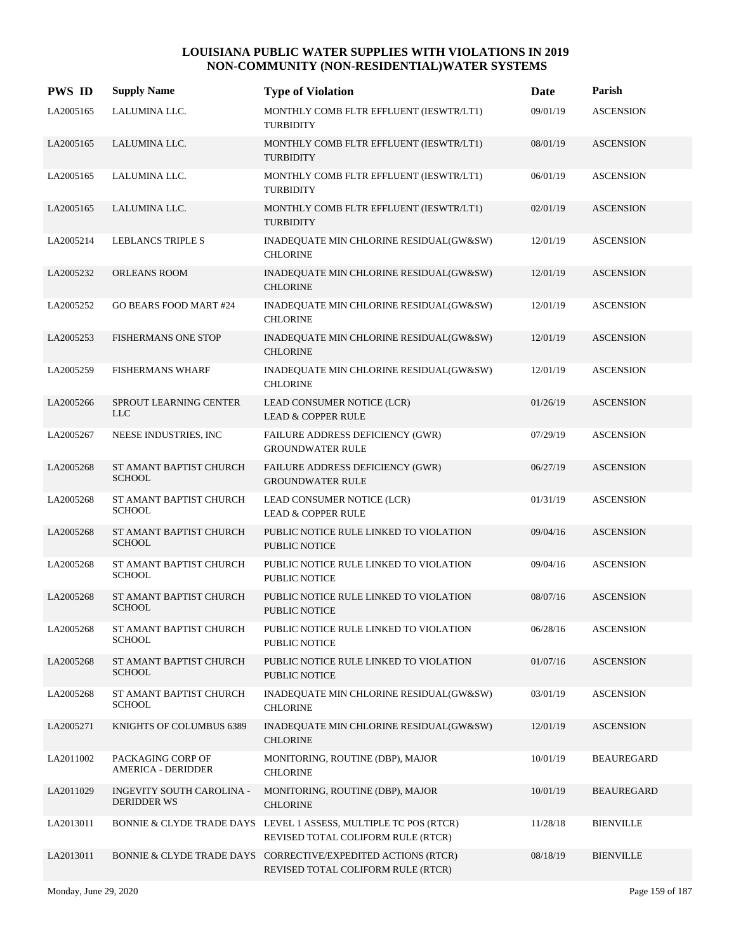| <b>PWS ID</b> | <b>Supply Name</b>                              | <b>Type of Violation</b>                                                                               | Date     | Parish            |
|---------------|-------------------------------------------------|--------------------------------------------------------------------------------------------------------|----------|-------------------|
| LA2005165     | LALUMINA LLC.                                   | MONTHLY COMB FLTR EFFLUENT (IESWTR/LT1)<br><b>TURBIDITY</b>                                            | 09/01/19 | <b>ASCENSION</b>  |
| LA2005165     | LALUMINA LLC.                                   | MONTHLY COMB FLTR EFFLUENT (IESWTR/LT1)<br><b>TURBIDITY</b>                                            | 08/01/19 | <b>ASCENSION</b>  |
| LA2005165     | LALUMINA LLC.                                   | MONTHLY COMB FLTR EFFLUENT (IESWTR/LT1)<br><b>TURBIDITY</b>                                            | 06/01/19 | <b>ASCENSION</b>  |
| LA2005165     | LALUMINA LLC.                                   | MONTHLY COMB FLTR EFFLUENT (IESWTR/LT1)<br><b>TURBIDITY</b>                                            | 02/01/19 | <b>ASCENSION</b>  |
| LA2005214     | LEBLANCS TRIPLE S                               | INADEQUATE MIN CHLORINE RESIDUAL(GW&SW)<br><b>CHLORINE</b>                                             | 12/01/19 | <b>ASCENSION</b>  |
| LA2005232     | <b>ORLEANS ROOM</b>                             | INADEQUATE MIN CHLORINE RESIDUAL(GW&SW)<br><b>CHLORINE</b>                                             | 12/01/19 | <b>ASCENSION</b>  |
| LA2005252     | <b>GO BEARS FOOD MART #24</b>                   | INADEQUATE MIN CHLORINE RESIDUAL(GW&SW)<br><b>CHLORINE</b>                                             | 12/01/19 | <b>ASCENSION</b>  |
| LA2005253     | <b>FISHERMANS ONE STOP</b>                      | INADEQUATE MIN CHLORINE RESIDUAL(GW&SW)<br><b>CHLORINE</b>                                             | 12/01/19 | <b>ASCENSION</b>  |
| LA2005259     | <b>FISHERMANS WHARF</b>                         | INADEQUATE MIN CHLORINE RESIDUAL(GW&SW)<br><b>CHLORINE</b>                                             | 12/01/19 | <b>ASCENSION</b>  |
| LA2005266     | SPROUT LEARNING CENTER<br><b>LLC</b>            | LEAD CONSUMER NOTICE (LCR)<br><b>LEAD &amp; COPPER RULE</b>                                            | 01/26/19 | <b>ASCENSION</b>  |
| LA2005267     | NEESE INDUSTRIES, INC                           | FAILURE ADDRESS DEFICIENCY (GWR)<br><b>GROUNDWATER RULE</b>                                            | 07/29/19 | <b>ASCENSION</b>  |
| LA2005268     | ST AMANT BAPTIST CHURCH<br><b>SCHOOL</b>        | FAILURE ADDRESS DEFICIENCY (GWR)<br><b>GROUNDWATER RULE</b>                                            | 06/27/19 | <b>ASCENSION</b>  |
| LA2005268     | ST AMANT BAPTIST CHURCH<br><b>SCHOOL</b>        | LEAD CONSUMER NOTICE (LCR)<br><b>LEAD &amp; COPPER RULE</b>                                            | 01/31/19 | <b>ASCENSION</b>  |
| LA2005268     | ST AMANT BAPTIST CHURCH<br><b>SCHOOL</b>        | PUBLIC NOTICE RULE LINKED TO VIOLATION<br><b>PUBLIC NOTICE</b>                                         | 09/04/16 | <b>ASCENSION</b>  |
| LA2005268     | ST AMANT BAPTIST CHURCH<br><b>SCHOOL</b>        | PUBLIC NOTICE RULE LINKED TO VIOLATION<br><b>PUBLIC NOTICE</b>                                         | 09/04/16 | <b>ASCENSION</b>  |
| LA2005268     | ST AMANT BAPTIST CHURCH<br><b>SCHOOL</b>        | PUBLIC NOTICE RULE LINKED TO VIOLATION<br><b>PUBLIC NOTICE</b>                                         | 08/07/16 | <b>ASCENSION</b>  |
| LA2005268     | ST AMANT BAPTIST CHURCH<br><b>SCHOOL</b>        | PUBLIC NOTICE RULE LINKED TO VIOLATION<br><b>PUBLIC NOTICE</b>                                         | 06/28/16 | <b>ASCENSION</b>  |
| LA2005268     | ST AMANT BAPTIST CHURCH<br><b>SCHOOL</b>        | PUBLIC NOTICE RULE LINKED TO VIOLATION<br><b>PUBLIC NOTICE</b>                                         | 01/07/16 | <b>ASCENSION</b>  |
| LA2005268     | ST AMANT BAPTIST CHURCH<br><b>SCHOOL</b>        | INADEQUATE MIN CHLORINE RESIDUAL(GW&SW)<br><b>CHLORINE</b>                                             | 03/01/19 | <b>ASCENSION</b>  |
| LA2005271     | KNIGHTS OF COLUMBUS 6389                        | INADEQUATE MIN CHLORINE RESIDUAL(GW&SW)<br><b>CHLORINE</b>                                             | 12/01/19 | <b>ASCENSION</b>  |
| LA2011002     | PACKAGING CORP OF<br><b>AMERICA - DERIDDER</b>  | MONITORING, ROUTINE (DBP), MAJOR<br><b>CHLORINE</b>                                                    | 10/01/19 | <b>BEAUREGARD</b> |
| LA2011029     | INGEVITY SOUTH CAROLINA -<br><b>DERIDDER WS</b> | MONITORING, ROUTINE (DBP), MAJOR<br><b>CHLORINE</b>                                                    | 10/01/19 | <b>BEAUREGARD</b> |
| LA2013011     |                                                 | BONNIE & CLYDE TRADE DAYS LEVEL 1 ASSESS, MULTIPLE TC POS (RTCR)<br>REVISED TOTAL COLIFORM RULE (RTCR) | 11/28/18 | <b>BIENVILLE</b>  |
| LA2013011     |                                                 | BONNIE & CLYDE TRADE DAYS CORRECTIVE/EXPEDITED ACTIONS (RTCR)<br>REVISED TOTAL COLIFORM RULE (RTCR)    | 08/18/19 | <b>BIENVILLE</b>  |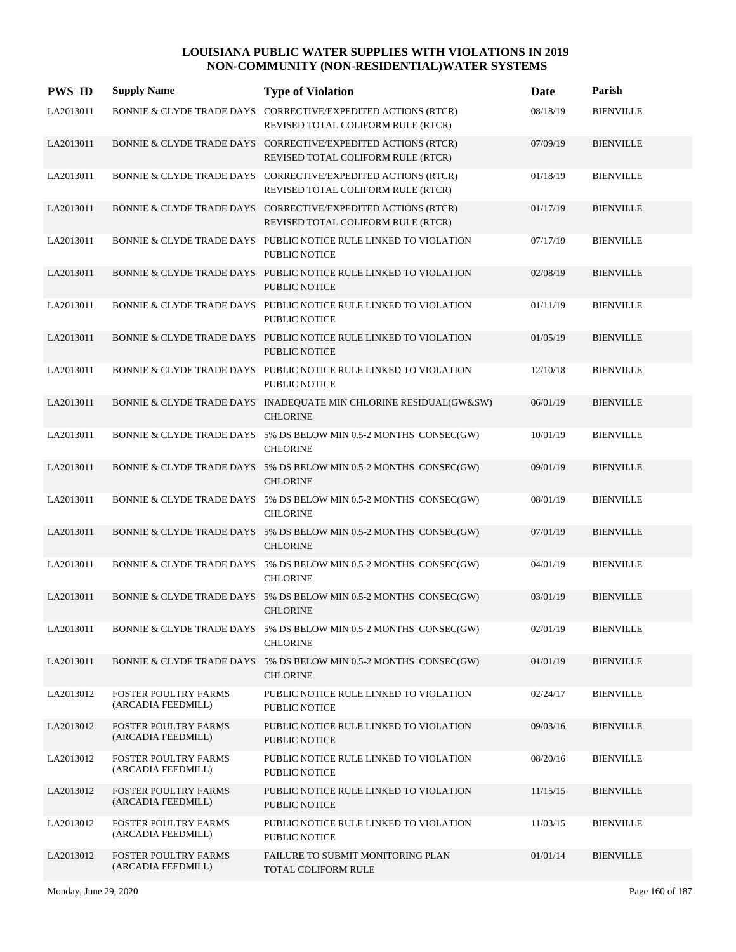| <b>PWS ID</b> | <b>Supply Name</b>                                | <b>Type of Violation</b>                                                                            | Date     | Parish           |
|---------------|---------------------------------------------------|-----------------------------------------------------------------------------------------------------|----------|------------------|
| LA2013011     |                                                   | BONNIE & CLYDE TRADE DAYS CORRECTIVE/EXPEDITED ACTIONS (RTCR)<br>REVISED TOTAL COLIFORM RULE (RTCR) | 08/18/19 | <b>BIENVILLE</b> |
| LA2013011     |                                                   | BONNIE & CLYDE TRADE DAYS CORRECTIVE/EXPEDITED ACTIONS (RTCR)<br>REVISED TOTAL COLIFORM RULE (RTCR) | 07/09/19 | <b>BIENVILLE</b> |
| LA2013011     |                                                   | BONNIE & CLYDE TRADE DAYS CORRECTIVE/EXPEDITED ACTIONS (RTCR)<br>REVISED TOTAL COLIFORM RULE (RTCR) | 01/18/19 | <b>BIENVILLE</b> |
| LA2013011     |                                                   | BONNIE & CLYDE TRADE DAYS CORRECTIVE/EXPEDITED ACTIONS (RTCR)<br>REVISED TOTAL COLIFORM RULE (RTCR) | 01/17/19 | <b>BIENVILLE</b> |
| LA2013011     |                                                   | BONNIE & CLYDE TRADE DAYS PUBLIC NOTICE RULE LINKED TO VIOLATION<br>PUBLIC NOTICE                   | 07/17/19 | <b>BIENVILLE</b> |
| LA2013011     |                                                   | BONNIE & CLYDE TRADE DAYS PUBLIC NOTICE RULE LINKED TO VIOLATION<br><b>PUBLIC NOTICE</b>            | 02/08/19 | <b>BIENVILLE</b> |
| LA2013011     |                                                   | BONNIE & CLYDE TRADE DAYS PUBLIC NOTICE RULE LINKED TO VIOLATION<br>PUBLIC NOTICE                   | 01/11/19 | <b>BIENVILLE</b> |
| LA2013011     |                                                   | BONNIE & CLYDE TRADE DAYS PUBLIC NOTICE RULE LINKED TO VIOLATION<br><b>PUBLIC NOTICE</b>            | 01/05/19 | <b>BIENVILLE</b> |
| LA2013011     |                                                   | BONNIE & CLYDE TRADE DAYS PUBLIC NOTICE RULE LINKED TO VIOLATION<br>PUBLIC NOTICE                   | 12/10/18 | <b>BIENVILLE</b> |
| LA2013011     |                                                   | BONNIE & CLYDE TRADE DAYS INADEQUATE MIN CHLORINE RESIDUAL(GW&SW)<br><b>CHLORINE</b>                | 06/01/19 | <b>BIENVILLE</b> |
| LA2013011     |                                                   | BONNIE & CLYDE TRADE DAYS 5% DS BELOW MIN 0.5-2 MONTHS CONSEC(GW)<br><b>CHLORINE</b>                | 10/01/19 | <b>BIENVILLE</b> |
| LA2013011     |                                                   | BONNIE & CLYDE TRADE DAYS 5% DS BELOW MIN 0.5-2 MONTHS CONSEC(GW)<br><b>CHLORINE</b>                | 09/01/19 | <b>BIENVILLE</b> |
| LA2013011     |                                                   | BONNIE & CLYDE TRADE DAYS 5% DS BELOW MIN 0.5-2 MONTHS CONSEC(GW)<br><b>CHLORINE</b>                | 08/01/19 | <b>BIENVILLE</b> |
| LA2013011     |                                                   | BONNIE & CLYDE TRADE DAYS 5% DS BELOW MIN 0.5-2 MONTHS CONSEC(GW)<br><b>CHLORINE</b>                | 07/01/19 | <b>BIENVILLE</b> |
| LA2013011     |                                                   | BONNIE & CLYDE TRADE DAYS 5% DS BELOW MIN 0.5-2 MONTHS CONSEC(GW)<br><b>CHLORINE</b>                | 04/01/19 | <b>BIENVILLE</b> |
| LA2013011     |                                                   | BONNIE & CLYDE TRADE DAYS 5% DS BELOW MIN 0.5-2 MONTHS CONSEC(GW)<br><b>CHLORINE</b>                | 03/01/19 | <b>BIENVILLE</b> |
| LA2013011     |                                                   | BONNIE & CLYDE TRADE DAYS 5% DS BELOW MIN 0.5-2 MONTHS CONSEC(GW)<br><b>CHLORINE</b>                | 02/01/19 | <b>BIENVILLE</b> |
| LA2013011     |                                                   | BONNIE & CLYDE TRADE DAYS 5% DS BELOW MIN 0.5-2 MONTHS CONSEC(GW)<br><b>CHLORINE</b>                | 01/01/19 | <b>BIENVILLE</b> |
| LA2013012     | FOSTER POULTRY FARMS<br>(ARCADIA FEEDMILL)        | PUBLIC NOTICE RULE LINKED TO VIOLATION<br>PUBLIC NOTICE                                             | 02/24/17 | <b>BIENVILLE</b> |
| LA2013012     | FOSTER POULTRY FARMS<br>(ARCADIA FEEDMILL)        | PUBLIC NOTICE RULE LINKED TO VIOLATION<br><b>PUBLIC NOTICE</b>                                      | 09/03/16 | <b>BIENVILLE</b> |
| LA2013012     | FOSTER POULTRY FARMS<br>(ARCADIA FEEDMILL)        | PUBLIC NOTICE RULE LINKED TO VIOLATION<br>PUBLIC NOTICE                                             | 08/20/16 | <b>BIENVILLE</b> |
| LA2013012     | FOSTER POULTRY FARMS<br>(ARCADIA FEEDMILL)        | PUBLIC NOTICE RULE LINKED TO VIOLATION<br><b>PUBLIC NOTICE</b>                                      | 11/15/15 | <b>BIENVILLE</b> |
| LA2013012     | FOSTER POULTRY FARMS<br>(ARCADIA FEEDMILL)        | PUBLIC NOTICE RULE LINKED TO VIOLATION<br>PUBLIC NOTICE                                             | 11/03/15 | <b>BIENVILLE</b> |
| LA2013012     | <b>FOSTER POULTRY FARMS</b><br>(ARCADIA FEEDMILL) | FAILURE TO SUBMIT MONITORING PLAN<br>TOTAL COLIFORM RULE                                            | 01/01/14 | <b>BIENVILLE</b> |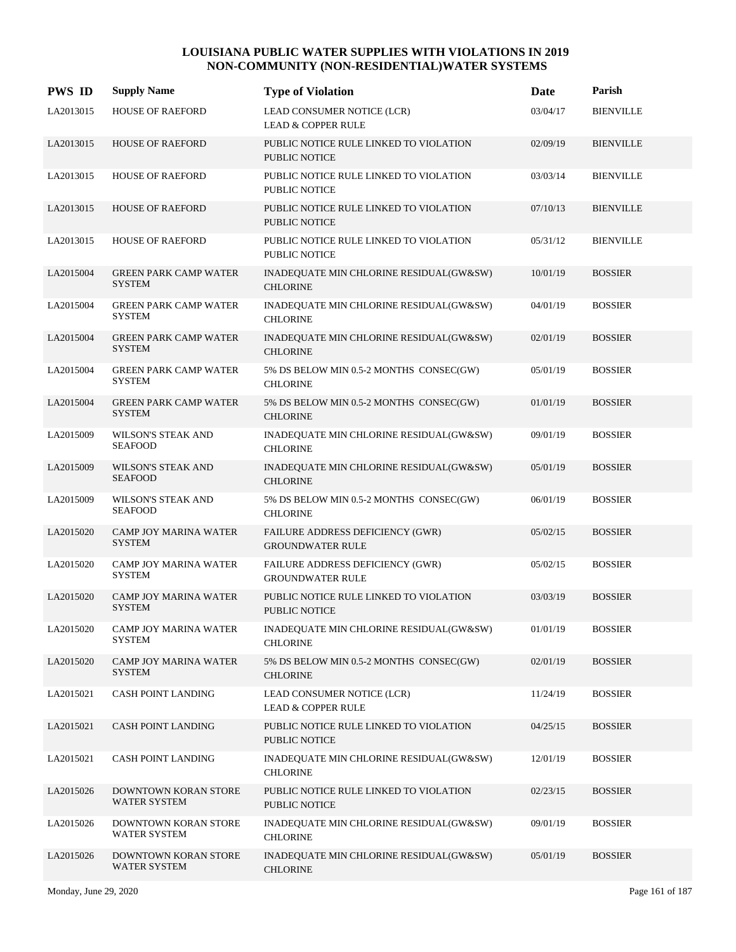| <b>PWS ID</b> | <b>Supply Name</b>                            | <b>Type of Violation</b>                                       | Date     | Parish           |
|---------------|-----------------------------------------------|----------------------------------------------------------------|----------|------------------|
| LA2013015     | <b>HOUSE OF RAEFORD</b>                       | LEAD CONSUMER NOTICE (LCR)<br><b>LEAD &amp; COPPER RULE</b>    | 03/04/17 | <b>BIENVILLE</b> |
| LA2013015     | <b>HOUSE OF RAEFORD</b>                       | PUBLIC NOTICE RULE LINKED TO VIOLATION<br><b>PUBLIC NOTICE</b> | 02/09/19 | <b>BIENVILLE</b> |
| LA2013015     | <b>HOUSE OF RAEFORD</b>                       | PUBLIC NOTICE RULE LINKED TO VIOLATION<br><b>PUBLIC NOTICE</b> | 03/03/14 | <b>BIENVILLE</b> |
| LA2013015     | <b>HOUSE OF RAEFORD</b>                       | PUBLIC NOTICE RULE LINKED TO VIOLATION<br><b>PUBLIC NOTICE</b> | 07/10/13 | <b>BIENVILLE</b> |
| LA2013015     | HOUSE OF RAEFORD                              | PUBLIC NOTICE RULE LINKED TO VIOLATION<br>PUBLIC NOTICE        | 05/31/12 | <b>BIENVILLE</b> |
| LA2015004     | <b>GREEN PARK CAMP WATER</b><br><b>SYSTEM</b> | INADEQUATE MIN CHLORINE RESIDUAL(GW&SW)<br><b>CHLORINE</b>     | 10/01/19 | <b>BOSSIER</b>   |
| LA2015004     | <b>GREEN PARK CAMP WATER</b><br><b>SYSTEM</b> | INADEQUATE MIN CHLORINE RESIDUAL(GW&SW)<br><b>CHLORINE</b>     | 04/01/19 | <b>BOSSIER</b>   |
| LA2015004     | <b>GREEN PARK CAMP WATER</b><br><b>SYSTEM</b> | INADEQUATE MIN CHLORINE RESIDUAL(GW&SW)<br><b>CHLORINE</b>     | 02/01/19 | <b>BOSSIER</b>   |
| LA2015004     | <b>GREEN PARK CAMP WATER</b><br><b>SYSTEM</b> | 5% DS BELOW MIN 0.5-2 MONTHS CONSEC(GW)<br><b>CHLORINE</b>     | 05/01/19 | <b>BOSSIER</b>   |
| LA2015004     | <b>GREEN PARK CAMP WATER</b><br><b>SYSTEM</b> | 5% DS BELOW MIN 0.5-2 MONTHS CONSEC(GW)<br><b>CHLORINE</b>     | 01/01/19 | <b>BOSSIER</b>   |
| LA2015009     | <b>WILSON'S STEAK AND</b><br><b>SEAFOOD</b>   | INADEQUATE MIN CHLORINE RESIDUAL(GW&SW)<br><b>CHLORINE</b>     | 09/01/19 | <b>BOSSIER</b>   |
| LA2015009     | WILSON'S STEAK AND<br><b>SEAFOOD</b>          | INADEQUATE MIN CHLORINE RESIDUAL(GW&SW)<br><b>CHLORINE</b>     | 05/01/19 | <b>BOSSIER</b>   |
| LA2015009     | WILSON'S STEAK AND<br><b>SEAFOOD</b>          | 5% DS BELOW MIN 0.5-2 MONTHS CONSEC(GW)<br><b>CHLORINE</b>     | 06/01/19 | <b>BOSSIER</b>   |
| LA2015020     | CAMP JOY MARINA WATER<br><b>SYSTEM</b>        | FAILURE ADDRESS DEFICIENCY (GWR)<br><b>GROUNDWATER RULE</b>    | 05/02/15 | <b>BOSSIER</b>   |
| LA2015020     | CAMP JOY MARINA WATER<br><b>SYSTEM</b>        | FAILURE ADDRESS DEFICIENCY (GWR)<br><b>GROUNDWATER RULE</b>    | 05/02/15 | <b>BOSSIER</b>   |
| LA2015020     | <b>CAMP JOY MARINA WATER</b><br><b>SYSTEM</b> | PUBLIC NOTICE RULE LINKED TO VIOLATION<br><b>PUBLIC NOTICE</b> | 03/03/19 | <b>BOSSIER</b>   |
| LA2015020     | CAMP JOY MARINA WATER<br><b>SYSTEM</b>        | INADEQUATE MIN CHLORINE RESIDUAL(GW&SW)<br><b>CHLORINE</b>     | 01/01/19 | <b>BOSSIER</b>   |
| LA2015020     | CAMP JOY MARINA WATER<br><b>SYSTEM</b>        | 5% DS BELOW MIN 0.5-2 MONTHS CONSEC(GW)<br><b>CHLORINE</b>     | 02/01/19 | <b>BOSSIER</b>   |
| LA2015021     | <b>CASH POINT LANDING</b>                     | LEAD CONSUMER NOTICE (LCR)<br><b>LEAD &amp; COPPER RULE</b>    | 11/24/19 | <b>BOSSIER</b>   |
| LA2015021     | <b>CASH POINT LANDING</b>                     | PUBLIC NOTICE RULE LINKED TO VIOLATION<br>PUBLIC NOTICE        | 04/25/15 | <b>BOSSIER</b>   |
| LA2015021     | <b>CASH POINT LANDING</b>                     | INADEQUATE MIN CHLORINE RESIDUAL(GW&SW)<br><b>CHLORINE</b>     | 12/01/19 | <b>BOSSIER</b>   |
| LA2015026     | DOWNTOWN KORAN STORE<br><b>WATER SYSTEM</b>   | PUBLIC NOTICE RULE LINKED TO VIOLATION<br><b>PUBLIC NOTICE</b> | 02/23/15 | <b>BOSSIER</b>   |
| LA2015026     | DOWNTOWN KORAN STORE<br>WATER SYSTEM          | INADEQUATE MIN CHLORINE RESIDUAL(GW&SW)<br><b>CHLORINE</b>     | 09/01/19 | <b>BOSSIER</b>   |
| LA2015026     | DOWNTOWN KORAN STORE<br>WATER SYSTEM          | INADEQUATE MIN CHLORINE RESIDUAL(GW&SW)<br><b>CHLORINE</b>     | 05/01/19 | <b>BOSSIER</b>   |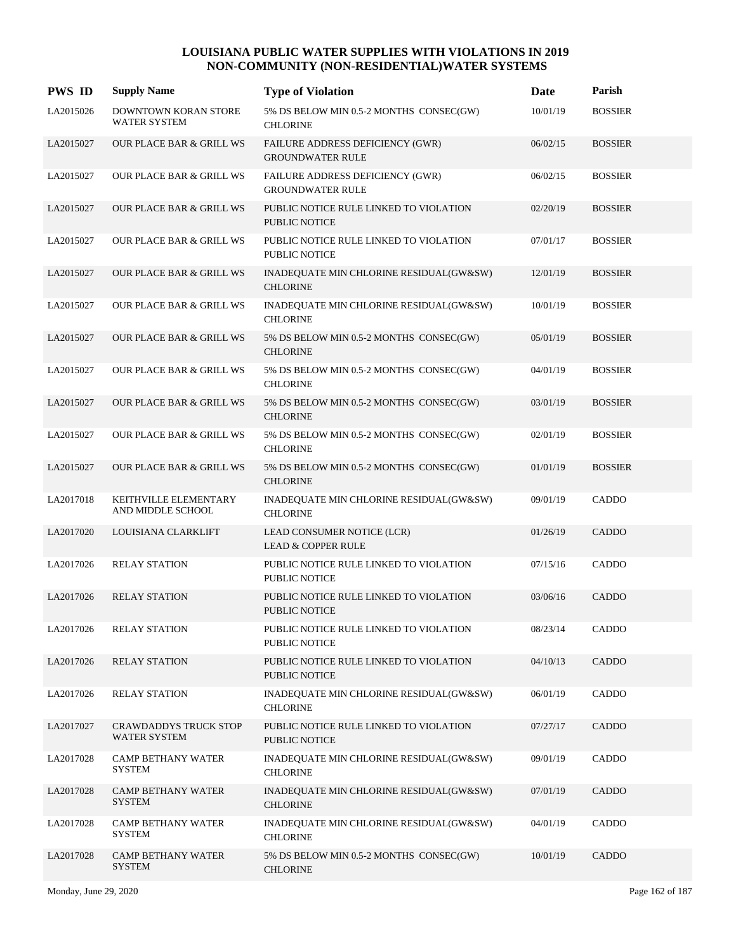| <b>PWS ID</b> | <b>Supply Name</b>                           | <b>Type of Violation</b>                                       | Date     | Parish         |
|---------------|----------------------------------------------|----------------------------------------------------------------|----------|----------------|
| LA2015026     | DOWNTOWN KORAN STORE<br><b>WATER SYSTEM</b>  | 5% DS BELOW MIN 0.5-2 MONTHS CONSEC(GW)<br><b>CHLORINE</b>     | 10/01/19 | <b>BOSSIER</b> |
| LA2015027     | <b>OUR PLACE BAR &amp; GRILL WS</b>          | FAILURE ADDRESS DEFICIENCY (GWR)<br><b>GROUNDWATER RULE</b>    | 06/02/15 | <b>BOSSIER</b> |
| LA2015027     | <b>OUR PLACE BAR &amp; GRILL WS</b>          | FAILURE ADDRESS DEFICIENCY (GWR)<br><b>GROUNDWATER RULE</b>    | 06/02/15 | <b>BOSSIER</b> |
| LA2015027     | <b>OUR PLACE BAR &amp; GRILL WS</b>          | PUBLIC NOTICE RULE LINKED TO VIOLATION<br>PUBLIC NOTICE        | 02/20/19 | <b>BOSSIER</b> |
| LA2015027     | <b>OUR PLACE BAR &amp; GRILL WS</b>          | PUBLIC NOTICE RULE LINKED TO VIOLATION<br><b>PUBLIC NOTICE</b> | 07/01/17 | <b>BOSSIER</b> |
| LA2015027     | <b>OUR PLACE BAR &amp; GRILL WS</b>          | INADEQUATE MIN CHLORINE RESIDUAL(GW&SW)<br><b>CHLORINE</b>     | 12/01/19 | <b>BOSSIER</b> |
| LA2015027     | <b>OUR PLACE BAR &amp; GRILL WS</b>          | INADEQUATE MIN CHLORINE RESIDUAL(GW&SW)<br><b>CHLORINE</b>     | 10/01/19 | <b>BOSSIER</b> |
| LA2015027     | <b>OUR PLACE BAR &amp; GRILL WS</b>          | 5% DS BELOW MIN 0.5-2 MONTHS CONSEC(GW)<br><b>CHLORINE</b>     | 05/01/19 | <b>BOSSIER</b> |
| LA2015027     | OUR PLACE BAR & GRILL WS                     | 5% DS BELOW MIN 0.5-2 MONTHS CONSEC(GW)<br><b>CHLORINE</b>     | 04/01/19 | <b>BOSSIER</b> |
| LA2015027     | OUR PLACE BAR & GRILL WS                     | 5% DS BELOW MIN 0.5-2 MONTHS CONSEC(GW)<br><b>CHLORINE</b>     | 03/01/19 | <b>BOSSIER</b> |
| LA2015027     | OUR PLACE BAR & GRILL WS                     | 5% DS BELOW MIN 0.5-2 MONTHS CONSEC(GW)<br><b>CHLORINE</b>     | 02/01/19 | <b>BOSSIER</b> |
| LA2015027     | <b>OUR PLACE BAR &amp; GRILL WS</b>          | 5% DS BELOW MIN 0.5-2 MONTHS CONSEC(GW)<br><b>CHLORINE</b>     | 01/01/19 | <b>BOSSIER</b> |
| LA2017018     | KEITHVILLE ELEMENTARY<br>AND MIDDLE SCHOOL   | INADEQUATE MIN CHLORINE RESIDUAL(GW&SW)<br><b>CHLORINE</b>     | 09/01/19 | CADDO          |
| LA2017020     | LOUISIANA CLARKLIFT                          | LEAD CONSUMER NOTICE (LCR)<br><b>LEAD &amp; COPPER RULE</b>    | 01/26/19 | CADDO          |
| LA2017026     | <b>RELAY STATION</b>                         | PUBLIC NOTICE RULE LINKED TO VIOLATION<br>PUBLIC NOTICE        | 07/15/16 | CADDO          |
| LA2017026     | <b>RELAY STATION</b>                         | PUBLIC NOTICE RULE LINKED TO VIOLATION<br><b>PUBLIC NOTICE</b> | 03/06/16 | CADDO          |
| LA2017026     | <b>RELAY STATION</b>                         | PUBLIC NOTICE RULE LINKED TO VIOLATION<br>PUBLIC NOTICE        | 08/23/14 | CADDO          |
| LA2017026     | <b>RELAY STATION</b>                         | PUBLIC NOTICE RULE LINKED TO VIOLATION<br>PUBLIC NOTICE        | 04/10/13 | CADDO          |
| LA2017026     | <b>RELAY STATION</b>                         | INADEQUATE MIN CHLORINE RESIDUAL(GW&SW)<br><b>CHLORINE</b>     | 06/01/19 | CADDO          |
| LA2017027     | CRAWDADDYS TRUCK STOP<br><b>WATER SYSTEM</b> | PUBLIC NOTICE RULE LINKED TO VIOLATION<br>PUBLIC NOTICE        | 07/27/17 | CADDO          |
| LA2017028     | <b>CAMP BETHANY WATER</b><br><b>SYSTEM</b>   | INADEQUATE MIN CHLORINE RESIDUAL(GW&SW)<br><b>CHLORINE</b>     | 09/01/19 | CADDO          |
| LA2017028     | <b>CAMP BETHANY WATER</b><br><b>SYSTEM</b>   | INADEQUATE MIN CHLORINE RESIDUAL(GW&SW)<br><b>CHLORINE</b>     | 07/01/19 | CADDO          |
| LA2017028     | <b>CAMP BETHANY WATER</b><br><b>SYSTEM</b>   | INADEQUATE MIN CHLORINE RESIDUAL(GW&SW)<br><b>CHLORINE</b>     | 04/01/19 | CADDO          |
| LA2017028     | <b>CAMP BETHANY WATER</b><br><b>SYSTEM</b>   | 5% DS BELOW MIN 0.5-2 MONTHS CONSEC(GW)<br><b>CHLORINE</b>     | 10/01/19 | CADDO          |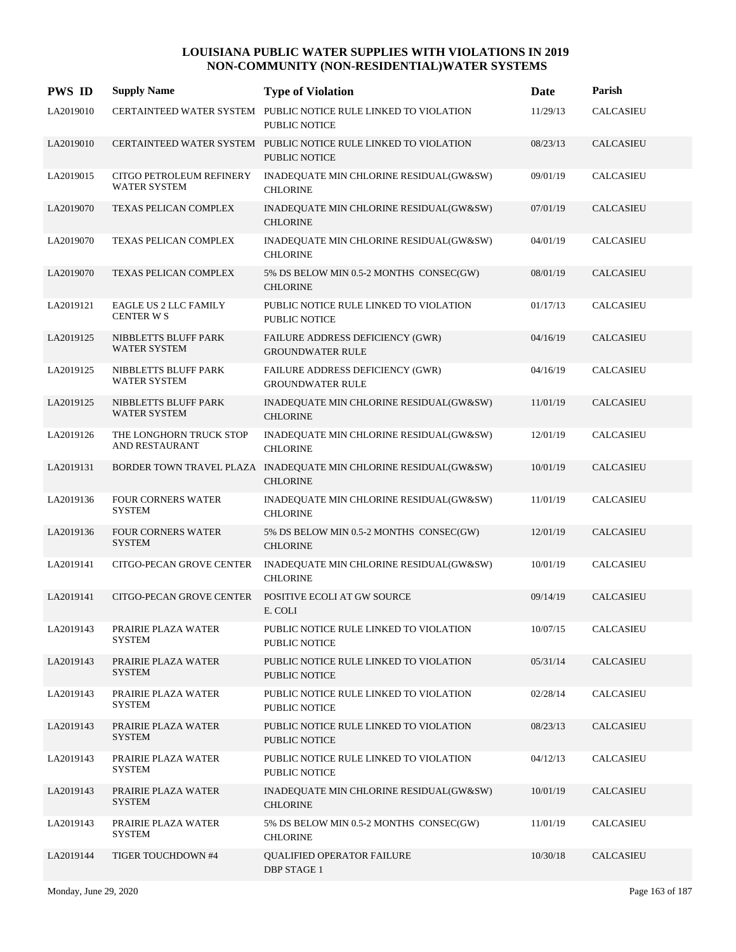| <b>PWS ID</b> | <b>Supply Name</b>                              | <b>Type of Violation</b>                                                                | <b>Date</b> | Parish           |
|---------------|-------------------------------------------------|-----------------------------------------------------------------------------------------|-------------|------------------|
| LA2019010     |                                                 | CERTAINTEED WATER SYSTEM PUBLIC NOTICE RULE LINKED TO VIOLATION<br>PUBLIC NOTICE        | 11/29/13    | <b>CALCASIEU</b> |
| LA2019010     |                                                 | CERTAINTEED WATER SYSTEM PUBLIC NOTICE RULE LINKED TO VIOLATION<br><b>PUBLIC NOTICE</b> | 08/23/13    | <b>CALCASIEU</b> |
| LA2019015     | CITGO PETROLEUM REFINERY<br><b>WATER SYSTEM</b> | INADEQUATE MIN CHLORINE RESIDUAL(GW&SW)<br><b>CHLORINE</b>                              | 09/01/19    | <b>CALCASIEU</b> |
| LA2019070     | <b>TEXAS PELICAN COMPLEX</b>                    | INADEQUATE MIN CHLORINE RESIDUAL(GW&SW)<br><b>CHLORINE</b>                              | 07/01/19    | <b>CALCASIEU</b> |
| LA2019070     | <b>TEXAS PELICAN COMPLEX</b>                    | INADEQUATE MIN CHLORINE RESIDUAL(GW&SW)<br><b>CHLORINE</b>                              | 04/01/19    | <b>CALCASIEU</b> |
| LA2019070     | TEXAS PELICAN COMPLEX                           | 5% DS BELOW MIN 0.5-2 MONTHS CONSEC(GW)<br><b>CHLORINE</b>                              | 08/01/19    | <b>CALCASIEU</b> |
| LA2019121     | <b>EAGLE US 2 LLC FAMILY</b><br>CENTER W S      | PUBLIC NOTICE RULE LINKED TO VIOLATION<br>PUBLIC NOTICE                                 | 01/17/13    | <b>CALCASIEU</b> |
| LA2019125     | NIBBLETTS BLUFF PARK<br>WATER SYSTEM            | FAILURE ADDRESS DEFICIENCY (GWR)<br><b>GROUNDWATER RULE</b>                             | 04/16/19    | <b>CALCASIEU</b> |
| LA2019125     | NIBBLETTS BLUFF PARK<br><b>WATER SYSTEM</b>     | FAILURE ADDRESS DEFICIENCY (GWR)<br><b>GROUNDWATER RULE</b>                             | 04/16/19    | CALCASIEU        |
| LA2019125     | NIBBLETTS BLUFF PARK<br><b>WATER SYSTEM</b>     | INADEQUATE MIN CHLORINE RESIDUAL(GW&SW)<br><b>CHLORINE</b>                              | 11/01/19    | <b>CALCASIEU</b> |
| LA2019126     | THE LONGHORN TRUCK STOP<br>AND RESTAURANT       | INADEQUATE MIN CHLORINE RESIDUAL(GW&SW)<br><b>CHLORINE</b>                              | 12/01/19    | <b>CALCASIEU</b> |
| LA2019131     |                                                 | BORDER TOWN TRAVEL PLAZA INADEQUATE MIN CHLORINE RESIDUAL(GW&SW)<br><b>CHLORINE</b>     | 10/01/19    | <b>CALCASIEU</b> |
| LA2019136     | FOUR CORNERS WATER<br><b>SYSTEM</b>             | INADEQUATE MIN CHLORINE RESIDUAL(GW&SW)<br><b>CHLORINE</b>                              | 11/01/19    | <b>CALCASIEU</b> |
| LA2019136     | <b>FOUR CORNERS WATER</b><br><b>SYSTEM</b>      | 5% DS BELOW MIN 0.5-2 MONTHS CONSEC(GW)<br><b>CHLORINE</b>                              | 12/01/19    | <b>CALCASIEU</b> |
| LA2019141     | CITGO-PECAN GROVE CENTER                        | INADEQUATE MIN CHLORINE RESIDUAL(GW&SW)<br><b>CHLORINE</b>                              | 10/01/19    | <b>CALCASIEU</b> |
| LA2019141     | CITGO-PECAN GROVE CENTER                        | POSITIVE ECOLI AT GW SOURCE<br>E. COLI                                                  | 09/14/19    | <b>CALCASIEU</b> |
| LA2019143     | PRAIRIE PLAZA WATER<br><b>SYSTEM</b>            | PUBLIC NOTICE RULE LINKED TO VIOLATION<br>PUBLIC NOTICE                                 | 10/07/15    | CALCASIEU        |
| LA2019143     | PRAIRIE PLAZA WATER<br><b>SYSTEM</b>            | PUBLIC NOTICE RULE LINKED TO VIOLATION<br><b>PUBLIC NOTICE</b>                          | 05/31/14    | <b>CALCASIEU</b> |
| LA2019143     | PRAIRIE PLAZA WATER<br><b>SYSTEM</b>            | PUBLIC NOTICE RULE LINKED TO VIOLATION<br>PUBLIC NOTICE                                 | 02/28/14    | <b>CALCASIEU</b> |
| LA2019143     | PRAIRIE PLAZA WATER<br><b>SYSTEM</b>            | PUBLIC NOTICE RULE LINKED TO VIOLATION<br><b>PUBLIC NOTICE</b>                          | 08/23/13    | <b>CALCASIEU</b> |
| LA2019143     | PRAIRIE PLAZA WATER<br><b>SYSTEM</b>            | PUBLIC NOTICE RULE LINKED TO VIOLATION<br>PUBLIC NOTICE                                 | 04/12/13    | CALCASIEU        |
| LA2019143     | PRAIRIE PLAZA WATER<br><b>SYSTEM</b>            | INADEQUATE MIN CHLORINE RESIDUAL(GW&SW)<br><b>CHLORINE</b>                              | 10/01/19    | <b>CALCASIEU</b> |
| LA2019143     | PRAIRIE PLAZA WATER<br><b>SYSTEM</b>            | 5% DS BELOW MIN 0.5-2 MONTHS CONSEC(GW)<br><b>CHLORINE</b>                              | 11/01/19    | <b>CALCASIEU</b> |
| LA2019144     | TIGER TOUCHDOWN #4                              | <b>QUALIFIED OPERATOR FAILURE</b><br><b>DBP STAGE 1</b>                                 | 10/30/18    | <b>CALCASIEU</b> |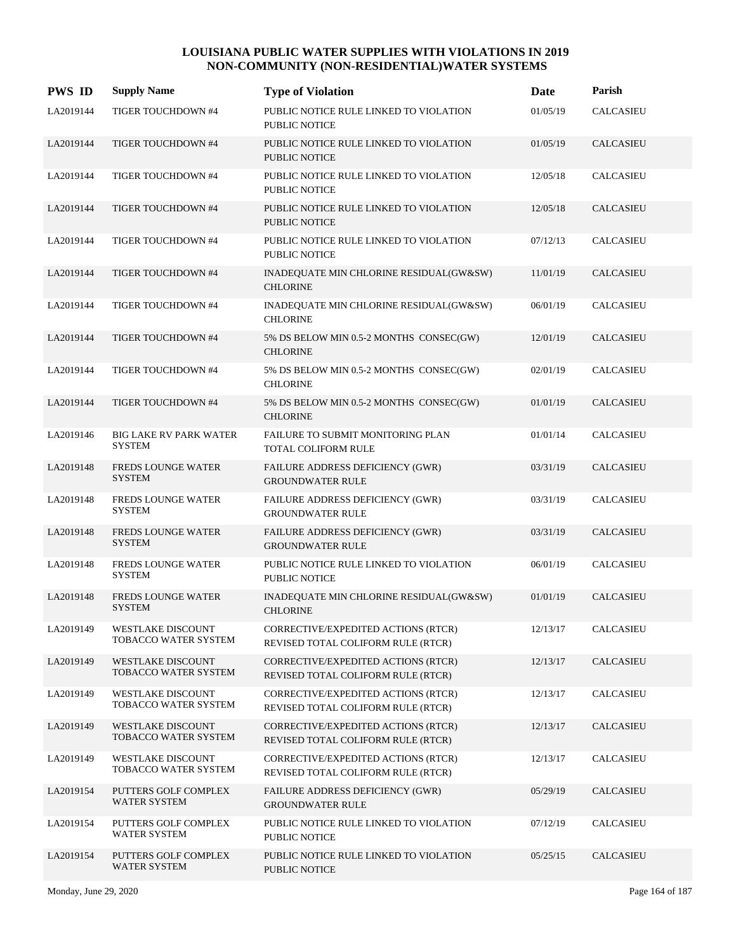| <b>PWS ID</b> | <b>Supply Name</b>                               | <b>Type of Violation</b>                                                  | <b>Date</b> | Parish           |
|---------------|--------------------------------------------------|---------------------------------------------------------------------------|-------------|------------------|
| LA2019144     | TIGER TOUCHDOWN #4                               | PUBLIC NOTICE RULE LINKED TO VIOLATION<br><b>PUBLIC NOTICE</b>            | 01/05/19    | <b>CALCASIEU</b> |
| LA2019144     | TIGER TOUCHDOWN #4                               | PUBLIC NOTICE RULE LINKED TO VIOLATION<br><b>PUBLIC NOTICE</b>            | 01/05/19    | CALCASIEU        |
| LA2019144     | TIGER TOUCHDOWN #4                               | PUBLIC NOTICE RULE LINKED TO VIOLATION<br><b>PUBLIC NOTICE</b>            | 12/05/18    | <b>CALCASIEU</b> |
| LA2019144     | TIGER TOUCHDOWN #4                               | PUBLIC NOTICE RULE LINKED TO VIOLATION<br><b>PUBLIC NOTICE</b>            | 12/05/18    | <b>CALCASIEU</b> |
| LA2019144     | TIGER TOUCHDOWN #4                               | PUBLIC NOTICE RULE LINKED TO VIOLATION<br><b>PUBLIC NOTICE</b>            | 07/12/13    | <b>CALCASIEU</b> |
| LA2019144     | TIGER TOUCHDOWN #4                               | INADEQUATE MIN CHLORINE RESIDUAL(GW&SW)<br><b>CHLORINE</b>                | 11/01/19    | <b>CALCASIEU</b> |
| LA2019144     | TIGER TOUCHDOWN #4                               | INADEQUATE MIN CHLORINE RESIDUAL(GW&SW)<br><b>CHLORINE</b>                | 06/01/19    | <b>CALCASIEU</b> |
| LA2019144     | TIGER TOUCHDOWN #4                               | 5% DS BELOW MIN 0.5-2 MONTHS CONSEC(GW)<br><b>CHLORINE</b>                | 12/01/19    | <b>CALCASIEU</b> |
| LA2019144     | TIGER TOUCHDOWN #4                               | 5% DS BELOW MIN 0.5-2 MONTHS CONSEC(GW)<br><b>CHLORINE</b>                | 02/01/19    | CALCASIEU        |
| LA2019144     | TIGER TOUCHDOWN #4                               | 5% DS BELOW MIN 0.5-2 MONTHS CONSEC(GW)<br><b>CHLORINE</b>                | 01/01/19    | <b>CALCASIEU</b> |
| LA2019146     | <b>BIG LAKE RV PARK WATER</b><br><b>SYSTEM</b>   | FAILURE TO SUBMIT MONITORING PLAN<br>TOTAL COLIFORM RULE                  | 01/01/14    | <b>CALCASIEU</b> |
| LA2019148     | <b>FREDS LOUNGE WATER</b><br><b>SYSTEM</b>       | FAILURE ADDRESS DEFICIENCY (GWR)<br><b>GROUNDWATER RULE</b>               | 03/31/19    | <b>CALCASIEU</b> |
| LA2019148     | <b>FREDS LOUNGE WATER</b><br><b>SYSTEM</b>       | FAILURE ADDRESS DEFICIENCY (GWR)<br><b>GROUNDWATER RULE</b>               | 03/31/19    | <b>CALCASIEU</b> |
| LA2019148     | <b>FREDS LOUNGE WATER</b><br><b>SYSTEM</b>       | FAILURE ADDRESS DEFICIENCY (GWR)<br><b>GROUNDWATER RULE</b>               | 03/31/19    | <b>CALCASIEU</b> |
| LA2019148     | <b>FREDS LOUNGE WATER</b><br><b>SYSTEM</b>       | PUBLIC NOTICE RULE LINKED TO VIOLATION<br><b>PUBLIC NOTICE</b>            | 06/01/19    | <b>CALCASIEU</b> |
| LA2019148     | <b>FREDS LOUNGE WATER</b><br><b>SYSTEM</b>       | INADEQUATE MIN CHLORINE RESIDUAL(GW&SW)<br><b>CHLORINE</b>                | 01/01/19    | <b>CALCASIEU</b> |
| LA2019149     | WESTLAKE DISCOUNT<br>TOBACCO WATER SYSTEM        | CORRECTIVE/EXPEDITED ACTIONS (RTCR)<br>REVISED TOTAL COLIFORM RULE (RTCR) | 12/13/17    | CALCASIEU        |
| LA2019149     | <b>WESTLAKE DISCOUNT</b><br>TOBACCO WATER SYSTEM | CORRECTIVE/EXPEDITED ACTIONS (RTCR)<br>REVISED TOTAL COLIFORM RULE (RTCR) | 12/13/17    | CALCASIEU        |
| LA2019149     | <b>WESTLAKE DISCOUNT</b><br>TOBACCO WATER SYSTEM | CORRECTIVE/EXPEDITED ACTIONS (RTCR)<br>REVISED TOTAL COLIFORM RULE (RTCR) | 12/13/17    | CALCASIEU        |
| LA2019149     | <b>WESTLAKE DISCOUNT</b><br>TOBACCO WATER SYSTEM | CORRECTIVE/EXPEDITED ACTIONS (RTCR)<br>REVISED TOTAL COLIFORM RULE (RTCR) | 12/13/17    | CALCASIEU        |
| LA2019149     | WESTLAKE DISCOUNT<br>TOBACCO WATER SYSTEM        | CORRECTIVE/EXPEDITED ACTIONS (RTCR)<br>REVISED TOTAL COLIFORM RULE (RTCR) | 12/13/17    | <b>CALCASIEU</b> |
| LA2019154     | PUTTERS GOLF COMPLEX<br>WATER SYSTEM             | FAILURE ADDRESS DEFICIENCY (GWR)<br><b>GROUNDWATER RULE</b>               | 05/29/19    | CALCASIEU        |
| LA2019154     | PUTTERS GOLF COMPLEX<br>WATER SYSTEM             | PUBLIC NOTICE RULE LINKED TO VIOLATION<br>PUBLIC NOTICE                   | 07/12/19    | CALCASIEU        |
| LA2019154     | PUTTERS GOLF COMPLEX<br>WATER SYSTEM             | PUBLIC NOTICE RULE LINKED TO VIOLATION<br>PUBLIC NOTICE                   | 05/25/15    | CALCASIEU        |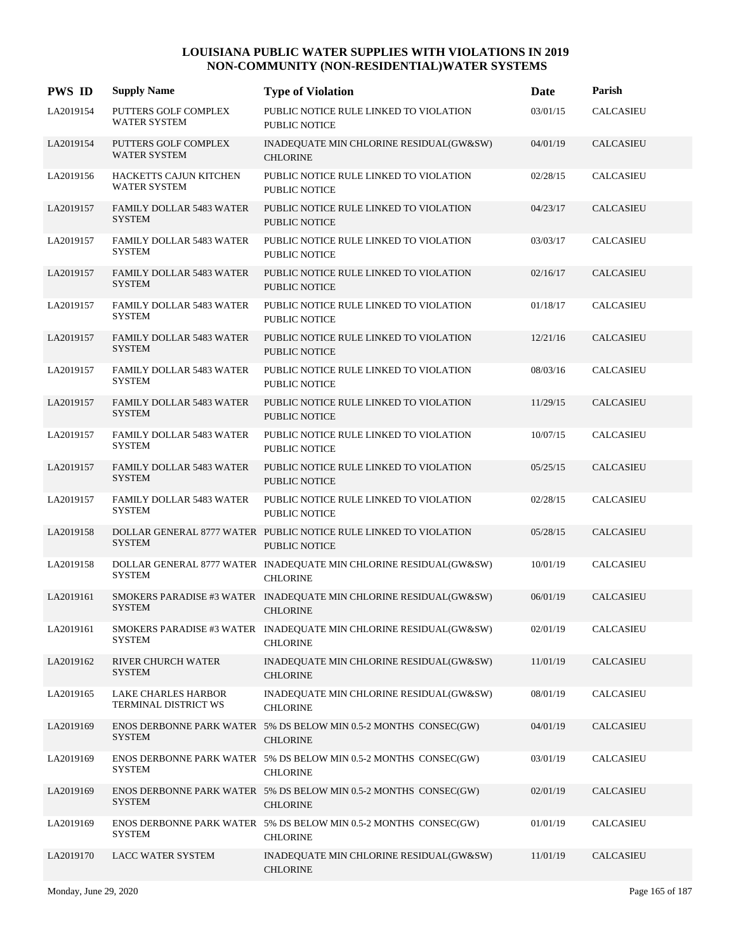| <b>PWS ID</b> | <b>Supply Name</b>                               | <b>Type of Violation</b>                                                                 | <b>Date</b> | Parish           |
|---------------|--------------------------------------------------|------------------------------------------------------------------------------------------|-------------|------------------|
| LA2019154     | PUTTERS GOLF COMPLEX<br><b>WATER SYSTEM</b>      | PUBLIC NOTICE RULE LINKED TO VIOLATION<br><b>PUBLIC NOTICE</b>                           | 03/01/15    | <b>CALCASIEU</b> |
| LA2019154     | PUTTERS GOLF COMPLEX<br><b>WATER SYSTEM</b>      | INADEQUATE MIN CHLORINE RESIDUAL(GW&SW)<br><b>CHLORINE</b>                               | 04/01/19    | CALCASIEU        |
| LA2019156     | HACKETTS CAJUN KITCHEN<br><b>WATER SYSTEM</b>    | PUBLIC NOTICE RULE LINKED TO VIOLATION<br><b>PUBLIC NOTICE</b>                           | 02/28/15    | CALCASIEU        |
| LA2019157     | <b>FAMILY DOLLAR 5483 WATER</b><br><b>SYSTEM</b> | PUBLIC NOTICE RULE LINKED TO VIOLATION<br><b>PUBLIC NOTICE</b>                           | 04/23/17    | <b>CALCASIEU</b> |
| LA2019157     | <b>FAMILY DOLLAR 5483 WATER</b><br><b>SYSTEM</b> | PUBLIC NOTICE RULE LINKED TO VIOLATION<br><b>PUBLIC NOTICE</b>                           | 03/03/17    | <b>CALCASIEU</b> |
| LA2019157     | <b>FAMILY DOLLAR 5483 WATER</b><br><b>SYSTEM</b> | PUBLIC NOTICE RULE LINKED TO VIOLATION<br><b>PUBLIC NOTICE</b>                           | 02/16/17    | <b>CALCASIEU</b> |
| LA2019157     | <b>FAMILY DOLLAR 5483 WATER</b><br><b>SYSTEM</b> | PUBLIC NOTICE RULE LINKED TO VIOLATION<br><b>PUBLIC NOTICE</b>                           | 01/18/17    | <b>CALCASIEU</b> |
| LA2019157     | <b>FAMILY DOLLAR 5483 WATER</b><br><b>SYSTEM</b> | PUBLIC NOTICE RULE LINKED TO VIOLATION<br><b>PUBLIC NOTICE</b>                           | 12/21/16    | <b>CALCASIEU</b> |
| LA2019157     | FAMILY DOLLAR 5483 WATER<br><b>SYSTEM</b>        | PUBLIC NOTICE RULE LINKED TO VIOLATION<br><b>PUBLIC NOTICE</b>                           | 08/03/16    | <b>CALCASIEU</b> |
| LA2019157     | <b>FAMILY DOLLAR 5483 WATER</b><br><b>SYSTEM</b> | PUBLIC NOTICE RULE LINKED TO VIOLATION<br><b>PUBLIC NOTICE</b>                           | 11/29/15    | <b>CALCASIEU</b> |
| LA2019157     | <b>FAMILY DOLLAR 5483 WATER</b><br><b>SYSTEM</b> | PUBLIC NOTICE RULE LINKED TO VIOLATION<br><b>PUBLIC NOTICE</b>                           | 10/07/15    | <b>CALCASIEU</b> |
| LA2019157     | <b>FAMILY DOLLAR 5483 WATER</b><br><b>SYSTEM</b> | PUBLIC NOTICE RULE LINKED TO VIOLATION<br><b>PUBLIC NOTICE</b>                           | 05/25/15    | <b>CALCASIEU</b> |
| LA2019157     | <b>FAMILY DOLLAR 5483 WATER</b><br><b>SYSTEM</b> | PUBLIC NOTICE RULE LINKED TO VIOLATION<br><b>PUBLIC NOTICE</b>                           | 02/28/15    | <b>CALCASIEU</b> |
| LA2019158     | <b>SYSTEM</b>                                    | DOLLAR GENERAL 8777 WATER PUBLIC NOTICE RULE LINKED TO VIOLATION<br><b>PUBLIC NOTICE</b> | 05/28/15    | <b>CALCASIEU</b> |
| LA2019158     | <b>SYSTEM</b>                                    | DOLLAR GENERAL 8777 WATER INADEQUATE MIN CHLORINE RESIDUAL(GW&SW)<br><b>CHLORINE</b>     | 10/01/19    | <b>CALCASIEU</b> |
| LA2019161     | <b>SYSTEM</b>                                    | SMOKERS PARADISE #3 WATER INADEQUATE MIN CHLORINE RESIDUAL(GW&SW)<br><b>CHLORINE</b>     | 06/01/19    | CALCASIEU        |
| LA2019161     | <b>SYSTEM</b>                                    | SMOKERS PARADISE #3 WATER INADEQUATE MIN CHLORINE RESIDUAL(GW&SW)<br><b>CHLORINE</b>     | 02/01/19    | <b>CALCASIEU</b> |
| LA2019162     | RIVER CHURCH WATER<br><b>SYSTEM</b>              | INADEQUATE MIN CHLORINE RESIDUAL(GW&SW)<br><b>CHLORINE</b>                               | 11/01/19    | CALCASIEU        |
| LA2019165     | LAKE CHARLES HARBOR<br>TERMINAL DISTRICT WS      | INADEQUATE MIN CHLORINE RESIDUAL(GW&SW)<br><b>CHLORINE</b>                               | 08/01/19    | <b>CALCASIEU</b> |
| LA2019169     | <b>SYSTEM</b>                                    | ENOS DERBONNE PARK WATER 5% DS BELOW MIN 0.5-2 MONTHS CONSEC(GW)<br><b>CHLORINE</b>      | 04/01/19    | CALCASIEU        |
| LA2019169     | <b>SYSTEM</b>                                    | ENOS DERBONNE PARK WATER 5% DS BELOW MIN 0.5-2 MONTHS CONSEC(GW)<br><b>CHLORINE</b>      | 03/01/19    | <b>CALCASIEU</b> |
| LA2019169     | <b>SYSTEM</b>                                    | ENOS DERBONNE PARK WATER 5% DS BELOW MIN 0.5-2 MONTHS CONSEC(GW)<br><b>CHLORINE</b>      | 02/01/19    | CALCASIEU        |
| LA2019169     | <b>SYSTEM</b>                                    | ENOS DERBONNE PARK WATER 5% DS BELOW MIN 0.5-2 MONTHS CONSEC(GW)<br><b>CHLORINE</b>      | 01/01/19    | CALCASIEU        |
| LA2019170     | LACC WATER SYSTEM                                | INADEQUATE MIN CHLORINE RESIDUAL(GW&SW)<br><b>CHLORINE</b>                               | 11/01/19    | CALCASIEU        |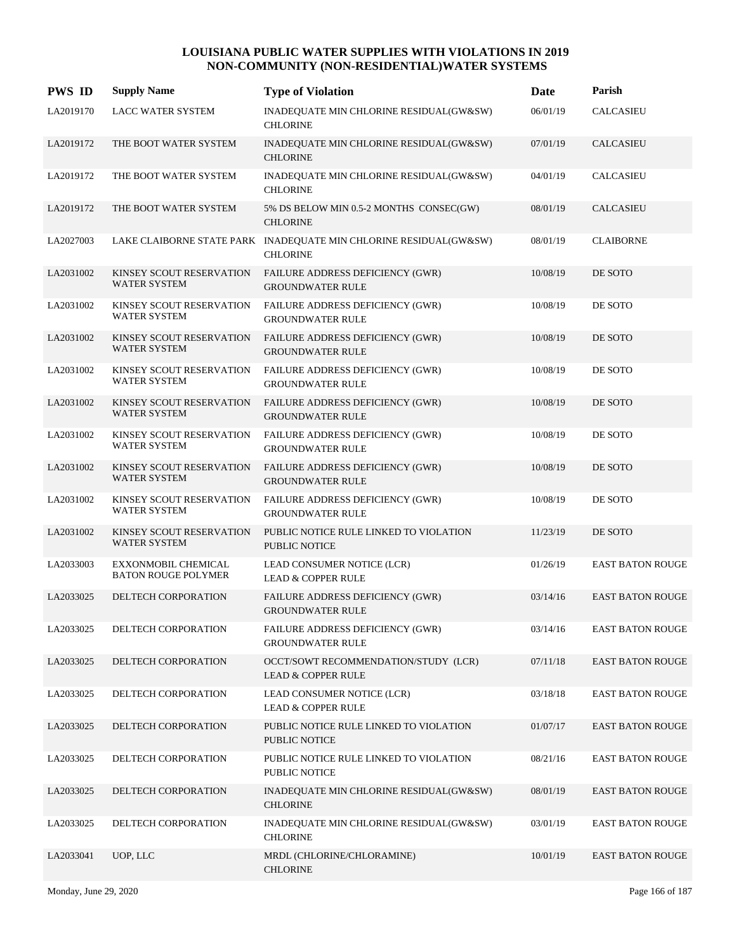| <b>PWS ID</b> | <b>Supply Name</b>                                       | <b>Type of Violation</b>                                                             | Date     | Parish                  |
|---------------|----------------------------------------------------------|--------------------------------------------------------------------------------------|----------|-------------------------|
| LA2019170     | <b>LACC WATER SYSTEM</b>                                 | INADEQUATE MIN CHLORINE RESIDUAL(GW&SW)<br><b>CHLORINE</b>                           | 06/01/19 | <b>CALCASIEU</b>        |
| LA2019172     | THE BOOT WATER SYSTEM                                    | INADEQUATE MIN CHLORINE RESIDUAL(GW&SW)<br><b>CHLORINE</b>                           | 07/01/19 | CALCASIEU               |
| LA2019172     | THE BOOT WATER SYSTEM                                    | INADEQUATE MIN CHLORINE RESIDUAL(GW&SW)<br><b>CHLORINE</b>                           | 04/01/19 | <b>CALCASIEU</b>        |
| LA2019172     | THE BOOT WATER SYSTEM                                    | 5% DS BELOW MIN 0.5-2 MONTHS CONSEC(GW)<br><b>CHLORINE</b>                           | 08/01/19 | CALCASIEU               |
| LA2027003     |                                                          | LAKE CLAIBORNE STATE PARK INADEQUATE MIN CHLORINE RESIDUAL(GW&SW)<br><b>CHLORINE</b> | 08/01/19 | <b>CLAIBORNE</b>        |
| LA2031002     | KINSEY SCOUT RESERVATION<br><b>WATER SYSTEM</b>          | FAILURE ADDRESS DEFICIENCY (GWR)<br><b>GROUNDWATER RULE</b>                          | 10/08/19 | DE SOTO                 |
| LA2031002     | KINSEY SCOUT RESERVATION<br><b>WATER SYSTEM</b>          | FAILURE ADDRESS DEFICIENCY (GWR)<br><b>GROUNDWATER RULE</b>                          | 10/08/19 | DE SOTO                 |
| LA2031002     | KINSEY SCOUT RESERVATION<br><b>WATER SYSTEM</b>          | FAILURE ADDRESS DEFICIENCY (GWR)<br><b>GROUNDWATER RULE</b>                          | 10/08/19 | DE SOTO                 |
| LA2031002     | KINSEY SCOUT RESERVATION<br><b>WATER SYSTEM</b>          | FAILURE ADDRESS DEFICIENCY (GWR)<br><b>GROUNDWATER RULE</b>                          | 10/08/19 | DE SOTO                 |
| LA2031002     | KINSEY SCOUT RESERVATION<br><b>WATER SYSTEM</b>          | FAILURE ADDRESS DEFICIENCY (GWR)<br><b>GROUNDWATER RULE</b>                          | 10/08/19 | DE SOTO                 |
| LA2031002     | KINSEY SCOUT RESERVATION<br><b>WATER SYSTEM</b>          | FAILURE ADDRESS DEFICIENCY (GWR)<br><b>GROUNDWATER RULE</b>                          | 10/08/19 | DE SOTO                 |
| LA2031002     | KINSEY SCOUT RESERVATION<br>WATER SYSTEM                 | FAILURE ADDRESS DEFICIENCY (GWR)<br><b>GROUNDWATER RULE</b>                          | 10/08/19 | DE SOTO                 |
| LA2031002     | KINSEY SCOUT RESERVATION<br><b>WATER SYSTEM</b>          | FAILURE ADDRESS DEFICIENCY (GWR)<br><b>GROUNDWATER RULE</b>                          | 10/08/19 | DE SOTO                 |
| LA2031002     | KINSEY SCOUT RESERVATION<br><b>WATER SYSTEM</b>          | PUBLIC NOTICE RULE LINKED TO VIOLATION<br><b>PUBLIC NOTICE</b>                       | 11/23/19 | DE SOTO                 |
| LA2033003     | <b>EXXONMOBIL CHEMICAL</b><br><b>BATON ROUGE POLYMER</b> | LEAD CONSUMER NOTICE (LCR)<br><b>LEAD &amp; COPPER RULE</b>                          | 01/26/19 | <b>EAST BATON ROUGE</b> |
| LA2033025     | DELTECH CORPORATION                                      | FAILURE ADDRESS DEFICIENCY (GWR)<br><b>GROUNDWATER RULE</b>                          | 03/14/16 | <b>EAST BATON ROUGE</b> |
| LA2033025     | DELTECH CORPORATION                                      | FAILURE ADDRESS DEFICIENCY (GWR)<br><b>GROUNDWATER RULE</b>                          | 03/14/16 | <b>EAST BATON ROUGE</b> |
| LA2033025     | DELTECH CORPORATION                                      | OCCT/SOWT RECOMMENDATION/STUDY (LCR)<br><b>LEAD &amp; COPPER RULE</b>                | 07/11/18 | <b>EAST BATON ROUGE</b> |
| LA2033025     | DELTECH CORPORATION                                      | LEAD CONSUMER NOTICE (LCR)<br><b>LEAD &amp; COPPER RULE</b>                          | 03/18/18 | <b>EAST BATON ROUGE</b> |
| LA2033025     | DELTECH CORPORATION                                      | PUBLIC NOTICE RULE LINKED TO VIOLATION<br><b>PUBLIC NOTICE</b>                       | 01/07/17 | <b>EAST BATON ROUGE</b> |
| LA2033025     | DELTECH CORPORATION                                      | PUBLIC NOTICE RULE LINKED TO VIOLATION<br><b>PUBLIC NOTICE</b>                       | 08/21/16 | <b>EAST BATON ROUGE</b> |
| LA2033025     | DELTECH CORPORATION                                      | INADEQUATE MIN CHLORINE RESIDUAL(GW&SW)<br><b>CHLORINE</b>                           | 08/01/19 | <b>EAST BATON ROUGE</b> |
| LA2033025     | DELTECH CORPORATION                                      | INADEQUATE MIN CHLORINE RESIDUAL(GW&SW)<br><b>CHLORINE</b>                           | 03/01/19 | <b>EAST BATON ROUGE</b> |
| LA2033041     | UOP, LLC                                                 | MRDL (CHLORINE/CHLORAMINE)<br><b>CHLORINE</b>                                        | 10/01/19 | <b>EAST BATON ROUGE</b> |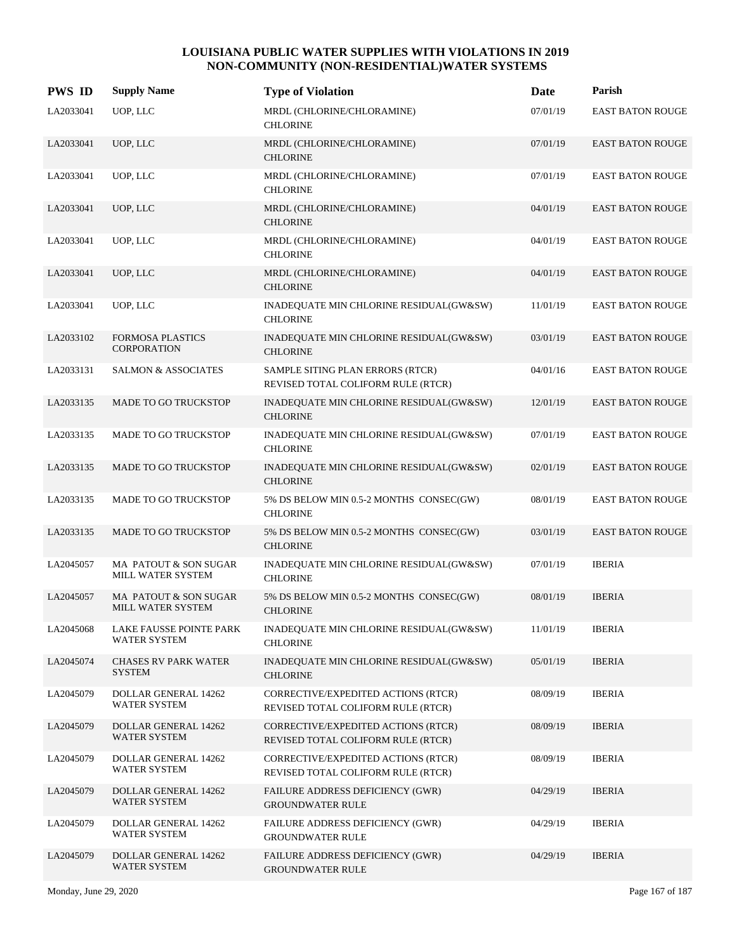| <b>PWS ID</b> | <b>Supply Name</b>                                | <b>Type of Violation</b>                                                  | Date     | Parish                  |
|---------------|---------------------------------------------------|---------------------------------------------------------------------------|----------|-------------------------|
| LA2033041     | UOP, LLC                                          | MRDL (CHLORINE/CHLORAMINE)<br><b>CHLORINE</b>                             | 07/01/19 | EAST BATON ROUGE        |
| LA2033041     | UOP, LLC                                          | MRDL (CHLORINE/CHLORAMINE)<br><b>CHLORINE</b>                             | 07/01/19 | <b>EAST BATON ROUGE</b> |
| LA2033041     | UOP, LLC                                          | MRDL (CHLORINE/CHLORAMINE)<br><b>CHLORINE</b>                             | 07/01/19 | <b>EAST BATON ROUGE</b> |
| LA2033041     | UOP, LLC                                          | MRDL (CHLORINE/CHLORAMINE)<br><b>CHLORINE</b>                             | 04/01/19 | <b>EAST BATON ROUGE</b> |
| LA2033041     | UOP, LLC                                          | MRDL (CHLORINE/CHLORAMINE)<br><b>CHLORINE</b>                             | 04/01/19 | <b>EAST BATON ROUGE</b> |
| LA2033041     | UOP, LLC                                          | MRDL (CHLORINE/CHLORAMINE)<br><b>CHLORINE</b>                             | 04/01/19 | <b>EAST BATON ROUGE</b> |
| LA2033041     | UOP, LLC                                          | INADEQUATE MIN CHLORINE RESIDUAL(GW&SW)<br><b>CHLORINE</b>                | 11/01/19 | <b>EAST BATON ROUGE</b> |
| LA2033102     | <b>FORMOSA PLASTICS</b><br><b>CORPORATION</b>     | INADEQUATE MIN CHLORINE RESIDUAL(GW&SW)<br><b>CHLORINE</b>                | 03/01/19 | <b>EAST BATON ROUGE</b> |
| LA2033131     | <b>SALMON &amp; ASSOCIATES</b>                    | SAMPLE SITING PLAN ERRORS (RTCR)<br>REVISED TOTAL COLIFORM RULE (RTCR)    | 04/01/16 | <b>EAST BATON ROUGE</b> |
| LA2033135     | MADE TO GO TRUCKSTOP                              | INADEQUATE MIN CHLORINE RESIDUAL(GW&SW)<br><b>CHLORINE</b>                | 12/01/19 | <b>EAST BATON ROUGE</b> |
| LA2033135     | MADE TO GO TRUCKSTOP                              | INADEQUATE MIN CHLORINE RESIDUAL(GW&SW)<br><b>CHLORINE</b>                | 07/01/19 | <b>EAST BATON ROUGE</b> |
| LA2033135     | MADE TO GO TRUCKSTOP                              | INADEQUATE MIN CHLORINE RESIDUAL(GW&SW)<br><b>CHLORINE</b>                | 02/01/19 | <b>EAST BATON ROUGE</b> |
| LA2033135     | MADE TO GO TRUCKSTOP                              | 5% DS BELOW MIN 0.5-2 MONTHS CONSEC(GW)<br><b>CHLORINE</b>                | 08/01/19 | <b>EAST BATON ROUGE</b> |
| LA2033135     | MADE TO GO TRUCKSTOP                              | 5% DS BELOW MIN 0.5-2 MONTHS CONSEC(GW)<br><b>CHLORINE</b>                | 03/01/19 | <b>EAST BATON ROUGE</b> |
| LA2045057     | MA PATOUT & SON SUGAR<br>MILL WATER SYSTEM        | INADEQUATE MIN CHLORINE RESIDUAL(GW&SW)<br><b>CHLORINE</b>                | 07/01/19 | <b>IBERIA</b>           |
| LA2045057     | MA PATOUT & SON SUGAR<br><b>MILL WATER SYSTEM</b> | 5% DS BELOW MIN 0.5-2 MONTHS CONSEC(GW)<br><b>CHLORINE</b>                | 08/01/19 | <b>IBERIA</b>           |
| LA2045068     | LAKE FAUSSE POINTE PARK<br>WATER SYSTEM           | INADEQUATE MIN CHLORINE RESIDUAL(GW&SW)<br><b>CHLORINE</b>                | 11/01/19 | <b>IBERIA</b>           |
| LA2045074     | <b>CHASES RV PARK WATER</b><br><b>SYSTEM</b>      | INADEQUATE MIN CHLORINE RESIDUAL(GW&SW)<br><b>CHLORINE</b>                | 05/01/19 | <b>IBERIA</b>           |
| LA2045079     | DOLLAR GENERAL 14262<br>WATER SYSTEM              | CORRECTIVE/EXPEDITED ACTIONS (RTCR)<br>REVISED TOTAL COLIFORM RULE (RTCR) | 08/09/19 | <b>IBERIA</b>           |
| LA2045079     | <b>DOLLAR GENERAL 14262</b><br>WATER SYSTEM       | CORRECTIVE/EXPEDITED ACTIONS (RTCR)<br>REVISED TOTAL COLIFORM RULE (RTCR) | 08/09/19 | <b>IBERIA</b>           |
| LA2045079     | DOLLAR GENERAL 14262<br>WATER SYSTEM              | CORRECTIVE/EXPEDITED ACTIONS (RTCR)<br>REVISED TOTAL COLIFORM RULE (RTCR) | 08/09/19 | <b>IBERIA</b>           |
| LA2045079     | DOLLAR GENERAL 14262<br>WATER SYSTEM              | FAILURE ADDRESS DEFICIENCY (GWR)<br><b>GROUNDWATER RULE</b>               | 04/29/19 | <b>IBERIA</b>           |
| LA2045079     | DOLLAR GENERAL 14262<br>WATER SYSTEM              | FAILURE ADDRESS DEFICIENCY (GWR)<br><b>GROUNDWATER RULE</b>               | 04/29/19 | <b>IBERIA</b>           |
| LA2045079     | DOLLAR GENERAL 14262<br>WATER SYSTEM              | FAILURE ADDRESS DEFICIENCY (GWR)<br><b>GROUNDWATER RULE</b>               | 04/29/19 | <b>IBERIA</b>           |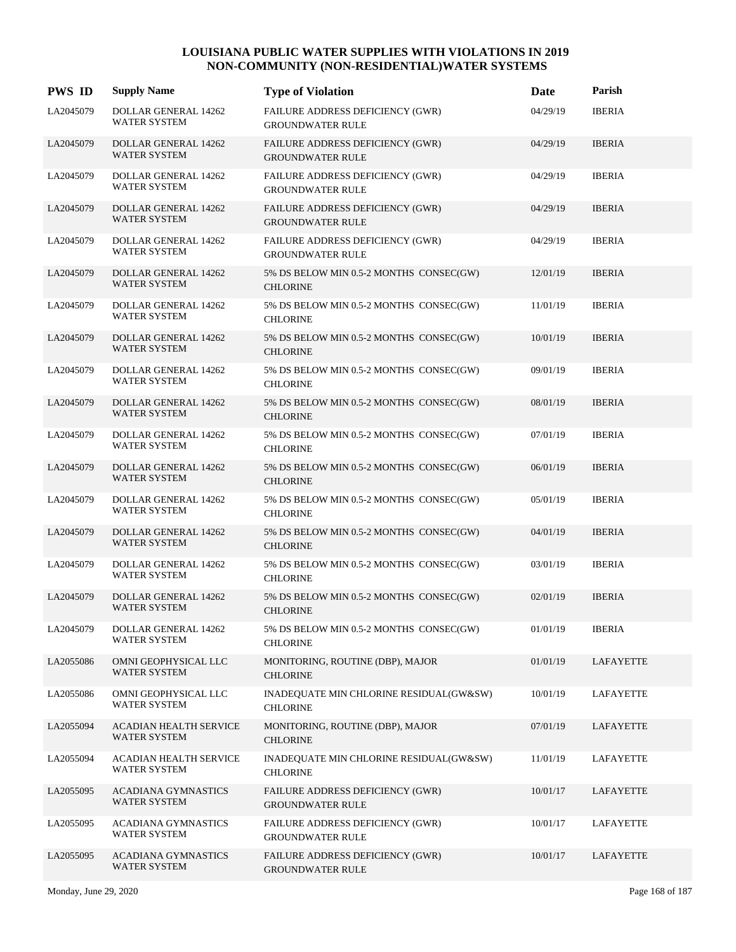| <b>PWS ID</b> | <b>Supply Name</b>                                   | <b>Type of Violation</b>                                    | Date     | Parish           |
|---------------|------------------------------------------------------|-------------------------------------------------------------|----------|------------------|
| LA2045079     | <b>DOLLAR GENERAL 14262</b><br><b>WATER SYSTEM</b>   | FAILURE ADDRESS DEFICIENCY (GWR)<br><b>GROUNDWATER RULE</b> | 04/29/19 | <b>IBERIA</b>    |
| LA2045079     | DOLLAR GENERAL 14262<br><b>WATER SYSTEM</b>          | FAILURE ADDRESS DEFICIENCY (GWR)<br><b>GROUNDWATER RULE</b> | 04/29/19 | <b>IBERIA</b>    |
| LA2045079     | DOLLAR GENERAL 14262<br><b>WATER SYSTEM</b>          | FAILURE ADDRESS DEFICIENCY (GWR)<br><b>GROUNDWATER RULE</b> | 04/29/19 | <b>IBERIA</b>    |
| LA2045079     | DOLLAR GENERAL 14262<br><b>WATER SYSTEM</b>          | FAILURE ADDRESS DEFICIENCY (GWR)<br><b>GROUNDWATER RULE</b> | 04/29/19 | <b>IBERIA</b>    |
| LA2045079     | DOLLAR GENERAL 14262<br><b>WATER SYSTEM</b>          | FAILURE ADDRESS DEFICIENCY (GWR)<br><b>GROUNDWATER RULE</b> | 04/29/19 | <b>IBERIA</b>    |
| LA2045079     | DOLLAR GENERAL 14262<br><b>WATER SYSTEM</b>          | 5% DS BELOW MIN 0.5-2 MONTHS CONSEC(GW)<br><b>CHLORINE</b>  | 12/01/19 | <b>IBERIA</b>    |
| LA2045079     | DOLLAR GENERAL 14262<br><b>WATER SYSTEM</b>          | 5% DS BELOW MIN 0.5-2 MONTHS CONSEC(GW)<br><b>CHLORINE</b>  | 11/01/19 | <b>IBERIA</b>    |
| LA2045079     | <b>DOLLAR GENERAL 14262</b><br>WATER SYSTEM          | 5% DS BELOW MIN 0.5-2 MONTHS CONSEC(GW)<br><b>CHLORINE</b>  | 10/01/19 | <b>IBERIA</b>    |
| LA2045079     | DOLLAR GENERAL 14262<br><b>WATER SYSTEM</b>          | 5% DS BELOW MIN 0.5-2 MONTHS CONSEC(GW)<br><b>CHLORINE</b>  | 09/01/19 | <b>IBERIA</b>    |
| LA2045079     | <b>DOLLAR GENERAL 14262</b><br><b>WATER SYSTEM</b>   | 5% DS BELOW MIN 0.5-2 MONTHS CONSEC(GW)<br><b>CHLORINE</b>  | 08/01/19 | <b>IBERIA</b>    |
| LA2045079     | DOLLAR GENERAL 14262<br><b>WATER SYSTEM</b>          | 5% DS BELOW MIN 0.5-2 MONTHS CONSEC(GW)<br><b>CHLORINE</b>  | 07/01/19 | <b>IBERIA</b>    |
| LA2045079     | <b>DOLLAR GENERAL 14262</b><br>WATER SYSTEM          | 5% DS BELOW MIN 0.5-2 MONTHS CONSEC(GW)<br><b>CHLORINE</b>  | 06/01/19 | <b>IBERIA</b>    |
| LA2045079     | DOLLAR GENERAL 14262<br><b>WATER SYSTEM</b>          | 5% DS BELOW MIN 0.5-2 MONTHS CONSEC(GW)<br><b>CHLORINE</b>  | 05/01/19 | <b>IBERIA</b>    |
| LA2045079     | <b>DOLLAR GENERAL 14262</b><br>WATER SYSTEM          | 5% DS BELOW MIN 0.5-2 MONTHS CONSEC(GW)<br><b>CHLORINE</b>  | 04/01/19 | <b>IBERIA</b>    |
| LA2045079     | DOLLAR GENERAL 14262<br><b>WATER SYSTEM</b>          | 5% DS BELOW MIN 0.5-2 MONTHS CONSEC(GW)<br><b>CHLORINE</b>  | 03/01/19 | <b>IBERIA</b>    |
| LA2045079     | DOLLAR GENERAL 14262<br><b>WATER SYSTEM</b>          | 5% DS BELOW MIN 0.5-2 MONTHS CONSEC(GW)<br><b>CHLORINE</b>  | 02/01/19 | <b>IBERIA</b>    |
| LA2045079     | DOLLAR GENERAL 14262<br>WATER SYSTEM                 | 5% DS BELOW MIN 0.5-2 MONTHS CONSEC(GW)<br><b>CHLORINE</b>  | 01/01/19 | <b>IBERIA</b>    |
| LA2055086     | OMNI GEOPHYSICAL LLC<br>WATER SYSTEM                 | MONITORING, ROUTINE (DBP), MAJOR<br><b>CHLORINE</b>         | 01/01/19 | LAFAYETTE        |
| LA2055086     | OMNI GEOPHYSICAL LLC<br><b>WATER SYSTEM</b>          | INADEQUATE MIN CHLORINE RESIDUAL(GW&SW)<br><b>CHLORINE</b>  | 10/01/19 | LAFAYETTE        |
| LA2055094     | <b>ACADIAN HEALTH SERVICE</b><br>WATER SYSTEM        | MONITORING, ROUTINE (DBP), MAJOR<br><b>CHLORINE</b>         | 07/01/19 | LAFAYETTE        |
| LA2055094     | <b>ACADIAN HEALTH SERVICE</b><br><b>WATER SYSTEM</b> | INADEQUATE MIN CHLORINE RESIDUAL(GW&SW)<br><b>CHLORINE</b>  | 11/01/19 | LAFAYETTE        |
| LA2055095     | <b>ACADIANA GYMNASTICS</b><br>WATER SYSTEM           | FAILURE ADDRESS DEFICIENCY (GWR)<br><b>GROUNDWATER RULE</b> | 10/01/17 | LAFAYETTE        |
| LA2055095     | ACADIANA GYMNASTICS<br>WATER SYSTEM                  | FAILURE ADDRESS DEFICIENCY (GWR)<br><b>GROUNDWATER RULE</b> | 10/01/17 | <b>LAFAYETTE</b> |
| LA2055095     | <b>ACADIANA GYMNASTICS</b><br>WATER SYSTEM           | FAILURE ADDRESS DEFICIENCY (GWR)<br><b>GROUNDWATER RULE</b> | 10/01/17 | LAFAYETTE        |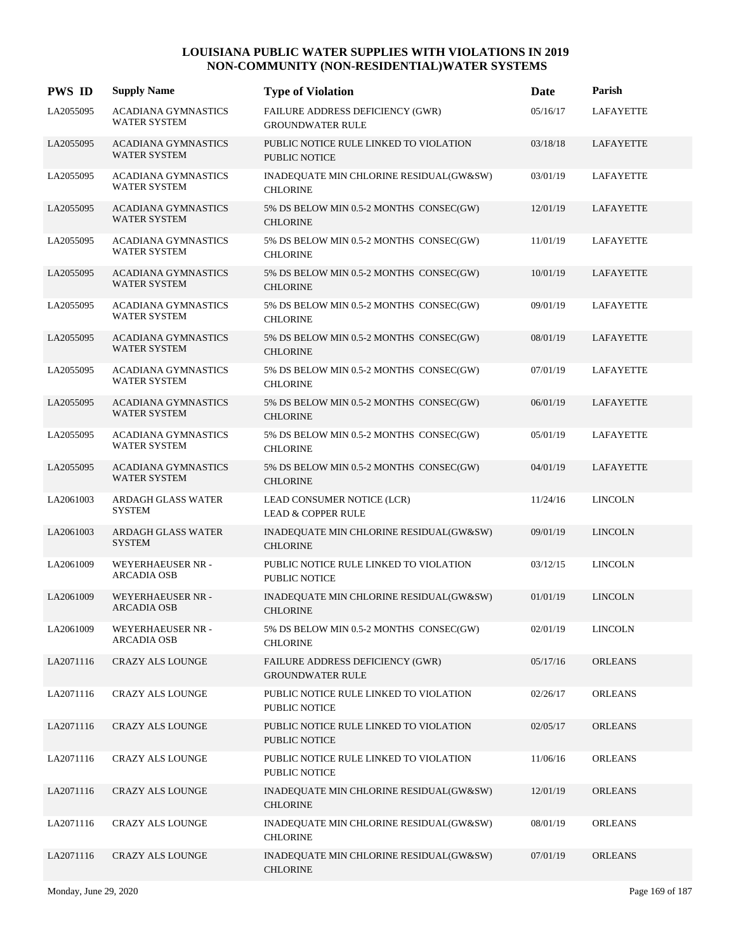| <b>PWS ID</b> | <b>Supply Name</b>                                | <b>Type of Violation</b>                                       | <b>Date</b> | Parish           |
|---------------|---------------------------------------------------|----------------------------------------------------------------|-------------|------------------|
| LA2055095     | <b>ACADIANA GYMNASTICS</b><br><b>WATER SYSTEM</b> | FAILURE ADDRESS DEFICIENCY (GWR)<br><b>GROUNDWATER RULE</b>    | 05/16/17    | <b>LAFAYETTE</b> |
| LA2055095     | <b>ACADIANA GYMNASTICS</b><br><b>WATER SYSTEM</b> | PUBLIC NOTICE RULE LINKED TO VIOLATION<br><b>PUBLIC NOTICE</b> | 03/18/18    | LAFAYETTE        |
| LA2055095     | <b>ACADIANA GYMNASTICS</b><br><b>WATER SYSTEM</b> | INADEQUATE MIN CHLORINE RESIDUAL(GW&SW)<br><b>CHLORINE</b>     | 03/01/19    | LAFAYETTE        |
| LA2055095     | <b>ACADIANA GYMNASTICS</b><br>WATER SYSTEM        | 5% DS BELOW MIN 0.5-2 MONTHS CONSEC(GW)<br><b>CHLORINE</b>     | 12/01/19    | LAFAYETTE        |
| LA2055095     | <b>ACADIANA GYMNASTICS</b><br><b>WATER SYSTEM</b> | 5% DS BELOW MIN 0.5-2 MONTHS CONSEC(GW)<br><b>CHLORINE</b>     | 11/01/19    | <b>LAFAYETTE</b> |
| LA2055095     | <b>ACADIANA GYMNASTICS</b><br><b>WATER SYSTEM</b> | 5% DS BELOW MIN 0.5-2 MONTHS CONSEC(GW)<br><b>CHLORINE</b>     | 10/01/19    | LAFAYETTE        |
| LA2055095     | <b>ACADIANA GYMNASTICS</b><br><b>WATER SYSTEM</b> | 5% DS BELOW MIN 0.5-2 MONTHS CONSEC(GW)<br><b>CHLORINE</b>     | 09/01/19    | <b>LAFAYETTE</b> |
| LA2055095     | <b>ACADIANA GYMNASTICS</b><br>WATER SYSTEM        | 5% DS BELOW MIN 0.5-2 MONTHS CONSEC(GW)<br><b>CHLORINE</b>     | 08/01/19    | LAFAYETTE        |
| LA2055095     | ACADIANA GYMNASTICS<br><b>WATER SYSTEM</b>        | 5% DS BELOW MIN 0.5-2 MONTHS CONSEC(GW)<br><b>CHLORINE</b>     | 07/01/19    | <b>LAFAYETTE</b> |
| LA2055095     | <b>ACADIANA GYMNASTICS</b><br><b>WATER SYSTEM</b> | 5% DS BELOW MIN 0.5-2 MONTHS CONSEC(GW)<br><b>CHLORINE</b>     | 06/01/19    | LAFAYETTE        |
| LA2055095     | <b>ACADIANA GYMNASTICS</b><br><b>WATER SYSTEM</b> | 5% DS BELOW MIN 0.5-2 MONTHS CONSEC(GW)<br><b>CHLORINE</b>     | 05/01/19    | <b>LAFAYETTE</b> |
| LA2055095     | <b>ACADIANA GYMNASTICS</b><br>WATER SYSTEM        | 5% DS BELOW MIN 0.5-2 MONTHS CONSEC(GW)<br><b>CHLORINE</b>     | 04/01/19    | LAFAYETTE        |
| LA2061003     | ARDAGH GLASS WATER<br><b>SYSTEM</b>               | LEAD CONSUMER NOTICE (LCR)<br><b>LEAD &amp; COPPER RULE</b>    | 11/24/16    | <b>LINCOLN</b>   |
| LA2061003     | <b>ARDAGH GLASS WATER</b><br><b>SYSTEM</b>        | INADEQUATE MIN CHLORINE RESIDUAL(GW&SW)<br><b>CHLORINE</b>     | 09/01/19    | <b>LINCOLN</b>   |
| LA2061009     | WEYERHAEUSER NR -<br><b>ARCADIA OSB</b>           | PUBLIC NOTICE RULE LINKED TO VIOLATION<br><b>PUBLIC NOTICE</b> | 03/12/15    | <b>LINCOLN</b>   |
| LA2061009     | <b>WEYERHAEUSER NR -</b><br><b>ARCADIA OSB</b>    | INADEQUATE MIN CHLORINE RESIDUAL(GW&SW)<br><b>CHLORINE</b>     | 01/01/19    | <b>LINCOLN</b>   |
| LA2061009     | WEYERHAEUSER NR -<br><b>ARCADIA OSB</b>           | 5% DS BELOW MIN 0.5-2 MONTHS CONSEC(GW)<br><b>CHLORINE</b>     | 02/01/19    | <b>LINCOLN</b>   |
| LA2071116     | <b>CRAZY ALS LOUNGE</b>                           | FAILURE ADDRESS DEFICIENCY (GWR)<br><b>GROUNDWATER RULE</b>    | 05/17/16    | <b>ORLEANS</b>   |
| LA2071116     | <b>CRAZY ALS LOUNGE</b>                           | PUBLIC NOTICE RULE LINKED TO VIOLATION<br><b>PUBLIC NOTICE</b> | 02/26/17    | <b>ORLEANS</b>   |
| LA2071116     | <b>CRAZY ALS LOUNGE</b>                           | PUBLIC NOTICE RULE LINKED TO VIOLATION<br><b>PUBLIC NOTICE</b> | 02/05/17    | <b>ORLEANS</b>   |
| LA2071116     | <b>CRAZY ALS LOUNGE</b>                           | PUBLIC NOTICE RULE LINKED TO VIOLATION<br><b>PUBLIC NOTICE</b> | 11/06/16    | <b>ORLEANS</b>   |
| LA2071116     | <b>CRAZY ALS LOUNGE</b>                           | INADEQUATE MIN CHLORINE RESIDUAL(GW&SW)<br><b>CHLORINE</b>     | 12/01/19    | <b>ORLEANS</b>   |
| LA2071116     | <b>CRAZY ALS LOUNGE</b>                           | INADEQUATE MIN CHLORINE RESIDUAL(GW&SW)<br><b>CHLORINE</b>     | 08/01/19    | <b>ORLEANS</b>   |
| LA2071116     | <b>CRAZY ALS LOUNGE</b>                           | INADEQUATE MIN CHLORINE RESIDUAL(GW&SW)<br><b>CHLORINE</b>     | 07/01/19    | <b>ORLEANS</b>   |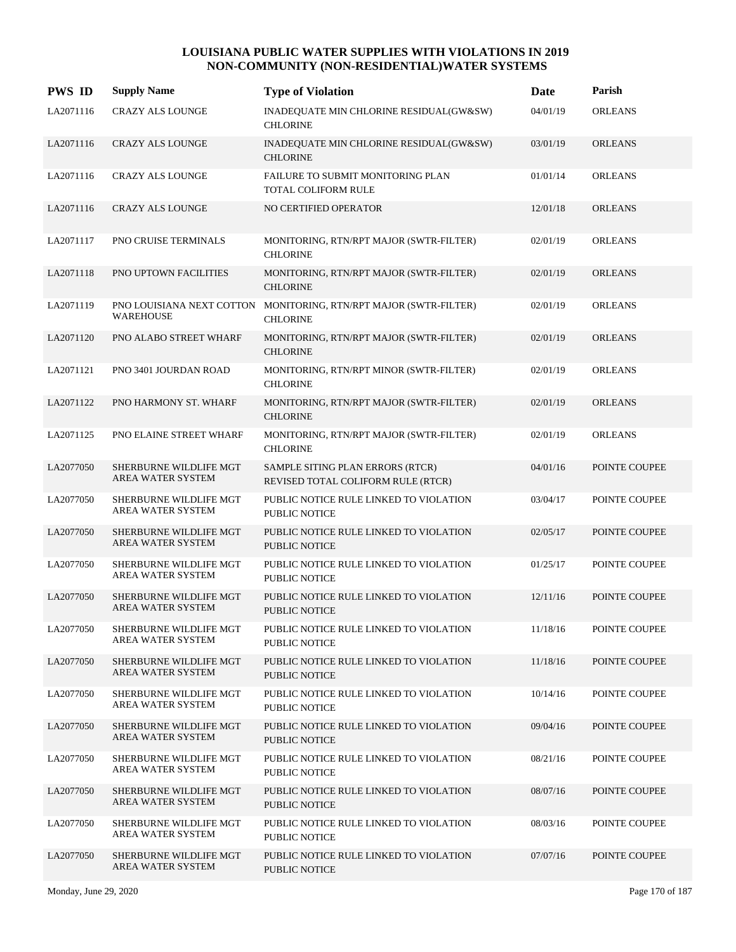| <b>PWS ID</b> | <b>Supply Name</b>                                 | <b>Type of Violation</b>                                               | Date     | Parish         |
|---------------|----------------------------------------------------|------------------------------------------------------------------------|----------|----------------|
| LA2071116     | <b>CRAZY ALS LOUNGE</b>                            | INADEQUATE MIN CHLORINE RESIDUAL(GW&SW)<br><b>CHLORINE</b>             | 04/01/19 | <b>ORLEANS</b> |
| LA2071116     | <b>CRAZY ALS LOUNGE</b>                            | INADEQUATE MIN CHLORINE RESIDUAL(GW&SW)<br><b>CHLORINE</b>             | 03/01/19 | <b>ORLEANS</b> |
| LA2071116     | <b>CRAZY ALS LOUNGE</b>                            | FAILURE TO SUBMIT MONITORING PLAN<br>TOTAL COLIFORM RULE               | 01/01/14 | <b>ORLEANS</b> |
| LA2071116     | <b>CRAZY ALS LOUNGE</b>                            | NO CERTIFIED OPERATOR                                                  | 12/01/18 | <b>ORLEANS</b> |
| LA2071117     | PNO CRUISE TERMINALS                               | MONITORING, RTN/RPT MAJOR (SWTR-FILTER)<br><b>CHLORINE</b>             | 02/01/19 | <b>ORLEANS</b> |
| LA2071118     | PNO UPTOWN FACILITIES                              | MONITORING, RTN/RPT MAJOR (SWTR-FILTER)<br><b>CHLORINE</b>             | 02/01/19 | <b>ORLEANS</b> |
| LA2071119     | PNO LOUISIANA NEXT COTTON<br><b>WAREHOUSE</b>      | MONITORING, RTN/RPT MAJOR (SWTR-FILTER)<br><b>CHLORINE</b>             | 02/01/19 | <b>ORLEANS</b> |
| LA2071120     | PNO ALABO STREET WHARF                             | MONITORING, RTN/RPT MAJOR (SWTR-FILTER)<br><b>CHLORINE</b>             | 02/01/19 | <b>ORLEANS</b> |
| LA2071121     | PNO 3401 JOURDAN ROAD                              | MONITORING, RTN/RPT MINOR (SWTR-FILTER)<br><b>CHLORINE</b>             | 02/01/19 | <b>ORLEANS</b> |
| LA2071122     | PNO HARMONY ST. WHARF                              | MONITORING, RTN/RPT MAJOR (SWTR-FILTER)<br><b>CHLORINE</b>             | 02/01/19 | <b>ORLEANS</b> |
| LA2071125     | PNO ELAINE STREET WHARF                            | MONITORING, RTN/RPT MAJOR (SWTR-FILTER)<br><b>CHLORINE</b>             | 02/01/19 | <b>ORLEANS</b> |
| LA2077050     | SHERBURNE WILDLIFE MGT<br>AREA WATER SYSTEM        | SAMPLE SITING PLAN ERRORS (RTCR)<br>REVISED TOTAL COLIFORM RULE (RTCR) | 04/01/16 | POINTE COUPEE  |
| LA2077050     | SHERBURNE WILDLIFE MGT<br>AREA WATER SYSTEM        | PUBLIC NOTICE RULE LINKED TO VIOLATION<br>PUBLIC NOTICE                | 03/04/17 | POINTE COUPEE  |
| LA2077050     | SHERBURNE WILDLIFE MGT<br><b>AREA WATER SYSTEM</b> | PUBLIC NOTICE RULE LINKED TO VIOLATION<br><b>PUBLIC NOTICE</b>         | 02/05/17 | POINTE COUPEE  |
| LA2077050     | SHERBURNE WILDLIFE MGT<br>AREA WATER SYSTEM        | PUBLIC NOTICE RULE LINKED TO VIOLATION<br>PUBLIC NOTICE                | 01/25/17 | POINTE COUPEE  |
| LA2077050     | SHERBURNE WILDLIFE MGT<br>AREA WATER SYSTEM        | PUBLIC NOTICE RULE LINKED TO VIOLATION<br><b>PUBLIC NOTICE</b>         | 12/11/16 | POINTE COUPEE  |
| LA2077050     | SHERBURNE WILDLIFE MGT<br>AREA WATER SYSTEM        | PUBLIC NOTICE RULE LINKED TO VIOLATION<br>PUBLIC NOTICE                | 11/18/16 | POINTE COUPEE  |
| LA2077050     | SHERBURNE WILDLIFE MGT<br>AREA WATER SYSTEM        | PUBLIC NOTICE RULE LINKED TO VIOLATION<br><b>PUBLIC NOTICE</b>         | 11/18/16 | POINTE COUPEE  |
| LA2077050     | SHERBURNE WILDLIFE MGT<br>AREA WATER SYSTEM        | PUBLIC NOTICE RULE LINKED TO VIOLATION<br><b>PUBLIC NOTICE</b>         | 10/14/16 | POINTE COUPEE  |
| LA2077050     | SHERBURNE WILDLIFE MGT<br>AREA WATER SYSTEM        | PUBLIC NOTICE RULE LINKED TO VIOLATION<br><b>PUBLIC NOTICE</b>         | 09/04/16 | POINTE COUPEE  |
| LA2077050     | SHERBURNE WILDLIFE MGT<br>AREA WATER SYSTEM        | PUBLIC NOTICE RULE LINKED TO VIOLATION<br>PUBLIC NOTICE                | 08/21/16 | POINTE COUPEE  |
| LA2077050     | SHERBURNE WILDLIFE MGT<br>AREA WATER SYSTEM        | PUBLIC NOTICE RULE LINKED TO VIOLATION<br>PUBLIC NOTICE                | 08/07/16 | POINTE COUPEE  |
| LA2077050     | SHERBURNE WILDLIFE MGT<br>AREA WATER SYSTEM        | PUBLIC NOTICE RULE LINKED TO VIOLATION<br>PUBLIC NOTICE                | 08/03/16 | POINTE COUPEE  |
| LA2077050     | SHERBURNE WILDLIFE MGT<br>AREA WATER SYSTEM        | PUBLIC NOTICE RULE LINKED TO VIOLATION<br><b>PUBLIC NOTICE</b>         | 07/07/16 | POINTE COUPEE  |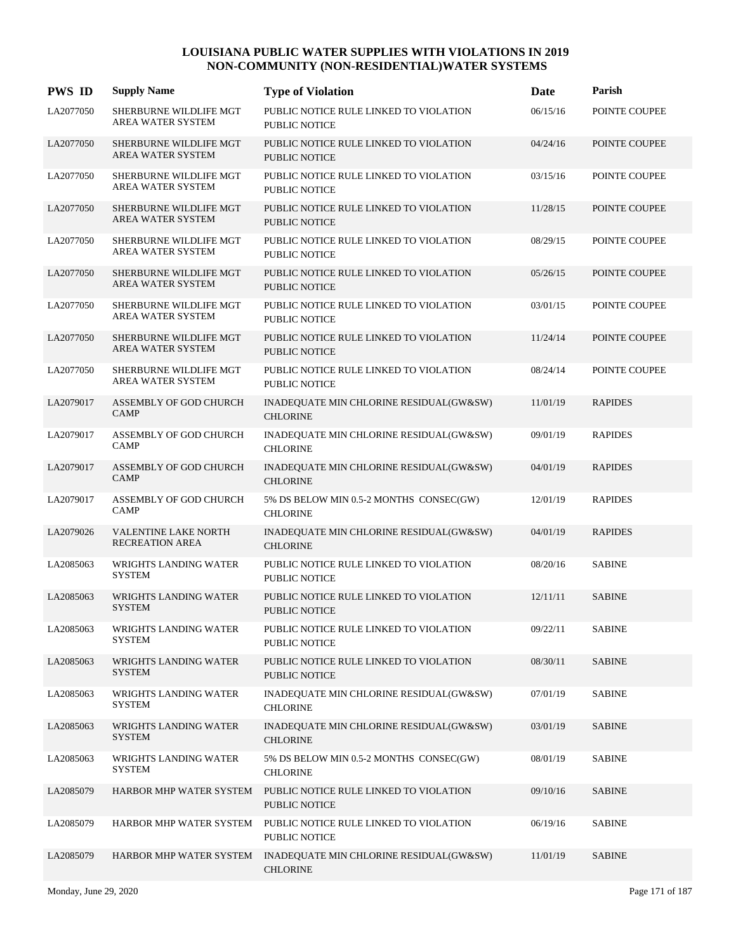| <b>PWS ID</b> | <b>Supply Name</b>                                    | <b>Type of Violation</b>                                       | Date     | Parish         |
|---------------|-------------------------------------------------------|----------------------------------------------------------------|----------|----------------|
| LA2077050     | SHERBURNE WILDLIFE MGT<br>AREA WATER SYSTEM           | PUBLIC NOTICE RULE LINKED TO VIOLATION<br><b>PUBLIC NOTICE</b> | 06/15/16 | POINTE COUPEE  |
| LA2077050     | SHERBURNE WILDLIFE MGT<br><b>AREA WATER SYSTEM</b>    | PUBLIC NOTICE RULE LINKED TO VIOLATION<br><b>PUBLIC NOTICE</b> | 04/24/16 | POINTE COUPEE  |
| LA2077050     | SHERBURNE WILDLIFE MGT<br>AREA WATER SYSTEM           | PUBLIC NOTICE RULE LINKED TO VIOLATION<br><b>PUBLIC NOTICE</b> | 03/15/16 | POINTE COUPEE  |
| LA2077050     | SHERBURNE WILDLIFE MGT<br><b>AREA WATER SYSTEM</b>    | PUBLIC NOTICE RULE LINKED TO VIOLATION<br><b>PUBLIC NOTICE</b> | 11/28/15 | POINTE COUPEE  |
| LA2077050     | SHERBURNE WILDLIFE MGT<br>AREA WATER SYSTEM           | PUBLIC NOTICE RULE LINKED TO VIOLATION<br><b>PUBLIC NOTICE</b> | 08/29/15 | POINTE COUPEE  |
| LA2077050     | SHERBURNE WILDLIFE MGT<br>AREA WATER SYSTEM           | PUBLIC NOTICE RULE LINKED TO VIOLATION<br><b>PUBLIC NOTICE</b> | 05/26/15 | POINTE COUPEE  |
| LA2077050     | SHERBURNE WILDLIFE MGT<br>AREA WATER SYSTEM           | PUBLIC NOTICE RULE LINKED TO VIOLATION<br><b>PUBLIC NOTICE</b> | 03/01/15 | POINTE COUPEE  |
| LA2077050     | SHERBURNE WILDLIFE MGT<br><b>AREA WATER SYSTEM</b>    | PUBLIC NOTICE RULE LINKED TO VIOLATION<br><b>PUBLIC NOTICE</b> | 11/24/14 | POINTE COUPEE  |
| LA2077050     | SHERBURNE WILDLIFE MGT<br><b>AREA WATER SYSTEM</b>    | PUBLIC NOTICE RULE LINKED TO VIOLATION<br>PUBLIC NOTICE        | 08/24/14 | POINTE COUPEE  |
| LA2079017     | ASSEMBLY OF GOD CHURCH<br><b>CAMP</b>                 | INADEQUATE MIN CHLORINE RESIDUAL(GW&SW)<br><b>CHLORINE</b>     | 11/01/19 | <b>RAPIDES</b> |
| LA2079017     | ASSEMBLY OF GOD CHURCH<br><b>CAMP</b>                 | INADEQUATE MIN CHLORINE RESIDUAL(GW&SW)<br><b>CHLORINE</b>     | 09/01/19 | <b>RAPIDES</b> |
| LA2079017     | ASSEMBLY OF GOD CHURCH<br><b>CAMP</b>                 | INADEQUATE MIN CHLORINE RESIDUAL(GW&SW)<br><b>CHLORINE</b>     | 04/01/19 | <b>RAPIDES</b> |
| LA2079017     | ASSEMBLY OF GOD CHURCH<br><b>CAMP</b>                 | 5% DS BELOW MIN 0.5-2 MONTHS CONSEC(GW)<br><b>CHLORINE</b>     | 12/01/19 | <b>RAPIDES</b> |
| LA2079026     | <b>VALENTINE LAKE NORTH</b><br><b>RECREATION AREA</b> | INADEQUATE MIN CHLORINE RESIDUAL(GW&SW)<br><b>CHLORINE</b>     | 04/01/19 | <b>RAPIDES</b> |
| LA2085063     | WRIGHTS LANDING WATER<br><b>SYSTEM</b>                | PUBLIC NOTICE RULE LINKED TO VIOLATION<br><b>PUBLIC NOTICE</b> | 08/20/16 | <b>SABINE</b>  |
| LA2085063     | <b>WRIGHTS LANDING WATER</b><br><b>SYSTEM</b>         | PUBLIC NOTICE RULE LINKED TO VIOLATION<br>PUBLIC NOTICE        | 12/11/11 | <b>SABINE</b>  |
| LA2085063     | WRIGHTS LANDING WATER<br><b>SYSTEM</b>                | PUBLIC NOTICE RULE LINKED TO VIOLATION<br>PUBLIC NOTICE        | 09/22/11 | <b>SABINE</b>  |
| LA2085063     | WRIGHTS LANDING WATER<br><b>SYSTEM</b>                | PUBLIC NOTICE RULE LINKED TO VIOLATION<br>PUBLIC NOTICE        | 08/30/11 | <b>SABINE</b>  |
| LA2085063     | WRIGHTS LANDING WATER<br><b>SYSTEM</b>                | INADEQUATE MIN CHLORINE RESIDUAL(GW&SW)<br><b>CHLORINE</b>     | 07/01/19 | <b>SABINE</b>  |
| LA2085063     | WRIGHTS LANDING WATER<br><b>SYSTEM</b>                | INADEQUATE MIN CHLORINE RESIDUAL(GW&SW)<br><b>CHLORINE</b>     | 03/01/19 | <b>SABINE</b>  |
| LA2085063     | WRIGHTS LANDING WATER<br><b>SYSTEM</b>                | 5% DS BELOW MIN 0.5-2 MONTHS CONSEC(GW)<br><b>CHLORINE</b>     | 08/01/19 | <b>SABINE</b>  |
| LA2085079     | HARBOR MHP WATER SYSTEM                               | PUBLIC NOTICE RULE LINKED TO VIOLATION<br>PUBLIC NOTICE        | 09/10/16 | <b>SABINE</b>  |
| LA2085079     | HARBOR MHP WATER SYSTEM                               | PUBLIC NOTICE RULE LINKED TO VIOLATION<br>PUBLIC NOTICE        | 06/19/16 | <b>SABINE</b>  |
| LA2085079     | HARBOR MHP WATER SYSTEM                               | INADEQUATE MIN CHLORINE RESIDUAL(GW&SW)<br><b>CHLORINE</b>     | 11/01/19 | <b>SABINE</b>  |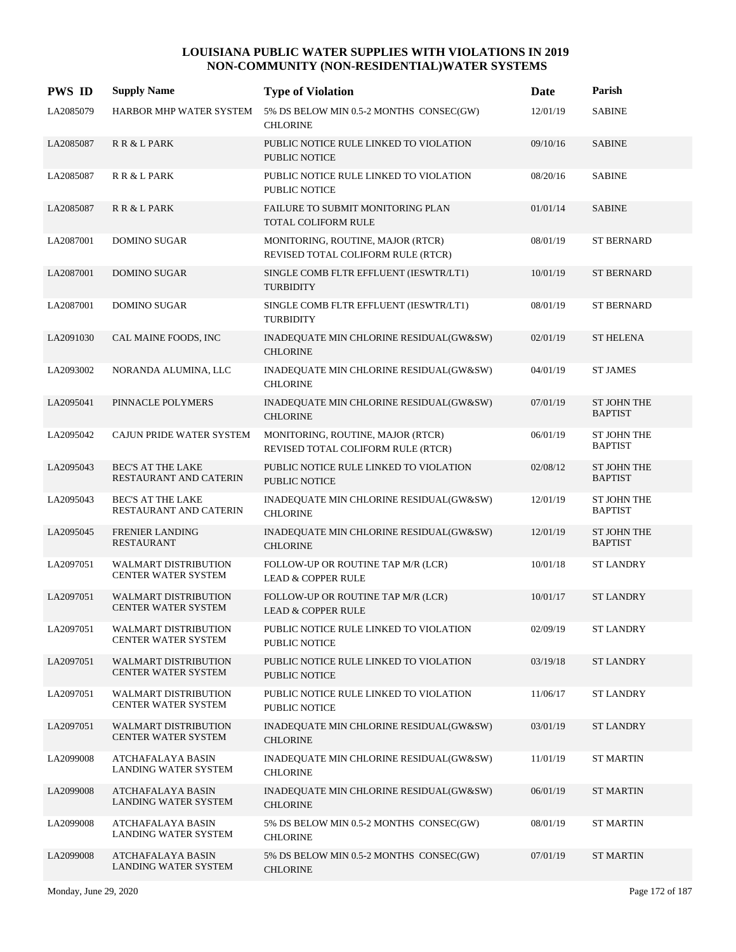| <b>PWS ID</b> | <b>Supply Name</b>                                        | <b>Type of Violation</b>                                                | Date     | Parish                               |
|---------------|-----------------------------------------------------------|-------------------------------------------------------------------------|----------|--------------------------------------|
| LA2085079     | HARBOR MHP WATER SYSTEM                                   | 5% DS BELOW MIN 0.5-2 MONTHS CONSEC(GW)<br><b>CHLORINE</b>              | 12/01/19 | <b>SABINE</b>                        |
| LA2085087     | R R & L PARK                                              | PUBLIC NOTICE RULE LINKED TO VIOLATION<br><b>PUBLIC NOTICE</b>          | 09/10/16 | <b>SABINE</b>                        |
| LA2085087     | R R & L PARK                                              | PUBLIC NOTICE RULE LINKED TO VIOLATION<br><b>PUBLIC NOTICE</b>          | 08/20/16 | <b>SABINE</b>                        |
| LA2085087     | R R & L PARK                                              | <b>FAILURE TO SUBMIT MONITORING PLAN</b><br><b>TOTAL COLIFORM RULE</b>  | 01/01/14 | <b>SABINE</b>                        |
| LA2087001     | <b>DOMINO SUGAR</b>                                       | MONITORING, ROUTINE, MAJOR (RTCR)<br>REVISED TOTAL COLIFORM RULE (RTCR) | 08/01/19 | <b>ST BERNARD</b>                    |
| LA2087001     | <b>DOMINO SUGAR</b>                                       | SINGLE COMB FLTR EFFLUENT (IESWTR/LT1)<br><b>TURBIDITY</b>              | 10/01/19 | <b>ST BERNARD</b>                    |
| LA2087001     | DOMINO SUGAR                                              | SINGLE COMB FLTR EFFLUENT (IESWTR/LT1)<br><b>TURBIDITY</b>              | 08/01/19 | <b>ST BERNARD</b>                    |
| LA2091030     | CAL MAINE FOODS, INC                                      | INADEQUATE MIN CHLORINE RESIDUAL(GW&SW)<br><b>CHLORINE</b>              | 02/01/19 | <b>ST HELENA</b>                     |
| LA2093002     | NORANDA ALUMINA, LLC                                      | INADEQUATE MIN CHLORINE RESIDUAL(GW&SW)<br><b>CHLORINE</b>              | 04/01/19 | <b>ST JAMES</b>                      |
| LA2095041     | PINNACLE POLYMERS                                         | INADEQUATE MIN CHLORINE RESIDUAL(GW&SW)<br><b>CHLORINE</b>              | 07/01/19 | <b>ST JOHN THE</b><br><b>BAPTIST</b> |
| LA2095042     | CAJUN PRIDE WATER SYSTEM                                  | MONITORING, ROUTINE, MAJOR (RTCR)<br>REVISED TOTAL COLIFORM RULE (RTCR) | 06/01/19 | <b>ST JOHN THE</b><br><b>BAPTIST</b> |
| LA2095043     | <b>BEC'S AT THE LAKE</b><br>RESTAURANT AND CATERIN        | PUBLIC NOTICE RULE LINKED TO VIOLATION<br><b>PUBLIC NOTICE</b>          | 02/08/12 | ST JOHN THE<br><b>BAPTIST</b>        |
| LA2095043     | <b>BEC'S AT THE LAKE</b><br>RESTAURANT AND CATERIN        | INADEQUATE MIN CHLORINE RESIDUAL(GW&SW)<br><b>CHLORINE</b>              | 12/01/19 | ST JOHN THE<br><b>BAPTIST</b>        |
| LA2095045     | <b>FRENIER LANDING</b><br><b>RESTAURANT</b>               | INADEQUATE MIN CHLORINE RESIDUAL(GW&SW)<br><b>CHLORINE</b>              | 12/01/19 | <b>ST JOHN THE</b><br><b>BAPTIST</b> |
| LA2097051     | <b>WALMART DISTRIBUTION</b><br>CENTER WATER SYSTEM        | FOLLOW-UP OR ROUTINE TAP M/R (LCR)<br><b>LEAD &amp; COPPER RULE</b>     | 10/01/18 | <b>ST LANDRY</b>                     |
| LA2097051     | <b>WALMART DISTRIBUTION</b><br><b>CENTER WATER SYSTEM</b> | FOLLOW-UP OR ROUTINE TAP M/R (LCR)<br><b>LEAD &amp; COPPER RULE</b>     | 10/01/17 | <b>ST LANDRY</b>                     |
| LA2097051     | <b>WALMART DISTRIBUTION</b><br>CENTER WATER SYSTEM        | PUBLIC NOTICE RULE LINKED TO VIOLATION<br>PUBLIC NOTICE                 | 02/09/19 | <b>ST LANDRY</b>                     |
| LA2097051     | <b>WALMART DISTRIBUTION</b><br>CENTER WATER SYSTEM        | PUBLIC NOTICE RULE LINKED TO VIOLATION<br>PUBLIC NOTICE                 | 03/19/18 | <b>ST LANDRY</b>                     |
| LA2097051     | <b>WALMART DISTRIBUTION</b><br>CENTER WATER SYSTEM        | PUBLIC NOTICE RULE LINKED TO VIOLATION<br>PUBLIC NOTICE                 | 11/06/17 | <b>ST LANDRY</b>                     |
| LA2097051     | <b>WALMART DISTRIBUTION</b><br>CENTER WATER SYSTEM        | INADEQUATE MIN CHLORINE RESIDUAL(GW&SW)<br><b>CHLORINE</b>              | 03/01/19 | <b>ST LANDRY</b>                     |
| LA2099008     | <b>ATCHAFALAYA BASIN</b><br>LANDING WATER SYSTEM          | INADEQUATE MIN CHLORINE RESIDUAL(GW&SW)<br><b>CHLORINE</b>              | 11/01/19 | <b>ST MARTIN</b>                     |
| LA2099008     | ATCHAFALAYA BASIN<br>LANDING WATER SYSTEM                 | INADEQUATE MIN CHLORINE RESIDUAL(GW&SW)<br><b>CHLORINE</b>              | 06/01/19 | <b>ST MARTIN</b>                     |
| LA2099008     | ATCHAFALAYA BASIN<br>LANDING WATER SYSTEM                 | 5% DS BELOW MIN 0.5-2 MONTHS CONSEC(GW)<br><b>CHLORINE</b>              | 08/01/19 | <b>ST MARTIN</b>                     |
| LA2099008     | ATCHAFALAYA BASIN<br>LANDING WATER SYSTEM                 | 5% DS BELOW MIN 0.5-2 MONTHS CONSEC(GW)<br><b>CHLORINE</b>              | 07/01/19 | <b>ST MARTIN</b>                     |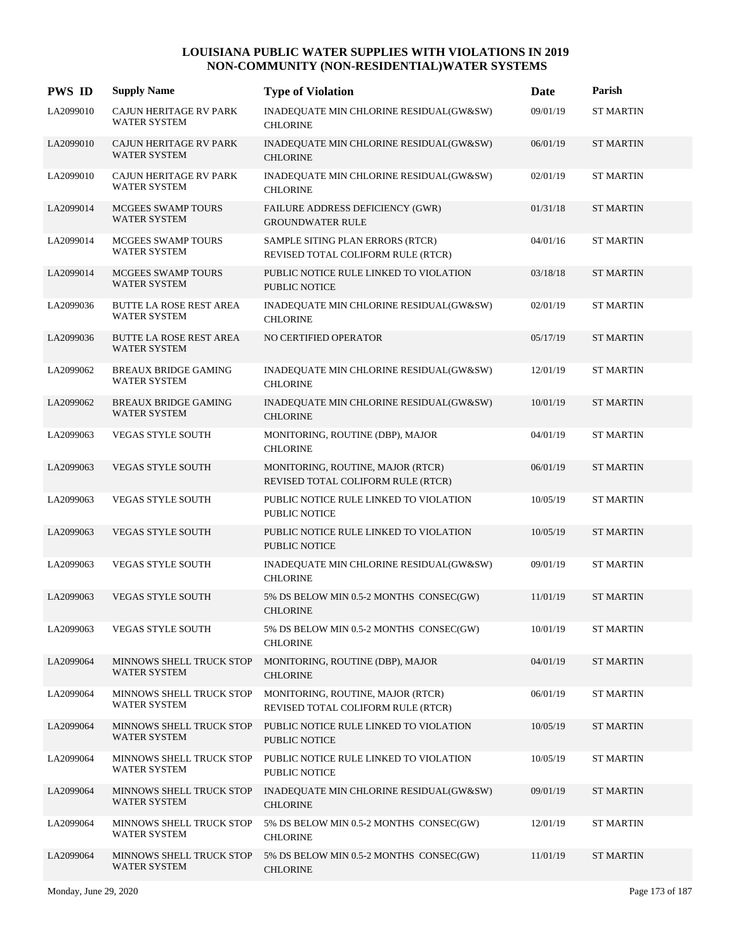| <b>PWS ID</b> | <b>Supply Name</b>                                 | <b>Type of Violation</b>                                                | Date     | Parish           |
|---------------|----------------------------------------------------|-------------------------------------------------------------------------|----------|------------------|
| LA2099010     | CAJUN HERITAGE RV PARK<br>WATER SYSTEM             | INADEQUATE MIN CHLORINE RESIDUAL(GW&SW)<br><b>CHLORINE</b>              | 09/01/19 | <b>ST MARTIN</b> |
| LA2099010     | <b>CAJUN HERITAGE RV PARK</b><br>WATER SYSTEM      | INADEQUATE MIN CHLORINE RESIDUAL(GW&SW)<br><b>CHLORINE</b>              | 06/01/19 | <b>ST MARTIN</b> |
| LA2099010     | CAJUN HERITAGE RV PARK<br><b>WATER SYSTEM</b>      | INADEQUATE MIN CHLORINE RESIDUAL(GW&SW)<br><b>CHLORINE</b>              | 02/01/19 | <b>ST MARTIN</b> |
| LA2099014     | MCGEES SWAMP TOURS<br>WATER SYSTEM                 | FAILURE ADDRESS DEFICIENCY (GWR)<br><b>GROUNDWATER RULE</b>             | 01/31/18 | <b>ST MARTIN</b> |
| LA2099014     | <b>MCGEES SWAMP TOURS</b><br>WATER SYSTEM          | SAMPLE SITING PLAN ERRORS (RTCR)<br>REVISED TOTAL COLIFORM RULE (RTCR)  | 04/01/16 | <b>ST MARTIN</b> |
| LA2099014     | MCGEES SWAMP TOURS<br><b>WATER SYSTEM</b>          | PUBLIC NOTICE RULE LINKED TO VIOLATION<br><b>PUBLIC NOTICE</b>          | 03/18/18 | <b>ST MARTIN</b> |
| LA2099036     | BUTTE LA ROSE REST AREA<br><b>WATER SYSTEM</b>     | INADEQUATE MIN CHLORINE RESIDUAL(GW&SW)<br><b>CHLORINE</b>              | 02/01/19 | <b>ST MARTIN</b> |
| LA2099036     | <b>BUTTE LA ROSE REST AREA</b><br>WATER SYSTEM     | NO CERTIFIED OPERATOR                                                   | 05/17/19 | <b>ST MARTIN</b> |
| LA2099062     | <b>BREAUX BRIDGE GAMING</b><br>WATER SYSTEM        | INADEQUATE MIN CHLORINE RESIDUAL(GW&SW)<br><b>CHLORINE</b>              | 12/01/19 | <b>ST MARTIN</b> |
| LA2099062     | <b>BREAUX BRIDGE GAMING</b><br><b>WATER SYSTEM</b> | INADEQUATE MIN CHLORINE RESIDUAL(GW&SW)<br><b>CHLORINE</b>              | 10/01/19 | <b>ST MARTIN</b> |
| LA2099063     | <b>VEGAS STYLE SOUTH</b>                           | MONITORING, ROUTINE (DBP), MAJOR<br><b>CHLORINE</b>                     | 04/01/19 | <b>ST MARTIN</b> |
| LA2099063     | <b>VEGAS STYLE SOUTH</b>                           | MONITORING, ROUTINE, MAJOR (RTCR)<br>REVISED TOTAL COLIFORM RULE (RTCR) | 06/01/19 | <b>ST MARTIN</b> |
| LA2099063     | VEGAS STYLE SOUTH                                  | PUBLIC NOTICE RULE LINKED TO VIOLATION<br><b>PUBLIC NOTICE</b>          | 10/05/19 | <b>ST MARTIN</b> |
| LA2099063     | VEGAS STYLE SOUTH                                  | PUBLIC NOTICE RULE LINKED TO VIOLATION<br><b>PUBLIC NOTICE</b>          | 10/05/19 | <b>ST MARTIN</b> |
| LA2099063     | <b>VEGAS STYLE SOUTH</b>                           | INADEQUATE MIN CHLORINE RESIDUAL(GW&SW)<br><b>CHLORINE</b>              | 09/01/19 | <b>ST MARTIN</b> |
| LA2099063     | <b>VEGAS STYLE SOUTH</b>                           | 5% DS BELOW MIN 0.5-2 MONTHS CONSEC(GW)<br><b>CHLORINE</b>              | 11/01/19 | <b>ST MARTIN</b> |
| LA2099063     | <b>VEGAS STYLE SOUTH</b>                           | 5% DS BELOW MIN 0.5-2 MONTHS CONSEC(GW)<br><b>CHLORINE</b>              | 10/01/19 | <b>ST MARTIN</b> |
| LA2099064     | MINNOWS SHELL TRUCK STOP<br>WATER SYSTEM           | MONITORING, ROUTINE (DBP), MAJOR<br><b>CHLORINE</b>                     | 04/01/19 | <b>ST MARTIN</b> |
| LA2099064     | MINNOWS SHELL TRUCK STOP<br>WATER SYSTEM           | MONITORING, ROUTINE, MAJOR (RTCR)<br>REVISED TOTAL COLIFORM RULE (RTCR) | 06/01/19 | <b>ST MARTIN</b> |
| LA2099064     | MINNOWS SHELL TRUCK STOP<br>WATER SYSTEM           | PUBLIC NOTICE RULE LINKED TO VIOLATION<br>PUBLIC NOTICE                 | 10/05/19 | <b>ST MARTIN</b> |
| LA2099064     | MINNOWS SHELL TRUCK STOP<br><b>WATER SYSTEM</b>    | PUBLIC NOTICE RULE LINKED TO VIOLATION<br>PUBLIC NOTICE                 | 10/05/19 | <b>ST MARTIN</b> |
| LA2099064     | MINNOWS SHELL TRUCK STOP<br>WATER SYSTEM           | INADEQUATE MIN CHLORINE RESIDUAL(GW&SW)<br><b>CHLORINE</b>              | 09/01/19 | <b>ST MARTIN</b> |
| LA2099064     | MINNOWS SHELL TRUCK STOP<br>WATER SYSTEM           | 5% DS BELOW MIN 0.5-2 MONTHS CONSEC(GW)<br><b>CHLORINE</b>              | 12/01/19 | <b>ST MARTIN</b> |
| LA2099064     | MINNOWS SHELL TRUCK STOP<br>WATER SYSTEM           | 5% DS BELOW MIN 0.5-2 MONTHS CONSEC(GW)<br><b>CHLORINE</b>              | 11/01/19 | <b>ST MARTIN</b> |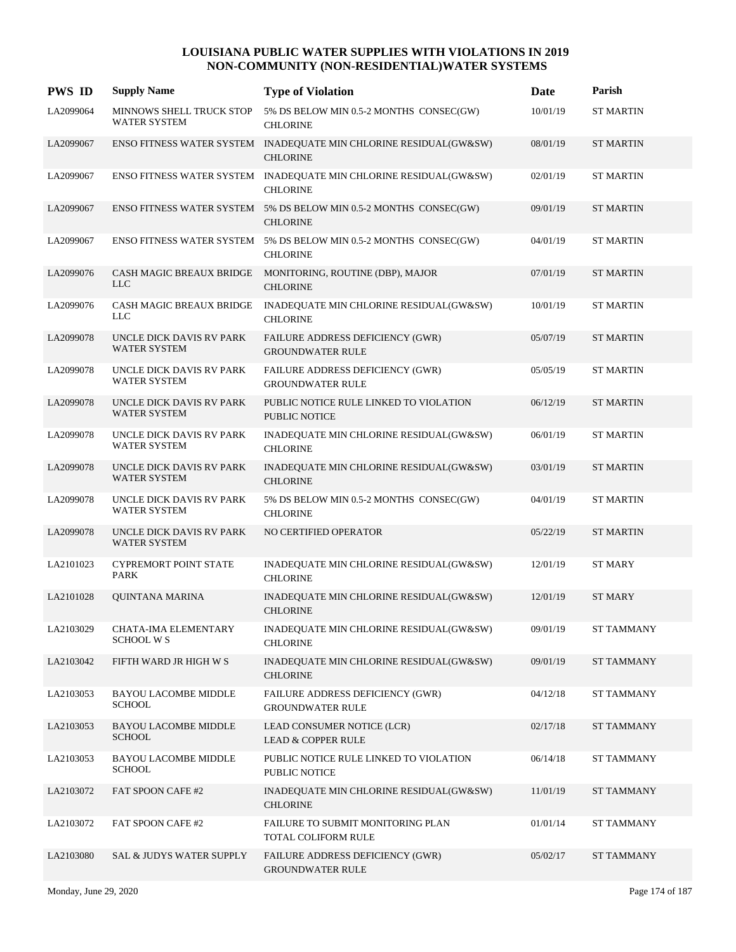| <b>PWS ID</b> | <b>Supply Name</b>                              | <b>Type of Violation</b>                                                             | Date     | Parish            |
|---------------|-------------------------------------------------|--------------------------------------------------------------------------------------|----------|-------------------|
| LA2099064     | MINNOWS SHELL TRUCK STOP<br><b>WATER SYSTEM</b> | 5% DS BELOW MIN 0.5-2 MONTHS CONSEC(GW)<br><b>CHLORINE</b>                           | 10/01/19 | <b>ST MARTIN</b>  |
| LA2099067     |                                                 | ENSO FITNESS WATER SYSTEM INADEQUATE MIN CHLORINE RESIDUAL(GW&SW)<br><b>CHLORINE</b> | 08/01/19 | <b>ST MARTIN</b>  |
| LA2099067     |                                                 | ENSO FITNESS WATER SYSTEM INADEQUATE MIN CHLORINE RESIDUAL(GW&SW)<br><b>CHLORINE</b> | 02/01/19 | <b>ST MARTIN</b>  |
| LA2099067     |                                                 | ENSO FITNESS WATER SYSTEM 5% DS BELOW MIN 0.5-2 MONTHS CONSEC(GW)<br><b>CHLORINE</b> | 09/01/19 | <b>ST MARTIN</b>  |
| LA2099067     |                                                 | ENSO FITNESS WATER SYSTEM 5% DS BELOW MIN 0.5-2 MONTHS CONSEC(GW)<br><b>CHLORINE</b> | 04/01/19 | <b>ST MARTIN</b>  |
| LA2099076     | <b>LLC</b>                                      | CASH MAGIC BREAUX BRIDGE MONITORING, ROUTINE (DBP), MAJOR<br><b>CHLORINE</b>         | 07/01/19 | <b>ST MARTIN</b>  |
| LA2099076     | CASH MAGIC BREAUX BRIDGE<br><b>LLC</b>          | INADEQUATE MIN CHLORINE RESIDUAL(GW&SW)<br><b>CHLORINE</b>                           | 10/01/19 | <b>ST MARTIN</b>  |
| LA2099078     | UNCLE DICK DAVIS RV PARK<br><b>WATER SYSTEM</b> | FAILURE ADDRESS DEFICIENCY (GWR)<br><b>GROUNDWATER RULE</b>                          | 05/07/19 | <b>ST MARTIN</b>  |
| LA2099078     | UNCLE DICK DAVIS RV PARK<br><b>WATER SYSTEM</b> | FAILURE ADDRESS DEFICIENCY (GWR)<br><b>GROUNDWATER RULE</b>                          | 05/05/19 | <b>ST MARTIN</b>  |
| LA2099078     | UNCLE DICK DAVIS RV PARK<br><b>WATER SYSTEM</b> | PUBLIC NOTICE RULE LINKED TO VIOLATION<br>PUBLIC NOTICE                              | 06/12/19 | <b>ST MARTIN</b>  |
| LA2099078     | UNCLE DICK DAVIS RV PARK<br><b>WATER SYSTEM</b> | INADEQUATE MIN CHLORINE RESIDUAL(GW&SW)<br><b>CHLORINE</b>                           | 06/01/19 | <b>ST MARTIN</b>  |
| LA2099078     | UNCLE DICK DAVIS RV PARK<br>WATER SYSTEM        | INADEQUATE MIN CHLORINE RESIDUAL(GW&SW)<br><b>CHLORINE</b>                           | 03/01/19 | <b>ST MARTIN</b>  |
| LA2099078     | UNCLE DICK DAVIS RV PARK<br><b>WATER SYSTEM</b> | 5% DS BELOW MIN 0.5-2 MONTHS CONSEC(GW)<br><b>CHLORINE</b>                           | 04/01/19 | <b>ST MARTIN</b>  |
| LA2099078     | UNCLE DICK DAVIS RV PARK<br><b>WATER SYSTEM</b> | NO CERTIFIED OPERATOR                                                                | 05/22/19 | <b>ST MARTIN</b>  |
| LA2101023     | <b>CYPREMORT POINT STATE</b><br>PARK            | INADEQUATE MIN CHLORINE RESIDUAL(GW&SW)<br><b>CHLORINE</b>                           | 12/01/19 | <b>ST MARY</b>    |
| LA2101028     | <b>OUINTANA MARINA</b>                          | INADEQUATE MIN CHLORINE RESIDUAL(GW&SW)<br><b>CHLORINE</b>                           | 12/01/19 | <b>ST MARY</b>    |
| LA2103029     | CHATA-IMA ELEMENTARY<br><b>SCHOOL W S</b>       | INADEQUATE MIN CHLORINE RESIDUAL(GW&SW)<br><b>CHLORINE</b>                           | 09/01/19 | <b>ST TAMMANY</b> |
| LA2103042     | FIFTH WARD JR HIGH W S                          | INADEQUATE MIN CHLORINE RESIDUAL(GW&SW)<br><b>CHLORINE</b>                           | 09/01/19 | <b>ST TAMMANY</b> |
| LA2103053     | <b>BAYOU LACOMBE MIDDLE</b><br><b>SCHOOL</b>    | FAILURE ADDRESS DEFICIENCY (GWR)<br><b>GROUNDWATER RULE</b>                          | 04/12/18 | <b>ST TAMMANY</b> |
| LA2103053     | BAYOU LACOMBE MIDDLE<br><b>SCHOOL</b>           | LEAD CONSUMER NOTICE (LCR)<br><b>LEAD &amp; COPPER RULE</b>                          | 02/17/18 | <b>ST TAMMANY</b> |
| LA2103053     | <b>BAYOU LACOMBE MIDDLE</b><br><b>SCHOOL</b>    | PUBLIC NOTICE RULE LINKED TO VIOLATION<br>PUBLIC NOTICE                              | 06/14/18 | <b>ST TAMMANY</b> |
| LA2103072     | FAT SPOON CAFE #2                               | INADEQUATE MIN CHLORINE RESIDUAL(GW&SW)<br><b>CHLORINE</b>                           | 11/01/19 | <b>ST TAMMANY</b> |
| LA2103072     | FAT SPOON CAFE #2                               | FAILURE TO SUBMIT MONITORING PLAN<br>TOTAL COLIFORM RULE                             | 01/01/14 | <b>ST TAMMANY</b> |
| LA2103080     | SAL & JUDYS WATER SUPPLY                        | FAILURE ADDRESS DEFICIENCY (GWR)<br><b>GROUNDWATER RULE</b>                          | 05/02/17 | <b>ST TAMMANY</b> |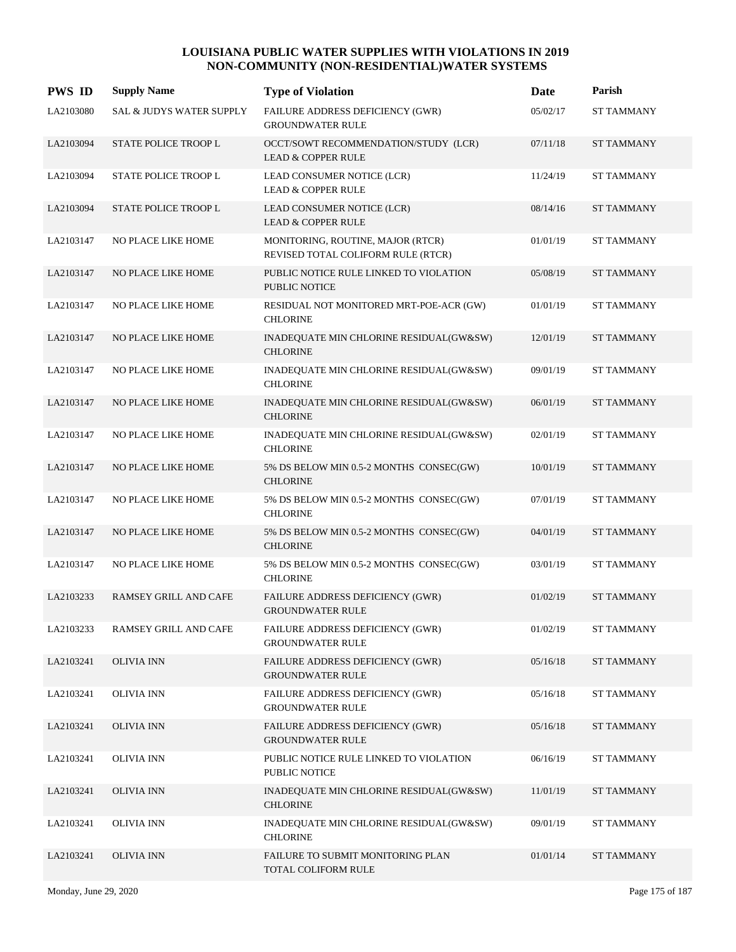| <b>PWS ID</b> | <b>Supply Name</b>          | <b>Type of Violation</b>                                                | Date     | Parish            |
|---------------|-----------------------------|-------------------------------------------------------------------------|----------|-------------------|
| LA2103080     | SAL & JUDYS WATER SUPPLY    | FAILURE ADDRESS DEFICIENCY (GWR)<br><b>GROUNDWATER RULE</b>             | 05/02/17 | <b>ST TAMMANY</b> |
| LA2103094     | STATE POLICE TROOP L        | OCCT/SOWT RECOMMENDATION/STUDY (LCR)<br><b>LEAD &amp; COPPER RULE</b>   | 07/11/18 | <b>ST TAMMANY</b> |
| LA2103094     | STATE POLICE TROOP L        | LEAD CONSUMER NOTICE (LCR)<br><b>LEAD &amp; COPPER RULE</b>             | 11/24/19 | <b>ST TAMMANY</b> |
| LA2103094     | <b>STATE POLICE TROOP L</b> | LEAD CONSUMER NOTICE (LCR)<br><b>LEAD &amp; COPPER RULE</b>             | 08/14/16 | <b>ST TAMMANY</b> |
| LA2103147     | NO PLACE LIKE HOME          | MONITORING, ROUTINE, MAJOR (RTCR)<br>REVISED TOTAL COLIFORM RULE (RTCR) | 01/01/19 | <b>ST TAMMANY</b> |
| LA2103147     | NO PLACE LIKE HOME          | PUBLIC NOTICE RULE LINKED TO VIOLATION<br><b>PUBLIC NOTICE</b>          | 05/08/19 | <b>ST TAMMANY</b> |
| LA2103147     | NO PLACE LIKE HOME          | RESIDUAL NOT MONITORED MRT-POE-ACR (GW)<br><b>CHLORINE</b>              | 01/01/19 | <b>ST TAMMANY</b> |
| LA2103147     | NO PLACE LIKE HOME          | INADEQUATE MIN CHLORINE RESIDUAL(GW&SW)<br><b>CHLORINE</b>              | 12/01/19 | <b>ST TAMMANY</b> |
| LA2103147     | NO PLACE LIKE HOME          | INADEQUATE MIN CHLORINE RESIDUAL(GW&SW)<br><b>CHLORINE</b>              | 09/01/19 | <b>ST TAMMANY</b> |
| LA2103147     | NO PLACE LIKE HOME          | INADEQUATE MIN CHLORINE RESIDUAL(GW&SW)<br><b>CHLORINE</b>              | 06/01/19 | <b>ST TAMMANY</b> |
| LA2103147     | NO PLACE LIKE HOME          | INADEQUATE MIN CHLORINE RESIDUAL(GW&SW)<br><b>CHLORINE</b>              | 02/01/19 | <b>ST TAMMANY</b> |
| LA2103147     | NO PLACE LIKE HOME          | 5% DS BELOW MIN 0.5-2 MONTHS CONSEC(GW)<br><b>CHLORINE</b>              | 10/01/19 | <b>ST TAMMANY</b> |
| LA2103147     | NO PLACE LIKE HOME          | 5% DS BELOW MIN 0.5-2 MONTHS CONSEC(GW)<br><b>CHLORINE</b>              | 07/01/19 | <b>ST TAMMANY</b> |
| LA2103147     | NO PLACE LIKE HOME          | 5% DS BELOW MIN 0.5-2 MONTHS CONSEC(GW)<br><b>CHLORINE</b>              | 04/01/19 | <b>ST TAMMANY</b> |
| LA2103147     | <b>NO PLACE LIKE HOME</b>   | 5% DS BELOW MIN 0.5-2 MONTHS CONSEC(GW)<br><b>CHLORINE</b>              | 03/01/19 | <b>ST TAMMANY</b> |
| LA2103233     | RAMSEY GRILL AND CAFE       | FAILURE ADDRESS DEFICIENCY (GWR)<br><b>GROUNDWATER RULE</b>             | 01/02/19 | <b>ST TAMMANY</b> |
| LA2103233     | RAMSEY GRILL AND CAFE       | FAILURE ADDRESS DEFICIENCY (GWR)<br><b>GROUNDWATER RULE</b>             | 01/02/19 | <b>ST TAMMANY</b> |
| LA2103241     | <b>OLIVIA INN</b>           | FAILURE ADDRESS DEFICIENCY (GWR)<br><b>GROUNDWATER RULE</b>             | 05/16/18 | <b>ST TAMMANY</b> |
| LA2103241     | <b>OLIVIA INN</b>           | <b>FAILURE ADDRESS DEFICIENCY (GWR)</b><br><b>GROUNDWATER RULE</b>      | 05/16/18 | ST TAMMANY        |
| LA2103241     | <b>OLIVIA INN</b>           | FAILURE ADDRESS DEFICIENCY (GWR)<br><b>GROUNDWATER RULE</b>             | 05/16/18 | <b>ST TAMMANY</b> |
| LA2103241     | <b>OLIVIA INN</b>           | PUBLIC NOTICE RULE LINKED TO VIOLATION<br>PUBLIC NOTICE                 | 06/16/19 | <b>ST TAMMANY</b> |
| LA2103241     | <b>OLIVIA INN</b>           | INADEQUATE MIN CHLORINE RESIDUAL(GW&SW)<br><b>CHLORINE</b>              | 11/01/19 | ST TAMMANY        |
| LA2103241     | <b>OLIVIA INN</b>           | INADEQUATE MIN CHLORINE RESIDUAL(GW&SW)<br><b>CHLORINE</b>              | 09/01/19 | <b>ST TAMMANY</b> |
| LA2103241     | <b>OLIVIA INN</b>           | FAILURE TO SUBMIT MONITORING PLAN<br>TOTAL COLIFORM RULE                | 01/01/14 | <b>ST TAMMANY</b> |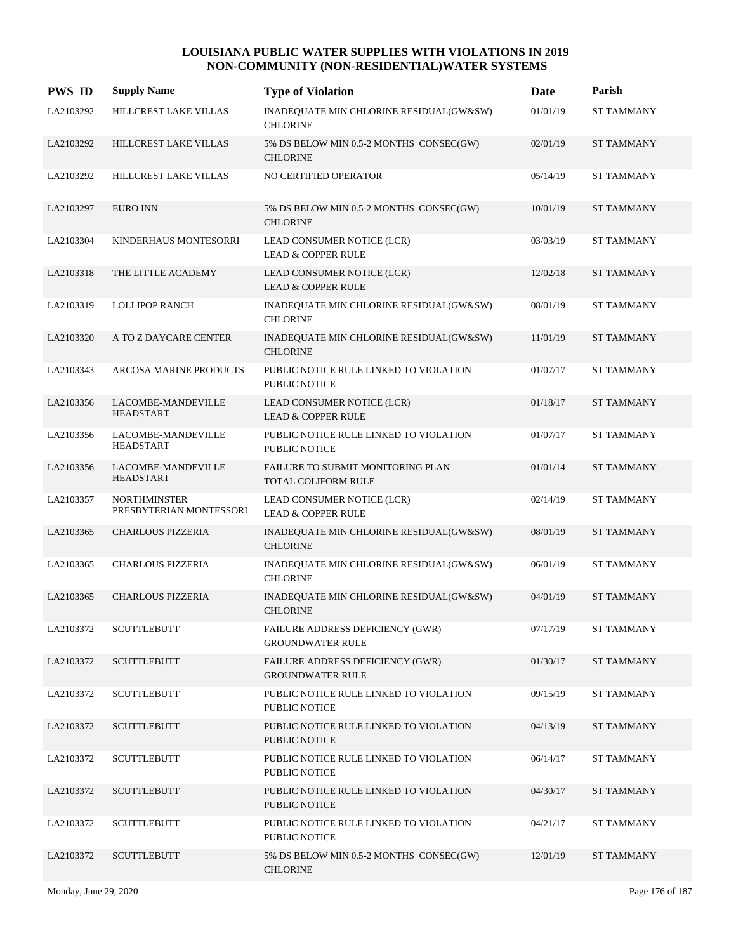| <b>PWS ID</b> | <b>Supply Name</b>                             | <b>Type of Violation</b>                                        | Date     | Parish            |
|---------------|------------------------------------------------|-----------------------------------------------------------------|----------|-------------------|
| LA2103292     | HILLCREST LAKE VILLAS                          | INADEQUATE MIN CHLORINE RESIDUAL(GW&SW)<br><b>CHLORINE</b>      | 01/01/19 | <b>ST TAMMANY</b> |
| LA2103292     | HILLCREST LAKE VILLAS                          | 5% DS BELOW MIN 0.5-2 MONTHS CONSEC(GW)<br><b>CHLORINE</b>      | 02/01/19 | <b>ST TAMMANY</b> |
| LA2103292     | HILLCREST LAKE VILLAS                          | NO CERTIFIED OPERATOR                                           | 05/14/19 | <b>ST TAMMANY</b> |
| LA2103297     | <b>EURO INN</b>                                | 5% DS BELOW MIN 0.5-2 MONTHS CONSEC(GW)<br><b>CHLORINE</b>      | 10/01/19 | <b>ST TAMMANY</b> |
| LA2103304     | KINDERHAUS MONTESORRI                          | LEAD CONSUMER NOTICE (LCR)<br><b>LEAD &amp; COPPER RULE</b>     | 03/03/19 | <b>ST TAMMANY</b> |
| LA2103318     | THE LITTLE ACADEMY                             | LEAD CONSUMER NOTICE (LCR)<br><b>LEAD &amp; COPPER RULE</b>     | 12/02/18 | <b>ST TAMMANY</b> |
| LA2103319     | <b>LOLLIPOP RANCH</b>                          | INADEQUATE MIN CHLORINE RESIDUAL(GW&SW)<br><b>CHLORINE</b>      | 08/01/19 | <b>ST TAMMANY</b> |
| LA2103320     | A TO Z DAYCARE CENTER                          | INADEQUATE MIN CHLORINE RESIDUAL(GW&SW)<br><b>CHLORINE</b>      | 11/01/19 | <b>ST TAMMANY</b> |
| LA2103343     | <b>ARCOSA MARINE PRODUCTS</b>                  | PUBLIC NOTICE RULE LINKED TO VIOLATION<br><b>PUBLIC NOTICE</b>  | 01/07/17 | <b>ST TAMMANY</b> |
| LA2103356     | LACOMBE-MANDEVILLE<br><b>HEADSTART</b>         | LEAD CONSUMER NOTICE (LCR)<br><b>LEAD &amp; COPPER RULE</b>     | 01/18/17 | <b>ST TAMMANY</b> |
| LA2103356     | LACOMBE-MANDEVILLE<br><b>HEADSTART</b>         | PUBLIC NOTICE RULE LINKED TO VIOLATION<br>PUBLIC NOTICE         | 01/07/17 | <b>ST TAMMANY</b> |
| LA2103356     | LACOMBE-MANDEVILLE<br><b>HEADSTART</b>         | FAILURE TO SUBMIT MONITORING PLAN<br><b>TOTAL COLIFORM RULE</b> | 01/01/14 | <b>ST TAMMANY</b> |
| LA2103357     | <b>NORTHMINSTER</b><br>PRESBYTERIAN MONTESSORI | LEAD CONSUMER NOTICE (LCR)<br><b>LEAD &amp; COPPER RULE</b>     | 02/14/19 | <b>ST TAMMANY</b> |
| LA2103365     | <b>CHARLOUS PIZZERIA</b>                       | INADEQUATE MIN CHLORINE RESIDUAL(GW&SW)<br><b>CHLORINE</b>      | 08/01/19 | <b>ST TAMMANY</b> |
| LA2103365     | <b>CHARLOUS PIZZERIA</b>                       | INADEQUATE MIN CHLORINE RESIDUAL(GW&SW)<br><b>CHLORINE</b>      | 06/01/19 | <b>ST TAMMANY</b> |
| LA2103365     | <b>CHARLOUS PIZZERIA</b>                       | INADEQUATE MIN CHLORINE RESIDUAL(GW&SW)<br><b>CHLORINE</b>      | 04/01/19 | <b>ST TAMMANY</b> |
| LA2103372     | <b>SCUTTLEBUTT</b>                             | FAILURE ADDRESS DEFICIENCY (GWR)<br><b>GROUNDWATER RULE</b>     | 07/17/19 | <b>ST TAMMANY</b> |
| LA2103372     | <b>SCUTTLEBUTT</b>                             | FAILURE ADDRESS DEFICIENCY (GWR)<br><b>GROUNDWATER RULE</b>     | 01/30/17 | <b>ST TAMMANY</b> |
| LA2103372     | <b>SCUTTLEBUTT</b>                             | PUBLIC NOTICE RULE LINKED TO VIOLATION<br>PUBLIC NOTICE         | 09/15/19 | ST TAMMANY        |
| LA2103372     | <b>SCUTTLEBUTT</b>                             | PUBLIC NOTICE RULE LINKED TO VIOLATION<br>PUBLIC NOTICE         | 04/13/19 | <b>ST TAMMANY</b> |
| LA2103372     | <b>SCUTTLEBUTT</b>                             | PUBLIC NOTICE RULE LINKED TO VIOLATION<br>PUBLIC NOTICE         | 06/14/17 | <b>ST TAMMANY</b> |
| LA2103372     | <b>SCUTTLEBUTT</b>                             | PUBLIC NOTICE RULE LINKED TO VIOLATION<br><b>PUBLIC NOTICE</b>  | 04/30/17 | <b>ST TAMMANY</b> |
| LA2103372     | <b>SCUTTLEBUTT</b>                             | PUBLIC NOTICE RULE LINKED TO VIOLATION<br>PUBLIC NOTICE         | 04/21/17 | <b>ST TAMMANY</b> |
| LA2103372     | <b>SCUTTLEBUTT</b>                             | 5% DS BELOW MIN 0.5-2 MONTHS CONSEC(GW)<br><b>CHLORINE</b>      | 12/01/19 | <b>ST TAMMANY</b> |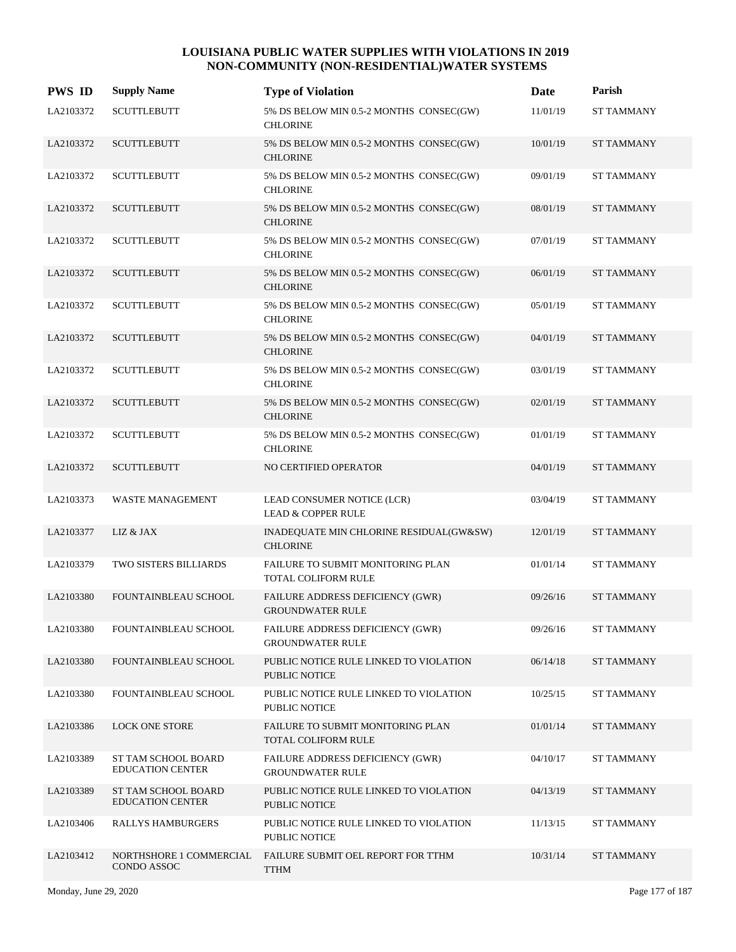| <b>PWS ID</b> | <b>Supply Name</b>                             | <b>Type of Violation</b>                                           | Date     | Parish            |
|---------------|------------------------------------------------|--------------------------------------------------------------------|----------|-------------------|
| LA2103372     | <b>SCUTTLEBUTT</b>                             | 5% DS BELOW MIN 0.5-2 MONTHS CONSEC(GW)<br><b>CHLORINE</b>         | 11/01/19 | <b>ST TAMMANY</b> |
| LA2103372     | <b>SCUTTLEBUTT</b>                             | 5% DS BELOW MIN 0.5-2 MONTHS CONSEC(GW)<br><b>CHLORINE</b>         | 10/01/19 | <b>ST TAMMANY</b> |
| LA2103372     | <b>SCUTTLEBUTT</b>                             | 5% DS BELOW MIN 0.5-2 MONTHS CONSEC(GW)<br><b>CHLORINE</b>         | 09/01/19 | <b>ST TAMMANY</b> |
| LA2103372     | <b>SCUTTLEBUTT</b>                             | 5% DS BELOW MIN 0.5-2 MONTHS CONSEC(GW)<br><b>CHLORINE</b>         | 08/01/19 | <b>ST TAMMANY</b> |
| LA2103372     | <b>SCUTTLEBUTT</b>                             | 5% DS BELOW MIN 0.5-2 MONTHS CONSEC(GW)<br><b>CHLORINE</b>         | 07/01/19 | <b>ST TAMMANY</b> |
| LA2103372     | <b>SCUTTLEBUTT</b>                             | 5% DS BELOW MIN 0.5-2 MONTHS CONSEC(GW)<br><b>CHLORINE</b>         | 06/01/19 | <b>ST TAMMANY</b> |
| LA2103372     | <b>SCUTTLEBUTT</b>                             | 5% DS BELOW MIN 0.5-2 MONTHS CONSEC(GW)<br><b>CHLORINE</b>         | 05/01/19 | <b>ST TAMMANY</b> |
| LA2103372     | <b>SCUTTLEBUTT</b>                             | 5% DS BELOW MIN 0.5-2 MONTHS CONSEC(GW)<br><b>CHLORINE</b>         | 04/01/19 | <b>ST TAMMANY</b> |
| LA2103372     | <b>SCUTTLEBUTT</b>                             | 5% DS BELOW MIN 0.5-2 MONTHS CONSEC(GW)<br><b>CHLORINE</b>         | 03/01/19 | <b>ST TAMMANY</b> |
| LA2103372     | <b>SCUTTLEBUTT</b>                             | 5% DS BELOW MIN 0.5-2 MONTHS CONSEC(GW)<br><b>CHLORINE</b>         | 02/01/19 | <b>ST TAMMANY</b> |
| LA2103372     | <b>SCUTTLEBUTT</b>                             | 5% DS BELOW MIN 0.5-2 MONTHS CONSEC(GW)<br><b>CHLORINE</b>         | 01/01/19 | <b>ST TAMMANY</b> |
| LA2103372     | <b>SCUTTLEBUTT</b>                             | NO CERTIFIED OPERATOR                                              | 04/01/19 | <b>ST TAMMANY</b> |
| LA2103373     | <b>WASTE MANAGEMENT</b>                        | LEAD CONSUMER NOTICE (LCR)<br><b>LEAD &amp; COPPER RULE</b>        | 03/04/19 | <b>ST TAMMANY</b> |
| LA2103377     | LIZ & JAX                                      | INADEQUATE MIN CHLORINE RESIDUAL(GW&SW)<br><b>CHLORINE</b>         | 12/01/19 | <b>ST TAMMANY</b> |
| LA2103379     | <b>TWO SISTERS BILLIARDS</b>                   | FAILURE TO SUBMIT MONITORING PLAN<br><b>TOTAL COLIFORM RULE</b>    | 01/01/14 | <b>ST TAMMANY</b> |
| LA2103380     | FOUNTAINBLEAU SCHOOL                           | FAILURE ADDRESS DEFICIENCY (GWR)<br><b>GROUNDWATER RULE</b>        | 09/26/16 | <b>ST TAMMANY</b> |
| LA2103380     | FOUNTAINBLEAU SCHOOL                           | FAILURE ADDRESS DEFICIENCY (GWR)<br><b>GROUNDWATER RULE</b>        | 09/26/16 | <b>ST TAMMANY</b> |
| LA2103380     | FOUNTAINBLEAU SCHOOL                           | PUBLIC NOTICE RULE LINKED TO VIOLATION<br>PUBLIC NOTICE            | 06/14/18 | <b>ST TAMMANY</b> |
| LA2103380     | FOUNTAINBLEAU SCHOOL                           | PUBLIC NOTICE RULE LINKED TO VIOLATION<br>PUBLIC NOTICE            | 10/25/15 | <b>ST TAMMANY</b> |
| LA2103386     | <b>LOCK ONE STORE</b>                          | <b>FAILURE TO SUBMIT MONITORING PLAN</b><br>TOTAL COLIFORM RULE    | 01/01/14 | <b>ST TAMMANY</b> |
| LA2103389     | ST TAM SCHOOL BOARD<br><b>EDUCATION CENTER</b> | <b>FAILURE ADDRESS DEFICIENCY (GWR)</b><br><b>GROUNDWATER RULE</b> | 04/10/17 | <b>ST TAMMANY</b> |
| LA2103389     | ST TAM SCHOOL BOARD<br><b>EDUCATION CENTER</b> | PUBLIC NOTICE RULE LINKED TO VIOLATION<br>PUBLIC NOTICE            | 04/13/19 | ST TAMMANY        |
| LA2103406     | RALLYS HAMBURGERS                              | PUBLIC NOTICE RULE LINKED TO VIOLATION<br><b>PUBLIC NOTICE</b>     | 11/13/15 | <b>ST TAMMANY</b> |
| LA2103412     | NORTHSHORE 1 COMMERCIAL<br>CONDO ASSOC         | FAILURE SUBMIT OEL REPORT FOR TTHM<br><b>TTHM</b>                  | 10/31/14 | <b>ST TAMMANY</b> |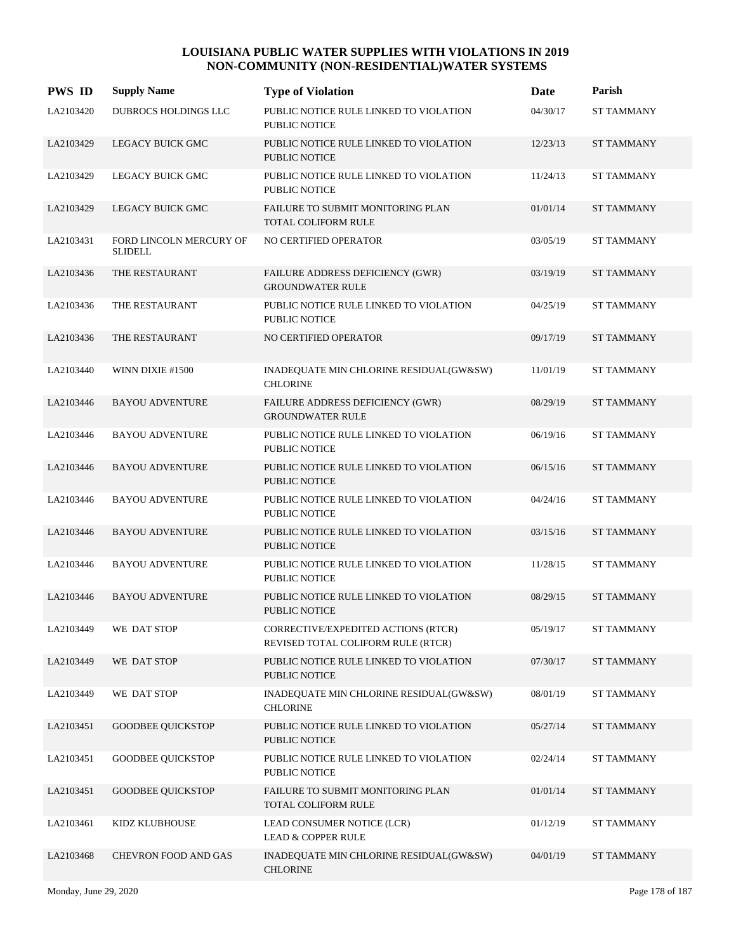| <b>PWS ID</b> | <b>Supply Name</b>                        | <b>Type of Violation</b>                                                  | Date     | Parish            |
|---------------|-------------------------------------------|---------------------------------------------------------------------------|----------|-------------------|
| LA2103420     | DUBROCS HOLDINGS LLC                      | PUBLIC NOTICE RULE LINKED TO VIOLATION<br><b>PUBLIC NOTICE</b>            | 04/30/17 | <b>ST TAMMANY</b> |
| LA2103429     | LEGACY BUICK GMC                          | PUBLIC NOTICE RULE LINKED TO VIOLATION<br><b>PUBLIC NOTICE</b>            | 12/23/13 | <b>ST TAMMANY</b> |
| LA2103429     | LEGACY BUICK GMC                          | PUBLIC NOTICE RULE LINKED TO VIOLATION<br><b>PUBLIC NOTICE</b>            | 11/24/13 | <b>ST TAMMANY</b> |
| LA2103429     | LEGACY BUICK GMC                          | FAILURE TO SUBMIT MONITORING PLAN<br><b>TOTAL COLIFORM RULE</b>           | 01/01/14 | <b>ST TAMMANY</b> |
| LA2103431     | FORD LINCOLN MERCURY OF<br><b>SLIDELL</b> | NO CERTIFIED OPERATOR                                                     | 03/05/19 | <b>ST TAMMANY</b> |
| LA2103436     | THE RESTAURANT                            | FAILURE ADDRESS DEFICIENCY (GWR)<br><b>GROUNDWATER RULE</b>               | 03/19/19 | <b>ST TAMMANY</b> |
| LA2103436     | THE RESTAURANT                            | PUBLIC NOTICE RULE LINKED TO VIOLATION<br><b>PUBLIC NOTICE</b>            | 04/25/19 | <b>ST TAMMANY</b> |
| LA2103436     | THE RESTAURANT                            | NO CERTIFIED OPERATOR                                                     | 09/17/19 | <b>ST TAMMANY</b> |
| LA2103440     | WINN DIXIE #1500                          | INADEQUATE MIN CHLORINE RESIDUAL(GW&SW)<br><b>CHLORINE</b>                | 11/01/19 | <b>ST TAMMANY</b> |
| LA2103446     | <b>BAYOU ADVENTURE</b>                    | FAILURE ADDRESS DEFICIENCY (GWR)<br><b>GROUNDWATER RULE</b>               | 08/29/19 | <b>ST TAMMANY</b> |
| LA2103446     | <b>BAYOU ADVENTURE</b>                    | PUBLIC NOTICE RULE LINKED TO VIOLATION<br><b>PUBLIC NOTICE</b>            | 06/19/16 | <b>ST TAMMANY</b> |
| LA2103446     | <b>BAYOU ADVENTURE</b>                    | PUBLIC NOTICE RULE LINKED TO VIOLATION<br><b>PUBLIC NOTICE</b>            | 06/15/16 | <b>ST TAMMANY</b> |
| LA2103446     | <b>BAYOU ADVENTURE</b>                    | PUBLIC NOTICE RULE LINKED TO VIOLATION<br><b>PUBLIC NOTICE</b>            | 04/24/16 | <b>ST TAMMANY</b> |
| LA2103446     | <b>BAYOU ADVENTURE</b>                    | PUBLIC NOTICE RULE LINKED TO VIOLATION<br><b>PUBLIC NOTICE</b>            | 03/15/16 | <b>ST TAMMANY</b> |
| LA2103446     | <b>BAYOU ADVENTURE</b>                    | PUBLIC NOTICE RULE LINKED TO VIOLATION<br><b>PUBLIC NOTICE</b>            | 11/28/15 | <b>ST TAMMANY</b> |
| LA2103446     | <b>BAYOU ADVENTURE</b>                    | PUBLIC NOTICE RULE LINKED TO VIOLATION<br>PUBLIC NOTICE                   | 08/29/15 | <b>ST TAMMANY</b> |
| LA2103449     | WE DAT STOP                               | CORRECTIVE/EXPEDITED ACTIONS (RTCR)<br>REVISED TOTAL COLIFORM RULE (RTCR) | 05/19/17 | <b>ST TAMMANY</b> |
| LA2103449     | WE DAT STOP                               | PUBLIC NOTICE RULE LINKED TO VIOLATION<br>PUBLIC NOTICE                   | 07/30/17 | <b>ST TAMMANY</b> |
| LA2103449     | WE DAT STOP                               | INADEQUATE MIN CHLORINE RESIDUAL(GW&SW)<br><b>CHLORINE</b>                | 08/01/19 | ST TAMMANY        |
| LA2103451     | <b>GOODBEE QUICKSTOP</b>                  | PUBLIC NOTICE RULE LINKED TO VIOLATION<br><b>PUBLIC NOTICE</b>            | 05/27/14 | <b>ST TAMMANY</b> |
| LA2103451     | <b>GOODBEE QUICKSTOP</b>                  | PUBLIC NOTICE RULE LINKED TO VIOLATION<br>PUBLIC NOTICE                   | 02/24/14 | <b>ST TAMMANY</b> |
| LA2103451     | <b>GOODBEE QUICKSTOP</b>                  | FAILURE TO SUBMIT MONITORING PLAN<br>TOTAL COLIFORM RULE                  | 01/01/14 | <b>ST TAMMANY</b> |
| LA2103461     | KIDZ KLUBHOUSE                            | LEAD CONSUMER NOTICE (LCR)<br><b>LEAD &amp; COPPER RULE</b>               | 01/12/19 | <b>ST TAMMANY</b> |
| LA2103468     | CHEVRON FOOD AND GAS                      | INADEQUATE MIN CHLORINE RESIDUAL(GW&SW)<br><b>CHLORINE</b>                | 04/01/19 | ST TAMMANY        |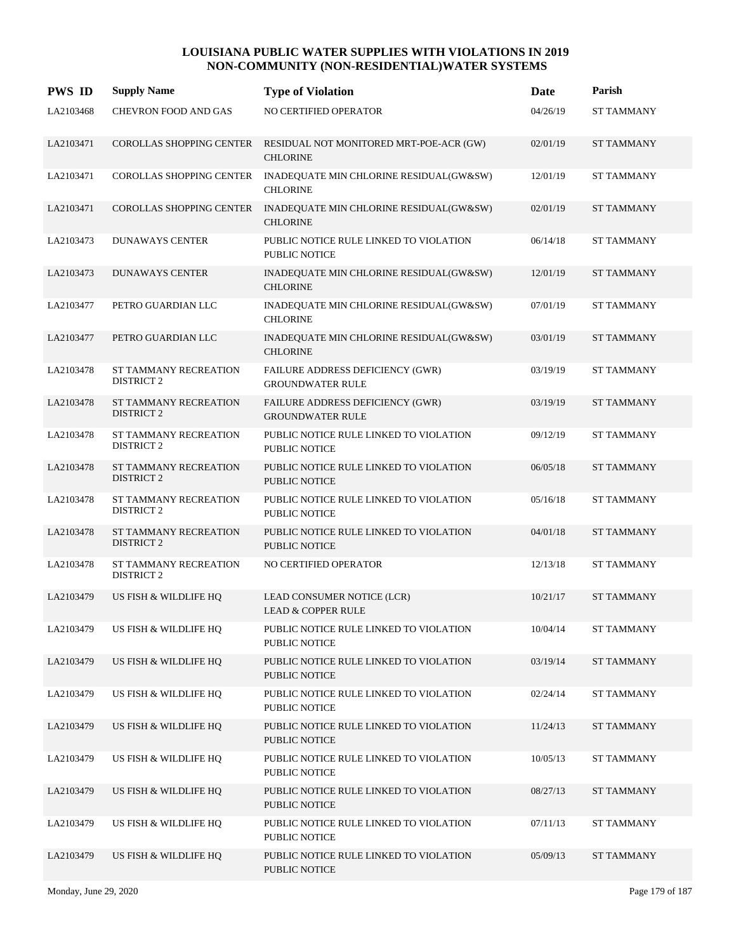| <b>PWS ID</b> | <b>Supply Name</b>                         | <b>Type of Violation</b>                                           | Date     | Parish            |
|---------------|--------------------------------------------|--------------------------------------------------------------------|----------|-------------------|
| LA2103468     | <b>CHEVRON FOOD AND GAS</b>                | NO CERTIFIED OPERATOR                                              | 04/26/19 | <b>ST TAMMANY</b> |
| LA2103471     | COROLLAS SHOPPING CENTER                   | RESIDUAL NOT MONITORED MRT-POE-ACR (GW)<br><b>CHLORINE</b>         | 02/01/19 | <b>ST TAMMANY</b> |
| LA2103471     | COROLLAS SHOPPING CENTER                   | INADEQUATE MIN CHLORINE RESIDUAL(GW&SW)<br><b>CHLORINE</b>         | 12/01/19 | <b>ST TAMMANY</b> |
| LA2103471     | <b>COROLLAS SHOPPING CENTER</b>            | INADEQUATE MIN CHLORINE RESIDUAL(GW&SW)<br><b>CHLORINE</b>         | 02/01/19 | <b>ST TAMMANY</b> |
| LA2103473     | <b>DUNAWAYS CENTER</b>                     | PUBLIC NOTICE RULE LINKED TO VIOLATION<br><b>PUBLIC NOTICE</b>     | 06/14/18 | <b>ST TAMMANY</b> |
| LA2103473     | <b>DUNAWAYS CENTER</b>                     | INADEQUATE MIN CHLORINE RESIDUAL(GW&SW)<br><b>CHLORINE</b>         | 12/01/19 | <b>ST TAMMANY</b> |
| LA2103477     | PETRO GUARDIAN LLC                         | INADEQUATE MIN CHLORINE RESIDUAL(GW&SW)<br><b>CHLORINE</b>         | 07/01/19 | <b>ST TAMMANY</b> |
| LA2103477     | PETRO GUARDIAN LLC                         | INADEQUATE MIN CHLORINE RESIDUAL(GW&SW)<br><b>CHLORINE</b>         | 03/01/19 | <b>ST TAMMANY</b> |
| LA2103478     | ST TAMMANY RECREATION<br><b>DISTRICT 2</b> | FAILURE ADDRESS DEFICIENCY (GWR)<br><b>GROUNDWATER RULE</b>        | 03/19/19 | <b>ST TAMMANY</b> |
| LA2103478     | ST TAMMANY RECREATION<br><b>DISTRICT 2</b> | <b>FAILURE ADDRESS DEFICIENCY (GWR)</b><br><b>GROUNDWATER RULE</b> | 03/19/19 | <b>ST TAMMANY</b> |
| LA2103478     | ST TAMMANY RECREATION<br><b>DISTRICT 2</b> | PUBLIC NOTICE RULE LINKED TO VIOLATION<br><b>PUBLIC NOTICE</b>     | 09/12/19 | <b>ST TAMMANY</b> |
| LA2103478     | ST TAMMANY RECREATION<br><b>DISTRICT 2</b> | PUBLIC NOTICE RULE LINKED TO VIOLATION<br><b>PUBLIC NOTICE</b>     | 06/05/18 | <b>ST TAMMANY</b> |
| LA2103478     | ST TAMMANY RECREATION<br><b>DISTRICT 2</b> | PUBLIC NOTICE RULE LINKED TO VIOLATION<br><b>PUBLIC NOTICE</b>     | 05/16/18 | <b>ST TAMMANY</b> |
| LA2103478     | ST TAMMANY RECREATION<br><b>DISTRICT 2</b> | PUBLIC NOTICE RULE LINKED TO VIOLATION<br><b>PUBLIC NOTICE</b>     | 04/01/18 | <b>ST TAMMANY</b> |
| LA2103478     | ST TAMMANY RECREATION<br><b>DISTRICT 2</b> | NO CERTIFIED OPERATOR                                              | 12/13/18 | <b>ST TAMMANY</b> |
| LA2103479     | US FISH & WILDLIFE HQ                      | LEAD CONSUMER NOTICE (LCR)<br><b>LEAD &amp; COPPER RULE</b>        | 10/21/17 | <b>ST TAMMANY</b> |
| LA2103479     | US FISH & WILDLIFE HQ                      | PUBLIC NOTICE RULE LINKED TO VIOLATION<br>PUBLIC NOTICE            | 10/04/14 | <b>ST TAMMANY</b> |
| LA2103479     | US FISH & WILDLIFE HQ                      | PUBLIC NOTICE RULE LINKED TO VIOLATION<br><b>PUBLIC NOTICE</b>     | 03/19/14 | <b>ST TAMMANY</b> |
| LA2103479     | US FISH & WILDLIFE HQ                      | PUBLIC NOTICE RULE LINKED TO VIOLATION<br>PUBLIC NOTICE            | 02/24/14 | ST TAMMANY        |
| LA2103479     | US FISH & WILDLIFE HQ                      | PUBLIC NOTICE RULE LINKED TO VIOLATION<br><b>PUBLIC NOTICE</b>     | 11/24/13 | <b>ST TAMMANY</b> |
| LA2103479     | US FISH & WILDLIFE HQ                      | PUBLIC NOTICE RULE LINKED TO VIOLATION<br>PUBLIC NOTICE            | 10/05/13 | <b>ST TAMMANY</b> |
| LA2103479     | US FISH & WILDLIFE HQ                      | PUBLIC NOTICE RULE LINKED TO VIOLATION<br>PUBLIC NOTICE            | 08/27/13 | <b>ST TAMMANY</b> |
| LA2103479     | US FISH & WILDLIFE HQ                      | PUBLIC NOTICE RULE LINKED TO VIOLATION<br>PUBLIC NOTICE            | 07/11/13 | <b>ST TAMMANY</b> |
| LA2103479     | US FISH & WILDLIFE HQ                      | PUBLIC NOTICE RULE LINKED TO VIOLATION<br>PUBLIC NOTICE            | 05/09/13 | <b>ST TAMMANY</b> |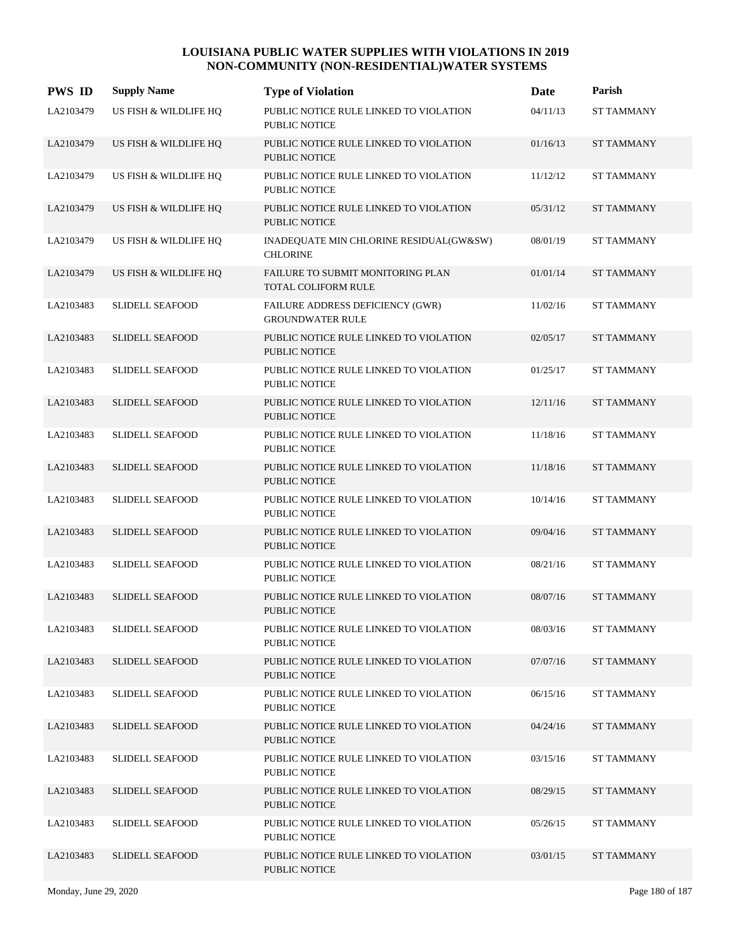| <b>PWS ID</b> | <b>Supply Name</b>     | <b>Type of Violation</b>                                        | Date     | Parish            |
|---------------|------------------------|-----------------------------------------------------------------|----------|-------------------|
| LA2103479     | US FISH & WILDLIFE HQ  | PUBLIC NOTICE RULE LINKED TO VIOLATION<br><b>PUBLIC NOTICE</b>  | 04/11/13 | <b>ST TAMMANY</b> |
| LA2103479     | US FISH & WILDLIFE HQ  | PUBLIC NOTICE RULE LINKED TO VIOLATION<br><b>PUBLIC NOTICE</b>  | 01/16/13 | <b>ST TAMMANY</b> |
| LA2103479     | US FISH & WILDLIFE HQ  | PUBLIC NOTICE RULE LINKED TO VIOLATION<br><b>PUBLIC NOTICE</b>  | 11/12/12 | <b>ST TAMMANY</b> |
| LA2103479     | US FISH & WILDLIFE HQ  | PUBLIC NOTICE RULE LINKED TO VIOLATION<br><b>PUBLIC NOTICE</b>  | 05/31/12 | <b>ST TAMMANY</b> |
| LA2103479     | US FISH & WILDLIFE HQ  | INADEQUATE MIN CHLORINE RESIDUAL(GW&SW)<br><b>CHLORINE</b>      | 08/01/19 | <b>ST TAMMANY</b> |
| LA2103479     | US FISH & WILDLIFE HQ  | FAILURE TO SUBMIT MONITORING PLAN<br><b>TOTAL COLIFORM RULE</b> | 01/01/14 | <b>ST TAMMANY</b> |
| LA2103483     | <b>SLIDELL SEAFOOD</b> | FAILURE ADDRESS DEFICIENCY (GWR)<br><b>GROUNDWATER RULE</b>     | 11/02/16 | <b>ST TAMMANY</b> |
| LA2103483     | <b>SLIDELL SEAFOOD</b> | PUBLIC NOTICE RULE LINKED TO VIOLATION<br><b>PUBLIC NOTICE</b>  | 02/05/17 | <b>ST TAMMANY</b> |
| LA2103483     | <b>SLIDELL SEAFOOD</b> | PUBLIC NOTICE RULE LINKED TO VIOLATION<br><b>PUBLIC NOTICE</b>  | 01/25/17 | <b>ST TAMMANY</b> |
| LA2103483     | <b>SLIDELL SEAFOOD</b> | PUBLIC NOTICE RULE LINKED TO VIOLATION<br><b>PUBLIC NOTICE</b>  | 12/11/16 | <b>ST TAMMANY</b> |
| LA2103483     | <b>SLIDELL SEAFOOD</b> | PUBLIC NOTICE RULE LINKED TO VIOLATION<br><b>PUBLIC NOTICE</b>  | 11/18/16 | <b>ST TAMMANY</b> |
| LA2103483     | <b>SLIDELL SEAFOOD</b> | PUBLIC NOTICE RULE LINKED TO VIOLATION<br><b>PUBLIC NOTICE</b>  | 11/18/16 | <b>ST TAMMANY</b> |
| LA2103483     | <b>SLIDELL SEAFOOD</b> | PUBLIC NOTICE RULE LINKED TO VIOLATION<br><b>PUBLIC NOTICE</b>  | 10/14/16 | <b>ST TAMMANY</b> |
| LA2103483     | <b>SLIDELL SEAFOOD</b> | PUBLIC NOTICE RULE LINKED TO VIOLATION<br><b>PUBLIC NOTICE</b>  | 09/04/16 | <b>ST TAMMANY</b> |
| LA2103483     | SLIDELL SEAFOOD        | PUBLIC NOTICE RULE LINKED TO VIOLATION<br><b>PUBLIC NOTICE</b>  | 08/21/16 | <b>ST TAMMANY</b> |
| LA2103483     | <b>SLIDELL SEAFOOD</b> | PUBLIC NOTICE RULE LINKED TO VIOLATION<br><b>PUBLIC NOTICE</b>  | 08/07/16 | <b>ST TAMMANY</b> |
| LA2103483     | SLIDELL SEAFOOD        | PUBLIC NOTICE RULE LINKED TO VIOLATION<br>PUBLIC NOTICE         | 08/03/16 | <b>ST TAMMANY</b> |
| LA2103483     | <b>SLIDELL SEAFOOD</b> | PUBLIC NOTICE RULE LINKED TO VIOLATION<br>PUBLIC NOTICE         | 07/07/16 | <b>ST TAMMANY</b> |
| LA2103483     | <b>SLIDELL SEAFOOD</b> | PUBLIC NOTICE RULE LINKED TO VIOLATION<br>PUBLIC NOTICE         | 06/15/16 | <b>ST TAMMANY</b> |
| LA2103483     | <b>SLIDELL SEAFOOD</b> | PUBLIC NOTICE RULE LINKED TO VIOLATION<br><b>PUBLIC NOTICE</b>  | 04/24/16 | <b>ST TAMMANY</b> |
| LA2103483     | <b>SLIDELL SEAFOOD</b> | PUBLIC NOTICE RULE LINKED TO VIOLATION<br>PUBLIC NOTICE         | 03/15/16 | <b>ST TAMMANY</b> |
| LA2103483     | <b>SLIDELL SEAFOOD</b> | PUBLIC NOTICE RULE LINKED TO VIOLATION<br>PUBLIC NOTICE         | 08/29/15 | <b>ST TAMMANY</b> |
| LA2103483     | <b>SLIDELL SEAFOOD</b> | PUBLIC NOTICE RULE LINKED TO VIOLATION<br>PUBLIC NOTICE         | 05/26/15 | ST TAMMANY        |
| LA2103483     | <b>SLIDELL SEAFOOD</b> | PUBLIC NOTICE RULE LINKED TO VIOLATION<br>PUBLIC NOTICE         | 03/01/15 | ST TAMMANY        |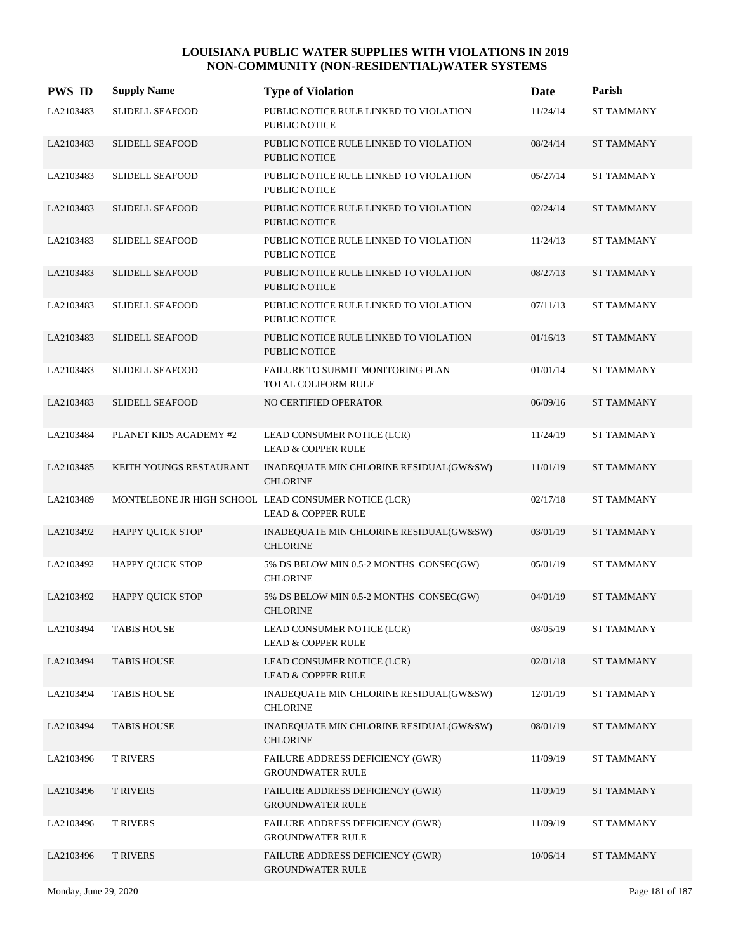| <b>PWS ID</b> | <b>Supply Name</b>      | <b>Type of Violation</b>                                                              | Date     | Parish            |
|---------------|-------------------------|---------------------------------------------------------------------------------------|----------|-------------------|
| LA2103483     | <b>SLIDELL SEAFOOD</b>  | PUBLIC NOTICE RULE LINKED TO VIOLATION<br>PUBLIC NOTICE                               | 11/24/14 | <b>ST TAMMANY</b> |
| LA2103483     | <b>SLIDELL SEAFOOD</b>  | PUBLIC NOTICE RULE LINKED TO VIOLATION<br>PUBLIC NOTICE                               | 08/24/14 | <b>ST TAMMANY</b> |
| LA2103483     | SLIDELL SEAFOOD         | PUBLIC NOTICE RULE LINKED TO VIOLATION<br>PUBLIC NOTICE                               | 05/27/14 | <b>ST TAMMANY</b> |
| LA2103483     | <b>SLIDELL SEAFOOD</b>  | PUBLIC NOTICE RULE LINKED TO VIOLATION<br><b>PUBLIC NOTICE</b>                        | 02/24/14 | <b>ST TAMMANY</b> |
| LA2103483     | <b>SLIDELL SEAFOOD</b>  | PUBLIC NOTICE RULE LINKED TO VIOLATION<br>PUBLIC NOTICE                               | 11/24/13 | <b>ST TAMMANY</b> |
| LA2103483     | <b>SLIDELL SEAFOOD</b>  | PUBLIC NOTICE RULE LINKED TO VIOLATION<br>PUBLIC NOTICE                               | 08/27/13 | <b>ST TAMMANY</b> |
| LA2103483     | SLIDELL SEAFOOD         | PUBLIC NOTICE RULE LINKED TO VIOLATION<br><b>PUBLIC NOTICE</b>                        | 07/11/13 | <b>ST TAMMANY</b> |
| LA2103483     | <b>SLIDELL SEAFOOD</b>  | PUBLIC NOTICE RULE LINKED TO VIOLATION<br><b>PUBLIC NOTICE</b>                        | 01/16/13 | <b>ST TAMMANY</b> |
| LA2103483     | SLIDELL SEAFOOD         | FAILURE TO SUBMIT MONITORING PLAN<br>TOTAL COLIFORM RULE                              | 01/01/14 | <b>ST TAMMANY</b> |
| LA2103483     | <b>SLIDELL SEAFOOD</b>  | NO CERTIFIED OPERATOR                                                                 | 06/09/16 | <b>ST TAMMANY</b> |
| LA2103484     | PLANET KIDS ACADEMY #2  | LEAD CONSUMER NOTICE (LCR)<br><b>LEAD &amp; COPPER RULE</b>                           | 11/24/19 | <b>ST TAMMANY</b> |
| LA2103485     | KEITH YOUNGS RESTAURANT | INADEQUATE MIN CHLORINE RESIDUAL(GW&SW)<br><b>CHLORINE</b>                            | 11/01/19 | <b>ST TAMMANY</b> |
| LA2103489     |                         | MONTELEONE JR HIGH SCHOOL LEAD CONSUMER NOTICE (LCR)<br><b>LEAD &amp; COPPER RULE</b> | 02/17/18 | <b>ST TAMMANY</b> |
| LA2103492     | <b>HAPPY QUICK STOP</b> | INADEQUATE MIN CHLORINE RESIDUAL(GW&SW)<br><b>CHLORINE</b>                            | 03/01/19 | <b>ST TAMMANY</b> |
| LA2103492     | HAPPY QUICK STOP        | 5% DS BELOW MIN 0.5-2 MONTHS CONSEC(GW)<br><b>CHLORINE</b>                            | 05/01/19 | <b>ST TAMMANY</b> |
| LA2103492     | <b>HAPPY QUICK STOP</b> | 5% DS BELOW MIN 0.5-2 MONTHS CONSEC(GW)<br><b>CHLORINE</b>                            | 04/01/19 | <b>ST TAMMANY</b> |
| LA2103494     | <b>TABIS HOUSE</b>      | LEAD CONSUMER NOTICE (LCR)<br><b>LEAD &amp; COPPER RULE</b>                           | 03/05/19 | <b>ST TAMMANY</b> |
| LA2103494     | <b>TABIS HOUSE</b>      | LEAD CONSUMER NOTICE (LCR)<br><b>LEAD &amp; COPPER RULE</b>                           | 02/01/18 | <b>ST TAMMANY</b> |
| LA2103494     | <b>TABIS HOUSE</b>      | INADEQUATE MIN CHLORINE RESIDUAL(GW&SW)<br><b>CHLORINE</b>                            | 12/01/19 | ST TAMMANY        |
| LA2103494     | <b>TABIS HOUSE</b>      | INADEQUATE MIN CHLORINE RESIDUAL(GW&SW)<br><b>CHLORINE</b>                            | 08/01/19 | <b>ST TAMMANY</b> |
| LA2103496     | <b>T RIVERS</b>         | FAILURE ADDRESS DEFICIENCY (GWR)<br><b>GROUNDWATER RULE</b>                           | 11/09/19 | <b>ST TAMMANY</b> |
| LA2103496     | <b>T RIVERS</b>         | FAILURE ADDRESS DEFICIENCY (GWR)<br><b>GROUNDWATER RULE</b>                           | 11/09/19 | <b>ST TAMMANY</b> |
| LA2103496     | <b>T RIVERS</b>         | FAILURE ADDRESS DEFICIENCY (GWR)<br><b>GROUNDWATER RULE</b>                           | 11/09/19 | <b>ST TAMMANY</b> |
| LA2103496     | <b>T RIVERS</b>         | FAILURE ADDRESS DEFICIENCY (GWR)<br><b>GROUNDWATER RULE</b>                           | 10/06/14 | <b>ST TAMMANY</b> |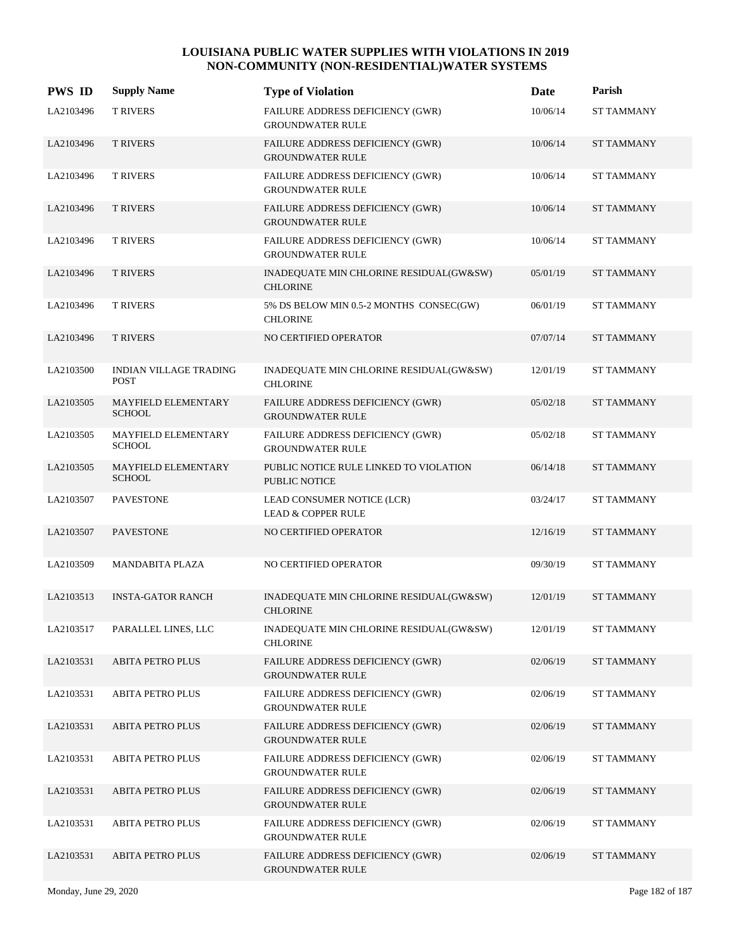| <b>PWS ID</b> | <b>Supply Name</b>                           | <b>Type of Violation</b>                                           | <b>Date</b> | Parish            |
|---------------|----------------------------------------------|--------------------------------------------------------------------|-------------|-------------------|
| LA2103496     | <b>T RIVERS</b>                              | FAILURE ADDRESS DEFICIENCY (GWR)<br><b>GROUNDWATER RULE</b>        | 10/06/14    | <b>ST TAMMANY</b> |
| LA2103496     | <b>T RIVERS</b>                              | FAILURE ADDRESS DEFICIENCY (GWR)<br><b>GROUNDWATER RULE</b>        | 10/06/14    | <b>ST TAMMANY</b> |
| LA2103496     | <b>T RIVERS</b>                              | FAILURE ADDRESS DEFICIENCY (GWR)<br><b>GROUNDWATER RULE</b>        | 10/06/14    | <b>ST TAMMANY</b> |
| LA2103496     | <b>T RIVERS</b>                              | FAILURE ADDRESS DEFICIENCY (GWR)<br><b>GROUNDWATER RULE</b>        | 10/06/14    | <b>ST TAMMANY</b> |
| LA2103496     | <b>T RIVERS</b>                              | FAILURE ADDRESS DEFICIENCY (GWR)<br><b>GROUNDWATER RULE</b>        | 10/06/14    | <b>ST TAMMANY</b> |
| LA2103496     | <b>T RIVERS</b>                              | INADEQUATE MIN CHLORINE RESIDUAL(GW&SW)<br><b>CHLORINE</b>         | 05/01/19    | <b>ST TAMMANY</b> |
| LA2103496     | <b>T RIVERS</b>                              | 5% DS BELOW MIN 0.5-2 MONTHS CONSEC(GW)<br><b>CHLORINE</b>         | 06/01/19    | <b>ST TAMMANY</b> |
| LA2103496     | <b>T RIVERS</b>                              | NO CERTIFIED OPERATOR                                              | 07/07/14    | <b>ST TAMMANY</b> |
| LA2103500     | <b>INDIAN VILLAGE TRADING</b><br><b>POST</b> | INADEQUATE MIN CHLORINE RESIDUAL(GW&SW)<br><b>CHLORINE</b>         | 12/01/19    | <b>ST TAMMANY</b> |
| LA2103505     | <b>MAYFIELD ELEMENTARY</b><br><b>SCHOOL</b>  | FAILURE ADDRESS DEFICIENCY (GWR)<br><b>GROUNDWATER RULE</b>        | 05/02/18    | <b>ST TAMMANY</b> |
| LA2103505     | MAYFIELD ELEMENTARY<br><b>SCHOOL</b>         | FAILURE ADDRESS DEFICIENCY (GWR)<br><b>GROUNDWATER RULE</b>        | 05/02/18    | <b>ST TAMMANY</b> |
| LA2103505     | MAYFIELD ELEMENTARY<br><b>SCHOOL</b>         | PUBLIC NOTICE RULE LINKED TO VIOLATION<br><b>PUBLIC NOTICE</b>     | 06/14/18    | <b>ST TAMMANY</b> |
| LA2103507     | <b>PAVESTONE</b>                             | LEAD CONSUMER NOTICE (LCR)<br><b>LEAD &amp; COPPER RULE</b>        | 03/24/17    | <b>ST TAMMANY</b> |
| LA2103507     | <b>PAVESTONE</b>                             | NO CERTIFIED OPERATOR                                              | 12/16/19    | <b>ST TAMMANY</b> |
| LA2103509     | <b>MANDABITA PLAZA</b>                       | NO CERTIFIED OPERATOR                                              | 09/30/19    | <b>ST TAMMANY</b> |
| LA2103513     | <b>INSTA-GATOR RANCH</b>                     | INADEQUATE MIN CHLORINE RESIDUAL(GW&SW)<br><b>CHLORINE</b>         | 12/01/19    | <b>ST TAMMANY</b> |
| LA2103517     | PARALLEL LINES, LLC                          | INADEQUATE MIN CHLORINE RESIDUAL(GW&SW)<br><b>CHLORINE</b>         | 12/01/19    | <b>ST TAMMANY</b> |
| LA2103531     | <b>ABITA PETRO PLUS</b>                      | FAILURE ADDRESS DEFICIENCY (GWR)<br><b>GROUNDWATER RULE</b>        | 02/06/19    | <b>ST TAMMANY</b> |
| LA2103531     | <b>ABITA PETRO PLUS</b>                      | <b>FAILURE ADDRESS DEFICIENCY (GWR)</b><br><b>GROUNDWATER RULE</b> | 02/06/19    | ST TAMMANY        |
| LA2103531     | <b>ABITA PETRO PLUS</b>                      | FAILURE ADDRESS DEFICIENCY (GWR)<br><b>GROUNDWATER RULE</b>        | 02/06/19    | ST TAMMANY        |
| LA2103531     | <b>ABITA PETRO PLUS</b>                      | <b>FAILURE ADDRESS DEFICIENCY (GWR)</b><br><b>GROUNDWATER RULE</b> | 02/06/19    | <b>ST TAMMANY</b> |
| LA2103531     | <b>ABITA PETRO PLUS</b>                      | FAILURE ADDRESS DEFICIENCY (GWR)<br><b>GROUNDWATER RULE</b>        | 02/06/19    | ST TAMMANY        |
| LA2103531     | ABITA PETRO PLUS                             | FAILURE ADDRESS DEFICIENCY (GWR)<br><b>GROUNDWATER RULE</b>        | 02/06/19    | <b>ST TAMMANY</b> |
| LA2103531     | <b>ABITA PETRO PLUS</b>                      | FAILURE ADDRESS DEFICIENCY (GWR)<br><b>GROUNDWATER RULE</b>        | 02/06/19    | <b>ST TAMMANY</b> |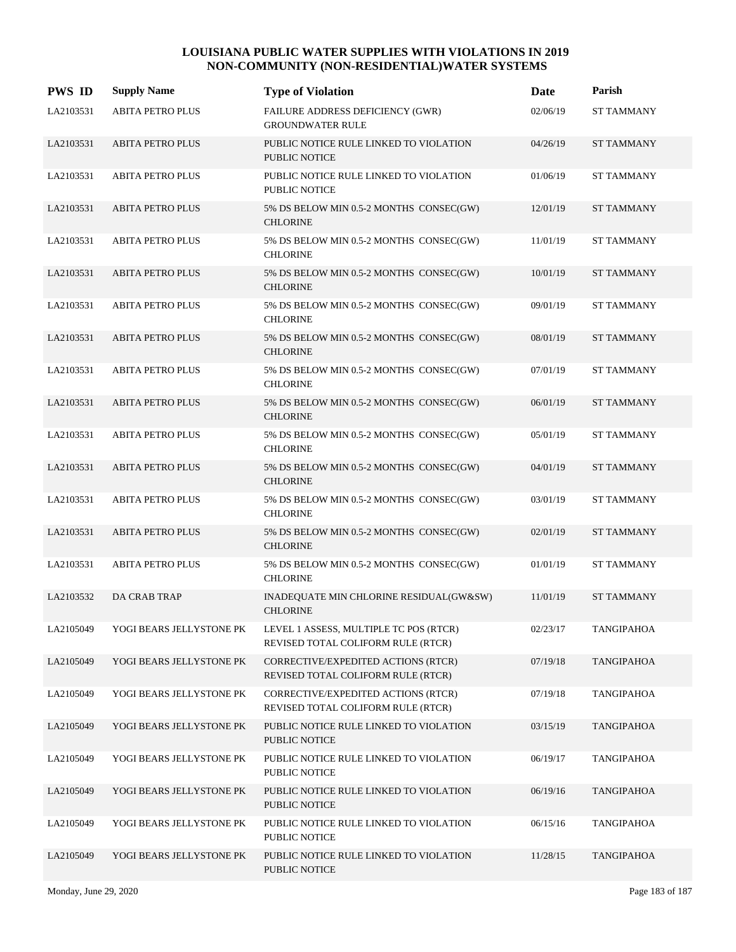| <b>PWS ID</b> | <b>Supply Name</b>       | <b>Type of Violation</b>                                                     | Date     | Parish            |
|---------------|--------------------------|------------------------------------------------------------------------------|----------|-------------------|
| LA2103531     | <b>ABITA PETRO PLUS</b>  | FAILURE ADDRESS DEFICIENCY (GWR)<br><b>GROUNDWATER RULE</b>                  | 02/06/19 | <b>ST TAMMANY</b> |
| LA2103531     | <b>ABITA PETRO PLUS</b>  | PUBLIC NOTICE RULE LINKED TO VIOLATION<br>PUBLIC NOTICE                      | 04/26/19 | <b>ST TAMMANY</b> |
| LA2103531     | <b>ABITA PETRO PLUS</b>  | PUBLIC NOTICE RULE LINKED TO VIOLATION<br>PUBLIC NOTICE                      | 01/06/19 | <b>ST TAMMANY</b> |
| LA2103531     | <b>ABITA PETRO PLUS</b>  | 5% DS BELOW MIN 0.5-2 MONTHS CONSEC(GW)<br><b>CHLORINE</b>                   | 12/01/19 | <b>ST TAMMANY</b> |
| LA2103531     | <b>ABITA PETRO PLUS</b>  | 5% DS BELOW MIN 0.5-2 MONTHS CONSEC(GW)<br><b>CHLORINE</b>                   | 11/01/19 | <b>ST TAMMANY</b> |
| LA2103531     | <b>ABITA PETRO PLUS</b>  | 5% DS BELOW MIN 0.5-2 MONTHS CONSEC(GW)<br><b>CHLORINE</b>                   | 10/01/19 | <b>ST TAMMANY</b> |
| LA2103531     | <b>ABITA PETRO PLUS</b>  | 5% DS BELOW MIN 0.5-2 MONTHS CONSEC(GW)<br><b>CHLORINE</b>                   | 09/01/19 | <b>ST TAMMANY</b> |
| LA2103531     | <b>ABITA PETRO PLUS</b>  | 5% DS BELOW MIN 0.5-2 MONTHS CONSEC(GW)<br><b>CHLORINE</b>                   | 08/01/19 | <b>ST TAMMANY</b> |
| LA2103531     | <b>ABITA PETRO PLUS</b>  | 5% DS BELOW MIN 0.5-2 MONTHS CONSEC(GW)<br><b>CHLORINE</b>                   | 07/01/19 | <b>ST TAMMANY</b> |
| LA2103531     | <b>ABITA PETRO PLUS</b>  | 5% DS BELOW MIN 0.5-2 MONTHS CONSEC(GW)<br><b>CHLORINE</b>                   | 06/01/19 | <b>ST TAMMANY</b> |
| LA2103531     | <b>ABITA PETRO PLUS</b>  | 5% DS BELOW MIN 0.5-2 MONTHS CONSEC(GW)<br><b>CHLORINE</b>                   | 05/01/19 | <b>ST TAMMANY</b> |
| LA2103531     | <b>ABITA PETRO PLUS</b>  | 5% DS BELOW MIN 0.5-2 MONTHS CONSEC(GW)<br><b>CHLORINE</b>                   | 04/01/19 | <b>ST TAMMANY</b> |
| LA2103531     | <b>ABITA PETRO PLUS</b>  | 5% DS BELOW MIN 0.5-2 MONTHS CONSEC(GW)<br><b>CHLORINE</b>                   | 03/01/19 | <b>ST TAMMANY</b> |
| LA2103531     | <b>ABITA PETRO PLUS</b>  | 5% DS BELOW MIN 0.5-2 MONTHS CONSEC(GW)<br><b>CHLORINE</b>                   | 02/01/19 | <b>ST TAMMANY</b> |
| LA2103531     | <b>ABITA PETRO PLUS</b>  | 5% DS BELOW MIN 0.5-2 MONTHS CONSEC(GW)<br><b>CHLORINE</b>                   | 01/01/19 | <b>ST TAMMANY</b> |
| LA2103532     | DA CRAB TRAP             | INADEQUATE MIN CHLORINE RESIDUAL(GW&SW)<br><b>CHLORINE</b>                   | 11/01/19 | <b>ST TAMMANY</b> |
| LA2105049     | YOGI BEARS JELLYSTONE PK | LEVEL 1 ASSESS, MULTIPLE TC POS (RTCR)<br>REVISED TOTAL COLIFORM RULE (RTCR) | 02/23/17 | <b>TANGIPAHOA</b> |
| LA2105049     | YOGI BEARS JELLYSTONE PK | CORRECTIVE/EXPEDITED ACTIONS (RTCR)<br>REVISED TOTAL COLIFORM RULE (RTCR)    | 07/19/18 | <b>TANGIPAHOA</b> |
| LA2105049     | YOGI BEARS JELLYSTONE PK | CORRECTIVE/EXPEDITED ACTIONS (RTCR)<br>REVISED TOTAL COLIFORM RULE (RTCR)    | 07/19/18 | <b>TANGIPAHOA</b> |
| LA2105049     | YOGI BEARS JELLYSTONE PK | PUBLIC NOTICE RULE LINKED TO VIOLATION<br><b>PUBLIC NOTICE</b>               | 03/15/19 | <b>TANGIPAHOA</b> |
| LA2105049     | YOGI BEARS JELLYSTONE PK | PUBLIC NOTICE RULE LINKED TO VIOLATION<br>PUBLIC NOTICE                      | 06/19/17 | <b>TANGIPAHOA</b> |
| LA2105049     | YOGI BEARS JELLYSTONE PK | PUBLIC NOTICE RULE LINKED TO VIOLATION<br><b>PUBLIC NOTICE</b>               | 06/19/16 | <b>TANGIPAHOA</b> |
| LA2105049     | YOGI BEARS JELLYSTONE PK | PUBLIC NOTICE RULE LINKED TO VIOLATION<br>PUBLIC NOTICE                      | 06/15/16 | <b>TANGIPAHOA</b> |
| LA2105049     | YOGI BEARS JELLYSTONE PK | PUBLIC NOTICE RULE LINKED TO VIOLATION<br>PUBLIC NOTICE                      | 11/28/15 | <b>TANGIPAHOA</b> |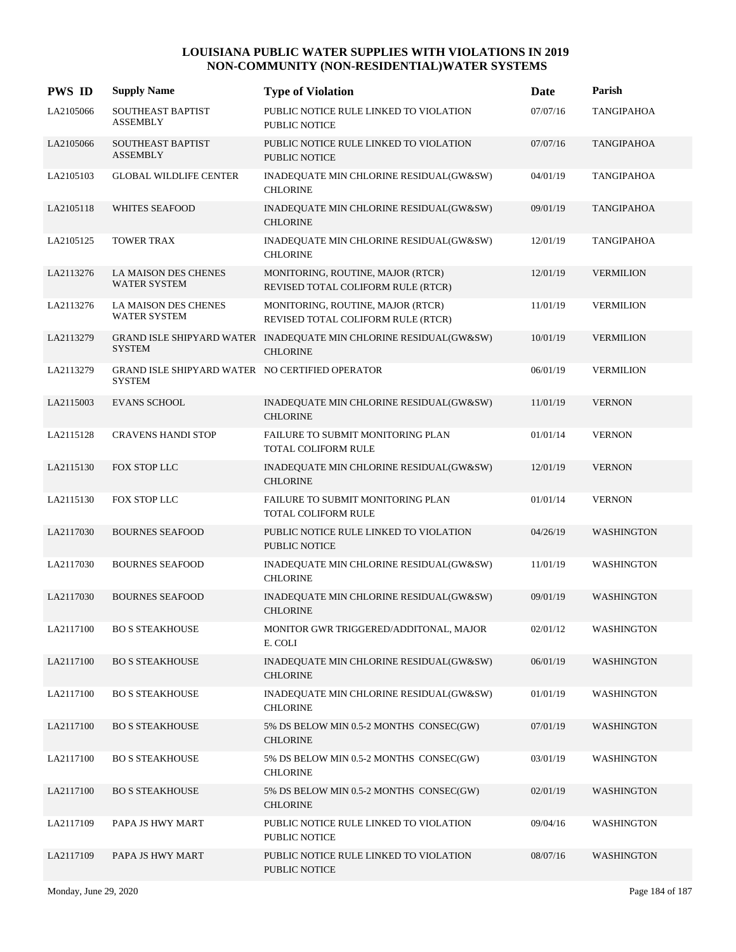| <b>PWS ID</b> | <b>Supply Name</b>                                        | <b>Type of Violation</b>                                                             | Date     | Parish            |
|---------------|-----------------------------------------------------------|--------------------------------------------------------------------------------------|----------|-------------------|
| LA2105066     | SOUTHEAST BAPTIST<br><b>ASSEMBLY</b>                      | PUBLIC NOTICE RULE LINKED TO VIOLATION<br><b>PUBLIC NOTICE</b>                       | 07/07/16 | <b>TANGIPAHOA</b> |
| LA2105066     | <b>SOUTHEAST BAPTIST</b><br><b>ASSEMBLY</b>               | PUBLIC NOTICE RULE LINKED TO VIOLATION<br><b>PUBLIC NOTICE</b>                       | 07/07/16 | <b>TANGIPAHOA</b> |
| LA2105103     | <b>GLOBAL WILDLIFE CENTER</b>                             | INADEQUATE MIN CHLORINE RESIDUAL(GW&SW)<br><b>CHLORINE</b>                           | 04/01/19 | <b>TANGIPAHOA</b> |
| LA2105118     | <b>WHITES SEAFOOD</b>                                     | INADEQUATE MIN CHLORINE RESIDUAL(GW&SW)<br><b>CHLORINE</b>                           | 09/01/19 | <b>TANGIPAHOA</b> |
| LA2105125     | <b>TOWER TRAX</b>                                         | INADEQUATE MIN CHLORINE RESIDUAL(GW&SW)<br><b>CHLORINE</b>                           | 12/01/19 | <b>TANGIPAHOA</b> |
| LA2113276     | <b>LA MAISON DES CHENES</b><br><b>WATER SYSTEM</b>        | MONITORING, ROUTINE, MAJOR (RTCR)<br>REVISED TOTAL COLIFORM RULE (RTCR)              | 12/01/19 | <b>VERMILION</b>  |
| LA2113276     | LA MAISON DES CHENES<br><b>WATER SYSTEM</b>               | MONITORING, ROUTINE, MAJOR (RTCR)<br>REVISED TOTAL COLIFORM RULE (RTCR)              | 11/01/19 | <b>VERMILION</b>  |
| LA2113279     | <b>SYSTEM</b>                                             | GRAND ISLE SHIPYARD WATER INADEQUATE MIN CHLORINE RESIDUAL(GW&SW)<br><b>CHLORINE</b> | 10/01/19 | <b>VERMILION</b>  |
| LA2113279     | GRAND ISLE SHIPYARD WATER NO CERTIFIED OPERATOR<br>SYSTEM |                                                                                      | 06/01/19 | <b>VERMILION</b>  |
| LA2115003     | <b>EVANS SCHOOL</b>                                       | INADEQUATE MIN CHLORINE RESIDUAL(GW&SW)<br><b>CHLORINE</b>                           | 11/01/19 | <b>VERNON</b>     |
| LA2115128     | <b>CRAVENS HANDI STOP</b>                                 | FAILURE TO SUBMIT MONITORING PLAN<br>TOTAL COLIFORM RULE                             | 01/01/14 | <b>VERNON</b>     |
| LA2115130     | FOX STOP LLC                                              | INADEQUATE MIN CHLORINE RESIDUAL(GW&SW)<br><b>CHLORINE</b>                           | 12/01/19 | <b>VERNON</b>     |
| LA2115130     | FOX STOP LLC                                              | FAILURE TO SUBMIT MONITORING PLAN<br>TOTAL COLIFORM RULE                             | 01/01/14 | <b>VERNON</b>     |
| LA2117030     | <b>BOURNES SEAFOOD</b>                                    | PUBLIC NOTICE RULE LINKED TO VIOLATION<br>PUBLIC NOTICE                              | 04/26/19 | <b>WASHINGTON</b> |
| LA2117030     | <b>BOURNES SEAFOOD</b>                                    | INADEQUATE MIN CHLORINE RESIDUAL(GW&SW)<br><b>CHLORINE</b>                           | 11/01/19 | WASHINGTON        |
| LA2117030     | <b>BOURNES SEAFOOD</b>                                    | INADEQUATE MIN CHLORINE RESIDUAL(GW&SW)<br><b>CHLORINE</b>                           | 09/01/19 | WASHINGTON        |
| LA2117100     | <b>BO S STEAKHOUSE</b>                                    | MONITOR GWR TRIGGERED/ADDITONAL, MAJOR<br>E. COLI                                    | 02/01/12 | WASHINGTON        |
| LA2117100     | <b>BO S STEAKHOUSE</b>                                    | INADEQUATE MIN CHLORINE RESIDUAL(GW&SW)<br><b>CHLORINE</b>                           | 06/01/19 | WASHINGTON        |
| LA2117100     | <b>BO S STEAKHOUSE</b>                                    | INADEQUATE MIN CHLORINE RESIDUAL(GW&SW)<br><b>CHLORINE</b>                           | 01/01/19 | WASHINGTON        |
| LA2117100     | <b>BO S STEAKHOUSE</b>                                    | 5% DS BELOW MIN 0.5-2 MONTHS CONSEC(GW)<br><b>CHLORINE</b>                           | 07/01/19 | WASHINGTON        |
| LA2117100     | <b>BO S STEAKHOUSE</b>                                    | 5% DS BELOW MIN 0.5-2 MONTHS CONSEC(GW)<br><b>CHLORINE</b>                           | 03/01/19 | WASHINGTON        |
| LA2117100     | <b>BO S STEAKHOUSE</b>                                    | 5% DS BELOW MIN 0.5-2 MONTHS CONSEC(GW)<br><b>CHLORINE</b>                           | 02/01/19 | WASHINGTON        |
| LA2117109     | PAPA JS HWY MART                                          | PUBLIC NOTICE RULE LINKED TO VIOLATION<br>PUBLIC NOTICE                              | 09/04/16 | WASHINGTON        |
| LA2117109     | PAPA JS HWY MART                                          | PUBLIC NOTICE RULE LINKED TO VIOLATION<br>PUBLIC NOTICE                              | 08/07/16 | WASHINGTON        |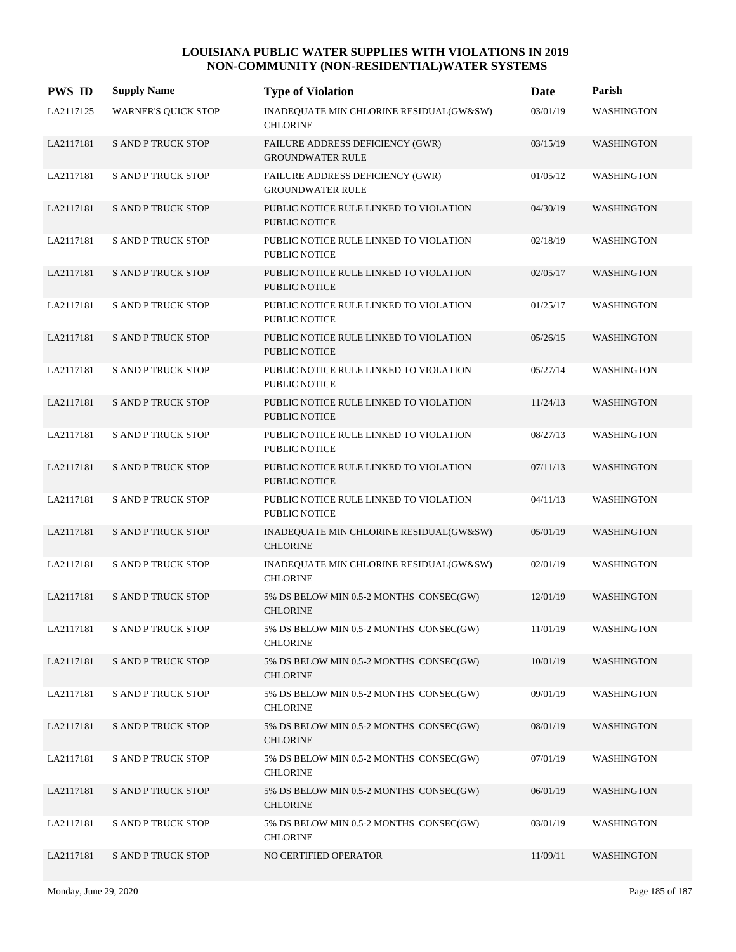| <b>PWS ID</b> | <b>Supply Name</b>         | <b>Type of Violation</b>                                           | Date     | Parish            |
|---------------|----------------------------|--------------------------------------------------------------------|----------|-------------------|
| LA2117125     | <b>WARNER'S QUICK STOP</b> | INADEQUATE MIN CHLORINE RESIDUAL(GW&SW)<br><b>CHLORINE</b>         | 03/01/19 | WASHINGTON        |
| LA2117181     | <b>S AND P TRUCK STOP</b>  | FAILURE ADDRESS DEFICIENCY (GWR)<br><b>GROUNDWATER RULE</b>        | 03/15/19 | WASHINGTON        |
| LA2117181     | <b>S AND P TRUCK STOP</b>  | <b>FAILURE ADDRESS DEFICIENCY (GWR)</b><br><b>GROUNDWATER RULE</b> | 01/05/12 | WASHINGTON        |
| LA2117181     | <b>S AND P TRUCK STOP</b>  | PUBLIC NOTICE RULE LINKED TO VIOLATION<br><b>PUBLIC NOTICE</b>     | 04/30/19 | <b>WASHINGTON</b> |
| LA2117181     | <b>S AND P TRUCK STOP</b>  | PUBLIC NOTICE RULE LINKED TO VIOLATION<br><b>PUBLIC NOTICE</b>     | 02/18/19 | <b>WASHINGTON</b> |
| LA2117181     | <b>S AND P TRUCK STOP</b>  | PUBLIC NOTICE RULE LINKED TO VIOLATION<br>PUBLIC NOTICE            | 02/05/17 | <b>WASHINGTON</b> |
| LA2117181     | <b>S AND P TRUCK STOP</b>  | PUBLIC NOTICE RULE LINKED TO VIOLATION<br><b>PUBLIC NOTICE</b>     | 01/25/17 | WASHINGTON        |
| LA2117181     | <b>S AND P TRUCK STOP</b>  | PUBLIC NOTICE RULE LINKED TO VIOLATION<br><b>PUBLIC NOTICE</b>     | 05/26/15 | <b>WASHINGTON</b> |
| LA2117181     | <b>S AND P TRUCK STOP</b>  | PUBLIC NOTICE RULE LINKED TO VIOLATION<br><b>PUBLIC NOTICE</b>     | 05/27/14 | <b>WASHINGTON</b> |
| LA2117181     | <b>S AND P TRUCK STOP</b>  | PUBLIC NOTICE RULE LINKED TO VIOLATION<br><b>PUBLIC NOTICE</b>     | 11/24/13 | <b>WASHINGTON</b> |
| LA2117181     | <b>S AND P TRUCK STOP</b>  | PUBLIC NOTICE RULE LINKED TO VIOLATION<br><b>PUBLIC NOTICE</b>     | 08/27/13 | <b>WASHINGTON</b> |
| LA2117181     | <b>S AND P TRUCK STOP</b>  | PUBLIC NOTICE RULE LINKED TO VIOLATION<br><b>PUBLIC NOTICE</b>     | 07/11/13 | <b>WASHINGTON</b> |
| LA2117181     | <b>S AND P TRUCK STOP</b>  | PUBLIC NOTICE RULE LINKED TO VIOLATION<br><b>PUBLIC NOTICE</b>     | 04/11/13 | <b>WASHINGTON</b> |
| LA2117181     | <b>S AND P TRUCK STOP</b>  | INADEQUATE MIN CHLORINE RESIDUAL(GW&SW)<br><b>CHLORINE</b>         | 05/01/19 | <b>WASHINGTON</b> |
| LA2117181     | <b>S AND P TRUCK STOP</b>  | INADEQUATE MIN CHLORINE RESIDUAL(GW&SW)<br><b>CHLORINE</b>         | 02/01/19 | <b>WASHINGTON</b> |
| LA2117181     | <b>S AND P TRUCK STOP</b>  | 5% DS BELOW MIN 0.5-2 MONTHS CONSEC(GW)<br><b>CHLORINE</b>         | 12/01/19 | <b>WASHINGTON</b> |
| LA2117181     | <b>S AND P TRUCK STOP</b>  | 5% DS BELOW MIN 0.5-2 MONTHS CONSEC(GW)<br><b>CHLORINE</b>         | 11/01/19 | WASHINGTON        |
| LA2117181     | <b>S AND P TRUCK STOP</b>  | 5% DS BELOW MIN 0.5-2 MONTHS CONSEC(GW)<br><b>CHLORINE</b>         | 10/01/19 | WASHINGTON        |
| LA2117181     | <b>S AND P TRUCK STOP</b>  | 5% DS BELOW MIN 0.5-2 MONTHS CONSEC(GW)<br><b>CHLORINE</b>         | 09/01/19 | WASHINGTON        |
| LA2117181     | <b>S AND P TRUCK STOP</b>  | 5% DS BELOW MIN 0.5-2 MONTHS CONSEC(GW)<br><b>CHLORINE</b>         | 08/01/19 | WASHINGTON        |
| LA2117181     | <b>S AND P TRUCK STOP</b>  | 5% DS BELOW MIN 0.5-2 MONTHS CONSEC(GW)<br><b>CHLORINE</b>         | 07/01/19 | WASHINGTON        |
| LA2117181     | <b>S AND P TRUCK STOP</b>  | 5% DS BELOW MIN 0.5-2 MONTHS CONSEC(GW)<br><b>CHLORINE</b>         | 06/01/19 | WASHINGTON        |
| LA2117181     | <b>S AND P TRUCK STOP</b>  | 5% DS BELOW MIN 0.5-2 MONTHS CONSEC(GW)<br><b>CHLORINE</b>         | 03/01/19 | WASHINGTON        |
| LA2117181     | <b>S AND P TRUCK STOP</b>  | NO CERTIFIED OPERATOR                                              | 11/09/11 | WASHINGTON        |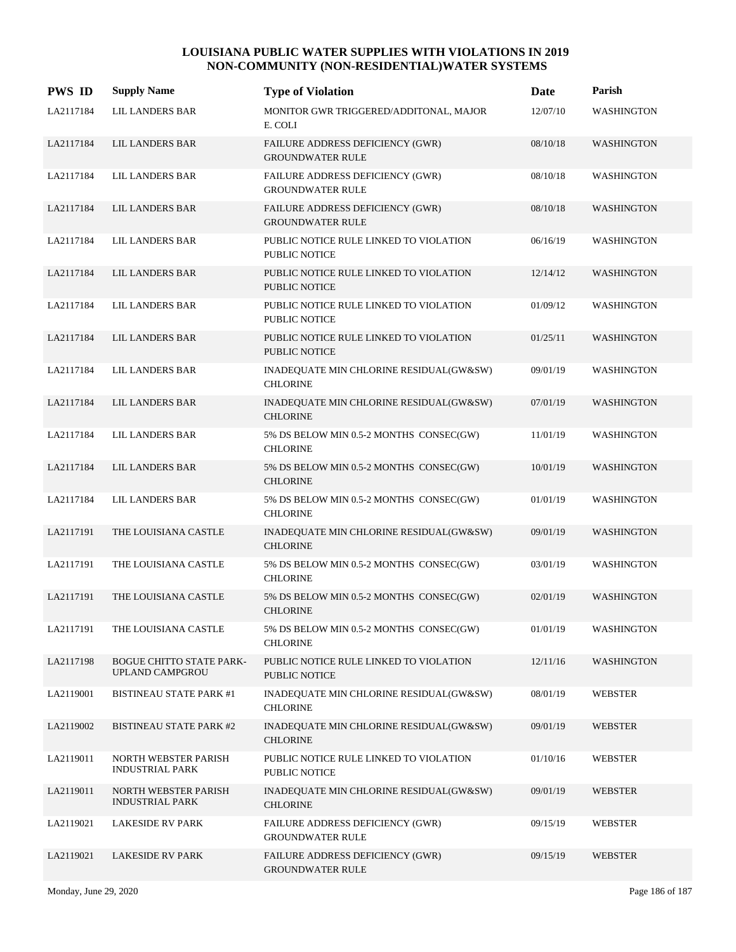| <b>PWS ID</b> | <b>Supply Name</b>                                        | <b>Type of Violation</b>                                       | Date     | Parish            |
|---------------|-----------------------------------------------------------|----------------------------------------------------------------|----------|-------------------|
| LA2117184     | <b>LIL LANDERS BAR</b>                                    | MONITOR GWR TRIGGERED/ADDITONAL, MAJOR<br>E. COLI              | 12/07/10 | WASHINGTON        |
| LA2117184     | LIL LANDERS BAR                                           | FAILURE ADDRESS DEFICIENCY (GWR)<br><b>GROUNDWATER RULE</b>    | 08/10/18 | WASHINGTON        |
| LA2117184     | LIL LANDERS BAR                                           | FAILURE ADDRESS DEFICIENCY (GWR)<br><b>GROUNDWATER RULE</b>    | 08/10/18 | WASHINGTON        |
| LA2117184     | <b>LIL LANDERS BAR</b>                                    | FAILURE ADDRESS DEFICIENCY (GWR)<br><b>GROUNDWATER RULE</b>    | 08/10/18 | <b>WASHINGTON</b> |
| LA2117184     | LIL LANDERS BAR                                           | PUBLIC NOTICE RULE LINKED TO VIOLATION<br><b>PUBLIC NOTICE</b> | 06/16/19 | WASHINGTON        |
| LA2117184     | LIL LANDERS BAR                                           | PUBLIC NOTICE RULE LINKED TO VIOLATION<br><b>PUBLIC NOTICE</b> | 12/14/12 | <b>WASHINGTON</b> |
| LA2117184     | LIL LANDERS BAR                                           | PUBLIC NOTICE RULE LINKED TO VIOLATION<br><b>PUBLIC NOTICE</b> | 01/09/12 | <b>WASHINGTON</b> |
| LA2117184     | LIL LANDERS BAR                                           | PUBLIC NOTICE RULE LINKED TO VIOLATION<br><b>PUBLIC NOTICE</b> | 01/25/11 | WASHINGTON        |
| LA2117184     | LIL LANDERS BAR                                           | INADEQUATE MIN CHLORINE RESIDUAL(GW&SW)<br><b>CHLORINE</b>     | 09/01/19 | <b>WASHINGTON</b> |
| LA2117184     | LIL LANDERS BAR                                           | INADEQUATE MIN CHLORINE RESIDUAL(GW&SW)<br><b>CHLORINE</b>     | 07/01/19 | <b>WASHINGTON</b> |
| LA2117184     | LIL LANDERS BAR                                           | 5% DS BELOW MIN 0.5-2 MONTHS CONSEC(GW)<br><b>CHLORINE</b>     | 11/01/19 | WASHINGTON        |
| LA2117184     | LIL LANDERS BAR                                           | 5% DS BELOW MIN 0.5-2 MONTHS CONSEC(GW)<br><b>CHLORINE</b>     | 10/01/19 | <b>WASHINGTON</b> |
| LA2117184     | LIL LANDERS BAR                                           | 5% DS BELOW MIN 0.5-2 MONTHS CONSEC(GW)<br><b>CHLORINE</b>     | 01/01/19 | WASHINGTON        |
| LA2117191     | THE LOUISIANA CASTLE                                      | INADEQUATE MIN CHLORINE RESIDUAL(GW&SW)<br><b>CHLORINE</b>     | 09/01/19 | <b>WASHINGTON</b> |
| LA2117191     | THE LOUISIANA CASTLE                                      | 5% DS BELOW MIN 0.5-2 MONTHS CONSEC(GW)<br><b>CHLORINE</b>     | 03/01/19 | <b>WASHINGTON</b> |
| LA2117191     | THE LOUISIANA CASTLE                                      | 5% DS BELOW MIN 0.5-2 MONTHS CONSEC(GW)<br><b>CHLORINE</b>     | 02/01/19 | WASHINGTON        |
| LA2117191     | THE LOUISIANA CASTLE                                      | 5% DS BELOW MIN 0.5-2 MONTHS CONSEC(GW)<br><b>CHLORINE</b>     | 01/01/19 | WASHINGTON        |
| LA2117198     | <b>BOGUE CHITTO STATE PARK-</b><br><b>UPLAND CAMPGROU</b> | PUBLIC NOTICE RULE LINKED TO VIOLATION<br>PUBLIC NOTICE        | 12/11/16 | WASHINGTON        |
| LA2119001     | <b>BISTINEAU STATE PARK #1</b>                            | INADEQUATE MIN CHLORINE RESIDUAL(GW&SW)<br><b>CHLORINE</b>     | 08/01/19 | <b>WEBSTER</b>    |
| LA2119002     | <b>BISTINEAU STATE PARK #2</b>                            | INADEQUATE MIN CHLORINE RESIDUAL(GW&SW)<br><b>CHLORINE</b>     | 09/01/19 | <b>WEBSTER</b>    |
| LA2119011     | NORTH WEBSTER PARISH<br><b>INDUSTRIAL PARK</b>            | PUBLIC NOTICE RULE LINKED TO VIOLATION<br>PUBLIC NOTICE        | 01/10/16 | <b>WEBSTER</b>    |
| LA2119011     | NORTH WEBSTER PARISH<br>INDUSTRIAL PARK                   | INADEQUATE MIN CHLORINE RESIDUAL(GW&SW)<br><b>CHLORINE</b>     | 09/01/19 | <b>WEBSTER</b>    |
| LA2119021     | <b>LAKESIDE RV PARK</b>                                   | FAILURE ADDRESS DEFICIENCY (GWR)<br><b>GROUNDWATER RULE</b>    | 09/15/19 | <b>WEBSTER</b>    |
| LA2119021     | <b>LAKESIDE RV PARK</b>                                   | FAILURE ADDRESS DEFICIENCY (GWR)<br><b>GROUNDWATER RULE</b>    | 09/15/19 | <b>WEBSTER</b>    |